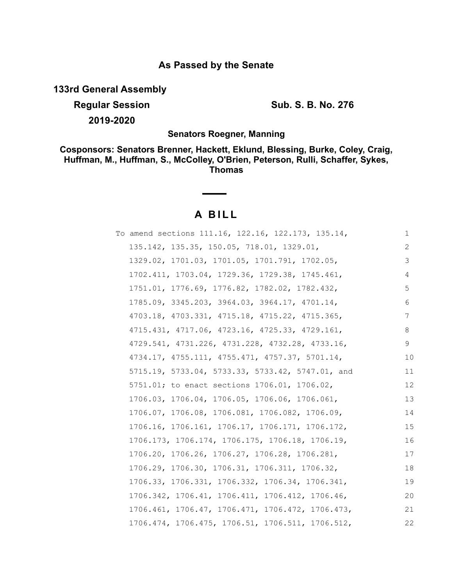## **As Passed by the Senate**

**133rd General Assembly**

**Regular Session Sub. S. B. No. 276 2019-2020**

**Senators Roegner, Manning**

**Cosponsors: Senators Brenner, Hackett, Eklund, Blessing, Burke, Coley, Craig, Huffman, M., Huffman, S., McColley, O'Brien, Peterson, Rulli, Schaffer, Sykes, Thomas**

# **A B I L L**

| To amend sections 111.16, 122.16, 122.173, 135.14,            | 1  |
|---------------------------------------------------------------|----|
| 135.142, 135.35, 150.05, 718.01, 1329.01,                     | 2  |
| 1329.02, 1701.03, 1701.05, 1701.791, 1702.05,                 | 3  |
| 1702.411, 1703.04, 1729.36, 1729.38, 1745.461,                | 4  |
| 1751.01, 1776.69, 1776.82, 1782.02, 1782.432,                 | 5  |
| 1785.09, 3345.203, 3964.03, 3964.17, 4701.14,                 | 6  |
| 4703.18, 4703.331, 4715.18, 4715.22, 4715.365,                | 7  |
| 4715.431, 4717.06, 4723.16, 4725.33, 4729.161,                | 8  |
| 4729.541, 4731.226, 4731.228, 4732.28, 4733.16,               | 9  |
| $4734.17$ , $4755.111$ , $4755.471$ , $4757.37$ , $5701.14$ , | 10 |
| 5715.19, 5733.04, 5733.33, 5733.42, 5747.01, and              | 11 |
| 5751.01; to enact sections 1706.01, 1706.02,                  | 12 |
| 1706.03, 1706.04, 1706.05, 1706.06, 1706.061,                 | 13 |
| 1706.07, 1706.08, 1706.081, 1706.082, 1706.09,                | 14 |
| 1706.16, 1706.161, 1706.17, 1706.171, 1706.172,               | 15 |
| 1706.173, 1706.174, 1706.175, 1706.18, 1706.19,               | 16 |
| 1706.20, 1706.26, 1706.27, 1706.28, 1706.281,                 | 17 |
| 1706.29, 1706.30, 1706.31, 1706.311, 1706.32,                 | 18 |
| 1706.33, 1706.331, 1706.332, 1706.34, 1706.341,               | 19 |
| 1706.342, 1706.41, 1706.411, 1706.412, 1706.46,               | 20 |
| $1706.461, 1706.47, 1706.471, 1706.472, 1706.473,$            | 21 |
| 1706.474, 1706.475, 1706.51, 1706.511, 1706.512,              | 22 |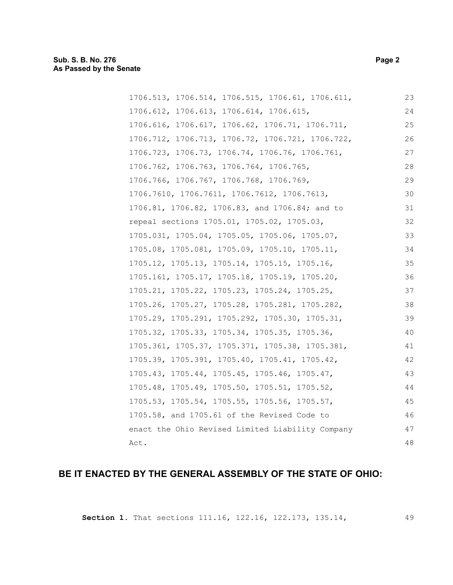### **Sub. S. B. No. 276 Page 2 As Passed by the Senate**

| 1706.513, 1706.514, 1706.515, 1706.61, 1706.611, | 23 |
|--------------------------------------------------|----|
| 1706.612, 1706.613, 1706.614, 1706.615,          | 24 |
| 1706.616, 1706.617, 1706.62, 1706.71, 1706.711,  | 25 |
| 1706.712, 1706.713, 1706.72, 1706.721, 1706.722, | 26 |
| 1706.723, 1706.73, 1706.74, 1706.76, 1706.761,   | 27 |
| 1706.762, 1706.763, 1706.764, 1706.765,          | 28 |
| 1706.766, 1706.767, 1706.768, 1706.769,          | 29 |
| 1706.7610, 1706.7611, 1706.7612, 1706.7613,      | 30 |
| 1706.81, 1706.82, 1706.83, and 1706.84; and to   | 31 |
| repeal sections 1705.01, 1705.02, 1705.03,       | 32 |
| 1705.031, 1705.04, 1705.05, 1705.06, 1705.07,    | 33 |
| 1705.08, 1705.081, 1705.09, 1705.10, 1705.11,    | 34 |
| 1705.12, 1705.13, 1705.14, 1705.15, 1705.16,     | 35 |
| 1705.161, 1705.17, 1705.18, 1705.19, 1705.20,    | 36 |
| 1705.21, 1705.22, 1705.23, 1705.24, 1705.25,     | 37 |
| 1705.26, 1705.27, 1705.28, 1705.281, 1705.282,   | 38 |
| 1705.29, 1705.291, 1705.292, 1705.30, 1705.31,   | 39 |
| 1705.32, 1705.33, 1705.34, 1705.35, 1705.36,     | 40 |
| 1705.361, 1705.37, 1705.371, 1705.38, 1705.381,  | 41 |
| 1705.39, 1705.391, 1705.40, 1705.41, 1705.42,    | 42 |
| 1705.43, 1705.44, 1705.45, 1705.46, 1705.47,     | 43 |
| 1705.48, 1705.49, 1705.50, 1705.51, 1705.52,     | 44 |
| 1705.53, 1705.54, 1705.55, 1705.56, 1705.57,     | 45 |
| 1705.58, and 1705.61 of the Revised Code to      | 46 |
| enact the Ohio Revised Limited Liability Company | 47 |
| Act.                                             | 48 |
|                                                  |    |

## **BE IT ENACTED BY THE GENERAL ASSEMBLY OF THE STATE OF OHIO:**

**Section 1.** That sections 111.16, 122.16, 122.173, 135.14,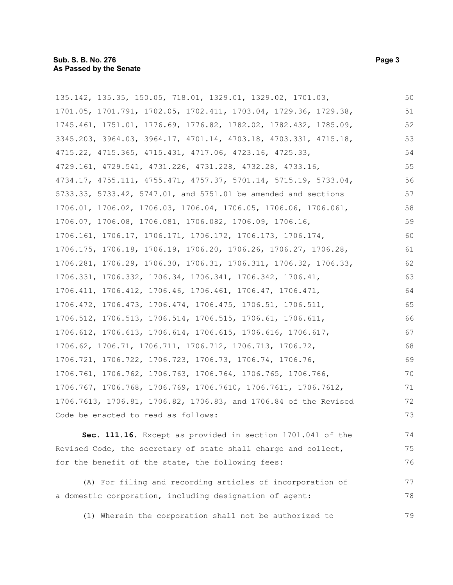| 135.142, 135.35, 150.05, 718.01, 1329.01, 1329.02, 1701.03,                | 50 |
|----------------------------------------------------------------------------|----|
| 1701.05, 1701.791, 1702.05, 1702.411, 1703.04, 1729.36, 1729.38,           | 51 |
| 1745.461, 1751.01, 1776.69, 1776.82, 1782.02, 1782.432, 1785.09,           | 52 |
| 3345.203, 3964.03, 3964.17, 4701.14, 4703.18, 4703.331, 4715.18,           | 53 |
| 4715.22, 4715.365, 4715.431, 4717.06, 4723.16, 4725.33,                    | 54 |
| 4729.161, 4729.541, 4731.226, 4731.228, 4732.28, 4733.16,                  | 55 |
| 4734.17, 4755.111, 4755.471, 4757.37, 5701.14, 5715.19, 5733.04,           | 56 |
| 5733.33, 5733.42, 5747.01, and 5751.01 be amended and sections             | 57 |
| 1706.01, 1706.02, 1706.03, 1706.04, 1706.05, 1706.06, 1706.061,            | 58 |
| 1706.07, 1706.08, 1706.081, 1706.082, 1706.09, 1706.16,                    | 59 |
| 1706.161, 1706.17, 1706.171, 1706.172, 1706.173, 1706.174,                 | 60 |
| 1706.175, 1706.18, 1706.19, 1706.20, 1706.26, 1706.27, 1706.28,            | 61 |
| 1706.281, 1706.29, 1706.30, 1706.31, 1706.311, 1706.32, 1706.33,           | 62 |
| 1706.331, 1706.332, 1706.34, 1706.341, 1706.342, 1706.41,                  | 63 |
| 1706.411, 1706.412, 1706.46, 1706.461, 1706.47, 1706.471,                  | 64 |
| 1706.472, 1706.473, 1706.474, 1706.475, 1706.51, 1706.511,                 | 65 |
| 1706.512, 1706.513, 1706.514, 1706.515, 1706.61, 1706.611,                 | 66 |
| 1706.612, 1706.613, 1706.614, 1706.615, 1706.616, 1706.617,                | 67 |
| $1706.62$ , $1706.71$ , $1706.711$ , $1706.712$ , $1706.713$ , $1706.72$ , | 68 |
| 1706.721, 1706.722, 1706.723, 1706.73, 1706.74, 1706.76,                   | 69 |
| 1706.761, 1706.762, 1706.763, 1706.764, 1706.765, 1706.766,                | 70 |
| 1706.767, 1706.768, 1706.769, 1706.7610, 1706.7611, 1706.7612,             | 71 |
| 1706.7613, 1706.81, 1706.82, 1706.83, and 1706.84 of the Revised           | 72 |
| Code be enacted to read as follows:                                        | 73 |
| Sec. 111.16. Except as provided in section 1701.041 of the                 | 74 |

Revised Code, the secretary of state shall charge and collect, for the benefit of the state, the following fees: 75 76

(A) For filing and recording articles of incorporation of a domestic corporation, including designation of agent: 77 78

(1) Wherein the corporation shall not be authorized to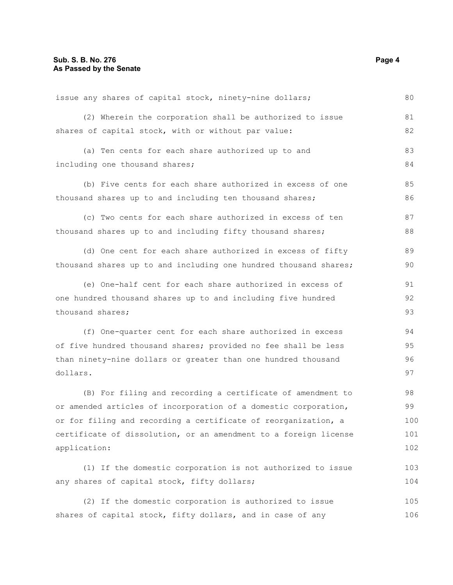| issue any shares of capital stock, ninety-nine dollars;          | 80  |
|------------------------------------------------------------------|-----|
| (2) Wherein the corporation shall be authorized to issue         | 81  |
| shares of capital stock, with or without par value:              | 82  |
| (a) Ten cents for each share authorized up to and                | 83  |
| including one thousand shares;                                   | 84  |
| (b) Five cents for each share authorized in excess of one        | 85  |
| thousand shares up to and including ten thousand shares;         | 86  |
| (c) Two cents for each share authorized in excess of ten         | 87  |
| thousand shares up to and including fifty thousand shares;       | 88  |
| (d) One cent for each share authorized in excess of fifty        | 89  |
| thousand shares up to and including one hundred thousand shares; | 90  |
| (e) One-half cent for each share authorized in excess of         | 91  |
| one hundred thousand shares up to and including five hundred     | 92  |
| thousand shares;                                                 | 93  |
| (f) One-quarter cent for each share authorized in excess         | 94  |
| of five hundred thousand shares; provided no fee shall be less   | 95  |
| than ninety-nine dollars or greater than one hundred thousand    | 96  |
| dollars.                                                         | 97  |
| (B) For filing and recording a certificate of amendment to       | 98  |
| or amended articles of incorporation of a domestic corporation,  | 99  |
| or for filing and recording a certificate of reorganization, a   | 100 |
| certificate of dissolution, or an amendment to a foreign license | 101 |
| application:                                                     | 102 |
| (1) If the domestic corporation is not authorized to issue       | 103 |
| any shares of capital stock, fifty dollars;                      | 104 |
| (2) If the domestic corporation is authorized to issue           | 105 |
| shares of capital stock, fifty dollars, and in case of any       | 106 |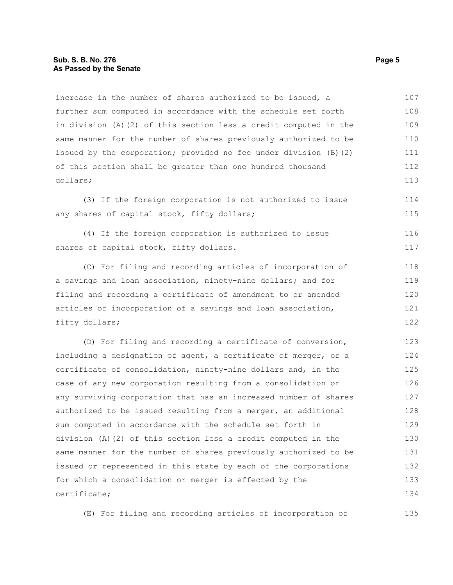increase in the number of shares authorized to be issued, a further sum computed in accordance with the schedule set forth in division (A)(2) of this section less a credit computed in the same manner for the number of shares previously authorized to be issued by the corporation; provided no fee under division (B)(2) of this section shall be greater than one hundred thousand dollars; 107 108 109 110 111 112 113

(3) If the foreign corporation is not authorized to issue any shares of capital stock, fifty dollars; 114 115

(4) If the foreign corporation is authorized to issue shares of capital stock, fifty dollars. 116 117

(C) For filing and recording articles of incorporation of a savings and loan association, ninety-nine dollars; and for filing and recording a certificate of amendment to or amended articles of incorporation of a savings and loan association, fifty dollars; 118 119 120 121 122

(D) For filing and recording a certificate of conversion, including a designation of agent, a certificate of merger, or a certificate of consolidation, ninety-nine dollars and, in the case of any new corporation resulting from a consolidation or any surviving corporation that has an increased number of shares authorized to be issued resulting from a merger, an additional sum computed in accordance with the schedule set forth in division (A)(2) of this section less a credit computed in the same manner for the number of shares previously authorized to be issued or represented in this state by each of the corporations for which a consolidation or merger is effected by the certificate; 123 124 125 126 127 128 129 130 131 132 133 134

(E) For filing and recording articles of incorporation of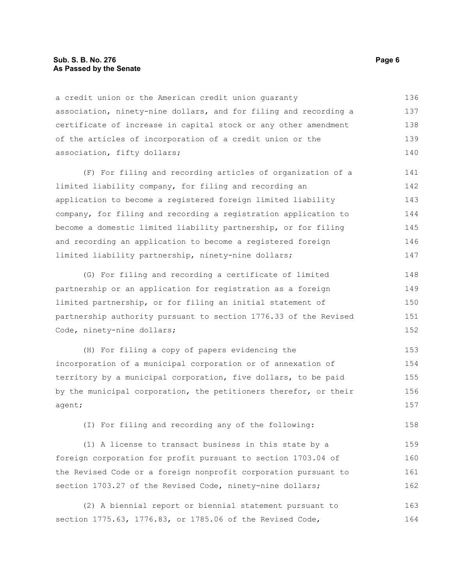#### **Sub. S. B. No. 276 Page 6 As Passed by the Senate**

a credit union or the American credit union guaranty association, ninety-nine dollars, and for filing and recording a certificate of increase in capital stock or any other amendment of the articles of incorporation of a credit union or the association, fifty dollars; 136 137 138 139 140

(F) For filing and recording articles of organization of a limited liability company, for filing and recording an application to become a registered foreign limited liability company, for filing and recording a registration application to become a domestic limited liability partnership, or for filing and recording an application to become a registered foreign limited liability partnership, ninety-nine dollars; 141 142 143 144 145 146 147

(G) For filing and recording a certificate of limited partnership or an application for registration as a foreign limited partnership, or for filing an initial statement of partnership authority pursuant to section 1776.33 of the Revised Code, ninety-nine dollars; 148 149 150 151 152

(H) For filing a copy of papers evidencing the incorporation of a municipal corporation or of annexation of territory by a municipal corporation, five dollars, to be paid by the municipal corporation, the petitioners therefor, or their agent; 153 154 155 156 157

(I) For filing and recording any of the following:

(1) A license to transact business in this state by a foreign corporation for profit pursuant to section 1703.04 of the Revised Code or a foreign nonprofit corporation pursuant to section 1703.27 of the Revised Code, ninety-nine dollars; 159 160 161 162

(2) A biennial report or biennial statement pursuant to section 1775.63, 1776.83, or 1785.06 of the Revised Code, 163 164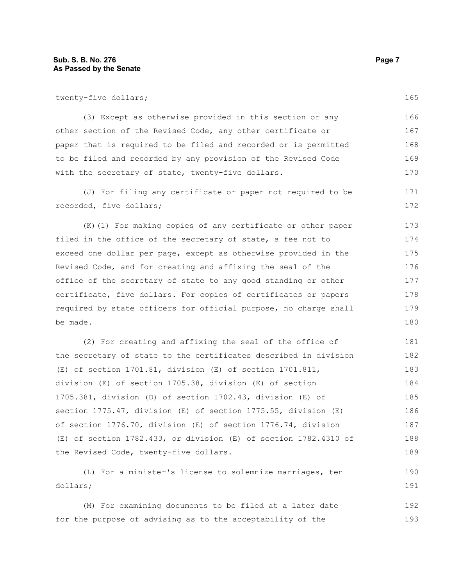twenty-five dollars;

(3) Except as otherwise provided in this section or any other section of the Revised Code, any other certificate or paper that is required to be filed and recorded or is permitted to be filed and recorded by any provision of the Revised Code with the secretary of state, twenty-five dollars. 166 167 168 169 170

(J) For filing any certificate or paper not required to be recorded, five dollars; 171 172

(K)(1) For making copies of any certificate or other paper filed in the office of the secretary of state, a fee not to exceed one dollar per page, except as otherwise provided in the Revised Code, and for creating and affixing the seal of the office of the secretary of state to any good standing or other certificate, five dollars. For copies of certificates or papers required by state officers for official purpose, no charge shall be made. 173 174 175 176 177 178 179 180

(2) For creating and affixing the seal of the office of the secretary of state to the certificates described in division (E) of section 1701.81, division (E) of section 1701.811, division (E) of section 1705.38, division (E) of section 1705.381, division (D) of section 1702.43, division (E) of section 1775.47, division (E) of section 1775.55, division (E) of section 1776.70, division (E) of section 1776.74, division (E) of section 1782.433, or division (E) of section 1782.4310 of the Revised Code, twenty-five dollars. 181 182 183 184 185 186 187 188 189

(L) For a minister's license to solemnize marriages, ten dollars; 190 191

(M) For examining documents to be filed at a later date for the purpose of advising as to the acceptability of the 192 193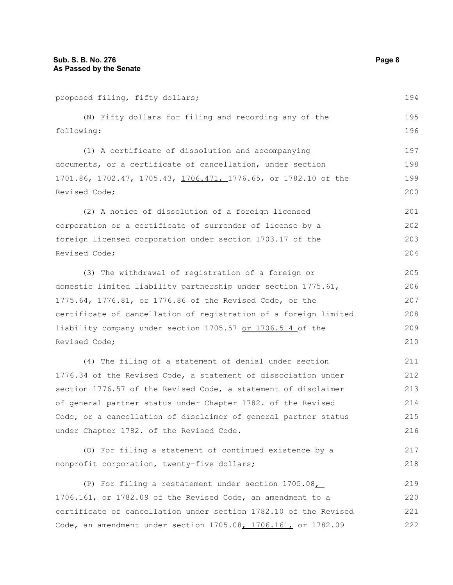proposed filing, fifty dollars; (N) Fifty dollars for filing and recording any of the following: (1) A certificate of dissolution and accompanying documents, or a certificate of cancellation, under section 1701.86, 1702.47, 1705.43, 1706.471, 1776.65, or 1782.10 of the Revised Code; (2) A notice of dissolution of a foreign licensed corporation or a certificate of surrender of license by a foreign licensed corporation under section 1703.17 of the Revised Code; (3) The withdrawal of registration of a foreign or domestic limited liability partnership under section 1775.61, 1775.64, 1776.81, or 1776.86 of the Revised Code, or the certificate of cancellation of registration of a foreign limited liability company under section 1705.57 or 1706.514 of the Revised Code; (4) The filing of a statement of denial under section 1776.34 of the Revised Code, a statement of dissociation under section 1776.57 of the Revised Code, a statement of disclaimer of general partner status under Chapter 1782. of the Revised Code, or a cancellation of disclaimer of general partner status under Chapter 1782. of the Revised Code. (O) For filing a statement of continued existence by a nonprofit corporation, twenty-five dollars; (P) For filing a restatement under section 1705.08, 194 195 196 197 198 199 200 201 202 203 204 205 206 207 208 209 210 211 212 213 214 215 216 217 218 219

1706.161, or 1782.09 of the Revised Code, an amendment to a certificate of cancellation under section 1782.10 of the Revised Code, an amendment under section 1705.08, 1706.161, or 1782.09 220 221 222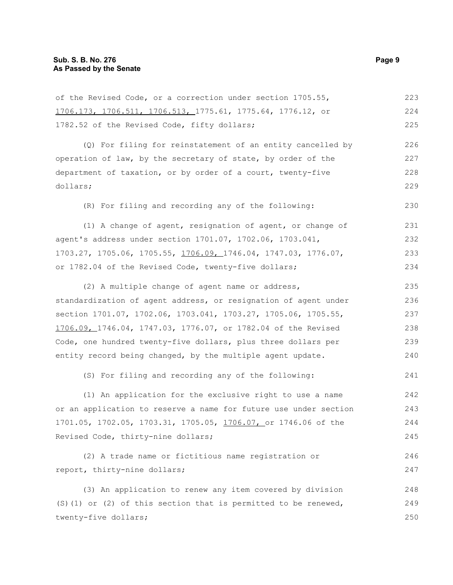| of the Revised Code, or a correction under section 1705.55,            | 223 |
|------------------------------------------------------------------------|-----|
| 1706.173, 1706.511, 1706.513, 1775.61, 1775.64, 1776.12, or            | 224 |
| 1782.52 of the Revised Code, fifty dollars;                            | 225 |
| (Q) For filing for reinstatement of an entity cancelled by             | 226 |
| operation of law, by the secretary of state, by order of the           | 227 |
| department of taxation, or by order of a court, twenty-five            | 228 |
| dollars;                                                               | 229 |
| (R) For filing and recording any of the following:                     | 230 |
| (1) A change of agent, resignation of agent, or change of              | 231 |
| agent's address under section 1701.07, 1702.06, 1703.041,              | 232 |
| 1703.27, 1705.06, 1705.55, <u>1706.09, 1</u> 746.04, 1747.03, 1776.07, | 233 |
| or 1782.04 of the Revised Code, twenty-five dollars;                   | 234 |
| (2) A multiple change of agent name or address,                        | 235 |
| standardization of agent address, or resignation of agent under        | 236 |
| section 1701.07, 1702.06, 1703.041, 1703.27, 1705.06, 1705.55,         | 237 |
| 1706.09, 1746.04, 1747.03, 1776.07, or 1782.04 of the Revised          | 238 |
| Code, one hundred twenty-five dollars, plus three dollars per          | 239 |
| entity record being changed, by the multiple agent update.             | 240 |
| (S) For filing and recording any of the following:                     | 241 |
| (1) An application for the exclusive right to use a name               | 242 |
| or an application to reserve a name for future use under section       | 243 |
| 1701.05, 1702.05, 1703.31, 1705.05, 1706.07, or 1746.06 of the         | 244 |
| Revised Code, thirty-nine dollars;                                     | 245 |
| (2) A trade name or fictitious name registration or                    | 246 |
| report, thirty-nine dollars;                                           | 247 |
| (3) An application to renew any item covered by division               | 248 |
| (S) (1) or (2) of this section that is permitted to be renewed,        | 249 |
| twenty-five dollars;                                                   | 250 |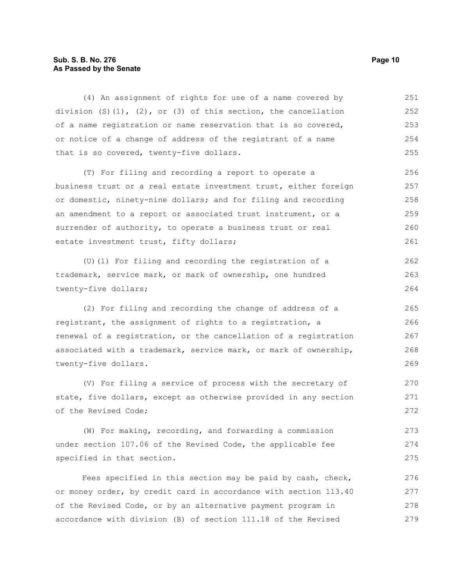#### **Sub. S. B. No. 276 Page 10 As Passed by the Senate**

(4) An assignment of rights for use of a name covered by division  $(S)(1)$ ,  $(2)$ , or  $(3)$  of this section, the cancellation of a name registration or name reservation that is so covered, or notice of a change of address of the registrant of a name that is so covered, twenty-five dollars. 251 252 253 254 255

(T) For filing and recording a report to operate a business trust or a real estate investment trust, either foreign or domestic, ninety-nine dollars; and for filing and recording an amendment to a report or associated trust instrument, or a surrender of authority, to operate a business trust or real estate investment trust, fifty dollars; 256 257 258 259 260 261

(U)(1) For filing and recording the registration of a trademark, service mark, or mark of ownership, one hundred twenty-five dollars;

(2) For filing and recording the change of address of a registrant, the assignment of rights to a registration, a renewal of a registration, or the cancellation of a registration associated with a trademark, service mark, or mark of ownership, twenty-five dollars.

(V) For filing a service of process with the secretary of state, five dollars, except as otherwise provided in any section of the Revised Code; 270 271 272

(W) For making, recording, and forwarding a commission under section 107.06 of the Revised Code, the applicable fee specified in that section. 273 274 275

Fees specified in this section may be paid by cash, check, or money order, by credit card in accordance with section 113.40 of the Revised Code, or by an alternative payment program in accordance with division (B) of section 111.18 of the Revised 276 277 278 279

262 263 264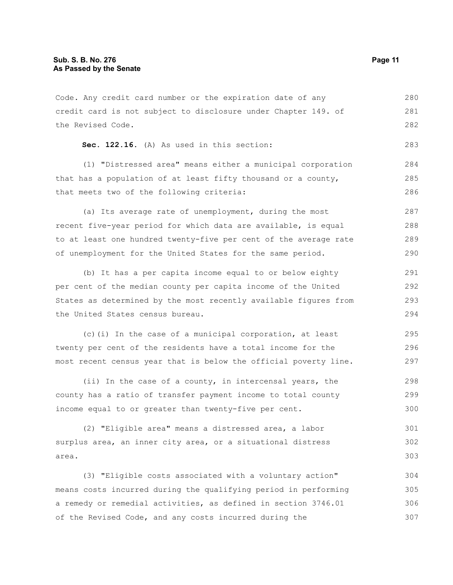Code. Any credit card number or the expiration date of any credit card is not subject to disclosure under Chapter 149. of the Revised Code. 280 281 282

```
Sec. 122.16. (A) As used in this section:
```
(1) "Distressed area" means either a municipal corporation that has a population of at least fifty thousand or a county, that meets two of the following criteria: 284 285 286

(a) Its average rate of unemployment, during the most recent five-year period for which data are available, is equal to at least one hundred twenty-five per cent of the average rate of unemployment for the United States for the same period. 287 288 289 290

(b) It has a per capita income equal to or below eighty per cent of the median county per capita income of the United States as determined by the most recently available figures from the United States census bureau. 291 292 293 294

(c)(i) In the case of a municipal corporation, at least twenty per cent of the residents have a total income for the most recent census year that is below the official poverty line. 295 296 297

(ii) In the case of a county, in intercensal years, the county has a ratio of transfer payment income to total county income equal to or greater than twenty-five per cent. 298 299 300

(2) "Eligible area" means a distressed area, a labor surplus area, an inner city area, or a situational distress area. 301 302 303

(3) "Eligible costs associated with a voluntary action" means costs incurred during the qualifying period in performing a remedy or remedial activities, as defined in section 3746.01 of the Revised Code, and any costs incurred during the 304 305 306 307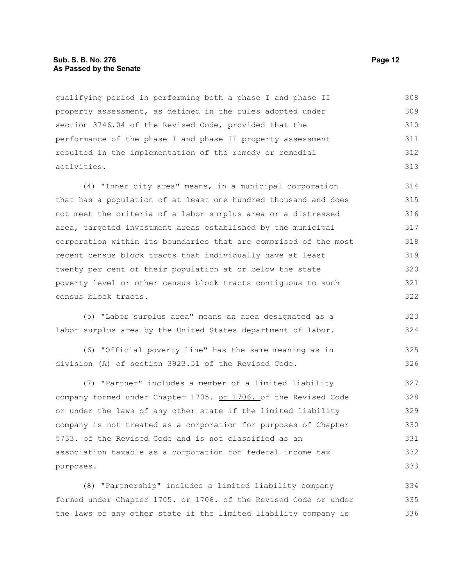#### **Sub. S. B. No. 276 Page 12 As Passed by the Senate**

qualifying period in performing both a phase I and phase II property assessment, as defined in the rules adopted under section 3746.04 of the Revised Code, provided that the performance of the phase I and phase II property assessment resulted in the implementation of the remedy or remedial activities. 308 309 310 311 312 313

(4) "Inner city area" means, in a municipal corporation that has a population of at least one hundred thousand and does not meet the criteria of a labor surplus area or a distressed area, targeted investment areas established by the municipal corporation within its boundaries that are comprised of the most recent census block tracts that individually have at least twenty per cent of their population at or below the state poverty level or other census block tracts contiguous to such census block tracts. 314 315 316 317 318 319 320 321 322

(5) "Labor surplus area" means an area designated as a labor surplus area by the United States department of labor. 323 324

(6) "Official poverty line" has the same meaning as in division (A) of section 3923.51 of the Revised Code. 325 326

(7) "Partner" includes a member of a limited liability company formed under Chapter 1705. or 1706. of the Revised Code or under the laws of any other state if the limited liability company is not treated as a corporation for purposes of Chapter 5733. of the Revised Code and is not classified as an association taxable as a corporation for federal income tax purposes. 327 328 329 330 331 332 333

(8) "Partnership" includes a limited liability company formed under Chapter 1705. or 1706. of the Revised Code or under the laws of any other state if the limited liability company is 334 335 336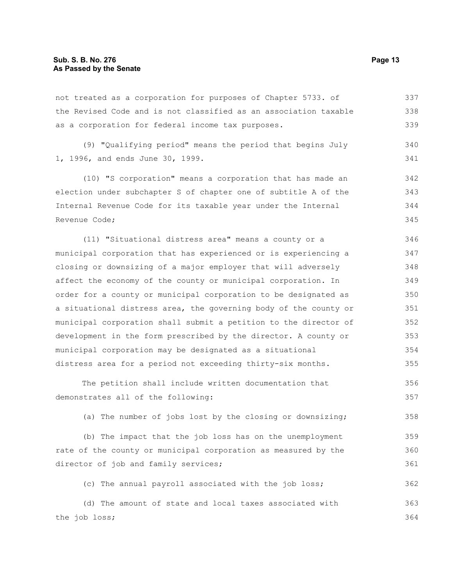not treated as a corporation for purposes of Chapter 5733. of the Revised Code and is not classified as an association taxable as a corporation for federal income tax purposes. 337 338 339

(9) "Qualifying period" means the period that begins July 1, 1996, and ends June 30, 1999. 340 341

(10) "S corporation" means a corporation that has made an election under subchapter S of chapter one of subtitle A of the Internal Revenue Code for its taxable year under the Internal Revenue Code; 342 343 344 345

(11) "Situational distress area" means a county or a municipal corporation that has experienced or is experiencing a closing or downsizing of a major employer that will adversely affect the economy of the county or municipal corporation. In order for a county or municipal corporation to be designated as a situational distress area, the governing body of the county or municipal corporation shall submit a petition to the director of development in the form prescribed by the director. A county or municipal corporation may be designated as a situational distress area for a period not exceeding thirty-six months. 346 347 348 349 350 351 352 353 354 355

The petition shall include written documentation that demonstrates all of the following: 356 357

(a) The number of jobs lost by the closing or downsizing; 358

(b) The impact that the job loss has on the unemployment rate of the county or municipal corporation as measured by the director of job and family services; 359 360 361

(c) The annual payroll associated with the job loss; 362

(d) The amount of state and local taxes associated with the job loss; 363 364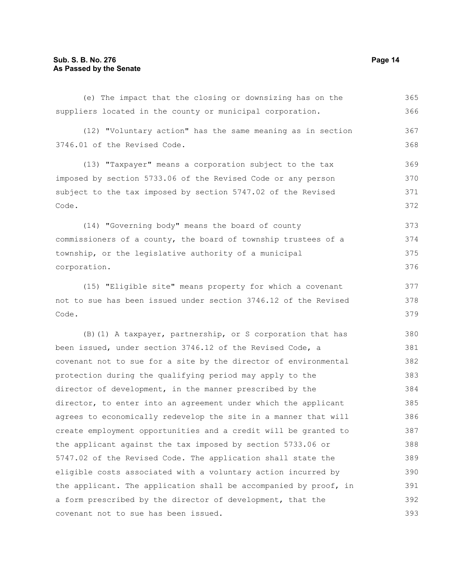(e) The impact that the closing or downsizing has on the suppliers located in the county or municipal corporation. (12) "Voluntary action" has the same meaning as in section 3746.01 of the Revised Code. (13) "Taxpayer" means a corporation subject to the tax imposed by section 5733.06 of the Revised Code or any person subject to the tax imposed by section 5747.02 of the Revised Code. (14) "Governing body" means the board of county commissioners of a county, the board of township trustees of a township, or the legislative authority of a municipal corporation. (15) "Eligible site" means property for which a covenant not to sue has been issued under section 3746.12 of the Revised Code. (B)(1) A taxpayer, partnership, or S corporation that has been issued, under section 3746.12 of the Revised Code, a covenant not to sue for a site by the director of environmental protection during the qualifying period may apply to the director of development, in the manner prescribed by the director, to enter into an agreement under which the applicant agrees to economically redevelop the site in a manner that will create employment opportunities and a credit will be granted to the applicant against the tax imposed by section 5733.06 or 5747.02 of the Revised Code. The application shall state the eligible costs associated with a voluntary action incurred by the applicant. The application shall be accompanied by proof, in a form prescribed by the director of development, that the covenant not to sue has been issued. 365 366 367 368 369 370 371 372 373 374 375 376 377 378 379 380 381 382 383 384 385 386 387 388 389 390 391 392 393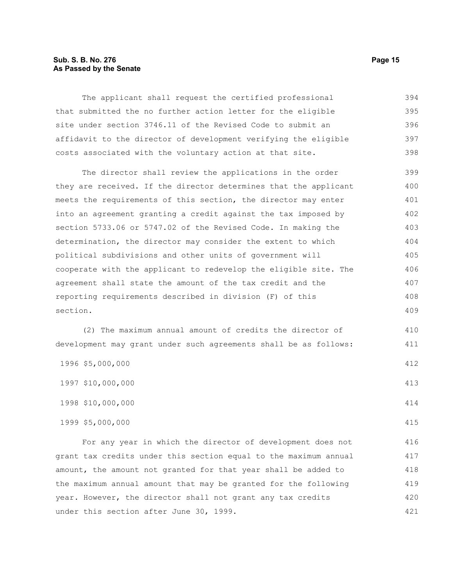#### **Sub. S. B. No. 276 Page 15 As Passed by the Senate**

The applicant shall request the certified professional that submitted the no further action letter for the eligible site under section 3746.11 of the Revised Code to submit an affidavit to the director of development verifying the eligible costs associated with the voluntary action at that site. 394 395 396 397 398

The director shall review the applications in the order they are received. If the director determines that the applicant meets the requirements of this section, the director may enter into an agreement granting a credit against the tax imposed by section 5733.06 or 5747.02 of the Revised Code. In making the determination, the director may consider the extent to which political subdivisions and other units of government will cooperate with the applicant to redevelop the eligible site. The agreement shall state the amount of the tax credit and the reporting requirements described in division (F) of this section. 399 400 401 402 403 404 405 406 407 408 409

(2) The maximum annual amount of credits the director of development may grant under such agreements shall be as follows:

| 1996 \$5,000,000  | 412 |
|-------------------|-----|
| 1997 \$10,000,000 | 413 |
| 1998 \$10,000,000 | 414 |
| 1999 \$5,000,000  | 415 |

For any year in which the director of development does not grant tax credits under this section equal to the maximum annual amount, the amount not granted for that year shall be added to the maximum annual amount that may be granted for the following year. However, the director shall not grant any tax credits under this section after June 30, 1999. 416 417 418 419 420 421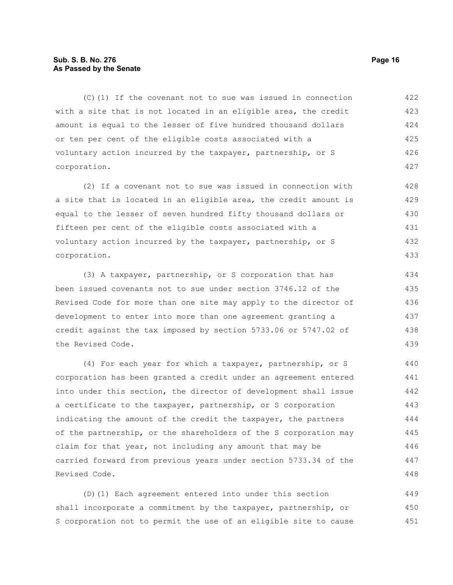#### **Sub. S. B. No. 276 Page 16 As Passed by the Senate**

(C)(1) If the covenant not to sue was issued in connection with a site that is not located in an eligible area, the credit amount is equal to the lesser of five hundred thousand dollars or ten per cent of the eligible costs associated with a voluntary action incurred by the taxpayer, partnership, or S corporation. 422 423 424 425 426 427

(2) If a covenant not to sue was issued in connection with a site that is located in an eligible area, the credit amount is equal to the lesser of seven hundred fifty thousand dollars or fifteen per cent of the eligible costs associated with a voluntary action incurred by the taxpayer, partnership, or S corporation.

(3) A taxpayer, partnership, or S corporation that has been issued covenants not to sue under section 3746.12 of the Revised Code for more than one site may apply to the director of development to enter into more than one agreement granting a credit against the tax imposed by section 5733.06 or 5747.02 of the Revised Code.

(4) For each year for which a taxpayer, partnership, or S corporation has been granted a credit under an agreement entered into under this section, the director of development shall issue a certificate to the taxpayer, partnership, or S corporation indicating the amount of the credit the taxpayer, the partners of the partnership, or the shareholders of the S corporation may claim for that year, not including any amount that may be carried forward from previous years under section 5733.34 of the Revised Code. 440 441 442 443 444 445 446 447 448

(D)(1) Each agreement entered into under this section shall incorporate a commitment by the taxpayer, partnership, or S corporation not to permit the use of an eligible site to cause 449 450 451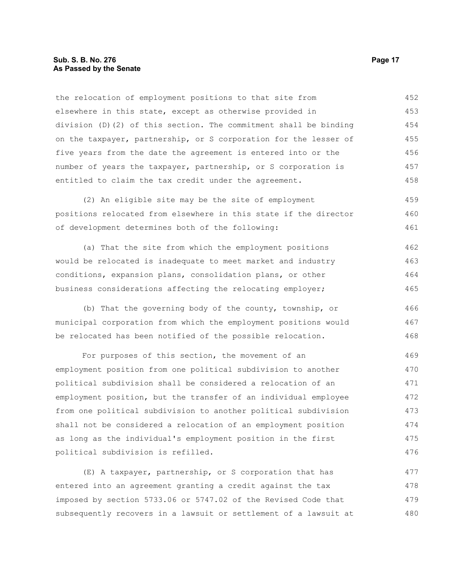#### **Sub. S. B. No. 276 Page 17 As Passed by the Senate**

the relocation of employment positions to that site from elsewhere in this state, except as otherwise provided in division (D)(2) of this section. The commitment shall be binding on the taxpayer, partnership, or S corporation for the lesser of five years from the date the agreement is entered into or the number of years the taxpayer, partnership, or S corporation is entitled to claim the tax credit under the agreement. 452 453 454 455 456 457 458

(2) An eligible site may be the site of employment positions relocated from elsewhere in this state if the director of development determines both of the following: 459 460 461

(a) That the site from which the employment positions would be relocated is inadequate to meet market and industry conditions, expansion plans, consolidation plans, or other business considerations affecting the relocating employer; 462 463 464 465

(b) That the governing body of the county, township, or municipal corporation from which the employment positions would be relocated has been notified of the possible relocation. 466 467 468

For purposes of this section, the movement of an employment position from one political subdivision to another political subdivision shall be considered a relocation of an employment position, but the transfer of an individual employee from one political subdivision to another political subdivision shall not be considered a relocation of an employment position as long as the individual's employment position in the first political subdivision is refilled. 469 470 471 472 473 474 475 476

(E) A taxpayer, partnership, or S corporation that has entered into an agreement granting a credit against the tax imposed by section 5733.06 or 5747.02 of the Revised Code that subsequently recovers in a lawsuit or settlement of a lawsuit at 477 478 479 480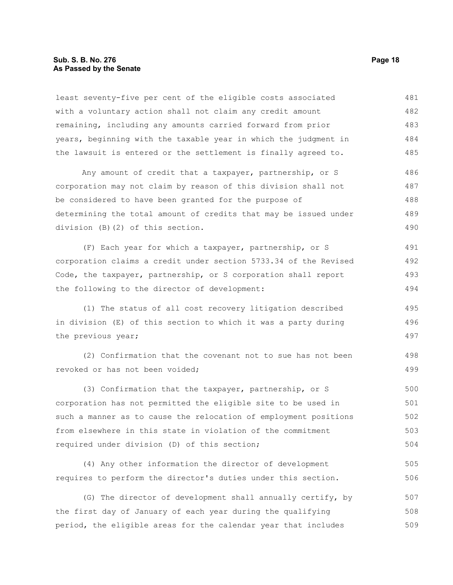#### **Sub. S. B. No. 276 Page 18 As Passed by the Senate**

least seventy-five per cent of the eligible costs associated with a voluntary action shall not claim any credit amount remaining, including any amounts carried forward from prior years, beginning with the taxable year in which the judgment in the lawsuit is entered or the settlement is finally agreed to. Any amount of credit that a taxpayer, partnership, or S corporation may not claim by reason of this division shall not be considered to have been granted for the purpose of determining the total amount of credits that may be issued under division (B)(2) of this section. (F) Each year for which a taxpayer, partnership, or S corporation claims a credit under section 5733.34 of the Revised Code, the taxpayer, partnership, or S corporation shall report the following to the director of development: (1) The status of all cost recovery litigation described in division (E) of this section to which it was a party during the previous year; (2) Confirmation that the covenant not to sue has not been revoked or has not been voided; (3) Confirmation that the taxpayer, partnership, or S corporation has not permitted the eligible site to be used in such a manner as to cause the relocation of employment positions from elsewhere in this state in violation of the commitment required under division (D) of this section; (4) Any other information the director of development requires to perform the director's duties under this section. 481 482 483 484 485 486 487 488 489 490 491 492 493 494 495 496 497 498 499 500 501 502 503 504 505 506

(G) The director of development shall annually certify, by the first day of January of each year during the qualifying period, the eligible areas for the calendar year that includes 507 508 509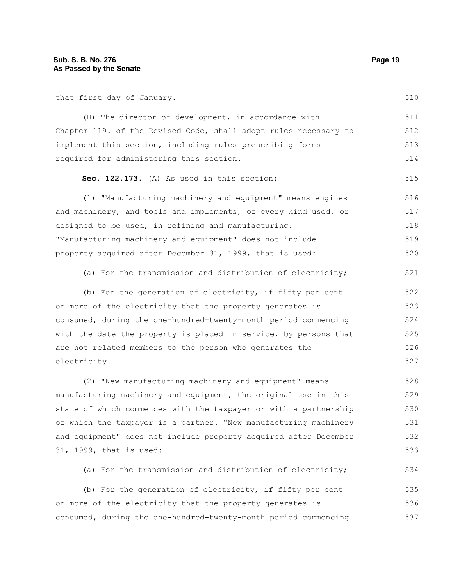that first day of January.

510

515

| (H) The director of development, in accordance with              | 511 |
|------------------------------------------------------------------|-----|
| Chapter 119. of the Revised Code, shall adopt rules necessary to | 512 |
| implement this section, including rules prescribing forms        | 513 |
| required for administering this section.                         | 514 |

#### **Sec. 122.173.** (A) As used in this section:

(1) "Manufacturing machinery and equipment" means engines and machinery, and tools and implements, of every kind used, or designed to be used, in refining and manufacturing. "Manufacturing machinery and equipment" does not include property acquired after December 31, 1999, that is used: 516 517 518 519 520

(a) For the transmission and distribution of electricity; 521

(b) For the generation of electricity, if fifty per cent or more of the electricity that the property generates is consumed, during the one-hundred-twenty-month period commencing with the date the property is placed in service, by persons that are not related members to the person who generates the electricity. 522 523 524 525 526 527

(2) "New manufacturing machinery and equipment" means manufacturing machinery and equipment, the original use in this state of which commences with the taxpayer or with a partnership of which the taxpayer is a partner. "New manufacturing machinery and equipment" does not include property acquired after December 31, 1999, that is used: 528 529 530 531 532 533

(a) For the transmission and distribution of electricity; 534

(b) For the generation of electricity, if fifty per cent or more of the electricity that the property generates is consumed, during the one-hundred-twenty-month period commencing 535 536 537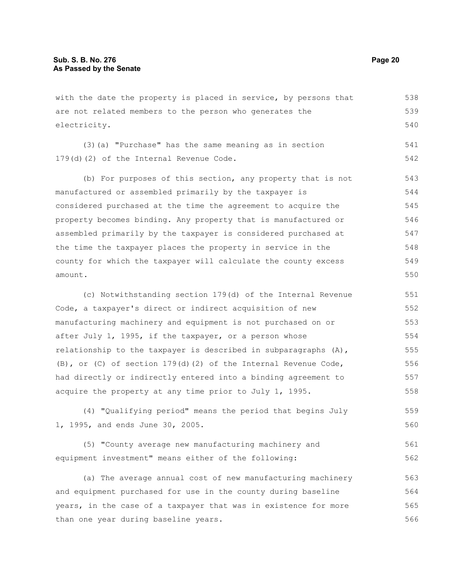with the date the property is placed in service, by persons that are not related members to the person who generates the electricity. (3)(a) "Purchase" has the same meaning as in section 179(d)(2) of the Internal Revenue Code. (b) For purposes of this section, any property that is not manufactured or assembled primarily by the taxpayer is considered purchased at the time the agreement to acquire the property becomes binding. Any property that is manufactured or assembled primarily by the taxpayer is considered purchased at the time the taxpayer places the property in service in the county for which the taxpayer will calculate the county excess amount. 538 539 540 541 542 543 544 545 546 547 548 549 550

(c) Notwithstanding section 179(d) of the Internal Revenue Code, a taxpayer's direct or indirect acquisition of new manufacturing machinery and equipment is not purchased on or after July 1, 1995, if the taxpayer, or a person whose relationship to the taxpayer is described in subparagraphs (A), (B), or (C) of section  $179(d)$  (2) of the Internal Revenue Code, had directly or indirectly entered into a binding agreement to acquire the property at any time prior to July 1, 1995. 551 552 553 554 555 556 557 558

(4) "Qualifying period" means the period that begins July 1, 1995, and ends June 30, 2005. 559 560

(5) "County average new manufacturing machinery and equipment investment" means either of the following: 561 562

(a) The average annual cost of new manufacturing machinery and equipment purchased for use in the county during baseline years, in the case of a taxpayer that was in existence for more than one year during baseline years. 563 564 565 566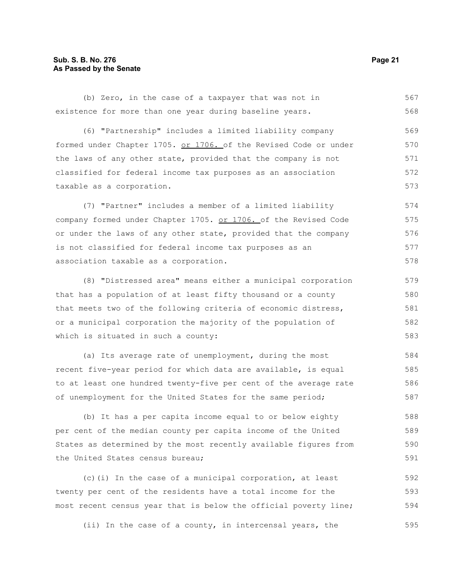(b) Zero, in the case of a taxpayer that was not in existence for more than one year during baseline years. 567 568

(6) "Partnership" includes a limited liability company formed under Chapter 1705. or 1706. of the Revised Code or under the laws of any other state, provided that the company is not classified for federal income tax purposes as an association taxable as a corporation. 569 570 571 572 573

(7) "Partner" includes a member of a limited liability company formed under Chapter 1705. or 1706. of the Revised Code or under the laws of any other state, provided that the company is not classified for federal income tax purposes as an association taxable as a corporation. 574 575 576 577 578

(8) "Distressed area" means either a municipal corporation that has a population of at least fifty thousand or a county that meets two of the following criteria of economic distress, or a municipal corporation the majority of the population of which is situated in such a county: 579 580 581 582 583

(a) Its average rate of unemployment, during the most recent five-year period for which data are available, is equal to at least one hundred twenty-five per cent of the average rate of unemployment for the United States for the same period; 584 585 586 587

(b) It has a per capita income equal to or below eighty per cent of the median county per capita income of the United States as determined by the most recently available figures from the United States census bureau; 588 589 590 591

(c)(i) In the case of a municipal corporation, at least twenty per cent of the residents have a total income for the most recent census year that is below the official poverty line; 592 593 594

(ii) In the case of a county, in intercensal years, the 595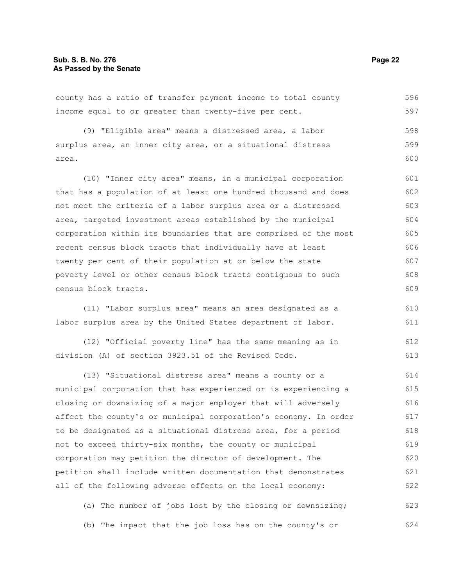county has a ratio of transfer payment income to total county income equal to or greater than twenty-five per cent. 596 597

(9) "Eligible area" means a distressed area, a labor surplus area, an inner city area, or a situational distress area. 598 599 600

(10) "Inner city area" means, in a municipal corporation that has a population of at least one hundred thousand and does not meet the criteria of a labor surplus area or a distressed area, targeted investment areas established by the municipal corporation within its boundaries that are comprised of the most recent census block tracts that individually have at least twenty per cent of their population at or below the state poverty level or other census block tracts contiguous to such census block tracts. 601 602 603 604 605 606 607 608 609

(11) "Labor surplus area" means an area designated as a labor surplus area by the United States department of labor. 610 611

(12) "Official poverty line" has the same meaning as in division (A) of section 3923.51 of the Revised Code. 612 613

(13) "Situational distress area" means a county or a municipal corporation that has experienced or is experiencing a closing or downsizing of a major employer that will adversely affect the county's or municipal corporation's economy. In order to be designated as a situational distress area, for a period not to exceed thirty-six months, the county or municipal corporation may petition the director of development. The petition shall include written documentation that demonstrates all of the following adverse effects on the local economy: 614 615 616 617 618 619 620 621 622

(a) The number of jobs lost by the closing or downsizing; (b) The impact that the job loss has on the county's or 623 624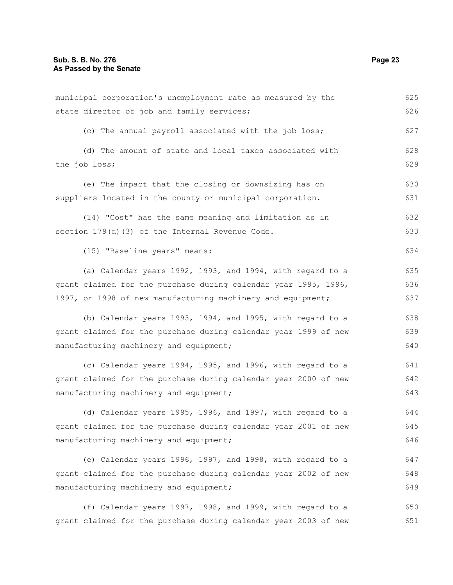| municipal corporation's unemployment rate as measured by the    | 625 |
|-----------------------------------------------------------------|-----|
| state director of job and family services;                      | 626 |
| (c) The annual payroll associated with the job loss;            | 627 |
| (d) The amount of state and local taxes associated with         | 628 |
| the job loss;                                                   | 629 |
| (e) The impact that the closing or downsizing has on            | 630 |
| suppliers located in the county or municipal corporation.       | 631 |
| (14) "Cost" has the same meaning and limitation as in           | 632 |
| section 179(d)(3) of the Internal Revenue Code.                 | 633 |
| (15) "Baseline years" means:                                    | 634 |
| (a) Calendar years 1992, 1993, and 1994, with regard to a       | 635 |
| grant claimed for the purchase during calendar year 1995, 1996, | 636 |
| 1997, or 1998 of new manufacturing machinery and equipment;     | 637 |
| (b) Calendar years 1993, 1994, and 1995, with regard to a       | 638 |
| grant claimed for the purchase during calendar year 1999 of new | 639 |
| manufacturing machinery and equipment;                          | 640 |
| (c) Calendar years 1994, 1995, and 1996, with regard to a       | 641 |
| grant claimed for the purchase during calendar year 2000 of new | 642 |
| manufacturing machinery and equipment;                          | 643 |
| (d) Calendar years 1995, 1996, and 1997, with regard to a       | 644 |
| grant claimed for the purchase during calendar year 2001 of new | 645 |
| manufacturing machinery and equipment;                          | 646 |
| (e) Calendar years 1996, 1997, and 1998, with regard to a       | 647 |
| grant claimed for the purchase during calendar year 2002 of new | 648 |
| manufacturing machinery and equipment;                          | 649 |
|                                                                 |     |
| grant claimed for the purchase during calendar year 2003 of new | 651 |
| (f) Calendar years 1997, 1998, and 1999, with regard to a       | 650 |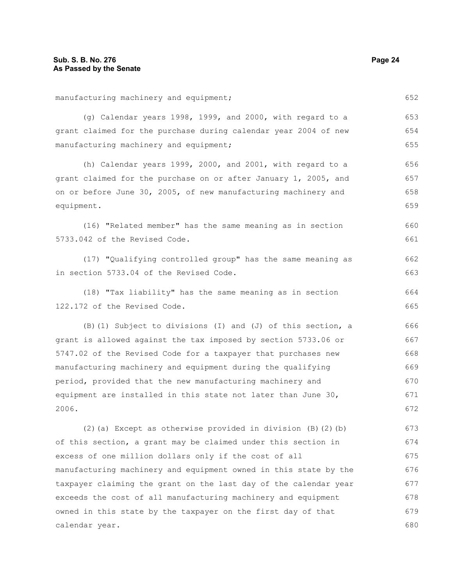| manufacturing machinery and equipment;                           | 652 |
|------------------------------------------------------------------|-----|
| (g) Calendar years 1998, 1999, and 2000, with regard to a        | 653 |
| grant claimed for the purchase during calendar year 2004 of new  | 654 |
| manufacturing machinery and equipment;                           | 655 |
| (h) Calendar years 1999, 2000, and 2001, with regard to a        | 656 |
| grant claimed for the purchase on or after January 1, 2005, and  | 657 |
| on or before June 30, 2005, of new manufacturing machinery and   | 658 |
| equipment.                                                       | 659 |
| (16) "Related member" has the same meaning as in section         | 660 |
| 5733.042 of the Revised Code.                                    | 661 |
| (17) "Qualifying controlled group" has the same meaning as       | 662 |
| in section 5733.04 of the Revised Code.                          | 663 |
| (18) "Tax liability" has the same meaning as in section          | 664 |
| 122.172 of the Revised Code.                                     | 665 |
| (B) (1) Subject to divisions (I) and (J) of this section, a      | 666 |
| grant is allowed against the tax imposed by section 5733.06 or   | 667 |
| 5747.02 of the Revised Code for a taxpayer that purchases new    | 668 |
| manufacturing machinery and equipment during the qualifying      | 669 |
| period, provided that the new manufacturing machinery and        | 670 |
| equipment are installed in this state not later than June 30,    | 671 |
| 2006.                                                            | 672 |
| (2) (a) Except as otherwise provided in division (B) (2) (b)     | 673 |
| of this section, a grant may be claimed under this section in    | 674 |
| excess of one million dollars only if the cost of all            | 675 |
| manufacturing machinery and equipment owned in this state by the | 676 |
| taxpayer claiming the grant on the last day of the calendar year | 677 |
| exceeds the cost of all manufacturing machinery and equipment    | 678 |
| owned in this state by the taxpayer on the first day of that     | 679 |
| calendar year.                                                   | 680 |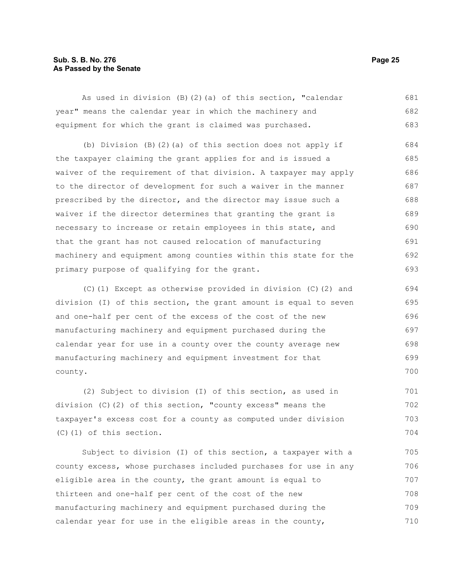#### **Sub. S. B. No. 276 Page 25 As Passed by the Senate**

As used in division (B)(2)(a) of this section, "calendar year" means the calendar year in which the machinery and equipment for which the grant is claimed was purchased. 681 682 683

(b) Division (B)(2)(a) of this section does not apply if the taxpayer claiming the grant applies for and is issued a waiver of the requirement of that division. A taxpayer may apply to the director of development for such a waiver in the manner prescribed by the director, and the director may issue such a waiver if the director determines that granting the grant is necessary to increase or retain employees in this state, and that the grant has not caused relocation of manufacturing machinery and equipment among counties within this state for the primary purpose of qualifying for the grant. 684 685 686 687 688 689 690 691 692 693

(C)(1) Except as otherwise provided in division (C)(2) and division (I) of this section, the grant amount is equal to seven and one-half per cent of the excess of the cost of the new manufacturing machinery and equipment purchased during the calendar year for use in a county over the county average new manufacturing machinery and equipment investment for that county.

(2) Subject to division (I) of this section, as used in division (C)(2) of this section, "county excess" means the taxpayer's excess cost for a county as computed under division (C)(1) of this section. 701 702 703 704

Subject to division (I) of this section, a taxpayer with a county excess, whose purchases included purchases for use in any eligible area in the county, the grant amount is equal to thirteen and one-half per cent of the cost of the new manufacturing machinery and equipment purchased during the calendar year for use in the eligible areas in the county, 705 706 707 708 709 710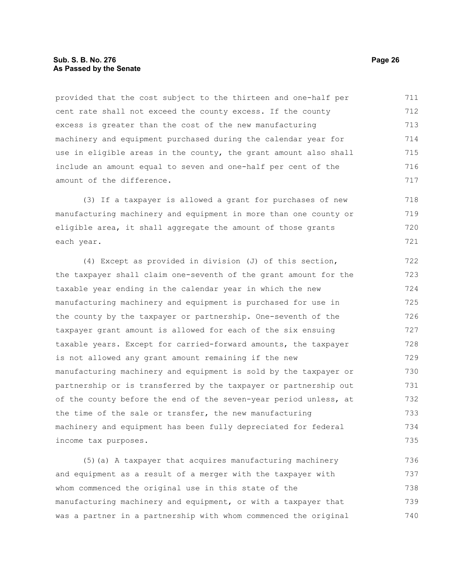#### **Sub. S. B. No. 276 Page 26 As Passed by the Senate**

provided that the cost subject to the thirteen and one-half per cent rate shall not exceed the county excess. If the county excess is greater than the cost of the new manufacturing machinery and equipment purchased during the calendar year for use in eligible areas in the county, the grant amount also shall include an amount equal to seven and one-half per cent of the amount of the difference. 711 712 713 714 715 716 717

(3) If a taxpayer is allowed a grant for purchases of new manufacturing machinery and equipment in more than one county or eligible area, it shall aggregate the amount of those grants each year. 718 719 720 721

(4) Except as provided in division (J) of this section, the taxpayer shall claim one-seventh of the grant amount for the taxable year ending in the calendar year in which the new manufacturing machinery and equipment is purchased for use in the county by the taxpayer or partnership. One-seventh of the taxpayer grant amount is allowed for each of the six ensuing taxable years. Except for carried-forward amounts, the taxpayer is not allowed any grant amount remaining if the new manufacturing machinery and equipment is sold by the taxpayer or partnership or is transferred by the taxpayer or partnership out of the county before the end of the seven-year period unless, at the time of the sale or transfer, the new manufacturing machinery and equipment has been fully depreciated for federal income tax purposes. 722 723 724 725 726 727 728 729 730 731 732 733 734 735

(5)(a) A taxpayer that acquires manufacturing machinery and equipment as a result of a merger with the taxpayer with whom commenced the original use in this state of the manufacturing machinery and equipment, or with a taxpayer that was a partner in a partnership with whom commenced the original 736 737 738 739 740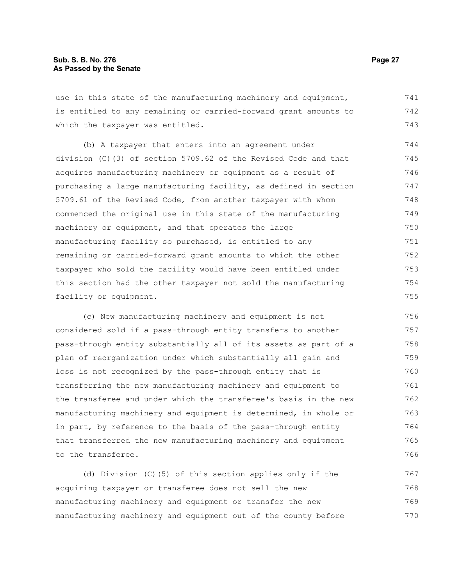use in this state of the manufacturing machinery and equipment, is entitled to any remaining or carried-forward grant amounts to which the taxpayer was entitled. 741 742 743

(b) A taxpayer that enters into an agreement under division (C)(3) of section 5709.62 of the Revised Code and that acquires manufacturing machinery or equipment as a result of purchasing a large manufacturing facility, as defined in section 5709.61 of the Revised Code, from another taxpayer with whom commenced the original use in this state of the manufacturing machinery or equipment, and that operates the large manufacturing facility so purchased, is entitled to any remaining or carried-forward grant amounts to which the other taxpayer who sold the facility would have been entitled under this section had the other taxpayer not sold the manufacturing facility or equipment. 744 745 746 747 748 749 750 751 752 753 754 755

(c) New manufacturing machinery and equipment is not considered sold if a pass-through entity transfers to another pass-through entity substantially all of its assets as part of a plan of reorganization under which substantially all gain and loss is not recognized by the pass-through entity that is transferring the new manufacturing machinery and equipment to the transferee and under which the transferee's basis in the new manufacturing machinery and equipment is determined, in whole or in part, by reference to the basis of the pass-through entity that transferred the new manufacturing machinery and equipment to the transferee. 756 757 758 759 760 761 762 763 764 765 766

(d) Division (C)(5) of this section applies only if the acquiring taxpayer or transferee does not sell the new manufacturing machinery and equipment or transfer the new manufacturing machinery and equipment out of the county before 767 768 769 770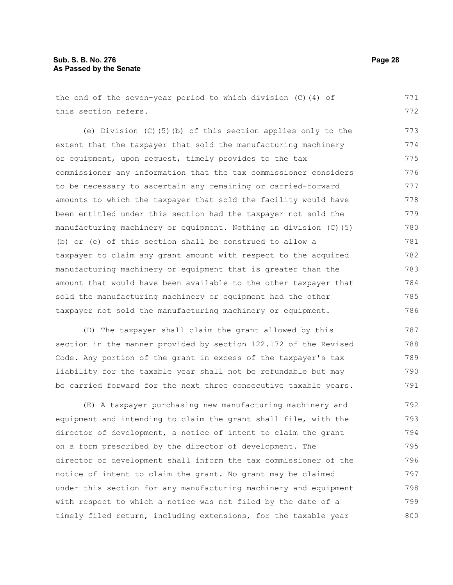(e) Division (C)(5)(b) of this section applies only to the extent that the taxpayer that sold the manufacturing machinery or equipment, upon request, timely provides to the tax commissioner any information that the tax commissioner considers to be necessary to ascertain any remaining or carried-forward amounts to which the taxpayer that sold the facility would have been entitled under this section had the taxpayer not sold the manufacturing machinery or equipment. Nothing in division (C)(5) (b) or (e) of this section shall be construed to allow a taxpayer to claim any grant amount with respect to the acquired manufacturing machinery or equipment that is greater than the amount that would have been available to the other taxpayer that sold the manufacturing machinery or equipment had the other taxpayer not sold the manufacturing machinery or equipment. 773 774 775 776 777 778 779 780 781 782 783 784 785 786

(D) The taxpayer shall claim the grant allowed by this section in the manner provided by section 122.172 of the Revised Code. Any portion of the grant in excess of the taxpayer's tax liability for the taxable year shall not be refundable but may be carried forward for the next three consecutive taxable years. 787 788 789 790 791

(E) A taxpayer purchasing new manufacturing machinery and equipment and intending to claim the grant shall file, with the director of development, a notice of intent to claim the grant on a form prescribed by the director of development. The director of development shall inform the tax commissioner of the notice of intent to claim the grant. No grant may be claimed under this section for any manufacturing machinery and equipment with respect to which a notice was not filed by the date of a timely filed return, including extensions, for the taxable year 792 793 794 795 796 797 798 799 800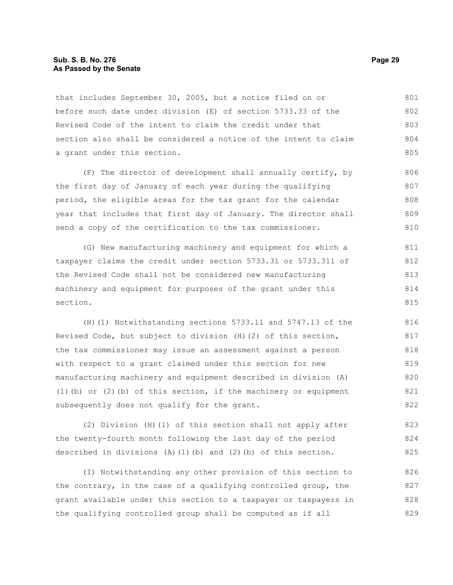#### **Sub. S. B. No. 276 Page 29 As Passed by the Senate**

that includes September 30, 2005, but a notice filed on or before such date under division (E) of section 5733.33 of the Revised Code of the intent to claim the credit under that section also shall be considered a notice of the intent to claim a grant under this section. 801 802 803 804 805

(F) The director of development shall annually certify, by the first day of January of each year during the qualifying period, the eligible areas for the tax grant for the calendar year that includes that first day of January. The director shall send a copy of the certification to the tax commissioner. 806 807 808 809 810

(G) New manufacturing machinery and equipment for which a taxpayer claims the credit under section 5733.31 or 5733.311 of the Revised Code shall not be considered new manufacturing machinery and equipment for purposes of the grant under this section. 811 812 813 814 815

(H)(1) Notwithstanding sections 5733.11 and 5747.13 of the Revised Code, but subject to division (H)(2) of this section, the tax commissioner may issue an assessment against a person with respect to a grant claimed under this section for new manufacturing machinery and equipment described in division (A) (1)(b) or (2)(b) of this section, if the machinery or equipment subsequently does not qualify for the grant. 816 817 818 819 820 821 822

(2) Division (H)(1) of this section shall not apply after the twenty-fourth month following the last day of the period described in divisions  $(A)(1)(b)$  and  $(2)(b)$  of this section. 823 824 825

(I) Notwithstanding any other provision of this section to the contrary, in the case of a qualifying controlled group, the grant available under this section to a taxpayer or taxpayers in the qualifying controlled group shall be computed as if all 826 827 828 829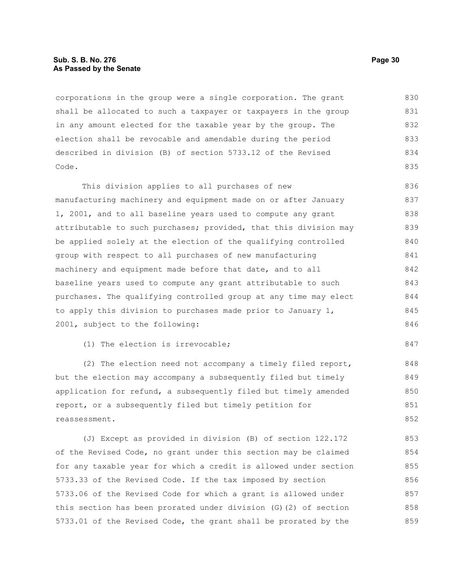#### **Sub. S. B. No. 276 Page 30 As Passed by the Senate**

corporations in the group were a single corporation. The grant shall be allocated to such a taxpayer or taxpayers in the group in any amount elected for the taxable year by the group. The election shall be revocable and amendable during the period described in division (B) of section 5733.12 of the Revised Code. 830 831 832 833 834 835

This division applies to all purchases of new manufacturing machinery and equipment made on or after January 1, 2001, and to all baseline years used to compute any grant attributable to such purchases; provided, that this division may be applied solely at the election of the qualifying controlled group with respect to all purchases of new manufacturing machinery and equipment made before that date, and to all baseline years used to compute any grant attributable to such purchases. The qualifying controlled group at any time may elect to apply this division to purchases made prior to January 1, 2001, subject to the following: 836 837 838 839 840 841 842 843 844 845 846

(1) The election is irrevocable;

(2) The election need not accompany a timely filed report, but the election may accompany a subsequently filed but timely application for refund, a subsequently filed but timely amended report, or a subsequently filed but timely petition for reassessment.

(J) Except as provided in division (B) of section 122.172 of the Revised Code, no grant under this section may be claimed for any taxable year for which a credit is allowed under section 5733.33 of the Revised Code. If the tax imposed by section 5733.06 of the Revised Code for which a grant is allowed under this section has been prorated under division (G)(2) of section 5733.01 of the Revised Code, the grant shall be prorated by the 853 854 855 856 857 858 859

847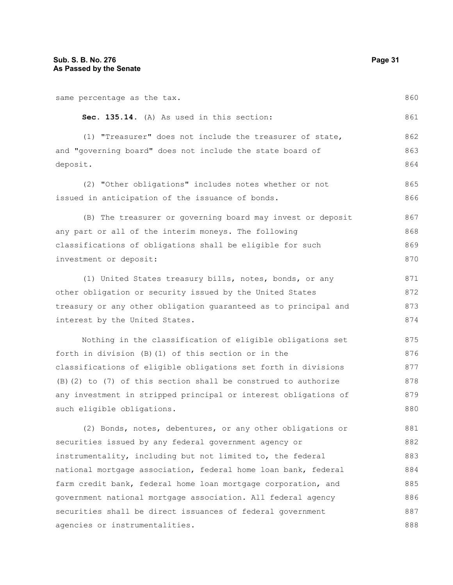| same percentage as the tax.                                     | 860 |
|-----------------------------------------------------------------|-----|
| Sec. 135.14. (A) As used in this section:                       | 861 |
| (1) "Treasurer" does not include the treasurer of state,        | 862 |
| and "governing board" does not include the state board of       | 863 |
| deposit.                                                        | 864 |
| (2) "Other obligations" includes notes whether or not           | 865 |
| issued in anticipation of the issuance of bonds.                | 866 |
| (B) The treasurer or governing board may invest or deposit      | 867 |
| any part or all of the interim moneys. The following            | 868 |
| classifications of obligations shall be eligible for such       | 869 |
| investment or deposit:                                          | 870 |
| (1) United States treasury bills, notes, bonds, or any          | 871 |
| other obligation or security issued by the United States        | 872 |
| treasury or any other obligation guaranteed as to principal and | 873 |
| interest by the United States.                                  | 874 |
| Nothing in the classification of eligible obligations set       | 875 |
| forth in division (B) (1) of this section or in the             | 876 |
| classifications of eligible obligations set forth in divisions  | 877 |
| (B) (2) to (7) of this section shall be construed to authorize  | 878 |
| any investment in stripped principal or interest obligations of | 879 |
| such eligible obligations.                                      | 880 |
| (2) Bonds, notes, debentures, or any other obligations or       | 881 |
| securities issued by any federal government agency or           | 882 |
| instrumentality, including but not limited to, the federal      | 883 |
| national mortgage association, federal home loan bank, federal  | 884 |

farm credit bank, federal home loan mortgage corporation, and government national mortgage association. All federal agency securities shall be direct issuances of federal government agencies or instrumentalities. 885 886 887 888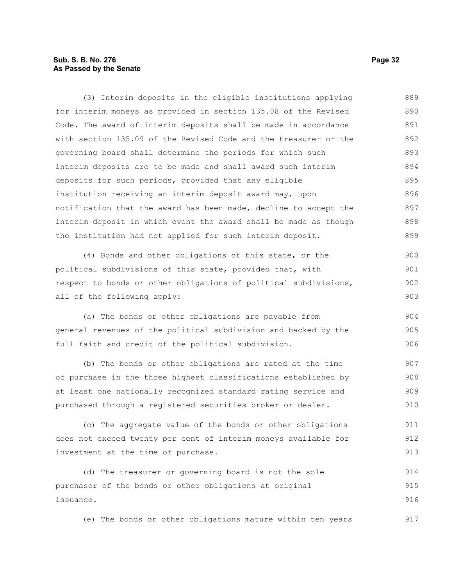#### **Sub. S. B. No. 276 Page 32 As Passed by the Senate**

(3) Interim deposits in the eligible institutions applying for interim moneys as provided in section 135.08 of the Revised Code. The award of interim deposits shall be made in accordance with section 135.09 of the Revised Code and the treasurer or the governing board shall determine the periods for which such interim deposits are to be made and shall award such interim deposits for such periods, provided that any eligible institution receiving an interim deposit award may, upon notification that the award has been made, decline to accept the interim deposit in which event the award shall be made as though the institution had not applied for such interim deposit. 889 890 891 892 893 894 895 896 897 898 899

(4) Bonds and other obligations of this state, or the political subdivisions of this state, provided that, with respect to bonds or other obligations of political subdivisions, all of the following apply:

(a) The bonds or other obligations are payable from general revenues of the political subdivision and backed by the full faith and credit of the political subdivision. 904 905 906

(b) The bonds or other obligations are rated at the time of purchase in the three highest classifications established by at least one nationally recognized standard rating service and purchased through a registered securities broker or dealer. 907 908 909 910

(c) The aggregate value of the bonds or other obligations does not exceed twenty per cent of interim moneys available for investment at the time of purchase. 911 912 913

(d) The treasurer or governing board is not the sole purchaser of the bonds or other obligations at original issuance. 914 915 916

(e) The bonds or other obligations mature within ten years 917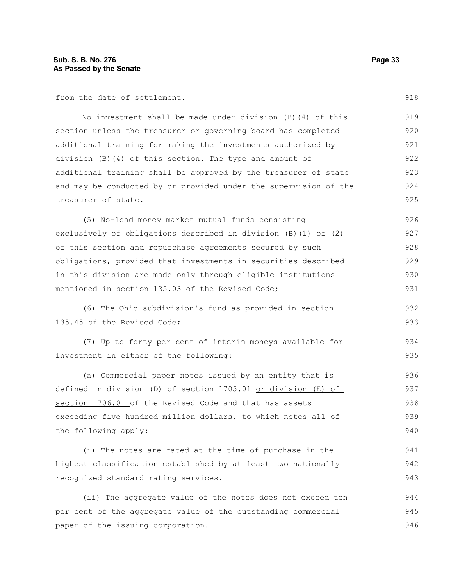from the date of settlement.

No investment shall be made under division (B)(4) of this section unless the treasurer or governing board has completed additional training for making the investments authorized by division (B)(4) of this section. The type and amount of additional training shall be approved by the treasurer of state and may be conducted by or provided under the supervision of the treasurer of state. 919 920 921 922 923 924 925

(5) No-load money market mutual funds consisting exclusively of obligations described in division (B)(1) or (2) of this section and repurchase agreements secured by such obligations, provided that investments in securities described in this division are made only through eligible institutions mentioned in section 135.03 of the Revised Code; 926 927 928 929 930 931

(6) The Ohio subdivision's fund as provided in section 135.45 of the Revised Code;

(7) Up to forty per cent of interim moneys available for investment in either of the following: 934 935

(a) Commercial paper notes issued by an entity that is defined in division (D) of section 1705.01 or division (E) of section 1706.01 of the Revised Code and that has assets exceeding five hundred million dollars, to which notes all of the following apply: 936 937 938 939 940

(i) The notes are rated at the time of purchase in the highest classification established by at least two nationally recognized standard rating services. 941 942 943

(ii) The aggregate value of the notes does not exceed ten per cent of the aggregate value of the outstanding commercial paper of the issuing corporation. 944 945 946

918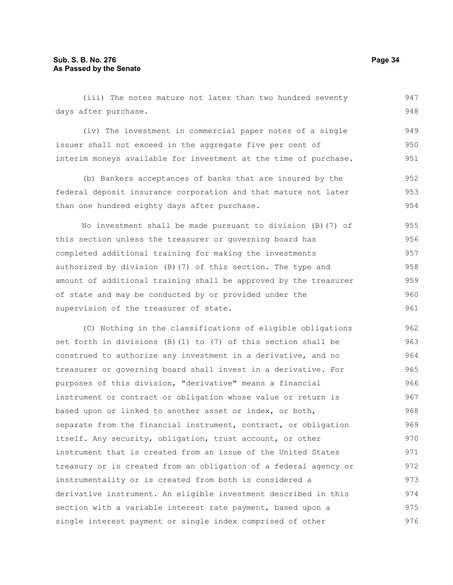(iii) The notes mature not later than two hundred seventy days after purchase. (iv) The investment in commercial paper notes of a single issuer shall not exceed in the aggregate five per cent of interim moneys available for investment at the time of purchase. (b) Bankers acceptances of banks that are insured by the federal deposit insurance corporation and that mature not later than one hundred eighty days after purchase. No investment shall be made pursuant to division (B)(7) of this section unless the treasurer or governing board has completed additional training for making the investments authorized by division (B)(7) of this section. The type and amount of additional training shall be approved by the treasurer of state and may be conducted by or provided under the supervision of the treasurer of state. (C) Nothing in the classifications of eligible obligations set forth in divisions (B)(1) to (7) of this section shall be construed to authorize any investment in a derivative, and no 947 948 949 950 951 952 953 954 955 956 957 958 959 960 961 962 963 964

treasurer or governing board shall invest in a derivative. For purposes of this division, "derivative" means a financial instrument or contract or obligation whose value or return is based upon or linked to another asset or index, or both, separate from the financial instrument, contract, or obligation itself. Any security, obligation, trust account, or other instrument that is created from an issue of the United States treasury or is created from an obligation of a federal agency or instrumentality or is created from both is considered a derivative instrument. An eligible investment described in this section with a variable interest rate payment, based upon a single interest payment or single index comprised of other 965 966 967 968 969 970 971 972 973 974 975 976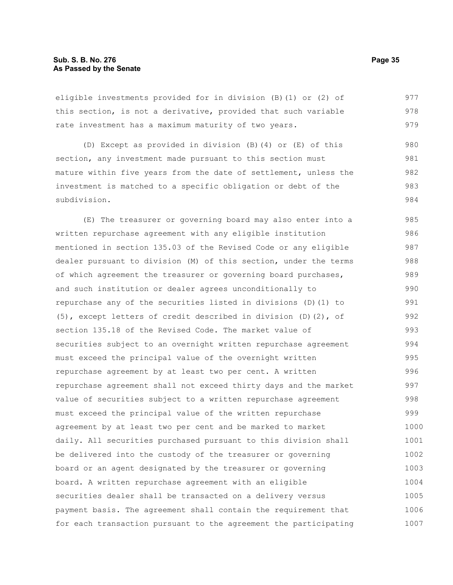#### **Sub. S. B. No. 276 Page 35 As Passed by the Senate**

eligible investments provided for in division (B)(1) or (2) of this section, is not a derivative, provided that such variable rate investment has a maximum maturity of two years. 977 978 979

(D) Except as provided in division (B)(4) or (E) of this section, any investment made pursuant to this section must mature within five years from the date of settlement, unless the investment is matched to a specific obligation or debt of the subdivision. 980 981 982 983 984

(E) The treasurer or governing board may also enter into a written repurchase agreement with any eligible institution mentioned in section 135.03 of the Revised Code or any eligible dealer pursuant to division (M) of this section, under the terms of which agreement the treasurer or governing board purchases, and such institution or dealer agrees unconditionally to repurchase any of the securities listed in divisions (D)(1) to (5), except letters of credit described in division (D)(2), of section 135.18 of the Revised Code. The market value of securities subject to an overnight written repurchase agreement must exceed the principal value of the overnight written repurchase agreement by at least two per cent. A written repurchase agreement shall not exceed thirty days and the market value of securities subject to a written repurchase agreement must exceed the principal value of the written repurchase agreement by at least two per cent and be marked to market daily. All securities purchased pursuant to this division shall be delivered into the custody of the treasurer or governing board or an agent designated by the treasurer or governing board. A written repurchase agreement with an eligible securities dealer shall be transacted on a delivery versus payment basis. The agreement shall contain the requirement that for each transaction pursuant to the agreement the participating 985 986 987 988 989 990 991 992 993 994 995 996 997 998 999 1000 1001 1002 1003 1004 1005 1006 1007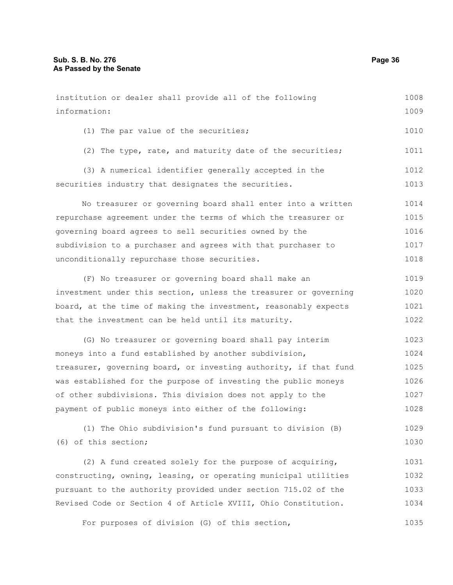(6) of this section;

| institution or dealer shall provide all of the following         | 1008 |
|------------------------------------------------------------------|------|
| information:                                                     | 1009 |
| (1) The par value of the securities;                             | 1010 |
| (2) The type, rate, and maturity date of the securities;         | 1011 |
| (3) A numerical identifier generally accepted in the             | 1012 |
| securities industry that designates the securities.              | 1013 |
| No treasurer or governing board shall enter into a written       | 1014 |
| repurchase agreement under the terms of which the treasurer or   | 1015 |
| governing board agrees to sell securities owned by the           | 1016 |
| subdivision to a purchaser and agrees with that purchaser to     | 1017 |
| unconditionally repurchase those securities.                     | 1018 |
| (F) No treasurer or governing board shall make an                | 1019 |
| investment under this section, unless the treasurer or governing | 1020 |
| board, at the time of making the investment, reasonably expects  | 1021 |
| that the investment can be held until its maturity.              | 1022 |
| (G) No treasurer or governing board shall pay interim            | 1023 |
| moneys into a fund established by another subdivision,           | 1024 |
| treasurer, governing board, or investing authority, if that fund | 1025 |
| was established for the purpose of investing the public moneys   | 1026 |
| of other subdivisions. This division does not apply to the       | 1027 |
| payment of public moneys into either of the following:           | 1028 |
| (1) The Ohio subdivision's fund pursuant to division (B)         | 1029 |

(2) A fund created solely for the purpose of acquiring, constructing, owning, leasing, or operating municipal utilities pursuant to the authority provided under section 715.02 of the Revised Code or Section 4 of Article XVIII, Ohio Constitution. 1031 1032 1033 1034

For purposes of division (G) of this section, 1035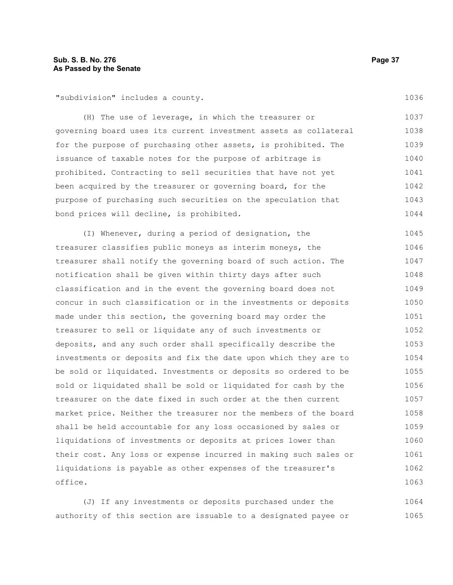"subdivision" includes a county.

(H) The use of leverage, in which the treasurer or governing board uses its current investment assets as collateral for the purpose of purchasing other assets, is prohibited. The issuance of taxable notes for the purpose of arbitrage is prohibited. Contracting to sell securities that have not yet been acquired by the treasurer or governing board, for the purpose of purchasing such securities on the speculation that bond prices will decline, is prohibited. 1037 1038 1039 1040 1041 1042 1043 1044

(I) Whenever, during a period of designation, the treasurer classifies public moneys as interim moneys, the treasurer shall notify the governing board of such action. The notification shall be given within thirty days after such classification and in the event the governing board does not concur in such classification or in the investments or deposits made under this section, the governing board may order the treasurer to sell or liquidate any of such investments or deposits, and any such order shall specifically describe the investments or deposits and fix the date upon which they are to be sold or liquidated. Investments or deposits so ordered to be sold or liquidated shall be sold or liquidated for cash by the treasurer on the date fixed in such order at the then current market price. Neither the treasurer nor the members of the board shall be held accountable for any loss occasioned by sales or liquidations of investments or deposits at prices lower than their cost. Any loss or expense incurred in making such sales or liquidations is payable as other expenses of the treasurer's office. 1045 1046 1047 1048 1049 1050 1051 1052 1053 1054 1055 1056 1057 1058 1059 1060 1061 1062 1063

(J) If any investments or deposits purchased under the authority of this section are issuable to a designated payee or 1064 1065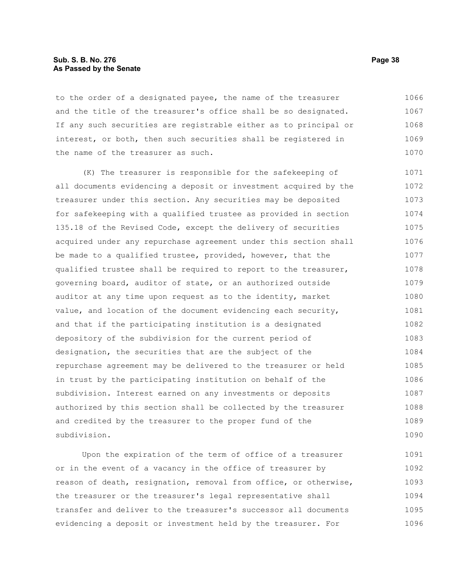## **Sub. S. B. No. 276 Page 38 As Passed by the Senate**

to the order of a designated payee, the name of the treasurer and the title of the treasurer's office shall be so designated. If any such securities are registrable either as to principal or interest, or both, then such securities shall be registered in the name of the treasurer as such. 1066 1067 1068 1069 1070

(K) The treasurer is responsible for the safekeeping of all documents evidencing a deposit or investment acquired by the treasurer under this section. Any securities may be deposited for safekeeping with a qualified trustee as provided in section 135.18 of the Revised Code, except the delivery of securities acquired under any repurchase agreement under this section shall be made to a qualified trustee, provided, however, that the qualified trustee shall be required to report to the treasurer, governing board, auditor of state, or an authorized outside auditor at any time upon request as to the identity, market value, and location of the document evidencing each security, and that if the participating institution is a designated depository of the subdivision for the current period of designation, the securities that are the subject of the repurchase agreement may be delivered to the treasurer or held in trust by the participating institution on behalf of the subdivision. Interest earned on any investments or deposits authorized by this section shall be collected by the treasurer and credited by the treasurer to the proper fund of the subdivision. 1071 1072 1073 1074 1075 1076 1077 1078 1079 1080 1081 1082 1083 1084 1085 1086 1087 1088 1089 1090

Upon the expiration of the term of office of a treasurer or in the event of a vacancy in the office of treasurer by reason of death, resignation, removal from office, or otherwise, the treasurer or the treasurer's legal representative shall transfer and deliver to the treasurer's successor all documents evidencing a deposit or investment held by the treasurer. For 1091 1092 1093 1094 1095 1096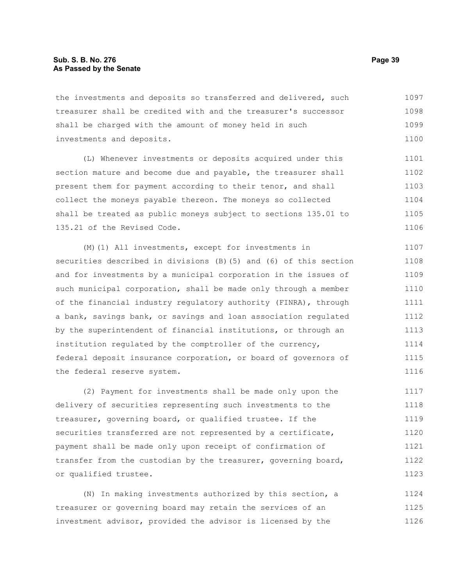the investments and deposits so transferred and delivered, such treasurer shall be credited with and the treasurer's successor shall be charged with the amount of money held in such investments and deposits. 1097 1098 1099 1100

(L) Whenever investments or deposits acquired under this section mature and become due and payable, the treasurer shall present them for payment according to their tenor, and shall collect the moneys payable thereon. The moneys so collected shall be treated as public moneys subject to sections 135.01 to 135.21 of the Revised Code. 1101 1102 1103 1104 1105 1106

(M)(1) All investments, except for investments in securities described in divisions (B)(5) and (6) of this section and for investments by a municipal corporation in the issues of such municipal corporation, shall be made only through a member of the financial industry regulatory authority (FINRA), through a bank, savings bank, or savings and loan association regulated by the superintendent of financial institutions, or through an institution regulated by the comptroller of the currency, federal deposit insurance corporation, or board of governors of the federal reserve system. 1107 1108 1109 1110 1111 1112 1113 1114 1115 1116

(2) Payment for investments shall be made only upon the delivery of securities representing such investments to the treasurer, governing board, or qualified trustee. If the securities transferred are not represented by a certificate, payment shall be made only upon receipt of confirmation of transfer from the custodian by the treasurer, governing board, or qualified trustee. 1117 1118 1119 1120 1121 1122 1123

(N) In making investments authorized by this section, a treasurer or governing board may retain the services of an investment advisor, provided the advisor is licensed by the 1124 1125 1126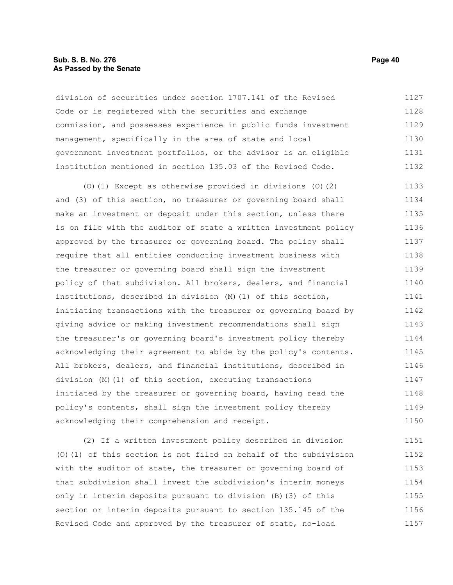### **Sub. S. B. No. 276 Page 40 As Passed by the Senate**

division of securities under section 1707.141 of the Revised Code or is registered with the securities and exchange commission, and possesses experience in public funds investment management, specifically in the area of state and local government investment portfolios, or the advisor is an eligible institution mentioned in section 135.03 of the Revised Code. 1127 1128 1129 1130 1131 1132

(O)(1) Except as otherwise provided in divisions (O)(2) and (3) of this section, no treasurer or governing board shall make an investment or deposit under this section, unless there is on file with the auditor of state a written investment policy approved by the treasurer or governing board. The policy shall require that all entities conducting investment business with the treasurer or governing board shall sign the investment policy of that subdivision. All brokers, dealers, and financial institutions, described in division (M)(1) of this section, initiating transactions with the treasurer or governing board by giving advice or making investment recommendations shall sign the treasurer's or governing board's investment policy thereby acknowledging their agreement to abide by the policy's contents. All brokers, dealers, and financial institutions, described in division (M)(1) of this section, executing transactions initiated by the treasurer or governing board, having read the policy's contents, shall sign the investment policy thereby acknowledging their comprehension and receipt. 1133 1134 1135 1136 1137 1138 1139 1140 1141 1142 1143 1144 1145 1146 1147 1148 1149 1150

(2) If a written investment policy described in division (O)(1) of this section is not filed on behalf of the subdivision with the auditor of state, the treasurer or governing board of that subdivision shall invest the subdivision's interim moneys only in interim deposits pursuant to division (B)(3) of this section or interim deposits pursuant to section 135.145 of the Revised Code and approved by the treasurer of state, no-load 1151 1152 1153 1154 1155 1156 1157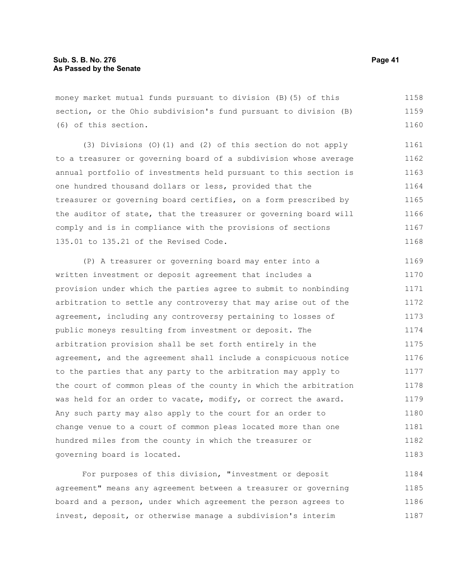money market mutual funds pursuant to division (B)(5) of this section, or the Ohio subdivision's fund pursuant to division (B) (6) of this section. 1158 1159 1160

(3) Divisions (O)(1) and (2) of this section do not apply to a treasurer or governing board of a subdivision whose average annual portfolio of investments held pursuant to this section is one hundred thousand dollars or less, provided that the treasurer or governing board certifies, on a form prescribed by the auditor of state, that the treasurer or governing board will comply and is in compliance with the provisions of sections 135.01 to 135.21 of the Revised Code. 1161 1162 1163 1164 1165 1166 1167 1168

(P) A treasurer or governing board may enter into a written investment or deposit agreement that includes a provision under which the parties agree to submit to nonbinding arbitration to settle any controversy that may arise out of the agreement, including any controversy pertaining to losses of public moneys resulting from investment or deposit. The arbitration provision shall be set forth entirely in the agreement, and the agreement shall include a conspicuous notice to the parties that any party to the arbitration may apply to the court of common pleas of the county in which the arbitration was held for an order to vacate, modify, or correct the award. Any such party may also apply to the court for an order to change venue to a court of common pleas located more than one hundred miles from the county in which the treasurer or governing board is located. 1169 1170 1171 1172 1173 1174 1175 1176 1177 1178 1179 1180 1181 1182 1183

For purposes of this division, "investment or deposit agreement" means any agreement between a treasurer or governing board and a person, under which agreement the person agrees to invest, deposit, or otherwise manage a subdivision's interim 1184 1185 1186 1187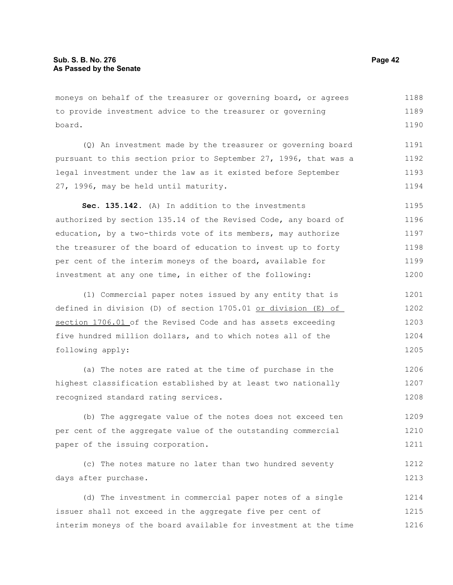moneys on behalf of the treasurer or governing board, or agrees to provide investment advice to the treasurer or governing board. 1188 1189 1190

(Q) An investment made by the treasurer or governing board pursuant to this section prior to September 27, 1996, that was a legal investment under the law as it existed before September 27, 1996, may be held until maturity. 1191 1192 1193 1194

**Sec. 135.142.** (A) In addition to the investments authorized by section 135.14 of the Revised Code, any board of education, by a two-thirds vote of its members, may authorize the treasurer of the board of education to invest up to forty per cent of the interim moneys of the board, available for investment at any one time, in either of the following: 1195 1196 1197 1198 1199 1200

(1) Commercial paper notes issued by any entity that is defined in division (D) of section 1705.01 or division (E) of section 1706.01 of the Revised Code and has assets exceeding five hundred million dollars, and to which notes all of the following apply: 1201 1202 1203 1204 1205

(a) The notes are rated at the time of purchase in the highest classification established by at least two nationally recognized standard rating services. 1206 1207 1208

(b) The aggregate value of the notes does not exceed ten per cent of the aggregate value of the outstanding commercial paper of the issuing corporation. 1209 1210 1211

(c) The notes mature no later than two hundred seventy days after purchase. 1212 1213

(d) The investment in commercial paper notes of a single issuer shall not exceed in the aggregate five per cent of interim moneys of the board available for investment at the time 1214 1215 1216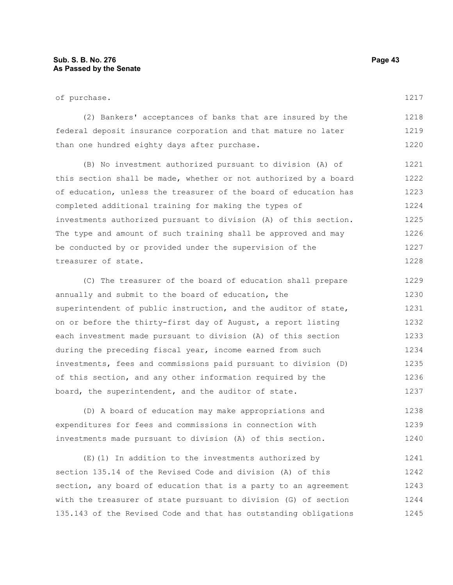| of purchase.                                                     | 1217 |  |  |  |  |  |  |  |  |
|------------------------------------------------------------------|------|--|--|--|--|--|--|--|--|
| (2) Bankers' acceptances of banks that are insured by the        | 1218 |  |  |  |  |  |  |  |  |
| federal deposit insurance corporation and that mature no later   |      |  |  |  |  |  |  |  |  |
| than one hundred eighty days after purchase.                     | 1220 |  |  |  |  |  |  |  |  |
| (B) No investment authorized pursuant to division (A) of         | 1221 |  |  |  |  |  |  |  |  |
| this section shall be made, whether or not authorized by a board | 1222 |  |  |  |  |  |  |  |  |
| of education, unless the treasurer of the board of education has | 1223 |  |  |  |  |  |  |  |  |
| completed additional training for making the types of            | 1224 |  |  |  |  |  |  |  |  |
| investments authorized pursuant to division (A) of this section. | 1225 |  |  |  |  |  |  |  |  |
| The type and amount of such training shall be approved and may   | 1226 |  |  |  |  |  |  |  |  |
| be conducted by or provided under the supervision of the         | 1227 |  |  |  |  |  |  |  |  |
| treasurer of state.                                              | 1228 |  |  |  |  |  |  |  |  |
| (C) The treasurer of the board of education shall prepare        | 1229 |  |  |  |  |  |  |  |  |

annually and submit to the board of education, the superintendent of public instruction, and the auditor of state, on or before the thirty-first day of August, a report listing each investment made pursuant to division (A) of this section during the preceding fiscal year, income earned from such investments, fees and commissions paid pursuant to division (D) of this section, and any other information required by the board, the superintendent, and the auditor of state. 1230 1231 1232 1233 1234 1235 1236 1237

(D) A board of education may make appropriations and expenditures for fees and commissions in connection with investments made pursuant to division (A) of this section. 1238 1239 1240

(E)(1) In addition to the investments authorized by section 135.14 of the Revised Code and division (A) of this section, any board of education that is a party to an agreement with the treasurer of state pursuant to division (G) of section 135.143 of the Revised Code and that has outstanding obligations 1241 1242 1243 1244 1245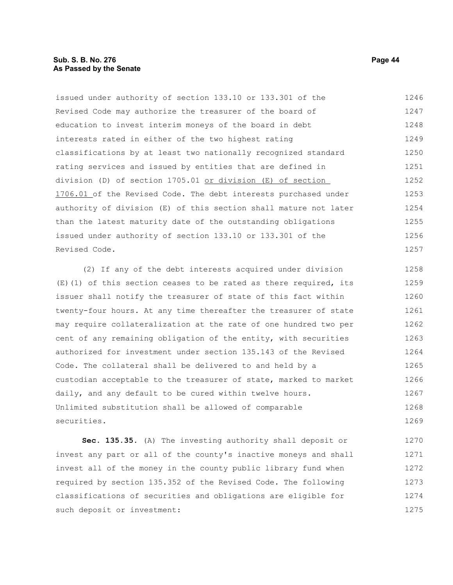# **Sub. S. B. No. 276 Page 44 As Passed by the Senate**

issued under authority of section 133.10 or 133.301 of the Revised Code may authorize the treasurer of the board of education to invest interim moneys of the board in debt interests rated in either of the two highest rating classifications by at least two nationally recognized standard rating services and issued by entities that are defined in division (D) of section 1705.01 or division (E) of section 1706.01 of the Revised Code. The debt interests purchased under authority of division (E) of this section shall mature not later than the latest maturity date of the outstanding obligations issued under authority of section 133.10 or 133.301 of the Revised Code. 1246 1247 1248 1249 1250 1251 1252 1253 1254 1255 1256 1257

(2) If any of the debt interests acquired under division  $(E)$  (1) of this section ceases to be rated as there required, its issuer shall notify the treasurer of state of this fact within twenty-four hours. At any time thereafter the treasurer of state may require collateralization at the rate of one hundred two per cent of any remaining obligation of the entity, with securities authorized for investment under section 135.143 of the Revised Code. The collateral shall be delivered to and held by a custodian acceptable to the treasurer of state, marked to market daily, and any default to be cured within twelve hours. Unlimited substitution shall be allowed of comparable securities. 1258 1259 1260 1261 1262 1263 1264 1265 1266 1267 1268 1269

**Sec. 135.35.** (A) The investing authority shall deposit or invest any part or all of the county's inactive moneys and shall invest all of the money in the county public library fund when required by section 135.352 of the Revised Code. The following classifications of securities and obligations are eligible for such deposit or investment: 1270 1271 1272 1273 1274 1275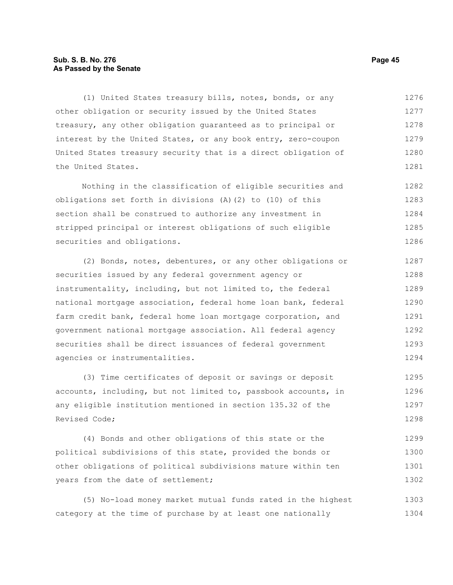# **Sub. S. B. No. 276 Page 45 As Passed by the Senate**

(1) United States treasury bills, notes, bonds, or any other obligation or security issued by the United States treasury, any other obligation guaranteed as to principal or interest by the United States, or any book entry, zero-coupon United States treasury security that is a direct obligation of the United States. 1276 1277 1278 1279 1280 1281

Nothing in the classification of eligible securities and obligations set forth in divisions (A)(2) to (10) of this section shall be construed to authorize any investment in stripped principal or interest obligations of such eligible securities and obligations. 1282 1283 1284 1285 1286

(2) Bonds, notes, debentures, or any other obligations or securities issued by any federal government agency or instrumentality, including, but not limited to, the federal national mortgage association, federal home loan bank, federal farm credit bank, federal home loan mortgage corporation, and government national mortgage association. All federal agency securities shall be direct issuances of federal government agencies or instrumentalities. 1287 1288 1289 1290 1291 1292 1293 1294

(3) Time certificates of deposit or savings or deposit accounts, including, but not limited to, passbook accounts, in any eligible institution mentioned in section 135.32 of the Revised Code; 1295 1296 1297 1298

(4) Bonds and other obligations of this state or the political subdivisions of this state, provided the bonds or other obligations of political subdivisions mature within ten years from the date of settlement; 1299 1300 1301 1302

(5) No-load money market mutual funds rated in the highest category at the time of purchase by at least one nationally 1303 1304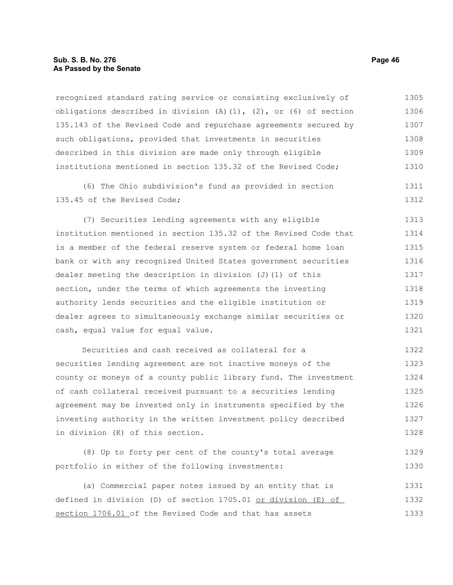## **Sub. S. B. No. 276 Page 46 As Passed by the Senate**

recognized standard rating service or consisting exclusively of obligations described in division  $(A)$   $(1)$ ,  $(2)$ , or  $(6)$  of section 135.143 of the Revised Code and repurchase agreements secured by such obligations, provided that investments in securities described in this division are made only through eligible institutions mentioned in section 135.32 of the Revised Code; 1305 1306 1307 1308 1309 1310

(6) The Ohio subdivision's fund as provided in section 135.45 of the Revised Code;

(7) Securities lending agreements with any eligible institution mentioned in section 135.32 of the Revised Code that is a member of the federal reserve system or federal home loan bank or with any recognized United States government securities dealer meeting the description in division  $(J)$  (1) of this section, under the terms of which agreements the investing authority lends securities and the eligible institution or dealer agrees to simultaneously exchange similar securities or cash, equal value for equal value. 1313 1314 1315 1316 1317 1318 1319 1320 1321

Securities and cash received as collateral for a securities lending agreement are not inactive moneys of the county or moneys of a county public library fund. The investment of cash collateral received pursuant to a securities lending agreement may be invested only in instruments specified by the investing authority in the written investment policy described in division (K) of this section. 1322 1323 1324 1325 1326 1327 1328

(8) Up to forty per cent of the county's total average portfolio in either of the following investments: 1329 1330

(a) Commercial paper notes issued by an entity that is defined in division (D) of section 1705.01 or division (E) of section 1706.01 of the Revised Code and that has assets 1331 1332 1333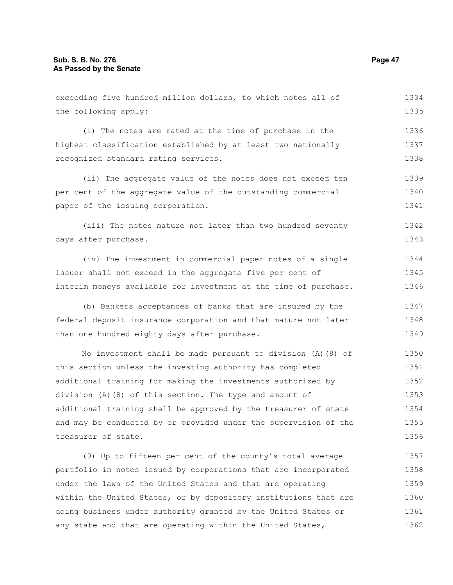| exceeding five hundred million dollars, to which notes all of |      |  |  |  |  |  |  |  |  |
|---------------------------------------------------------------|------|--|--|--|--|--|--|--|--|
| the following apply:                                          |      |  |  |  |  |  |  |  |  |
|                                                               |      |  |  |  |  |  |  |  |  |
| (i) The notes are rated at the time of purchase in the        | 1336 |  |  |  |  |  |  |  |  |
| highest classification established by at least two nationally |      |  |  |  |  |  |  |  |  |
| recognized standard rating services.                          |      |  |  |  |  |  |  |  |  |
|                                                               |      |  |  |  |  |  |  |  |  |
| (ii) The aggregate value of the notes does not exceed ten     | 1339 |  |  |  |  |  |  |  |  |
| per cent of the aggregate value of the outstanding commercial | 1340 |  |  |  |  |  |  |  |  |
| paper of the issuing corporation.                             |      |  |  |  |  |  |  |  |  |
|                                                               |      |  |  |  |  |  |  |  |  |
| (iii) The notes mature not later than two hundred seventy     | 1342 |  |  |  |  |  |  |  |  |
| days after purchase.                                          | 1343 |  |  |  |  |  |  |  |  |
| (iv) The investment in commercial paper notes of a single     | 1344 |  |  |  |  |  |  |  |  |

(iv) The investment in commercial paper notes of a single issuer shall not exceed in the aggregate five per cent of interim moneys available for investment at the time of purchase. 1345 1346

(b) Bankers acceptances of banks that are insured by the federal deposit insurance corporation and that mature not later than one hundred eighty days after purchase. 1347 1348 1349

No investment shall be made pursuant to division (A)(8) of this section unless the investing authority has completed additional training for making the investments authorized by division (A)(8) of this section. The type and amount of additional training shall be approved by the treasurer of state and may be conducted by or provided under the supervision of the treasurer of state. 1350 1351 1352 1353 1354 1355 1356

(9) Up to fifteen per cent of the county's total average portfolio in notes issued by corporations that are incorporated under the laws of the United States and that are operating within the United States, or by depository institutions that are doing business under authority granted by the United States or any state and that are operating within the United States, 1357 1358 1359 1360 1361 1362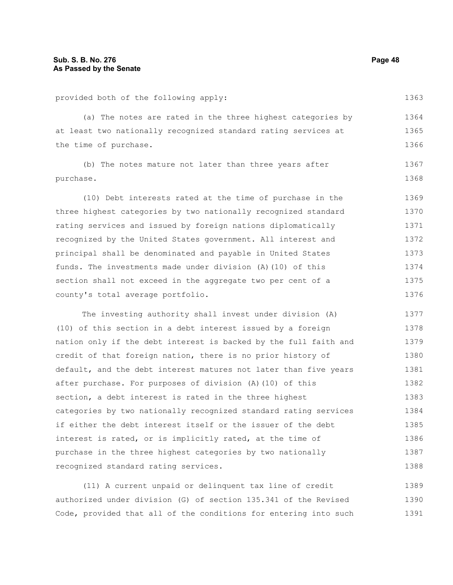provided both of the following apply:

(a) The notes are rated in the three highest categories by at least two nationally recognized standard rating services at the time of purchase. 1364 1365 1366

(b) The notes mature not later than three years after purchase. 1367 1368

(10) Debt interests rated at the time of purchase in the three highest categories by two nationally recognized standard rating services and issued by foreign nations diplomatically recognized by the United States government. All interest and principal shall be denominated and payable in United States funds. The investments made under division (A)(10) of this section shall not exceed in the aggregate two per cent of a county's total average portfolio. 1369 1370 1371 1372 1373 1374 1375 1376

The investing authority shall invest under division (A) (10) of this section in a debt interest issued by a foreign nation only if the debt interest is backed by the full faith and credit of that foreign nation, there is no prior history of default, and the debt interest matures not later than five years after purchase. For purposes of division (A)(10) of this section, a debt interest is rated in the three highest categories by two nationally recognized standard rating services if either the debt interest itself or the issuer of the debt interest is rated, or is implicitly rated, at the time of purchase in the three highest categories by two nationally recognized standard rating services. 1377 1378 1379 1380 1381 1382 1383 1384 1385 1386 1387 1388

(11) A current unpaid or delinquent tax line of credit authorized under division (G) of section 135.341 of the Revised Code, provided that all of the conditions for entering into such 1389 1390 1391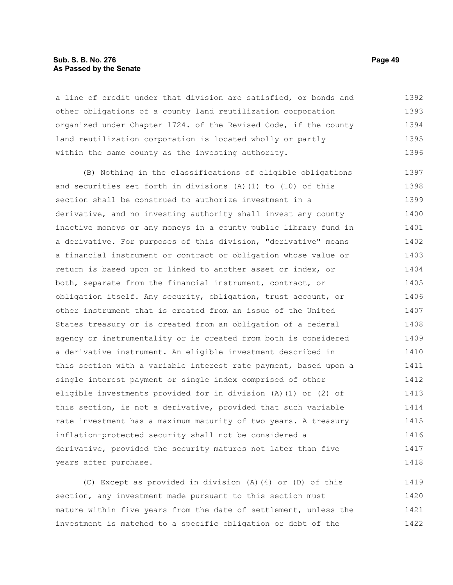## **Sub. S. B. No. 276 Page 49 As Passed by the Senate**

a line of credit under that division are satisfied, or bonds and other obligations of a county land reutilization corporation organized under Chapter 1724. of the Revised Code, if the county land reutilization corporation is located wholly or partly within the same county as the investing authority. 1392 1393 1394 1395 1396

(B) Nothing in the classifications of eligible obligations and securities set forth in divisions (A)(1) to (10) of this section shall be construed to authorize investment in a derivative, and no investing authority shall invest any county inactive moneys or any moneys in a county public library fund in a derivative. For purposes of this division, "derivative" means a financial instrument or contract or obligation whose value or return is based upon or linked to another asset or index, or both, separate from the financial instrument, contract, or obligation itself. Any security, obligation, trust account, or other instrument that is created from an issue of the United States treasury or is created from an obligation of a federal agency or instrumentality or is created from both is considered a derivative instrument. An eligible investment described in this section with a variable interest rate payment, based upon a single interest payment or single index comprised of other eligible investments provided for in division (A)(1) or (2) of this section, is not a derivative, provided that such variable rate investment has a maximum maturity of two years. A treasury inflation-protected security shall not be considered a derivative, provided the security matures not later than five years after purchase. 1397 1398 1399 1400 1401 1402 1403 1404 1405 1406 1407 1408 1409 1410 1411 1412 1413 1414 1415 1416 1417 1418

(C) Except as provided in division (A)(4) or (D) of this section, any investment made pursuant to this section must mature within five years from the date of settlement, unless the investment is matched to a specific obligation or debt of the 1419 1420 1421 1422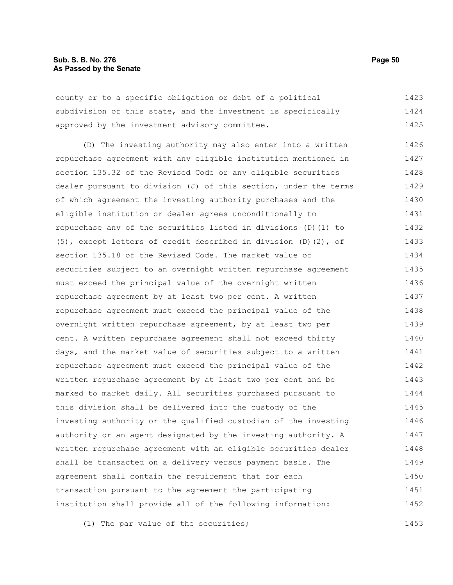county or to a specific obligation or debt of a political subdivision of this state, and the investment is specifically approved by the investment advisory committee. 1423 1424 1425

(D) The investing authority may also enter into a written repurchase agreement with any eligible institution mentioned in section 135.32 of the Revised Code or any eligible securities dealer pursuant to division (J) of this section, under the terms of which agreement the investing authority purchases and the eligible institution or dealer agrees unconditionally to repurchase any of the securities listed in divisions (D)(1) to (5), except letters of credit described in division (D)(2), of section 135.18 of the Revised Code. The market value of securities subject to an overnight written repurchase agreement must exceed the principal value of the overnight written repurchase agreement by at least two per cent. A written repurchase agreement must exceed the principal value of the overnight written repurchase agreement, by at least two per cent. A written repurchase agreement shall not exceed thirty days, and the market value of securities subject to a written repurchase agreement must exceed the principal value of the written repurchase agreement by at least two per cent and be marked to market daily. All securities purchased pursuant to this division shall be delivered into the custody of the investing authority or the qualified custodian of the investing authority or an agent designated by the investing authority. A written repurchase agreement with an eligible securities dealer shall be transacted on a delivery versus payment basis. The agreement shall contain the requirement that for each transaction pursuant to the agreement the participating institution shall provide all of the following information: 1426 1427 1428 1429 1430 1431 1432 1433 1434 1435 1436 1437 1438 1439 1440 1441 1442 1443 1444 1445 1446 1447 1448 1449 1450 1451 1452

(1) The par value of the securities; 1453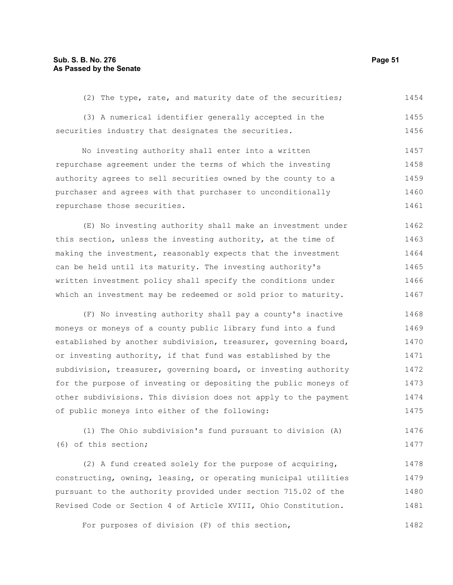(2) The type, rate, and maturity date of the securities; 1454

(3) A numerical identifier generally accepted in the securities industry that designates the securities. 1455 1456

No investing authority shall enter into a written repurchase agreement under the terms of which the investing authority agrees to sell securities owned by the county to a purchaser and agrees with that purchaser to unconditionally repurchase those securities. 1457 1458 1459 1460 1461

(E) No investing authority shall make an investment under this section, unless the investing authority, at the time of making the investment, reasonably expects that the investment can be held until its maturity. The investing authority's written investment policy shall specify the conditions under which an investment may be redeemed or sold prior to maturity. 1462 1463 1464 1465 1466 1467

(F) No investing authority shall pay a county's inactive moneys or moneys of a county public library fund into a fund established by another subdivision, treasurer, governing board, or investing authority, if that fund was established by the subdivision, treasurer, governing board, or investing authority for the purpose of investing or depositing the public moneys of other subdivisions. This division does not apply to the payment of public moneys into either of the following: 1468 1469 1470 1471 1472 1473 1474 1475

(1) The Ohio subdivision's fund pursuant to division (A) (6) of this section; 1476 1477

(2) A fund created solely for the purpose of acquiring, constructing, owning, leasing, or operating municipal utilities pursuant to the authority provided under section 715.02 of the Revised Code or Section 4 of Article XVIII, Ohio Constitution. 1478 1479 1480 1481

For purposes of division (F) of this section, 1482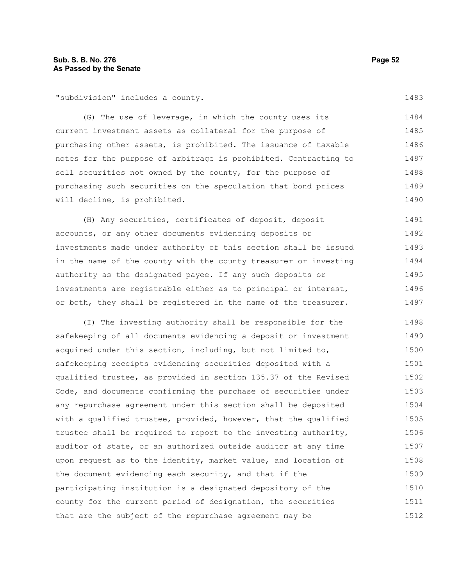"subdivision" includes a county.

(G) The use of leverage, in which the county uses its current investment assets as collateral for the purpose of purchasing other assets, is prohibited. The issuance of taxable notes for the purpose of arbitrage is prohibited. Contracting to sell securities not owned by the county, for the purpose of purchasing such securities on the speculation that bond prices will decline, is prohibited. 1484 1485 1486 1487 1488 1489 1490

(H) Any securities, certificates of deposit, deposit accounts, or any other documents evidencing deposits or investments made under authority of this section shall be issued in the name of the county with the county treasurer or investing authority as the designated payee. If any such deposits or investments are registrable either as to principal or interest, or both, they shall be registered in the name of the treasurer. 1491 1492 1493 1494 1495 1496 1497

(I) The investing authority shall be responsible for the safekeeping of all documents evidencing a deposit or investment acquired under this section, including, but not limited to, safekeeping receipts evidencing securities deposited with a qualified trustee, as provided in section 135.37 of the Revised Code, and documents confirming the purchase of securities under any repurchase agreement under this section shall be deposited with a qualified trustee, provided, however, that the qualified trustee shall be required to report to the investing authority, auditor of state, or an authorized outside auditor at any time upon request as to the identity, market value, and location of the document evidencing each security, and that if the participating institution is a designated depository of the county for the current period of designation, the securities that are the subject of the repurchase agreement may be 1498 1499 1500 1501 1502 1503 1504 1505 1506 1507 1508 1509 1510 1511 1512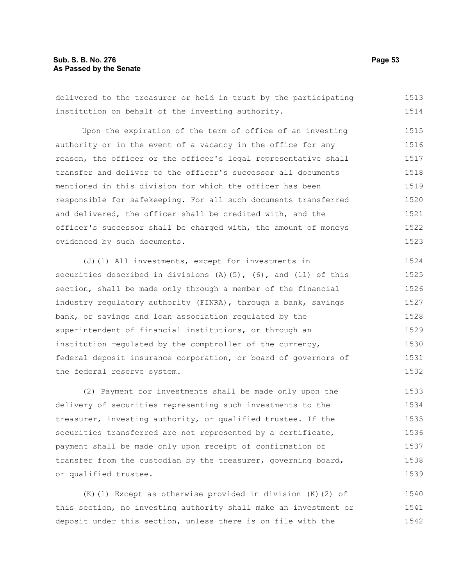# **Sub. S. B. No. 276 Page 53 As Passed by the Senate**

delivered to the treasurer or held in trust by the participating institution on behalf of the investing authority. 1513 1514

Upon the expiration of the term of office of an investing authority or in the event of a vacancy in the office for any reason, the officer or the officer's legal representative shall transfer and deliver to the officer's successor all documents mentioned in this division for which the officer has been responsible for safekeeping. For all such documents transferred and delivered, the officer shall be credited with, and the officer's successor shall be charged with, the amount of moneys evidenced by such documents. 1515 1516 1517 1518 1519 1520 1521 1522 1523

(J)(1) All investments, except for investments in securities described in divisions  $(A)$  (5), (6), and (11) of this section, shall be made only through a member of the financial industry regulatory authority (FINRA), through a bank, savings bank, or savings and loan association regulated by the superintendent of financial institutions, or through an institution regulated by the comptroller of the currency, federal deposit insurance corporation, or board of governors of the federal reserve system. 1524 1525 1526 1527 1528 1529 1530 1531 1532

(2) Payment for investments shall be made only upon the delivery of securities representing such investments to the treasurer, investing authority, or qualified trustee. If the securities transferred are not represented by a certificate, payment shall be made only upon receipt of confirmation of transfer from the custodian by the treasurer, governing board, or qualified trustee. 1533 1534 1535 1536 1537 1538 1539

(K)(1) Except as otherwise provided in division (K)(2) of this section, no investing authority shall make an investment or deposit under this section, unless there is on file with the 1540 1541 1542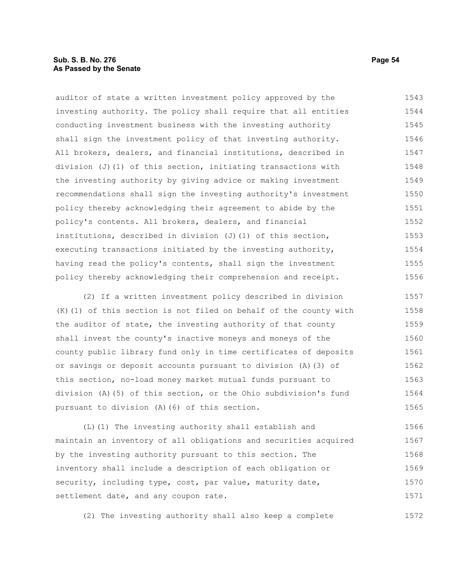## **Sub. S. B. No. 276 Page 54 As Passed by the Senate**

auditor of state a written investment policy approved by the investing authority. The policy shall require that all entities conducting investment business with the investing authority shall sign the investment policy of that investing authority. All brokers, dealers, and financial institutions, described in division (J)(1) of this section, initiating transactions with the investing authority by giving advice or making investment recommendations shall sign the investing authority's investment policy thereby acknowledging their agreement to abide by the policy's contents. All brokers, dealers, and financial institutions, described in division  $(J)$  (1) of this section, executing transactions initiated by the investing authority, having read the policy's contents, shall sign the investment policy thereby acknowledging their comprehension and receipt. 1543 1544 1545 1546 1547 1548 1549 1550 1551 1552 1553 1554 1555 1556

(2) If a written investment policy described in division (K)(1) of this section is not filed on behalf of the county with the auditor of state, the investing authority of that county shall invest the county's inactive moneys and moneys of the county public library fund only in time certificates of deposits or savings or deposit accounts pursuant to division (A)(3) of this section, no-load money market mutual funds pursuant to division (A)(5) of this section, or the Ohio subdivision's fund pursuant to division (A)(6) of this section. 1557 1558 1559 1560 1561 1562 1563 1564 1565

(L)(1) The investing authority shall establish and maintain an inventory of all obligations and securities acquired by the investing authority pursuant to this section. The inventory shall include a description of each obligation or security, including type, cost, par value, maturity date, settlement date, and any coupon rate. 1566 1567 1568 1569 1570 1571

(2) The investing authority shall also keep a complete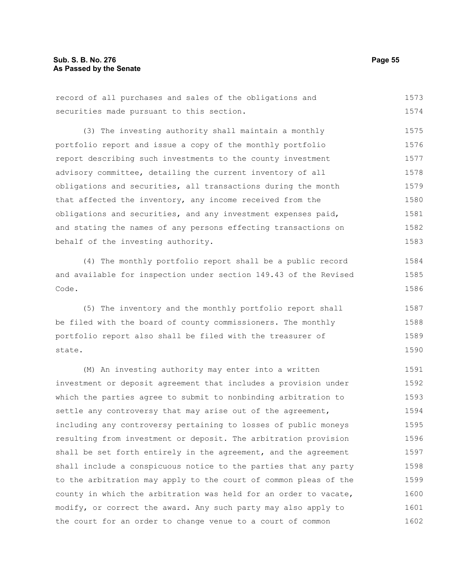# **Sub. S. B. No. 276 Page 55 As Passed by the Senate**

record of all purchases and sales of the obligations and securities made pursuant to this section. 1573 1574

(3) The investing authority shall maintain a monthly portfolio report and issue a copy of the monthly portfolio report describing such investments to the county investment advisory committee, detailing the current inventory of all obligations and securities, all transactions during the month that affected the inventory, any income received from the obligations and securities, and any investment expenses paid, and stating the names of any persons effecting transactions on behalf of the investing authority. 1575 1576 1577 1578 1579 1580 1581 1582 1583

(4) The monthly portfolio report shall be a public record and available for inspection under section 149.43 of the Revised Code.

(5) The inventory and the monthly portfolio report shall be filed with the board of county commissioners. The monthly portfolio report also shall be filed with the treasurer of state. 1587 1588 1589 1590

(M) An investing authority may enter into a written investment or deposit agreement that includes a provision under which the parties agree to submit to nonbinding arbitration to settle any controversy that may arise out of the agreement, including any controversy pertaining to losses of public moneys resulting from investment or deposit. The arbitration provision shall be set forth entirely in the agreement, and the agreement shall include a conspicuous notice to the parties that any party to the arbitration may apply to the court of common pleas of the county in which the arbitration was held for an order to vacate, modify, or correct the award. Any such party may also apply to the court for an order to change venue to a court of common 1591 1592 1593 1594 1595 1596 1597 1598 1599 1600 1601 1602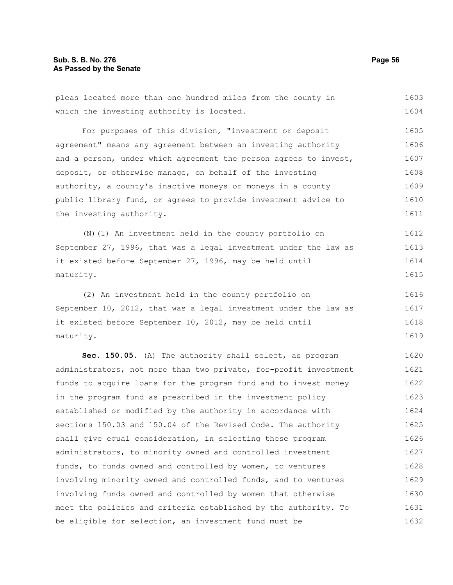the investing authority.

pleas located more than one hundred miles from the county in which the investing authority is located. For purposes of this division, "investment or deposit agreement" means any agreement between an investing authority and a person, under which agreement the person agrees to invest, deposit, or otherwise manage, on behalf of the investing authority, a county's inactive moneys or moneys in a county public library fund, or agrees to provide investment advice to 1603 1604 1605 1606 1607 1608 1609 1610

(N)(1) An investment held in the county portfolio on September 27, 1996, that was a legal investment under the law as it existed before September 27, 1996, may be held until maturity. 1612 1613 1614 1615

(2) An investment held in the county portfolio on September 10, 2012, that was a legal investment under the law as it existed before September 10, 2012, may be held until maturity. 1616 1617 1618 1619

**Sec. 150.05.** (A) The authority shall select, as program administrators, not more than two private, for-profit investment funds to acquire loans for the program fund and to invest money in the program fund as prescribed in the investment policy established or modified by the authority in accordance with sections 150.03 and 150.04 of the Revised Code. The authority shall give equal consideration, in selecting these program administrators, to minority owned and controlled investment funds, to funds owned and controlled by women, to ventures involving minority owned and controlled funds, and to ventures involving funds owned and controlled by women that otherwise meet the policies and criteria established by the authority. To be eligible for selection, an investment fund must be 1620 1621 1622 1623 1624 1625 1626 1627 1628 1629 1630 1631 1632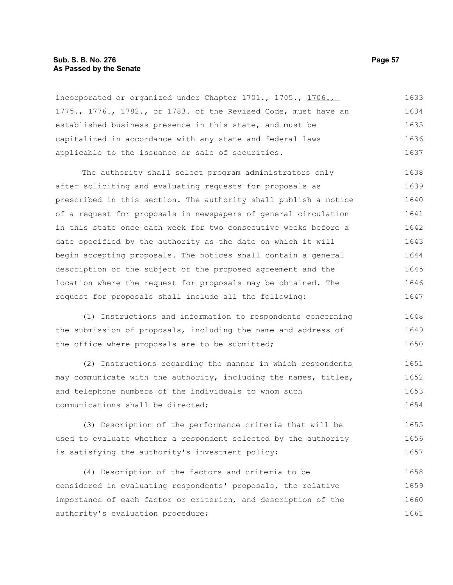## **Sub. S. B. No. 276 Page 57 As Passed by the Senate**

incorporated or organized under Chapter 1701., 1705., 1706., 1775., 1776., 1782., or 1783. of the Revised Code, must have an established business presence in this state, and must be capitalized in accordance with any state and federal laws applicable to the issuance or sale of securities. 1633 1634 1635 1636 1637

The authority shall select program administrators only after soliciting and evaluating requests for proposals as prescribed in this section. The authority shall publish a notice of a request for proposals in newspapers of general circulation in this state once each week for two consecutive weeks before a date specified by the authority as the date on which it will begin accepting proposals. The notices shall contain a general description of the subject of the proposed agreement and the location where the request for proposals may be obtained. The request for proposals shall include all the following: 1638 1639 1640 1641 1642 1643 1644 1645 1646 1647

(1) Instructions and information to respondents concerning the submission of proposals, including the name and address of the office where proposals are to be submitted; 1648 1649 1650

(2) Instructions regarding the manner in which respondents may communicate with the authority, including the names, titles, and telephone numbers of the individuals to whom such communications shall be directed; 1651 1652 1653 1654

(3) Description of the performance criteria that will be used to evaluate whether a respondent selected by the authority is satisfying the authority's investment policy; 1655 1656 1657

(4) Description of the factors and criteria to be considered in evaluating respondents' proposals, the relative importance of each factor or criterion, and description of the authority's evaluation procedure; 1658 1659 1660 1661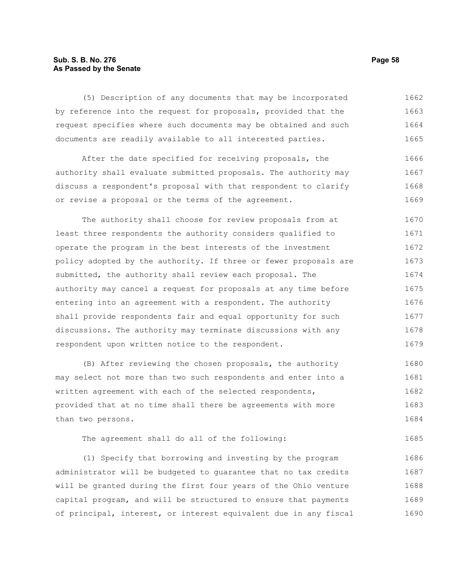# **Sub. S. B. No. 276 Page 58 As Passed by the Senate**

(5) Description of any documents that may be incorporated by reference into the request for proposals, provided that the request specifies where such documents may be obtained and such documents are readily available to all interested parties. 1662 1663 1664 1665

After the date specified for receiving proposals, the authority shall evaluate submitted proposals. The authority may discuss a respondent's proposal with that respondent to clarify or revise a proposal or the terms of the agreement. 1666 1667 1668 1669

The authority shall choose for review proposals from at least three respondents the authority considers qualified to operate the program in the best interests of the investment policy adopted by the authority. If three or fewer proposals are submitted, the authority shall review each proposal. The authority may cancel a request for proposals at any time before entering into an agreement with a respondent. The authority shall provide respondents fair and equal opportunity for such discussions. The authority may terminate discussions with any respondent upon written notice to the respondent. 1670 1671 1672 1673 1674 1675 1676 1677 1678 1679

(B) After reviewing the chosen proposals, the authority may select not more than two such respondents and enter into a written agreement with each of the selected respondents, provided that at no time shall there be agreements with more than two persons. 1680 1681 1682 1683 1684

The agreement shall do all of the following:

(1) Specify that borrowing and investing by the program administrator will be budgeted to guarantee that no tax credits will be granted during the first four years of the Ohio venture capital program, and will be structured to ensure that payments of principal, interest, or interest equivalent due in any fiscal 1686 1687 1688 1689 1690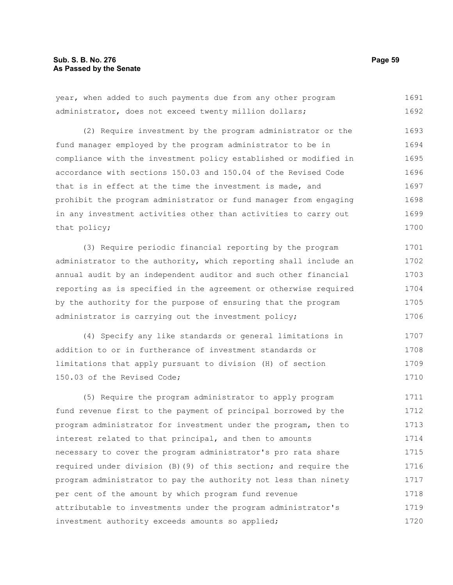# **Sub. S. B. No. 276 Page 59 As Passed by the Senate**

administrator, does not exceed twenty million dollars; (2) Require investment by the program administrator or the fund manager employed by the program administrator to be in compliance with the investment policy established or modified in accordance with sections 150.03 and 150.04 of the Revised Code that is in effect at the time the investment is made, and prohibit the program administrator or fund manager from engaging in any investment activities other than activities to carry out that policy; (3) Require periodic financial reporting by the program administrator to the authority, which reporting shall include an annual audit by an independent auditor and such other financial reporting as is specified in the agreement or otherwise required by the authority for the purpose of ensuring that the program administrator is carrying out the investment policy; (4) Specify any like standards or general limitations in addition to or in furtherance of investment standards or limitations that apply pursuant to division (H) of section 150.03 of the Revised Code; (5) Require the program administrator to apply program fund revenue first to the payment of principal borrowed by the program administrator for investment under the program, then to interest related to that principal, and then to amounts necessary to cover the program administrator's pro rata share required under division (B)(9) of this section; and require the 1692 1693 1694 1695 1696 1697 1698 1699 1700 1701 1702 1703 1704 1705 1706 1707 1708 1709 1710 1711 1712 1713 1714 1715 1716

program administrator to pay the authority not less than ninety

attributable to investments under the program administrator's

per cent of the amount by which program fund revenue

investment authority exceeds amounts so applied;

year, when added to such payments due from any other program 1691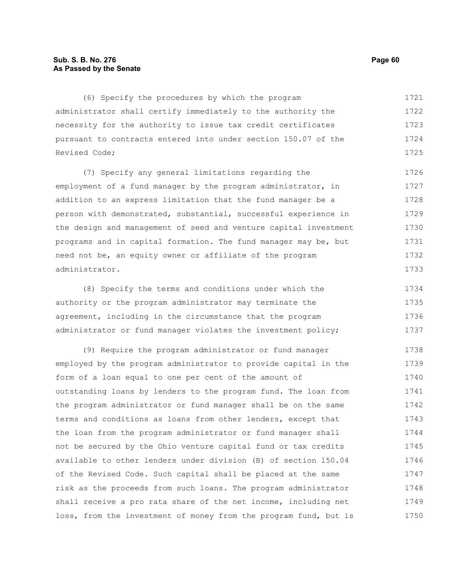# **Sub. S. B. No. 276 Page 60 As Passed by the Senate**

(6) Specify the procedures by which the program administrator shall certify immediately to the authority the necessity for the authority to issue tax credit certificates pursuant to contracts entered into under section 150.07 of the Revised Code; 1721 1722 1723 1724 1725

(7) Specify any general limitations regarding the employment of a fund manager by the program administrator, in addition to an express limitation that the fund manager be a person with demonstrated, substantial, successful experience in the design and management of seed and venture capital investment programs and in capital formation. The fund manager may be, but need not be, an equity owner or affiliate of the program administrator. 1726 1727 1728 1729 1730 1731 1732 1733

(8) Specify the terms and conditions under which the authority or the program administrator may terminate the agreement, including in the circumstance that the program administrator or fund manager violates the investment policy; 1734 1735 1736 1737

(9) Require the program administrator or fund manager employed by the program administrator to provide capital in the form of a loan equal to one per cent of the amount of outstanding loans by lenders to the program fund. The loan from the program administrator or fund manager shall be on the same terms and conditions as loans from other lenders, except that the loan from the program administrator or fund manager shall not be secured by the Ohio venture capital fund or tax credits available to other lenders under division (B) of section 150.04 of the Revised Code. Such capital shall be placed at the same risk as the proceeds from such loans. The program administrator shall receive a pro rata share of the net income, including net loss, from the investment of money from the program fund, but is 1738 1739 1740 1741 1742 1743 1744 1745 1746 1747 1748 1749 1750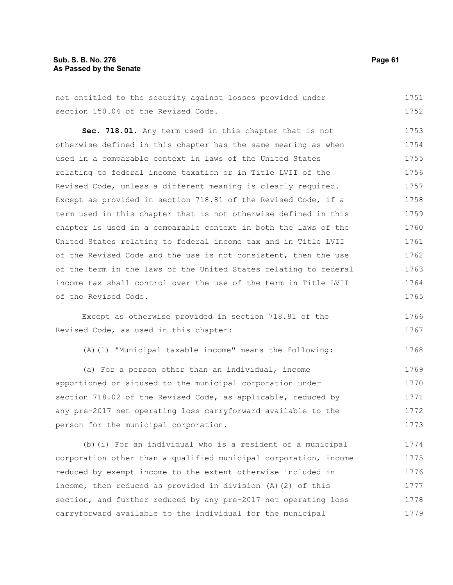# **Sub. S. B. No. 276 Page 61 As Passed by the Senate**

not entitled to the security against losses provided under section 150.04 of the Revised Code. 1751 1752

**Sec. 718.01.** Any term used in this chapter that is not otherwise defined in this chapter has the same meaning as when used in a comparable context in laws of the United States relating to federal income taxation or in Title LVII of the Revised Code, unless a different meaning is clearly required. Except as provided in section 718.81 of the Revised Code, if a term used in this chapter that is not otherwise defined in this chapter is used in a comparable context in both the laws of the United States relating to federal income tax and in Title LVII of the Revised Code and the use is not consistent, then the use of the term in the laws of the United States relating to federal income tax shall control over the use of the term in Title LVII of the Revised Code. 1753 1754 1755 1756 1757 1758 1759 1760 1761 1762 1763 1764 1765

Except as otherwise provided in section 718.81 of the Revised Code, as used in this chapter: 1766 1767

(A)(1) "Municipal taxable income" means the following: 1768

(a) For a person other than an individual, income apportioned or sitused to the municipal corporation under section 718.02 of the Revised Code, as applicable, reduced by any pre-2017 net operating loss carryforward available to the person for the municipal corporation. 1769 1770 1771 1772 1773

(b)(i) For an individual who is a resident of a municipal corporation other than a qualified municipal corporation, income reduced by exempt income to the extent otherwise included in income, then reduced as provided in division (A)(2) of this section, and further reduced by any pre-2017 net operating loss carryforward available to the individual for the municipal 1774 1775 1776 1777 1778 1779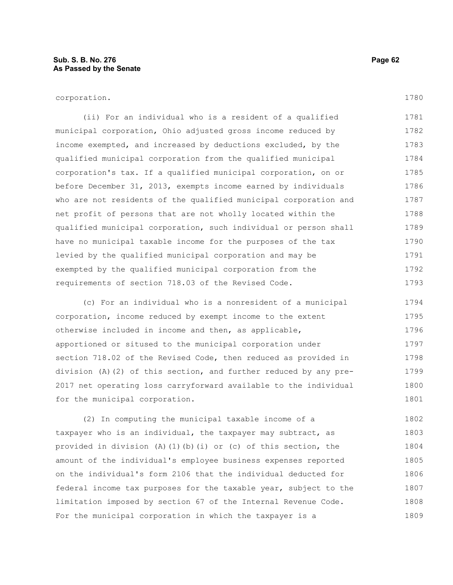(ii) For an individual who is a resident of a qualified municipal corporation, Ohio adjusted gross income reduced by income exempted, and increased by deductions excluded, by the qualified municipal corporation from the qualified municipal corporation's tax. If a qualified municipal corporation, on or before December 31, 2013, exempts income earned by individuals who are not residents of the qualified municipal corporation and net profit of persons that are not wholly located within the qualified municipal corporation, such individual or person shall have no municipal taxable income for the purposes of the tax levied by the qualified municipal corporation and may be exempted by the qualified municipal corporation from the requirements of section 718.03 of the Revised Code. 1781 1782 1783 1784 1785 1786 1787 1788 1789 1790 1791 1792 1793

(c) For an individual who is a nonresident of a municipal corporation, income reduced by exempt income to the extent otherwise included in income and then, as applicable, apportioned or sitused to the municipal corporation under section 718.02 of the Revised Code, then reduced as provided in division (A)(2) of this section, and further reduced by any pre-2017 net operating loss carryforward available to the individual for the municipal corporation. 1794 1795 1796 1797 1798 1799 1800 1801

(2) In computing the municipal taxable income of a taxpayer who is an individual, the taxpayer may subtract, as provided in division (A)(1)(b)(i) or (c) of this section, the amount of the individual's employee business expenses reported on the individual's form 2106 that the individual deducted for federal income tax purposes for the taxable year, subject to the limitation imposed by section 67 of the Internal Revenue Code. For the municipal corporation in which the taxpayer is a 1802 1803 1804 1805 1806 1807 1808 1809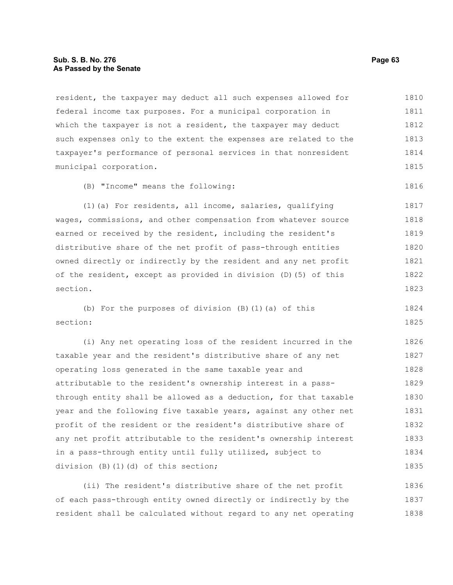## **Sub. S. B. No. 276 Page 63 As Passed by the Senate**

resident, the taxpayer may deduct all such expenses allowed for federal income tax purposes. For a municipal corporation in which the taxpayer is not a resident, the taxpayer may deduct such expenses only to the extent the expenses are related to the taxpayer's performance of personal services in that nonresident municipal corporation. 1810 1811 1812 1813 1814 1815

(B) "Income" means the following:

(1)(a) For residents, all income, salaries, qualifying wages, commissions, and other compensation from whatever source earned or received by the resident, including the resident's distributive share of the net profit of pass-through entities owned directly or indirectly by the resident and any net profit of the resident, except as provided in division (D)(5) of this section. 1817 1818 1819 1820 1821 1822 1823

(b) For the purposes of division (B)(1)(a) of this section: 1824 1825

(i) Any net operating loss of the resident incurred in the taxable year and the resident's distributive share of any net operating loss generated in the same taxable year and attributable to the resident's ownership interest in a passthrough entity shall be allowed as a deduction, for that taxable year and the following five taxable years, against any other net profit of the resident or the resident's distributive share of any net profit attributable to the resident's ownership interest in a pass-through entity until fully utilized, subject to division (B)(1)(d) of this section; 1826 1827 1828 1829 1830 1831 1832 1833 1834 1835

(ii) The resident's distributive share of the net profit of each pass-through entity owned directly or indirectly by the resident shall be calculated without regard to any net operating 1836 1837 1838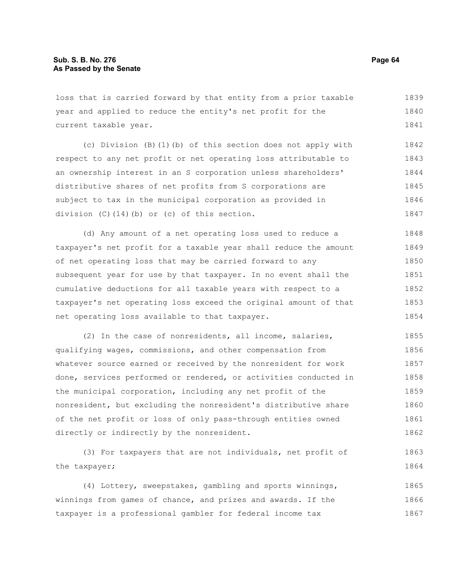loss that is carried forward by that entity from a prior taxable year and applied to reduce the entity's net profit for the current taxable year. 1839 1840 1841

(c) Division (B)(1)(b) of this section does not apply with respect to any net profit or net operating loss attributable to an ownership interest in an S corporation unless shareholders' distributive shares of net profits from S corporations are subject to tax in the municipal corporation as provided in division (C)(14)(b) or (c) of this section. 1842 1843 1844 1845 1846 1847

(d) Any amount of a net operating loss used to reduce a taxpayer's net profit for a taxable year shall reduce the amount of net operating loss that may be carried forward to any subsequent year for use by that taxpayer. In no event shall the cumulative deductions for all taxable years with respect to a taxpayer's net operating loss exceed the original amount of that net operating loss available to that taxpayer. 1848 1849 1850 1851 1852 1853 1854

(2) In the case of nonresidents, all income, salaries, qualifying wages, commissions, and other compensation from whatever source earned or received by the nonresident for work done, services performed or rendered, or activities conducted in the municipal corporation, including any net profit of the nonresident, but excluding the nonresident's distributive share of the net profit or loss of only pass-through entities owned directly or indirectly by the nonresident. 1855 1856 1857 1858 1859 1860 1861 1862

(3) For taxpayers that are not individuals, net profit of the taxpayer; 1863 1864

(4) Lottery, sweepstakes, gambling and sports winnings, winnings from games of chance, and prizes and awards. If the taxpayer is a professional gambler for federal income tax 1865 1866 1867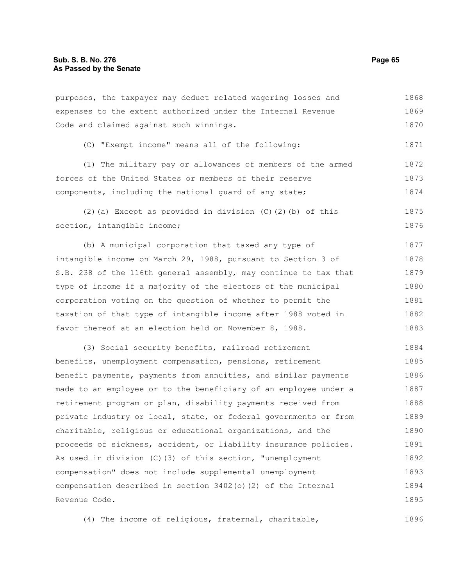purposes, the taxpayer may deduct related wagering losses and expenses to the extent authorized under the Internal Revenue Code and claimed against such winnings. 1868 1869 1870

(C) "Exempt income" means all of the following:

(1) The military pay or allowances of members of the armed forces of the United States or members of their reserve components, including the national guard of any state; 1872 1873 1874

(2)(a) Except as provided in division (C)(2)(b) of this section, intangible income; 1875 1876

(b) A municipal corporation that taxed any type of intangible income on March 29, 1988, pursuant to Section 3 of S.B. 238 of the 116th general assembly, may continue to tax that type of income if a majority of the electors of the municipal corporation voting on the question of whether to permit the taxation of that type of intangible income after 1988 voted in favor thereof at an election held on November 8, 1988. 1877 1878 1879 1880 1881 1882 1883

(3) Social security benefits, railroad retirement benefits, unemployment compensation, pensions, retirement benefit payments, payments from annuities, and similar payments made to an employee or to the beneficiary of an employee under a retirement program or plan, disability payments received from private industry or local, state, or federal governments or from charitable, religious or educational organizations, and the proceeds of sickness, accident, or liability insurance policies. As used in division (C)(3) of this section, "unemployment compensation" does not include supplemental unemployment compensation described in section 3402(o)(2) of the Internal Revenue Code. 1884 1885 1886 1887 1888 1889 1890 1891 1892 1893 1894 1895

(4) The income of religious, fraternal, charitable, 1896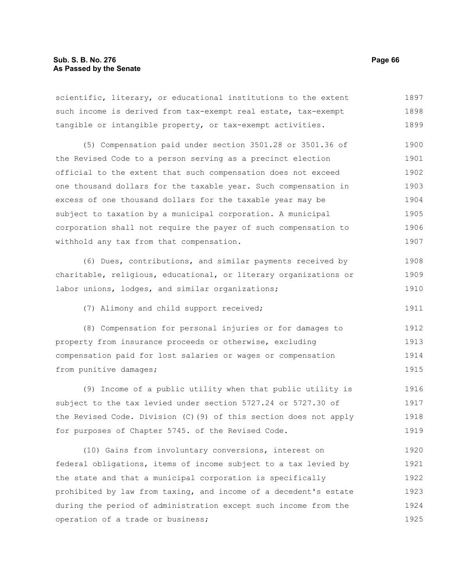scientific, literary, or educational institutions to the extent such income is derived from tax-exempt real estate, tax-exempt tangible or intangible property, or tax-exempt activities. 1897 1898 1899

(5) Compensation paid under section 3501.28 or 3501.36 of the Revised Code to a person serving as a precinct election official to the extent that such compensation does not exceed one thousand dollars for the taxable year. Such compensation in excess of one thousand dollars for the taxable year may be subject to taxation by a municipal corporation. A municipal corporation shall not require the payer of such compensation to withhold any tax from that compensation. 1900 1901 1902 1903 1904 1905 1906 1907

(6) Dues, contributions, and similar payments received by charitable, religious, educational, or literary organizations or labor unions, lodges, and similar organizations; 1908 1909 1910

(7) Alimony and child support received;

(8) Compensation for personal injuries or for damages to property from insurance proceeds or otherwise, excluding compensation paid for lost salaries or wages or compensation from punitive damages; 1912 1913 1914 1915

(9) Income of a public utility when that public utility is subject to the tax levied under section 5727.24 or 5727.30 of the Revised Code. Division (C)(9) of this section does not apply for purposes of Chapter 5745. of the Revised Code. 1916 1917 1918 1919

(10) Gains from involuntary conversions, interest on federal obligations, items of income subject to a tax levied by the state and that a municipal corporation is specifically prohibited by law from taxing, and income of a decedent's estate during the period of administration except such income from the operation of a trade or business; 1920 1921 1922 1923 1924 1925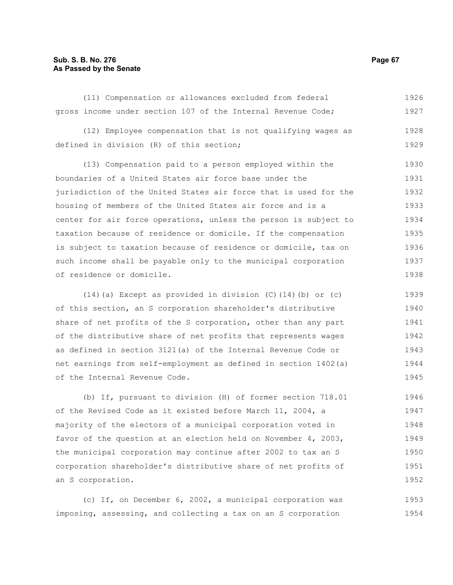# **Sub. S. B. No. 276 Page 67 As Passed by the Senate**

|  |  |  |  | (11) Compensation or allowances excluded from federal        |  |  | 1926 |
|--|--|--|--|--------------------------------------------------------------|--|--|------|
|  |  |  |  | gross income under section 107 of the Internal Revenue Code; |  |  | 1927 |

(12) Employee compensation that is not qualifying wages as defined in division (R) of this section; 1928 1929

(13) Compensation paid to a person employed within the boundaries of a United States air force base under the jurisdiction of the United States air force that is used for the housing of members of the United States air force and is a center for air force operations, unless the person is subject to taxation because of residence or domicile. If the compensation is subject to taxation because of residence or domicile, tax on such income shall be payable only to the municipal corporation of residence or domicile. 1930 1931 1932 1933 1934 1935 1936 1937 1938

(14)(a) Except as provided in division (C)(14)(b) or (c) of this section, an S corporation shareholder's distributive share of net profits of the S corporation, other than any part of the distributive share of net profits that represents wages as defined in section 3121(a) of the Internal Revenue Code or net earnings from self-employment as defined in section 1402(a) of the Internal Revenue Code. 1939 1940 1941 1942 1943 1944 1945

(b) If, pursuant to division (H) of former section 718.01 of the Revised Code as it existed before March 11, 2004, a majority of the electors of a municipal corporation voted in favor of the question at an election held on November 4, 2003, the municipal corporation may continue after 2002 to tax an S corporation shareholder's distributive share of net profits of an S corporation. 1946 1947 1948 1949 1950 1951 1952

(c) If, on December 6, 2002, a municipal corporation was imposing, assessing, and collecting a tax on an S corporation 1953 1954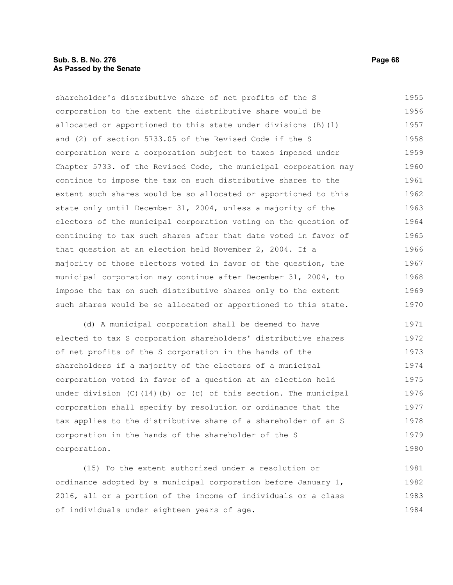# **Sub. S. B. No. 276 Page 68 As Passed by the Senate**

shareholder's distributive share of net profits of the S corporation to the extent the distributive share would be allocated or apportioned to this state under divisions (B)(1) and (2) of section 5733.05 of the Revised Code if the S corporation were a corporation subject to taxes imposed under Chapter 5733. of the Revised Code, the municipal corporation may continue to impose the tax on such distributive shares to the extent such shares would be so allocated or apportioned to this state only until December 31, 2004, unless a majority of the electors of the municipal corporation voting on the question of continuing to tax such shares after that date voted in favor of that question at an election held November 2, 2004. If a majority of those electors voted in favor of the question, the municipal corporation may continue after December 31, 2004, to impose the tax on such distributive shares only to the extent such shares would be so allocated or apportioned to this state. 1955 1956 1957 1958 1959 1960 1961 1962 1963 1964 1965 1966 1967 1968 1969 1970

(d) A municipal corporation shall be deemed to have elected to tax S corporation shareholders' distributive shares of net profits of the S corporation in the hands of the shareholders if a majority of the electors of a municipal corporation voted in favor of a question at an election held under division  $(C)$  (14)(b) or  $(c)$  of this section. The municipal corporation shall specify by resolution or ordinance that the tax applies to the distributive share of a shareholder of an S corporation in the hands of the shareholder of the S corporation. 1971 1972 1973 1974 1975 1976 1977 1978 1979 1980

(15) To the extent authorized under a resolution or ordinance adopted by a municipal corporation before January 1, 2016, all or a portion of the income of individuals or a class of individuals under eighteen years of age. 1981 1982 1983 1984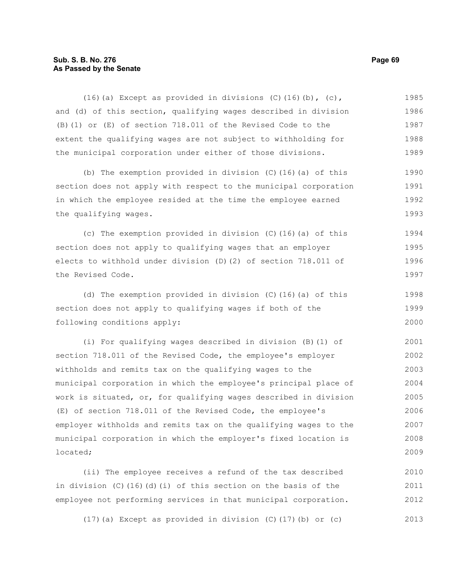# **Sub. S. B. No. 276 Page 69 As Passed by the Senate**

(16)(a) Except as provided in divisions (C)(16)(b),  $(c)$ , and (d) of this section, qualifying wages described in division (B)(1) or (E) of section 718.011 of the Revised Code to the extent the qualifying wages are not subject to withholding for the municipal corporation under either of those divisions. (b) The exemption provided in division (C)(16)(a) of this section does not apply with respect to the municipal corporation in which the employee resided at the time the employee earned the qualifying wages. (c) The exemption provided in division (C)(16)(a) of this section does not apply to qualifying wages that an employer elects to withhold under division (D)(2) of section 718.011 of the Revised Code. (d) The exemption provided in division (C)(16)(a) of this section does not apply to qualifying wages if both of the following conditions apply: (i) For qualifying wages described in division (B)(1) of section 718.011 of the Revised Code, the employee's employer withholds and remits tax on the qualifying wages to the municipal corporation in which the employee's principal place of work is situated, or, for qualifying wages described in division (E) of section 718.011 of the Revised Code, the employee's employer withholds and remits tax on the qualifying wages to the municipal corporation in which the employer's fixed location is located; 1985 1986 1987 1988 1989 1990 1991 1992 1993 1994 1995 1996 1997 1998 1999 2000 2001 2002 2003 2004 2005 2006 2007 2008 2009

(ii) The employee receives a refund of the tax described in division (C)(16)(d)(i) of this section on the basis of the employee not performing services in that municipal corporation. 2010 2011 2012

(17)(a) Except as provided in division (C)(17)(b) or (c) 2013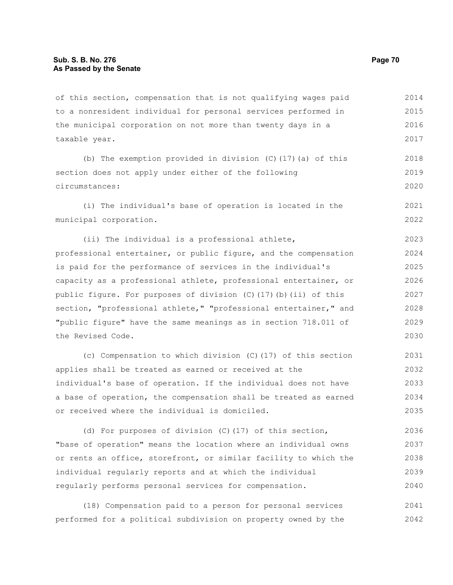of this section, compensation that is not qualifying wages paid to a nonresident individual for personal services performed in the municipal corporation on not more than twenty days in a taxable year. 2014 2015 2016 2017

(b) The exemption provided in division (C)(17)(a) of this section does not apply under either of the following circumstances: 2018 2019 2020

(i) The individual's base of operation is located in the municipal corporation. 2021 2022

(ii) The individual is a professional athlete, professional entertainer, or public figure, and the compensation is paid for the performance of services in the individual's capacity as a professional athlete, professional entertainer, or public figure. For purposes of division (C)(17)(b)(ii) of this section, "professional athlete," "professional entertainer," and "public figure" have the same meanings as in section 718.011 of the Revised Code. 2023 2024 2025 2026 2027 2028 2029 2030

(c) Compensation to which division (C)(17) of this section applies shall be treated as earned or received at the individual's base of operation. If the individual does not have a base of operation, the compensation shall be treated as earned or received where the individual is domiciled. 2031 2032 2033 2034 2035

(d) For purposes of division (C)(17) of this section, "base of operation" means the location where an individual owns or rents an office, storefront, or similar facility to which the individual regularly reports and at which the individual regularly performs personal services for compensation. 2036 2037 2038 2039 2040

(18) Compensation paid to a person for personal services performed for a political subdivision on property owned by the 2041 2042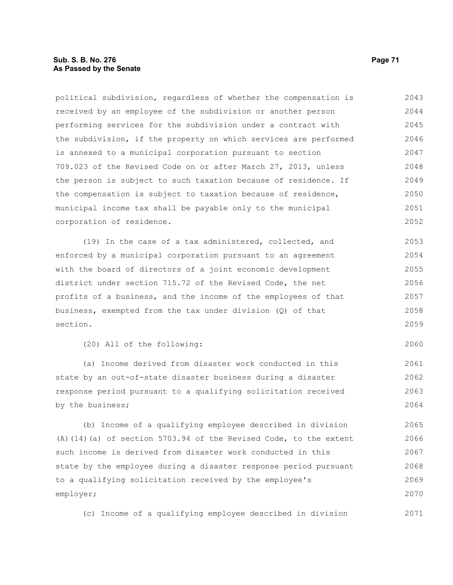# **Sub. S. B. No. 276 Page 71 As Passed by the Senate**

political subdivision, regardless of whether the compensation is received by an employee of the subdivision or another person performing services for the subdivision under a contract with the subdivision, if the property on which services are performed is annexed to a municipal corporation pursuant to section 709.023 of the Revised Code on or after March 27, 2013, unless the person is subject to such taxation because of residence. If the compensation is subject to taxation because of residence, municipal income tax shall be payable only to the municipal corporation of residence. 2043 2044 2045 2046 2047 2048 2049 2050 2051 2052

(19) In the case of a tax administered, collected, and enforced by a municipal corporation pursuant to an agreement with the board of directors of a joint economic development district under section 715.72 of the Revised Code, the net profits of a business, and the income of the employees of that business, exempted from the tax under division (Q) of that section. 2053 2054 2055 2056 2057 2058 2059

(20) All of the following:

(a) Income derived from disaster work conducted in this state by an out-of-state disaster business during a disaster response period pursuant to a qualifying solicitation received by the business; 2061 2062 2063 2064

(b) Income of a qualifying employee described in division (A)(14)(a) of section 5703.94 of the Revised Code, to the extent such income is derived from disaster work conducted in this state by the employee during a disaster response period pursuant to a qualifying solicitation received by the employee's employer; 2065 2066 2067 2068 2069 2070

(c) Income of a qualifying employee described in division

2060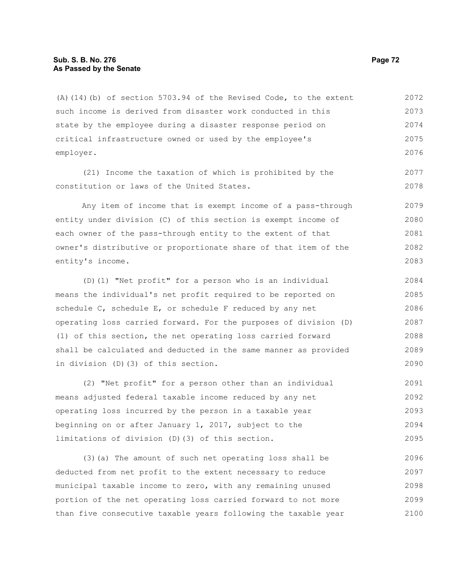## **Sub. S. B. No. 276 Page 72 As Passed by the Senate**

(A)(14)(b) of section 5703.94 of the Revised Code, to the extent such income is derived from disaster work conducted in this state by the employee during a disaster response period on critical infrastructure owned or used by the employee's employer. 2072 2073 2074 2075 2076

(21) Income the taxation of which is prohibited by the constitution or laws of the United States.

Any item of income that is exempt income of a pass-through entity under division (C) of this section is exempt income of each owner of the pass-through entity to the extent of that owner's distributive or proportionate share of that item of the entity's income. 2079 2080 2081 2082 2083

(D)(1) "Net profit" for a person who is an individual means the individual's net profit required to be reported on schedule C, schedule E, or schedule F reduced by any net operating loss carried forward. For the purposes of division (D) (1) of this section, the net operating loss carried forward shall be calculated and deducted in the same manner as provided in division (D)(3) of this section. 2084 2085 2086 2087 2088 2089 2090

(2) "Net profit" for a person other than an individual means adjusted federal taxable income reduced by any net operating loss incurred by the person in a taxable year beginning on or after January 1, 2017, subject to the limitations of division (D)(3) of this section. 2091 2092 2093 2094 2095

(3)(a) The amount of such net operating loss shall be deducted from net profit to the extent necessary to reduce municipal taxable income to zero, with any remaining unused portion of the net operating loss carried forward to not more than five consecutive taxable years following the taxable year 2096 2097 2098 2099 2100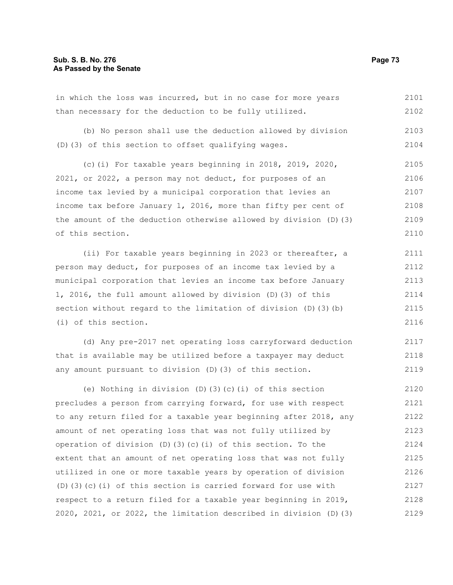|  |  | in which the loss was incurred, but in no case for more years |  |  |  |  | 2101 |
|--|--|---------------------------------------------------------------|--|--|--|--|------|
|  |  | than necessary for the deduction to be fully utilized.        |  |  |  |  | 2102 |

(b) No person shall use the deduction allowed by division (D)(3) of this section to offset qualifying wages. 2103 2104

(c)(i) For taxable years beginning in 2018, 2019, 2020, 2021, or 2022, a person may not deduct, for purposes of an income tax levied by a municipal corporation that levies an income tax before January 1, 2016, more than fifty per cent of the amount of the deduction otherwise allowed by division (D)(3) of this section. 2105 2106 2107 2108 2109 2110

(ii) For taxable years beginning in 2023 or thereafter, a person may deduct, for purposes of an income tax levied by a municipal corporation that levies an income tax before January 1, 2016, the full amount allowed by division (D)(3) of this section without regard to the limitation of division (D)(3)(b) (i) of this section. 2111 2112 2113 2114 2115 2116

(d) Any pre-2017 net operating loss carryforward deduction that is available may be utilized before a taxpayer may deduct any amount pursuant to division (D)(3) of this section. 2117 2118 2119

(e) Nothing in division (D)(3)(c)(i) of this section precludes a person from carrying forward, for use with respect to any return filed for a taxable year beginning after 2018, any amount of net operating loss that was not fully utilized by operation of division (D)(3)(c)(i) of this section. To the extent that an amount of net operating loss that was not fully utilized in one or more taxable years by operation of division (D)(3)(c)(i) of this section is carried forward for use with respect to a return filed for a taxable year beginning in 2019, 2020, 2021, or 2022, the limitation described in division (D)(3) 2120 2121 2122 2123 2124 2125 2126 2127 2128 2129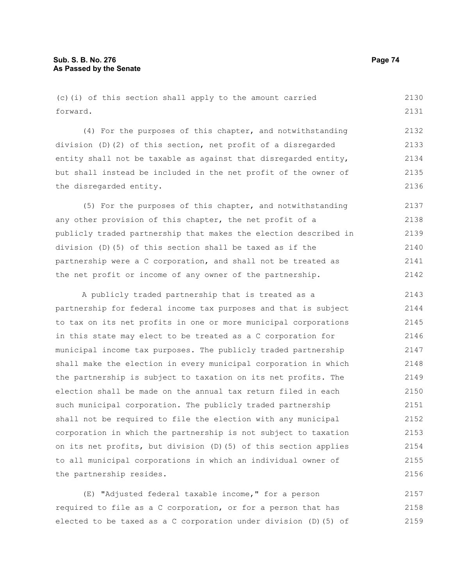(c)(i) of this section shall apply to the amount carried forward. 2130 2131

(4) For the purposes of this chapter, and notwithstanding division (D)(2) of this section, net profit of a disregarded entity shall not be taxable as against that disregarded entity, but shall instead be included in the net profit of the owner of the disregarded entity. 2132 2133 2134 2135 2136

(5) For the purposes of this chapter, and notwithstanding any other provision of this chapter, the net profit of a publicly traded partnership that makes the election described in division (D)(5) of this section shall be taxed as if the partnership were a C corporation, and shall not be treated as the net profit or income of any owner of the partnership. 2137 2138 2139 2140 2141 2142

A publicly traded partnership that is treated as a partnership for federal income tax purposes and that is subject to tax on its net profits in one or more municipal corporations in this state may elect to be treated as a C corporation for municipal income tax purposes. The publicly traded partnership shall make the election in every municipal corporation in which the partnership is subject to taxation on its net profits. The election shall be made on the annual tax return filed in each such municipal corporation. The publicly traded partnership shall not be required to file the election with any municipal corporation in which the partnership is not subject to taxation on its net profits, but division (D)(5) of this section applies to all municipal corporations in which an individual owner of the partnership resides. 2143 2144 2145 2146 2147 2148 2149 2150 2151 2152 2153 2154 2155 2156

(E) "Adjusted federal taxable income," for a person required to file as a C corporation, or for a person that has elected to be taxed as a C corporation under division (D)(5) of 2157 2158 2159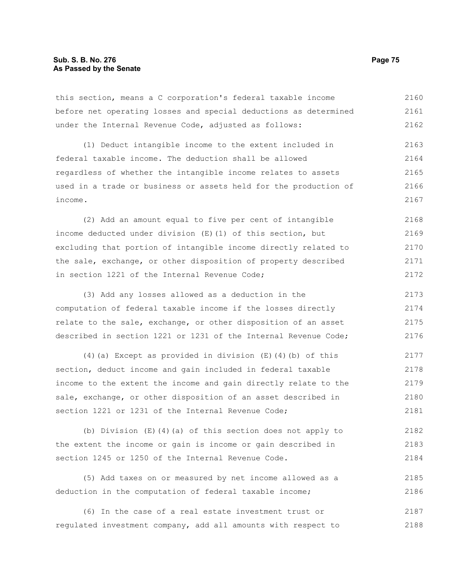# **Sub. S. B. No. 276 Page 75 As Passed by the Senate**

this section, means a C corporation's federal taxable income before net operating losses and special deductions as determined under the Internal Revenue Code, adjusted as follows: 2160 2161 2162

(1) Deduct intangible income to the extent included in federal taxable income. The deduction shall be allowed regardless of whether the intangible income relates to assets used in a trade or business or assets held for the production of income. 2163 2164 2165 2166 2167

(2) Add an amount equal to five per cent of intangible income deducted under division (E)(1) of this section, but excluding that portion of intangible income directly related to the sale, exchange, or other disposition of property described in section 1221 of the Internal Revenue Code; 2168 2169 2170 2171 2172

(3) Add any losses allowed as a deduction in the computation of federal taxable income if the losses directly relate to the sale, exchange, or other disposition of an asset described in section 1221 or 1231 of the Internal Revenue Code; 2173 2174 2175 2176

(4)(a) Except as provided in division  $(E)$  (4)(b) of this section, deduct income and gain included in federal taxable income to the extent the income and gain directly relate to the sale, exchange, or other disposition of an asset described in section 1221 or 1231 of the Internal Revenue Code; 2177 2178 2179 2180 2181

(b) Division (E)(4)(a) of this section does not apply to the extent the income or gain is income or gain described in section 1245 or 1250 of the Internal Revenue Code. 2182 2183 2184

(5) Add taxes on or measured by net income allowed as a deduction in the computation of federal taxable income; 2185 2186

(6) In the case of a real estate investment trust or regulated investment company, add all amounts with respect to 2187 2188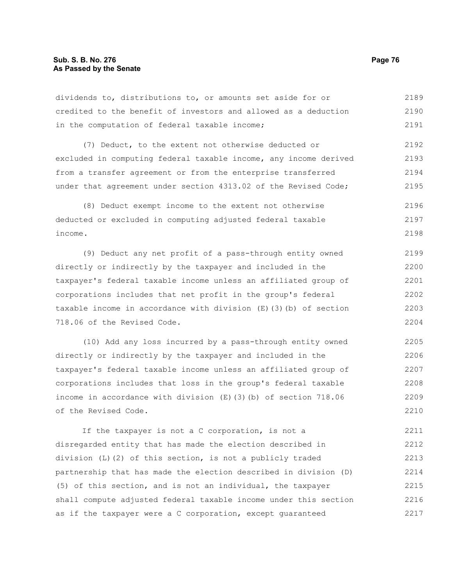dividends to, distributions to, or amounts set aside for or credited to the benefit of investors and allowed as a deduction in the computation of federal taxable income; 2189 2190 2191

(7) Deduct, to the extent not otherwise deducted or excluded in computing federal taxable income, any income derived from a transfer agreement or from the enterprise transferred under that agreement under section 4313.02 of the Revised Code; 2192 2193 2194 2195

(8) Deduct exempt income to the extent not otherwise deducted or excluded in computing adjusted federal taxable income. 2196 2197 2198

(9) Deduct any net profit of a pass-through entity owned directly or indirectly by the taxpayer and included in the taxpayer's federal taxable income unless an affiliated group of corporations includes that net profit in the group's federal taxable income in accordance with division (E)(3)(b) of section 718.06 of the Revised Code. 2199 2200 2201 2202 2203 2204

(10) Add any loss incurred by a pass-through entity owned directly or indirectly by the taxpayer and included in the taxpayer's federal taxable income unless an affiliated group of corporations includes that loss in the group's federal taxable income in accordance with division (E)(3)(b) of section 718.06 of the Revised Code. 2205 2206 2207 2208 2209 2210

If the taxpayer is not a C corporation, is not a disregarded entity that has made the election described in division (L)(2) of this section, is not a publicly traded partnership that has made the election described in division (D) (5) of this section, and is not an individual, the taxpayer shall compute adjusted federal taxable income under this section as if the taxpayer were a C corporation, except guaranteed 2211 2212 2213 2214 2215 2216 2217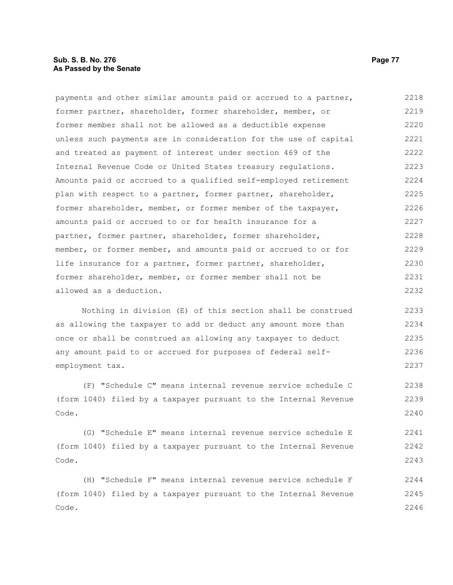# **Sub. S. B. No. 276 Page 77 As Passed by the Senate**

payments and other similar amounts paid or accrued to a partner, former partner, shareholder, former shareholder, member, or former member shall not be allowed as a deductible expense unless such payments are in consideration for the use of capital and treated as payment of interest under section 469 of the Internal Revenue Code or United States treasury regulations. Amounts paid or accrued to a qualified self-employed retirement plan with respect to a partner, former partner, shareholder, former shareholder, member, or former member of the taxpayer, amounts paid or accrued to or for health insurance for a partner, former partner, shareholder, former shareholder, member, or former member, and amounts paid or accrued to or for life insurance for a partner, former partner, shareholder, former shareholder, member, or former member shall not be allowed as a deduction. 2218 2219 2220 2221 2222 2223 2224 2225 2226 2227 2228 2229 2230 2231 2232

Nothing in division (E) of this section shall be construed as allowing the taxpayer to add or deduct any amount more than once or shall be construed as allowing any taxpayer to deduct any amount paid to or accrued for purposes of federal selfemployment tax. 2233 2234 2235 2236 2237

(F) "Schedule C" means internal revenue service schedule C (form 1040) filed by a taxpayer pursuant to the Internal Revenue Code. 2238 2239 2240

(G) "Schedule E" means internal revenue service schedule E (form 1040) filed by a taxpayer pursuant to the Internal Revenue Code. 2241 2242 2243

(H) "Schedule F" means internal revenue service schedule F (form 1040) filed by a taxpayer pursuant to the Internal Revenue Code. 2244 2245 2246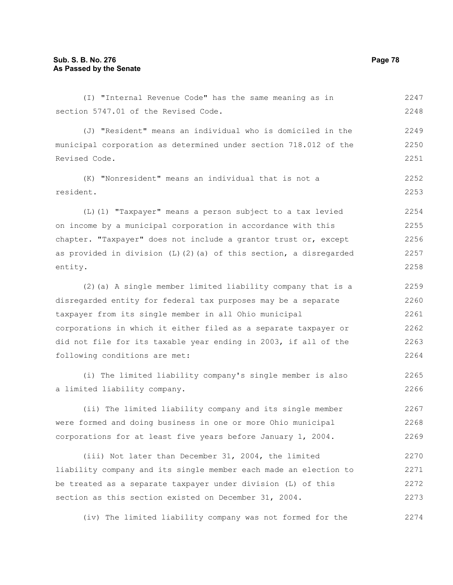(I) "Internal Revenue Code" has the same meaning as in section 5747.01 of the Revised Code. (J) "Resident" means an individual who is domiciled in the municipal corporation as determined under section 718.012 of the Revised Code. (K) "Nonresident" means an individual that is not a resident. (L)(1) "Taxpayer" means a person subject to a tax levied on income by a municipal corporation in accordance with this chapter. "Taxpayer" does not include a grantor trust or, except as provided in division (L)(2)(a) of this section, a disregarded entity. (2)(a) A single member limited liability company that is a disregarded entity for federal tax purposes may be a separate taxpayer from its single member in all Ohio municipal corporations in which it either filed as a separate taxpayer or did not file for its taxable year ending in 2003, if all of the following conditions are met: (i) The limited liability company's single member is also a limited liability company. (ii) The limited liability company and its single member 2247 2248 2249 2250 2251 2252 2253 2254 2255 2256 2257 2258 2259 2260 2261 2262 2263 2264 2265 2266 2267

were formed and doing business in one or more Ohio municipal corporations for at least five years before January 1, 2004. 2268 2269

(iii) Not later than December 31, 2004, the limited liability company and its single member each made an election to be treated as a separate taxpayer under division (L) of this section as this section existed on December 31, 2004. 2270 2271 2272 2273

(iv) The limited liability company was not formed for the 2274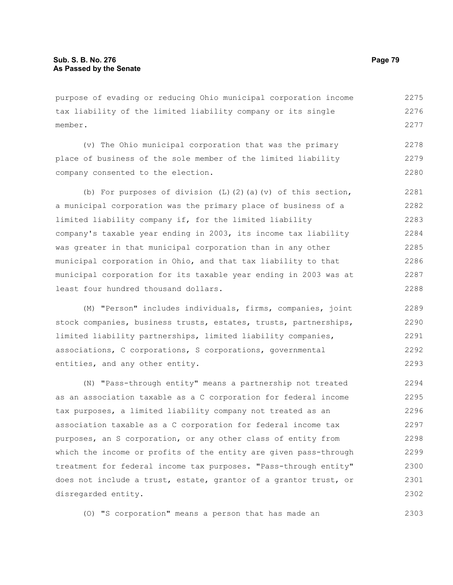purpose of evading or reducing Ohio municipal corporation income tax liability of the limited liability company or its single member. 2275 2276 2277

(v) The Ohio municipal corporation that was the primary place of business of the sole member of the limited liability company consented to the election. 2278 2279 2280

(b) For purposes of division  $(L)$   $(2)$   $(a)$   $(v)$  of this section, a municipal corporation was the primary place of business of a limited liability company if, for the limited liability company's taxable year ending in 2003, its income tax liability was greater in that municipal corporation than in any other municipal corporation in Ohio, and that tax liability to that municipal corporation for its taxable year ending in 2003 was at least four hundred thousand dollars. 2281 2282 2283 2284 2285 2286 2287 2288

(M) "Person" includes individuals, firms, companies, joint stock companies, business trusts, estates, trusts, partnerships, limited liability partnerships, limited liability companies, associations, C corporations, S corporations, governmental entities, and any other entity. 2289 2290 2291 2292 2293

(N) "Pass-through entity" means a partnership not treated as an association taxable as a C corporation for federal income tax purposes, a limited liability company not treated as an association taxable as a C corporation for federal income tax purposes, an S corporation, or any other class of entity from which the income or profits of the entity are given pass-through treatment for federal income tax purposes. "Pass-through entity" does not include a trust, estate, grantor of a grantor trust, or disregarded entity. 2294 2295 2296 2297 2298 2299 2300 2301 2302

(O) "S corporation" means a person that has made an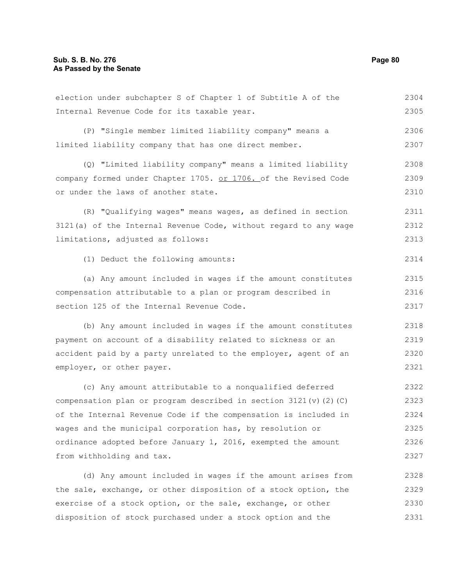Internal Revenue Code for its taxable year. (P) "Single member limited liability company" means a limited liability company that has one direct member. (Q) "Limited liability company" means a limited liability company formed under Chapter 1705. or 1706. of the Revised Code or under the laws of another state. (R) "Qualifying wages" means wages, as defined in section 3121(a) of the Internal Revenue Code, without regard to any wage limitations, adjusted as follows: (1) Deduct the following amounts: (a) Any amount included in wages if the amount constitutes compensation attributable to a plan or program described in section 125 of the Internal Revenue Code. (b) Any amount included in wages if the amount constitutes payment on account of a disability related to sickness or an accident paid by a party unrelated to the employer, agent of an employer, or other payer. (c) Any amount attributable to a nonqualified deferred compensation plan or program described in section  $3121(v)(2)(C)$ of the Internal Revenue Code if the compensation is included in wages and the municipal corporation has, by resolution or ordinance adopted before January 1, 2016, exempted the amount from withholding and tax. (d) Any amount included in wages if the amount arises from the sale, exchange, or other disposition of a stock option, the 2305 2306 2307 2308 2309 2310 2311 2312 2313 2314 2315 2316 2317 2318 2319 2320 2321 2322 2323 2324 2325 2326 2327 2328 2329

election under subchapter S of Chapter 1 of Subtitle A of the

exercise of a stock option, or the sale, exchange, or other disposition of stock purchased under a stock option and the 2330 2331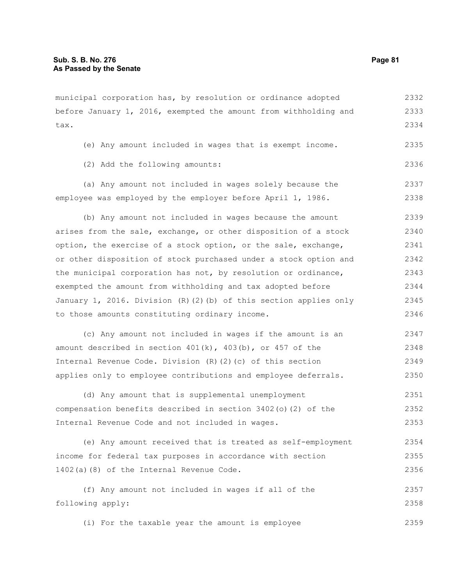municipal corporation has, by resolution or ordinance adopted before January 1, 2016, exempted the amount from withholding and tax. 2332 2333 2334

- (e) Any amount included in wages that is exempt income. 2335
- (2) Add the following amounts:

(a) Any amount not included in wages solely because the employee was employed by the employer before April 1, 1986. 2337 2338

(b) Any amount not included in wages because the amount arises from the sale, exchange, or other disposition of a stock option, the exercise of a stock option, or the sale, exchange, or other disposition of stock purchased under a stock option and the municipal corporation has not, by resolution or ordinance, exempted the amount from withholding and tax adopted before January 1, 2016. Division (R)(2)(b) of this section applies only to those amounts constituting ordinary income. 2339 2340 2341 2342 2343 2344 2345 2346

| (c) Any amount not included in wages if the amount is an          | 2347 |
|-------------------------------------------------------------------|------|
| amount described in section $401(k)$ , $403(b)$ , or $457$ of the | 2348 |
| Internal Revenue Code. Division $(R)$ $(2)$ $(c)$ of this section | 2349 |
| applies only to employee contributions and employee deferrals.    | 2350 |

(d) Any amount that is supplemental unemployment compensation benefits described in section 3402(o)(2) of the Internal Revenue Code and not included in wages. 2351 2352 2353

(e) Any amount received that is treated as self-employment income for federal tax purposes in accordance with section 1402(a)(8) of the Internal Revenue Code. 2354 2355 2356

(f) Any amount not included in wages if all of the following apply: 2357 2358

(i) For the taxable year the amount is employee 2359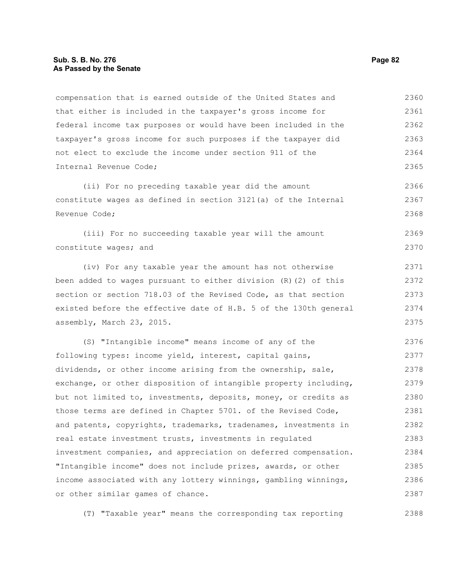# **Sub. S. B. No. 276 Page 82 As Passed by the Senate**

compensation that is earned outside of the United States and that either is included in the taxpayer's gross income for federal income tax purposes or would have been included in the taxpayer's gross income for such purposes if the taxpayer did not elect to exclude the income under section 911 of the Internal Revenue Code; 2360 2361 2362 2363 2364 2365

(ii) For no preceding taxable year did the amount constitute wages as defined in section 3121(a) of the Internal Revenue Code; 2366 2367 2368

(iii) For no succeeding taxable year will the amount constitute wages; and

(iv) For any taxable year the amount has not otherwise been added to wages pursuant to either division (R)(2) of this section or section 718.03 of the Revised Code, as that section existed before the effective date of H.B. 5 of the 130th general assembly, March 23, 2015.

(S) "Intangible income" means income of any of the following types: income yield, interest, capital gains, dividends, or other income arising from the ownership, sale, exchange, or other disposition of intangible property including, but not limited to, investments, deposits, money, or credits as those terms are defined in Chapter 5701. of the Revised Code, and patents, copyrights, trademarks, tradenames, investments in real estate investment trusts, investments in regulated investment companies, and appreciation on deferred compensation. "Intangible income" does not include prizes, awards, or other income associated with any lottery winnings, gambling winnings, or other similar games of chance. 2376 2377 2378 2379 2380 2381 2382 2383 2384 2385 2386 2387

(T) "Taxable year" means the corresponding tax reporting

2369 2370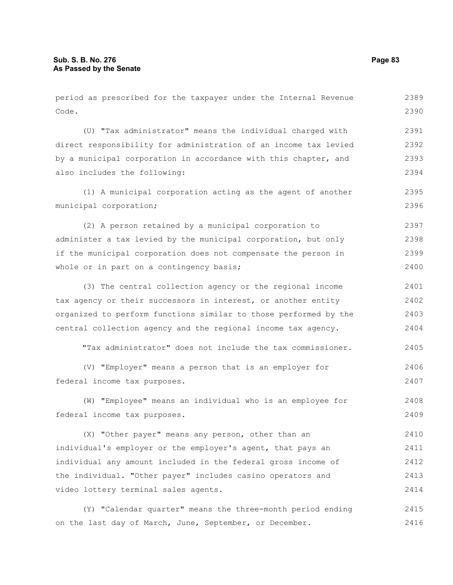period as prescribed for the taxpayer under the Internal Revenue Code. (U) "Tax administrator" means the individual charged with direct responsibility for administration of an income tax levied by a municipal corporation in accordance with this chapter, and also includes the following: (1) A municipal corporation acting as the agent of another municipal corporation; (2) A person retained by a municipal corporation to administer a tax levied by the municipal corporation, but only if the municipal corporation does not compensate the person in whole or in part on a contingency basis; (3) The central collection agency or the regional income tax agency or their successors in interest, or another entity organized to perform functions similar to those performed by the central collection agency and the regional income tax agency. "Tax administrator" does not include the tax commissioner. (V) "Employer" means a person that is an employer for federal income tax purposes. (W) "Employee" means an individual who is an employee for federal income tax purposes. (X) "Other payer" means any person, other than an individual's employer or the employer's agent, that pays an individual any amount included in the federal gross income of the individual. "Other payer" includes casino operators and video lottery terminal sales agents. 2389 2390 2391 2392 2393 2394 2395 2396 2397 2398 2399 2400 2401 2402 2403 2404 2405 2406 2407 2408 2409 2410 2411 2412 2413 2414

(Y) "Calendar quarter" means the three-month period ending on the last day of March, June, September, or December. 2415 2416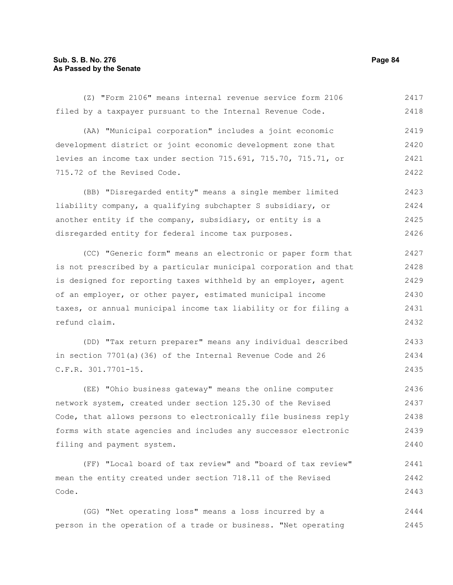(Z) "Form 2106" means internal revenue service form 2106 filed by a taxpayer pursuant to the Internal Revenue Code. (AA) "Municipal corporation" includes a joint economic development district or joint economic development zone that levies an income tax under section 715.691, 715.70, 715.71, or 715.72 of the Revised Code. (BB) "Disregarded entity" means a single member limited liability company, a qualifying subchapter S subsidiary, or another entity if the company, subsidiary, or entity is a disregarded entity for federal income tax purposes. (CC) "Generic form" means an electronic or paper form that 2417 2418 2419 2420 2421 2422 2423 2424 2425 2426 2427

is not prescribed by a particular municipal corporation and that is designed for reporting taxes withheld by an employer, agent of an employer, or other payer, estimated municipal income taxes, or annual municipal income tax liability or for filing a refund claim. 2428 2429 2430 2431 2432

(DD) "Tax return preparer" means any individual described in section 7701(a)(36) of the Internal Revenue Code and 26 C.F.R. 301.7701-15. 2433 2434 2435

(EE) "Ohio business gateway" means the online computer network system, created under section 125.30 of the Revised Code, that allows persons to electronically file business reply forms with state agencies and includes any successor electronic filing and payment system. 2436 2437 2438 2439 2440

(FF) "Local board of tax review" and "board of tax review" mean the entity created under section 718.11 of the Revised Code. 2441 2442 2443

(GG) "Net operating loss" means a loss incurred by a person in the operation of a trade or business. "Net operating 2444 2445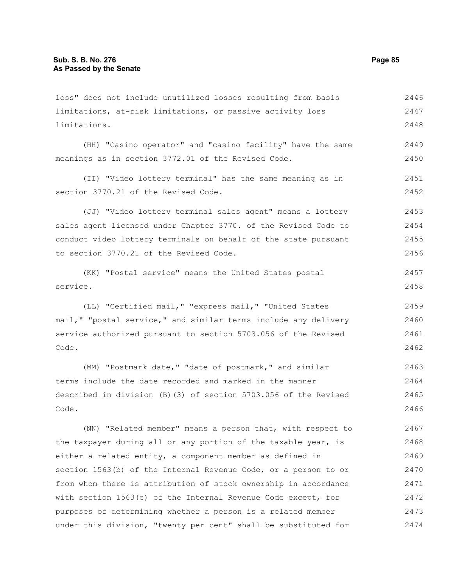limitations, at-risk limitations, or passive activity loss limitations. (HH) "Casino operator" and "casino facility" have the same meanings as in section 3772.01 of the Revised Code. (II) "Video lottery terminal" has the same meaning as in section 3770.21 of the Revised Code. (JJ) "Video lottery terminal sales agent" means a lottery sales agent licensed under Chapter 3770. of the Revised Code to conduct video lottery terminals on behalf of the state pursuant to section 3770.21 of the Revised Code. (KK) "Postal service" means the United States postal service. (LL) "Certified mail," "express mail," "United States mail," "postal service," and similar terms include any delivery service authorized pursuant to section 5703.056 of the Revised Code. (MM) "Postmark date," "date of postmark," and similar terms include the date recorded and marked in the manner described in division (B)(3) of section 5703.056 of the Revised Code. (NN) "Related member" means a person that, with respect to the taxpayer during all or any portion of the taxable year, is either a related entity, a component member as defined in section 1563(b) of the Internal Revenue Code, or a person to or from whom there is attribution of stock ownership in accordance 2447 2448 2449 2450 2451 2452 2453 2454 2455 2456 2457 2458 2459 2460 2461 2462 2463 2464 2465 2466 2467 2468 2469 2470 2471

loss" does not include unutilized losses resulting from basis

with section 1563(e) of the Internal Revenue Code except, for purposes of determining whether a person is a related member under this division, "twenty per cent" shall be substituted for 2472 2473 2474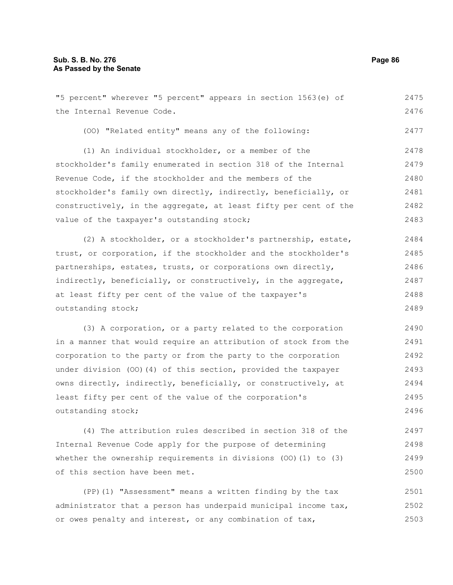"5 percent" wherever "5 percent" appears in section 1563(e) of the Internal Revenue Code. (OO) "Related entity" means any of the following: (1) An individual stockholder, or a member of the stockholder's family enumerated in section 318 of the Internal Revenue Code, if the stockholder and the members of the stockholder's family own directly, indirectly, beneficially, or constructively, in the aggregate, at least fifty per cent of the value of the taxpayer's outstanding stock; (2) A stockholder, or a stockholder's partnership, estate, trust, or corporation, if the stockholder and the stockholder's partnerships, estates, trusts, or corporations own directly, indirectly, beneficially, or constructively, in the aggregate, at least fifty per cent of the value of the taxpayer's 2475 2476 2477 2478 2479 2480 2481 2482 2483 2484 2485 2486 2487 2488

outstanding stock;

(3) A corporation, or a party related to the corporation in a manner that would require an attribution of stock from the corporation to the party or from the party to the corporation under division (OO)(4) of this section, provided the taxpayer owns directly, indirectly, beneficially, or constructively, at least fifty per cent of the value of the corporation's outstanding stock; 2490 2491 2492 2493 2494 2495 2496

(4) The attribution rules described in section 318 of the Internal Revenue Code apply for the purpose of determining whether the ownership requirements in divisions (OO)(1) to (3) of this section have been met. 2497 2498 2499 2500

(PP)(1) "Assessment" means a written finding by the tax administrator that a person has underpaid municipal income tax, or owes penalty and interest, or any combination of tax, 2501 2502 2503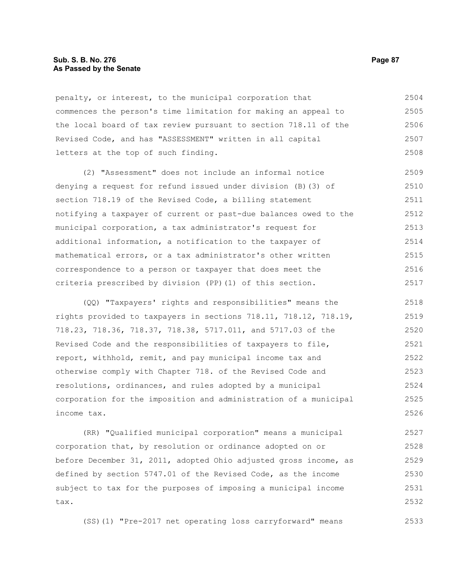# **Sub. S. B. No. 276 Page 87 As Passed by the Senate**

penalty, or interest, to the municipal corporation that commences the person's time limitation for making an appeal to the local board of tax review pursuant to section 718.11 of the Revised Code, and has "ASSESSMENT" written in all capital letters at the top of such finding. 2504 2505 2506 2507 2508

(2) "Assessment" does not include an informal notice denying a request for refund issued under division (B)(3) of section 718.19 of the Revised Code, a billing statement notifying a taxpayer of current or past-due balances owed to the municipal corporation, a tax administrator's request for additional information, a notification to the taxpayer of mathematical errors, or a tax administrator's other written correspondence to a person or taxpayer that does meet the criteria prescribed by division (PP)(1) of this section. 2509 2510 2511 2512 2513 2514 2515 2516 2517

(QQ) "Taxpayers' rights and responsibilities" means the rights provided to taxpayers in sections 718.11, 718.12, 718.19, 718.23, 718.36, 718.37, 718.38, 5717.011, and 5717.03 of the Revised Code and the responsibilities of taxpayers to file, report, withhold, remit, and pay municipal income tax and otherwise comply with Chapter 718. of the Revised Code and resolutions, ordinances, and rules adopted by a municipal corporation for the imposition and administration of a municipal income tax. 2518 2519 2520 2521 2522 2523 2524 2525 2526

(RR) "Qualified municipal corporation" means a municipal corporation that, by resolution or ordinance adopted on or before December 31, 2011, adopted Ohio adjusted gross income, as defined by section 5747.01 of the Revised Code, as the income subject to tax for the purposes of imposing a municipal income tax. 2527 2528 2529 2530 2531 2532

(SS)(1) "Pre-2017 net operating loss carryforward" means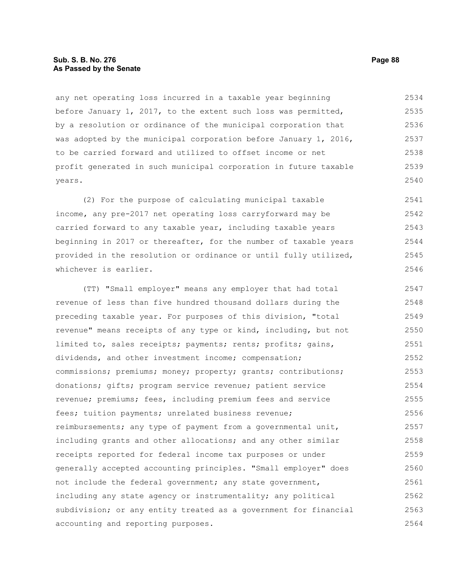# **Sub. S. B. No. 276 Page 88 As Passed by the Senate**

any net operating loss incurred in a taxable year beginning before January 1, 2017, to the extent such loss was permitted, by a resolution or ordinance of the municipal corporation that was adopted by the municipal corporation before January 1, 2016, to be carried forward and utilized to offset income or net profit generated in such municipal corporation in future taxable years. 2534 2535 2536 2537 2538 2539 2540

(2) For the purpose of calculating municipal taxable income, any pre-2017 net operating loss carryforward may be carried forward to any taxable year, including taxable years beginning in 2017 or thereafter, for the number of taxable years provided in the resolution or ordinance or until fully utilized, whichever is earlier. 2541 2542 2543 2544 2545 2546

(TT) "Small employer" means any employer that had total revenue of less than five hundred thousand dollars during the preceding taxable year. For purposes of this division, "total revenue" means receipts of any type or kind, including, but not limited to, sales receipts; payments; rents; profits; gains, dividends, and other investment income; compensation; commissions; premiums; money; property; grants; contributions; donations; gifts; program service revenue; patient service revenue; premiums; fees, including premium fees and service fees; tuition payments; unrelated business revenue; reimbursements; any type of payment from a governmental unit, including grants and other allocations; and any other similar receipts reported for federal income tax purposes or under generally accepted accounting principles. "Small employer" does not include the federal government; any state government, including any state agency or instrumentality; any political subdivision; or any entity treated as a government for financial accounting and reporting purposes. 2547 2548 2549 2550 2551 2552 2553 2554 2555 2556 2557 2558 2559 2560 2561 2562 2563 2564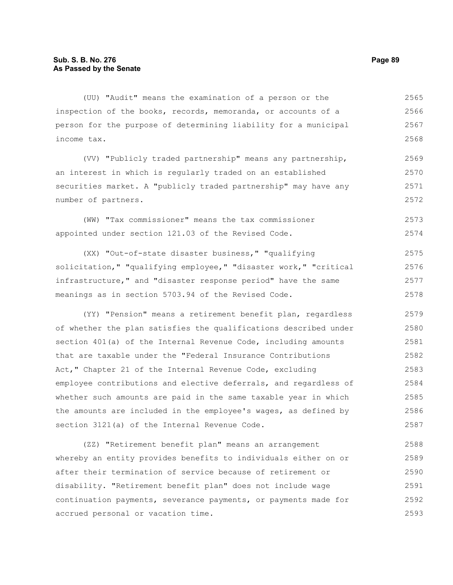(UU) "Audit" means the examination of a person or the inspection of the books, records, memoranda, or accounts of a person for the purpose of determining liability for a municipal income tax. 2565 2566 2567 2568

(VV) "Publicly traded partnership" means any partnership, an interest in which is regularly traded on an established securities market. A "publicly traded partnership" may have any number of partners. 2569 2570 2571 2572

(WW) "Tax commissioner" means the tax commissioner appointed under section 121.03 of the Revised Code. 2573 2574

(XX) "Out-of-state disaster business," "qualifying solicitation," "qualifying employee," "disaster work," "critical infrastructure," and "disaster response period" have the same meanings as in section 5703.94 of the Revised Code. 2575 2576 2577 2578

(YY) "Pension" means a retirement benefit plan, regardless of whether the plan satisfies the qualifications described under section 401(a) of the Internal Revenue Code, including amounts that are taxable under the "Federal Insurance Contributions Act," Chapter 21 of the Internal Revenue Code, excluding employee contributions and elective deferrals, and regardless of whether such amounts are paid in the same taxable year in which the amounts are included in the employee's wages, as defined by section 3121(a) of the Internal Revenue Code. 2579 2580 2581 2582 2583 2584 2585 2586 2587

(ZZ) "Retirement benefit plan" means an arrangement whereby an entity provides benefits to individuals either on or after their termination of service because of retirement or disability. "Retirement benefit plan" does not include wage continuation payments, severance payments, or payments made for accrued personal or vacation time. 2588 2589 2590 2591 2592 2593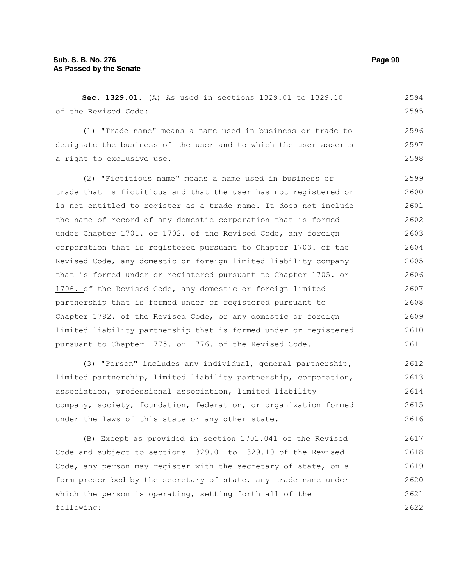**Sec. 1329.01.** (A) As used in sections 1329.01 to 1329.10 of the Revised Code: 2594 2595

(1) "Trade name" means a name used in business or trade to designate the business of the user and to which the user asserts a right to exclusive use.

(2) "Fictitious name" means a name used in business or trade that is fictitious and that the user has not registered or is not entitled to register as a trade name. It does not include the name of record of any domestic corporation that is formed under Chapter 1701. or 1702. of the Revised Code, any foreign corporation that is registered pursuant to Chapter 1703. of the Revised Code, any domestic or foreign limited liability company that is formed under or registered pursuant to Chapter 1705. or 1706. of the Revised Code, any domestic or foreign limited partnership that is formed under or registered pursuant to Chapter 1782. of the Revised Code, or any domestic or foreign limited liability partnership that is formed under or registered pursuant to Chapter 1775. or 1776. of the Revised Code. 2599 2600 2601 2602 2603 2604 2605 2606 2607 2608 2609 2610 2611

(3) "Person" includes any individual, general partnership, limited partnership, limited liability partnership, corporation, association, professional association, limited liability company, society, foundation, federation, or organization formed under the laws of this state or any other state. 2612 2613 2614 2615 2616

(B) Except as provided in section 1701.041 of the Revised Code and subject to sections 1329.01 to 1329.10 of the Revised Code, any person may register with the secretary of state, on a form prescribed by the secretary of state, any trade name under which the person is operating, setting forth all of the following: 2617 2618 2619 2620 2621 2622

2596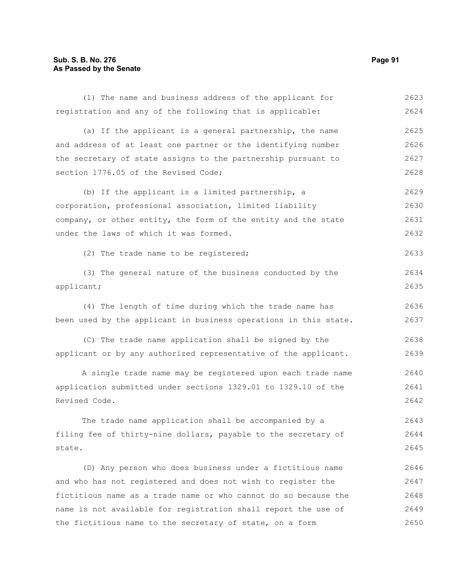# **Sub. S. B. No. 276 Page 91 As Passed by the Senate**

| (1) The name and business address of the applicant for           | 2623 |
|------------------------------------------------------------------|------|
| registration and any of the following that is applicable:        | 2624 |
| (a) If the applicant is a general partnership, the name          | 2625 |
| and address of at least one partner or the identifying number    | 2626 |
| the secretary of state assigns to the partnership pursuant to    | 2627 |
| section 1776.05 of the Revised Code;                             | 2628 |
| (b) If the applicant is a limited partnership, a                 | 2629 |
| corporation, professional association, limited liability         | 2630 |
| company, or other entity, the form of the entity and the state   | 2631 |
| under the laws of which it was formed.                           | 2632 |
| (2) The trade name to be registered;                             | 2633 |
| (3) The general nature of the business conducted by the          | 2634 |
| applicant;                                                       | 2635 |
| (4) The length of time during which the trade name has           | 2636 |
| been used by the applicant in business operations in this state. | 2637 |
| (C) The trade name application shall be signed by the            | 2638 |
| applicant or by any authorized representative of the applicant.  | 2639 |
| A single trade name may be registered upon each trade name       | 2640 |
| application submitted under sections 1329.01 to 1329.10 of the   | 2641 |
| Revised Code.                                                    | 2642 |
| The trade name application shall be accompanied by a             | 2643 |
| filing fee of thirty-nine dollars, payable to the secretary of   | 2644 |
| state.                                                           | 2645 |
| (D) Any person who does business under a fictitious name         | 2646 |
| and who has not registered and does not wish to register the     | 2647 |
| fictitious name as a trade name or who cannot do so because the  | 2648 |
| name is not available for registration shall report the use of   | 2649 |
| the fictitious name to the secretary of state, on a form         | 2650 |
|                                                                  |      |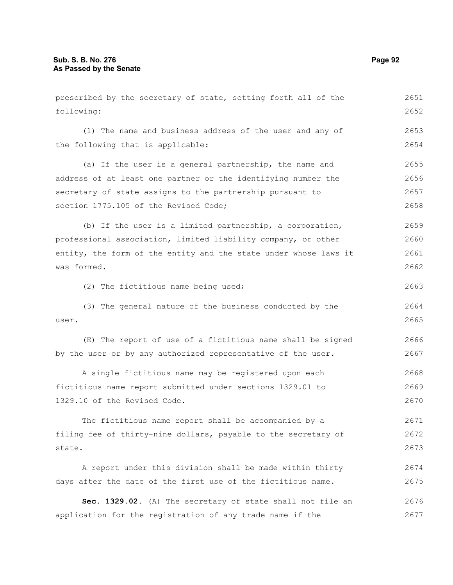prescribed by the secretary of state, setting forth all of the following: (1) The name and business address of the user and any of the following that is applicable: (a) If the user is a general partnership, the name and address of at least one partner or the identifying number the secretary of state assigns to the partnership pursuant to section 1775.105 of the Revised Code; (b) If the user is a limited partnership, a corporation, professional association, limited liability company, or other entity, the form of the entity and the state under whose laws it was formed. (2) The fictitious name being used; (3) The general nature of the business conducted by the user. (E) The report of use of a fictitious name shall be signed by the user or by any authorized representative of the user. A single fictitious name may be registered upon each fictitious name report submitted under sections 1329.01 to 1329.10 of the Revised Code. The fictitious name report shall be accompanied by a filing fee of thirty-nine dollars, payable to the secretary of state. A report under this division shall be made within thirty days after the date of the first use of the fictitious name. **Sec. 1329.02.** (A) The secretary of state shall not file an application for the registration of any trade name if the 2652 2653 2654 2655 2656 2657 2658 2659 2660 2661 2662 2663 2664 2665 2666 2667 2668 2669 2670 2671 2672 2673 2674 2675 2676 2677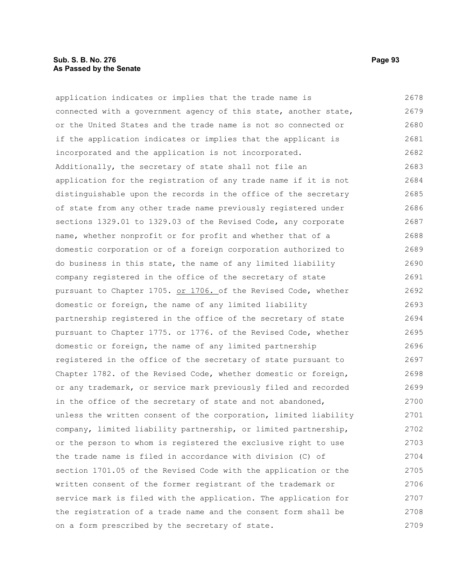# **Sub. S. B. No. 276 Page 93 As Passed by the Senate**

application indicates or implies that the trade name is connected with a government agency of this state, another state, or the United States and the trade name is not so connected or if the application indicates or implies that the applicant is incorporated and the application is not incorporated. Additionally, the secretary of state shall not file an application for the registration of any trade name if it is not distinguishable upon the records in the office of the secretary of state from any other trade name previously registered under sections 1329.01 to 1329.03 of the Revised Code, any corporate name, whether nonprofit or for profit and whether that of a domestic corporation or of a foreign corporation authorized to do business in this state, the name of any limited liability company registered in the office of the secretary of state pursuant to Chapter 1705. or 1706. of the Revised Code, whether domestic or foreign, the name of any limited liability partnership registered in the office of the secretary of state pursuant to Chapter 1775. or 1776. of the Revised Code, whether domestic or foreign, the name of any limited partnership registered in the office of the secretary of state pursuant to Chapter 1782. of the Revised Code, whether domestic or foreign, or any trademark, or service mark previously filed and recorded in the office of the secretary of state and not abandoned, unless the written consent of the corporation, limited liability company, limited liability partnership, or limited partnership, or the person to whom is registered the exclusive right to use the trade name is filed in accordance with division (C) of section 1701.05 of the Revised Code with the application or the written consent of the former registrant of the trademark or service mark is filed with the application. The application for the registration of a trade name and the consent form shall be on a form prescribed by the secretary of state. 2678 2679 2680 2681 2682 2683 2684 2685 2686 2687 2688 2689 2690 2691 2692 2693 2694 2695 2696 2697 2698 2699 2700 2701 2702 2703 2704 2705 2706 2707 2708 2709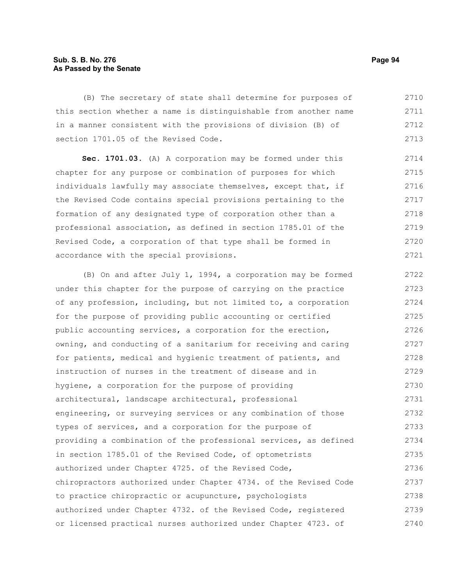# **Sub. S. B. No. 276 Page 94 As Passed by the Senate**

(B) The secretary of state shall determine for purposes of this section whether a name is distinguishable from another name in a manner consistent with the provisions of division (B) of section 1701.05 of the Revised Code. 2710 2711 2712 2713

**Sec. 1701.03.** (A) A corporation may be formed under this chapter for any purpose or combination of purposes for which individuals lawfully may associate themselves, except that, if the Revised Code contains special provisions pertaining to the formation of any designated type of corporation other than a professional association, as defined in section 1785.01 of the Revised Code, a corporation of that type shall be formed in accordance with the special provisions. 2714 2715 2716 2717 2718 2719 2720 2721

(B) On and after July 1, 1994, a corporation may be formed under this chapter for the purpose of carrying on the practice of any profession, including, but not limited to, a corporation for the purpose of providing public accounting or certified public accounting services, a corporation for the erection, owning, and conducting of a sanitarium for receiving and caring for patients, medical and hygienic treatment of patients, and instruction of nurses in the treatment of disease and in hygiene, a corporation for the purpose of providing architectural, landscape architectural, professional engineering, or surveying services or any combination of those types of services, and a corporation for the purpose of providing a combination of the professional services, as defined in section 1785.01 of the Revised Code, of optometrists authorized under Chapter 4725. of the Revised Code, chiropractors authorized under Chapter 4734. of the Revised Code to practice chiropractic or acupuncture, psychologists authorized under Chapter 4732. of the Revised Code, registered or licensed practical nurses authorized under Chapter 4723. of 2722 2723 2724 2725 2726 2727 2728 2729 2730 2731 2732 2733 2734 2735 2736 2737 2738 2739 2740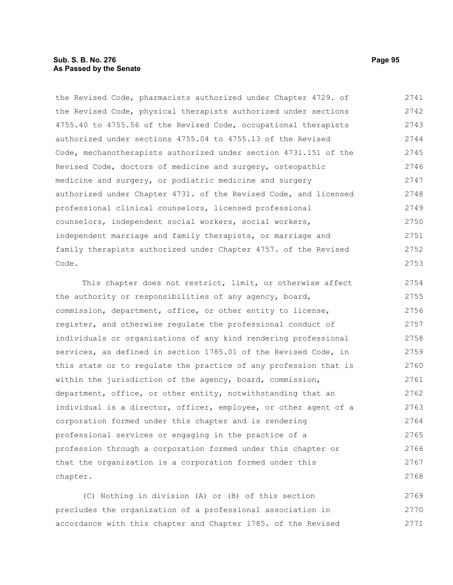# **Sub. S. B. No. 276 Page 95 As Passed by the Senate**

the Revised Code, pharmacists authorized under Chapter 4729. of the Revised Code, physical therapists authorized under sections 4755.40 to 4755.56 of the Revised Code, occupational therapists authorized under sections 4755.04 to 4755.13 of the Revised Code, mechanotherapists authorized under section 4731.151 of the Revised Code, doctors of medicine and surgery, osteopathic medicine and surgery, or podiatric medicine and surgery authorized under Chapter 4731. of the Revised Code, and licensed professional clinical counselors, licensed professional counselors, independent social workers, social workers, independent marriage and family therapists, or marriage and family therapists authorized under Chapter 4757. of the Revised Code. 2741 2742 2743 2744 2745 2746 2747 2748 2749 2750 2751 2752 2753

This chapter does not restrict, limit, or otherwise affect the authority or responsibilities of any agency, board, commission, department, office, or other entity to license, register, and otherwise regulate the professional conduct of individuals or organizations of any kind rendering professional services, as defined in section 1785.01 of the Revised Code, in this state or to regulate the practice of any profession that is within the jurisdiction of the agency, board, commission, department, office, or other entity, notwithstanding that an individual is a director, officer, employee, or other agent of a corporation formed under this chapter and is rendering professional services or engaging in the practice of a profession through a corporation formed under this chapter or that the organization is a corporation formed under this chapter. 2754 2755 2756 2757 2758 2759 2760 2761 2762 2763 2764 2765 2766 2767 2768

(C) Nothing in division (A) or (B) of this section precludes the organization of a professional association in accordance with this chapter and Chapter 1785. of the Revised 2769 2770 2771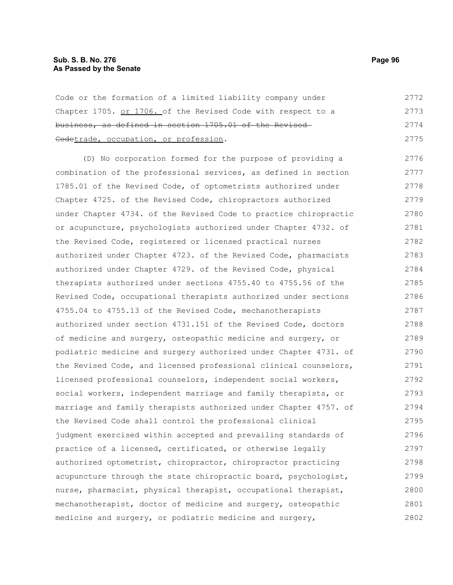# **Sub. S. B. No. 276 Page 96 As Passed by the Senate**

Code or the formation of a limited liability company under Chapter 1705. or 1706. of the Revised Code with respect to a business, as defined in section 1705.01 of the Revised Codetrade, occupation, or profession. 2772 2773 2774 2775

(D) No corporation formed for the purpose of providing a combination of the professional services, as defined in section 1785.01 of the Revised Code, of optometrists authorized under Chapter 4725. of the Revised Code, chiropractors authorized under Chapter 4734. of the Revised Code to practice chiropractic or acupuncture, psychologists authorized under Chapter 4732. of the Revised Code, registered or licensed practical nurses authorized under Chapter 4723. of the Revised Code, pharmacists authorized under Chapter 4729. of the Revised Code, physical therapists authorized under sections 4755.40 to 4755.56 of the Revised Code, occupational therapists authorized under sections 4755.04 to 4755.13 of the Revised Code, mechanotherapists authorized under section 4731.151 of the Revised Code, doctors of medicine and surgery, osteopathic medicine and surgery, or podiatric medicine and surgery authorized under Chapter 4731. of the Revised Code, and licensed professional clinical counselors, licensed professional counselors, independent social workers, social workers, independent marriage and family therapists, or marriage and family therapists authorized under Chapter 4757. of the Revised Code shall control the professional clinical judgment exercised within accepted and prevailing standards of practice of a licensed, certificated, or otherwise legally authorized optometrist, chiropractor, chiropractor practicing acupuncture through the state chiropractic board, psychologist, nurse, pharmacist, physical therapist, occupational therapist, mechanotherapist, doctor of medicine and surgery, osteopathic medicine and surgery, or podiatric medicine and surgery, 2776 2777 2778 2779 2780 2781 2782 2783 2784 2785 2786 2787 2788 2789 2790 2791 2792 2793 2794 2795 2796 2797 2798 2799 2800 2801 2802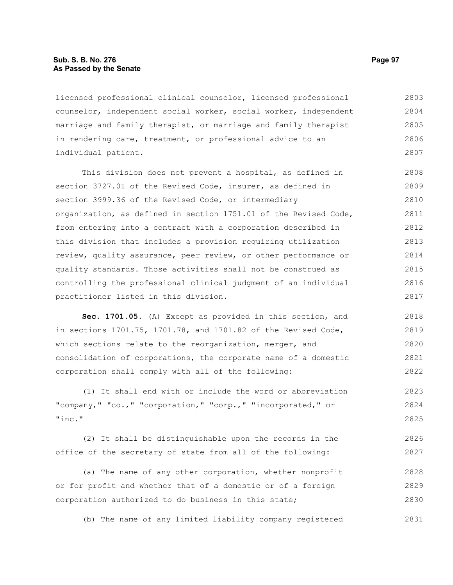# **Sub. S. B. No. 276 Page 97 As Passed by the Senate**

licensed professional clinical counselor, licensed professional counselor, independent social worker, social worker, independent marriage and family therapist, or marriage and family therapist in rendering care, treatment, or professional advice to an individual patient. 2803 2804 2805 2806 2807

This division does not prevent a hospital, as defined in section 3727.01 of the Revised Code, insurer, as defined in section 3999.36 of the Revised Code, or intermediary organization, as defined in section 1751.01 of the Revised Code, from entering into a contract with a corporation described in this division that includes a provision requiring utilization review, quality assurance, peer review, or other performance or quality standards. Those activities shall not be construed as controlling the professional clinical judgment of an individual practitioner listed in this division. 2808 2809 2810 2811 2812 2813 2814 2815 2816 2817

**Sec. 1701.05.** (A) Except as provided in this section, and in sections 1701.75, 1701.78, and 1701.82 of the Revised Code, which sections relate to the reorganization, merger, and consolidation of corporations, the corporate name of a domestic corporation shall comply with all of the following: 2818 2819 2820 2821 2822

(1) It shall end with or include the word or abbreviation "company," "co.," "corporation," "corp.," "incorporated," or "inc." 2823 2824 2825

(2) It shall be distinguishable upon the records in the office of the secretary of state from all of the following: 2826 2827

(a) The name of any other corporation, whether nonprofit or for profit and whether that of a domestic or of a foreign corporation authorized to do business in this state; 2828 2829 2830

(b) The name of any limited liability company registered 2831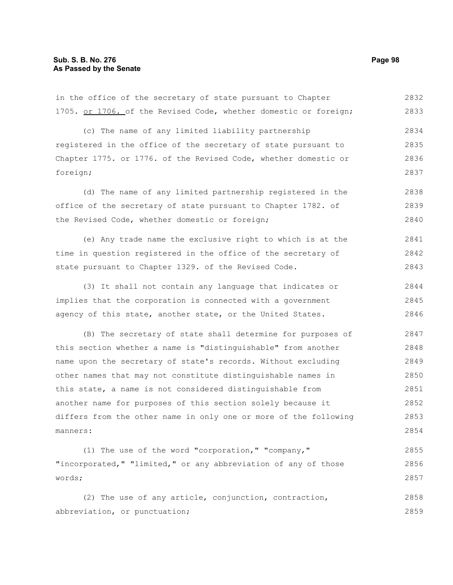in the office of the secretary of state pursuant to Chapter 1705. or 1706. of the Revised Code, whether domestic or foreign; 2832 2833

(c) The name of any limited liability partnership registered in the office of the secretary of state pursuant to Chapter 1775. or 1776. of the Revised Code, whether domestic or foreign; 2834 2835 2836 2837

(d) The name of any limited partnership registered in the office of the secretary of state pursuant to Chapter 1782. of the Revised Code, whether domestic or foreign; 2838 2839 2840

(e) Any trade name the exclusive right to which is at the time in question registered in the office of the secretary of state pursuant to Chapter 1329. of the Revised Code. 2841 2842 2843

(3) It shall not contain any language that indicates or implies that the corporation is connected with a government agency of this state, another state, or the United States. 2844 2845 2846

(B) The secretary of state shall determine for purposes of this section whether a name is "distinguishable" from another name upon the secretary of state's records. Without excluding other names that may not constitute distinguishable names in this state, a name is not considered distinguishable from another name for purposes of this section solely because it differs from the other name in only one or more of the following manners: 2847 2848 2849 2850 2851 2852 2853 2854

(1) The use of the word "corporation," "company," "incorporated," "limited," or any abbreviation of any of those words; 2855 2856 2857

(2) The use of any article, conjunction, contraction, abbreviation, or punctuation; 2858 2859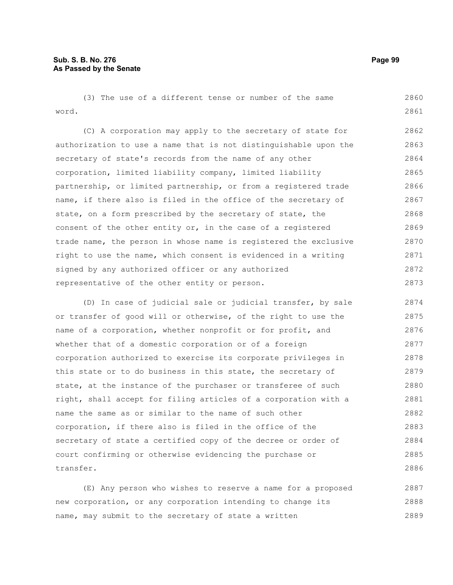(3) The use of a different tense or number of the same word. 2860 2861

(C) A corporation may apply to the secretary of state for authorization to use a name that is not distinguishable upon the secretary of state's records from the name of any other corporation, limited liability company, limited liability partnership, or limited partnership, or from a registered trade name, if there also is filed in the office of the secretary of state, on a form prescribed by the secretary of state, the consent of the other entity or, in the case of a registered trade name, the person in whose name is registered the exclusive right to use the name, which consent is evidenced in a writing signed by any authorized officer or any authorized representative of the other entity or person. 2862 2863 2864 2865 2866 2867 2868 2869 2870 2871 2872 2873

(D) In case of judicial sale or judicial transfer, by sale or transfer of good will or otherwise, of the right to use the name of a corporation, whether nonprofit or for profit, and whether that of a domestic corporation or of a foreign corporation authorized to exercise its corporate privileges in this state or to do business in this state, the secretary of state, at the instance of the purchaser or transferee of such right, shall accept for filing articles of a corporation with a name the same as or similar to the name of such other corporation, if there also is filed in the office of the secretary of state a certified copy of the decree or order of court confirming or otherwise evidencing the purchase or transfer. 2874 2875 2876 2877 2878 2879 2880 2881 2882 2883 2884 2885 2886

(E) Any person who wishes to reserve a name for a proposed new corporation, or any corporation intending to change its name, may submit to the secretary of state a written 2887 2888 2889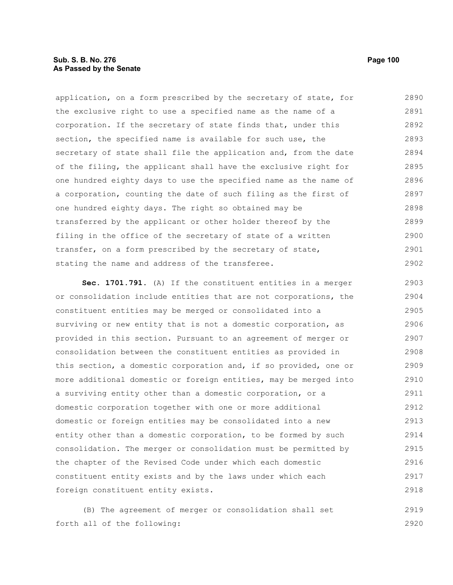# **Sub. S. B. No. 276 Page 100 As Passed by the Senate**

application, on a form prescribed by the secretary of state, for the exclusive right to use a specified name as the name of a corporation. If the secretary of state finds that, under this section, the specified name is available for such use, the secretary of state shall file the application and, from the date of the filing, the applicant shall have the exclusive right for one hundred eighty days to use the specified name as the name of a corporation, counting the date of such filing as the first of one hundred eighty days. The right so obtained may be transferred by the applicant or other holder thereof by the filing in the office of the secretary of state of a written transfer, on a form prescribed by the secretary of state, stating the name and address of the transferee. 2890 2891 2892 2893 2894 2895 2896 2897 2898 2899 2900 2901 2902

**Sec. 1701.791.** (A) If the constituent entities in a merger or consolidation include entities that are not corporations, the constituent entities may be merged or consolidated into a surviving or new entity that is not a domestic corporation, as provided in this section. Pursuant to an agreement of merger or consolidation between the constituent entities as provided in this section, a domestic corporation and, if so provided, one or more additional domestic or foreign entities, may be merged into a surviving entity other than a domestic corporation, or a domestic corporation together with one or more additional domestic or foreign entities may be consolidated into a new entity other than a domestic corporation, to be formed by such consolidation. The merger or consolidation must be permitted by the chapter of the Revised Code under which each domestic constituent entity exists and by the laws under which each foreign constituent entity exists. 2903 2904 2905 2906 2907 2908 2909 2910 2911 2912 2913 2914 2915 2916 2917 2918

(B) The agreement of merger or consolidation shall set forth all of the following: 2919 2920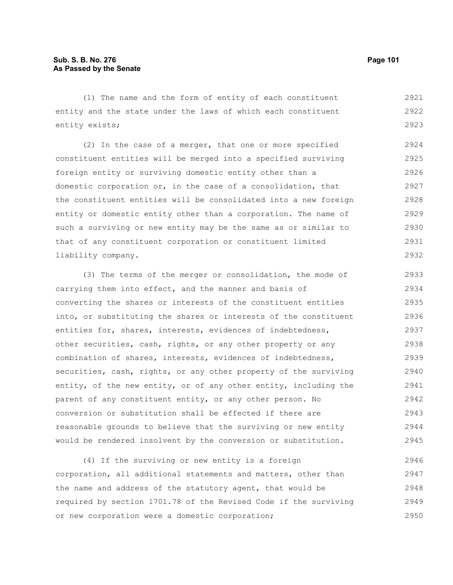(1) The name and the form of entity of each constituent entity and the state under the laws of which each constituent entity exists; 2921 2922 2923

(2) In the case of a merger, that one or more specified constituent entities will be merged into a specified surviving foreign entity or surviving domestic entity other than a domestic corporation or, in the case of a consolidation, that the constituent entities will be consolidated into a new foreign entity or domestic entity other than a corporation. The name of such a surviving or new entity may be the same as or similar to that of any constituent corporation or constituent limited liability company. 2924 2925 2926 2927 2928 2929 2930 2931 2932

(3) The terms of the merger or consolidation, the mode of carrying them into effect, and the manner and basis of converting the shares or interests of the constituent entities into, or substituting the shares or interests of the constituent entities for, shares, interests, evidences of indebtedness, other securities, cash, rights, or any other property or any combination of shares, interests, evidences of indebtedness, securities, cash, rights, or any other property of the surviving entity, of the new entity, or of any other entity, including the parent of any constituent entity, or any other person. No conversion or substitution shall be effected if there are reasonable grounds to believe that the surviving or new entity would be rendered insolvent by the conversion or substitution. 2933 2934 2935 2936 2937 2938 2939 2940 2941 2942 2943 2944 2945

(4) If the surviving or new entity is a foreign corporation, all additional statements and matters, other than the name and address of the statutory agent, that would be required by section 1701.78 of the Revised Code if the surviving or new corporation were a domestic corporation; 2946 2947 2948 2949 2950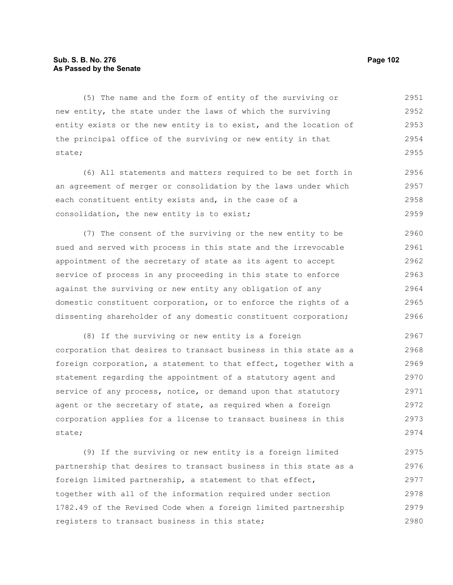# **Sub. S. B. No. 276 Page 102 As Passed by the Senate**

(5) The name and the form of entity of the surviving or new entity, the state under the laws of which the surviving entity exists or the new entity is to exist, and the location of the principal office of the surviving or new entity in that state; 2951 2952 2953 2954 2955

(6) All statements and matters required to be set forth in an agreement of merger or consolidation by the laws under which each constituent entity exists and, in the case of a consolidation, the new entity is to exist; 2956 2957 2958 2959

(7) The consent of the surviving or the new entity to be sued and served with process in this state and the irrevocable appointment of the secretary of state as its agent to accept service of process in any proceeding in this state to enforce against the surviving or new entity any obligation of any domestic constituent corporation, or to enforce the rights of a dissenting shareholder of any domestic constituent corporation; 2960 2961 2962 2963 2964 2965 2966

(8) If the surviving or new entity is a foreign corporation that desires to transact business in this state as a foreign corporation, a statement to that effect, together with a statement regarding the appointment of a statutory agent and service of any process, notice, or demand upon that statutory agent or the secretary of state, as required when a foreign corporation applies for a license to transact business in this state; 2967 2968 2969 2970 2971 2972 2973 2974

(9) If the surviving or new entity is a foreign limited partnership that desires to transact business in this state as a foreign limited partnership, a statement to that effect, together with all of the information required under section 1782.49 of the Revised Code when a foreign limited partnership registers to transact business in this state; 2975 2976 2977 2978 2979 2980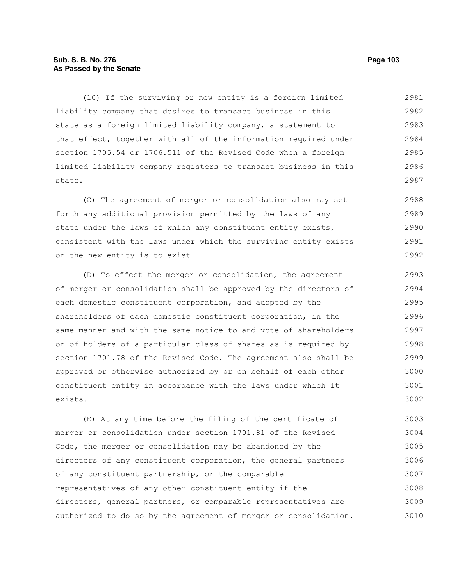# **Sub. S. B. No. 276 Page 103 As Passed by the Senate**

(10) If the surviving or new entity is a foreign limited liability company that desires to transact business in this state as a foreign limited liability company, a statement to that effect, together with all of the information required under section 1705.54 or 1706.511 of the Revised Code when a foreign limited liability company registers to transact business in this state. 2981 2982 2983 2984 2985 2986 2987

(C) The agreement of merger or consolidation also may set forth any additional provision permitted by the laws of any state under the laws of which any constituent entity exists, consistent with the laws under which the surviving entity exists or the new entity is to exist. 2988 2989 2990 2991 2992

(D) To effect the merger or consolidation, the agreement of merger or consolidation shall be approved by the directors of each domestic constituent corporation, and adopted by the shareholders of each domestic constituent corporation, in the same manner and with the same notice to and vote of shareholders or of holders of a particular class of shares as is required by section 1701.78 of the Revised Code. The agreement also shall be approved or otherwise authorized by or on behalf of each other constituent entity in accordance with the laws under which it exists. 2993 2994 2995 2996 2997 2998 2999 3000 3001 3002

(E) At any time before the filing of the certificate of merger or consolidation under section 1701.81 of the Revised Code, the merger or consolidation may be abandoned by the directors of any constituent corporation, the general partners of any constituent partnership, or the comparable representatives of any other constituent entity if the directors, general partners, or comparable representatives are authorized to do so by the agreement of merger or consolidation. 3003 3004 3005 3006 3007 3008 3009 3010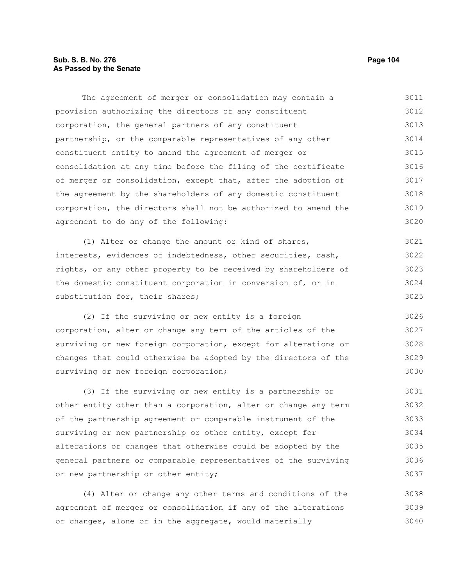# **Sub. S. B. No. 276 Page 104 As Passed by the Senate**

The agreement of merger or consolidation may contain a provision authorizing the directors of any constituent corporation, the general partners of any constituent partnership, or the comparable representatives of any other constituent entity to amend the agreement of merger or consolidation at any time before the filing of the certificate of merger or consolidation, except that, after the adoption of the agreement by the shareholders of any domestic constituent corporation, the directors shall not be authorized to amend the agreement to do any of the following: (1) Alter or change the amount or kind of shares, interests, evidences of indebtedness, other securities, cash, rights, or any other property to be received by shareholders of the domestic constituent corporation in conversion of, or in substitution for, their shares; (2) If the surviving or new entity is a foreign corporation, alter or change any term of the articles of the surviving or new foreign corporation, except for alterations or changes that could otherwise be adopted by the directors of the surviving or new foreign corporation; (3) If the surviving or new entity is a partnership or other entity other than a corporation, alter or change any term of the partnership agreement or comparable instrument of the surviving or new partnership or other entity, except for alterations or changes that otherwise could be adopted by the general partners or comparable representatives of the surviving or new partnership or other entity; 3011 3012 3013 3014 3015 3016 3017 3018 3019 3020 3021 3022 3023 3024 3025 3026 3027 3028 3029 3030 3031 3032 3033 3034 3035 3036 3037

(4) Alter or change any other terms and conditions of the agreement of merger or consolidation if any of the alterations or changes, alone or in the aggregate, would materially 3038 3039 3040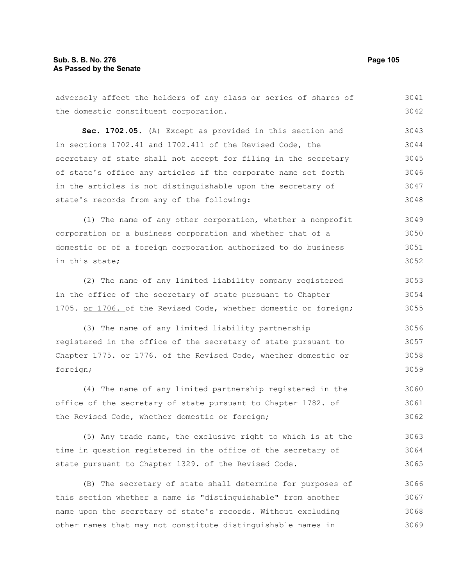adversely affect the holders of any class or series of shares of the domestic constituent corporation. **Sec. 1702.05.** (A) Except as provided in this section and in sections 1702.41 and 1702.411 of the Revised Code, the secretary of state shall not accept for filing in the secretary of state's office any articles if the corporate name set forth in the articles is not distinguishable upon the secretary of state's records from any of the following: (1) The name of any other corporation, whether a nonprofit corporation or a business corporation and whether that of a domestic or of a foreign corporation authorized to do business in this state; (2) The name of any limited liability company registered in the office of the secretary of state pursuant to Chapter 1705. or 1706. of the Revised Code, whether domestic or foreign; (3) The name of any limited liability partnership registered in the office of the secretary of state pursuant to Chapter 1775. or 1776. of the Revised Code, whether domestic or foreign; (4) The name of any limited partnership registered in the office of the secretary of state pursuant to Chapter 1782. of the Revised Code, whether domestic or foreign; (5) Any trade name, the exclusive right to which is at the time in question registered in the office of the secretary of state pursuant to Chapter 1329. of the Revised Code. (B) The secretary of state shall determine for purposes of 3041 3042 3043 3044 3045 3046 3047 3048 3049 3050 3051 3052 3053 3054 3055 3056 3057 3058 3059 3060 3061 3062 3063 3064 3065 3066

this section whether a name is "distinguishable" from another name upon the secretary of state's records. Without excluding other names that may not constitute distinguishable names in 3067 3068 3069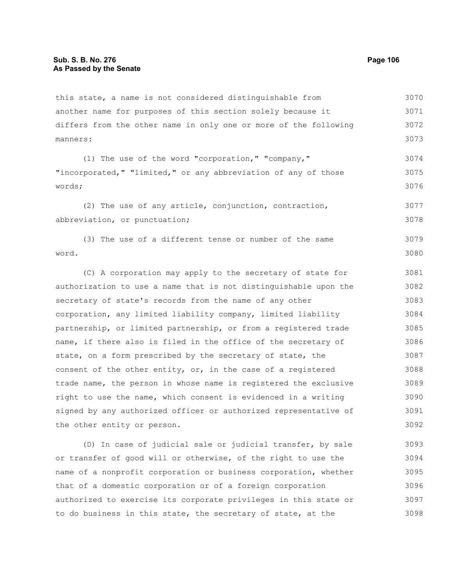this state, a name is not considered distinguishable from another name for purposes of this section solely because it differs from the other name in only one or more of the following manners: 3070 3071 3072 3073

(1) The use of the word "corporation," "company," "incorporated," "limited," or any abbreviation of any of those words; 3074 3075 3076

(2) The use of any article, conjunction, contraction, abbreviation, or punctuation; 3077 3078

(3) The use of a different tense or number of the same word. 3079 3080

(C) A corporation may apply to the secretary of state for authorization to use a name that is not distinguishable upon the secretary of state's records from the name of any other corporation, any limited liability company, limited liability partnership, or limited partnership, or from a registered trade name, if there also is filed in the office of the secretary of state, on a form prescribed by the secretary of state, the consent of the other entity, or, in the case of a registered trade name, the person in whose name is registered the exclusive right to use the name, which consent is evidenced in a writing signed by any authorized officer or authorized representative of the other entity or person. 3081 3082 3083 3084 3085 3086 3087 3088 3089 3090 3091 3092

(D) In case of judicial sale or judicial transfer, by sale or transfer of good will or otherwise, of the right to use the name of a nonprofit corporation or business corporation, whether that of a domestic corporation or of a foreign corporation authorized to exercise its corporate privileges in this state or to do business in this state, the secretary of state, at the 3093 3094 3095 3096 3097 3098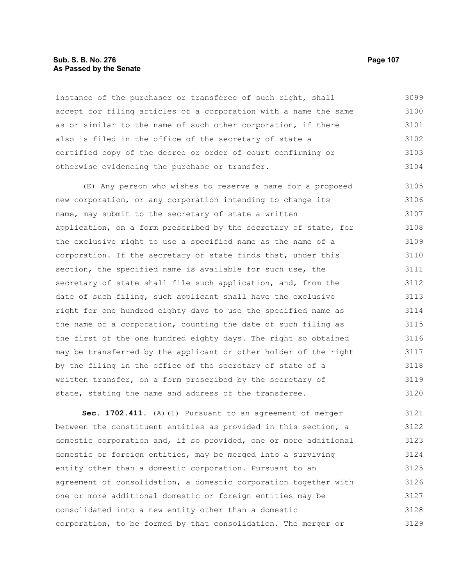## **Sub. S. B. No. 276 Page 107 As Passed by the Senate**

instance of the purchaser or transferee of such right, shall accept for filing articles of a corporation with a name the same as or similar to the name of such other corporation, if there also is filed in the office of the secretary of state a certified copy of the decree or order of court confirming or otherwise evidencing the purchase or transfer. 3099 3100 3101 3102 3103 3104

(E) Any person who wishes to reserve a name for a proposed new corporation, or any corporation intending to change its name, may submit to the secretary of state a written application, on a form prescribed by the secretary of state, for the exclusive right to use a specified name as the name of a corporation. If the secretary of state finds that, under this section, the specified name is available for such use, the secretary of state shall file such application, and, from the date of such filing, such applicant shall have the exclusive right for one hundred eighty days to use the specified name as the name of a corporation, counting the date of such filing as the first of the one hundred eighty days. The right so obtained may be transferred by the applicant or other holder of the right by the filing in the office of the secretary of state of a written transfer, on a form prescribed by the secretary of state, stating the name and address of the transferee. 3105 3106 3107 3108 3109 3110 3111 3112 3113 3114 3115 3116 3117 3118 3119 3120

**Sec. 1702.411.** (A)(1) Pursuant to an agreement of merger between the constituent entities as provided in this section, a domestic corporation and, if so provided, one or more additional domestic or foreign entities, may be merged into a surviving entity other than a domestic corporation. Pursuant to an agreement of consolidation, a domestic corporation together with one or more additional domestic or foreign entities may be consolidated into a new entity other than a domestic corporation, to be formed by that consolidation. The merger or 3121 3122 3123 3124 3125 3126 3127 3128 3129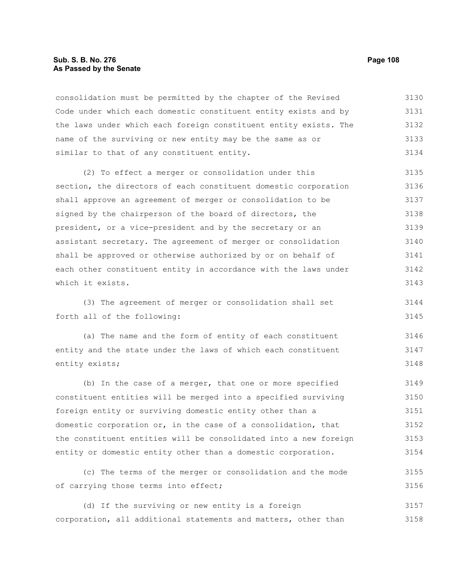# **Sub. S. B. No. 276 Page 108 As Passed by the Senate**

consolidation must be permitted by the chapter of the Revised Code under which each domestic constituent entity exists and by the laws under which each foreign constituent entity exists. The name of the surviving or new entity may be the same as or similar to that of any constituent entity. 3130 3131 3132 3133 3134

(2) To effect a merger or consolidation under this section, the directors of each constituent domestic corporation shall approve an agreement of merger or consolidation to be signed by the chairperson of the board of directors, the president, or a vice-president and by the secretary or an assistant secretary. The agreement of merger or consolidation shall be approved or otherwise authorized by or on behalf of each other constituent entity in accordance with the laws under which it exists. 3135 3136 3137 3138 3139 3140 3141 3142 3143

(3) The agreement of merger or consolidation shall set forth all of the following: 3144 3145

(a) The name and the form of entity of each constituent entity and the state under the laws of which each constituent entity exists; 3146 3147 3148

(b) In the case of a merger, that one or more specified constituent entities will be merged into a specified surviving foreign entity or surviving domestic entity other than a domestic corporation or, in the case of a consolidation, that the constituent entities will be consolidated into a new foreign entity or domestic entity other than a domestic corporation. 3149 3150 3151 3152 3153 3154

(c) The terms of the merger or consolidation and the mode of carrying those terms into effect; 3155 3156

(d) If the surviving or new entity is a foreign corporation, all additional statements and matters, other than 3157 3158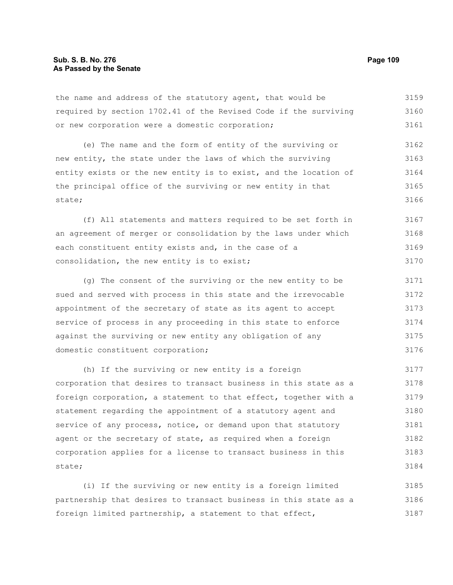the name and address of the statutory agent, that would be required by section 1702.41 of the Revised Code if the surviving or new corporation were a domestic corporation; 3159 3160 3161

(e) The name and the form of entity of the surviving or new entity, the state under the laws of which the surviving entity exists or the new entity is to exist, and the location of the principal office of the surviving or new entity in that state; 3162 3163 3164 3165 3166

(f) All statements and matters required to be set forth in an agreement of merger or consolidation by the laws under which each constituent entity exists and, in the case of a consolidation, the new entity is to exist; 3167 3168 3169 3170

(g) The consent of the surviving or the new entity to be sued and served with process in this state and the irrevocable appointment of the secretary of state as its agent to accept service of process in any proceeding in this state to enforce against the surviving or new entity any obligation of any domestic constituent corporation; 3171 3172 3173 3174 3175 3176

(h) If the surviving or new entity is a foreign corporation that desires to transact business in this state as a foreign corporation, a statement to that effect, together with a statement regarding the appointment of a statutory agent and service of any process, notice, or demand upon that statutory agent or the secretary of state, as required when a foreign corporation applies for a license to transact business in this state; 3177 3178 3179 3180 3181 3182 3183 3184

(i) If the surviving or new entity is a foreign limited partnership that desires to transact business in this state as a foreign limited partnership, a statement to that effect, 3185 3186 3187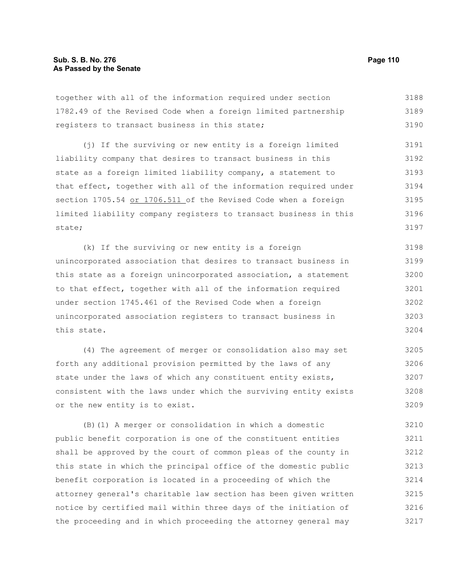together with all of the information required under section 1782.49 of the Revised Code when a foreign limited partnership registers to transact business in this state; 3188 3189 3190

(j) If the surviving or new entity is a foreign limited liability company that desires to transact business in this state as a foreign limited liability company, a statement to that effect, together with all of the information required under section 1705.54 or 1706.511 of the Revised Code when a foreign limited liability company registers to transact business in this state; 3191 3192 3193 3194 3195 3196 3197

(k) If the surviving or new entity is a foreign unincorporated association that desires to transact business in this state as a foreign unincorporated association, a statement to that effect, together with all of the information required under section 1745.461 of the Revised Code when a foreign unincorporated association registers to transact business in this state. 3198 3199 3200 3201 3202 3203 3204

(4) The agreement of merger or consolidation also may set forth any additional provision permitted by the laws of any state under the laws of which any constituent entity exists, consistent with the laws under which the surviving entity exists or the new entity is to exist. 3205 3206 3207 3208 3209

(B)(1) A merger or consolidation in which a domestic public benefit corporation is one of the constituent entities shall be approved by the court of common pleas of the county in this state in which the principal office of the domestic public benefit corporation is located in a proceeding of which the attorney general's charitable law section has been given written notice by certified mail within three days of the initiation of the proceeding and in which proceeding the attorney general may 3210 3211 3212 3213 3214 3215 3216 3217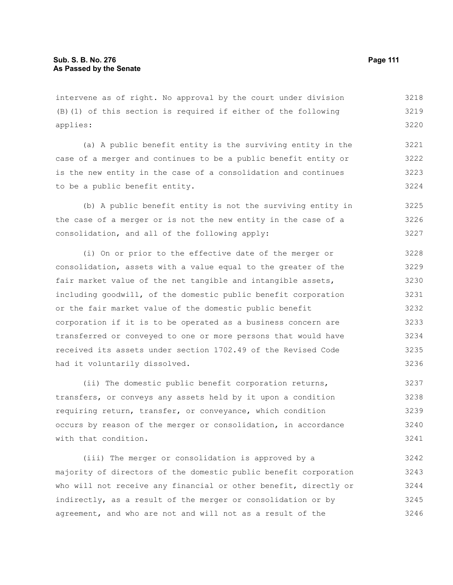intervene as of right. No approval by the court under division (B)(1) of this section is required if either of the following applies: 3218 3219

(a) A public benefit entity is the surviving entity in the case of a merger and continues to be a public benefit entity or is the new entity in the case of a consolidation and continues to be a public benefit entity. 3221 3222 3223 3224

(b) A public benefit entity is not the surviving entity in the case of a merger or is not the new entity in the case of a consolidation, and all of the following apply: 3225 3226 3227

(i) On or prior to the effective date of the merger or consolidation, assets with a value equal to the greater of the fair market value of the net tangible and intangible assets, including goodwill, of the domestic public benefit corporation or the fair market value of the domestic public benefit corporation if it is to be operated as a business concern are transferred or conveyed to one or more persons that would have received its assets under section 1702.49 of the Revised Code had it voluntarily dissolved. 3228 3229 3230 3233 3234 3235 3236

(ii) The domestic public benefit corporation returns, transfers, or conveys any assets held by it upon a condition requiring return, transfer, or conveyance, which condition occurs by reason of the merger or consolidation, in accordance with that condition. 3237 3238 3239 3240 3241

(iii) The merger or consolidation is approved by a majority of directors of the domestic public benefit corporation who will not receive any financial or other benefit, directly or indirectly, as a result of the merger or consolidation or by agreement, and who are not and will not as a result of the 3242 3243 3244 3245 3246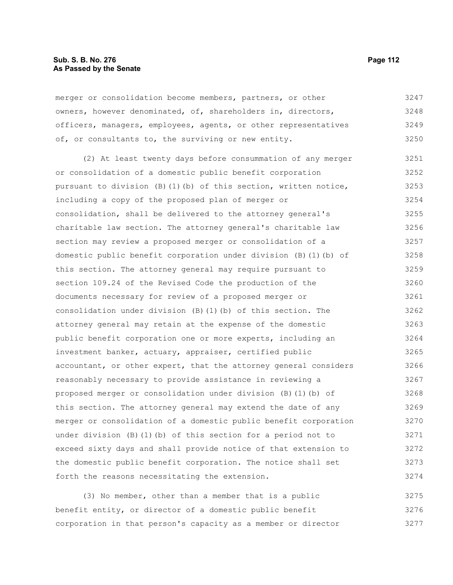### **Sub. S. B. No. 276 Page 112 As Passed by the Senate**

merger or consolidation become members, partners, or other owners, however denominated, of, shareholders in, directors, officers, managers, employees, agents, or other representatives of, or consultants to, the surviving or new entity. 3247 3248 3249 3250

(2) At least twenty days before consummation of any merger or consolidation of a domestic public benefit corporation pursuant to division (B)(1)(b) of this section, written notice, including a copy of the proposed plan of merger or consolidation, shall be delivered to the attorney general's charitable law section. The attorney general's charitable law section may review a proposed merger or consolidation of a domestic public benefit corporation under division (B)(1)(b) of this section. The attorney general may require pursuant to section 109.24 of the Revised Code the production of the documents necessary for review of a proposed merger or consolidation under division (B)(1)(b) of this section. The attorney general may retain at the expense of the domestic public benefit corporation one or more experts, including an investment banker, actuary, appraiser, certified public accountant, or other expert, that the attorney general considers reasonably necessary to provide assistance in reviewing a proposed merger or consolidation under division (B)(1)(b) of this section. The attorney general may extend the date of any merger or consolidation of a domestic public benefit corporation under division (B)(1)(b) of this section for a period not to exceed sixty days and shall provide notice of that extension to the domestic public benefit corporation. The notice shall set forth the reasons necessitating the extension. 3251 3252 3253 3254 3255 3256 3257 3258 3259 3260 3261 3262 3263 3264 3265 3266 3267 3268 3269 3270 3271 3272 3273 3274

(3) No member, other than a member that is a public benefit entity, or director of a domestic public benefit corporation in that person's capacity as a member or director 3275 3276 3277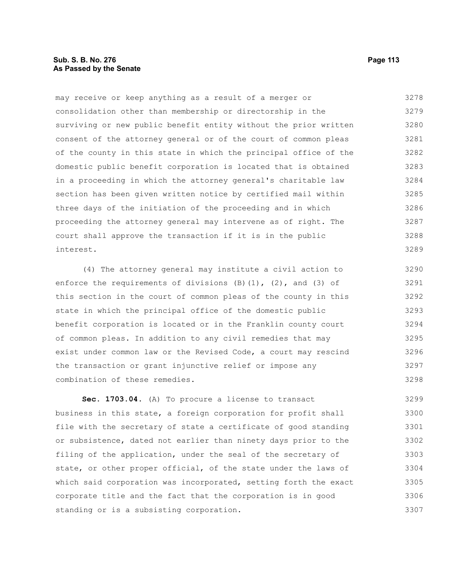### **Sub. S. B. No. 276 Page 113 As Passed by the Senate**

may receive or keep anything as a result of a merger or consolidation other than membership or directorship in the surviving or new public benefit entity without the prior written consent of the attorney general or of the court of common pleas of the county in this state in which the principal office of the domestic public benefit corporation is located that is obtained in a proceeding in which the attorney general's charitable law section has been given written notice by certified mail within three days of the initiation of the proceeding and in which proceeding the attorney general may intervene as of right. The court shall approve the transaction if it is in the public interest. 3278 3279 3280 3281 3282 3283 3284 3285 3286 3287 3288 3289

(4) The attorney general may institute a civil action to enforce the requirements of divisions  $(B)(1)$ ,  $(2)$ , and  $(3)$  of this section in the court of common pleas of the county in this state in which the principal office of the domestic public benefit corporation is located or in the Franklin county court of common pleas. In addition to any civil remedies that may exist under common law or the Revised Code, a court may rescind the transaction or grant injunctive relief or impose any combination of these remedies. 3290 3291 3292 3293 3294 3295 3296 3297 3298

**Sec. 1703.04.** (A) To procure a license to transact business in this state, a foreign corporation for profit shall file with the secretary of state a certificate of good standing or subsistence, dated not earlier than ninety days prior to the filing of the application, under the seal of the secretary of state, or other proper official, of the state under the laws of which said corporation was incorporated, setting forth the exact corporate title and the fact that the corporation is in good standing or is a subsisting corporation. 3299 3300 3301 3302 3303 3304 3305 3306 3307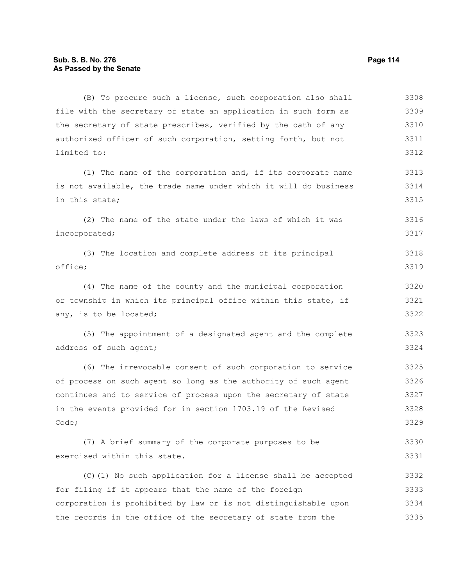(B) To procure such a license, such corporation also shall file with the secretary of state an application in such form as the secretary of state prescribes, verified by the oath of any authorized officer of such corporation, setting forth, but not limited to: 3308 3309 3310 3311 3312

(1) The name of the corporation and, if its corporate name is not available, the trade name under which it will do business in this state; 3313 3314 3315

(2) The name of the state under the laws of which it was incorporated; 3316 3317

(3) The location and complete address of its principal office; 3318 3319

(4) The name of the county and the municipal corporation or township in which its principal office within this state, if any, is to be located; 3320 3321 3322

(5) The appointment of a designated agent and the complete address of such agent; 3323 3324

(6) The irrevocable consent of such corporation to service of process on such agent so long as the authority of such agent continues and to service of process upon the secretary of state in the events provided for in section 1703.19 of the Revised Code; 3325 3326 3327 3328 3329

(7) A brief summary of the corporate purposes to be exercised within this state. 3330 3331

(C)(1) No such application for a license shall be accepted for filing if it appears that the name of the foreign corporation is prohibited by law or is not distinguishable upon the records in the office of the secretary of state from the 3332 3333 3334 3335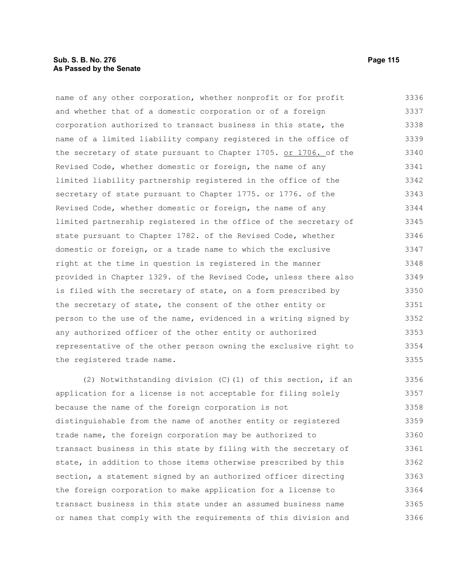### **Sub. S. B. No. 276 Page 115 As Passed by the Senate**

name of any other corporation, whether nonprofit or for profit and whether that of a domestic corporation or of a foreign corporation authorized to transact business in this state, the name of a limited liability company registered in the office of the secretary of state pursuant to Chapter 1705. or 1706. of the Revised Code, whether domestic or foreign, the name of any limited liability partnership registered in the office of the secretary of state pursuant to Chapter 1775. or 1776. of the Revised Code, whether domestic or foreign, the name of any limited partnership registered in the office of the secretary of state pursuant to Chapter 1782. of the Revised Code, whether domestic or foreign, or a trade name to which the exclusive right at the time in question is registered in the manner provided in Chapter 1329. of the Revised Code, unless there also is filed with the secretary of state, on a form prescribed by the secretary of state, the consent of the other entity or person to the use of the name, evidenced in a writing signed by any authorized officer of the other entity or authorized representative of the other person owning the exclusive right to the registered trade name. 3336 3337 3338 3339 3340 3341 3342 3343 3344 3345 3346 3347 3348 3349 3350 3351 3352 3353 3354 3355

(2) Notwithstanding division (C)(1) of this section, if an application for a license is not acceptable for filing solely because the name of the foreign corporation is not distinguishable from the name of another entity or registered trade name, the foreign corporation may be authorized to transact business in this state by filing with the secretary of state, in addition to those items otherwise prescribed by this section, a statement signed by an authorized officer directing the foreign corporation to make application for a license to transact business in this state under an assumed business name or names that comply with the requirements of this division and 3356 3357 3358 3359 3360 3361 3362 3363 3364 3365 3366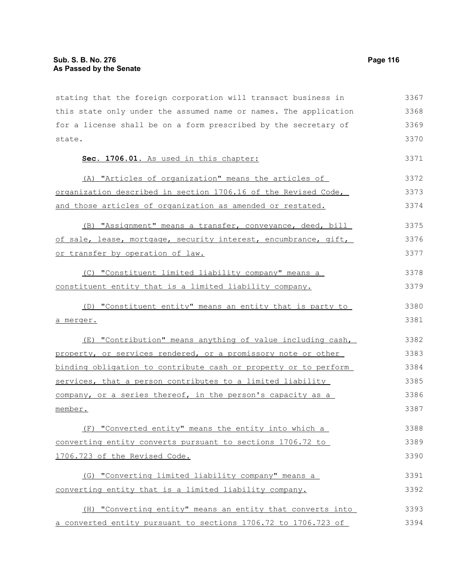stating that the foreign corporation will transact business in this state only under the assumed name or names. The application for a license shall be on a form prescribed by the secretary of state. **Sec. 1706.01.** As used in this chapter: (A) "Articles of organization" means the articles of organization described in section 1706.16 of the Revised Code, and those articles of organization as amended or restated. (B) "Assignment" means a transfer, conveyance, deed, bill of sale, lease, mortgage, security interest, encumbrance, gift, or transfer by operation of law. (C) "Constituent limited liability company" means a constituent entity that is a limited liability company. (D) "Constituent entity" means an entity that is party to a merger. (E) "Contribution" means anything of value including cash, property, or services rendered, or a promissory note or other binding obligation to contribute cash or property or to perform services, that a person contributes to a limited liability company, or a series thereof, in the person's capacity as a member. (F) "Converted entity" means the entity into which a converting entity converts pursuant to sections 1706.72 to 1706.723 of the Revised Code. (G) "Converting limited liability company" means a converting entity that is a limited liability company. (H) "Converting entity" means an entity that converts into a converted entity pursuant to sections 1706.72 to 1706.723 of 3367 3368 3369 3370 3371 3372 3373 3374 3375 3376 3377 3378 3379 3380 3381 3382 3383 3384 3385 3386 3387 3388 3389 3390 3391 3392 3393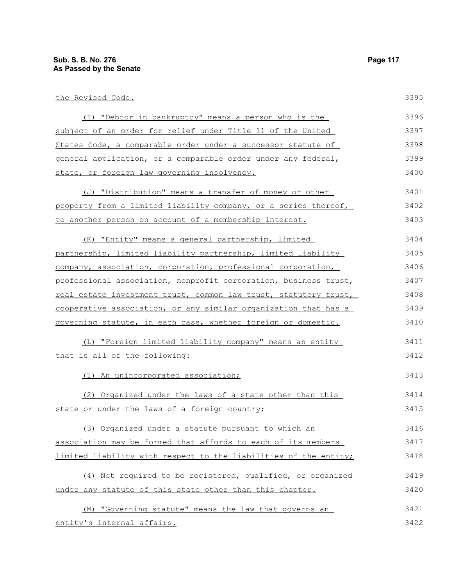| the Revised Code.                                                | 3395 |
|------------------------------------------------------------------|------|
| (I) "Debtor in bankruptcy" means a person who is the             | 3396 |
| subject of an order for relief under Title 11 of the United      | 3397 |
| States Code, a comparable order under a successor statute of     | 3398 |
| general application, or a comparable order under any federal,    | 3399 |
| state, or foreign law governing insolvency.                      | 3400 |
| (J) "Distribution" means a transfer of money or other            | 3401 |
| property from a limited liability company, or a series thereof,  | 3402 |
| to another person on account of a membership interest.           | 3403 |
| (K) "Entity" means a general partnership, limited                | 3404 |
| partnership, limited liability partnership, limited liability    | 3405 |
| company, association, corporation, professional corporation,     | 3406 |
| professional association, nonprofit corporation, business trust, | 3407 |
| real estate investment trust, common law trust, statutory trust, | 3408 |
| cooperative association, or any similar organization that has a  | 3409 |
| governing statute, in each case, whether foreign or domestic.    | 3410 |
| (L) "Foreign limited liability company" means an entity          | 3411 |
| that is all of the following:                                    | 3412 |
| (1) An unincorporated association;                               | 3413 |
| (2) Organized under the laws of a state other than this          | 3414 |
| state or under the laws of a foreign country:                    | 3415 |

state or under the laws of a foreign country;

(3) Organized under a statute pursuant to which an association may be formed that affords to each of its members limited liability with respect to the liabilities of the entity; 3416 3417 3418

(4) Not required to be registered, qualified, or organized under any statute of this state other than this chapter. 3419 3420

(M) "Governing statute" means the law that governs an entity's internal affairs. 3421 3422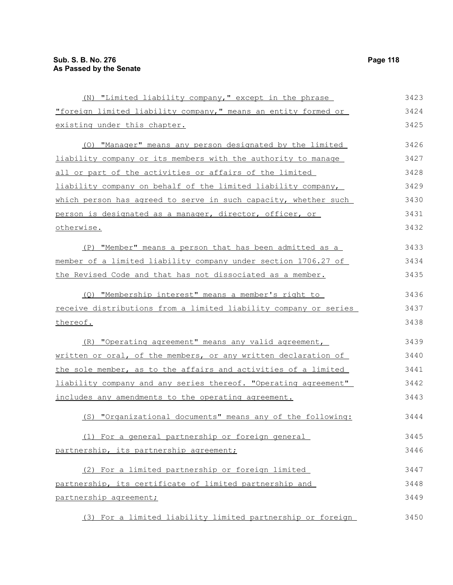(N) "Limited liability company," except in the phrase "foreign limited liability company," means an entity formed or existing under this chapter. (O) "Manager" means any person designated by the limited liability company or its members with the authority to manage all or part of the activities or affairs of the limited liability company on behalf of the limited liability company, which person has agreed to serve in such capacity, whether such person is designated as a manager, director, officer, or otherwise. (P) "Member" means a person that has been admitted as a member of a limited liability company under section 1706.27 of the Revised Code and that has not dissociated as a member. (Q) "Membership interest" means a member's right to receive distributions from a limited liability company or series thereof. (R) "Operating agreement" means any valid agreement, written or oral, of the members, or any written declaration of the sole member, as to the affairs and activities of a limited liability company and any series thereof. "Operating agreement" includes any amendments to the operating agreement. (S) "Organizational documents" means any of the following: (1) For a general partnership or foreign general partnership, its partnership agreement; (2) For a limited partnership or foreign limited partnership, its certificate of limited partnership and partnership agreement; 3424 3425 3426 3427 3428 3429 3430 3431 3432 3433 3434 3435 3436 3437 3438 3439 3440 3441 3442 3443 3444 3445 3446 3447 3448 3449

(3) For a limited liability limited partnership or foreign 3450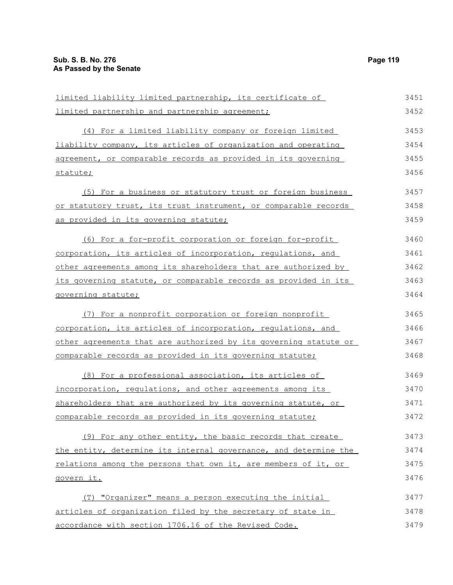| limited liability limited partnership, its certificate of        | 3451 |
|------------------------------------------------------------------|------|
| limited partnership and partnership agreement;                   | 3452 |
| (4) For a limited liability company or foreign limited           | 3453 |
| liability company, its articles of organization and operating    | 3454 |
| agreement, or comparable records as provided in its governing    | 3455 |
| statute;                                                         | 3456 |
| (5) For a business or statutory trust or foreign business        | 3457 |
| or statutory trust, its trust instrument, or comparable records  | 3458 |
| as provided in its governing statute;                            | 3459 |
| (6) For a for-profit corporation or foreign for-profit           | 3460 |
| corporation, its articles of incorporation, regulations, and     | 3461 |
| other agreements among its shareholders that are authorized by   | 3462 |
| its governing statute, or comparable records as provided in its  | 3463 |
| governing statute;                                               | 3464 |
| (7) For a nonprofit corporation or foreign nonprofit             | 3465 |
| corporation, its articles of incorporation, requlations, and     | 3466 |
| other agreements that are authorized by its governing statute or | 3467 |
| comparable records as provided in its governing statute;         | 3468 |
| (8) For a professional association, its articles of              | 3469 |
| incorporation, requlations, and other agreements among its       | 3470 |
| shareholders that are authorized by its governing statute, or    | 3471 |
| comparable records as provided in its governing statute;         | 3472 |
| (9) For any other entity, the basic records that create          | 3473 |
| the entity, determine its internal governance, and determine the | 3474 |
| relations among the persons that own it, are members of it, or   | 3475 |
| govern it.                                                       | 3476 |
| (T) "Organizer" means a person executing the initial             | 3477 |
| articles of organization filed by the secretary of state in      | 3478 |
| accordance with section 1706.16 of the Revised Code.             | 3479 |
|                                                                  |      |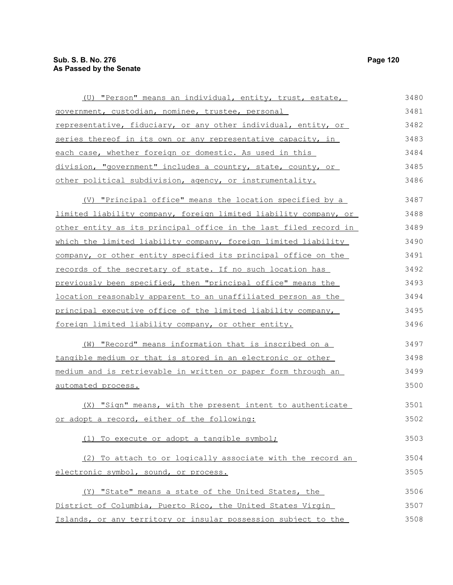| (U) "Person" means an individual, entity, trust, estate,             | 3480 |
|----------------------------------------------------------------------|------|
| government, custodian, nominee, trustee, personal                    | 3481 |
| representative, fiduciary, or any other individual, entity, or       | 3482 |
| series thereof in its own or any representative capacity, in         | 3483 |
| each case, whether foreign or domestic. As used in this              | 3484 |
| division, "government" includes a country, state, county, or         | 3485 |
| other political subdivision, agency, or instrumentality.             | 3486 |
| (V) "Principal office" means the location specified by a             | 3487 |
| limited liability company, foreign limited liability company, or     | 3488 |
| other entity as its principal office in the last filed record in     | 3489 |
| which the limited liability company, foreign limited liability       | 3490 |
| company, or other entity specified its principal office on the       | 3491 |
| records of the secretary of state. If no such location has           | 3492 |
| previously been specified, then "principal office" means the         | 3493 |
| <u>location reasonably apparent to an unaffiliated person as the</u> | 3494 |
| principal executive office of the limited liability company,         | 3495 |
| foreign limited liability company, or other entity.                  | 3496 |
| (W) "Record" means information that is inscribed on a                | 3497 |
| tangible medium or that is stored in an electronic or other          | 3498 |
| medium and is retrievable in written or paper form through an        | 3499 |
| automated process.                                                   | 3500 |
| (X) "Sign" means, with the present intent to authenticate            | 3501 |
| or adopt a record, either of the following:                          | 3502 |
| (1) To execute or adopt a tangible symbol;                           | 3503 |
| (2) To attach to or logically associate with the record an           | 3504 |
| electronic symbol, sound, or process.                                | 3505 |
| (Y) "State" means a state of the United States, the                  | 3506 |
| District of Columbia, Puerto Rico, the United States Virgin          | 3507 |

Islands, or any territory or insular possession subject to the 3508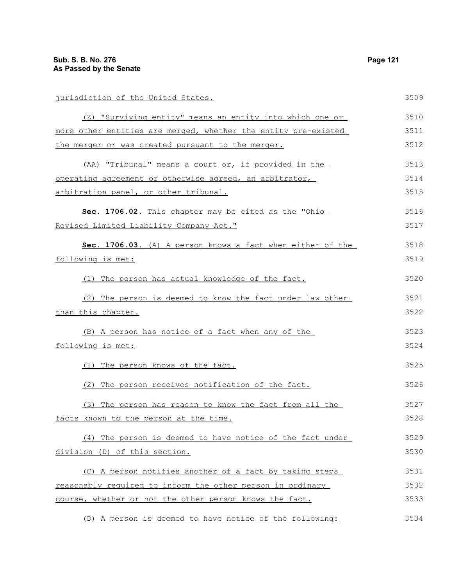| jurisdiction of the United States.                             | 3509 |
|----------------------------------------------------------------|------|
| (Z) "Surviving entity" means an entity into which one or       | 3510 |
| more other entities are merged, whether the entity pre-existed | 3511 |
| the merger or was created pursuant to the merger.              | 3512 |
| (AA) "Tribunal" means a court or, if provided in the           | 3513 |
| operating agreement or otherwise agreed, an arbitrator,        | 3514 |
| arbitration panel, or other tribunal.                          | 3515 |
| Sec. 1706.02. This chapter may be cited as the "Ohio           | 3516 |
| Revised Limited Liability Company Act."                        | 3517 |
| Sec. 1706.03. (A) A person knows a fact when either of the     | 3518 |
| following is met:                                              | 3519 |
| (1) The person has actual knowledge of the fact.               | 3520 |
| (2) The person is deemed to know the fact under law other      | 3521 |
| than this chapter.                                             | 3522 |
| (B) A person has notice of a fact when any of the              | 3523 |
| following is met:                                              | 3524 |
| (1) The person knows of the fact.                              | 3525 |
| (2) The person receives notification of the fact.              | 3526 |
| (3) The person has reason to know the fact from all the        | 3527 |
| facts known to the person at the time.                         | 3528 |
| (4) The person is deemed to have notice of the fact under      | 3529 |
| division (D) of this section.                                  | 3530 |
| (C) A person notifies another of a fact by taking steps        | 3531 |
| reasonably required to inform the other person in ordinary     | 3532 |
| course, whether or not the other person knows the fact.        | 3533 |
| (D) A person is deemed to have notice of the following:        | 3534 |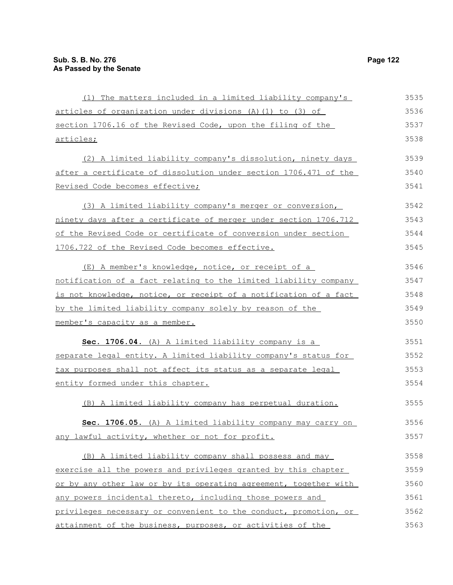(1) The matters included in a limited liability company's articles of organization under divisions (A)(1) to (3) of section 1706.16 of the Revised Code, upon the filing of the articles; (2) A limited liability company's dissolution, ninety days after a certificate of dissolution under section 1706.471 of the Revised Code becomes effective; (3) A limited liability company's merger or conversion, ninety days after a certificate of merger under section 1706.712 of the Revised Code or certificate of conversion under section 1706.722 of the Revised Code becomes effective. (E) A member's knowledge, notice, or receipt of a notification of a fact relating to the limited liability company is not knowledge, notice, or receipt of a notification of a fact by the limited liability company solely by reason of the member's capacity as a member. **Sec. 1706.04.** (A) A limited liability company is a separate legal entity. A limited liability company's status for tax purposes shall not affect its status as a separate legal entity formed under this chapter. (B) A limited liability company has perpetual duration. **Sec. 1706.05.** (A) A limited liability company may carry on any lawful activity, whether or not for profit. (B) A limited liability company shall possess and may exercise all the powers and privileges granted by this chapter or by any other law or by its operating agreement, together with any powers incidental thereto, including those powers and privileges necessary or convenient to the conduct, promotion, or attainment of the business, purposes, or activities of the 3535 3536 3537 3538 3539 3540 3541 3542 3543 3544 3545 3546 3547 3548 3549 3550 3551 3552 3553 3554 3555 3556 3557 3558 3559 3560 3561 3562 3563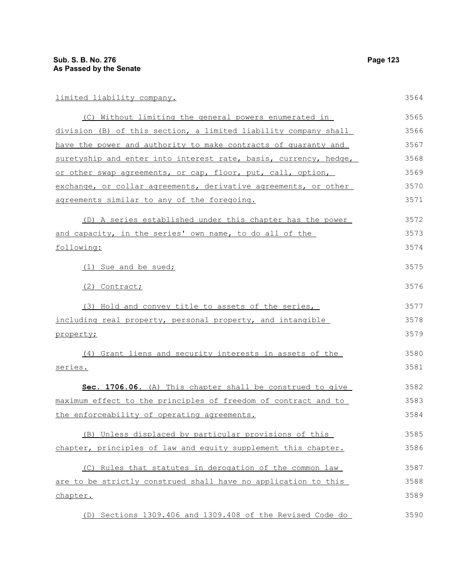| (C) Without limiting the general powers enumerated in            | 3565 |
|------------------------------------------------------------------|------|
| division (B) of this section, a limited liability company shall  | 3566 |
| have the power and authority to make contracts of quaranty and   | 3567 |
| suretyship and enter into interest rate, basis, currency, hedge, | 3568 |
| or other swap agreements, or cap, floor, put, call, option,      | 3569 |
| exchange, or collar agreements, derivative agreements, or other  | 3570 |
| agreements similar to any of the foregoing.                      | 3571 |
| (D) A series established under this chapter has the power        | 3572 |
| and capacity, in the series' own name, to do all of the          | 3573 |
| following:                                                       | 3574 |
| (1) Sue and be sued;                                             | 3575 |
| (2) Contract;                                                    | 3576 |
| (3) Hold and convey title to assets of the series,               | 3577 |
| including real property, personal property, and intangible       | 3578 |
| property;                                                        | 3579 |
| (4) Grant liens and security interests in assets of the          | 3580 |
| series.                                                          | 3581 |
| Sec. 1706.06. (A) This chapter shall be construed to give        | 3582 |
| maximum effect to the principles of freedom of contract and to   | 3583 |
| the enforceability of operating agreements.                      | 3584 |
| (B) Unless displaced by particular provisions of this            | 3585 |
| chapter, principles of law and equity supplement this chapter.   | 3586 |
| (C) Rules that statutes in derogation of the common law          | 3587 |
| are to be strictly construed shall have no application to this   | 3588 |
| chapter.                                                         | 3589 |
| (D) Sections 1309.406 and 1309.408 of the Revised Code do        | 3590 |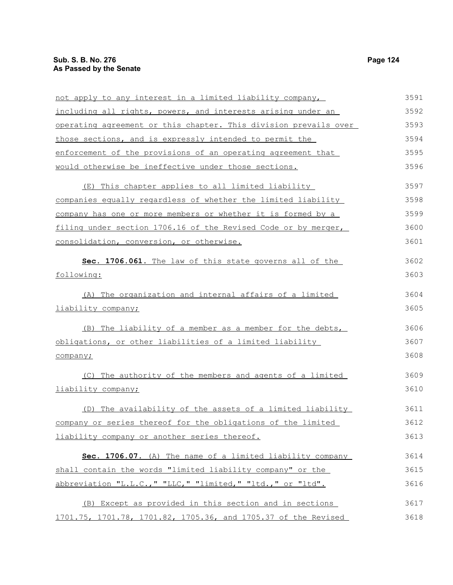| not apply to any interest in a limited liability company,        | 3591 |
|------------------------------------------------------------------|------|
| including all rights, powers, and interests arising under an     | 3592 |
| operating agreement or this chapter. This division prevails over | 3593 |
| those sections, and is expressly intended to permit the          | 3594 |
| enforcement of the provisions of an operating agreement that     | 3595 |
| would otherwise be ineffective under those sections.             | 3596 |
| (E) This chapter applies to all limited liability                | 3597 |
| companies equally regardless of whether the limited liability    | 3598 |
| company has one or more members or whether it is formed by a     | 3599 |
| filing under section 1706.16 of the Revised Code or by merger,   | 3600 |
| consolidation, conversion, or otherwise.                         | 3601 |
| Sec. 1706.061. The law of this state governs all of the          | 3602 |
| following:                                                       | 3603 |
| The organization and internal affairs of a limited<br>(A)        | 3604 |
| liability company;                                               | 3605 |
| (B) The liability of a member as a member for the debts,         | 3606 |
| obligations, or other liabilities of a limited liability         | 3607 |
| company;                                                         | 3608 |
| (C) The authority of the members and agents of a limited         | 3609 |
| liability company;                                               | 3610 |
| (D) The availability of the assets of a limited liability        | 3611 |
| company or series thereof for the obligations of the limited     | 3612 |
| liability company or another series thereof.                     | 3613 |
| Sec. 1706.07. (A) The name of a limited liability company        | 3614 |
| shall contain the words "limited liability company" or the       | 3615 |
| abbreviation "L.L.C.," "LLC," "limited," "ltd.," or "ltd".       | 3616 |
| (B) Except as provided in this section and in sections           | 3617 |
| 1701.75, 1701.78, 1701.82, 1705.36, and 1705.37 of the Revised   | 3618 |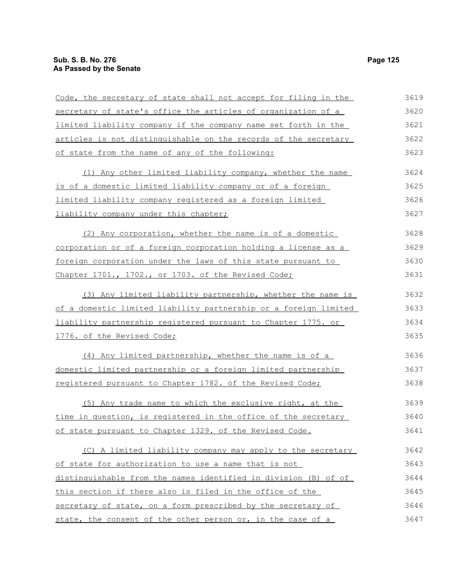| Code, the secretary of state shall not accept for filing in the  | 3619 |
|------------------------------------------------------------------|------|
| secretary of state's office the articles of organization of a    | 3620 |
| limited liability company if the company name set forth in the   | 3621 |
| articles is not distinguishable on the records of the secretary  | 3622 |
| of state from the name of any of the following:                  | 3623 |
| (1) Any other limited liability company, whether the name        | 3624 |
| is of a domestic limited liability company or of a foreign       | 3625 |
| limited liability company registered as a foreign limited        | 3626 |
| liability company under this chapter;                            | 3627 |
| (2) Any corporation, whether the name is of a domestic           | 3628 |
| corporation or of a foreign corporation holding a license as a   | 3629 |
| foreign corporation under the laws of this state pursuant to     | 3630 |
| Chapter 1701., 1702., or 1703. of the Revised Code;              | 3631 |
| (3) Any limited liability partnership, whether the name is       | 3632 |
| of a domestic limited liability partnership or a foreign limited | 3633 |
| liability partnership registered pursuant to Chapter 1775. or    | 3634 |
| 1776. of the Revised Code;                                       | 3635 |
| (4) Any limited partnership, whether the name is of a            | 3636 |
| domestic limited partnership or a foreign limited partnership    | 3637 |
| registered pursuant to Chapter 1782. of the Revised Code;        | 3638 |
| (5) Any trade name to which the exclusive right, at the          | 3639 |
| time in question, is registered in the office of the secretary   | 3640 |
| of state pursuant to Chapter 1329. of the Revised Code.          | 3641 |
| (C) A limited liability company may apply to the secretary       | 3642 |
| of state for authorization to use a name that is not             | 3643 |
| distinguishable from the names identified in division (B) of of  | 3644 |
| this section if there also is filed in the office of the         | 3645 |
| secretary of state, on a form prescribed by the secretary of     | 3646 |
| state, the consent of the other person or, in the case of a      | 3647 |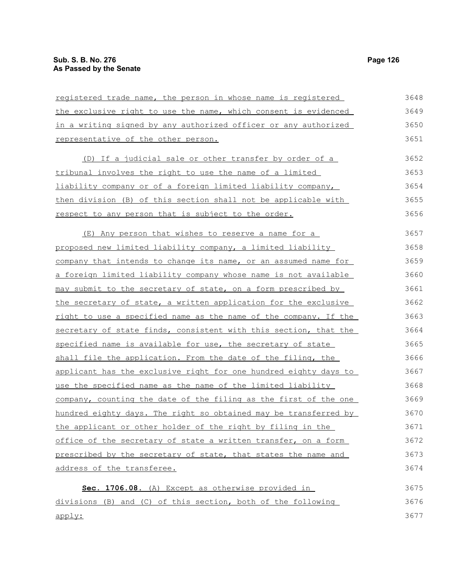| registered trade name, the person in whose name is registered          | 3648 |
|------------------------------------------------------------------------|------|
| the exclusive right to use the name, which consent is evidenced        | 3649 |
| in a writing signed by any authorized officer or any authorized        | 3650 |
| representative of the other person.                                    | 3651 |
| (D) If a judicial sale or other transfer by order of a                 | 3652 |
| tribunal involves the right to use the name of a limited               | 3653 |
| liability company or of a foreign limited liability company,           | 3654 |
| then division (B) of this section shall not be applicable with         | 3655 |
| <u>respect to any person that is subject to the order.</u>             | 3656 |
| (E) Any person that wishes to reserve a name for a                     | 3657 |
| proposed new limited liability company, a limited liability            | 3658 |
| company that intends to change its name, or an assumed name for        | 3659 |
| <u>a foreign limited liability company whose name is not available</u> | 3660 |
| may submit to the secretary of state, on a form prescribed by          | 3661 |
| the secretary of state, a written application for the exclusive        | 3662 |
| right to use a specified name as the name of the company. If the       | 3663 |
| secretary of state finds, consistent with this section, that the       | 3664 |
| specified name is available for use, the secretary of state            | 3665 |
| shall file the application. From the date of the filing, the           | 3666 |
| applicant has the exclusive right for one hundred eighty days to       | 3667 |
| use the specified name as the name of the limited liability            | 3668 |
| company, counting the date of the filing as the first of the one       | 3669 |
| hundred eighty days. The right so obtained may be transferred by       | 3670 |
| the applicant or other holder of the right by filing in the            | 3671 |
| office of the secretary of state a written transfer, on a form         | 3672 |
| prescribed by the secretary of state, that states the name and         | 3673 |
| address of the transferee.                                             | 3674 |
| Sec. 1706.08. (A) Except as otherwise provided in                      | 3675 |
| divisions (B) and (C) of this section, both of the following           | 3676 |

apply: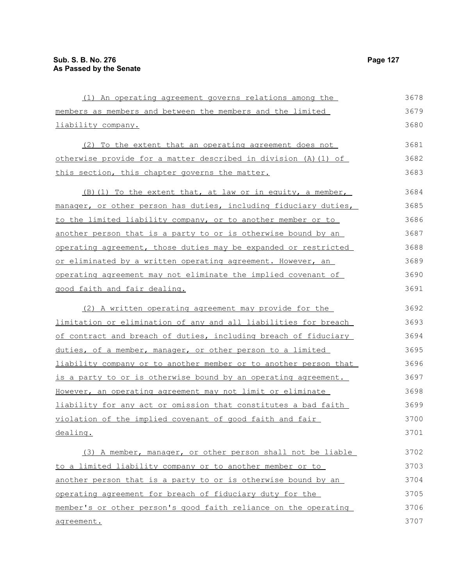members as members and between the members and the limited liability company. (2) To the extent that an operating agreement does not otherwise provide for a matter described in division (A)(1) of this section, this chapter governs the matter.  $(B)$  (1) To the extent that, at law or in equity, a member, manager, or other person has duties, including fiduciary duties, to the limited liability company, or to another member or to another person that is a party to or is otherwise bound by an operating agreement, those duties may be expanded or restricted or eliminated by a written operating agreement. However, an operating agreement may not eliminate the implied covenant of good faith and fair dealing. (2) A written operating agreement may provide for the limitation or elimination of any and all liabilities for breach of contract and breach of duties, including breach of fiduciary 3679 3680 3681 3682 3683 3684 3685 3686 3687 3688 3689 3690 3691 3692 3693 3694

duties, of a member, manager, or other person to a limited liability company or to another member or to another person that is a party to or is otherwise bound by an operating agreement. However, an operating agreement may not limit or eliminate liability for any act or omission that constitutes a bad faith violation of the implied covenant of good faith and fair dealing. 3695 3696 3697 3698 3699 3700 3701

(1) An operating agreement governs relations among the

(3) A member, manager, or other person shall not be liable to a limited liability company or to another member or to another person that is a party to or is otherwise bound by an operating agreement for breach of fiduciary duty for the member's or other person's good faith reliance on the operating agreement. 3702 3703 3704 3705 3706 3707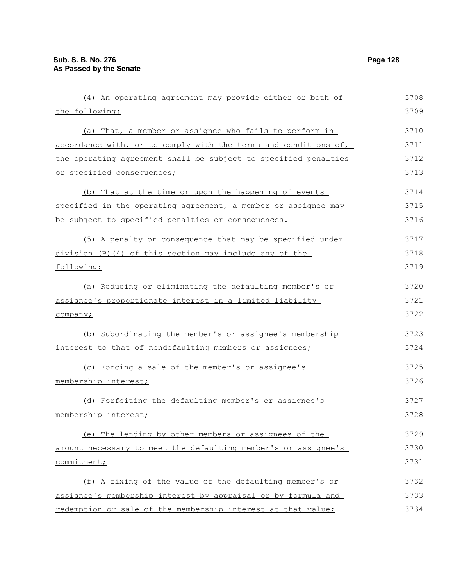| (4) An operating agreement may provide either or both of        | 3708 |
|-----------------------------------------------------------------|------|
| the following:                                                  | 3709 |
| (a) That, a member or assignee who fails to perform in          | 3710 |
| accordance with, or to comply with the terms and conditions of, | 3711 |
| the operating agreement shall be subject to specified penalties | 3712 |
| or specified consequences;                                      | 3713 |
| (b) That at the time or upon the happening of events            | 3714 |
| specified in the operating agreement, a member or assignee may  | 3715 |
| be subject to specified penalties or consequences.              | 3716 |
| (5) A penalty or consequence that may be specified under        | 3717 |
| $division$ (B) (4) of this section may include any of the       | 3718 |
| following:                                                      | 3719 |
| (a) Reducing or eliminating the defaulting member's or          | 3720 |
| assignee's proportionate interest in a limited liability        | 3721 |
| company;                                                        | 3722 |
| (b) Subordinating the member's or assignee's membership         | 3723 |
| interest to that of nondefaulting members or assignees;         | 3724 |
| (c) Forcing a sale of the member's or assignee's                | 3725 |
| membership interest;                                            | 3726 |
| (d) Forfeiting the defaulting member's or assignee's            | 3727 |
| membership interest;                                            | 3728 |
| (e) The lending by other members or assignees of the            | 3729 |
| amount necessary to meet the defaulting member's or assignee's  | 3730 |
| commitment;                                                     | 3731 |
| (f) A fixing of the value of the defaulting member's or         | 3732 |
| assignee's membership interest by appraisal or by formula and   | 3733 |
| redemption or sale of the membership interest at that value;    | 3734 |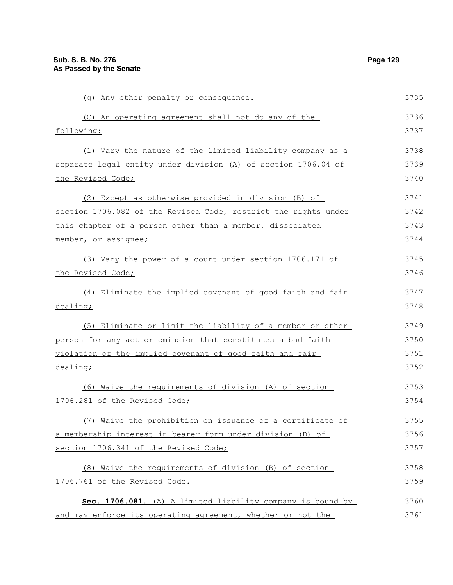(g) Any other penalty or consequence. (C) An operating agreement shall not do any of the following: (1) Vary the nature of the limited liability company as a separate legal entity under division (A) of section 1706.04 of the Revised Code; (2) Except as otherwise provided in division (B) of section 1706.082 of the Revised Code, restrict the rights under this chapter of a person other than a member, dissociated member, or assignee; (3) Vary the power of a court under section 1706.171 of the Revised Code; (4) Eliminate the implied covenant of good faith and fair dealing; (5) Eliminate or limit the liability of a member or other person for any act or omission that constitutes a bad faith violation of the implied covenant of good faith and fair dealing; (6) Waive the requirements of division (A) of section 1706.281 of the Revised Code; (7) Waive the prohibition on issuance of a certificate of a membership interest in bearer form under division (D) of section 1706.341 of the Revised Code; (8) Waive the requirements of division (B) of section 1706.761 of the Revised Code. Sec. 1706.081. (A) A limited liability company is bound by 3735 3736 3737 3738 3739 3740 3741 3742 3743 3744 3745 3746 3747 3748 3749 3750 3751 3752 3753 3754 3755 3756 3757 3758 3759 3760

and may enforce its operating agreement, whether or not the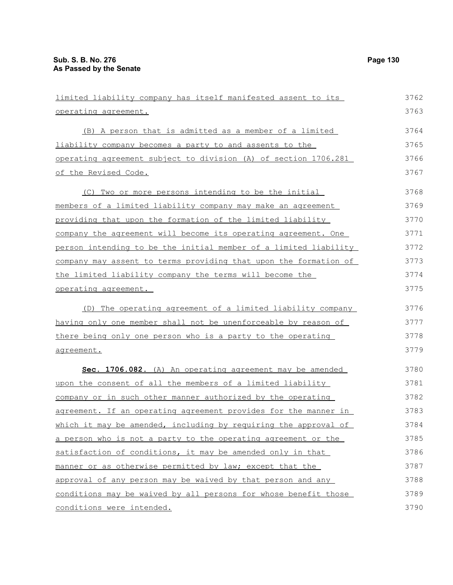| limited liability company has itself manifested assent to its    | 3762 |
|------------------------------------------------------------------|------|
| operating agreement.                                             | 3763 |
| (B) A person that is admitted as a member of a limited           | 3764 |
| liability company becomes a party to and assents to the          | 3765 |
| operating agreement subject to division (A) of section 1706.281  | 3766 |
| of the Revised Code.                                             | 3767 |
| (C) Two or more persons intending to be the initial              | 3768 |
| members of a limited liability company may make an agreement     | 3769 |
| providing that upon the formation of the limited liability       | 3770 |
| company the agreement will become its operating agreement. One   | 3771 |
| person intending to be the initial member of a limited liability | 3772 |
| company may assent to terms providing that upon the formation of | 3773 |
| the limited liability company the terms will become the          | 3774 |
| operating agreement.                                             | 3775 |
| (D) The operating agreement of a limited liability company       | 3776 |
| having only one member shall not be unenforceable by reason of   | 3777 |
| there being only one person who is a party to the operating      | 3778 |
| agreement.                                                       | 3779 |
| Sec. 1706.082. (A) An operating agreement may be amended         | 3780 |
| upon the consent of all the members of a limited liability       | 3781 |
| company or in such other manner authorized by the operating      | 3782 |
| agreement. If an operating agreement provides for the manner in  | 3783 |
| which it may be amended, including by requiring the approval of  | 3784 |
| a person who is not a party to the operating agreement or the    | 3785 |
| satisfaction of conditions, it may be amended only in that       | 3786 |
| manner or as otherwise permitted by law; except that the         | 3787 |
| approval of any person may be waived by that person and any      | 3788 |
| conditions may be waived by all persons for whose benefit those  | 3789 |
| conditions were intended.                                        | 3790 |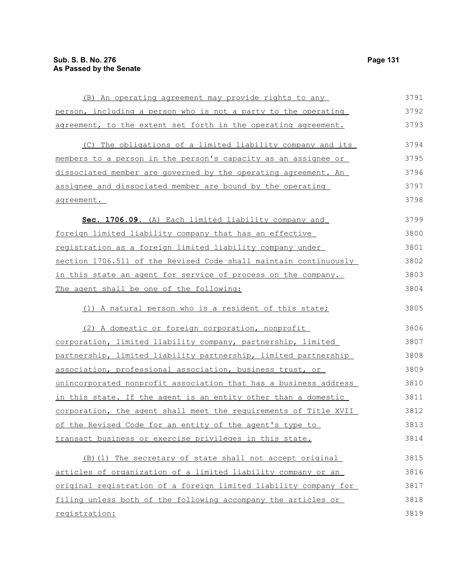(B) An operating agreement may provide rights to any person, including a person who is not a party to the operating agreement, to the extent set forth in the operating agreement. (C) The obligations of a limited liability company and its members to a person in the person's capacity as an assignee or dissociated member are governed by the operating agreement. An assignee and dissociated member are bound by the operating agreement. **Sec. 1706.09.** (A) Each limited liability company and foreign limited liability company that has an effective registration as a foreign limited liability company under section 1706.511 of the Revised Code shall maintain continuously in this state an agent for service of process on the company. The agent shall be one of the following: (1) A natural person who is a resident of this state; (2) A domestic or foreign corporation, nonprofit corporation, limited liability company, partnership, limited partnership, limited liability partnership, limited partnership association, professional association, business trust, or unincorporated nonprofit association that has a business address in this state. If the agent is an entity other than a domestic corporation, the agent shall meet the requirements of Title XVII of the Revised Code for an entity of the agent's type to transact business or exercise privileges in this state. (B)(1) The secretary of state shall not accept original articles of organization of a limited liability company or an original registration of a foreign limited liability company for filing unless both of the following accompany the articles or registration: 3791 3792 3793 3794 3795 3796 3797 3798 3799 3800 3801 3802 3803 3804 3805 3806 3807 3808 3809 3810 3811 3812 3813 3814 3815 3816 3817 3818 3819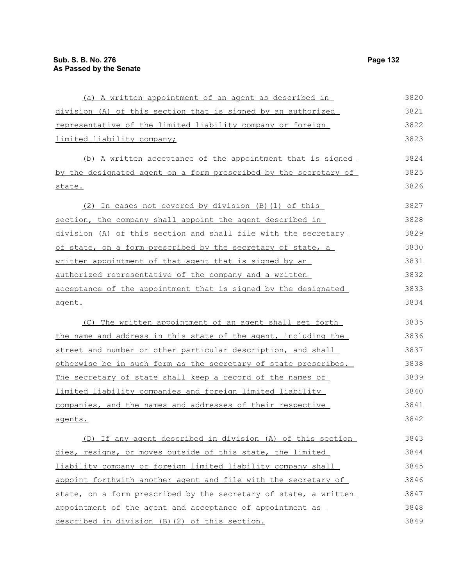(a) A written appointment of an agent as described in division (A) of this section that is signed by an authorized representative of the limited liability company or foreign limited liability company; (b) A written acceptance of the appointment that is signed by the designated agent on a form prescribed by the secretary of state. (2) In cases not covered by division (B)(1) of this section, the company shall appoint the agent described in division (A) of this section and shall file with the secretary of state, on a form prescribed by the secretary of state, a written appointment of that agent that is signed by an authorized representative of the company and a written acceptance of the appointment that is signed by the designated agent. (C) The written appointment of an agent shall set forth the name and address in this state of the agent, including the street and number or other particular description, and shall otherwise be in such form as the secretary of state prescribes. The secretary of state shall keep a record of the names of limited liability companies and foreign limited liability companies, and the names and addresses of their respective agents. (D) If any agent described in division (A) of this section dies, resigns, or moves outside of this state, the limited liability company or foreign limited liability company shall appoint forthwith another agent and file with the secretary of state, on a form prescribed by the secretary of state, a written appointment of the agent and acceptance of appointment as 3820 3821 3822 3823 3824 3825 3826 3827 3828 3829 3830 3831 3832 3833 3834 3835 3836 3837 3838 3839 3840 3841 3842 3843 3844 3845 3846 3847 3848

described in division (B)(2) of this section.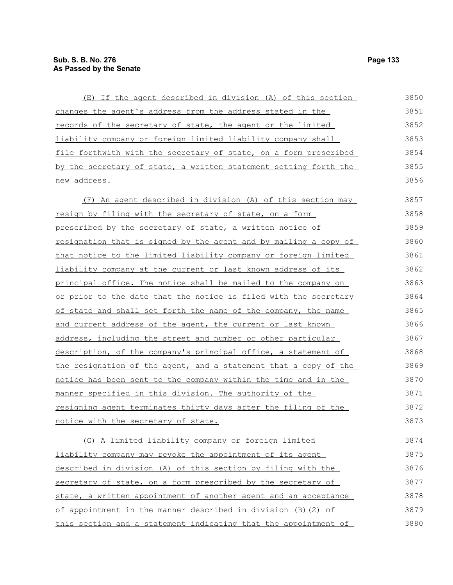| (E) If the agent described in division (A) of this section              | 3850 |
|-------------------------------------------------------------------------|------|
| changes the agent's address from the address stated in the              | 3851 |
| records of the secretary of state, the agent or the limited             | 3852 |
| liability company or foreign limited liability company shall            | 3853 |
| file forthwith with the secretary of state, on a form prescribed        | 3854 |
| by the secretary of state, a written statement setting forth the        | 3855 |
| new address.                                                            | 3856 |
| (F) An agent described in division (A) of this section may              | 3857 |
| resign by filing with the secretary of state, on a form                 | 3858 |
| prescribed by the secretary of state, a written notice of               | 3859 |
| <u>resignation that is signed by the agent and by mailing a copy of</u> | 3860 |
| that notice to the limited liability company or foreign limited         | 3861 |
| liability company at the current or last known address of its           | 3862 |
| principal office. The notice shall be mailed to the company on          | 3863 |
| or prior to the date that the notice is filed with the secretary        | 3864 |
| of state and shall set forth the name of the company, the name          | 3865 |
| and current address of the agent, the current or last known             | 3866 |
| address, including the street and number or other particular            | 3867 |
| description, of the company's principal office, a statement of          | 3868 |
| the resignation of the agent, and a statement that a copy of the        | 3869 |
| notice has been sent to the company within the time and in the          | 3870 |
| manner specified in this division. The authority of the                 | 3871 |
| resigning agent terminates thirty days after the filing of the          | 3872 |
| notice with the secretary of state.                                     | 3873 |
| (G) A limited liability company or foreign limited                      | 3874 |
| liability company may revoke the appointment of its agent               | 3875 |
| described in division (A) of this section by filing with the            | 3876 |
| secretary of state, on a form prescribed by the secretary of            | 3877 |
| state, a written appointment of another agent and an acceptance         | 3878 |
| of appointment in the manner described in division (B) (2) of           | 3879 |
| this section and a statement indicating that the appointment of         | 3880 |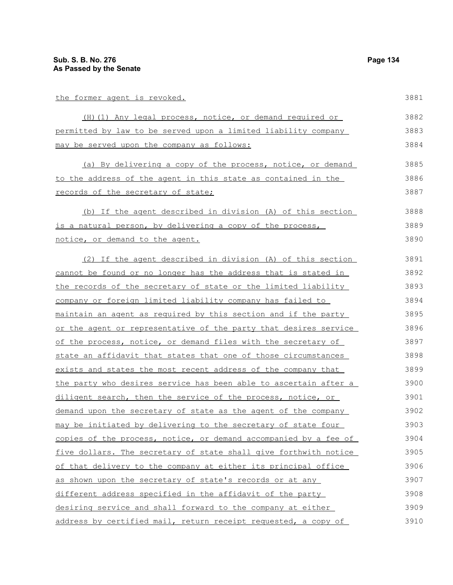| the former agent is revoked.                                            | 3881 |
|-------------------------------------------------------------------------|------|
| (H) (1) Any legal process, notice, or demand required or                | 3882 |
| permitted by law to be served upon a limited liability company          | 3883 |
| may be served upon the company as follows:                              | 3884 |
| (a) By delivering a copy of the process, notice, or demand              | 3885 |
| to the address of the agent in this state as contained in the           | 3886 |
| records of the secretary of state;                                      | 3887 |
| (b) If the agent described in division (A) of this section              | 3888 |
| is a natural person, by delivering a copy of the process,               | 3889 |
| notice, or demand to the agent.                                         | 3890 |
| (2) If the agent described in division (A) of this section              | 3891 |
| cannot be found or no longer has the address that is stated in          | 3892 |
| the records of the secretary of state or the limited liability          | 3893 |
| company or foreign limited liability company has failed to              | 3894 |
| maintain an agent as required by this section and if the party          | 3895 |
| or the agent or representative of the party that desires service        | 3896 |
| of the process, notice, or demand files with the secretary of           | 3897 |
| state an affidavit that states that one of those circumstances          | 3898 |
| exists and states the most recent address of the company that           | 3899 |
| <u>the party who desires service has been able to ascertain after a</u> | 3900 |
| diligent search, then the service of the process, notice, or            | 3901 |
| demand upon the secretary of state as the agent of the company          | 3902 |
| may be initiated by delivering to the secretary of state four           | 3903 |
| copies of the process, notice, or demand accompanied by a fee of        | 3904 |
| five dollars. The secretary of state shall give forthwith notice        | 3905 |
| of that delivery to the company at either its principal office          | 3906 |
| as shown upon the secretary of state's records or at any                | 3907 |
| different address specified in the affidavit of the party               | 3908 |
| desiring service and shall forward to the company at either             | 3909 |
| address by certified mail, return receipt requested, a copy of          | 3910 |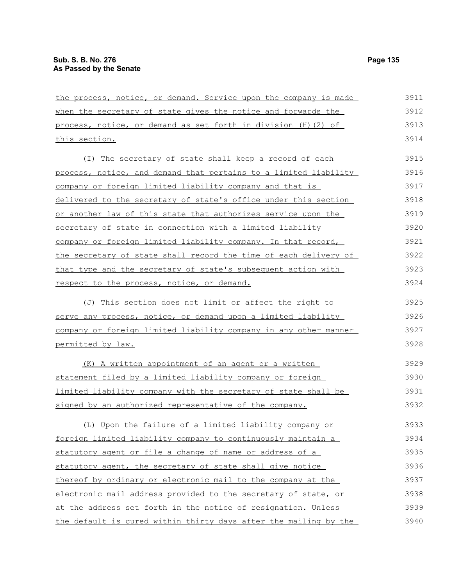| the process, notice, or demand. Service upon the company is made | 3911 |
|------------------------------------------------------------------|------|
| when the secretary of state gives the notice and forwards the    | 3912 |
| process, notice, or demand as set forth in division (H) (2) of   | 3913 |
| this section.                                                    | 3914 |
| (I) The secretary of state shall keep a record of each           | 3915 |
| process, notice, and demand that pertains to a limited liability | 3916 |
| company or foreign limited liability company and that is         | 3917 |
| delivered to the secretary of state's office under this section  | 3918 |
| or another law of this state that authorizes service upon the    | 3919 |
| secretary of state in connection with a limited liability        | 3920 |
| company or foreign limited liability company. In that record,    | 3921 |
| the secretary of state shall record the time of each delivery of | 3922 |
| that type and the secretary of state's subsequent action with    | 3923 |
| respect to the process, notice, or demand.                       | 3924 |
| (J) This section does not limit or affect the right to           | 3925 |
| serve any process, notice, or demand upon a limited liability    | 3926 |
| company or foreign limited liability company in any other manner | 3927 |
| permitted by law.                                                | 3928 |
| (K) A written appointment of an agent or a written               | 3929 |
| statement filed by a limited liability company or foreign        | 3930 |
| limited liability company with the secretary of state shall be   | 3931 |
| signed by an authorized representative of the company.           | 3932 |
| (L) Upon the failure of a limited liability company or           | 3933 |
| foreign limited liability company to continuously maintain a     | 3934 |
| statutory agent or file a change of name or address of a         | 3935 |
| statutory agent, the secretary of state shall give notice        | 3936 |
| thereof by ordinary or electronic mail to the company at the     | 3937 |
| electronic mail address provided to the secretary of state, or   | 3938 |
| at the address set forth in the notice of resignation. Unless    | 3939 |
| the default is cured within thirty days after the mailing by the | 3940 |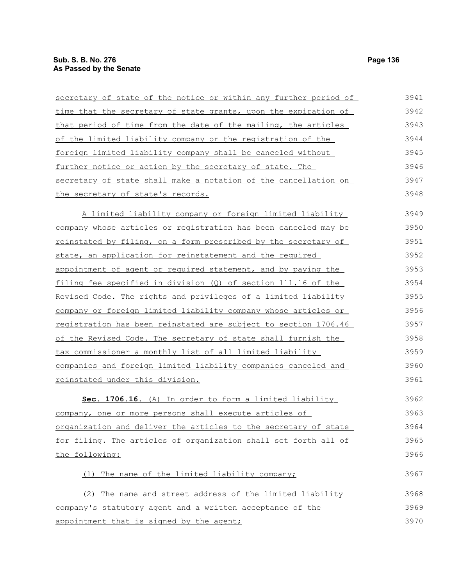| secretary of state of the notice or within any further period of       | 3941 |
|------------------------------------------------------------------------|------|
| time that the secretary of state grants, upon the expiration of        | 3942 |
| that period of time from the date of the mailing, the articles         | 3943 |
| of the limited liability company or the registration of the            | 3944 |
| foreign limited liability company shall be canceled without            | 3945 |
| further notice or action by the secretary of state. The                | 3946 |
| secretary of state shall make a notation of the cancellation on        | 3947 |
| the secretary of state's records.                                      | 3948 |
| A limited liability company or foreign limited liability               | 3949 |
| company whose articles or registration has been canceled may be        | 3950 |
| reinstated by filing, on a form prescribed by the secretary of         | 3951 |
| state, an application for reinstatement and the required               | 3952 |
| appointment of agent or required statement, and by paying the          | 3953 |
| filing fee specified in division $(Q)$ of section 111.16 of the        | 3954 |
| Revised Code. The rights and privileges of a limited liability         | 3955 |
| company or foreign limited liability company whose articles or         | 3956 |
| <u>registration has been reinstated are subject to section 1706.46</u> | 3957 |
| of the Revised Code. The secretary of state shall furnish the          | 3958 |
| tax commissioner a monthly list of all limited liability               | 3959 |
| companies and foreign limited liability companies canceled and         | 3960 |
| reinstated under this division.                                        | 3961 |
| Sec. 1706.16. (A) In order to form a limited liability                 | 3962 |
| company, one or more persons shall execute articles of                 | 3963 |
| organization and deliver the articles to the secretary of state        | 3964 |
| for filing. The articles of organization shall set forth all of        | 3965 |
| the following:                                                         | 3966 |
| The name of the limited liability company;<br>(1)                      | 3967 |
| (2) The name and street address of the limited liability               | 3968 |
| company's statutory agent and a written acceptance of the              | 3969 |
| appointment that is signed by the agent;                               | 3970 |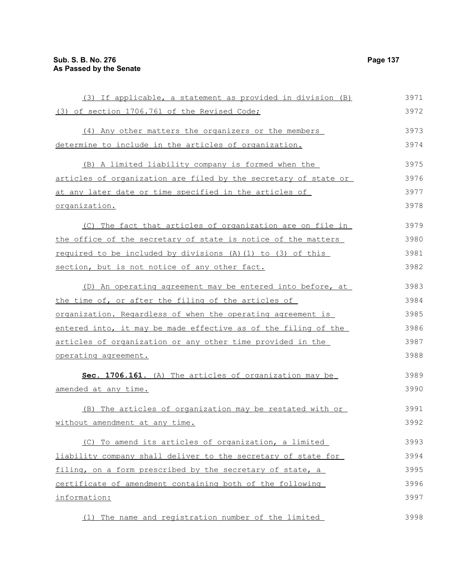organization.

(3) If applicable, a statement as provided in division (B) (3) of section 1706.761 of the Revised Code; (4) Any other matters the organizers or the members determine to include in the articles of organization. (B) A limited liability company is formed when the articles of organization are filed by the secretary of state or at any later date or time specified in the articles of (C) The fact that articles of organization are on file in 3971 3972 3973 3974 3975 3976 3977 3978 3979

the office of the secretary of state is notice of the matters required to be included by divisions (A)(1) to (3) of this section, but is not notice of any other fact. 3980 3981 3982

(D) An operating agreement may be entered into before, at the time of, or after the filing of the articles of organization. Regardless of when the operating agreement is entered into, it may be made effective as of the filing of the articles of organization or any other time provided in the operating agreement. 3983 3984 3985 3986 3987 3988

 **Sec. 1706.161.** (A) The articles of organization may be amended at any time. 3989 3990

(B) The articles of organization may be restated with or without amendment at any time. 3991 3992

(C) To amend its articles of organization, a limited liability company shall deliver to the secretary of state for filing, on a form prescribed by the secretary of state, a certificate of amendment containing both of the following information: 3993 3994 3995 3996 3997

(1) The name and registration number of the limited 3998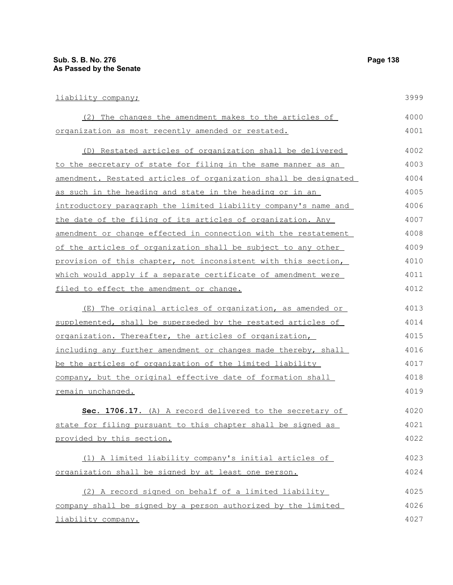| liability company;                                               | 3999 |
|------------------------------------------------------------------|------|
| (2) The changes the amendment makes to the articles of           | 4000 |
| organization as most recently amended or restated.               | 4001 |
| (D) Restated articles of organization shall be delivered         | 4002 |
| to the secretary of state for filing in the same manner as an    | 4003 |
| amendment. Restated articles of organization shall be designated | 4004 |
| as such in the heading and state in the heading or in an         | 4005 |
| introductory paragraph the limited liability company's name and  | 4006 |
| the date of the filing of its articles of organization. Any      | 4007 |
| amendment or change effected in connection with the restatement  | 4008 |
| of the articles of organization shall be subject to any other    | 4009 |
| provision of this chapter, not inconsistent with this section,   | 4010 |
| which would apply if a separate certificate of amendment were    | 4011 |
| filed to effect the amendment or change.                         | 4012 |
| (E) The original articles of organization, as amended or         | 4013 |
| supplemented, shall be superseded by the restated articles of    | 4014 |
| organization. Thereafter, the articles of organization,          | 4015 |
| including any further amendment or changes made thereby, shall   | 4016 |
| be the articles of organization of the limited liability         | 4017 |
| company, but the original effective date of formation shall      | 4018 |
| remain unchanged.                                                | 4019 |
| Sec. 1706.17. (A) A record delivered to the secretary of         | 4020 |
| state for filing pursuant to this chapter shall be signed as     | 4021 |
| provided by this section.                                        | 4022 |
| (1) A limited liability company's initial articles of            | 4023 |
| organization shall be signed by at least one person.             | 4024 |
| (2) A record signed on behalf of a limited liability             | 4025 |
| company shall be signed by a person authorized by the limited    | 4026 |
| liability company.                                               | 4027 |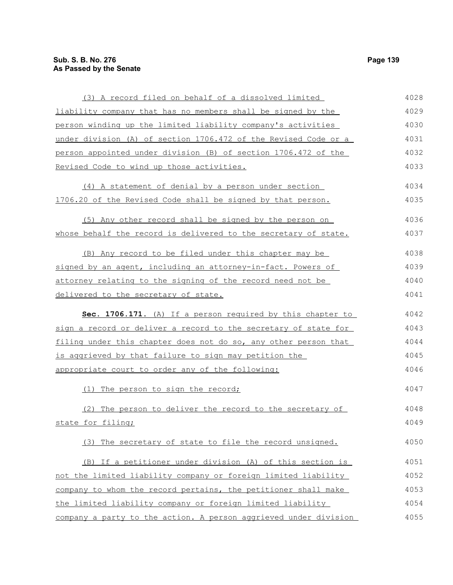## **Sub. S. B. No. 276 Page 139 As Passed by the Senate**

| (3) A record filed on behalf of a dissolved limited              | 4028 |
|------------------------------------------------------------------|------|
| liability company that has no members shall be signed by the     | 4029 |
| person winding up the limited liability company's activities     | 4030 |
| under division (A) of section 1706.472 of the Revised Code or a  | 4031 |
| person appointed under division (B) of section 1706.472 of the   | 4032 |
| Revised Code to wind up those activities.                        | 4033 |
| (4) A statement of denial by a person under section              | 4034 |
| 1706.20 of the Revised Code shall be signed by that person.      | 4035 |
| (5) Any other record shall be signed by the person on            | 4036 |
| whose behalf the record is delivered to the secretary of state.  | 4037 |
| (B) Any record to be filed under this chapter may be             | 4038 |
| signed by an agent, including an attorney-in-fact. Powers of     | 4039 |
| attorney relating to the signing of the record need not be       | 4040 |
| <u>delivered to the secretary of state.</u>                      | 4041 |
| Sec. 1706.171. (A) If a person required by this chapter to       | 4042 |
| sign a record or deliver a record to the secretary of state for  | 4043 |
| filing under this chapter does not do so, any other person that  | 4044 |
| is aggrieved by that failure to sign may petition the            | 4045 |
| appropriate court to order any of the following:                 | 4046 |
| (1) The person to sign the record;                               | 4047 |
| The person to deliver the record to the secretary of             | 4048 |
| state for filing;                                                | 4049 |
| (3) The secretary of state to file the record unsigned.          | 4050 |
| (B) If a petitioner under division (A) of this section is        | 4051 |
| not the limited liability company or foreign limited liability   | 4052 |
| company to whom the record pertains, the petitioner shall make   | 4053 |
| the limited liability company or foreign limited liability       | 4054 |
| company a party to the action. A person aggrieved under division | 4055 |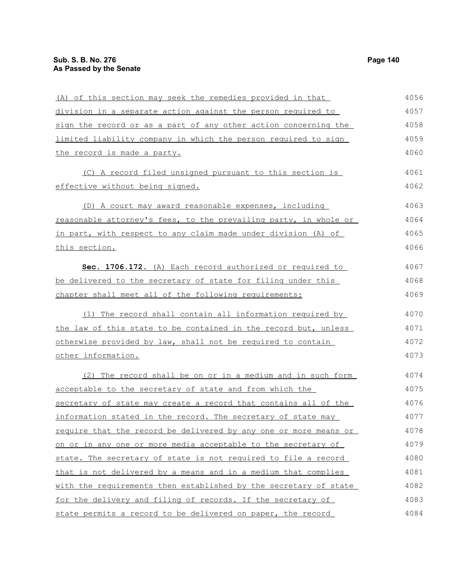this section.

the record is made a party.

(A) of this section may seek the remedies provided in that division in a separate action against the person required to sign the record or as a part of any other action concerning the limited liability company in which the person required to sign (C) A record filed unsigned pursuant to this section is effective without being signed. (D) A court may award reasonable expenses, including reasonable attorney's fees, to the prevailing party, in whole or in part, with respect to any claim made under division (A) of **Sec. 1706.172.** (A) Each record authorized or required to 4056 4057 4058 4059 4060 4061 4062 4063 4064 4065 4066 4067

(1) The record shall contain all information required by the law of this state to be contained in the record but, unless otherwise provided by law, shall not be required to contain other information. 4070 4071 4072 4073

be delivered to the secretary of state for filing under this

chapter shall meet all of the following requirements:

(2) The record shall be on or in a medium and in such form acceptable to the secretary of state and from which the secretary of state may create a record that contains all of the information stated in the record. The secretary of state may require that the record be delivered by any one or more means or on or in any one or more media acceptable to the secretary of state. The secretary of state is not required to file a record that is not delivered by a means and in a medium that complies with the requirements then established by the secretary of state for the delivery and filing of records. If the secretary of state permits a record to be delivered on paper, the record 4074 4075 4076 4077 4078 4079 4080 4081 4082 4083 4084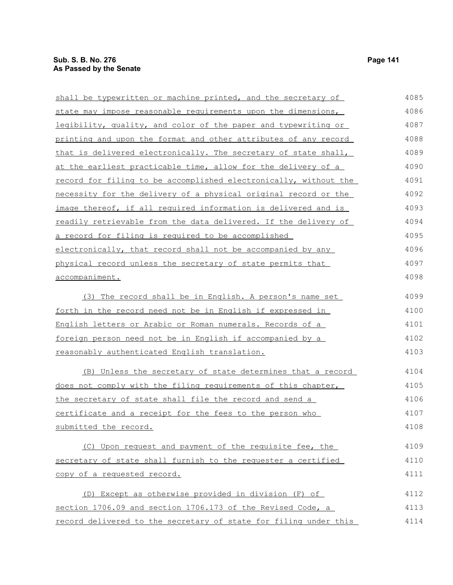| shall be typewritten or machine printed, and the secretary of    | 4085 |
|------------------------------------------------------------------|------|
| state may impose reasonable requirements upon the dimensions,    | 4086 |
| legibility, quality, and color of the paper and typewriting or   | 4087 |
| printing and upon the format and other attributes of any record  | 4088 |
| that is delivered electronically. The secretary of state shall,  | 4089 |
| at the earliest practicable time, allow for the delivery of a    | 4090 |
| record for filing to be accomplished electronically, without the | 4091 |
| necessity for the delivery of a physical original record or the  | 4092 |
| image thereof, if all required information is delivered and is   | 4093 |
| readily retrievable from the data delivered. If the delivery of  | 4094 |
| a record for filing is required to be accomplished               | 4095 |
| electronically, that record shall not be accompanied by any      | 4096 |
| physical record unless the secretary of state permits that       | 4097 |
| accompaniment.                                                   | 4098 |
| (3) The record shall be in English. A person's name set          | 4099 |
| forth in the record need not be in English if expressed in       | 4100 |
| English letters or Arabic or Roman numerals. Records of a        | 4101 |
| foreign person need not be in English if accompanied by a        | 4102 |
| reasonably authenticated English translation.                    | 4103 |
| (B) Unless the secretary of state determines that a record       | 4104 |
| does not comply with the filing requirements of this chapter,    | 4105 |
| the secretary of state shall file the record and send a          | 4106 |
| certificate and a receipt for the fees to the person who         | 4107 |
| submitted the record.                                            | 4108 |
| (C) Upon request and payment of the requisite fee, the           | 4109 |
| secretary of state shall furnish to the requester a certified    | 4110 |
| copy of a requested record.                                      | 4111 |
| (D) Except as otherwise provided in division (F) of              | 4112 |
| section 1706.09 and section 1706.173 of the Revised Code, a      | 4113 |
| record delivered to the secretary of state for filing under this | 4114 |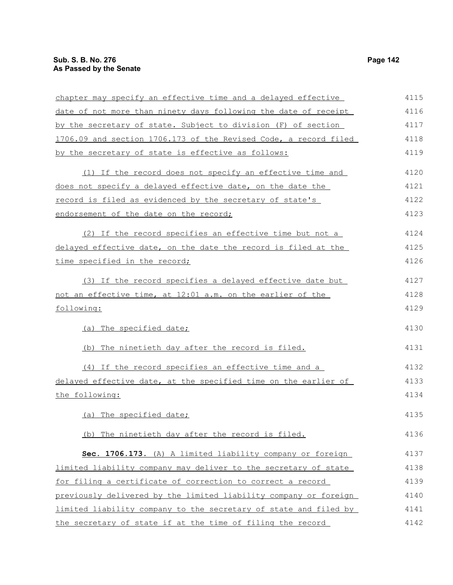| chapter may specify an effective time and a delayed effective    | 4115 |
|------------------------------------------------------------------|------|
| date of not more than ninety days following the date of receipt  | 4116 |
| by the secretary of state. Subject to division (F) of section    | 4117 |
| 1706.09 and section 1706.173 of the Revised Code, a record filed | 4118 |
| by the secretary of state is effective as follows:               | 4119 |
| (1) If the record does not specify an effective time and         | 4120 |
| does not specify a delayed effective date, on the date the       | 4121 |
| record is filed as evidenced by the secretary of state's         | 4122 |
| endorsement of the date on the record;                           | 4123 |
| (2) If the record specifies an effective time but not a          | 4124 |
| delayed effective date, on the date the record is filed at the   | 4125 |
| time specified in the record;                                    | 4126 |
| (3) If the record specifies a delayed effective date but         | 4127 |
| not an effective time, at 12:01 a.m. on the earlier of the       | 4128 |
| following:                                                       | 4129 |
| (a) The specified date;                                          | 4130 |
| (b) The ninetieth day after the record is filed.                 | 4131 |
| (4) If the record specifies an effective time and a              | 4132 |
| delayed effective date, at the specified time on the earlier of  | 4133 |
| the following:                                                   | 4134 |
| (a) The specified date;                                          | 4135 |
| (b) The ninetieth day after the record is filed.                 | 4136 |
| Sec. 1706.173. (A) A limited liability company or foreign        | 4137 |
| limited liability company may deliver to the secretary of state  | 4138 |
| for filing a certificate of correction to correct a record       | 4139 |
| previously delivered by the limited liability company or foreign | 4140 |
| limited liability company to the secretary of state and filed by | 4141 |
| the secretary of state if at the time of filing the record       | 4142 |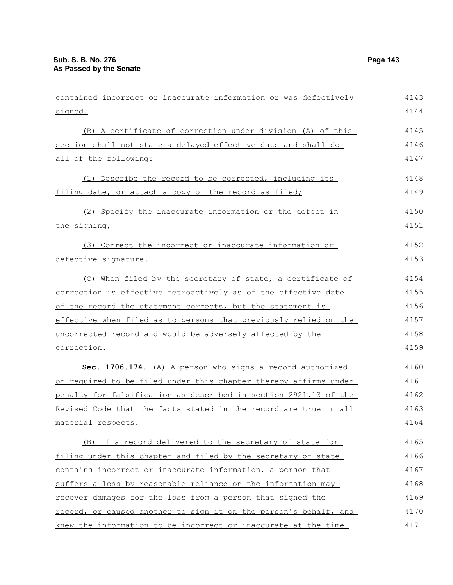| contained incorrect or inaccurate information or was defectively | 4143 |
|------------------------------------------------------------------|------|
| signed.                                                          | 4144 |
| (B) A certificate of correction under division (A) of this       | 4145 |
| section shall not state a delayed effective date and shall do    | 4146 |
| all of the following:                                            | 4147 |
| (1) Describe the record to be corrected, including its           | 4148 |
| filing date, or attach a copy of the record as filed;            | 4149 |
| (2) Specify the inaccurate information or the defect in          | 4150 |
| the signing;                                                     | 4151 |
| (3) Correct the incorrect or inaccurate information or           | 4152 |
| defective signature.                                             | 4153 |
| (C) When filed by the secretary of state, a certificate of       | 4154 |
| correction is effective retroactively as of the effective date   | 4155 |
| of the record the statement corrects, but the statement is       | 4156 |
| effective when filed as to persons that previously relied on the | 4157 |
| uncorrected record and would be adversely affected by the        | 4158 |
| correction.                                                      | 4159 |
| Sec. 1706.174. (A) A person who signs a record authorized        | 4160 |
| or required to be filed under this chapter thereby affirms under | 4161 |
| penalty for falsification as described in section 2921.13 of the | 4162 |
| Revised Code that the facts stated in the record are true in all | 4163 |
| material respects.                                               | 4164 |
| (B) If a record delivered to the secretary of state for          | 4165 |
| filing under this chapter and filed by the secretary of state    | 4166 |
| contains incorrect or inaccurate information, a person that      | 4167 |
| suffers a loss by reasonable reliance on the information may     | 4168 |
| recover damages for the loss from a person that signed the       | 4169 |
| record, or caused another to sign it on the person's behalf, and | 4170 |
| knew the information to be incorrect or inaccurate at the time   | 4171 |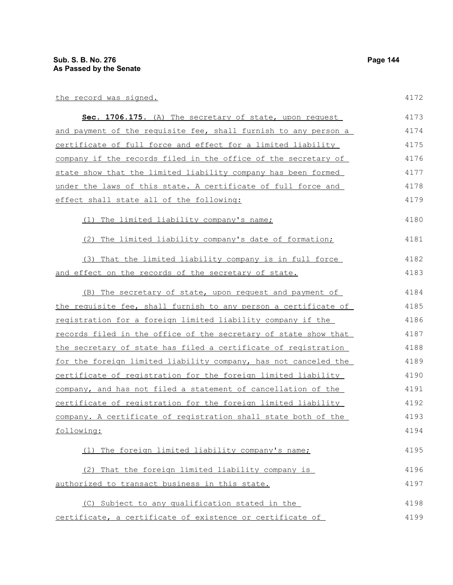| the record was signed.                                          | 4172 |
|-----------------------------------------------------------------|------|
| <b>Sec. 1706.175.</b> (A) The secretary of state, upon request  | 4173 |
| and payment of the requisite fee, shall furnish to any person a | 4174 |
| certificate of full force and effect for a limited liability    | 4175 |
| company if the records filed in the office of the secretary of  | 4176 |
| state show that the limited liability company has been formed   | 4177 |
| under the laws of this state. A certificate of full force and   | 4178 |
| effect shall state all of the following:                        | 4179 |
|                                                                 |      |

# (1) The limited liability company's name;

(2) The limited liability company's date of formation; 4181

|                                                      | (3) That the limited liability company is in full force | 4182 |
|------------------------------------------------------|---------------------------------------------------------|------|
| and effect on the records of the secretary of state. |                                                         | 4183 |

| (B) The secretary of state, upon request and payment of         | 4184 |
|-----------------------------------------------------------------|------|
| the requisite fee, shall furnish to any person a certificate of | 4185 |
| registration for a foreign limited liability company if the     | 4186 |
| records filed in the office of the secretary of state show that | 4187 |
| the secretary of state has filed a certificate of registration  | 4188 |
| for the foreign limited liability company, has not canceled the | 4189 |
| certificate of registration for the foreign limited liability   | 4190 |
| company, and has not filed a statement of cancellation of the   | 4191 |
| certificate of registration for the foreign limited liability   | 4192 |
| company. A certificate of registration shall state both of the  | 4193 |
| following:                                                      | 4194 |
|                                                                 |      |

### (1) The foreign limited liability company's name; (2) That the foreign limited liability company is authorized to transact business in this state. 4195 4196 4197

(C) Subject to any qualification stated in the certificate, a certificate of existence or certificate of 4198 4199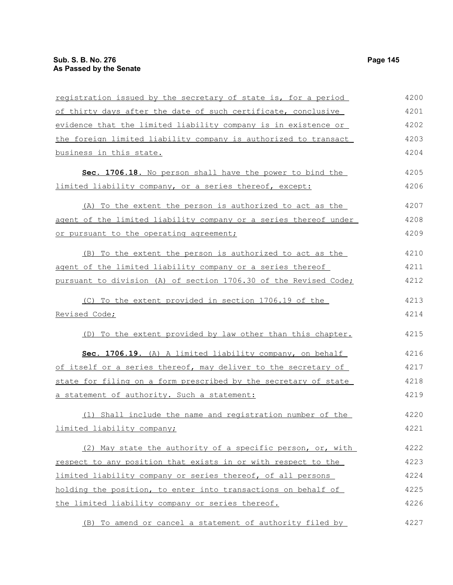| registration issued by the secretary of state is, for a period   | 4200 |
|------------------------------------------------------------------|------|
| of thirty days after the date of such certificate, conclusive    | 4201 |
| evidence that the limited liability company is in existence or   | 4202 |
| the foreign limited liability company is authorized to transact  | 4203 |
| <u>business in this state.</u>                                   | 4204 |
| Sec. 1706.18. No person shall have the power to bind the         | 4205 |
| limited liability company, or a series thereof, except:          | 4206 |
| (A) To the extent the person is authorized to act as the         | 4207 |
| agent of the limited liability company or a series thereof under | 4208 |
| or pursuant to the operating agreement;                          | 4209 |
| (B) To the extent the person is authorized to act as the         | 4210 |
| agent of the limited liability company or a series thereof       | 4211 |
| pursuant to division (A) of section 1706.30 of the Revised Code; | 4212 |
| (C) To the extent provided in section 1706.19 of the             | 4213 |
| Revised Code;                                                    | 4214 |
| (D) To the extent provided by law other than this chapter.       | 4215 |
| Sec. 1706.19. (A) A limited liability company, on behalf         | 4216 |
| of itself or a series thereof, may deliver to the secretary of   | 4217 |
| state for filing on a form prescribed by the secretary of state  | 4218 |
| a statement of authority. Such a statement:                      | 4219 |
| (1) Shall include the name and registration number of the        | 4220 |
| limited liability company;                                       | 4221 |
| (2) May state the authority of a specific person, or, with       | 4222 |
| respect to any position that exists in or with respect to the    | 4223 |
| limited liability company or series thereof, of all persons      | 4224 |
| holding the position, to enter into transactions on behalf of    | 4225 |
| the limited liability company or series thereof.                 | 4226 |
| (B) To amend or cancel a statement of authority filed by         | 4227 |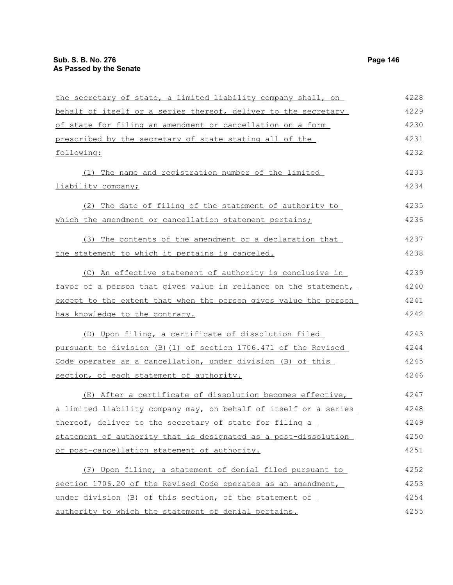| the secretary of state, a limited liability company shall, on    | 4228 |
|------------------------------------------------------------------|------|
| behalf of itself or a series thereof, deliver to the secretary   | 4229 |
| of state for filing an amendment or cancellation on a form       | 4230 |
| prescribed by the secretary of state stating all of the          | 4231 |
| following:                                                       | 4232 |
| (1) The name and registration number of the limited              | 4233 |
| liability company;                                               | 4234 |
| (2) The date of filing of the statement of authority to          | 4235 |
| which the amendment or cancellation statement pertains;          | 4236 |
|                                                                  |      |
| (3) The contents of the amendment or a declaration that          | 4237 |
| the statement to which it pertains is canceled.                  | 4238 |
| (C) An effective statement of authority is conclusive in         | 4239 |
| favor of a person that gives value in reliance on the statement, | 4240 |
| except to the extent that when the person gives value the person | 4241 |
| <u>has knowledge to the contrary.</u>                            | 4242 |
| (D) Upon filing, a certificate of dissolution filed              | 4243 |
| pursuant to division (B)(1) of section 1706.471 of the Revised   | 4244 |
| Code operates as a cancellation, under division (B) of this      | 4245 |
| section, of each statement of authority.                         | 4246 |
| (E) After a certificate of dissolution becomes effective,        | 4247 |
| a limited liability company may, on behalf of itself or a series | 4248 |
| thereof, deliver to the secretary of state for filing a          | 4249 |
| statement of authority that is designated as a post-dissolution  | 4250 |
| or post-cancellation statement of authority.                     | 4251 |
| (F) Upon filing, a statement of denial filed pursuant to         | 4252 |
| section 1706.20 of the Revised Code operates as an amendment,    | 4253 |
| under division (B) of this section, of the statement of          | 4254 |
| authority to which the statement of denial pertains.             | 4255 |
|                                                                  |      |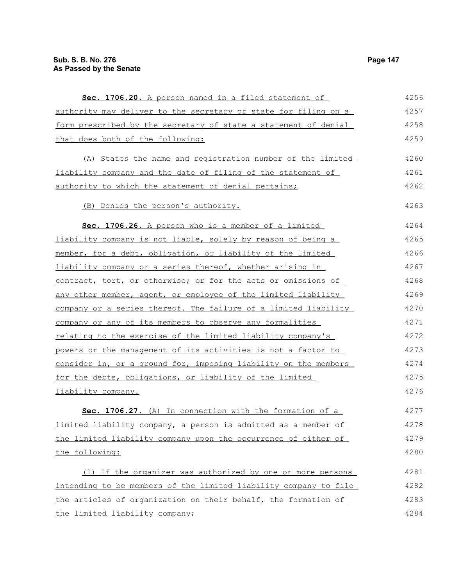| Sec. 1706.20. A person named in a filed statement of             | 4256 |
|------------------------------------------------------------------|------|
| authority may deliver to the secretary of state for filing on a  | 4257 |
| form prescribed by the secretary of state a statement of denial  | 4258 |
| that does both of the following:                                 | 4259 |
| (A) States the name and registration number of the limited       | 4260 |
| liability company and the date of filing of the statement of     | 4261 |
| authority to which the statement of denial pertains;             | 4262 |
| (B) Denies the person's authority.                               | 4263 |
| Sec. 1706.26. A person who is a member of a limited              | 4264 |
| liability company is not liable, solely by reason of being a     | 4265 |
| member, for a debt, obligation, or liability of the limited      | 4266 |
| liability company or a series thereof, whether arising in        | 4267 |
| contract, tort, or otherwise; or for the acts or omissions of    | 4268 |
| any other member, agent, or employee of the limited liability    | 4269 |
| company or a series thereof. The failure of a limited liability  | 4270 |
| company or any of its members to observe any formalities         | 4271 |
| relating to the exercise of the limited liability company's      | 4272 |
| powers or the management of its activities is not a factor to    | 4273 |
| consider in, or a ground for, imposing liability on the members  | 4274 |
| for the debts, obligations, or liability of the limited          | 4275 |
| liability company.                                               | 4276 |
| Sec. 1706.27. (A) In connection with the formation of a          | 4277 |
| limited liability company, a person is admitted as a member of   | 4278 |
| the limited liability company upon the occurrence of either of   | 4279 |
| the following:                                                   | 4280 |
| (1) If the organizer was authorized by one or more persons       | 4281 |
| intending to be members of the limited liability company to file | 4282 |
| the articles of organization on their behalf, the formation of   | 4283 |
| the limited liability company;                                   | 4284 |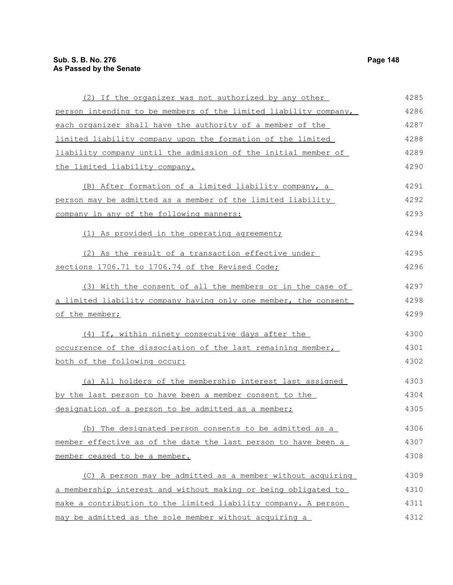| (2) If the organizer was not authorized by any other             | 4285 |
|------------------------------------------------------------------|------|
| person intending to be members of the limited liability company, | 4286 |
| each organizer shall have the authority of a member of the       | 4287 |
| limited liability company upon the formation of the limited      | 4288 |
| liability company until the admission of the initial member of   | 4289 |
| the limited liability company.                                   | 4290 |
| (B) After formation of a limited liability company, a            | 4291 |
| person may be admitted as a member of the limited liability      | 4292 |
| company in any of the following manners:                         | 4293 |
| (1) As provided in the operating agreement;                      | 4294 |
| (2) As the result of a transaction effective under               | 4295 |
| sections 1706.71 to 1706.74 of the Revised Code;                 | 4296 |
| (3) With the consent of all the members or in the case of        | 4297 |
| a limited liability company having only one member, the consent  | 4298 |
| of the member;                                                   | 4299 |
| (4) If, within ninety consecutive days after the                 | 4300 |
| occurrence of the dissociation of the last remaining member,     | 4301 |
| both of the following occur:                                     | 4302 |
| (a) All holders of the membership interest last assigned         | 4303 |
| by the last person to have been a member consent to the          | 4304 |
| designation of a person to be admitted as a member;              | 4305 |
| (b) The designated person consents to be admitted as a           | 4306 |
| member effective as of the date the last person to have been a   | 4307 |
| member ceased to be a member.                                    | 4308 |
| (C) A person may be admitted as a member without acquiring       | 4309 |
| a membership interest and without making or being obligated to   | 4310 |
| make a contribution to the limited liability company. A person   | 4311 |
| may be admitted as the sole member without acquiring a           | 4312 |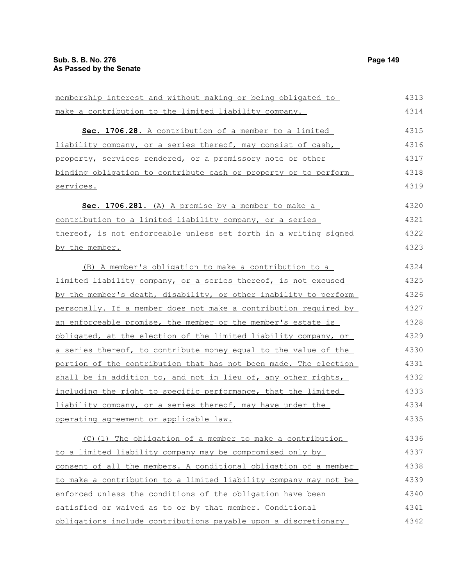| membership interest and without making or being obligated to     | 4313 |
|------------------------------------------------------------------|------|
| make a contribution to the limited liability company.            | 4314 |
| Sec. 1706.28. A contribution of a member to a limited            | 4315 |
| liability company, or a series thereof, may consist of cash,     | 4316 |
| property, services rendered, or a promissory note or other       | 4317 |
| binding obligation to contribute cash or property or to perform  | 4318 |
| services.                                                        | 4319 |
| Sec. 1706.281. (A) A promise by a member to make a               | 4320 |
| contribution to a limited liability company, or a series         | 4321 |
| thereof, is not enforceable unless set forth in a writing signed | 4322 |
| by the member.                                                   | 4323 |
| (B) A member's obligation to make a contribution to a            | 4324 |
| limited liability company, or a series thereof, is not excused   | 4325 |
| by the member's death, disability, or other inability to perform | 4326 |
| personally. If a member does not make a contribution required by | 4327 |
| an enforceable promise, the member or the member's estate is     | 4328 |
| obligated, at the election of the limited liability company, or  | 4329 |
| a series thereof, to contribute money equal to the value of the  | 4330 |
| portion of the contribution that has not been made. The election | 4331 |
| shall be in addition to, and not in lieu of, any other rights,   | 4332 |
| including the right to specific performance, that the limited    | 4333 |
| liability company, or a series thereof, may have under the       | 4334 |
| operating agreement or applicable law.                           | 4335 |
| (C)(1) The obligation of a member to make a contribution         | 4336 |
| to a limited liability company may be compromised only by        | 4337 |
| consent of all the members. A conditional obligation of a member | 4338 |
| to make a contribution to a limited liability company may not be | 4339 |
| enforced unless the conditions of the obligation have been       | 4340 |
| satisfied or waived as to or by that member. Conditional         | 4341 |
| obligations include contributions payable upon a discretionary   | 4342 |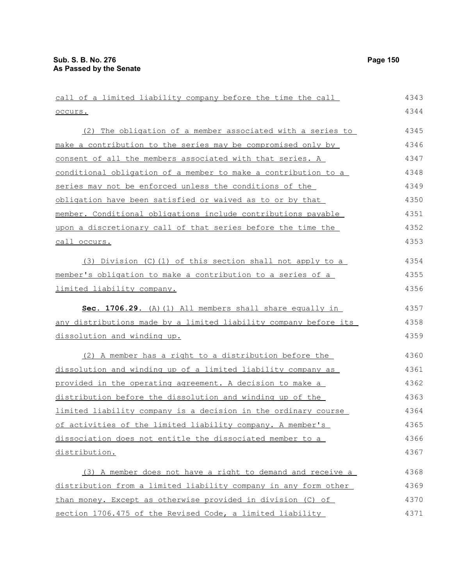| call of a limited liability company before the time the call     | 4343 |
|------------------------------------------------------------------|------|
| occurs.                                                          | 4344 |
| (2) The obligation of a member associated with a series to       | 4345 |
| make a contribution to the series may be compromised only by     | 4346 |
| consent of all the members associated with that series. A        | 4347 |
| conditional obligation of a member to make a contribution to a   | 4348 |
| series may not be enforced unless the conditions of the          | 4349 |
| obligation have been satisfied or waived as to or by that        | 4350 |
| member. Conditional obligations include contributions payable    | 4351 |
| upon a discretionary call of that series before the time the     | 4352 |
| call occurs.                                                     | 4353 |
| $(3)$ Division $(C)$ (1) of this section shall not apply to a    | 4354 |
| member's obligation to make a contribution to a series of a      | 4355 |
| limited liability company.                                       | 4356 |
| Sec. 1706.29. (A) (1) All members shall share equally in         | 4357 |
| any distributions made by a limited liability company before its | 4358 |
| dissolution and winding up.                                      | 4359 |
| (2) A member has a right to a distribution before the            | 4360 |
| dissolution and winding up of a limited liability company as     | 4361 |
| provided in the operating agreement. A decision to make a        | 4362 |
| distribution before the dissolution and winding up of the        | 4363 |
| limited liability company is a decision in the ordinary course   | 4364 |
| of activities of the limited liability company. A member's       | 4365 |
| dissociation does not entitle the dissociated member to a        | 4366 |
| distribution.                                                    | 4367 |
| (3) A member does not have a right to demand and receive a       | 4368 |
| distribution from a limited liability company in any form other  | 4369 |
| than money. Except as otherwise provided in division (C) of      | 4370 |
| section 1706.475 of the Revised Code, a limited liability        | 4371 |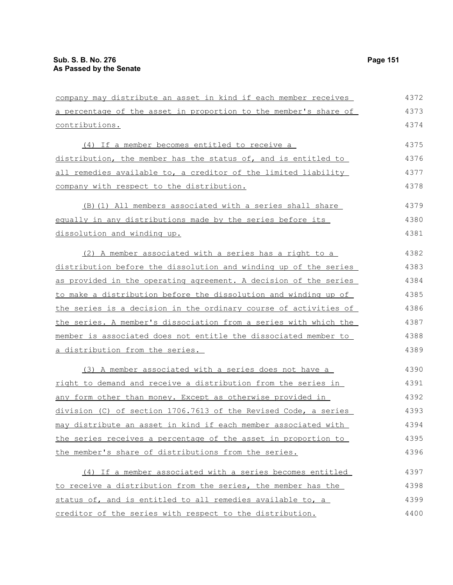| company may distribute an asset in kind if each member receives  | 4372 |
|------------------------------------------------------------------|------|
| a percentage of the asset in proportion to the member's share of | 4373 |
| contributions.                                                   | 4374 |
| (4) If a member becomes entitled to receive a                    | 4375 |
| distribution, the member has the status of, and is entitled to   | 4376 |
| all remedies available to, a creditor of the limited liability   | 4377 |
| company with respect to the distribution.                        | 4378 |
| (B) (1) All members associated with a series shall share         | 4379 |
| equally in any distributions made by the series before its       | 4380 |
| dissolution and winding up.                                      | 4381 |
| (2) A member associated with a series has a right to a           | 4382 |
| distribution before the dissolution and winding up of the series | 4383 |
| as provided in the operating agreement. A decision of the series | 4384 |
| to make a distribution before the dissolution and winding up of  | 4385 |
| the series is a decision in the ordinary course of activities of | 4386 |
| the series. A member's dissociation from a series with which the | 4387 |
| member is associated does not entitle the dissociated member to  | 4388 |
| a distribution from the series.                                  | 4389 |
| (3) A member associated with a series does not have a            | 4390 |
| right to demand and receive a distribution from the series in    | 4391 |
| any form other than money. Except as otherwise provided in       | 4392 |
| division (C) of section 1706.7613 of the Revised Code, a series  | 4393 |
| may distribute an asset in kind if each member associated with   | 4394 |
| the series receives a percentage of the asset in proportion to   | 4395 |
| the member's share of distributions from the series.             | 4396 |
| (4) If a member associated with a series becomes entitled        | 4397 |
| to receive a distribution from the series, the member has the    | 4398 |
| status of, and is entitled to all remedies available to, a       | 4399 |
| creditor of the series with respect to the distribution.         | 4400 |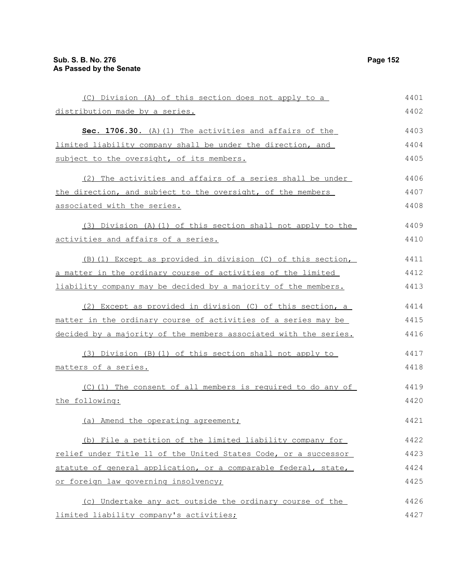| (C) Division (A) of this section does not apply to a             | 4401 |
|------------------------------------------------------------------|------|
| distribution made by a series.                                   | 4402 |
| Sec. 1706.30. (A) (1) The activities and affairs of the          | 4403 |
| limited liability company shall be under the direction, and      | 4404 |
| subject to the oversight, of its members.                        | 4405 |
| (2) The activities and affairs of a series shall be under        | 4406 |
| the direction, and subject to the oversight, of the members      | 4407 |
| associated with the series.                                      | 4408 |
| (3) Division (A)(1) of this section shall not apply to the       | 4409 |
| activities and affairs of a series.                              | 4410 |
| (B) (1) Except as provided in division (C) of this section,      | 4411 |
| a matter in the ordinary course of activities of the limited     | 4412 |
| liability company may be decided by a majority of the members.   | 4413 |
| (2) Except as provided in division (C) of this section, a        | 4414 |
| matter in the ordinary course of activities of a series may be   | 4415 |
| decided by a majority of the members associated with the series. | 4416 |
| (3) Division (B) (1) of this section shall not apply to          | 4417 |
| matters of a series.                                             | 4418 |
| (C)(1) The consent of all members is required to do any of       | 4419 |
| the following:                                                   | 4420 |
| (a) Amend the operating agreement;                               | 4421 |
| (b) File a petition of the limited liability company for         | 4422 |
| relief under Title 11 of the United States Code, or a successor  | 4423 |
| statute of general application, or a comparable federal, state,  | 4424 |
| or foreign law governing insolvency;                             | 4425 |
| (c) Undertake any act outside the ordinary course of the         | 4426 |
| limited liability company's activities;                          | 4427 |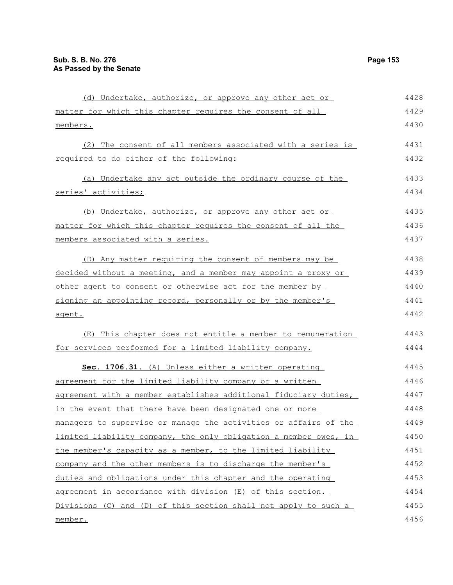| (d) Undertake, authorize, or approve any other act or            | 4428 |
|------------------------------------------------------------------|------|
| matter for which this chapter requires the consent of all        | 4429 |
| members.                                                         | 4430 |
| (2) The consent of all members associated with a series is       | 4431 |
| required to do either of the following:                          | 4432 |
| (a) Undertake any act outside the ordinary course of the         | 4433 |
| series' activities;                                              | 4434 |
| (b) Undertake, authorize, or approve any other act or            | 4435 |
| matter for which this chapter requires the consent of all the    | 4436 |
| members associated with a series.                                | 4437 |
| (D) Any matter requiring the consent of members may be           | 4438 |
| decided without a meeting, and a member may appoint a proxy or   | 4439 |
| other agent to consent or otherwise act for the member by        | 4440 |
| signing an appointing record, personally or by the member's      | 4441 |
| agent.                                                           | 4442 |
| (E) This chapter does not entitle a member to remuneration       | 4443 |
| for services performed for a limited liability company.          | 4444 |
| Sec. 1706.31. (A) Unless either a written operating              | 4445 |
| agreement for the limited liability company or a written         | 4446 |
| agreement with a member establishes additional fiduciary duties, | 4447 |
| in the event that there have been designated one or more         | 4448 |
| managers to supervise or manage the activities or affairs of the | 4449 |
| limited liability company, the only obligation a member owes, in | 4450 |
| the member's capacity as a member, to the limited liability      | 4451 |
| company and the other members is to discharge the member's       | 4452 |
| duties and obligations under this chapter and the operating      | 4453 |
| agreement in accordance with division (E) of this section.       | 4454 |
| Divisions (C) and (D) of this section shall not apply to such a  | 4455 |
| member.                                                          | 4456 |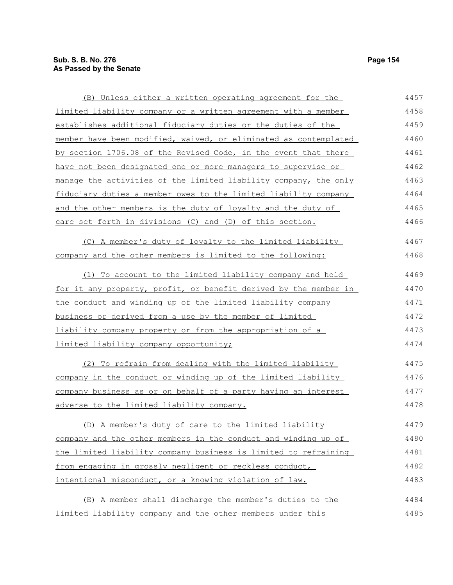(B) Unless either a written operating agreement for the limited liability company or a written agreement with a member establishes additional fiduciary duties or the duties of the member have been modified, waived, or eliminated as contemplated by section 1706.08 of the Revised Code, in the event that there have not been designated one or more managers to supervise or manage the activities of the limited liability company, the only fiduciary duties a member owes to the limited liability company and the other members is the duty of loyalty and the duty of care set forth in divisions (C) and (D) of this section. (C) A member's duty of loyalty to the limited liability company and the other members is limited to the following: (1) To account to the limited liability company and hold for it any property, profit, or benefit derived by the member in the conduct and winding up of the limited liability company business or derived from a use by the member of limited liability company property or from the appropriation of a limited liability company opportunity; (2) To refrain from dealing with the limited liability company in the conduct or winding up of the limited liability company business as or on behalf of a party having an interest adverse to the limited liability company. (D) A member's duty of care to the limited liability company and the other members in the conduct and winding up of the limited liability company business is limited to refraining from engaging in grossly negligent or reckless conduct, intentional misconduct, or a knowing violation of law. (E) A member shall discharge the member's duties to the limited liability company and the other members under this 4457 4458 4459 4460 4461 4462 4463 4464 4465 4466 4467 4468 4469 4470 4471 4472 4473 4474 4475 4476 4477 4478 4479 4480 4481 4482 4483 4484 4485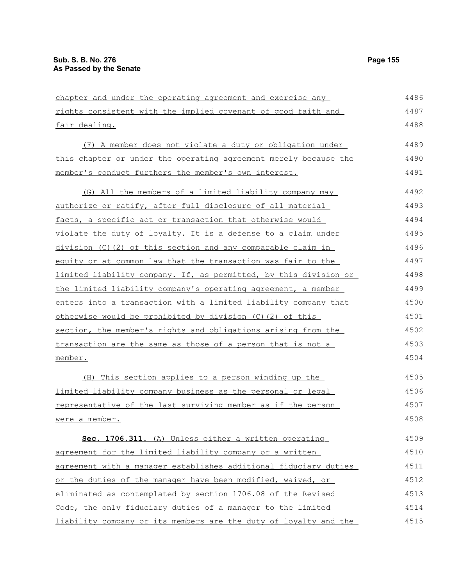| chapter and under the operating agreement and exercise any       | 4486 |
|------------------------------------------------------------------|------|
| rights consistent with the implied covenant of good faith and    | 4487 |
| fair dealing.                                                    | 4488 |
| (F) A member does not violate a duty or obligation under         | 4489 |
| this chapter or under the operating agreement merely because the | 4490 |
| member's conduct furthers the member's own interest.             | 4491 |
| (G) All the members of a limited liability company may           | 4492 |
| authorize or ratify, after full disclosure of all material       | 4493 |
| facts, a specific act or transaction that otherwise would        | 4494 |
| violate the duty of loyalty. It is a defense to a claim under    | 4495 |
| division (C) (2) of this section and any comparable claim in     | 4496 |
| equity or at common law that the transaction was fair to the     | 4497 |
| limited liability company. If, as permitted, by this division or | 4498 |
| the limited liability company's operating agreement, a member    | 4499 |
| enters into a transaction with a limited liability company that  | 4500 |
| otherwise would be prohibited by division (C)(2) of this         | 4501 |
| section, the member's rights and obligations arising from the    | 4502 |
| transaction are the same as those of a person that is not a      | 4503 |
| member.                                                          | 4504 |
| (H) This section applies to a person winding up the              | 4505 |
| limited liability company business as the personal or legal      | 4506 |
| representative of the last surviving member as if the person     | 4507 |
| were a member.                                                   | 4508 |
| Sec. 1706.311. (A) Unless either a written operating             | 4509 |
| agreement for the limited liability company or a written         | 4510 |
| agreement with a manager establishes additional fiduciary duties | 4511 |
| or the duties of the manager have been modified, waived, or      | 4512 |
| eliminated as contemplated by section 1706.08 of the Revised     | 4513 |
| Code, the only fiduciary duties of a manager to the limited      | 4514 |
| liability company or its members are the duty of loyalty and the | 4515 |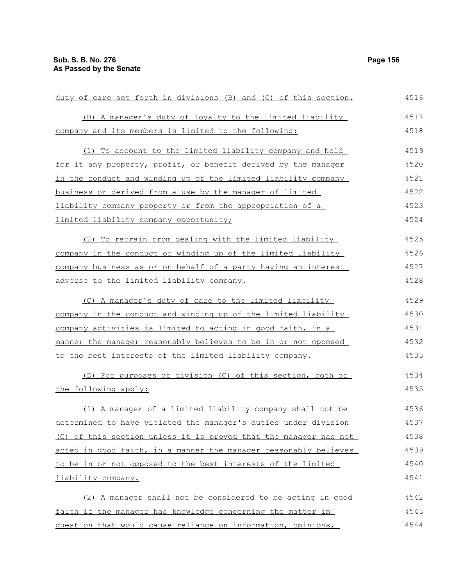duty of care set forth in divisions (B) and (C) of this section. (B) A manager's duty of loyalty to the limited liability company and its members is limited to the following: (1) To account to the limited liability company and hold for it any property, profit, or benefit derived by the manager in the conduct and winding up of the limited liability company business or derived from a use by the manager of limited liability company property or from the appropriation of a limited liability company opportunity; (2) To refrain from dealing with the limited liability company in the conduct or winding up of the limited liability company business as or on behalf of a party having an interest adverse to the limited liability company. (C) A manager's duty of care to the limited liability company in the conduct and winding up of the limited liability company activities is limited to acting in good faith, in a manner the manager reasonably believes to be in or not opposed to the best interests of the limited liability company. (D) For purposes of division (C) of this section, both of the following apply: (1) A manager of a limited liability company shall not be determined to have violated the manager's duties under division (C) of this section unless it is proved that the manager has not acted in good faith, in a manner the manager reasonably believes to be in or not opposed to the best interests of the limited liability company. (2) A manager shall not be considered to be acting in good faith if the manager has knowledge concerning the matter in question that would cause reliance on information, opinions, 4516 4517 4518 4519 4520 4521 4522 4523 4524 4525 4526 4527 4528 4529 4530 4531 4532 4533 4534 4535 4536 4537 4538 4539 4540 4541 4542 4543 4544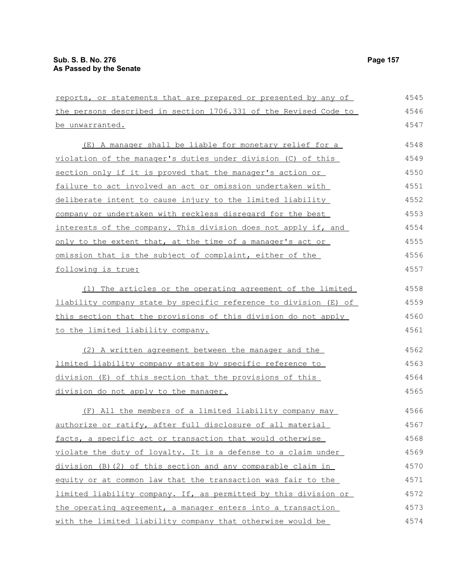| reports, or statements that are prepared or presented by any of  | 4545 |
|------------------------------------------------------------------|------|
| the persons described in section 1706.331 of the Revised Code to | 4546 |
| be unwarranted.                                                  | 4547 |
| (E) A manager shall be liable for monetary relief for a          | 4548 |
| violation of the manager's duties under division (C) of this     | 4549 |
| section only if it is proved that the manager's action or        | 4550 |
| failure to act involved an act or omission undertaken with       | 4551 |
| deliberate intent to cause injury to the limited liability       | 4552 |
| company or undertaken with reckless disregard for the best       | 4553 |
| interests of the company. This division does not apply if, and   | 4554 |
| only to the extent that, at the time of a manager's act or       | 4555 |
| omission that is the subject of complaint, either of the         | 4556 |
| following is true:                                               | 4557 |
| (1) The articles or the operating agreement of the limited       | 4558 |
| liability company state by specific reference to division (E) of | 4559 |
| this section that the provisions of this division do not apply   | 4560 |
| to the limited liability company.                                | 4561 |
| (2) A written agreement between the manager and the              | 4562 |
| limited liability company states by specific reference to        | 4563 |
| division (E) of this section that the provisions of this         | 4564 |
| division do not apply to the manager.                            | 4565 |
| (F) All the members of a limited liability company may           | 4566 |
| authorize or ratify, after full disclosure of all material       | 4567 |
| facts, a specific act or transaction that would otherwise        | 4568 |
| violate the duty of loyalty. It is a defense to a claim under    | 4569 |
| division (B) (2) of this section and any comparable claim in     | 4570 |
| equity or at common law that the transaction was fair to the     | 4571 |
| limited liability company. If, as permitted by this division or  | 4572 |
| the operating agreement, a manager enters into a transaction     | 4573 |
| with the limited liability company that otherwise would be       | 4574 |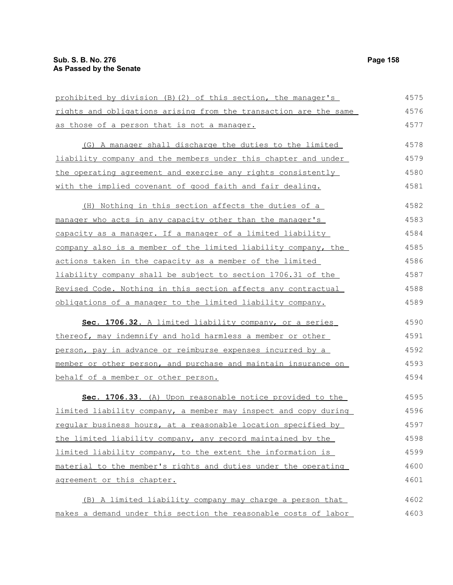prohibited by division (B)(2) of this section, the manager's rights and obligations arising from the transaction are the same as those of a person that is not a manager. (G) A manager shall discharge the duties to the limited liability company and the members under this chapter and under the operating agreement and exercise any rights consistently with the implied covenant of good faith and fair dealing. (H) Nothing in this section affects the duties of a manager who acts in any capacity other than the manager's capacity as a manager. If a manager of a limited liability company also is a member of the limited liability company, the actions taken in the capacity as a member of the limited liability company shall be subject to section 1706.31 of the Revised Code. Nothing in this section affects any contractual obligations of a manager to the limited liability company. Sec. 1706.32. A limited liability company, or a series thereof, may indemnify and hold harmless a member or other person, pay in advance or reimburse expenses incurred by a member or other person, and purchase and maintain insurance on behalf of a member or other person. **Sec. 1706.33.** (A) Upon reasonable notice provided to the limited liability company, a member may inspect and copy during regular business hours, at a reasonable location specified by the limited liability company, any record maintained by the limited liability company, to the extent the information is material to the member's rights and duties under the operating agreement or this chapter. (B) A limited liability company may charge a person that makes a demand under this section the reasonable costs of labor 4575 4576 4577 4578 4579 4580 4581 4582 4583 4584 4585 4586 4587 4588 4589 4590 4591 4592 4593 4594 4595 4596 4597 4598 4599 4600 4601 4602 4603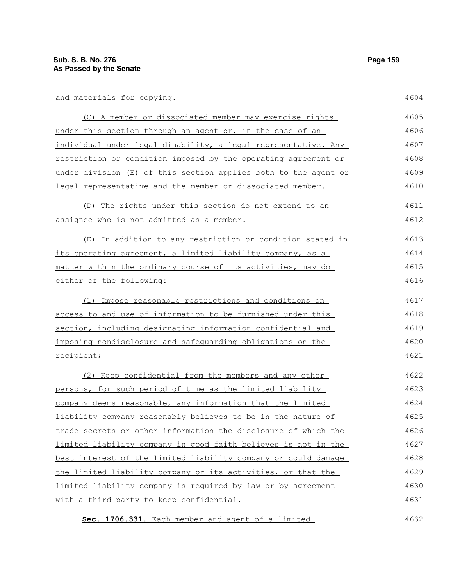| and materials for copying.                                      | 4604 |
|-----------------------------------------------------------------|------|
| (C) A member or dissociated member may exercise rights          | 4605 |
| under this section through an agent or, in the case of an       | 4606 |
| individual under legal disability, a legal representative. Any  | 4607 |
| restriction or condition imposed by the operating agreement or  | 4608 |
| under division (E) of this section applies both to the agent or | 4609 |
| legal representative and the member or dissociated member.      | 4610 |
| (D) The rights under this section do not extend to an           | 4611 |
| <u>assignee who is not admitted as a member.</u>                | 4612 |
| (E) In addition to any restriction or condition stated in       | 4613 |
| its operating agreement, a limited liability company, as a      | 4614 |
| matter within the ordinary course of its activities, may do     | 4615 |
| either of the following:                                        | 4616 |
| Impose reasonable restrictions and conditions on<br>(1)         | 4617 |
| access to and use of information to be furnished under this     | 4618 |
| section, including designating information confidential and     | 4619 |
| imposing nondisclosure and safequarding obligations on the      | 4620 |
| recipient;                                                      | 4621 |
| (2) Keep confidential from the members and any other            | 4622 |
| persons, for such period of time as the limited liability       | 4623 |
| company deems reasonable, any information that the limited      | 4624 |
| liability company reasonably believes to be in the nature of    | 4625 |
| trade secrets or other information the disclosure of which the  | 4626 |
| limited liability company in good faith believes is not in the  | 4627 |
| best interest of the limited liability company or could damage  | 4628 |
| the limited liability company or its activities, or that the    | 4629 |
| limited liability company is required by law or by agreement    | 4630 |
| with a third party to keep confidential.                        | 4631 |
| Sec. 1706.331. Each member and agent of a limited               | 4632 |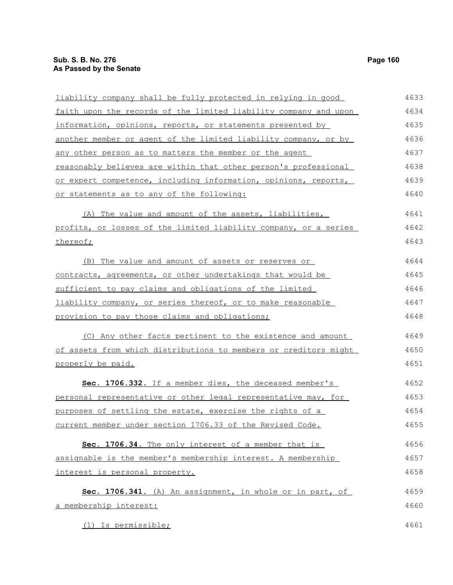thereof;

liability company shall be fully protected in relying in good faith upon the records of the limited liability company and upon information, opinions, reports, or statements presented by another member or agent of the limited liability company, or by any other person as to matters the member or the agent reasonably believes are within that other person's professional or expert competence, including information, opinions, reports, or statements as to any of the following: (A) The value and amount of the assets, liabilities, profits, or losses of the limited liability company, or a series 4633 4634 4635 4636 4637 4638 4639 4640 4641 4642 4643

| (B) The value and amount of assets or reserves or           | 4644 |
|-------------------------------------------------------------|------|
| contracts, agreements, or other undertakings that would be  | 4645 |
| sufficient to pay claims and obligations of the limited     | 4646 |
| liability company, or series thereof, or to make reasonable | 4647 |
| provision to pay those claims and obligations;              | 4648 |

(C) Any other facts pertinent to the existence and amount of assets from which distributions to members or creditors might properly be paid. 4649 4650 4651

 **Sec. 1706.332.** If a member dies, the deceased member's personal representative or other legal representative may, for purposes of settling the estate, exercise the rights of a current member under section 1706.33 of the Revised Code. 4652 4653 4654 4655

 **Sec. 1706.34.** The only interest of a member that is assignable is the member's membership interest. A membership interest is personal property. 4656 4657 4658

|  |                        |  | Sec. 1706.341. (A) An assignment, in whole or in part, of |  |  |  | 4659 |
|--|------------------------|--|-----------------------------------------------------------|--|--|--|------|
|  | a membership interest: |  |                                                           |  |  |  | 4660 |

(1) Is permissible;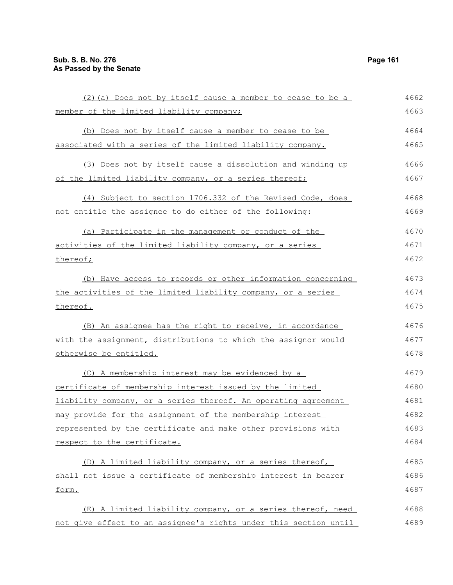| (2) (a) Does not by itself cause a member to cease to be a       | 4662 |
|------------------------------------------------------------------|------|
| member of the limited liability company;                         | 4663 |
| (b) Does not by itself cause a member to cease to be             | 4664 |
| associated with a series of the limited liability company.       | 4665 |
| (3) Does not by itself cause a dissolution and winding up        | 4666 |
| of the limited liability company, or a series thereof;           | 4667 |
|                                                                  |      |
| (4) Subject to section 1706.332 of the Revised Code, does        | 4668 |
| not entitle the assignee to do either of the following:          | 4669 |
| (a) Participate in the management or conduct of the              | 4670 |
| activities of the limited liability company, or a series         | 4671 |
| thereof;                                                         | 4672 |
| (b) Have access to records or other information concerning       | 4673 |
| the activities of the limited liability company, or a series     | 4674 |
| thereof.                                                         | 4675 |
| (B) An assignee has the right to receive, in accordance          | 4676 |
| with the assignment, distributions to which the assignor would   | 4677 |
| otherwise be entitled.                                           | 4678 |
| (C) A membership interest may be evidenced by a                  | 4679 |
| certificate of membership interest issued by the limited         | 4680 |
| liability company, or a series thereof. An operating agreement   | 4681 |
| may provide for the assignment of the membership interest        | 4682 |
| represented by the certificate and make other provisions with    | 4683 |
| respect to the certificate.                                      | 4684 |
| (D) A limited liability company, or a series thereof,            | 4685 |
| shall not issue a certificate of membership interest in bearer   | 4686 |
| form.                                                            | 4687 |
|                                                                  |      |
| (E) A limited liability company, or a series thereof, need       | 4688 |
| not give effect to an assignee's rights under this section until | 4689 |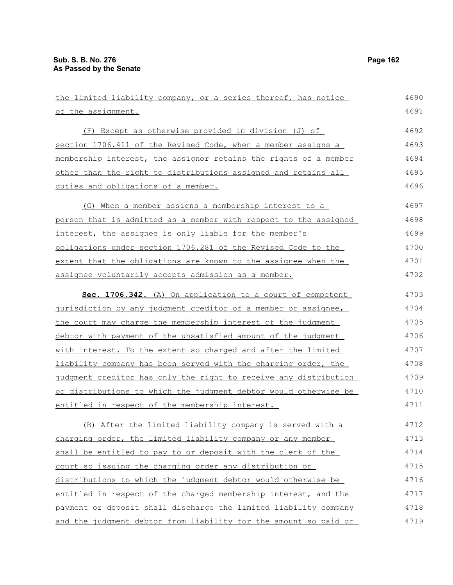| the limited liability company, or a series thereof, has notice   | 4690 |
|------------------------------------------------------------------|------|
| of the assignment.                                               | 4691 |
| (F) Except as otherwise provided in division (J) of              | 4692 |
| section 1706.411 of the Revised Code, when a member assigns a    | 4693 |
| membership interest, the assignor retains the rights of a member | 4694 |
| other than the right to distributions assigned and retains all   | 4695 |
| duties and obligations of a member.                              | 4696 |
| (G) When a member assigns a membership interest to a             | 4697 |
| person that is admitted as a member with respect to the assigned | 4698 |
| interest, the assignee is only liable for the member's           | 4699 |
| obligations under section 1706.281 of the Revised Code to the    | 4700 |
| extent that the obligations are known to the assignee when the   | 4701 |
| assignee voluntarily accepts admission as a member.              | 4702 |
| Sec. 1706.342. (A) On application to a court of competent        | 4703 |
| jurisdiction by any judgment creditor of a member or assignee,   | 4704 |
| the court may charge the membership interest of the judgment     | 4705 |
| debtor with payment of the unsatisfied amount of the judgment    | 4706 |
| with interest. To the extent so charged and after the limited    | 4707 |
| liability company has been served with the charging order, the   | 4708 |
| judgment creditor has only the right to receive any distribution | 4709 |
| or distributions to which the judgment debtor would otherwise be | 4710 |
| entitled in respect of the membership interest.                  | 4711 |
| (B) After the limited liability company is served with a         | 4712 |
| charging order, the limited liability company or any member      | 4713 |
| shall be entitled to pay to or deposit with the clerk of the     | 4714 |
| court so issuing the charging order any distribution or          | 4715 |
| distributions to which the judgment debtor would otherwise be    | 4716 |
| entitled in respect of the charged membership interest, and the  | 4717 |
| payment or deposit shall discharge the limited liability company | 4718 |
| and the judgment debtor from liability for the amount so paid or | 4719 |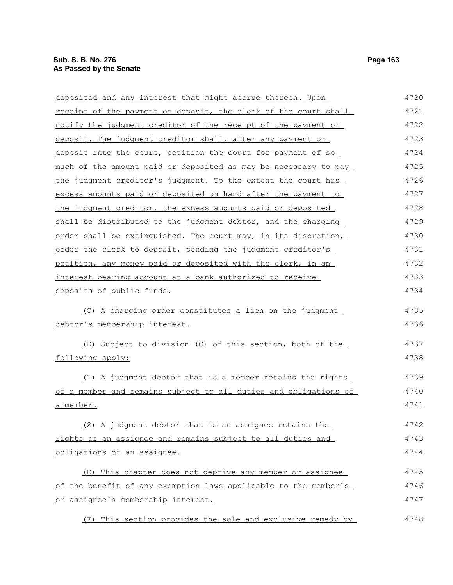deposited and any interest that might accrue thereon. Upon receipt of the payment or deposit, the clerk of the court shall notify the judgment creditor of the receipt of the payment or deposit. The judgment creditor shall, after any payment or deposit into the court, petition the court for payment of so much of the amount paid or deposited as may be necessary to pay the judgment creditor's judgment. To the extent the court has excess amounts paid or deposited on hand after the payment to the judgment creditor, the excess amounts paid or deposited shall be distributed to the judgment debtor, and the charging order shall be extinguished. The court may, in its discretion, order the clerk to deposit, pending the judgment creditor's petition, any money paid or deposited with the clerk, in an interest bearing account at a bank authorized to receive deposits of public funds. (C) A charging order constitutes a lien on the judgment debtor's membership interest. 4720 4721 4722 4723 4724 4725 4726 4727 4728 4729 4730 4731 4732 4733 4734 4735 4736

(D) Subject to division (C) of this section, both of the following apply: 4737 4738

(1) A judgment debtor that is a member retains the rights of a member and remains subject to all duties and obligations of a member. 4739 4740 4741

(2) A judgment debtor that is an assignee retains the rights of an assignee and remains subject to all duties and obligations of an assignee. 4742 4743 4744

(E) This chapter does not deprive any member or assignee of the benefit of any exemption laws applicable to the member's or assignee's membership interest. 4745 4746 4747

(F) This section provides the sole and exclusive remedy by 4748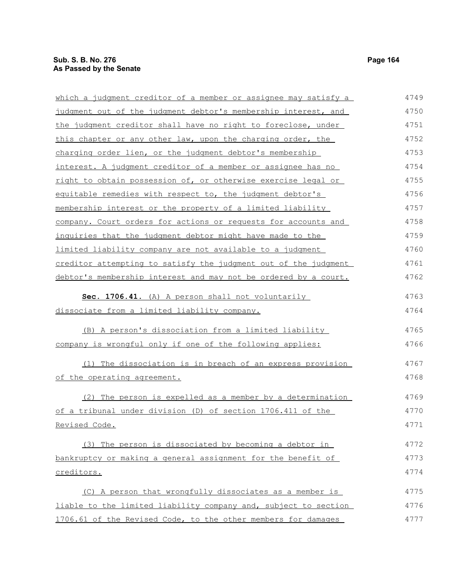| which a judgment creditor of a member or assignee may satisfy a | 4749 |
|-----------------------------------------------------------------|------|
| judgment out of the judgment debtor's membership interest, and  | 4750 |
| the judgment creditor shall have no right to foreclose, under   | 4751 |
| this chapter or any other law, upon the charging order, the     | 4752 |
| charging order lien, or the judgment debtor's membership        | 4753 |
| interest. A judgment creditor of a member or assignee has no    | 4754 |
| right to obtain possession of, or otherwise exercise legal or   | 4755 |
| equitable remedies with respect to, the judgment debtor's       | 4756 |
| membership interest or the property of a limited liability      | 4757 |
| company. Court orders for actions or requests for accounts and  | 4758 |
| inquiries that the judgment debtor might have made to the       | 4759 |
| limited liability company are not available to a judgment       | 4760 |

creditor attempting to satisfy the judgment out of the judgment debtor's membership interest and may not be ordered by a court. Sec. 1706.41. (A) A person shall not voluntarily dissociate from a limited liability company. 4761 4762 4763 4764

(B) A person's dissociation from a limited liability company is wrongful only if one of the following applies: 4765 4766

(1) The dissociation is in breach of an express provision of the operating agreement. 4767 4768

(2) The person is expelled as a member by a determination of a tribunal under division (D) of section 1706.411 of the Revised Code. 4769 4770 4771

(3) The person is dissociated by becoming a debtor in bankruptcy or making a general assignment for the benefit of creditors. 4772 4773 4774

| (C) A person that wrongfully dissociates as a member is         | 4775 |
|-----------------------------------------------------------------|------|
| liable to the limited liability company and, subject to section | 4776 |
| 1706.61 of the Revised Code, to the other members for damages   | 4777 |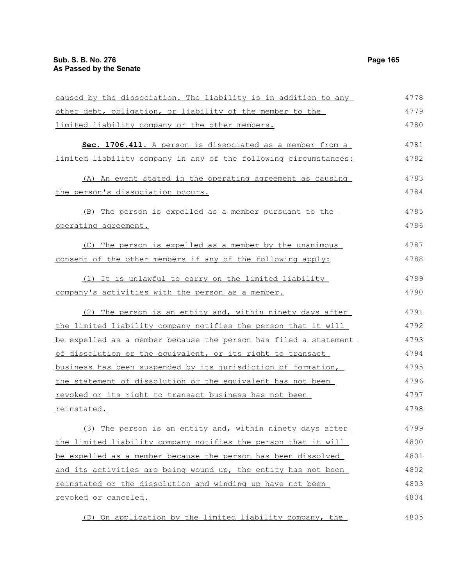operating agreement.

caused by the dissociation. The liability is in addition to any other debt, obligation, or liability of the member to the limited liability company or the other members. **Sec. 1706.411.** A person is dissociated as a member from a limited liability company in any of the following circumstances: (A) An event stated in the operating agreement as causing the person's dissociation occurs. (B) The person is expelled as a member pursuant to the (C) The person is expelled as a member by the unanimous consent of the other members if any of the following apply: 4778 4779 4780 4781 4782 4783 4784 4785 4786 4787 4788

## (1) It is unlawful to carry on the limited liability company's activities with the person as a member. 4789 4790

(2) The person is an entity and, within ninety days after the limited liability company notifies the person that it will be expelled as a member because the person has filed a statement of dissolution or the equivalent, or its right to transact business has been suspended by its jurisdiction of formation, the statement of dissolution or the equivalent has not been revoked or its right to transact business has not been reinstated. 4791 4792 4793 4794 4795 4796 4797 4798

(3) The person is an entity and, within ninety days after the limited liability company notifies the person that it will be expelled as a member because the person has been dissolved and its activities are being wound up, the entity has not been reinstated or the dissolution and winding up have not been revoked or canceled. 4799 4800 4801 4802 4803 4804

(D) On application by the limited liability company, the 4805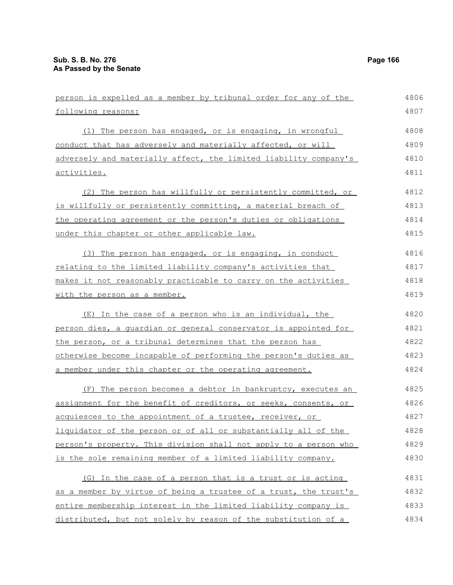| person is expelled as a member by tribunal order for any of the  | 4806 |
|------------------------------------------------------------------|------|
| following reasons:                                               | 4807 |
| (1) The person has engaged, or is engaging, in wrongful          | 4808 |
| conduct that has adversely and materially affected, or will      | 4809 |
| adversely and materially affect, the limited liability company's | 4810 |
| <u>activities.</u>                                               | 4811 |
| (2) The person has willfully or persistently committed, or       | 4812 |
| is willfully or persistently committing, a material breach of    | 4813 |
| the operating agreement or the person's duties or obligations    | 4814 |
| under this chapter or other applicable law.                      | 4815 |
| (3) The person has engaged, or is engaging, in conduct           | 4816 |
| relating to the limited liability company's activities that      | 4817 |
| makes it not reasonably practicable to carry on the activities   | 4818 |
| with the person as a member.                                     | 4819 |
| (E) In the case of a person who is an individual, the            | 4820 |
| person dies, a quardian or general conservator is appointed for  | 4821 |
| the person, or a tribunal determines that the person has         | 4822 |
| otherwise become incapable of performing the person's duties as  | 4823 |
| a member under this chapter or the operating agreement.          | 4824 |
| (F) The person becomes a debtor in bankruptcy, executes an       | 4825 |
| assignment for the benefit of creditors, or seeks, consents, or  | 4826 |
| acquiesces to the appointment of a trustee, receiver, or         | 4827 |
| liquidator of the person or of all or substantially all of the   | 4828 |
| person's property. This division shall not apply to a person who | 4829 |
| is the sole remaining member of a limited liability company.     | 4830 |
| (G) In the case of a person that is a trust or is acting         | 4831 |
| as a member by virtue of being a trustee of a trust, the trust's | 4832 |
| entire membership interest in the limited liability company is   | 4833 |
| distributed, but not solely by reason of the substitution of a   | 4834 |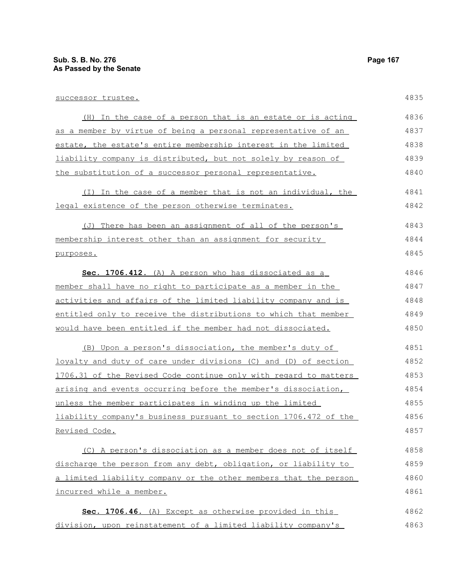successor trustee.

(H) In the case of a person that is an estate or is acting as a member by virtue of being a personal representative of an estate, the estate's entire membership interest in the limited liability company is distributed, but not solely by reason of the substitution of a successor personal representative. (I) In the case of a member that is not an individual, the legal existence of the person otherwise terminates. (J) There has been an assignment of all of the person's membership interest other than an assignment for security purposes. **Sec. 1706.412.** (A) A person who has dissociated as a member shall have no right to participate as a member in the activities and affairs of the limited liability company and is entitled only to receive the distributions to which that member would have been entitled if the member had not dissociated. (B) Upon a person's dissociation, the member's duty of loyalty and duty of care under divisions (C) and (D) of section 1706.31 of the Revised Code continue only with regard to matters arising and events occurring before the member's dissociation, unless the member participates in winding up the limited liability company's business pursuant to section 1706.472 of the Revised Code. (C) A person's dissociation as a member does not of itself discharge the person from any debt, obligation, or liability to a limited liability company or the other members that the person incurred while a member. 4836 4837 4838 4839 4840 4841 4842 4843 4844 4845 4846 4847 4848 4849 4850 4851 4852 4853 4854 4855 4856 4857 4858 4859 4860 4861

 **Sec. 1706.46.** (A) Except as otherwise provided in this division, upon reinstatement of a limited liability company's 4862 4863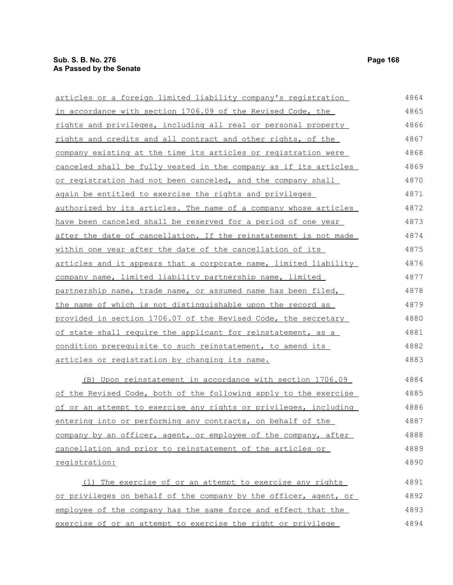| articles or a foreign limited liability company's registration      | 4864 |
|---------------------------------------------------------------------|------|
| in accordance with section 1706.09 of the Revised Code, the         | 4865 |
| rights and privileges, including all real or personal property      | 4866 |
| rights and credits and all contract and other rights, of the        | 4867 |
| company existing at the time its articles or registration were      | 4868 |
| canceled shall be fully vested in the company as if its articles    | 4869 |
| or registration had not been canceled, and the company shall        | 4870 |
| again be entitled to exercise the rights and privileges             | 4871 |
| authorized by its articles. The name of a company whose articles    | 4872 |
| have been canceled shall be reserved for a period of one year       | 4873 |
| after the date of cancellation. If the reinstatement is not made    | 4874 |
| within one year after the date of the cancellation of its           | 4875 |
| articles and it appears that a corporate name, limited liability    | 4876 |
| company name, limited liability partnership name, limited           | 4877 |
| partnership name, trade name, or assumed name has been filed,       | 4878 |
| the name of which is not distinguishable upon the record as         | 4879 |
| provided in section 1706.07 of the Revised Code, the secretary      | 4880 |
| <u>of state shall require the applicant for reinstatement, as a</u> | 4881 |
| condition prerequisite to such reinstatement, to amend its          | 4882 |
| articles or registration by changing its name.                      | 4883 |
| (B) Upon reinstatement in accordance with section 1706.09           | 4884 |
| of the Revised Code, both of the following apply to the exercise    | 4885 |
| of or an attempt to exercise any rights or privileges, including    | 4886 |
| entering into or performing any contracts, on behalf of the         | 4887 |
| company by an officer, agent, or employee of the company, after     | 4888 |
| cancellation and prior to reinstatement of the articles or          | 4889 |
| registration:                                                       | 4890 |
| (1) The exercise of or an attempt to exercise any rights            | 4891 |

or privileges on behalf of the company by the officer, agent, or employee of the company has the same force and effect that the exercise of or an attempt to exercise the right or privilege 4892 4893 4894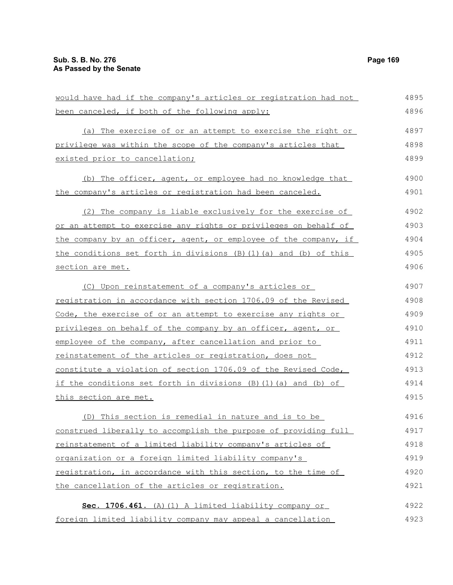| would have had if the company's articles or registration had not | 4895 |
|------------------------------------------------------------------|------|
| been canceled, if both of the following apply:                   | 4896 |
| (a) The exercise of or an attempt to exercise the right or       | 4897 |
| privilege was within the scope of the company's articles that    | 4898 |
| existed prior to cancellation;                                   | 4899 |
| (b) The officer, agent, or employee had no knowledge that        | 4900 |
| the company's articles or registration had been canceled.        | 4901 |
| (2) The company is liable exclusively for the exercise of        | 4902 |
| or an attempt to exercise any rights or privileges on behalf of  | 4903 |
| the company by an officer, agent, or employee of the company, if | 4904 |
| the conditions set forth in divisions (B)(1)(a) and (b) of this  | 4905 |
| section are met.                                                 | 4906 |
| (C) Upon reinstatement of a company's articles or                | 4907 |
| registration in accordance with section 1706.09 of the Revised   | 4908 |
| Code, the exercise of or an attempt to exercise any rights or    | 4909 |
| privileges on behalf of the company by an officer, agent, or     | 4910 |
| employee of the company, after cancellation and prior to         | 4911 |
| reinstatement of the articles or registration, does not          | 4912 |
| constitute a violation of section 1706.09 of the Revised Code,   | 4913 |
| if the conditions set forth in divisions (B)(1)(a) and (b) of    | 4914 |
| this section are met.                                            | 4915 |
| (D) This section is remedial in nature and is to be              | 4916 |
| construed liberally to accomplish the purpose of providing full  | 4917 |
| reinstatement of a limited liability company's articles of       | 4918 |
| organization or a foreign limited liability company's            | 4919 |
| registration, in accordance with this section, to the time of    | 4920 |
| the cancellation of the articles or registration.                | 4921 |
| Sec. 1706.461. (A) (1) A limited liability company or            | 4922 |
| foreign limited liability company may appeal a cancellation      | 4923 |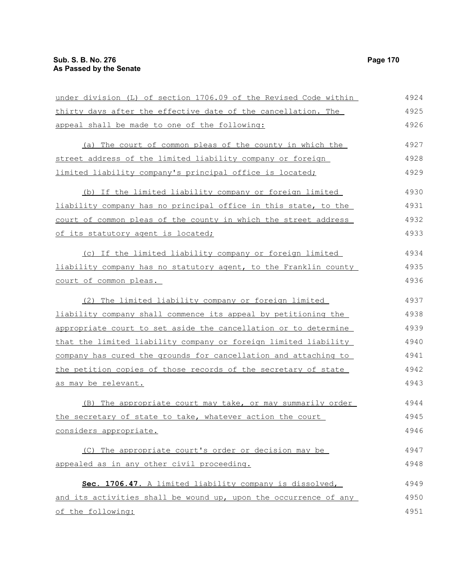of the following:

under division (L) of section 1706.09 of the Revised Code within thirty days after the effective date of the cancellation. The appeal shall be made to one of the following: (a) The court of common pleas of the county in which the street address of the limited liability company or foreign limited liability company's principal office is located; (b) If the limited liability company or foreign limited liability company has no principal office in this state, to the court of common pleas of the county in which the street address of its statutory agent is located; (c) If the limited liability company or foreign limited liability company has no statutory agent, to the Franklin county court of common pleas. (2) The limited liability company or foreign limited liability company shall commence its appeal by petitioning the appropriate court to set aside the cancellation or to determine that the limited liability company or foreign limited liability company has cured the grounds for cancellation and attaching to the petition copies of those records of the secretary of state as may be relevant. (B) The appropriate court may take, or may summarily order the secretary of state to take, whatever action the court considers appropriate. (C) The appropriate court's order or decision may be appealed as in any other civil proceeding. **Sec. 1706.47.** A limited liability company is dissolved, and its activities shall be wound up, upon the occurrence of any 4924 4925 4926 4927 4928 4929 4930 4931 4932 4933 4934 4935 4936 4937 4938 4939 4940 4941 4942 4943 4944 4945 4946 4947 4948 4949 4950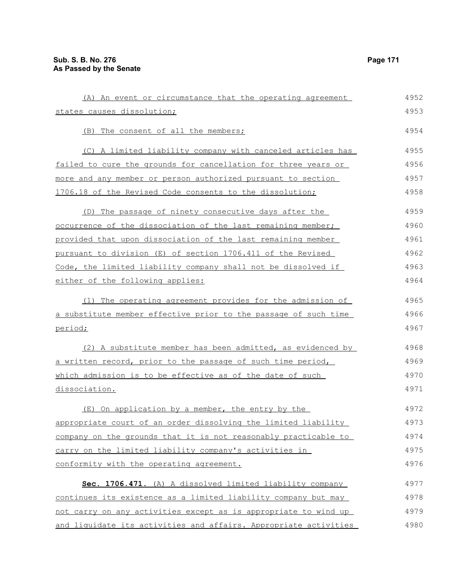| (A) An event or circumstance that the operating agreement        | 4952 |
|------------------------------------------------------------------|------|
| states causes dissolution;                                       | 4953 |
| (B) The consent of all the members;                              | 4954 |
| (C) A limited liability company with canceled articles has       | 4955 |
| failed to cure the grounds for cancellation for three years or   | 4956 |
| more and any member or person authorized pursuant to section     | 4957 |
| 1706.18 of the Revised Code consents to the dissolution;         | 4958 |
| (D) The passage of ninety consecutive days after the             | 4959 |
| occurrence of the dissociation of the last remaining member;     | 4960 |
| provided that upon dissociation of the last remaining member     | 4961 |
| pursuant to division (E) of section 1706.411 of the Revised      | 4962 |
| Code, the limited liability company shall not be dissolved if    | 4963 |
| either of the following applies:                                 | 4964 |
| (1) The operating agreement provides for the admission of        | 4965 |
| a substitute member effective prior to the passage of such time  | 4966 |
| period;                                                          | 4967 |
| (2) A substitute member has been admitted, as evidenced by       | 4968 |
| a written record, prior to the passage of such time period,      | 4969 |
| which admission is to be effective as of the date of such        | 4970 |
| dissociation.                                                    | 4971 |
| (E) On application by a member, the entry by the                 | 4972 |
| appropriate court of an order dissolving the limited liability   | 4973 |
| company on the grounds that it is not reasonably practicable to  | 4974 |
| carry on the limited liability company's activities in           | 4975 |
| conformity with the operating agreement.                         | 4976 |
| Sec. 1706.471. (A) A dissolved limited liability company         | 4977 |
| continues its existence as a limited liability company but may   | 4978 |
| not carry on any activities except as is appropriate to wind up  | 4979 |
| and liquidate its activities and affairs. Appropriate activities | 4980 |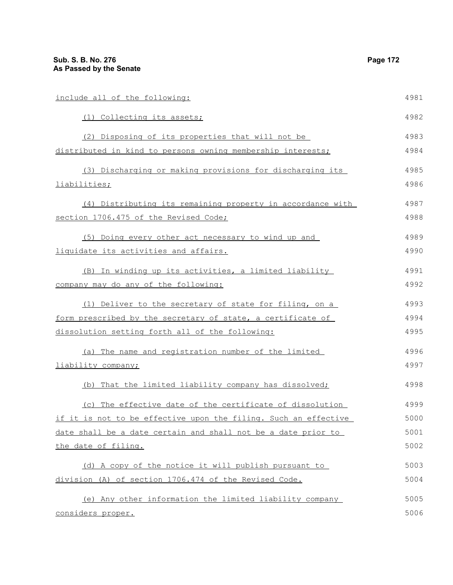| include all of the following:                                   | 4981 |
|-----------------------------------------------------------------|------|
| (1) Collecting its assets;                                      | 4982 |
| (2) Disposing of its properties that will not be                | 4983 |
| distributed in kind to persons owning membership interests;     | 4984 |
| (3) Discharging or making provisions for discharging its        | 4985 |
| liabilities;                                                    | 4986 |
| (4) Distributing its remaining property in accordance with      | 4987 |
| section 1706.475 of the Revised Code;                           | 4988 |
| (5) Doing every other act necessary to wind up and              | 4989 |
| liquidate its activities and affairs.                           | 4990 |
| (B) In winding up its activities, a limited liability           | 4991 |
| company may do any of the following:                            | 4992 |
| (1) Deliver to the secretary of state for filing, on a          | 4993 |
| form prescribed by the secretary of state, a certificate of     | 4994 |
| dissolution setting forth all of the following:                 | 4995 |
| (a) The name and registration number of the limited             | 4996 |
| liability company;                                              | 4997 |
| (b) That the limited liability company has dissolved;           | 4998 |
| (c) The effective date of the certificate of dissolution        | 4999 |
| if it is not to be effective upon the filing. Such an effective | 5000 |
| date shall be a date certain and shall not be a date prior to   | 5001 |
| the date of filing.                                             | 5002 |
| (d) A copy of the notice it will publish pursuant to            | 5003 |
| division (A) of section 1706.474 of the Revised Code.           | 5004 |
| (e) Any other information the limited liability company         | 5005 |

(e) Any other information the limited liability company considers proper.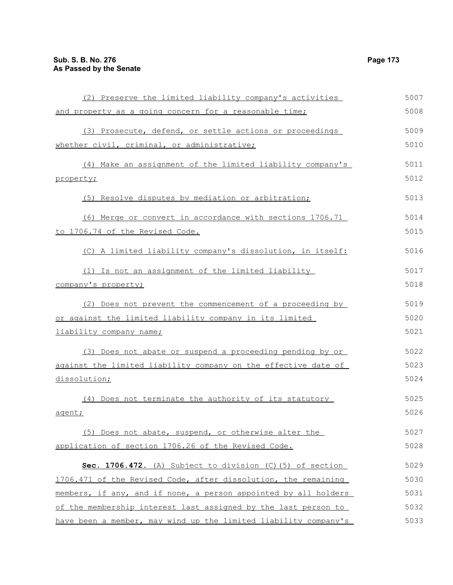| (2) Preserve the limited liability company's activities |  |
|---------------------------------------------------------|--|
|                                                         |  |
| and property as a going concern for a reasonable time;  |  |

|                                             | (3) Prosecute, defend, or settle actions or proceedings | 5009 |
|---------------------------------------------|---------------------------------------------------------|------|
| whether civil, criminal, or administrative; |                                                         | 5010 |
|                                             |                                                         |      |

| (4) Make an assignment of the limited liability company's      | 5011 |
|----------------------------------------------------------------|------|
| property;                                                      | 5012 |
| (5) Resolve disputes by mediation or arbitration;              | 5013 |
| (6) Merge or convert in accordance with sections 1706.71       | 5014 |
| to 1706.74 of the Revised Code.                                | 5015 |
| (C) A limited liability company's dissolution, in itself:      | 5016 |
| (1) Is not an assignment of the limited liability              | 5017 |
| company's property;                                            | 5018 |
| (2) Does not prevent the commencement of a proceeding by       | 5019 |
| or against the limited liability company in its limited        | 5020 |
| liability company name;                                        | 5021 |
| (3) Does not abate or suspend a proceeding pending by or       | 5022 |
| against the limited liability company on the effective date of | 5023 |
| dissolution;                                                   | 5024 |
| (4) Does not terminate the authority of its statutory          | 5025 |
| agent;                                                         | 5026 |
|                                                                |      |

(5) Does not abate, suspend, or otherwise alter the application of section 1706.26 of the Revised Code. 5027 5028

| Sec. 1706.472. (A) Subject to division (C) (5) of section       | 5029 |
|-----------------------------------------------------------------|------|
| 1706.471 of the Revised Code, after dissolution, the remaining  | 5030 |
| members, if any, and if none, a person appointed by all holders | 5031 |
| of the membership interest last assigned by the last person to  | 5032 |
| have been a member, may wind up the limited liability company's | 5033 |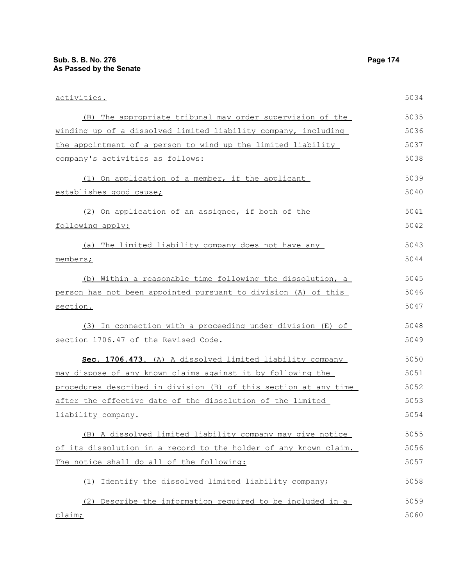| activities.                                                      | 5034 |
|------------------------------------------------------------------|------|
| (B) The appropriate tribunal may order supervision of the        | 5035 |
| winding up of a dissolved limited liability company, including   | 5036 |
| the appointment of a person to wind up the limited liability     | 5037 |
| company's activities as follows:                                 | 5038 |
| (1) On application of a member, if the applicant                 | 5039 |
| establishes good cause;                                          | 5040 |
| (2) On application of an assignee, if both of the                | 5041 |
| following apply:                                                 | 5042 |
| (a) The limited liability company does not have any              | 5043 |
| members;                                                         | 5044 |
| (b) Within a reasonable time following the dissolution, a        | 5045 |
| person has not been appointed pursuant to division (A) of this   | 5046 |
| section.                                                         | 5047 |
| (3) In connection with a proceeding under division (E) of        | 5048 |
| section 1706.47 of the Revised Code.                             | 5049 |
| Sec. 1706.473. (A) A dissolved limited liability company         | 5050 |
| may dispose of any known claims against it by following the      | 5051 |
| procedures described in division (B) of this section at any time | 5052 |
| after the effective date of the dissolution of the limited       | 5053 |
| liability company.                                               | 5054 |
| (B) A dissolved limited liability company may give notice        | 5055 |
| of its dissolution in a record to the holder of any known claim. | 5056 |
| The notice shall do all of the following:                        | 5057 |
| Identify the dissolved limited liability company;<br>(1)         | 5058 |
| (2) Describe the information required to be included in a        | 5059 |
| claim;                                                           | 5060 |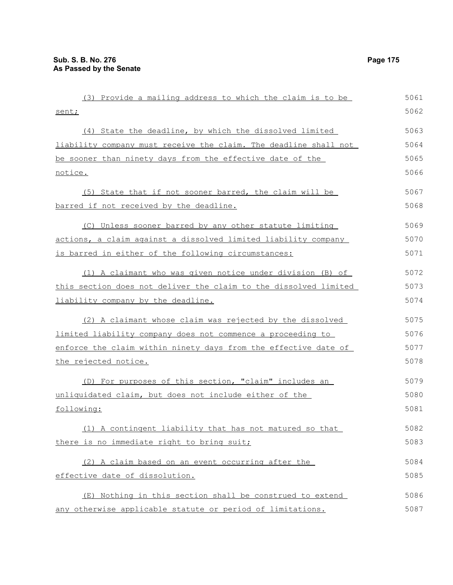| (3) Provide a mailing address to which the claim is to be        | 5061 |
|------------------------------------------------------------------|------|
| sent;                                                            | 5062 |
| (4) State the deadline, by which the dissolved limited           | 5063 |
| liability company must receive the claim. The deadline shall not | 5064 |
| be sooner than ninety days from the effective date of the        | 5065 |
| notice.                                                          | 5066 |
| (5) State that if not sooner barred, the claim will be           | 5067 |
| barred if not received by the deadline.                          | 5068 |
| (C) Unless sooner barred by any other statute limiting           | 5069 |
| actions, a claim against a dissolved limited liability company   | 5070 |
| is barred in either of the following circumstances:              | 5071 |
| (1) A claimant who was given notice under division (B) of        | 5072 |
| this section does not deliver the claim to the dissolved limited | 5073 |
| liability company by the deadline.                               | 5074 |
| (2) A claimant whose claim was rejected by the dissolved         | 5075 |
| limited liability company does not commence a proceeding to      | 5076 |
| enforce the claim within ninety days from the effective date of  | 5077 |
| the rejected notice.                                             | 5078 |
| (D) For purposes of this section, "claim" includes an            | 5079 |
| unliquidated claim, but does not include either of the           | 5080 |
| following:                                                       | 5081 |
| (1) A contingent liability that has not matured so that          | 5082 |
| there is no immediate right to bring suit;                       | 5083 |
| (2) A claim based on an event occurring after the                | 5084 |
| effective date of dissolution.                                   | 5085 |
| (E) Nothing in this section shall be construed to extend         | 5086 |
| any otherwise applicable statute or period of limitations.       | 5087 |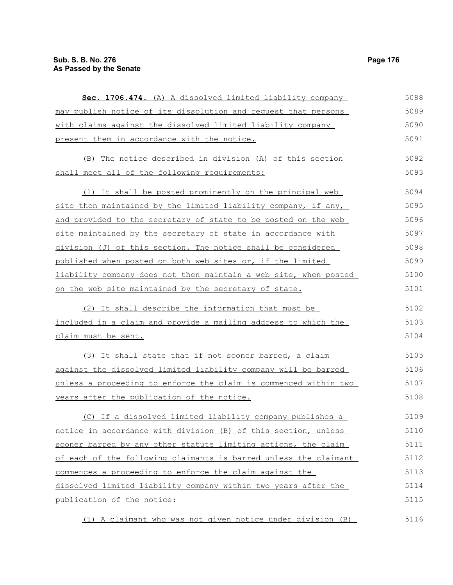| Sec. 1706.474. (A) A dissolved limited liability company           | 5088 |
|--------------------------------------------------------------------|------|
| may publish notice of its dissolution and request that persons     | 5089 |
| with claims against the dissolved limited liability company        | 5090 |
| present them in accordance with the notice.                        | 5091 |
| (B) The notice described in division (A) of this section           | 5092 |
| shall meet all of the following requirements:                      | 5093 |
| (1) It shall be posted prominently on the principal web            | 5094 |
| site then maintained by the limited liability company, if any,     | 5095 |
| and provided to the secretary of state to be posted on the web     | 5096 |
| site maintained by the secretary of state in accordance with       | 5097 |
| division (J) of this section. The notice shall be considered       | 5098 |
| <u>published when posted on both web sites or, if the limited </u> | 5099 |
| liability company does not then maintain a web site, when posted   | 5100 |
| on the web site maintained by the secretary of state.              | 5101 |
| (2) It shall describe the information that must be                 | 5102 |
| included in a claim and provide a mailing address to which the     | 5103 |
| <u>claim must be sent.</u>                                         | 5104 |
| (3) It shall state that if not sooner barred, a claim              | 5105 |
| against the dissolved limited liability company will be barred     | 5106 |
| unless a proceeding to enforce the claim is commenced within two   | 5107 |
| years after the publication of the notice.                         | 5108 |
| (C) If a dissolved limited liability company publishes a           | 5109 |
| notice in accordance with division (B) of this section, unless     | 5110 |
| sooner barred by any other statute limiting actions, the claim     | 5111 |
| of each of the following claimants is barred unless the claimant   | 5112 |
| commences a proceeding to enforce the claim against the            | 5113 |
| dissolved limited liability company within two years after the     | 5114 |
| publication of the notice:                                         | 5115 |
| (1) A claimant who was not given notice under division (B)         | 5116 |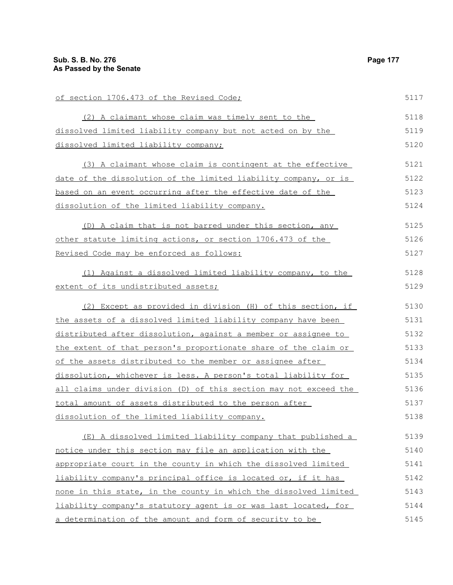| of section 1706.473 of the Revised Code;                         | 5117 |
|------------------------------------------------------------------|------|
| (2) A claimant whose claim was timely sent to the                | 5118 |
| dissolved limited liability company but not acted on by the      | 5119 |
| dissolved limited liability company;                             | 5120 |
| (3) A claimant whose claim is contingent at the effective        | 5121 |
| date of the dissolution of the limited liability company, or is  | 5122 |
| based on an event occurring after the effective date of the      | 5123 |
| dissolution of the limited liability company.                    | 5124 |
| (D) A claim that is not barred under this section, any           | 5125 |
| other statute limiting actions, or section 1706.473 of the       | 5126 |
| Revised Code may be enforced as follows:                         | 5127 |
| (1) Against a dissolved limited liability company, to the        | 5128 |
| extent of its undistributed assets;                              | 5129 |
| (2) Except as provided in division (H) of this section, if       | 5130 |
| the assets of a dissolved limited liability company have been    | 5131 |
| distributed after dissolution, against a member or assignee to   | 5132 |
| the extent of that person's proportionate share of the claim or  | 5133 |
| of the assets distributed to the member or assignee after        | 5134 |
| dissolution, whichever is less. A person's total liability for   | 5135 |
| all claims under division (D) of this section may not exceed the | 5136 |
| total amount of assets distributed to the person after           | 5137 |
| dissolution of the limited liability company.                    | 5138 |
| (E) A dissolved limited liability company that published a       | 5139 |
| notice under this section may file an application with the       | 5140 |
| appropriate court in the county in which the dissolved limited   | 5141 |
| liability company's principal office is located or, if it has    | 5142 |
| none in this state, in the county in which the dissolved limited | 5143 |
| liability company's statutory agent is or was last located, for  | 5144 |
| a determination of the amount and form of security to be         | 5145 |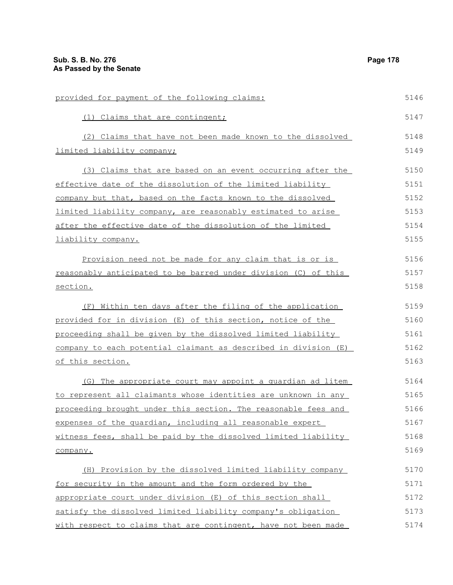| provided for payment of the following claims:                   | 5146 |
|-----------------------------------------------------------------|------|
| (1) Claims that are contingent;                                 | 5147 |
| (2) Claims that have not been made known to the dissolved       | 5148 |
| limited liability company;                                      | 5149 |
| (3) Claims that are based on an event occurring after the       | 5150 |
| effective date of the dissolution of the limited liability      | 5151 |
| company but that, based on the facts known to the dissolved     | 5152 |
| limited liability company, are reasonably estimated to arise    | 5153 |
| after the effective date of the dissolution of the limited      | 5154 |
| liability company.                                              | 5155 |
| Provision need not be made for any claim that is or is          | 5156 |
| reasonably anticipated to be barred under division (C) of this  | 5157 |
| section.                                                        | 5158 |
| Within ten days after the filing of the application<br>(F)      | 5159 |
| provided for in division (E) of this section, notice of the     | 5160 |
| proceeding shall be given by the dissolved limited liability    | 5161 |
| company to each potential claimant as described in division (E) | 5162 |
| of this section.                                                | 5163 |
| (G) The appropriate court may appoint a quardian ad litem       | 5164 |
| to represent all claimants whose identities are unknown in any  | 5165 |
| proceeding brought under this section. The reasonable fees and  | 5166 |
| expenses of the quardian, including all reasonable expert       | 5167 |
| witness fees, shall be paid by the dissolved limited liability  | 5168 |
| company.                                                        | 5169 |
| (H) Provision by the dissolved limited liability company        | 5170 |
| for security in the amount and the form ordered by the          | 5171 |
| appropriate court under division (E) of this section shall      | 5172 |
| satisfy the dissolved limited liability company's obligation    | 5173 |
| with respect to claims that are contingent, have not been made  | 5174 |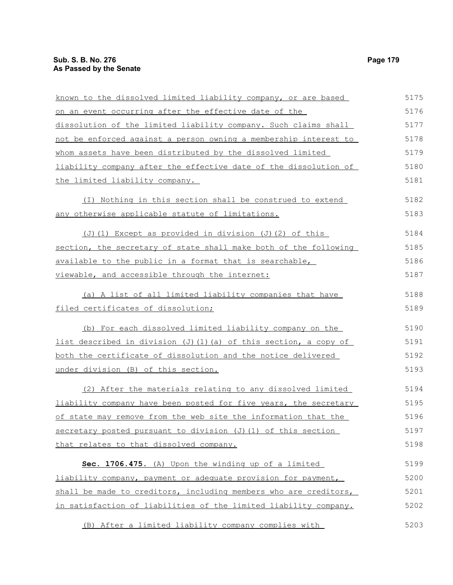| known to the dissolved limited liability company, or are based          | 5175 |
|-------------------------------------------------------------------------|------|
| on an event occurring after the effective date of the                   | 5176 |
| dissolution of the limited liability company. Such claims shall         | 5177 |
| not be enforced against a person owning a membership interest to        | 5178 |
| whom assets have been distributed by the dissolved limited              | 5179 |
| liability company after the effective date of the dissolution of        | 5180 |
| the limited liability company.                                          | 5181 |
| (I) Nothing in this section shall be construed to extend                | 5182 |
| <u>any otherwise applicable statute of limitations.</u>                 | 5183 |
| $(J)$ (1) Except as provided in division (J)(2) of this                 | 5184 |
| section, the secretary of state shall make both of the following        | 5185 |
| available to the public in a format that is searchable,                 | 5186 |
| <u>viewable, and accessible through the internet:</u>                   | 5187 |
| (a) A list of all limited liability companies that have                 | 5188 |
| filed certificates of dissolution;                                      | 5189 |
| (b) For each dissolved limited liability company on the                 | 5190 |
| <u>list described in division (J)(1)(a) of this section, a copy of </u> | 5191 |
| <u>both the certificate of dissolution and the notice delivered </u>    | 5192 |
| under division (B) of this section.                                     | 5193 |
| (2) After the materials relating to any dissolved limited               | 5194 |
| liability company have been posted for five years, the secretary        | 5195 |
| of state may remove from the web site the information that the          | 5196 |
| secretary posted pursuant to division (J) (1) of this section           | 5197 |
| that relates to that dissolved company.                                 | 5198 |
| Sec. 1706.475. (A) Upon the winding up of a limited                     | 5199 |
| liability company, payment or adequate provision for payment,           | 5200 |
| shall be made to creditors, including members who are creditors,        | 5201 |
| in satisfaction of liabilities of the limited liability company.        | 5202 |
| (B) After a limited liability company complies with                     | 5203 |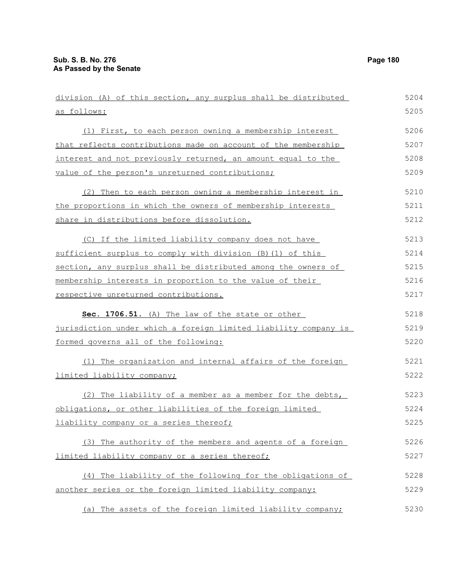| division (A) of this section, any surplus shall be distributed  | 5204 |
|-----------------------------------------------------------------|------|
| as follows:                                                     | 5205 |
| (1) First, to each person owning a membership interest          | 5206 |
| that reflects contributions made on account of the membership   | 5207 |
| interest and not previously returned, an amount equal to the    | 5208 |
| value of the person's unreturned contributions;                 | 5209 |
| (2) Then to each person owning a membership interest in         | 5210 |
| the proportions in which the owners of membership interests     | 5211 |
| share in distributions before dissolution.                      | 5212 |
| (C) If the limited liability company does not have              | 5213 |
| sufficient surplus to comply with division (B) (1) of this      | 5214 |
| section, any surplus shall be distributed among the owners of   | 5215 |
| membership interests in proportion to the value of their        | 5216 |
| respective unreturned contributions.                            | 5217 |
| Sec. 1706.51. (A) The law of the state or other                 | 5218 |
| jurisdiction under which a foreign limited liability company is | 5219 |
| formed governs all of the following:                            | 5220 |
| (1) The organization and internal affairs of the foreign        | 5221 |
| limited liability company;                                      | 5222 |
| (2) The liability of a member as a member for the debts,        | 5223 |
| obligations, or other liabilities of the foreign limited        | 5224 |
| liability company or a series thereof;                          | 5225 |
| (3) The authority of the members and agents of a foreign        | 5226 |
| limited liability company or a series thereof;                  | 5227 |
| (4) The liability of the following for the obligations of       | 5228 |
| another series or the foreign limited liability company:        | 5229 |
| (a) The assets of the foreign limited liability company;        | 5230 |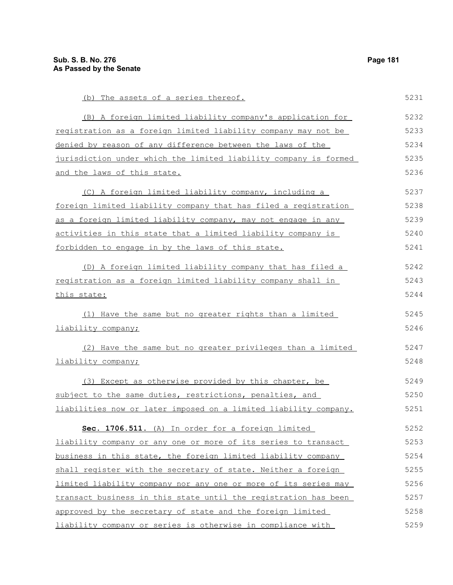(b) The assets of a series thereof. (B) A foreign limited liability company's application for registration as a foreign limited liability company may not be denied by reason of any difference between the laws of the jurisdiction under which the limited liability company is formed and the laws of this state. (C) A foreign limited liability company, including a foreign limited liability company that has filed a registration as a foreign limited liability company, may not engage in any activities in this state that a limited liability company is forbidden to engage in by the laws of this state. (D) A foreign limited liability company that has filed a registration as a foreign limited liability company shall in this state: (1) Have the same but no greater rights than a limited liability company; (2) Have the same but no greater privileges than a limited liability company; (3) Except as otherwise provided by this chapter, be subject to the same duties, restrictions, penalties, and liabilities now or later imposed on a limited liability company. **Sec. 1706.511.** (A) In order for a foreign limited liability company or any one or more of its series to transact business in this state, the foreign limited liability company shall register with the secretary of state. Neither a foreign limited liability company nor any one or more of its series may transact business in this state until the registration has been approved by the secretary of state and the foreign limited 5231 5232 5233 5234 5235 5236 5237 5238 5239 5240 5241 5242 5243 5244 5245 5246 5247 5248 5249 5250 5251 5252 5253 5254 5255 5256 5257 5258

liability company or series is otherwise in compliance with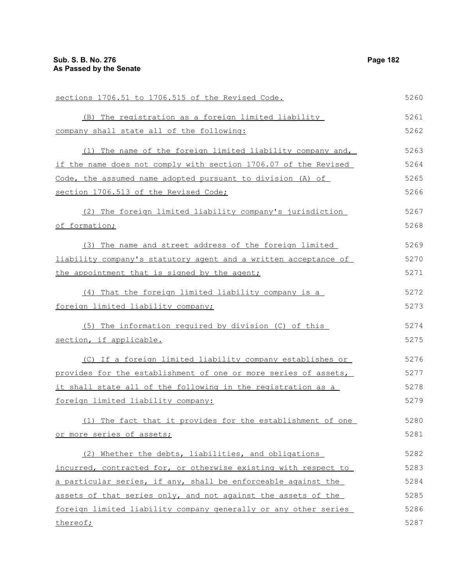sections 1706.51 to 1706.515 of the Revised Code. (B) The registration as a foreign limited liability company shall state all of the following: (1) The name of the foreign limited liability company and, if the name does not comply with section 1706.07 of the Revised Code, the assumed name adopted pursuant to division (A) of section 1706.513 of the Revised Code; (2) The foreign limited liability company's jurisdiction of formation; (3) The name and street address of the foreign limited liability company's statutory agent and a written acceptance of the appointment that is signed by the agent; (4) That the foreign limited liability company is a foreign limited liability company; (5) The information required by division (C) of this section, if applicable. (C) If a foreign limited liability company establishes or provides for the establishment of one or more series of assets, it shall state all of the following in the registration as a foreign limited liability company: (1) The fact that it provides for the establishment of one or more series of assets; (2) Whether the debts, liabilities, and obligations incurred, contracted for, or otherwise existing with respect to a particular series, if any, shall be enforceable against the assets of that series only, and not against the assets of the foreign limited liability company generally or any other series thereof; 5260 5261 5262 5263 5264 5265 5266 5267 5268 5269 5270 5271 5272 5273 5274 5275 5276 5277 5278 5279 5280 5281 5282 5283 5284 5285 5286 5287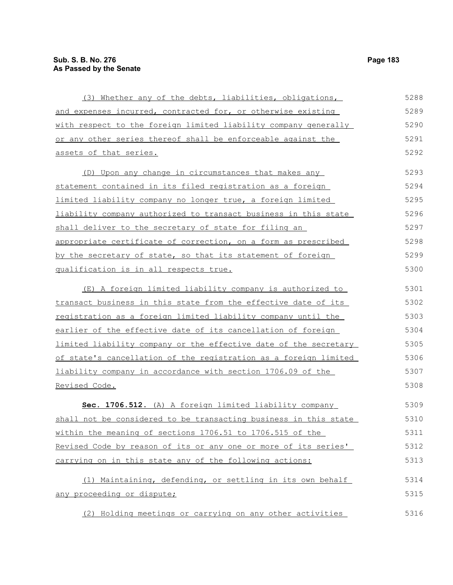(3) Whether any of the debts, liabilities, obligations, and expenses incurred, contracted for, or otherwise existing with respect to the foreign limited liability company generally or any other series thereof shall be enforceable against the assets of that series. (D) Upon any change in circumstances that makes any statement contained in its filed registration as a foreign limited liability company no longer true, a foreign limited liability company authorized to transact business in this state shall deliver to the secretary of state for filing an appropriate certificate of correction, on a form as prescribed by the secretary of state, so that its statement of foreign qualification is in all respects true. (E) A foreign limited liability company is authorized to transact business in this state from the effective date of its registration as a foreign limited liability company until the earlier of the effective date of its cancellation of foreign limited liability company or the effective date of the secretary of state's cancellation of the registration as a foreign limited liability company in accordance with section 1706.09 of the Revised Code. **Sec. 1706.512.** (A) A foreign limited liability company shall not be considered to be transacting business in this state within the meaning of sections 1706.51 to 1706.515 of the Revised Code by reason of its or any one or more of its series' carrying on in this state any of the following actions: (1) Maintaining, defending, or settling in its own behalf any proceeding or dispute; (2) Holding meetings or carrying on any other activities 5288 5289 5290 5291 5292 5293 5294 5295 5296 5297 5298 5299 5300 5301 5302 5303 5304 5305 5306 5307 5308 5309 5310 5311 5312 5313 5314 5315 5316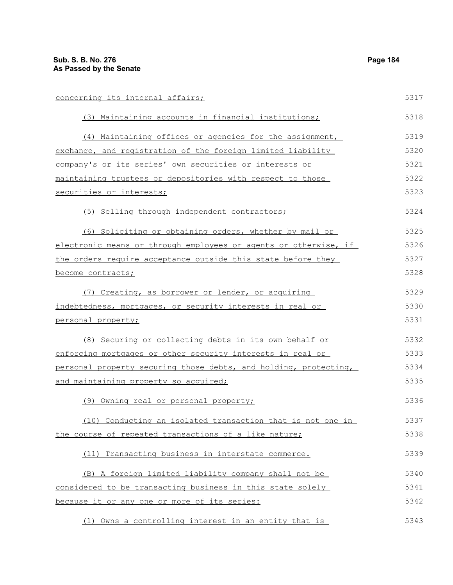| concerning its internal affairs;                                 | 5317 |
|------------------------------------------------------------------|------|
| (3) Maintaining accounts in financial institutions;              | 5318 |
| (4) Maintaining offices or agencies for the assignment,          | 5319 |
| exchange, and registration of the foreign limited liability      | 5320 |
| company's or its series' own securities or interests or          | 5321 |
| maintaining trustees or depositories with respect to those       | 5322 |
| securities or interests;                                         | 5323 |
| (5) Selling through independent contractors;                     | 5324 |
| (6) Soliciting or obtaining orders, whether by mail or           | 5325 |
| electronic means or through employees or agents or otherwise, if | 5326 |
| the orders require acceptance outside this state before they     | 5327 |
| become contracts;                                                | 5328 |
| (7) Creating, as borrower or lender, or acquiring                | 5329 |
| indebtedness, mortgages, or security interests in real or        | 5330 |
| personal property;                                               | 5331 |
| (8) Securing or collecting debts in its own behalf or            | 5332 |
| enforcing mortgages or other security interests in real or       | 5333 |
| personal property securing those debts, and holding, protecting, | 5334 |
| <u>and maintaining property so acquired;</u>                     | 5335 |
| (9) Owning real or personal property;                            | 5336 |
| (10) Conducting an isolated transaction that is not one in       | 5337 |
| the course of repeated transactions of a like nature;            | 5338 |
| (11) Transacting business in interstate commerce.                | 5339 |
| (B) A foreign limited liability company shall not be             | 5340 |
| considered to be transacting business in this state solely       | 5341 |
| because it or any one or more of its series:                     | 5342 |
| (1) Owns a controlling interest in an entity that is             | 5343 |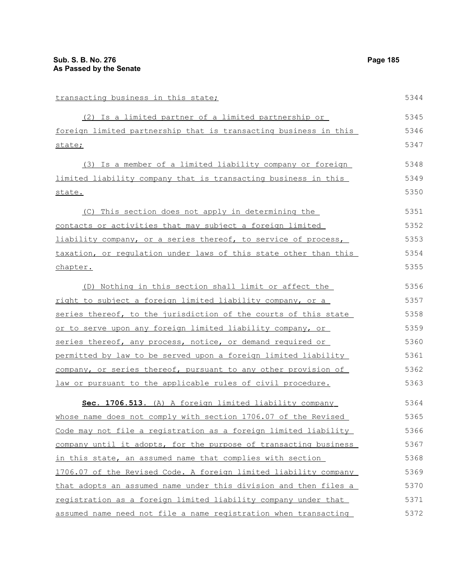| transacting business in this state;                              | 5344 |
|------------------------------------------------------------------|------|
| (2) Is a limited partner of a limited partnership or             | 5345 |
| foreign limited partnership that is transacting business in this | 5346 |
| state;                                                           | 5347 |
| (3) Is a member of a limited liability company or foreign        | 5348 |
| limited liability company that is transacting business in this   | 5349 |
| state.                                                           | 5350 |
| (C) This section does not apply in determining the               | 5351 |
| contacts or activities that may subject a foreign limited        | 5352 |
| liability company, or a series thereof, to service of process,   | 5353 |
| taxation, or regulation under laws of this state other than this | 5354 |
| chapter.                                                         | 5355 |
| (D) Nothing in this section shall limit or affect the            | 5356 |
| right to subject a foreign limited liability company, or a       | 5357 |
| series thereof, to the jurisdiction of the courts of this state  | 5358 |
| or to serve upon any foreign limited liability company, or       | 5359 |
| series thereof, any process, notice, or demand required or       | 5360 |
| permitted by law to be served upon a foreign limited liability   | 5361 |
| company, or series thereof, pursuant to any other provision of   | 5362 |
| law or pursuant to the applicable rules of civil procedure.      | 5363 |
| Sec. 1706.513. (A) A foreign limited liability company           | 5364 |
| whose name does not comply with section 1706.07 of the Revised   | 5365 |
| Code may not file a registration as a foreign limited liability  | 5366 |
| company until it adopts, for the purpose of transacting business | 5367 |
| in this state, an assumed name that complies with section        | 5368 |
| 1706.07 of the Revised Code. A foreign limited liability company | 5369 |
| that adopts an assumed name under this division and then files a | 5370 |
| registration as a foreign limited liability company under that   | 5371 |

assumed name need not file a name registration when transacting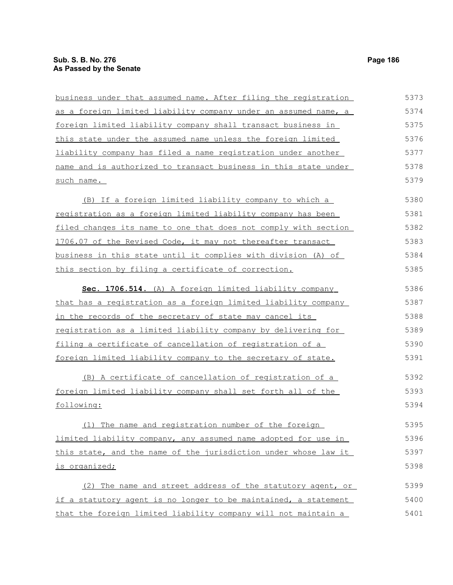business under that assumed name. After filing the registration as a foreign limited liability company under an assumed name, a foreign limited liability company shall transact business in this state under the assumed name unless the foreign limited liability company has filed a name registration under another name and is authorized to transact business in this state under such name. (B) If a foreign limited liability company to which a registration as a foreign limited liability company has been filed changes its name to one that does not comply with section 1706.07 of the Revised Code, it may not thereafter transact business in this state until it complies with division (A) of this section by filing a certificate of correction. **Sec. 1706.514.** (A) A foreign limited liability company that has a registration as a foreign limited liability company in the records of the secretary of state may cancel its registration as a limited liability company by delivering for filing a certificate of cancellation of registration of a foreign limited liability company to the secretary of state. (B) A certificate of cancellation of registration of a foreign limited liability company shall set forth all of the following: (1) The name and registration number of the foreign limited liability company, any assumed name adopted for use in this state, and the name of the jurisdiction under whose law it is organized; (2) The name and street address of the statutory agent, or if a statutory agent is no longer to be maintained, a statement that the foreign limited liability company will not maintain a 5373 5374 5375 5376 5377 5378 5379 5380 5381 5382 5383 5384 5385 5386 5387 5388 5389 5390 5391 5392 5393 5394 5395 5396 5397 5398 5399 5400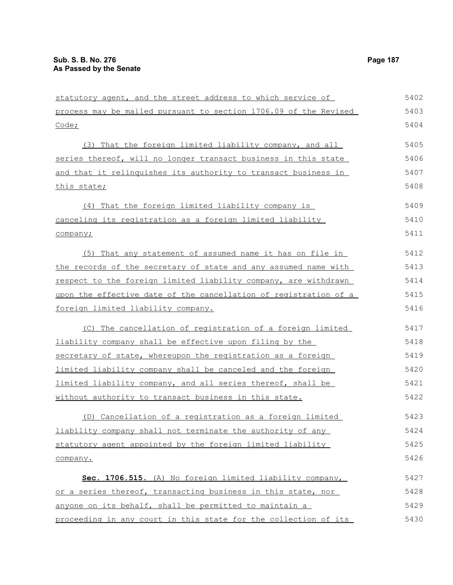| statutory agent, and the street address to which service of      | 5402 |
|------------------------------------------------------------------|------|
| process may be mailed pursuant to section 1706.09 of the Revised | 5403 |
| $\frac{\text{Code}}{\text{?}}$                                   | 5404 |
| (3) That the foreign limited liability company, and all          | 5405 |
| series thereof, will no longer transact business in this state   | 5406 |
| and that it relinguishes its authority to transact business in   | 5407 |
| this state;                                                      | 5408 |
| (4) That the foreign limited liability company is                | 5409 |
| canceling its registration as a foreign limited liability        | 5410 |
| company;                                                         | 5411 |
| (5) That any statement of assumed name it has on file in         | 5412 |
| the records of the secretary of state and any assumed name with  | 5413 |
| respect to the foreign limited liability company, are withdrawn  | 5414 |
| upon the effective date of the cancellation of registration of a | 5415 |
| foreign limited liability company.                               | 5416 |
| (C) The cancellation of registration of a foreign limited        | 5417 |
| liability company shall be effective upon filing by the          | 5418 |
| secretary of state, whereupon the registration as a foreign      | 5419 |
| limited liability company shall be canceled and the foreign      | 5420 |
| limited liability company, and all series thereof, shall be      | 5421 |
| without authority to transact business in this state.            | 5422 |
| (D) Cancellation of a registration as a foreign limited          | 5423 |
| liability company shall not terminate the authority of any       | 5424 |
| statutory agent appointed by the foreign limited liability       | 5425 |
| company.                                                         | 5426 |
| Sec. 1706.515. (A) No foreign limited liability company,         | 5427 |
| or a series thereof, transacting business in this state, nor     | 5428 |
| anyone on its behalf, shall be permitted to maintain a           | 5429 |
| proceeding in any court in this state for the collection of its  | 5430 |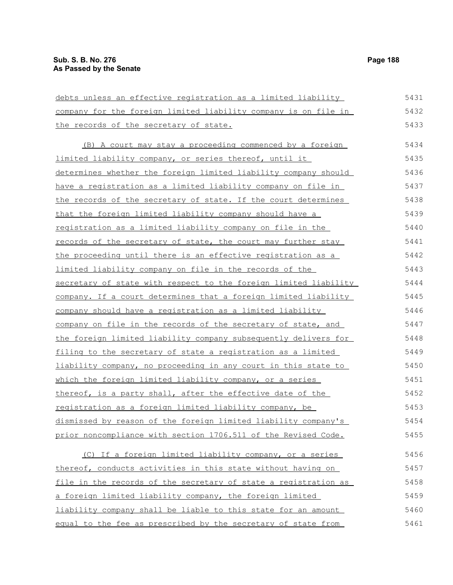5461

| debts unless an effective registration as a limited liability          | 5431 |
|------------------------------------------------------------------------|------|
| company for the foreign limited liability company is on file in        | 5432 |
| the records of the secretary of state.                                 | 5433 |
| (B) A court may stay a proceeding commenced by a foreign               | 5434 |
| limited liability company, or series thereof, until it                 | 5435 |
| determines whether the foreign limited liability company should        | 5436 |
| <u>have a registration as a limited liability company on file in</u>   | 5437 |
| the records of the secretary of state. If the court determines         | 5438 |
| that the foreign limited liability company should have a               | 5439 |
| registration as a limited liability company on file in the             | 5440 |
| records of the secretary of state, the court may further stay          | 5441 |
| the proceeding until there is an effective registration as a           | 5442 |
| limited liability company on file in the records of the                | 5443 |
| secretary of state with respect to the foreign limited liability       | 5444 |
| <u>company. If a court determines that a foreign limited liability</u> | 5445 |
| company should have a registration as a limited liability              | 5446 |
| company on file in the records of the secretary of state, and          | 5447 |
| the foreign limited liability company subsequently delivers for        | 5448 |
| filing to the secretary of state a registration as a limited           | 5449 |
| <u>liability company, no proceeding in any court in this state to</u>  | 5450 |
| which the foreign limited liability company, or a series               | 5451 |
| thereof, is a party shall, after the effective date of the             | 5452 |
| registration as a foreign limited liability company, be                | 5453 |
| dismissed by reason of the foreign limited liability company's         | 5454 |
| prior noncompliance with section 1706.511 of the Revised Code.         | 5455 |
| (C) If a foreign limited liability company, or a series                | 5456 |
| thereof, conducts activities in this state without having on           | 5457 |
| file in the records of the secretary of state a registration as        | 5458 |
| a foreign limited liability company, the foreign limited               | 5459 |
| liability company shall be liable to this state for an amount          | 5460 |

equal to the fee as prescribed by the secretary of state from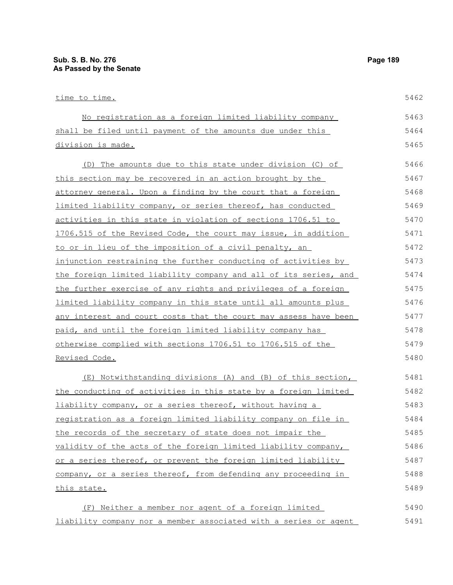| time to time.                                                    | 5462 |
|------------------------------------------------------------------|------|
| No registration as a foreign limited liability company           | 5463 |
| shall be filed until payment of the amounts due under this       | 5464 |
| division is made.                                                | 5465 |
| The amounts due to this state under division (C) of<br>(D)       | 5466 |
| this section may be recovered in an action brought by the        | 5467 |
| attorney general. Upon a finding by the court that a foreign     | 5468 |
| limited liability company, or series thereof, has conducted      | 5469 |
| activities in this state in violation of sections 1706.51 to     | 5470 |
| 1706.515 of the Revised Code, the court may issue, in addition   | 5471 |
| to or in lieu of the imposition of a civil penalty, an           | 5472 |
| injunction restraining the further conducting of activities by   | 5473 |
| the foreign limited liability company and all of its series, and | 5474 |
| the further exercise of any rights and privileges of a foreign   | 5475 |
| limited liability company in this state until all amounts plus   | 5476 |
| any interest and court costs that the court may assess have been | 5477 |
| paid, and until the foreign limited liability company has        | 5478 |
| otherwise complied with sections 1706.51 to 1706.515 of the      | 5479 |
| Revised Code.                                                    | 5480 |
| (E) Notwithstanding divisions (A) and (B) of this section,       | 5481 |
| the conducting of activities in this state by a foreign limited  | 5482 |
| liability company, or a series thereof, without having a         | 5483 |
| registration as a foreign limited liability company on file in   | 5484 |
| the records of the secretary of state does not impair the        | 5485 |
| validity of the acts of the foreign limited liability company,   | 5486 |
| or a series thereof, or prevent the foreign limited liability    | 5487 |
| company, or a series thereof, from defending any proceeding in   | 5488 |
| this state.                                                      | 5489 |
| (F) Neither a member nor agent of a foreign limited              | 5490 |
| liability company nor a member associated with a series or agent | 5491 |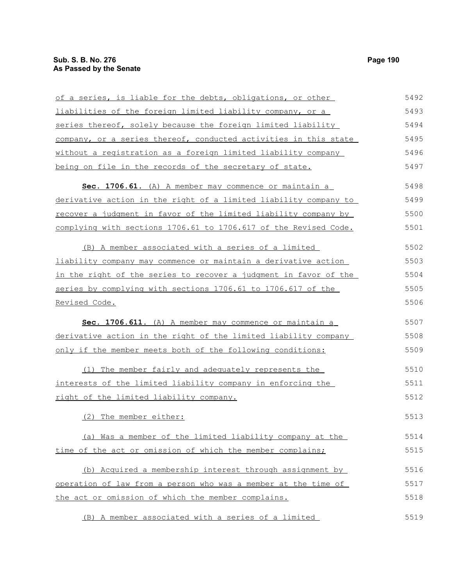| of a series, is liable for the debts, obligations, or other      | 5492 |
|------------------------------------------------------------------|------|
| liabilities of the foreign limited liability company, or a       | 5493 |
| series thereof, solely because the foreign limited liability     | 5494 |
| company, or a series thereof, conducted activities in this state | 5495 |
| without a registration as a foreign limited liability company    | 5496 |
| being on file in the records of the secretary of state.          | 5497 |
| Sec. 1706.61. (A) A member may commence or maintain a            | 5498 |
| derivative action in the right of a limited liability company to | 5499 |
| recover a judgment in favor of the limited liability company by  | 5500 |
| complying with sections 1706.61 to 1706.617 of the Revised Code. | 5501 |
|                                                                  |      |
| (B) A member associated with a series of a limited               | 5502 |
| liability company may commence or maintain a derivative action   | 5503 |
| in the right of the series to recover a judgment in favor of the | 5504 |
| series by complying with sections 1706.61 to 1706.617 of the     | 5505 |
| <u>Revised Code.</u>                                             | 5506 |
| Sec. 1706.611. (A) A member may commence or maintain a           | 5507 |
| derivative action in the right of the limited liability company  | 5508 |
| only if the member meets both of the following conditions:       | 5509 |
|                                                                  |      |
| (1) The member fairly and adequately represents the              | 5510 |
| interests of the limited liability company in enforcing the      | 5511 |
| right of the limited liability company.                          | 5512 |
| (2) The member either:                                           | 5513 |
|                                                                  |      |
| (a) Was a member of the limited liability company at the         | 5514 |
| time of the act or omission of which the member complains;       | 5515 |
| (b) Acquired a membership interest through assignment by         | 5516 |
| operation of law from a person who was a member at the time of   | 5517 |
| the act or omission of which the member complains.               | 5518 |
|                                                                  | 5519 |
| (B) A member associated with a series of a limited               |      |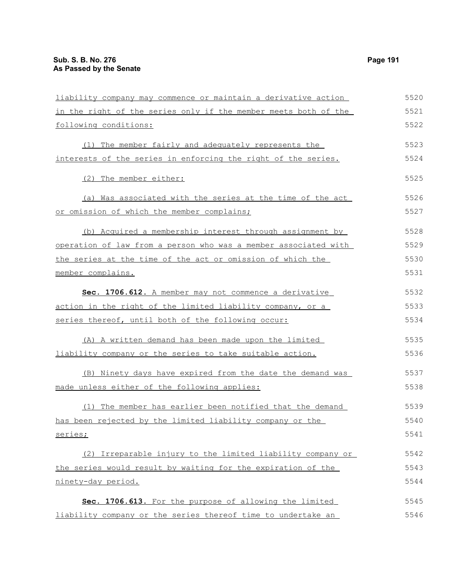| liability company may commence or maintain a derivative action         | 5520 |
|------------------------------------------------------------------------|------|
| in the right of the series only if the member meets both of the        | 5521 |
| following conditions:                                                  | 5522 |
| (1) The member fairly and adequately represents the                    | 5523 |
| interests of the series in enforcing the right of the series.          | 5524 |
| (2) The member either:                                                 | 5525 |
| (a) Was associated with the series at the time of the act              | 5526 |
| or omission of which the member complains;                             | 5527 |
| (b) Acquired a membership interest through assignment by               | 5528 |
| <u>operation of law from a person who was a member associated with</u> | 5529 |
| the series at the time of the act or omission of which the             | 5530 |
| member complains.                                                      | 5531 |
| Sec. 1706.612. A member may not commence a derivative                  | 5532 |
| <u>action in the right of the limited liability company, or a</u>      | 5533 |
| series thereof, until both of the following occur:                     | 5534 |
| (A) A written demand has been made upon the limited                    | 5535 |
| liability company or the series to take suitable action.               | 5536 |
| (B) Ninety days have expired from the date the demand was              | 5537 |
| made unless either of the following applies:                           | 5538 |
| (1) The member has earlier been notified that the demand               | 5539 |
| has been rejected by the limited liability company or the              | 5540 |
| series;                                                                | 5541 |
| (2) Irreparable injury to the limited liability company or             | 5542 |
| the series would result by waiting for the expiration of the           | 5543 |
| ninety-day period.                                                     | 5544 |
| Sec. 1706.613. For the purpose of allowing the limited                 | 5545 |
| liability company or the series thereof time to undertake an           | 5546 |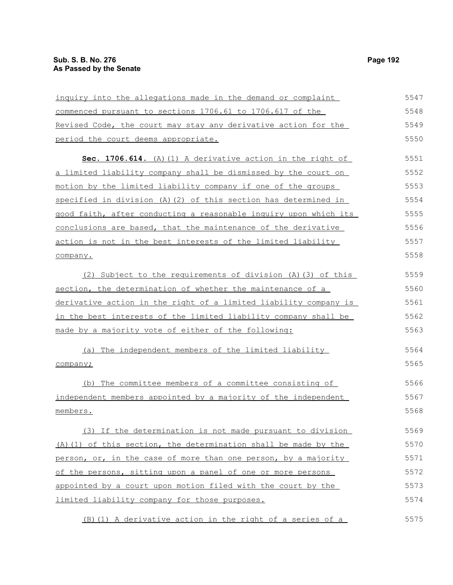| inquiry into the allegations made in the demand or complaint        | 5547 |
|---------------------------------------------------------------------|------|
| commenced pursuant to sections 1706.61 to 1706.617 of the           | 5548 |
| Revised Code, the court may stay any derivative action for the      | 5549 |
| period the court deems appropriate.                                 | 5550 |
| Sec. 1706.614. (A) (1) A derivative action in the right of          | 5551 |
| a limited liability company shall be dismissed by the court on      | 5552 |
| <u>motion by the limited liability company if one of the groups</u> | 5553 |
| specified in division (A) (2) of this section has determined in     | 5554 |
| good faith, after conducting a reasonable inquiry upon which its    | 5555 |
| conclusions are based, that the maintenance of the derivative       | 5556 |
| action is not in the best interests of the limited liability        | 5557 |
| company.                                                            | 5558 |
| (2) Subject to the requirements of division (A) (3) of this         | 5559 |
| section, the determination of whether the maintenance of a          | 5560 |
| derivative action in the right of a limited liability company is    | 5561 |
| in the best interests of the limited liability company shall be     | 5562 |
| made by a majority vote of either of the following:                 | 5563 |
| (a) The independent members of the limited liability                | 5564 |
| company;                                                            | 5565 |
| (b) The committee members of a committee consisting of              | 5566 |
| independent members appointed by a majority of the independent      | 5567 |
| members.                                                            | 5568 |
| (3) If the determination is not made pursuant to division           | 5569 |
| (A) (1) of this section, the determination shall be made by the     | 5570 |
| person, or, in the case of more than one person, by a majority      | 5571 |
| of the persons, sitting upon a panel of one or more persons         | 5572 |
| appointed by a court upon motion filed with the court by the        | 5573 |
| limited liability company for those purposes.                       | 5574 |
| (B) (1) A derivative action in the right of a series of a           | 5575 |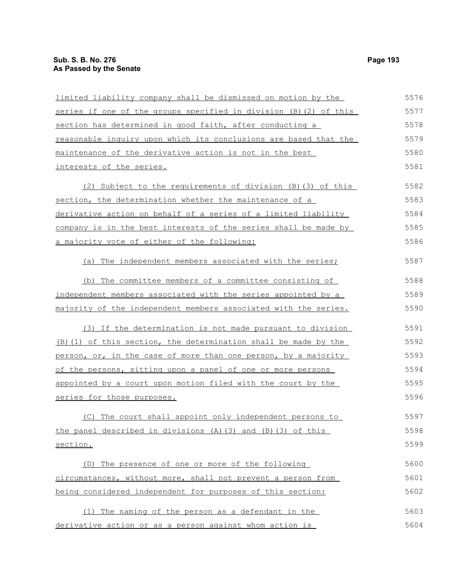| limited liability company shall be dismissed on motion by the     | 5576 |
|-------------------------------------------------------------------|------|
| series if one of the groups specified in division (B) (2) of this | 5577 |
| section has determined in good faith, after conducting a          | 5578 |
| reasonable inquiry upon which its conclusions are based that the  | 5579 |
| maintenance of the derivative action is not in the best           | 5580 |
| interests of the series.                                          | 5581 |
| (2) Subject to the requirements of division (B) (3) of this       | 5582 |
| section, the determination whether the maintenance of a           | 5583 |
| derivative action on behalf of a series of a limited liability    | 5584 |
| company is in the best interests of the series shall be made by   | 5585 |
| a majority vote of either of the following:                       | 5586 |
| The independent members associated with the series;<br>(a)        | 5587 |
| (b) The committee members of a committee consisting of            | 5588 |
| independent members associated with the series appointed by a     | 5589 |
| majority of the independent members associated with the series.   | 5590 |
| (3) If the determination is not made pursuant to division         | 5591 |
| (B) (1) of this section, the determination shall be made by the   | 5592 |
| person, or, in the case of more than one person, by a majority    | 5593 |
| of the persons, sitting upon a panel of one or more persons       | 5594 |
| appointed by a court upon motion filed with the court by the      | 5595 |
| series for those purposes.                                        | 5596 |
| (C) The court shall appoint only independent persons to           | 5597 |
| the panel described in divisions (A) (3) and (B) (3) of this      | 5598 |
| section.                                                          | 5599 |
| (D) The presence of one or more of the following                  | 5600 |
| circumstances, without more, shall not prevent a person from      | 5601 |
| being considered independent for purposes of this section:        | 5602 |
| (1) The naming of the person as a defendant in the                | 5603 |
| derivative action or as a person against whom action is           | 5604 |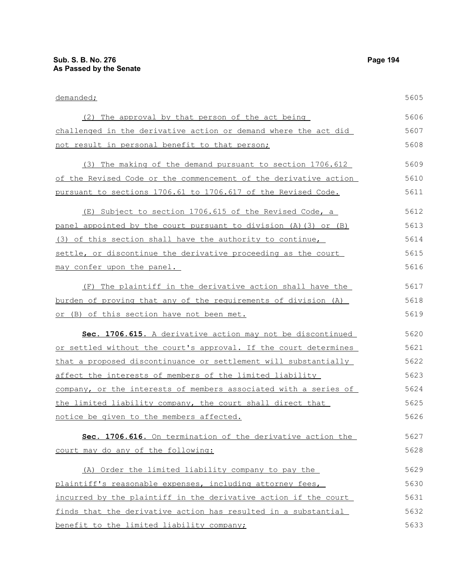| demanded;                                                        | 5605 |
|------------------------------------------------------------------|------|
| (2) The approval by that person of the act being                 | 5606 |
| challenged in the derivative action or demand where the act did  | 5607 |
| not result in personal benefit to that person;                   | 5608 |
| (3) The making of the demand pursuant to section 1706.612        | 5609 |
| of the Revised Code or the commencement of the derivative action | 5610 |
| pursuant to sections 1706.61 to 1706.617 of the Revised Code.    | 5611 |
| (E) Subject to section 1706.615 of the Revised Code, a           | 5612 |
| panel appointed by the court pursuant to division (A) (3) or (B) | 5613 |
| (3) of this section shall have the authority to continue,        | 5614 |
| settle, or discontinue the derivative proceeding as the court    | 5615 |
| may confer upon the panel.                                       | 5616 |
| (F) The plaintiff in the derivative action shall have the        | 5617 |
| burden of proving that any of the requirements of division (A)   | 5618 |
| or (B) of this section have not been met.                        | 5619 |
| Sec. 1706.615. A derivative action may not be discontinued       | 5620 |
| or settled without the court's approval. If the court determines | 5621 |
| that a proposed discontinuance or settlement will substantially  | 5622 |
| affect the interests of members of the limited liability         | 5623 |
| company, or the interests of members associated with a series of | 5624 |
| the limited liability company, the court shall direct that       | 5625 |
| notice be given to the members affected.                         | 5626 |
| Sec. 1706.616. On termination of the derivative action the       | 5627 |
| court may do any of the following:                               | 5628 |
| (A) Order the limited liability company to pay the               | 5629 |
| plaintiff's reasonable expenses, including attorney fees,        | 5630 |
| incurred by the plaintiff in the derivative action if the court  | 5631 |
| finds that the derivative action has resulted in a substantial   | 5632 |
| benefit to the limited liability company;                        | 5633 |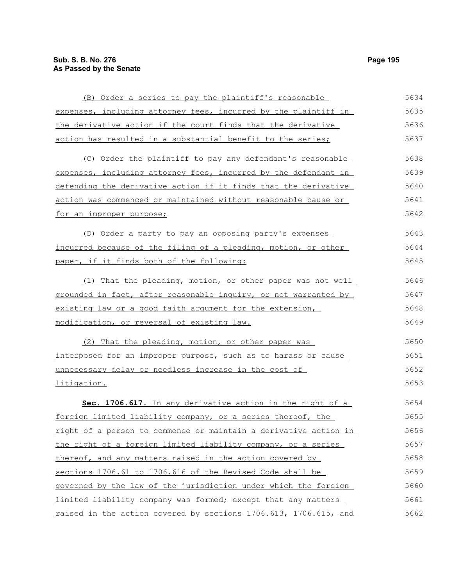| (B) Order a series to pay the plaintiff's reasonable                  | 5634 |
|-----------------------------------------------------------------------|------|
| expenses, including attorney fees, incurred by the plaintiff in       | 5635 |
| the derivative action if the court finds that the derivative          | 5636 |
| action has resulted in a substantial benefit to the series;           | 5637 |
| (C) Order the plaintiff to pay any defendant's reasonable             | 5638 |
| expenses, including attorney fees, incurred by the defendant in       | 5639 |
| defending the derivative action if it finds that the derivative       | 5640 |
| action was commenced or maintained without reasonable cause or        | 5641 |
| <u>for an improper purpose;</u>                                       | 5642 |
| (D) Order a party to pay an opposing party's expenses                 | 5643 |
| incurred because of the filing of a pleading, motion, or other        | 5644 |
| paper, if it finds both of the following:                             | 5645 |
| (1) That the pleading, motion, or other paper was not well            | 5646 |
| grounded in fact, after reasonable inquiry, or not warranted by       | 5647 |
| existing law or a good faith argument for the extension,              | 5648 |
| modification, or reversal of existing law.                            | 5649 |
| (2) That the pleading, motion, or other paper was                     | 5650 |
| <u>interposed for an improper purpose, such as to harass or cause</u> | 5651 |
| unnecessary delay or needless increase in the cost of                 | 5652 |
| litigation.                                                           | 5653 |
| Sec. 1706.617. In any derivative action in the right of a             | 5654 |
| foreign limited liability company, or a series thereof, the           | 5655 |
| right of a person to commence or maintain a derivative action in      | 5656 |
| the right of a foreign limited liability company, or a series         | 5657 |
| thereof, and any matters raised in the action covered by              | 5658 |
| sections 1706.61 to 1706.616 of the Revised Code shall be             | 5659 |
| governed by the law of the jurisdiction under which the foreign       | 5660 |
| limited liability company was formed; except that any matters         | 5661 |
| raised in the action covered by sections 1706.613, 1706.615, and      | 5662 |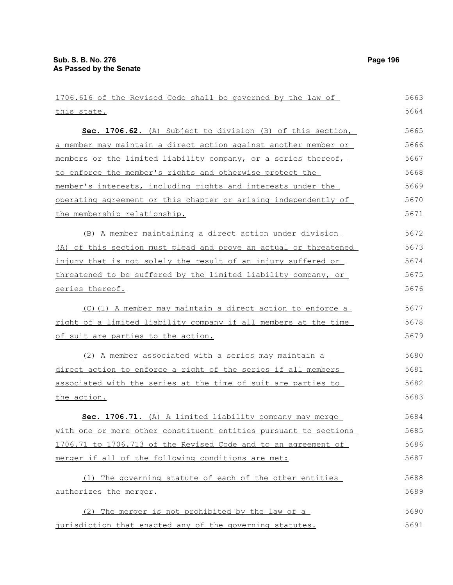| 1706.616 of the Revised Code shall be governed by the law of     | 5663 |
|------------------------------------------------------------------|------|
| this state.                                                      | 5664 |
| Sec. 1706.62. (A) Subject to division (B) of this section,       | 5665 |
| a member may maintain a direct action against another member or  | 5666 |
| members or the limited liability company, or a series thereof,   | 5667 |
| to enforce the member's rights and otherwise protect the         | 5668 |
| member's interests, including rights and interests under the     | 5669 |
| operating agreement or this chapter or arising independently of  | 5670 |
| the membership relationship.                                     | 5671 |
| (B) A member maintaining a direct action under division          | 5672 |
| (A) of this section must plead and prove an actual or threatened | 5673 |
| injury that is not solely the result of an injury suffered or    | 5674 |
| threatened to be suffered by the limited liability company, or   | 5675 |
| series thereof.                                                  | 5676 |
| (C)(1) A member may maintain a direct action to enforce a        | 5677 |
| right of a limited liability company if all members at the time  | 5678 |
| <u>of suit are parties to the action.</u>                        | 5679 |
| (2) A member associated with a series may maintain a             | 5680 |
| direct action to enforce a right of the series if all members    | 5681 |
| associated with the series at the time of suit are parties to    | 5682 |
| the action.                                                      | 5683 |
| Sec. 1706.71. (A) A limited liability company may merge          | 5684 |
| with one or more other constituent entities pursuant to sections | 5685 |
| 1706.71 to 1706.713 of the Revised Code and to an agreement of   | 5686 |
| merger if all of the following conditions are met:               | 5687 |
| (1) The governing statute of each of the other entities          | 5688 |
| authorizes the merger.                                           | 5689 |
| (2) The merger is not prohibited by the law of a                 | 5690 |
| jurisdiction that enacted any of the governing statutes.         | 5691 |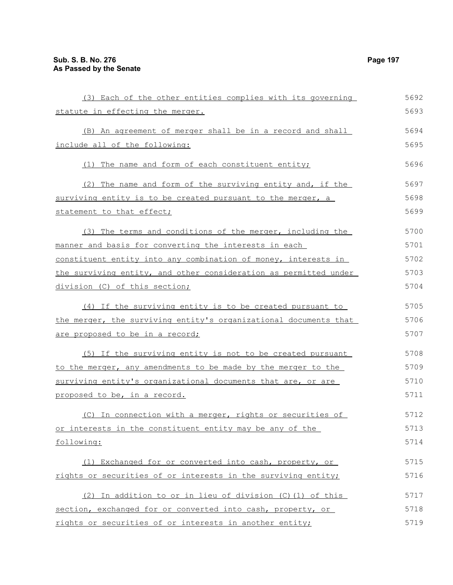| (3) Each of the other entities complies with its governing       | 5692 |
|------------------------------------------------------------------|------|
| statute in effecting the merger.                                 | 5693 |
| (B) An agreement of merger shall be in a record and shall        | 5694 |
| include all of the following:                                    | 5695 |
| (1) The name and form of each constituent entity;                | 5696 |
| (2) The name and form of the surviving entity and, if the        | 5697 |
| surviving entity is to be created pursuant to the merger, a      | 5698 |
| statement to that effect;                                        | 5699 |
| (3) The terms and conditions of the merger, including the        | 5700 |
| manner and basis for converting the interests in each            | 5701 |
| constituent entity into any combination of money, interests in   | 5702 |
| the surviving entity, and other consideration as permitted under | 5703 |
| division (C) of this section;                                    | 5704 |
| (4) If the surviving entity is to be created pursuant to         | 5705 |
| the merger, the surviving entity's organizational documents that | 5706 |
| are proposed to be in a record;                                  | 5707 |
| (5) If the surviving entity is not to be created pursuant        | 5708 |
| to the merger, any amendments to be made by the merger to the    | 5709 |
| surviving entity's organizational documents that are, or are     | 5710 |
| proposed to be, in a record.                                     | 5711 |
| (C) In connection with a merger, rights or securities of         | 5712 |
| or interests in the constituent entity may be any of the         | 5713 |
| following:                                                       | 5714 |
| (1) Exchanged for or converted into cash, property, or           | 5715 |
| rights or securities of or interests in the surviving entity;    | 5716 |
| (2) In addition to or in lieu of division (C) (1) of this        | 5717 |
| section, exchanged for or converted into cash, property, or      | 5718 |
| rights or securities of or interests in another entity;          | 5719 |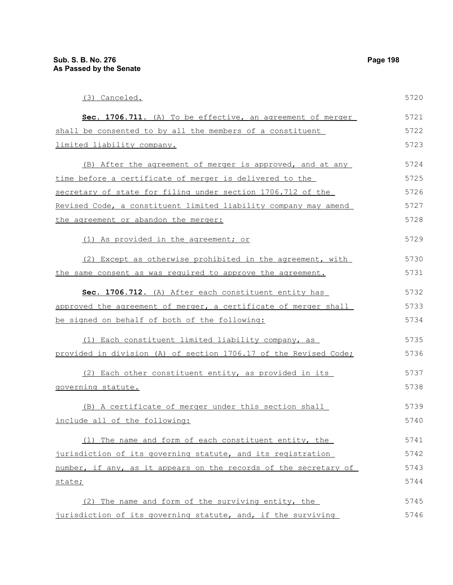| (3) Canceled.                                                    | 5720 |
|------------------------------------------------------------------|------|
| Sec. 1706.711. (A) To be effective, an agreement of merger       | 5721 |
| shall be consented to by all the members of a constituent        | 5722 |
| limited liability company.                                       | 5723 |
| (B) After the agreement of merger is approved, and at any        | 5724 |
| time before a certificate of merger is delivered to the          | 5725 |
| secretary of state for filing under section 1706.712 of the      | 5726 |
| Revised Code, a constituent limited liability company may amend  | 5727 |
| the agreement or abandon the merger:                             | 5728 |
| (1) As provided in the agreement; or                             | 5729 |
| (2) Except as otherwise prohibited in the agreement, with        | 5730 |
| the same consent as was required to approve the agreement.       | 5731 |
| Sec. 1706.712. (A) After each constituent entity has             | 5732 |
| approved the agreement of merger, a certificate of merger shall  | 5733 |
| be signed on behalf of both of the following:                    | 5734 |
| (1) Each constituent limited liability company, as               | 5735 |
| provided in division (A) of section 1706.17 of the Revised Code; | 5736 |
| (2) Each other constituent entity, as provided in its            | 5737 |
| governing statute.                                               | 5738 |
| (B) A certificate of merger under this section shall             | 5739 |
| include all of the following:                                    | 5740 |
| (1) The name and form of each constituent entity, the            | 5741 |
| jurisdiction of its governing statute, and its registration      | 5742 |
| number, if any, as it appears on the records of the secretary of | 5743 |
| state;                                                           | 5744 |
| The name and form of the surviving entity, the<br>(2)            | 5745 |
| jurisdiction of its governing statute, and, if the surviving     | 5746 |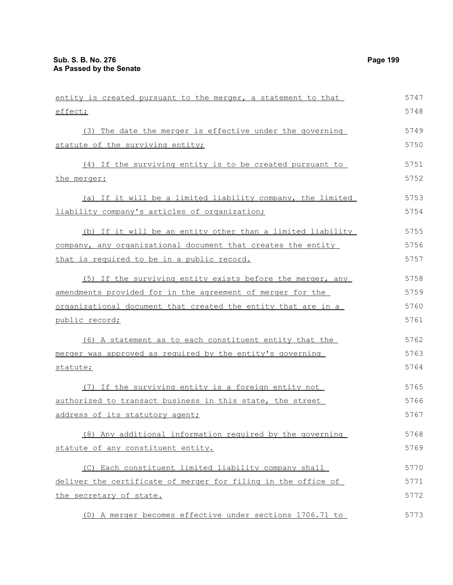| entity is created pursuant to the merger, a statement to that        | 5747 |
|----------------------------------------------------------------------|------|
| effect;                                                              | 5748 |
| (3) The date the merger is effective under the governing             | 5749 |
| statute of the surviving entity;                                     | 5750 |
| (4) If the surviving entity is to be created pursuant to             | 5751 |
| the merger:                                                          | 5752 |
| (a) If it will be a limited liability company, the limited           | 5753 |
| liability company's articles of organization;                        | 5754 |
| (b) If it will be an entity other than a limited liability           | 5755 |
| company, any organizational document that creates the entity         | 5756 |
| that is required to be in a public record.                           | 5757 |
| (5) If the surviving entity exists before the merger, any            | 5758 |
| amendments provided for in the agreement of merger for the           | 5759 |
| <u>organizational document that created the entity that are in a</u> | 5760 |
| public record;                                                       | 5761 |
| (6) A statement as to each constituent entity that the               | 5762 |
| merger was approved as required by the entity's governing            | 5763 |
| statute;                                                             | 5764 |
| (7) If the surviving entity is a foreign entity not                  | 5765 |
| authorized to transact business in this state, the street            | 5766 |
| address of its statutory agent;                                      | 5767 |
| (8) Any additional information required by the governing             | 5768 |
| statute of any constituent entity.                                   | 5769 |
| (C) Each constituent limited liability company shall                 | 5770 |
| deliver the certificate of merger for filing in the office of        | 5771 |
| the secretary of state.                                              | 5772 |
| (D) A merger becomes effective under sections 1706.71 to             | 5773 |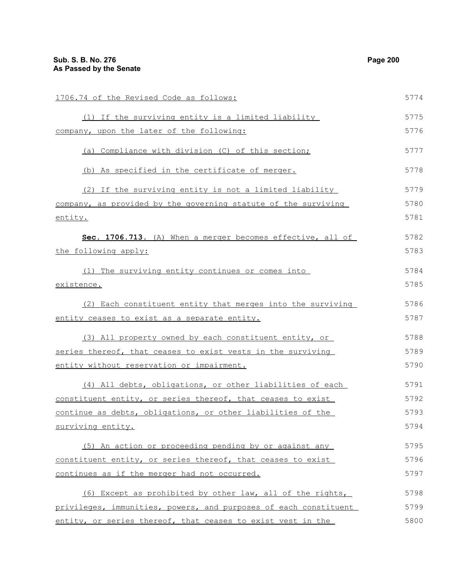1706.74 of the Revised Code as follows: (1) If the surviving entity is a limited liability company, upon the later of the following: (a) Compliance with division (C) of this section; (b) As specified in the certificate of merger. (2) If the surviving entity is not a limited liability company, as provided by the governing statute of the surviving entity. **Sec. 1706.713.** (A) When a merger becomes effective, all of the following apply: (1) The surviving entity continues or comes into existence. (2) Each constituent entity that merges into the surviving entity ceases to exist as a separate entity. (3) All property owned by each constituent entity, or series thereof, that ceases to exist vests in the surviving entity without reservation or impairment. (4) All debts, obligations, or other liabilities of each constituent entity, or series thereof, that ceases to exist continue as debts, obligations, or other liabilities of the surviving entity. (5) An action or proceeding pending by or against any constituent entity, or series thereof, that ceases to exist continues as if the merger had not occurred. (6) Except as prohibited by other law, all of the rights, privileges, immunities, powers, and purposes of each constituent 5774 5775 5776 5777 5778 5779 5780 5781 5782 5783 5784 5785 5786 5787 5788 5789 5790 5791 5792 5793 5794 5795 5796 5797 5798 5799

entity, or series thereof, that ceases to exist vest in the 5800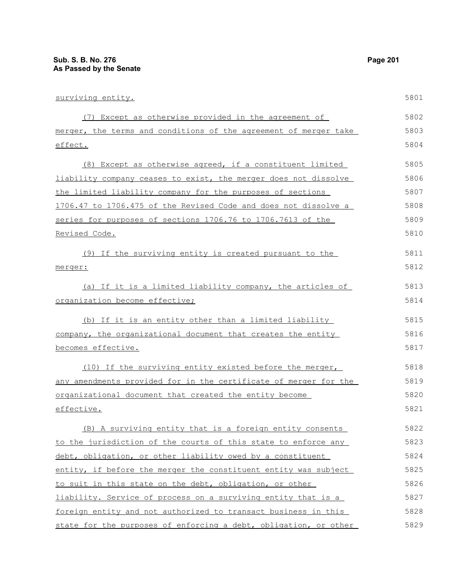| surviving entity.                                                | 5801 |
|------------------------------------------------------------------|------|
| (7) Except as otherwise provided in the agreement of             | 5802 |
| merger, the terms and conditions of the agreement of merger take | 5803 |
| effect.                                                          | 5804 |
| (8) Except as otherwise agreed, if a constituent limited         | 5805 |
| liability company ceases to exist, the merger does not dissolve  | 5806 |
| the limited liability company for the purposes of sections       | 5807 |
| 1706.47 to 1706.475 of the Revised Code and does not dissolve a  | 5808 |
| series for purposes of sections 1706.76 to 1706.7613 of the      | 5809 |
| <u>Revised Code.</u>                                             | 5810 |
| (9) If the surviving entity is created pursuant to the           | 5811 |
| merger:                                                          | 5812 |
| (a) If it is a limited liability company, the articles of        | 5813 |
| organization become effective;                                   | 5814 |
| (b) If it is an entity other than a limited liability            | 5815 |
| company, the organizational document that creates the entity     | 5816 |
| <u>becomes effective.</u>                                        | 5817 |
| (10) If the surviving entity existed before the merger,          | 5818 |
| any amendments provided for in the certificate of merger for the | 5819 |
| organizational document that created the entity become           | 5820 |
| effective.                                                       | 5821 |
| (B) A surviving entity that is a foreign entity consents         | 5822 |
| to the jurisdiction of the courts of this state to enforce any   | 5823 |
| debt, obligation, or other liability owed by a constituent       | 5824 |
| entity, if before the merger the constituent entity was subject  | 5825 |
| to suit in this state on the debt, obligation, or other          | 5826 |
| liability. Service of process on a surviving entity that is a    | 5827 |
| foreign entity and not authorized to transact business in this   | 5828 |
| state for the purposes of enforcing a debt, obligation, or other | 5829 |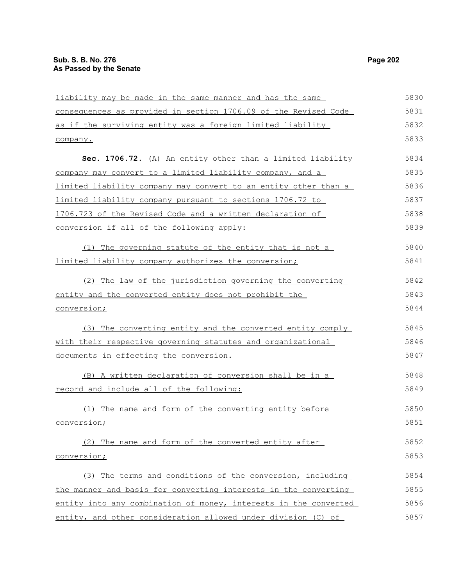| liability may be made in the same manner and has the same        | 5830 |
|------------------------------------------------------------------|------|
| consequences as provided in section 1706.09 of the Revised Code  | 5831 |
| as if the surviving entity was a foreign limited liability       | 5832 |
| company.                                                         | 5833 |
| Sec. 1706.72. (A) An entity other than a limited liability       | 5834 |
| company may convert to a limited liability company, and a        | 5835 |
| limited liability company may convert to an entity other than a  | 5836 |
| limited liability company pursuant to sections 1706.72 to        | 5837 |
| 1706.723 of the Revised Code and a written declaration of        | 5838 |
| conversion if all of the following apply:                        | 5839 |
| (1) The governing statute of the entity that is not a            | 5840 |
| limited liability company authorizes the conversion;             | 5841 |
| (2) The law of the jurisdiction governing the converting         | 5842 |
| entity and the converted entity does not prohibit the            | 5843 |
| conversion;                                                      | 5844 |
| (3) The converting entity and the converted entity comply        | 5845 |
| with their respective governing statutes and organizational      | 5846 |
| documents in effecting the conversion.                           | 5847 |
| (B) A written declaration of conversion shall be in a            | 5848 |
| record and include all of the following:                         | 5849 |
| (1) The name and form of the converting entity before            | 5850 |
| conversion;                                                      | 5851 |
| (2) The name and form of the converted entity after              | 5852 |
| conversion;                                                      | 5853 |
| (3) The terms and conditions of the conversion, including        | 5854 |
| the manner and basis for converting interests in the converting  | 5855 |
| entity into any combination of money, interests in the converted | 5856 |
| entity, and other consideration allowed under division (C) of    | 5857 |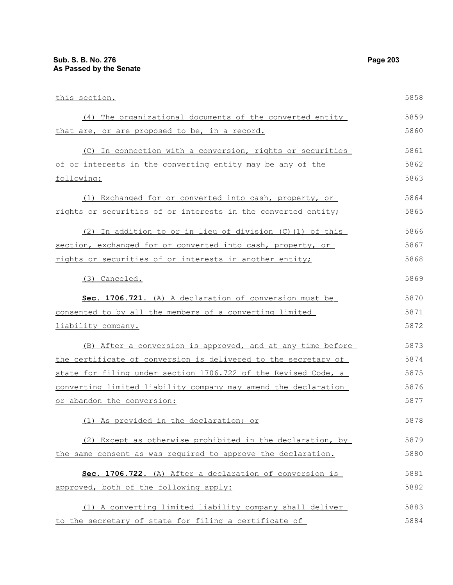| this section.                                                  | 5858 |
|----------------------------------------------------------------|------|
| (4) The organizational documents of the converted entity       | 5859 |
| that are, or are proposed to be, in a record.                  | 5860 |
| (C) In connection with a conversion, rights or securities      | 5861 |
| of or interests in the converting entity may be any of the     | 5862 |
| following:                                                     | 5863 |
| (1) Exchanged for or converted into cash, property, or         | 5864 |
| rights or securities of or interests in the converted entity;  | 5865 |
| (2) In addition to or in lieu of division (C) (1) of this      | 5866 |
| section, exchanged for or converted into cash, property, or    | 5867 |
| rights or securities of or interests in another entity;        | 5868 |
| (3) Canceled.                                                  | 5869 |
| Sec. 1706.721. (A) A declaration of conversion must be         | 5870 |
| consented to by all the members of a converting limited        | 5871 |
| liability company.                                             | 5872 |
| (B) After a conversion is approved, and at any time before     | 5873 |
| the certificate of conversion is delivered to the secretary of | 5874 |
| state for filing under section 1706.722 of the Revised Code, a | 5875 |
| converting limited liability company may amend the declaration | 5876 |
| or abandon the conversion:                                     | 5877 |
| (1) As provided in the declaration; or                         | 5878 |
| (2) Except as otherwise prohibited in the declaration, by      | 5879 |
| the same consent as was required to approve the declaration.   | 5880 |
| Sec. 1706.722. (A) After a declaration of conversion is        | 5881 |
| approved, both of the following apply:                         | 5882 |
| (1) A converting limited liability company shall deliver       | 5883 |
| to the secretary of state for filing a certificate of          | 5884 |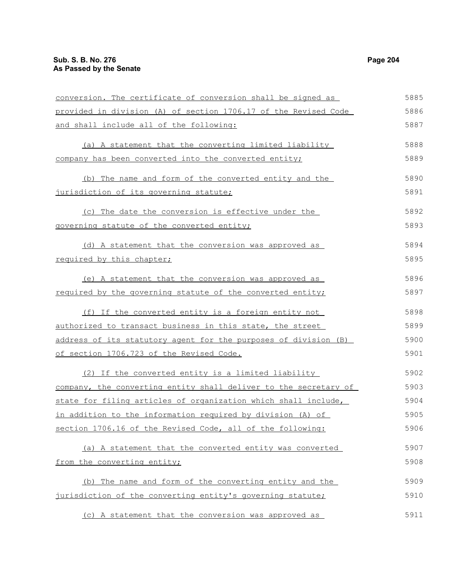| conversion. The certificate of conversion shall be signed as     | 5885 |
|------------------------------------------------------------------|------|
| provided in division (A) of section 1706.17 of the Revised Code  | 5886 |
| and shall include all of the following:                          | 5887 |
| (a) A statement that the converting limited liability            | 5888 |
| company has been converted into the converted entity;            | 5889 |
|                                                                  |      |
| (b) The name and form of the converted entity and the            | 5890 |
| jurisdiction of its governing statute;                           | 5891 |
| (c) The date the conversion is effective under the               | 5892 |
| governing statute of the converted entity;                       | 5893 |
| (d) A statement that the conversion was approved as              | 5894 |
| required by this chapter;                                        | 5895 |
| (e) A statement that the conversion was approved as              | 5896 |
| required by the governing statute of the converted entity;       | 5897 |
| (f) If the converted entity is a foreign entity not              | 5898 |
| authorized to transact business in this state, the street        | 5899 |
| address of its statutory agent for the purposes of division (B)  | 5900 |
| of section 1706.723 of the Revised Code.                         | 5901 |
| (2) If the converted entity is a limited liability               | 5902 |
| company, the converting entity shall deliver to the secretary of | 5903 |
| state for filing articles of organization which shall include,   | 5904 |
| in addition to the information required by division (A) of       | 5905 |
| section 1706.16 of the Revised Code, all of the following:       | 5906 |
| (a) A statement that the converted entity was converted          | 5907 |
| from the converting entity;                                      | 5908 |
| (b) The name and form of the converting entity and the           | 5909 |
| jurisdiction of the converting entity's governing statute;       | 5910 |
| (c) A statement that the conversion was approved as              | 5911 |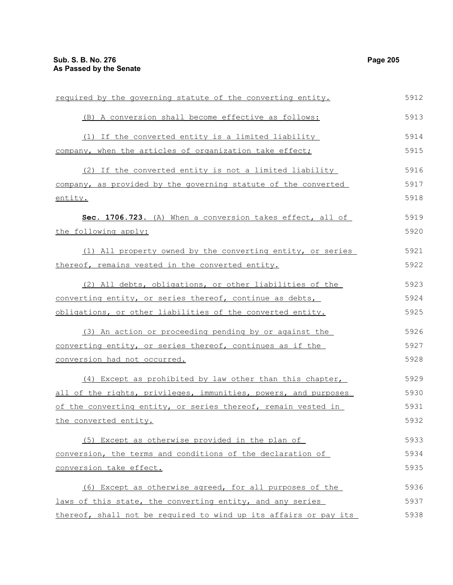required by the governing statute of the converting entity. (B) A conversion shall become effective as follows: (1) If the converted entity is a limited liability company, when the articles of organization take effect; (2) If the converted entity is not a limited liability company, as provided by the governing statute of the converted entity. **Sec. 1706.723.** (A) When a conversion takes effect, all of the following apply: (1) All property owned by the converting entity, or series thereof, remains vested in the converted entity. (2) All debts, obligations, or other liabilities of the converting entity, or series thereof, continue as debts, obligations, or other liabilities of the converted entity. (3) An action or proceeding pending by or against the converting entity, or series thereof, continues as if the conversion had not occurred. (4) Except as prohibited by law other than this chapter, all of the rights, privileges, immunities, powers, and purposes of the converting entity, or series thereof, remain vested in the converted entity. (5) Except as otherwise provided in the plan of conversion, the terms and conditions of the declaration of conversion take effect. (6) Except as otherwise agreed, for all purposes of the laws of this state, the converting entity, and any series 5912 5913 5914 5915 5916 5917 5918 5919 5920 5921 5922 5923 5924 5925 5926 5927 5928 5929 5930 5931 5932 5933 5934 5935 5936 5937

thereof, shall not be required to wind up its affairs or pay its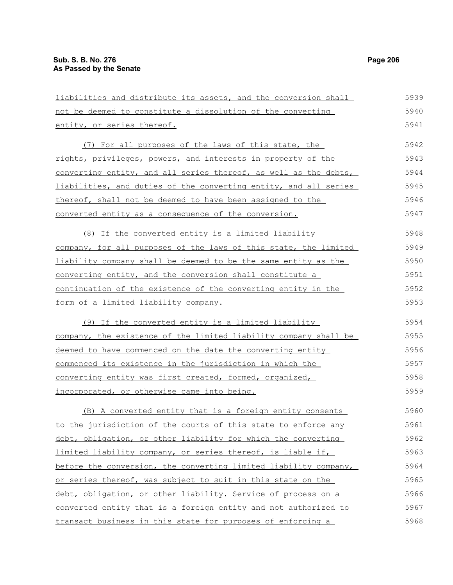liabilities and distribute its assets, and the conversion shall not be deemed to constitute a dissolution of the converting entity, or series thereof. (7) For all purposes of the laws of this state, the rights, privileges, powers, and interests in property of the converting entity, and all series thereof, as well as the debts, liabilities, and duties of the converting entity, and all series thereof, shall not be deemed to have been assigned to the converted entity as a consequence of the conversion. (8) If the converted entity is a limited liability company, for all purposes of the laws of this state, the limited liability company shall be deemed to be the same entity as the converting entity, and the conversion shall constitute a continuation of the existence of the converting entity in the form of a limited liability company. (9) If the converted entity is a limited liability company, the existence of the limited liability company shall be deemed to have commenced on the date the converting entity commenced its existence in the jurisdiction in which the converting entity was first created, formed, organized, incorporated, or otherwise came into being. (B) A converted entity that is a foreign entity consents to the jurisdiction of the courts of this state to enforce any debt, obligation, or other liability for which the converting limited liability company, or series thereof, is liable if, before the conversion, the converting limited liability company, or series thereof, was subject to suit in this state on the 5939 5940 5941 5942 5943 5944 5945 5946 5947 5948 5949 5950 5951 5952 5953 5954 5955 5956 5957 5958 5959 5960 5961 5962 5963 5964 5965

debt, obligation, or other liability. Service of process on a converted entity that is a foreign entity and not authorized to transact business in this state for purposes of enforcing a 5966 5967 5968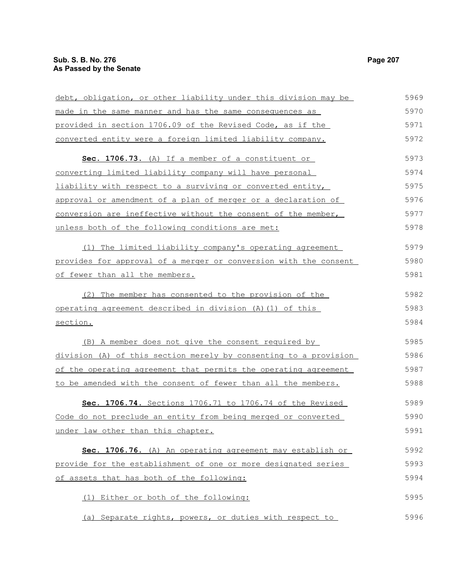|                                                                  | 5969 |
|------------------------------------------------------------------|------|
| debt, obligation, or other liability under this division may be  |      |
| made in the same manner and has the same consequences as         | 5970 |
| provided in section 1706.09 of the Revised Code, as if the       | 5971 |
| converted entity were a foreign limited liability company.       | 5972 |
| Sec. 1706.73. (A) If a member of a constituent or                | 5973 |
| converting limited liability company will have personal          | 5974 |
| liability with respect to a surviving or converted entity,       | 5975 |
| approval or amendment of a plan of merger or a declaration of    | 5976 |
| conversion are ineffective without the consent of the member,    | 5977 |
| unless both of the following conditions are met:                 | 5978 |
| (1) The limited liability company's operating agreement          | 5979 |
| provides for approval of a merger or conversion with the consent | 5980 |
| of fewer than all the members.                                   | 5981 |
| The member has consented to the provision of the<br>(2)          | 5982 |
| operating agreement described in division (A) (1) of this        | 5983 |
| section.                                                         | 5984 |
| (B) A member does not give the consent required by               | 5985 |
| division (A) of this section merely by consenting to a provision | 5986 |
| of the operating agreement that permits the operating agreement  | 5987 |
| to be amended with the consent of fewer than all the members.    | 5988 |
| Sec. 1706.74. Sections 1706.71 to 1706.74 of the Revised         | 5989 |
| Code do not preclude an entity from being merged or converted    | 5990 |
| under law other than this chapter.                               | 5991 |
| Sec. 1706.76. (A) An operating agreement may establish or        | 5992 |
| provide for the establishment of one or more designated series   | 5993 |
| of assets that has both of the following:                        | 5994 |
| (1) Either or both of the following:                             | 5995 |
| (a) Separate rights, powers, or duties with respect to           | 5996 |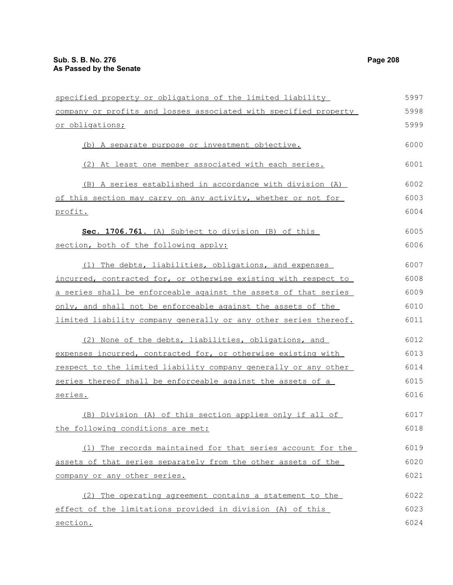| specified property or obligations of the limited liability       | 5997 |
|------------------------------------------------------------------|------|
| company or profits and losses associated with specified property | 5998 |
| or obligations;                                                  | 5999 |
| (b) A separate purpose or investment objective.                  | 6000 |
| (2) At least one member associated with each series.             | 6001 |
| (B) A series established in accordance with division (A)         | 6002 |
| of this section may carry on any activity, whether or not for    | 6003 |
| profit.                                                          | 6004 |
| Sec. 1706.761. (A) Subject to division (B) of this               | 6005 |
| section, both of the following apply:                            | 6006 |
| (1) The debts, liabilities, obligations, and expenses            | 6007 |
| incurred, contracted for, or otherwise existing with respect to  | 6008 |
| a series shall be enforceable against the assets of that series  | 6009 |
| only, and shall not be enforceable against the assets of the     | 6010 |
| limited liability company generally or any other series thereof. | 6011 |
| (2) None of the debts, liabilities, obligations, and             | 6012 |
| expenses incurred, contracted for, or otherwise existing with    | 6013 |
| respect to the limited liability company generally or any other  | 6014 |
| series thereof shall be enforceable against the assets of a      | 6015 |
| series.                                                          | 6016 |
| (B) Division (A) of this section applies only if all of          | 6017 |
| the following conditions are met:                                | 6018 |
| (1) The records maintained for that series account for the       | 6019 |
| assets of that series separately from the other assets of the    | 6020 |
| company or any other series.                                     | 6021 |
| (2) The operating agreement contains a statement to the          | 6022 |
| effect of the limitations provided in division (A) of this       | 6023 |
| section.                                                         | 6024 |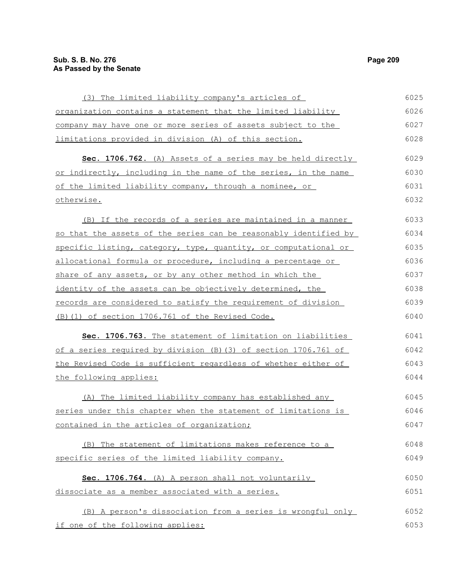| (3) The limited liability company's articles of                   | 6025 |
|-------------------------------------------------------------------|------|
| organization contains a statement that the limited liability      | 6026 |
| company may have one or more series of assets subject to the      | 6027 |
| limitations provided in division (A) of this section.             | 6028 |
| Sec. 1706.762. (A) Assets of a series may be held directly        | 6029 |
| or indirectly, including in the name of the series, in the name   | 6030 |
| of the limited liability company, through a nominee, or           | 6031 |
| otherwise.                                                        | 6032 |
| (B) If the records of a series are maintained in a manner         | 6033 |
| so that the assets of the series can be reasonably identified by  | 6034 |
| specific listing, category, type, quantity, or computational or   | 6035 |
| allocational formula or procedure, including a percentage or      | 6036 |
| share of any assets, or by any other method in which the          | 6037 |
| identity of the assets can be objectively determined, the         | 6038 |
| records are considered to satisfy the requirement of division     | 6039 |
| (B) (1) of section 1706.761 of the Revised Code.                  | 6040 |
| Sec. 1706.763. The statement of limitation on liabilities         | 6041 |
| of a series required by division $(B)$ (3) of section 1706.761 of | 6042 |
| the Revised Code is sufficient regardless of whether either of    | 6043 |
| the following applies:                                            | 6044 |
| (A) The limited liability company has established any             | 6045 |
| series under this chapter when the statement of limitations is    | 6046 |
| contained in the articles of organization;                        | 6047 |
| (B) The statement of limitations makes reference to a             | 6048 |
| specific series of the limited liability company.                 | 6049 |
| Sec. 1706.764. (A) A person shall not voluntarily                 | 6050 |
| dissociate as a member associated with a series.                  | 6051 |
| (B) A person's dissociation from a series is wrongful only        | 6052 |
| if one of the following applies:                                  | 6053 |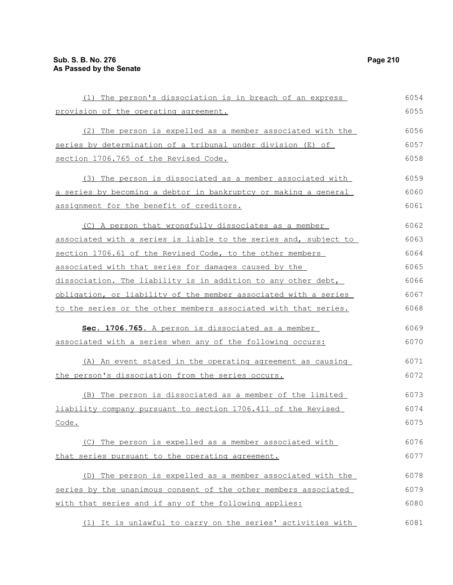| (1) The person's dissociation is in breach of an express         | 6054 |
|------------------------------------------------------------------|------|
| provision of the operating agreement.                            | 6055 |
| (2) The person is expelled as a member associated with the       | 6056 |
| series by determination of a tribunal under division (E) of      | 6057 |
| section 1706.765 of the Revised Code.                            | 6058 |
| (3) The person is dissociated as a member associated with        | 6059 |
| a series by becoming a debtor in bankruptcy or making a general  | 6060 |
| assignment for the benefit of creditors.                         | 6061 |
| (C) A person that wrongfully dissociates as a member             | 6062 |
| associated with a series is liable to the series and, subject to | 6063 |
| section 1706.61 of the Revised Code, to the other members        | 6064 |
| associated with that series for damages caused by the            | 6065 |
| dissociation. The liability is in addition to any other debt,    | 6066 |
| obligation, or liability of the member associated with a series  | 6067 |
| to the series or the other members associated with that series.  | 6068 |
| Sec. 1706.765. A person is dissociated as a member               | 6069 |
| associated with a series when any of the following occurs:       | 6070 |
| (A) An event stated in the operating agreement as causing        | 6071 |
| the person's dissociation from the series occurs.                | 6072 |
| (B) The person is dissociated as a member of the limited         | 6073 |
| liability company pursuant to section 1706.411 of the Revised    | 6074 |
| Code.                                                            | 6075 |
| (C) The person is expelled as a member associated with           | 6076 |
| that series pursuant to the operating agreement.                 | 6077 |
| The person is expelled as a member associated with the<br>(D)    | 6078 |
| series by the unanimous consent of the other members associated  | 6079 |
| with that series and if any of the following applies:            | 6080 |
| (1) It is unlawful to carry on the series' activities with       | 6081 |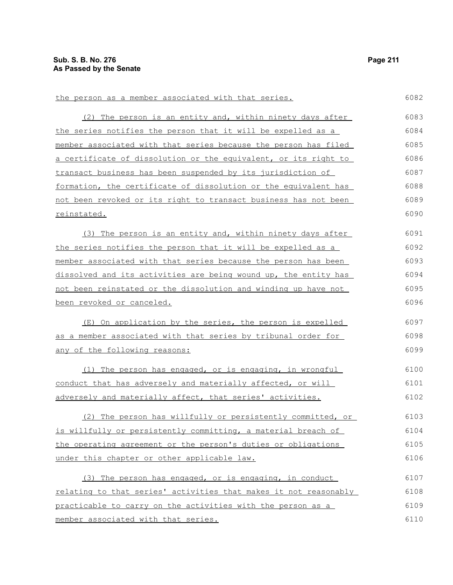the person as a member associated with that series.

(2) The person is an entity and, within ninety days after the series notifies the person that it will be expelled as a member associated with that series because the person has filed a certificate of dissolution or the equivalent, or its right to transact business has been suspended by its jurisdiction of formation, the certificate of dissolution or the equivalent has not been revoked or its right to transact business has not been reinstated. (3) The person is an entity and, within ninety days after the series notifies the person that it will be expelled as a member associated with that series because the person has been dissolved and its activities are being wound up, the entity has not been reinstated or the dissolution and winding up have not been revoked or canceled. (E) On application by the series, the person is expelled as a member associated with that series by tribunal order for any of the following reasons: (1) The person has engaged, or is engaging, in wrongful conduct that has adversely and materially affected, or will adversely and materially affect, that series' activities. (2) The person has willfully or persistently committed, or is willfully or persistently committing, a material breach of the operating agreement or the person's duties or obligations under this chapter or other applicable law. (3) The person has engaged, or is engaging, in conduct relating to that series' activities that makes it not reasonably practicable to carry on the activities with the person as a member associated with that series. 6083 6084 6085 6086 6087 6088 6089 6090 6091 6092 6093 6094 6095 6096 6097 6098 6099 6100 6101 6102 6103 6104 6105 6106 6107 6108 6109 6110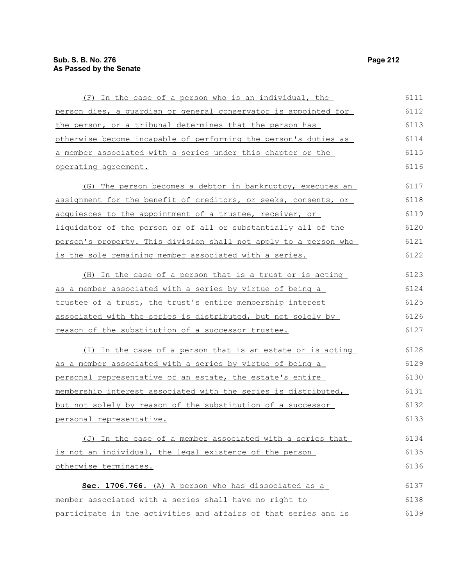| (F) In the case of a person who is an individual, the                | 6111 |
|----------------------------------------------------------------------|------|
| person dies, a quardian or general conservator is appointed for      | 6112 |
| the person, or a tribunal determines that the person has             | 6113 |
| otherwise become incapable of performing the person's duties as      | 6114 |
| a member associated with a series under this chapter or the          | 6115 |
| operating agreement.                                                 | 6116 |
| (G) The person becomes a debtor in bankruptcy, executes an           | 6117 |
| assignment for the benefit of creditors, or seeks, consents, or      | 6118 |
| acquiesces to the appointment of a trustee, receiver, or             | 6119 |
| liquidator of the person or of all or substantially all of the       | 6120 |
| person's property. This division shall not apply to a person who     | 6121 |
| is the sole remaining member associated with a series.               | 6122 |
| (H) In the case of a person that is a trust or is acting             | 6123 |
| <u>as a member associated with a series by virtue of being a </u>    | 6124 |
| trustee of a trust, the trust's entire membership interest           | 6125 |
| <u>associated with the series is distributed, but not solely by </u> | 6126 |
| reason of the substitution of a successor trustee.                   | 6127 |
| (I) In the case of a person that is an estate or is acting           | 6128 |
| as a member associated with a series by virtue of being a            | 6129 |
| personal representative of an estate, the estate's entire            | 6130 |
| membership interest associated with the series is distributed,       | 6131 |
| but not solely by reason of the substitution of a successor          | 6132 |
| personal representative.                                             | 6133 |
| (J) In the case of a member associated with a series that            | 6134 |
| is not an individual, the legal existence of the person              | 6135 |
| otherwise terminates.                                                | 6136 |
| Sec. 1706.766. (A) A person who has dissociated as a                 | 6137 |
| member associated with a series shall have no right to               | 6138 |

participate in the activities and affairs of that series and is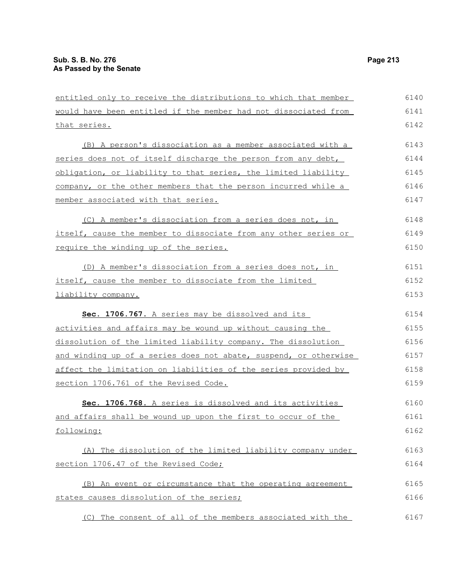| entitled only to receive the distributions to which that member  | 6140 |
|------------------------------------------------------------------|------|
| would have been entitled if the member had not dissociated from  | 6141 |
| that series.                                                     | 6142 |
| (B) A person's dissociation as a member associated with a        | 6143 |
| series does not of itself discharge the person from any debt,    | 6144 |
| obligation, or liability to that series, the limited liability   | 6145 |
| company, or the other members that the person incurred while a   | 6146 |
| member associated with that series.                              | 6147 |
| (C) A member's dissociation from a series does not, in           | 6148 |
| itself, cause the member to dissociate from any other series or  | 6149 |
| require the winding up of the series.                            | 6150 |
| (D) A member's dissociation from a series does not, in           | 6151 |
| itself, cause the member to dissociate from the limited          | 6152 |
| liability company.                                               | 6153 |
| Sec. 1706.767. A series may be dissolved and its                 | 6154 |
| activities and affairs may be wound up without causing the       | 6155 |
| dissolution of the limited liability company. The dissolution    | 6156 |
| and winding up of a series does not abate, suspend, or otherwise | 6157 |
| affect the limitation on liabilities of the series provided by   | 6158 |
| section 1706.761 of the Revised Code.                            | 6159 |
| Sec. 1706.768. A series is dissolved and its activities          | 6160 |
| and affairs shall be wound up upon the first to occur of the     | 6161 |
| following:                                                       | 6162 |
| (A) The dissolution of the limited liability company under       | 6163 |
| section 1706.47 of the Revised Code;                             | 6164 |
| (B) An event or circumstance that the operating agreement        | 6165 |
| states causes dissolution of the series;                         | 6166 |
| (C) The consent of all of the members associated with the        | 6167 |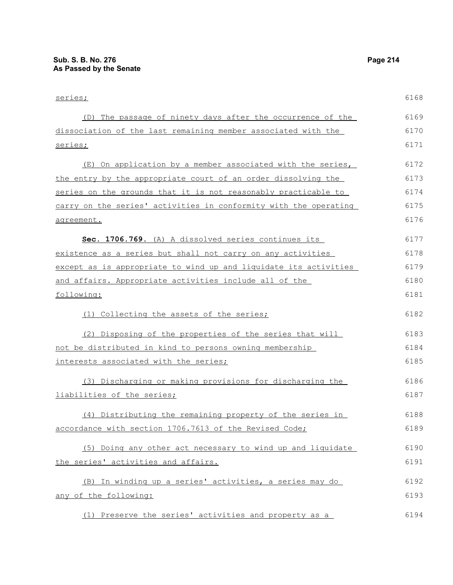series; (D) The passage of ninety days after the occurrence of the dissociation of the last remaining member associated with the series; (E) On application by a member associated with the series, the entry by the appropriate court of an order dissolving the series on the grounds that it is not reasonably practicable to carry on the series' activities in conformity with the operating agreement. **Sec. 1706.769.** (A) A dissolved series continues its existence as a series but shall not carry on any activities except as is appropriate to wind up and liquidate its activities and affairs. Appropriate activities include all of the following: (1) Collecting the assets of the series; (2) Disposing of the properties of the series that will not be distributed in kind to persons owning membership interests associated with the series; (3) Discharging or making provisions for discharging the liabilities of the series; (4) Distributing the remaining property of the series in accordance with section 1706.7613 of the Revised Code; (5) Doing any other act necessary to wind up and liquidate the series' activities and affairs. (B) In winding up a series' activities, a series may do any of the following: 6168 6169 6170 6171 6172 6173 6174 6175 6176 6177 6178 6179 6180 6181 6182 6183 6184 6185 6186 6187 6188 6189 6190 6191 6192 6193

(1) Preserve the series' activities and property as a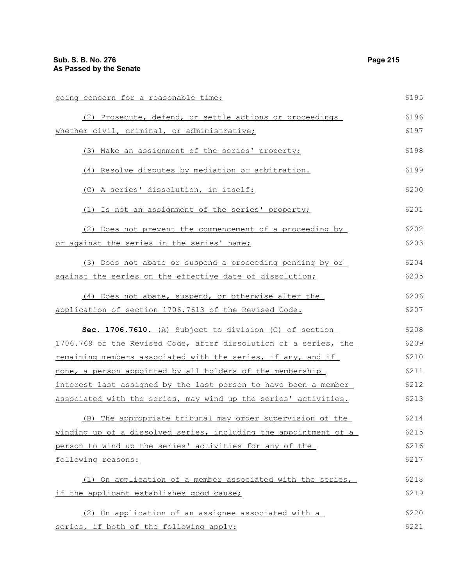going concern for a reasonable time; (2) Prosecute, defend, or settle actions or proceedings whether civil, criminal, or administrative; (3) Make an assignment of the series' property; (4) Resolve disputes by mediation or arbitration. (C) A series' dissolution, in itself: (1) Is not an assignment of the series' property; (2) Does not prevent the commencement of a proceeding by or against the series in the series' name; (3) Does not abate or suspend a proceeding pending by or against the series on the effective date of dissolution; (4) Does not abate, suspend, or otherwise alter the application of section 1706.7613 of the Revised Code. **Sec. 1706.7610.** (A) Subject to division (C) of section 1706.769 of the Revised Code, after dissolution of a series, the remaining members associated with the series, if any, and if none, a person appointed by all holders of the membership interest last assigned by the last person to have been a member associated with the series, may wind up the series' activities. (B) The appropriate tribunal may order supervision of the winding up of a dissolved series, including the appointment of a person to wind up the series' activities for any of the following reasons: (1) On application of a member associated with the series, if the applicant establishes good cause; (2) On application of an assignee associated with a series, if both of the following apply: 6195 6196 6197 6198 6199 6200 6201 6202 6203 6204 6205 6206 6207 6208 6209 6210 6211 6212 6213 6214 6215 6216 6217 6218 6219 6220 6221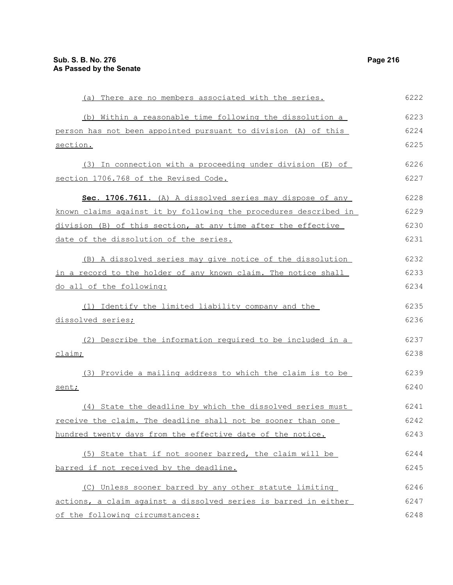| (a) There are no members associated with the series.             | 6222 |
|------------------------------------------------------------------|------|
| (b) Within a reasonable time following the dissolution a         | 6223 |
| person has not been appointed pursuant to division (A) of this   | 6224 |
| section.                                                         | 6225 |
| (3) In connection with a proceeding under division (E) of        | 6226 |
| section 1706.768 of the Revised Code.                            | 6227 |
| Sec. 1706.7611. (A) A dissolved series may dispose of any        | 6228 |
| known claims against it by following the procedures described in | 6229 |
| division (B) of this section, at any time after the effective    | 6230 |
| date of the dissolution of the series.                           | 6231 |
| (B) A dissolved series may give notice of the dissolution        | 6232 |
| in a record to the holder of any known claim. The notice shall   | 6233 |
| do all of the following:                                         | 6234 |
| Identify the limited liability company and the<br>(1)            | 6235 |
| dissolved series;                                                | 6236 |
| (2) Describe the information required to be included in a        | 6237 |
| claim;                                                           | 6238 |
| (3) Provide a mailing address to which the claim is to be        | 6239 |
| sent;                                                            | 6240 |
| (4) State the deadline by which the dissolved series must        | 6241 |
| receive the claim. The deadline shall not be sooner than one     | 6242 |
| hundred twenty days from the effective date of the notice.       | 6243 |
| (5) State that if not sooner barred, the claim will be           | 6244 |
| barred if not received by the deadline.                          | 6245 |
| (C) Unless sooner barred by any other statute limiting           | 6246 |
| actions, a claim against a dissolved series is barred in either  | 6247 |
| of the following circumstances:                                  | 6248 |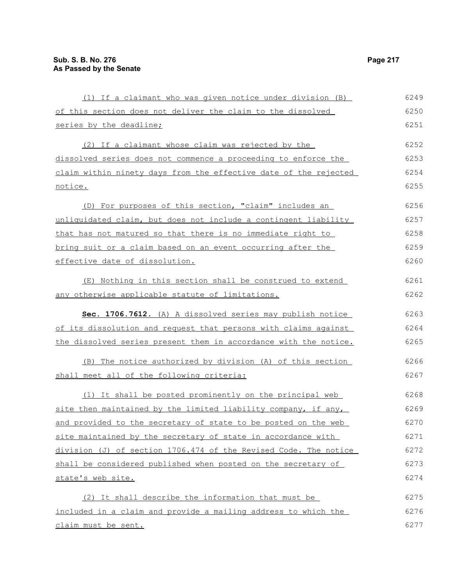(1) If a claimant who was given notice under division (B) of this section does not deliver the claim to the dissolved series by the deadline; (2) If a claimant whose claim was rejected by the dissolved series does not commence a proceeding to enforce the claim within ninety days from the effective date of the rejected notice. (D) For purposes of this section, "claim" includes an unliquidated claim, but does not include a contingent liability that has not matured so that there is no immediate right to bring suit or a claim based on an event occurring after the effective date of dissolution. (E) Nothing in this section shall be construed to extend any otherwise applicable statute of limitations. **Sec. 1706.7612.** (A) A dissolved series may publish notice of its dissolution and request that persons with claims against the dissolved series present them in accordance with the notice. (B) The notice authorized by division (A) of this section shall meet all of the following criteria: (1) It shall be posted prominently on the principal web site then maintained by the limited liability company, if any, and provided to the secretary of state to be posted on the web site maintained by the secretary of state in accordance with division (J) of section 1706.474 of the Revised Code. The notice shall be considered published when posted on the secretary of state's web site. (2) It shall describe the information that must be included in a claim and provide a mailing address to which the claim must be sent. 6249 6250 6251 6252 6253 6254 6255 6256 6257 6258 6259 6260 6261 6262 6263 6264 6265 6266 6267 6268 6269 6270 6271 6272 6273 6274 6275 6276 6277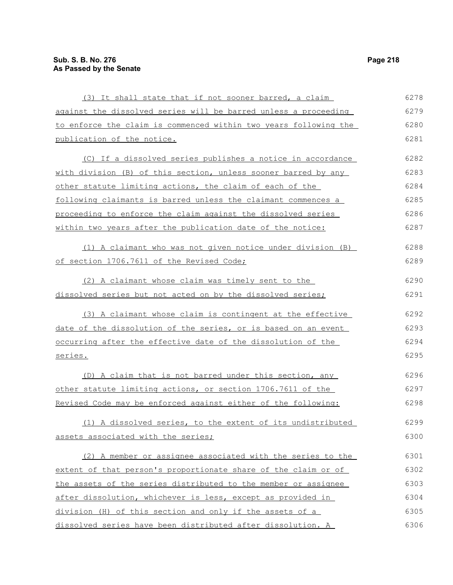| (3) It shall state that if not sooner barred, a claim            | 6278 |
|------------------------------------------------------------------|------|
| against the dissolved series will be barred unless a proceeding  | 6279 |
| to enforce the claim is commenced within two years following the | 6280 |
| publication of the notice.                                       | 6281 |
| (C) If a dissolved series publishes a notice in accordance       | 6282 |
| with division (B) of this section, unless sooner barred by any   | 6283 |
| other statute limiting actions, the claim of each of the         | 6284 |
| following claimants is barred unless the claimant commences a    | 6285 |
| proceeding to enforce the claim against the dissolved series     | 6286 |
| within two years after the publication date of the notice:       | 6287 |
| (1) A claimant who was not given notice under division (B)       | 6288 |
| of section 1706.7611 of the Revised Code;                        | 6289 |
| (2) A claimant whose claim was timely sent to the                | 6290 |
| dissolved series but not acted on by the dissolved series;       | 6291 |
| (3) A claimant whose claim is contingent at the effective        | 6292 |
| date of the dissolution of the series, or is based on an event   | 6293 |
| occurring after the effective date of the dissolution of the     | 6294 |
| series.                                                          | 6295 |
| (D) A claim that is not barred under this section, any           | 6296 |
| other statute limiting actions, or section 1706.7611 of the      | 6297 |
| Revised Code may be enforced against either of the following:    | 6298 |
| (1) A dissolved series, to the extent of its undistributed       | 6299 |
| assets associated with the series;                               | 6300 |
| (2) A member or assignee associated with the series to the       | 6301 |
| extent of that person's proportionate share of the claim or of   | 6302 |
| the assets of the series distributed to the member or assignee   | 6303 |
| after dissolution, whichever is less, except as provided in      | 6304 |
| division (H) of this section and only if the assets of a         | 6305 |
| dissolved series have been distributed after dissolution. A      | 6306 |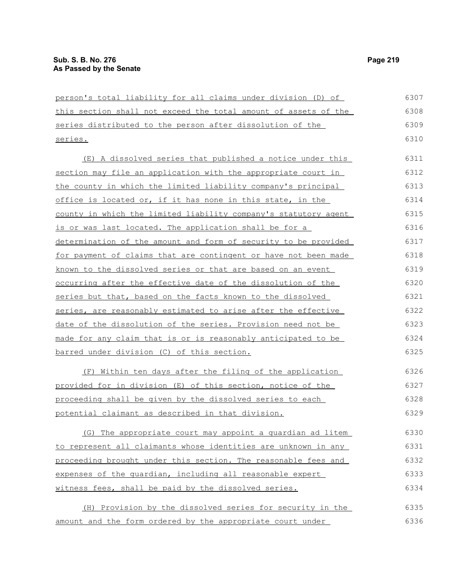| person's total liability for all claims under division (D) of   | 6307 |
|-----------------------------------------------------------------|------|
| this section shall not exceed the total amount of assets of the | 6308 |
| series distributed to the person after dissolution of the       | 6309 |
| series.                                                         | 6310 |
| (E) A dissolved series that published a notice under this       | 6311 |
| section may file an application with the appropriate court in   | 6312 |
| the county in which the limited liability company's principal   | 6313 |
| office is located or, if it has none in this state, in the      | 6314 |
| county in which the limited liability company's statutory agent | 6315 |
| is or was last located. The application shall be for a          | 6316 |
| determination of the amount and form of security to be provided | 6317 |
| for payment of claims that are contingent or have not been made | 6318 |
| known to the dissolved series or that are based on an event     | 6319 |
| occurring after the effective date of the dissolution of the    | 6320 |
| series but that, based on the facts known to the dissolved      | 6321 |
| series, are reasonably estimated to arise after the effective   | 6322 |
| date of the dissolution of the series. Provision need not be    | 6323 |
| made for any claim that is or is reasonably anticipated to be   | 6324 |
| barred under division (C) of this section.                      | 6325 |
| (F) Within ten days after the filing of the application         | 6326 |
| provided for in division (E) of this section, notice of the     | 6327 |
| proceeding shall be given by the dissolved series to each       | 6328 |
| potential claimant as described in that division.               | 6329 |
| (G) The appropriate court may appoint a quardian ad litem       | 6330 |
| to represent all claimants whose identities are unknown in any  | 6331 |
| proceeding brought under this section. The reasonable fees and  | 6332 |
| expenses of the quardian, including all reasonable expert       | 6333 |
| witness fees, shall be paid by the dissolved series.            | 6334 |
| (H) Provision by the dissolved series for security in the       | 6335 |
| amount and the form ordered by the appropriate court under      | 6336 |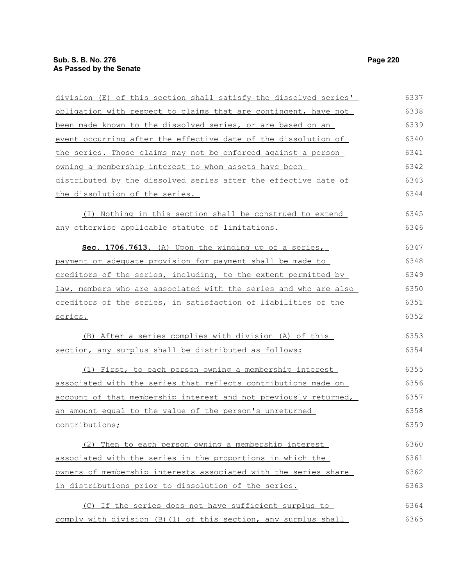| division (E) of this section shall satisfy the dissolved series' | 6337 |
|------------------------------------------------------------------|------|
| obligation with respect to claims that are contingent, have not  | 6338 |
| been made known to the dissolved series, or are based on an      | 6339 |
| event occurring after the effective date of the dissolution of   | 6340 |
| the series. Those claims may not be enforced against a person    | 6341 |
| owning a membership interest to whom assets have been            | 6342 |
| distributed by the dissolved series after the effective date of  | 6343 |
| the dissolution of the series.                                   | 6344 |
| (I) Nothing in this section shall be construed to extend         | 6345 |
| any otherwise applicable statute of limitations.                 | 6346 |
| Sec. 1706.7613. (A) Upon the winding up of a series,             | 6347 |
| payment or adequate provision for payment shall be made to       | 6348 |
| creditors of the series, including, to the extent permitted by   | 6349 |
| law, members who are associated with the series and who are also | 6350 |
| creditors of the series, in satisfaction of liabilities of the   | 6351 |
| <u>series.</u>                                                   | 6352 |
| (B) After a series complies with division (A) of this            | 6353 |
| section, any surplus shall be distributed as follows:            | 6354 |
| (1) First, to each person owning a membership interest           | 6355 |
| associated with the series that reflects contributions made on   | 6356 |
| account of that membership interest and not previously returned, | 6357 |
| an amount equal to the value of the person's unreturned          | 6358 |
| contributions;                                                   | 6359 |
| (2) Then to each person owning a membership interest             | 6360 |
| associated with the series in the proportions in which the       | 6361 |
| owners of membership interests associated with the series share  | 6362 |
| in distributions prior to dissolution of the series.             | 6363 |
| (C) If the series does not have sufficient surplus to            | 6364 |
| comply with division (B) (1) of this section, any surplus shall  | 6365 |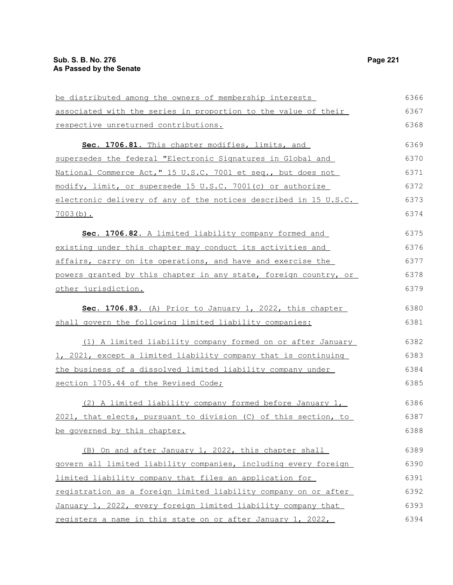| be distributed among the owners of membership interests          | 6366 |
|------------------------------------------------------------------|------|
| associated with the series in proportion to the value of their   | 6367 |
| respective unreturned contributions.                             | 6368 |
| Sec. 1706.81. This chapter modifies, limits, and                 | 6369 |
| supersedes the federal "Electronic Signatures in Global and      | 6370 |
| National Commerce Act," 15 U.S.C. 7001 et seq., but does not     | 6371 |
| modify, limit, or supersede 15 U.S.C. 7001(c) or authorize       | 6372 |
| electronic delivery of any of the notices described in 15 U.S.C. | 6373 |
| $7003(b)$ .                                                      | 6374 |
| Sec. 1706.82. A limited liability company formed and             | 6375 |
| existing under this chapter may conduct its activities and       | 6376 |
| affairs, carry on its operations, and have and exercise the      | 6377 |
| powers granted by this chapter in any state, foreign country, or | 6378 |
| other jurisdiction.                                              | 6379 |
| Sec. 1706.83. (A) Prior to January 1, 2022, this chapter         | 6380 |
| shall govern the following limited liability companies:          | 6381 |
| (1) A limited liability company formed on or after January       | 6382 |
| 1, 2021, except a limited liability company that is continuing   | 6383 |
| the business of a dissolved limited liability company under      | 6384 |
| section 1705.44 of the Revised Code;                             | 6385 |
| (2) A limited liability company formed before January 1,         | 6386 |
| 2021, that elects, pursuant to division (C) of this section, to  | 6387 |
| be governed by this chapter.                                     | 6388 |
| (B) On and after January 1, 2022, this chapter shall             | 6389 |
| govern all limited liability companies, including every foreign  | 6390 |
| limited liability company that files an application for          | 6391 |
| registration as a foreign limited liability company on or after  | 6392 |
| January 1, 2022, every foreign limited liability company that    | 6393 |
| registers a name in this state on or after January 1, 2022,      | 6394 |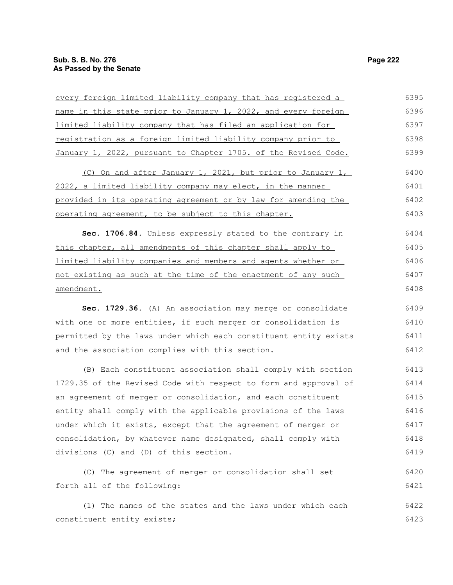| every foreign limited liability company that has registered a    | 6395 |
|------------------------------------------------------------------|------|
| name in this state prior to January 1, 2022, and every foreign   | 6396 |
| limited liability company that has filed an application for      | 6397 |
| registration as a foreign limited liability company prior to     | 6398 |
| January 1, 2022, pursuant to Chapter 1705. of the Revised Code.  | 6399 |
| (C) On and after January 1, 2021, but prior to January 1,        | 6400 |
| 2022, a limited liability company may elect, in the manner       | 6401 |
| provided in its operating agreement or by law for amending the   | 6402 |
| operating agreement, to be subject to this chapter.              | 6403 |
| Sec. 1706.84. Unless expressly stated to the contrary in         | 6404 |
| this chapter, all amendments of this chapter shall apply to      | 6405 |
| limited liability companies and members and agents whether or    | 6406 |
| not existing as such at the time of the enactment of any such    | 6407 |
| amendment.                                                       | 6408 |
| Sec. 1729.36. (A) An association may merge or consolidate        | 6409 |
| with one or more entities, if such merger or consolidation is    | 6410 |
| permitted by the laws under which each constituent entity exists | 6411 |
| and the association complies with this section.                  | 6412 |
| (B) Each constituent association shall comply with section       | 6413 |
| 1729.35 of the Revised Code with respect to form and approval of | 6414 |
| an agreement of merger or consolidation, and each constituent    | 6415 |
| entity shall comply with the applicable provisions of the laws   | 6416 |
| under which it exists, except that the agreement of merger or    | 6417 |
| consolidation, by whatever name designated, shall comply with    | 6418 |
| divisions (C) and (D) of this section.                           | 6419 |
| (C) The agreement of merger or consolidation shall set           | 6420 |
| forth all of the following:                                      | 6421 |
| (1) The names of the states and the laws under which each        | 6422 |
| constituent entity exists;                                       | 6423 |
|                                                                  |      |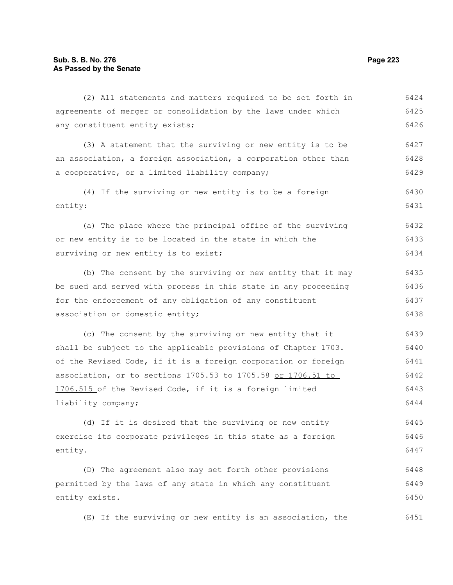6424

| agreements of merger or consolidation by the laws under which   | 6425 |
|-----------------------------------------------------------------|------|
| any constituent entity exists;                                  | 6426 |
| (3) A statement that the surviving or new entity is to be       | 6427 |
| an association, a foreign association, a corporation other than | 6428 |
| a cooperative, or a limited liability company;                  | 6429 |
| (4) If the surviving or new entity is to be a foreign           | 6430 |
| entity:                                                         | 6431 |
| (a) The place where the principal office of the surviving       | 6432 |
| or new entity is to be located in the state in which the        | 6433 |
| surviving or new entity is to exist;                            | 6434 |
|                                                                 |      |
| (b) The consent by the surviving or new entity that it may      | 6435 |
| be sued and served with process in this state in any proceeding | 6436 |
| for the enforcement of any obligation of any constituent        | 6437 |
| association or domestic entity;                                 | 6438 |
| (c) The consent by the surviving or new entity that it          | 6439 |
| shall be subject to the applicable provisions of Chapter 1703.  | 6440 |
| of the Revised Code, if it is a foreign corporation or foreign  | 6441 |
| association, or to sections 1705.53 to 1705.58 or 1706.51 to    | 6442 |
| 1706.515 of the Revised Code, if it is a foreign limited        | 6443 |
| liability company;                                              | 6444 |

(d) If it is desired that the surviving or new entity exercise its corporate privileges in this state as a foreign entity. 6445 6446 6447

(D) The agreement also may set forth other provisions permitted by the laws of any state in which any constituent entity exists. 6448 6449 6450

(E) If the surviving or new entity is an association, the 6451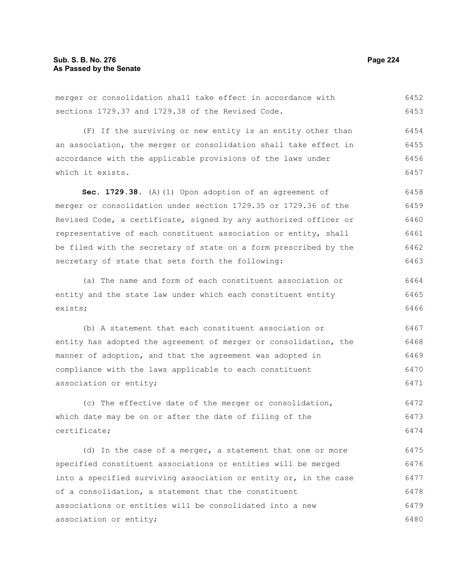merger or consolidation shall take effect in accordance with sections 1729.37 and 1729.38 of the Revised Code. 6452 6453

(F) If the surviving or new entity is an entity other than an association, the merger or consolidation shall take effect in accordance with the applicable provisions of the laws under which it exists. 6454 6455 6456 6457

Sec. 1729.38. (A)(1) Upon adoption of an agreement of merger or consolidation under section 1729.35 or 1729.36 of the Revised Code, a certificate, signed by any authorized officer or representative of each constituent association or entity, shall be filed with the secretary of state on a form prescribed by the secretary of state that sets forth the following: 6458 6459 6460 6461 6462 6463

(a) The name and form of each constituent association or entity and the state law under which each constituent entity exists; 6464 6465 6466

(b) A statement that each constituent association or entity has adopted the agreement of merger or consolidation, the manner of adoption, and that the agreement was adopted in compliance with the laws applicable to each constituent association or entity; 6467 6468 6469 6470 6471

(c) The effective date of the merger or consolidation, which date may be on or after the date of filing of the certificate; 6472 6473 6474

(d) In the case of a merger, a statement that one or more specified constituent associations or entities will be merged into a specified surviving association or entity or, in the case of a consolidation, a statement that the constituent associations or entities will be consolidated into a new association or entity; 6475 6476 6477 6478 6479 6480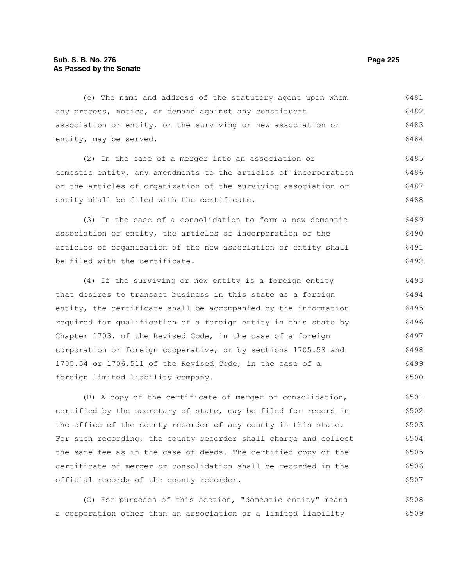# **Sub. S. B. No. 276 Page 225 As Passed by the Senate**

(e) The name and address of the statutory agent upon whom any process, notice, or demand against any constituent association or entity, or the surviving or new association or entity, may be served. (2) In the case of a merger into an association or domestic entity, any amendments to the articles of incorporation or the articles of organization of the surviving association or entity shall be filed with the certificate. (3) In the case of a consolidation to form a new domestic association or entity, the articles of incorporation or the articles of organization of the new association or entity shall be filed with the certificate. (4) If the surviving or new entity is a foreign entity that desires to transact business in this state as a foreign entity, the certificate shall be accompanied by the information required for qualification of a foreign entity in this state by Chapter 1703. of the Revised Code, in the case of a foreign corporation or foreign cooperative, or by sections 1705.53 and 1705.54 or 1706.511 of the Revised Code, in the case of a foreign limited liability company. 6481 6482 6483 6484 6485 6486 6487 6488 6489 6490 6491 6492 6493 6494 6495 6496 6497 6498 6499 6500

(B) A copy of the certificate of merger or consolidation, certified by the secretary of state, may be filed for record in the office of the county recorder of any county in this state. For such recording, the county recorder shall charge and collect the same fee as in the case of deeds. The certified copy of the certificate of merger or consolidation shall be recorded in the official records of the county recorder. 6501 6502 6503 6504 6505 6506 6507

(C) For purposes of this section, "domestic entity" means a corporation other than an association or a limited liability 6508 6509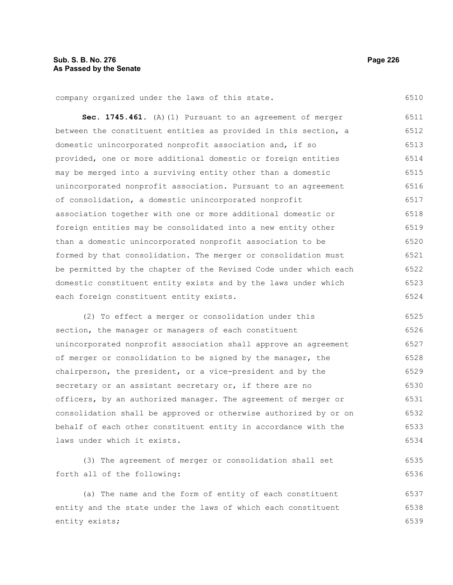company organized under the laws of this state.

Sec. 1745.461. (A)(1) Pursuant to an agreement of merger between the constituent entities as provided in this section, a domestic unincorporated nonprofit association and, if so provided, one or more additional domestic or foreign entities may be merged into a surviving entity other than a domestic unincorporated nonprofit association. Pursuant to an agreement of consolidation, a domestic unincorporated nonprofit association together with one or more additional domestic or foreign entities may be consolidated into a new entity other than a domestic unincorporated nonprofit association to be formed by that consolidation. The merger or consolidation must be permitted by the chapter of the Revised Code under which each domestic constituent entity exists and by the laws under which each foreign constituent entity exists. 6511 6512 6513 6514 6515 6516 6517 6518 6519 6520 6521 6522 6523 6524

(2) To effect a merger or consolidation under this section, the manager or managers of each constituent unincorporated nonprofit association shall approve an agreement of merger or consolidation to be signed by the manager, the chairperson, the president, or a vice-president and by the secretary or an assistant secretary or, if there are no officers, by an authorized manager. The agreement of merger or consolidation shall be approved or otherwise authorized by or on behalf of each other constituent entity in accordance with the laws under which it exists. 6525 6526 6527 6528 6529 6530 6531 6532 6533 6534

(3) The agreement of merger or consolidation shall set forth all of the following: 6535 6536

(a) The name and the form of entity of each constituent entity and the state under the laws of which each constituent entity exists; 6537 6538 6539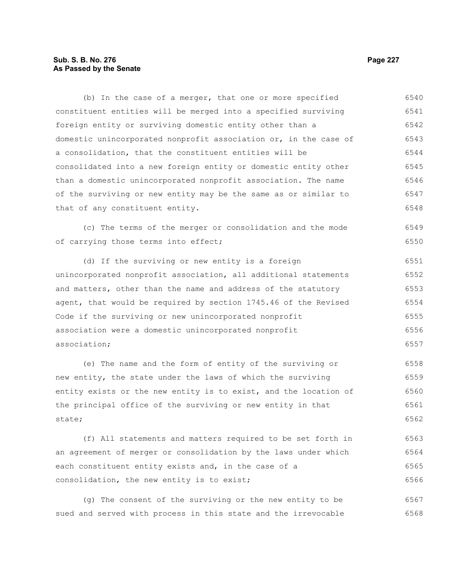# **Sub. S. B. No. 276 Page 227 As Passed by the Senate**

constituent entities will be merged into a specified surviving foreign entity or surviving domestic entity other than a domestic unincorporated nonprofit association or, in the case of a consolidation, that the constituent entities will be consolidated into a new foreign entity or domestic entity other than a domestic unincorporated nonprofit association. The name of the surviving or new entity may be the same as or similar to that of any constituent entity. (c) The terms of the merger or consolidation and the mode of carrying those terms into effect; (d) If the surviving or new entity is a foreign unincorporated nonprofit association, all additional statements and matters, other than the name and address of the statutory agent, that would be required by section 1745.46 of the Revised Code if the surviving or new unincorporated nonprofit association were a domestic unincorporated nonprofit association; (e) The name and the form of entity of the surviving or new entity, the state under the laws of which the surviving entity exists or the new entity is to exist, and the location of the principal office of the surviving or new entity in that state; (f) All statements and matters required to be set forth in 6541 6542 6543 6544 6545 6546 6547 6548 6549 6550 6551 6552 6553 6554 6555 6556 6557 6558 6559 6560 6561 6562 6563

(b) In the case of a merger, that one or more specified

an agreement of merger or consolidation by the laws under which each constituent entity exists and, in the case of a consolidation, the new entity is to exist; 6564 6565 6566

(g) The consent of the surviving or the new entity to be sued and served with process in this state and the irrevocable 6567 6568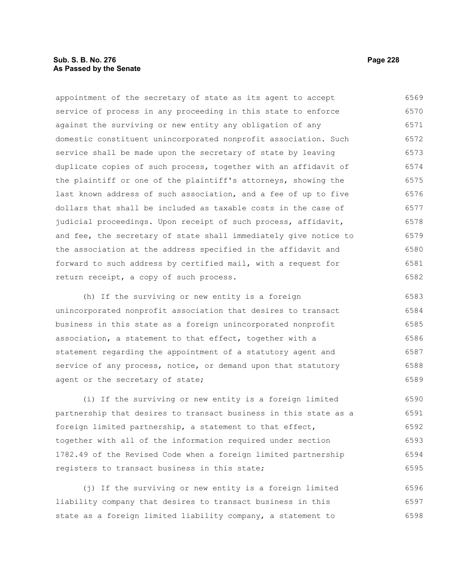# **Sub. S. B. No. 276 Page 228 As Passed by the Senate**

appointment of the secretary of state as its agent to accept service of process in any proceeding in this state to enforce against the surviving or new entity any obligation of any domestic constituent unincorporated nonprofit association. Such service shall be made upon the secretary of state by leaving duplicate copies of such process, together with an affidavit of the plaintiff or one of the plaintiff's attorneys, showing the last known address of such association, and a fee of up to five dollars that shall be included as taxable costs in the case of judicial proceedings. Upon receipt of such process, affidavit, and fee, the secretary of state shall immediately give notice to the association at the address specified in the affidavit and forward to such address by certified mail, with a request for return receipt, a copy of such process. (h) If the surviving or new entity is a foreign unincorporated nonprofit association that desires to transact 6569 6570 6571 6572 6573 6574 6575 6576 6577 6578 6579 6580 6581 6582 6583 6584

business in this state as a foreign unincorporated nonprofit association, a statement to that effect, together with a statement regarding the appointment of a statutory agent and service of any process, notice, or demand upon that statutory agent or the secretary of state; 6585 6586 6587 6588 6589

(i) If the surviving or new entity is a foreign limited partnership that desires to transact business in this state as a foreign limited partnership, a statement to that effect, together with all of the information required under section 1782.49 of the Revised Code when a foreign limited partnership registers to transact business in this state; 6590 6591 6592 6593 6594 6595

(j) If the surviving or new entity is a foreign limited liability company that desires to transact business in this state as a foreign limited liability company, a statement to 6596 6597 6598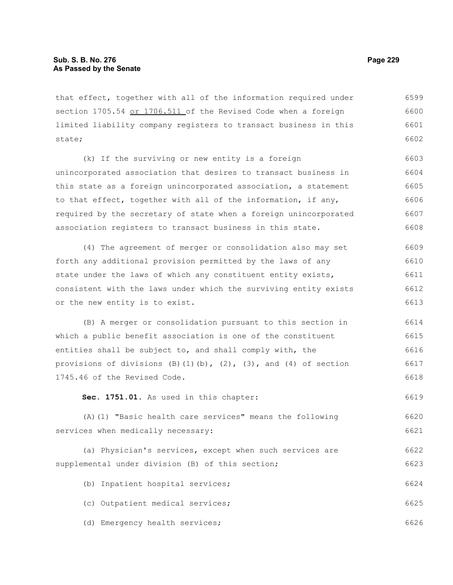that effect, together with all of the information required under section 1705.54 or 1706.511 of the Revised Code when a foreign limited liability company registers to transact business in this state; 6599 6600 6601 6602

(k) If the surviving or new entity is a foreign unincorporated association that desires to transact business in this state as a foreign unincorporated association, a statement to that effect, together with all of the information, if any, required by the secretary of state when a foreign unincorporated association registers to transact business in this state. 6603 6604 6605 6606 6607 6608

(4) The agreement of merger or consolidation also may set forth any additional provision permitted by the laws of any state under the laws of which any constituent entity exists, consistent with the laws under which the surviving entity exists or the new entity is to exist. 6609 6610 6611 6612 6613

(B) A merger or consolidation pursuant to this section in which a public benefit association is one of the constituent entities shall be subject to, and shall comply with, the provisions of divisions  $(B)(1)(b)$ ,  $(2)$ ,  $(3)$ , and  $(4)$  of section 1745.46 of the Revised Code. 6614 6615 6616 6617 6618

**Sec. 1751.01.** As used in this chapter: 6619

(A)(1) "Basic health care services" means the following services when medically necessary: 6620 6621

(a) Physician's services, except when such services are supplemental under division (B) of this section; 6622 6623

(b) Inpatient hospital services; 6624

(c) Outpatient medical services; 6625

(d) Emergency health services; 6626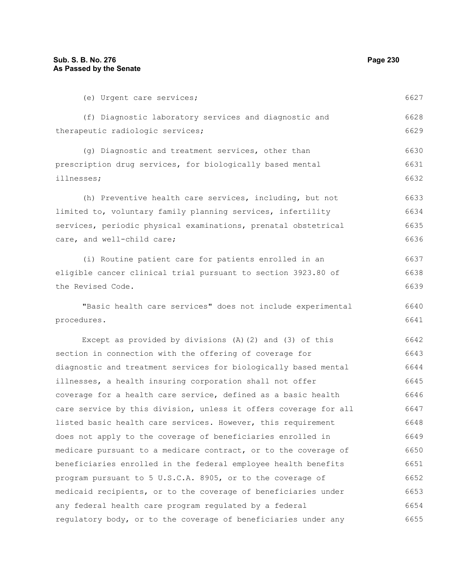| (e) Urgent care services;                                        | 6627 |
|------------------------------------------------------------------|------|
| (f) Diagnostic laboratory services and diagnostic and            | 6628 |
| therapeutic radiologic services;                                 | 6629 |
| (g) Diagnostic and treatment services, other than                | 6630 |
| prescription drug services, for biologically based mental        | 6631 |
| illnesses;                                                       | 6632 |
| (h) Preventive health care services, including, but not          | 6633 |
| limited to, voluntary family planning services, infertility      | 6634 |
| services, periodic physical examinations, prenatal obstetrical   | 6635 |
| care, and well-child care;                                       | 6636 |
| (i) Routine patient care for patients enrolled in an             | 6637 |
| eligible cancer clinical trial pursuant to section 3923.80 of    | 6638 |
| the Revised Code.                                                | 6639 |
| "Basic health care services" does not include experimental       | 6640 |
| procedures.                                                      | 6641 |
| Except as provided by divisions (A) (2) and (3) of this          | 6642 |
| section in connection with the offering of coverage for          | 6643 |
| diagnostic and treatment services for biologically based mental  | 6644 |
| illnesses, a health insuring corporation shall not offer         | 6645 |
| coverage for a health care service, defined as a basic health    | 6646 |
| care service by this division, unless it offers coverage for all | 6647 |
| listed basic health care services. However, this requirement     | 6648 |
| does not apply to the coverage of beneficiaries enrolled in      | 6649 |
| medicare pursuant to a medicare contract, or to the coverage of  | 6650 |
| beneficiaries enrolled in the federal employee health benefits   | 6651 |
| program pursuant to 5 U.S.C.A. 8905, or to the coverage of       | 6652 |
| medicaid recipients, or to the coverage of beneficiaries under   | 6653 |
| any federal health care program regulated by a federal           | 6654 |
| regulatory body, or to the coverage of beneficiaries under any   | 6655 |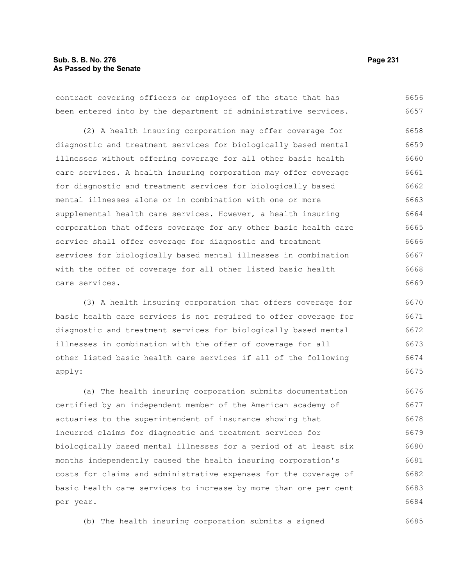contract covering officers or employees of the state that has been entered into by the department of administrative services. 6656 6657

(2) A health insuring corporation may offer coverage for diagnostic and treatment services for biologically based mental illnesses without offering coverage for all other basic health care services. A health insuring corporation may offer coverage for diagnostic and treatment services for biologically based mental illnesses alone or in combination with one or more supplemental health care services. However, a health insuring corporation that offers coverage for any other basic health care service shall offer coverage for diagnostic and treatment services for biologically based mental illnesses in combination with the offer of coverage for all other listed basic health care services. 6658 6659 6660 6661 6662 6663 6664 6665 6666 6667 6668 6669

(3) A health insuring corporation that offers coverage for basic health care services is not required to offer coverage for diagnostic and treatment services for biologically based mental illnesses in combination with the offer of coverage for all other listed basic health care services if all of the following apply: 6670 6671 6672 6673 6674 6675

(a) The health insuring corporation submits documentation certified by an independent member of the American academy of actuaries to the superintendent of insurance showing that incurred claims for diagnostic and treatment services for biologically based mental illnesses for a period of at least six months independently caused the health insuring corporation's costs for claims and administrative expenses for the coverage of basic health care services to increase by more than one per cent per year. 6676 6677 6678 6679 6680 6681 6682 6683 6684

(b) The health insuring corporation submits a signed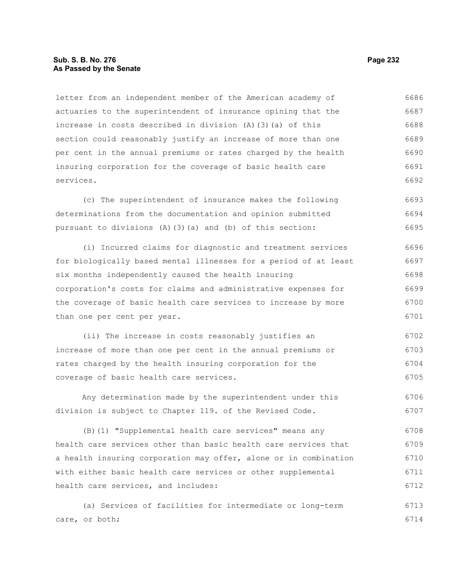# **Sub. S. B. No. 276 Page 232 As Passed by the Senate**

letter from an independent member of the American academy of actuaries to the superintendent of insurance opining that the increase in costs described in division (A)(3)(a) of this section could reasonably justify an increase of more than one per cent in the annual premiums or rates charged by the health insuring corporation for the coverage of basic health care services. 6686 6687 6688 6689 6690 6691 6692

(c) The superintendent of insurance makes the following determinations from the documentation and opinion submitted pursuant to divisions (A)(3)(a) and (b) of this section: 6693 6694 6695

(i) Incurred claims for diagnostic and treatment services for biologically based mental illnesses for a period of at least six months independently caused the health insuring corporation's costs for claims and administrative expenses for the coverage of basic health care services to increase by more than one per cent per year. 6696 6697 6698 6699 6700 6701

(ii) The increase in costs reasonably justifies an increase of more than one per cent in the annual premiums or rates charged by the health insuring corporation for the coverage of basic health care services. 6702 6703 6704 6705

Any determination made by the superintendent under this division is subject to Chapter 119. of the Revised Code. 6706 6707

(B)(1) "Supplemental health care services" means any health care services other than basic health care services that a health insuring corporation may offer, alone or in combination with either basic health care services or other supplemental health care services, and includes: 6708 6709 6710 6711 6712

(a) Services of facilities for intermediate or long-term care, or both; 6713 6714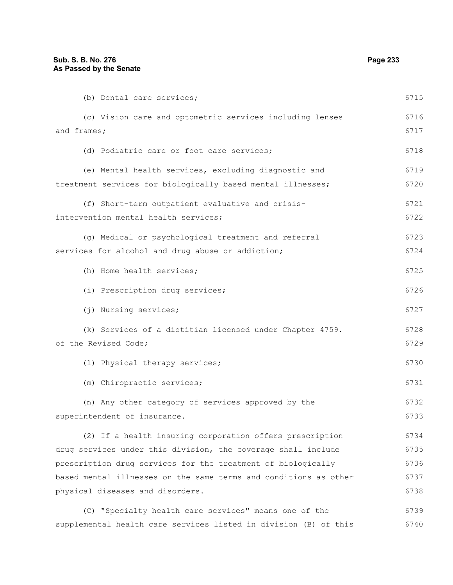| (b) Dental care services;                                        | 6715 |
|------------------------------------------------------------------|------|
| (c) Vision care and optometric services including lenses         | 6716 |
| and frames;                                                      | 6717 |
| (d) Podiatric care or foot care services;                        | 6718 |
| (e) Mental health services, excluding diagnostic and             | 6719 |
| treatment services for biologically based mental illnesses;      | 6720 |
| (f) Short-term outpatient evaluative and crisis-                 | 6721 |
| intervention mental health services;                             | 6722 |
| (g) Medical or psychological treatment and referral              | 6723 |
| services for alcohol and drug abuse or addiction;                | 6724 |
| (h) Home health services;                                        | 6725 |
| (i) Prescription drug services;                                  | 6726 |
| (j) Nursing services;                                            | 6727 |
| (k) Services of a dietitian licensed under Chapter 4759.         | 6728 |
| of the Revised Code;                                             | 6729 |
| (1) Physical therapy services;                                   | 6730 |
| (m) Chiropractic services;                                       | 6731 |
| (n) Any other category of services approved by the               | 6732 |
| superintendent of insurance.                                     | 6733 |
| (2) If a health insuring corporation offers prescription         | 6734 |
| drug services under this division, the coverage shall include    | 6735 |
| prescription drug services for the treatment of biologically     | 6736 |
| based mental illnesses on the same terms and conditions as other | 6737 |
| physical diseases and disorders.                                 | 6738 |
| (C) "Specialty health care services" means one of the            | 6739 |

supplemental health care services listed in division (B) of this 6740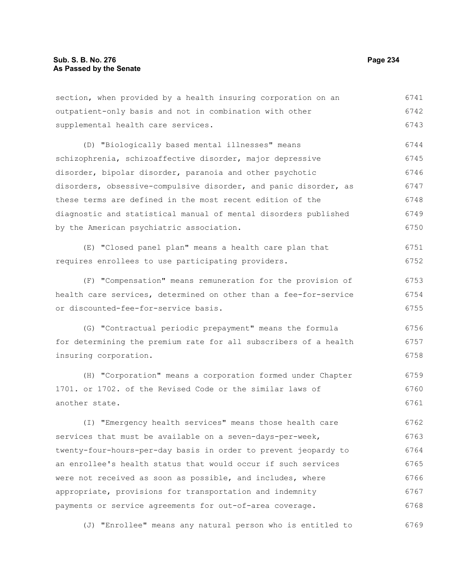section, when provided by a health insuring corporation on an outpatient-only basis and not in combination with other supplemental health care services. (D) "Biologically based mental illnesses" means schizophrenia, schizoaffective disorder, major depressive disorder, bipolar disorder, paranoia and other psychotic disorders, obsessive-compulsive disorder, and panic disorder, as these terms are defined in the most recent edition of the diagnostic and statistical manual of mental disorders published by the American psychiatric association. (E) "Closed panel plan" means a health care plan that requires enrollees to use participating providers. (F) "Compensation" means remuneration for the provision of health care services, determined on other than a fee-for-service or discounted-fee-for-service basis. (G) "Contractual periodic prepayment" means the formula for determining the premium rate for all subscribers of a health insuring corporation. (H) "Corporation" means a corporation formed under Chapter 1701. or 1702. of the Revised Code or the similar laws of another state. (I) "Emergency health services" means those health care services that must be available on a seven-days-per-week, twenty-four-hours-per-day basis in order to prevent jeopardy to 6741 6742 6743 6744 6745 6746 6747 6748 6749 6750 6751 6752 6753 6754 6755 6756 6757 6758 6759 6760 6761 6762 6763 6764

an enrollee's health status that would occur if such services were not received as soon as possible, and includes, where appropriate, provisions for transportation and indemnity payments or service agreements for out-of-area coverage. 6765 6766 6767 6768

(J) "Enrollee" means any natural person who is entitled to 6769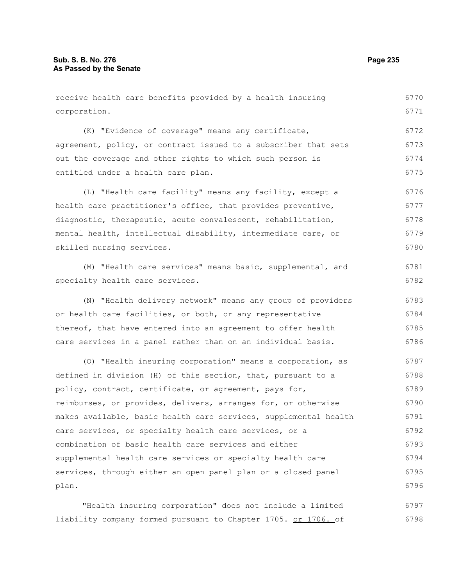| receive health care benefits provided by a health insuring       | 6770 |
|------------------------------------------------------------------|------|
| corporation.                                                     | 6771 |
| (K) "Evidence of coverage" means any certificate,                | 6772 |
| agreement, policy, or contract issued to a subscriber that sets  | 6773 |
| out the coverage and other rights to which such person is        | 6774 |
| entitled under a health care plan.                               | 6775 |
| (L) "Health care facility" means any facility, except a          | 6776 |
| health care practitioner's office, that provides preventive,     | 6777 |
| diagnostic, therapeutic, acute convalescent, rehabilitation,     | 6778 |
| mental health, intellectual disability, intermediate care, or    | 6779 |
| skilled nursing services.                                        | 6780 |
| (M) "Health care services" means basic, supplemental, and        | 6781 |
| specialty health care services.                                  | 6782 |
| (N) "Health delivery network" means any group of providers       | 6783 |
| or health care facilities, or both, or any representative        | 6784 |
| thereof, that have entered into an agreement to offer health     | 6785 |
| care services in a panel rather than on an individual basis.     | 6786 |
| (O) "Health insuring corporation" means a corporation, as        | 6787 |
| defined in division (H) of this section, that, pursuant to a     | 6788 |
| policy, contract, certificate, or agreement, pays for,           | 6789 |
| reimburses, or provides, delivers, arranges for, or otherwise    | 6790 |
| makes available, basic health care services, supplemental health | 6791 |
| care services, or specialty health care services, or a           | 6792 |
| combination of basic health care services and either             | 6793 |
| supplemental health care services or specialty health care       | 6794 |
| services, through either an open panel plan or a closed panel    | 6795 |
| plan.                                                            | 6796 |
|                                                                  |      |

"Health insuring corporation" does not include a limited liability company formed pursuant to Chapter 1705. or 1706. of 6797 6798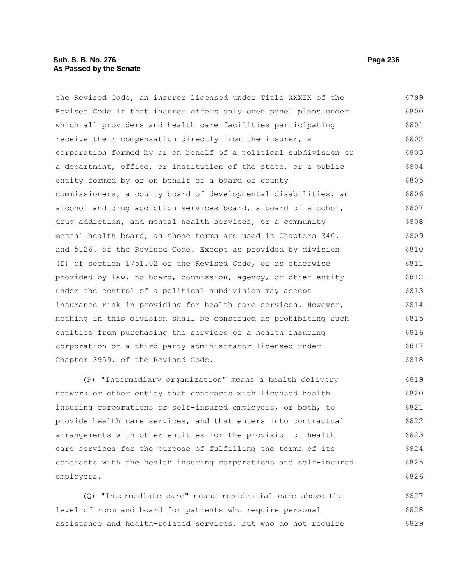### **Sub. S. B. No. 276 Page 236 As Passed by the Senate**

the Revised Code, an insurer licensed under Title XXXIX of the Revised Code if that insurer offers only open panel plans under which all providers and health care facilities participating receive their compensation directly from the insurer, a corporation formed by or on behalf of a political subdivision or a department, office, or institution of the state, or a public entity formed by or on behalf of a board of county commissioners, a county board of developmental disabilities, an alcohol and drug addiction services board, a board of alcohol, drug addiction, and mental health services, or a community mental health board, as those terms are used in Chapters 340. and 5126. of the Revised Code. Except as provided by division (D) of section 1751.02 of the Revised Code, or as otherwise provided by law, no board, commission, agency, or other entity under the control of a political subdivision may accept insurance risk in providing for health care services. However, nothing in this division shall be construed as prohibiting such entities from purchasing the services of a health insuring corporation or a third-party administrator licensed under Chapter 3959. of the Revised Code. 6799 6800 6801 6802 6803 6804 6805 6806 6807 6808 6809 6810 6811 6812 6813 6814 6815 6816 6817 6818

(P) "Intermediary organization" means a health delivery network or other entity that contracts with licensed health insuring corporations or self-insured employers, or both, to provide health care services, and that enters into contractual arrangements with other entities for the provision of health care services for the purpose of fulfilling the terms of its contracts with the health insuring corporations and self-insured employers. 6819 6820 6821 6822 6823 6824 6825 6826

(Q) "Intermediate care" means residential care above the level of room and board for patients who require personal assistance and health-related services, but who do not require 6827 6828 6829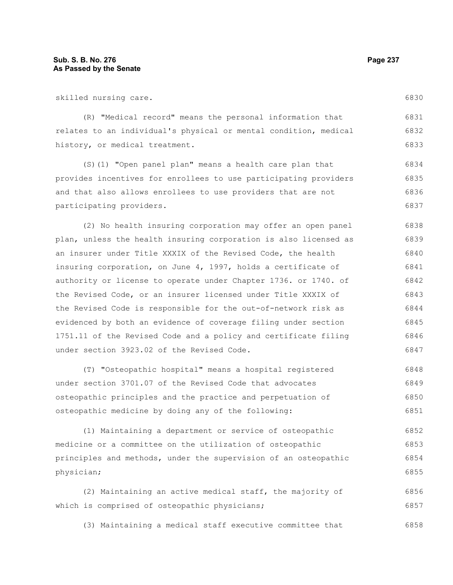skilled nursing care.

(R) "Medical record" means the personal information that relates to an individual's physical or mental condition, medical history, or medical treatment. 6831 6832 6833

(S)(1) "Open panel plan" means a health care plan that provides incentives for enrollees to use participating providers and that also allows enrollees to use providers that are not participating providers. 6834 6835 6836 6837

(2) No health insuring corporation may offer an open panel plan, unless the health insuring corporation is also licensed as an insurer under Title XXXIX of the Revised Code, the health insuring corporation, on June 4, 1997, holds a certificate of authority or license to operate under Chapter 1736. or 1740. of the Revised Code, or an insurer licensed under Title XXXIX of the Revised Code is responsible for the out-of-network risk as evidenced by both an evidence of coverage filing under section 1751.11 of the Revised Code and a policy and certificate filing under section 3923.02 of the Revised Code. 6838 6839 6840 6841 6842 6843 6844 6845 6846 6847

(T) "Osteopathic hospital" means a hospital registered under section 3701.07 of the Revised Code that advocates osteopathic principles and the practice and perpetuation of osteopathic medicine by doing any of the following: 6848 6849 6850 6851

(1) Maintaining a department or service of osteopathic medicine or a committee on the utilization of osteopathic principles and methods, under the supervision of an osteopathic physician; 6852 6853 6854 6855

(2) Maintaining an active medical staff, the majority of which is comprised of osteopathic physicians; 6856 6857

(3) Maintaining a medical staff executive committee that 6858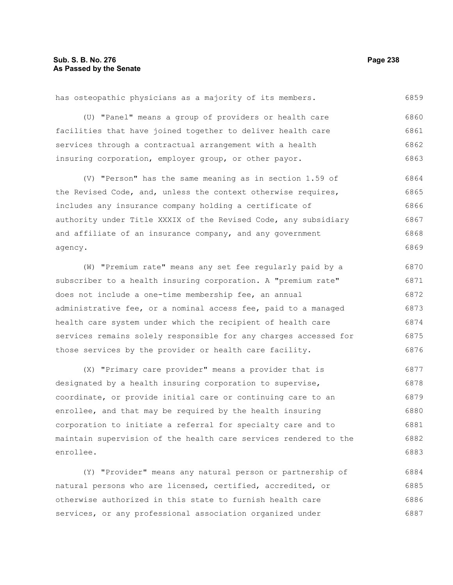has osteopathic physicians as a majority of its members. 6859

(U) "Panel" means a group of providers or health care facilities that have joined together to deliver health care services through a contractual arrangement with a health insuring corporation, employer group, or other payor. 6860 6861 6862 6863

(V) "Person" has the same meaning as in section 1.59 of the Revised Code, and, unless the context otherwise requires, includes any insurance company holding a certificate of authority under Title XXXIX of the Revised Code, any subsidiary and affiliate of an insurance company, and any government agency. 6864 6865 6866 6867 6868 6869

(W) "Premium rate" means any set fee regularly paid by a subscriber to a health insuring corporation. A "premium rate" does not include a one-time membership fee, an annual administrative fee, or a nominal access fee, paid to a managed health care system under which the recipient of health care services remains solely responsible for any charges accessed for those services by the provider or health care facility. 6870 6871 6872 6873 6874 6875 6876

(X) "Primary care provider" means a provider that is designated by a health insuring corporation to supervise, coordinate, or provide initial care or continuing care to an enrollee, and that may be required by the health insuring corporation to initiate a referral for specialty care and to maintain supervision of the health care services rendered to the enrollee. 6877 6878 6879 6880 6881 6882 6883

(Y) "Provider" means any natural person or partnership of natural persons who are licensed, certified, accredited, or otherwise authorized in this state to furnish health care services, or any professional association organized under 6884 6885 6886 6887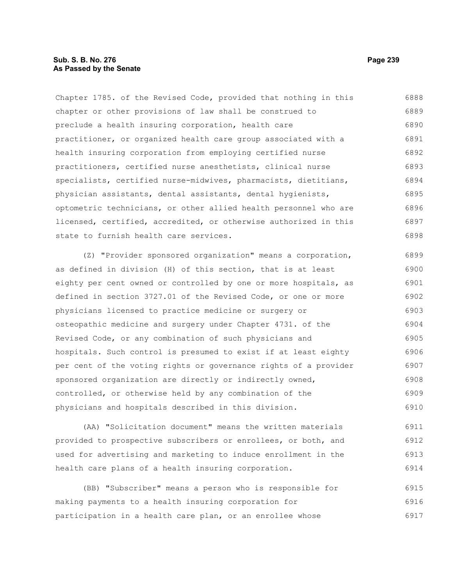# **Sub. S. B. No. 276 Page 239 As Passed by the Senate**

Chapter 1785. of the Revised Code, provided that nothing in this chapter or other provisions of law shall be construed to preclude a health insuring corporation, health care practitioner, or organized health care group associated with a health insuring corporation from employing certified nurse practitioners, certified nurse anesthetists, clinical nurse specialists, certified nurse-midwives, pharmacists, dietitians, physician assistants, dental assistants, dental hygienists, optometric technicians, or other allied health personnel who are licensed, certified, accredited, or otherwise authorized in this state to furnish health care services. 6888 6889 6890 6891 6892 6893 6894 6895 6896 6897 6898

(Z) "Provider sponsored organization" means a corporation, as defined in division (H) of this section, that is at least eighty per cent owned or controlled by one or more hospitals, as defined in section 3727.01 of the Revised Code, or one or more physicians licensed to practice medicine or surgery or osteopathic medicine and surgery under Chapter 4731. of the Revised Code, or any combination of such physicians and hospitals. Such control is presumed to exist if at least eighty per cent of the voting rights or governance rights of a provider sponsored organization are directly or indirectly owned, controlled, or otherwise held by any combination of the physicians and hospitals described in this division. 6899 6900 6901 6902 6903 6904 6905 6906 6907 6908 6909 6910

(AA) "Solicitation document" means the written materials provided to prospective subscribers or enrollees, or both, and used for advertising and marketing to induce enrollment in the health care plans of a health insuring corporation. 6911 6912 6913 6914

(BB) "Subscriber" means a person who is responsible for making payments to a health insuring corporation for participation in a health care plan, or an enrollee whose 6915 6916 6917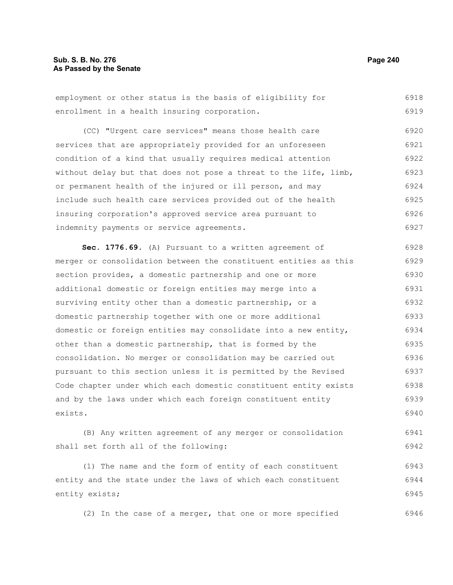# **Sub. S. B. No. 276 Page 240 As Passed by the Senate**

employment or other status is the basis of eligibility for enrollment in a health insuring corporation. 6918 6919

(CC) "Urgent care services" means those health care services that are appropriately provided for an unforeseen condition of a kind that usually requires medical attention without delay but that does not pose a threat to the life, limb, or permanent health of the injured or ill person, and may include such health care services provided out of the health insuring corporation's approved service area pursuant to indemnity payments or service agreements. 6920 6921 6922 6923 6924 6925 6926 6927

**Sec. 1776.69.** (A) Pursuant to a written agreement of merger or consolidation between the constituent entities as this section provides, a domestic partnership and one or more additional domestic or foreign entities may merge into a surviving entity other than a domestic partnership, or a domestic partnership together with one or more additional domestic or foreign entities may consolidate into a new entity, other than a domestic partnership, that is formed by the consolidation. No merger or consolidation may be carried out pursuant to this section unless it is permitted by the Revised Code chapter under which each domestic constituent entity exists and by the laws under which each foreign constituent entity exists. 6928 6929 6930 6931 6932 6933 6934 6935 6936 6937 6938 6939 6940

(B) Any written agreement of any merger or consolidation shall set forth all of the following: 6941 6942

(1) The name and the form of entity of each constituent entity and the state under the laws of which each constituent entity exists; 6943 6944 6945

(2) In the case of a merger, that one or more specified 6946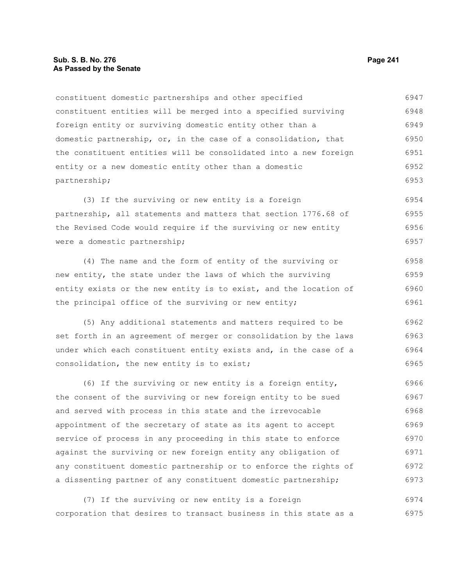### **Sub. S. B. No. 276 Page 241 As Passed by the Senate**

constituent domestic partnerships and other specified constituent entities will be merged into a specified surviving foreign entity or surviving domestic entity other than a domestic partnership, or, in the case of a consolidation, that the constituent entities will be consolidated into a new foreign entity or a new domestic entity other than a domestic partnership; 6947 6948 6949 6950 6951 6952 6953

(3) If the surviving or new entity is a foreign partnership, all statements and matters that section 1776.68 of the Revised Code would require if the surviving or new entity were a domestic partnership; 6954 6955 6956 6957

(4) The name and the form of entity of the surviving or new entity, the state under the laws of which the surviving entity exists or the new entity is to exist, and the location of the principal office of the surviving or new entity; 6958 6959 6960 6961

(5) Any additional statements and matters required to be set forth in an agreement of merger or consolidation by the laws under which each constituent entity exists and, in the case of a consolidation, the new entity is to exist; 6962 6963 6964 6965

(6) If the surviving or new entity is a foreign entity, the consent of the surviving or new foreign entity to be sued and served with process in this state and the irrevocable appointment of the secretary of state as its agent to accept service of process in any proceeding in this state to enforce against the surviving or new foreign entity any obligation of any constituent domestic partnership or to enforce the rights of a dissenting partner of any constituent domestic partnership; 6966 6967 6968 6969 6970 6971 6972 6973

(7) If the surviving or new entity is a foreign corporation that desires to transact business in this state as a 6974 6975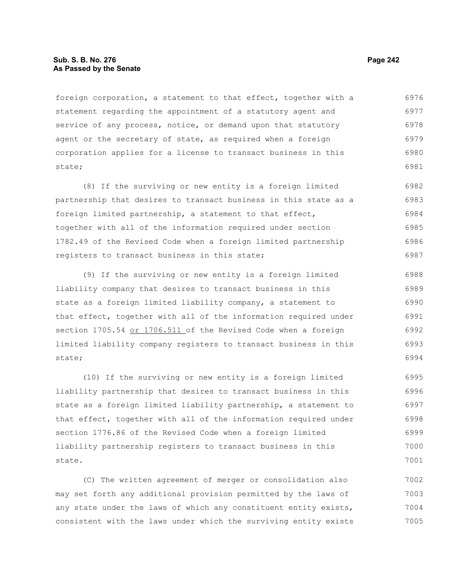# **Sub. S. B. No. 276 Page 242 As Passed by the Senate**

foreign corporation, a statement to that effect, together with a statement regarding the appointment of a statutory agent and service of any process, notice, or demand upon that statutory agent or the secretary of state, as required when a foreign corporation applies for a license to transact business in this state; 6976 6977 6978 6979 6980 6981

(8) If the surviving or new entity is a foreign limited partnership that desires to transact business in this state as a foreign limited partnership, a statement to that effect, together with all of the information required under section 1782.49 of the Revised Code when a foreign limited partnership registers to transact business in this state; 6982 6983 6984 6985 6986 6987

(9) If the surviving or new entity is a foreign limited liability company that desires to transact business in this state as a foreign limited liability company, a statement to that effect, together with all of the information required under section 1705.54 or 1706.511 of the Revised Code when a foreign limited liability company registers to transact business in this state; 6988 6989 6990 6991 6992 6993 6994

(10) If the surviving or new entity is a foreign limited liability partnership that desires to transact business in this state as a foreign limited liability partnership, a statement to that effect, together with all of the information required under section 1776.86 of the Revised Code when a foreign limited liability partnership registers to transact business in this state. 6995 6996 6997 6998 6999 7000 7001

(C) The written agreement of merger or consolidation also may set forth any additional provision permitted by the laws of any state under the laws of which any constituent entity exists, consistent with the laws under which the surviving entity exists 7002 7003 7004 7005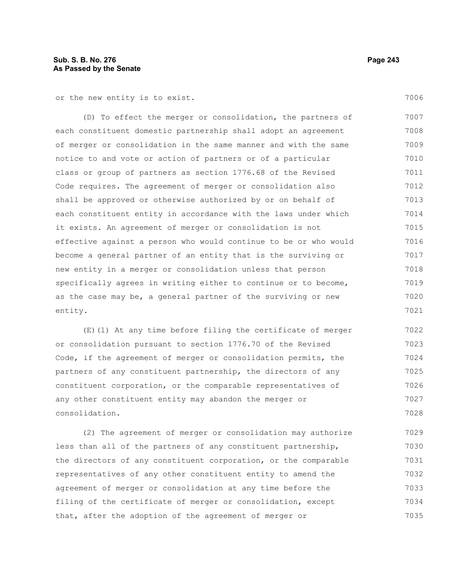or the new entity is to exist.

(D) To effect the merger or consolidation, the partners of each constituent domestic partnership shall adopt an agreement of merger or consolidation in the same manner and with the same notice to and vote or action of partners or of a particular class or group of partners as section 1776.68 of the Revised Code requires. The agreement of merger or consolidation also shall be approved or otherwise authorized by or on behalf of each constituent entity in accordance with the laws under which it exists. An agreement of merger or consolidation is not effective against a person who would continue to be or who would become a general partner of an entity that is the surviving or new entity in a merger or consolidation unless that person specifically agrees in writing either to continue or to become, as the case may be, a general partner of the surviving or new entity. 7007 7008 7009 7010 7011 7012 7013 7014 7015 7016 7017 7018 7019 7020 7021

(E)(1) At any time before filing the certificate of merger or consolidation pursuant to section 1776.70 of the Revised Code, if the agreement of merger or consolidation permits, the partners of any constituent partnership, the directors of any constituent corporation, or the comparable representatives of any other constituent entity may abandon the merger or consolidation. 7022 7023 7024 7025 7026 7027 7028

(2) The agreement of merger or consolidation may authorize less than all of the partners of any constituent partnership, the directors of any constituent corporation, or the comparable representatives of any other constituent entity to amend the agreement of merger or consolidation at any time before the filing of the certificate of merger or consolidation, except that, after the adoption of the agreement of merger or 7029 7030 7031 7032 7033 7034 7035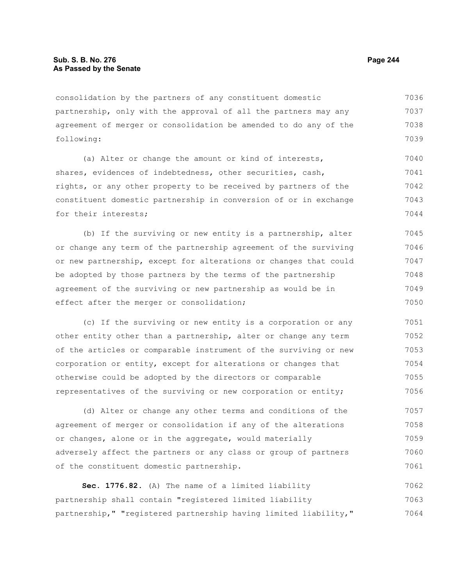consolidation by the partners of any constituent domestic partnership, only with the approval of all the partners may any agreement of merger or consolidation be amended to do any of the following: 7036 7037 7038 7039

(a) Alter or change the amount or kind of interests, shares, evidences of indebtedness, other securities, cash, rights, or any other property to be received by partners of the constituent domestic partnership in conversion of or in exchange for their interests; 7040 7041 7042 7043 7044

(b) If the surviving or new entity is a partnership, alter or change any term of the partnership agreement of the surviving or new partnership, except for alterations or changes that could be adopted by those partners by the terms of the partnership agreement of the surviving or new partnership as would be in effect after the merger or consolidation; 7045 7046 7047 7048 7049 7050

(c) If the surviving or new entity is a corporation or any other entity other than a partnership, alter or change any term of the articles or comparable instrument of the surviving or new corporation or entity, except for alterations or changes that otherwise could be adopted by the directors or comparable representatives of the surviving or new corporation or entity; 7051 7052 7053 7054 7055 7056

(d) Alter or change any other terms and conditions of the agreement of merger or consolidation if any of the alterations or changes, alone or in the aggregate, would materially adversely affect the partners or any class or group of partners of the constituent domestic partnership. 7057 7058 7059 7060 7061

**Sec. 1776.82.** (A) The name of a limited liability partnership shall contain "registered limited liability partnership," "registered partnership having limited liability," 7062 7063 7064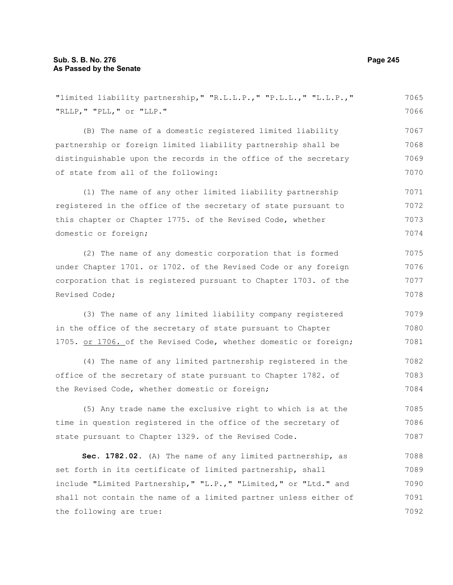| "limited liability partnership," "R.L.L.P.," "P.L.L.," "L.L.P.," | 7065 |
|------------------------------------------------------------------|------|
| "RLLP, " "PLL, " or "LLP."                                       | 7066 |
| (B) The name of a domestic registered limited liability          | 7067 |
| partnership or foreign limited liability partnership shall be    | 7068 |
| distinguishable upon the records in the office of the secretary  | 7069 |
| of state from all of the following:                              | 7070 |
| (1) The name of any other limited liability partnership          | 7071 |
| registered in the office of the secretary of state pursuant to   | 7072 |
| this chapter or Chapter 1775. of the Revised Code, whether       | 7073 |
| domestic or foreign;                                             | 7074 |
| (2) The name of any domestic corporation that is formed          | 7075 |
| under Chapter 1701. or 1702. of the Revised Code or any foreign  | 7076 |
| corporation that is registered pursuant to Chapter 1703. of the  | 7077 |
| Revised Code;                                                    | 7078 |
| (3) The name of any limited liability company registered         | 7079 |
| in the office of the secretary of state pursuant to Chapter      | 7080 |
| 1705. or 1706. of the Revised Code, whether domestic or foreign; | 7081 |
| (4) The name of any limited partnership registered in the        | 7082 |
| office of the secretary of state pursuant to Chapter 1782. of    | 7083 |
| the Revised Code, whether domestic or foreign;                   | 7084 |
| (5) Any trade name the exclusive right to which is at the        | 7085 |
| time in question registered in the office of the secretary of    | 7086 |
| state pursuant to Chapter 1329. of the Revised Code.             | 7087 |
| Sec. 1782.02. (A) The name of any limited partnership, as        | 7088 |
| set forth in its certificate of limited partnership, shall       | 7089 |
| include "Limited Partnership," "L.P.," "Limited," or "Ltd." and  | 7090 |
| shall not contain the name of a limited partner unless either of | 7091 |
| the following are true:                                          | 7092 |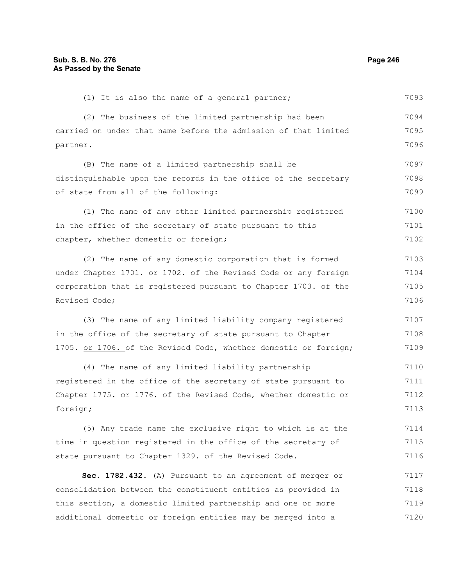| (1) It is also the name of a general partner;                    | 7093 |
|------------------------------------------------------------------|------|
| (2) The business of the limited partnership had been             | 7094 |
| carried on under that name before the admission of that limited  | 7095 |
| partner.                                                         | 7096 |
| (B) The name of a limited partnership shall be                   | 7097 |
| distinguishable upon the records in the office of the secretary  | 7098 |
| of state from all of the following:                              | 7099 |
| (1) The name of any other limited partnership registered         | 7100 |
| in the office of the secretary of state pursuant to this         | 7101 |
| chapter, whether domestic or foreign;                            | 7102 |
| (2) The name of any domestic corporation that is formed          | 7103 |
| under Chapter 1701. or 1702. of the Revised Code or any foreign  | 7104 |
| corporation that is registered pursuant to Chapter 1703. of the  | 7105 |
| Revised Code;                                                    | 7106 |
| (3) The name of any limited liability company registered         | 7107 |
| in the office of the secretary of state pursuant to Chapter      | 7108 |
| 1705. or 1706. of the Revised Code, whether domestic or foreign; | 7109 |
| (4) The name of any limited liability partnership                | 7110 |
| registered in the office of the secretary of state pursuant to   | 7111 |
| Chapter 1775. or 1776. of the Revised Code, whether domestic or  | 7112 |
| foreign;                                                         | 7113 |
| (5) Any trade name the exclusive right to which is at the        | 7114 |
| time in question registered in the office of the secretary of    | 7115 |
| state pursuant to Chapter 1329. of the Revised Code.             | 7116 |
| Sec. 1782.432. (A) Pursuant to an agreement of merger or         | 7117 |
| consolidation between the constituent entities as provided in    | 7118 |
| this section, a domestic limited partnership and one or more     | 7119 |
| additional domestic or foreign entities may be merged into a     | 7120 |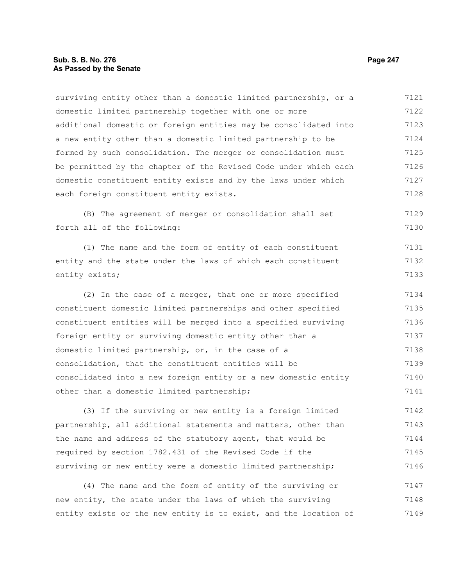surviving entity other than a domestic limited partnership, or a domestic limited partnership together with one or more additional domestic or foreign entities may be consolidated into a new entity other than a domestic limited partnership to be formed by such consolidation. The merger or consolidation must be permitted by the chapter of the Revised Code under which each domestic constituent entity exists and by the laws under which each foreign constituent entity exists. (B) The agreement of merger or consolidation shall set forth all of the following: (1) The name and the form of entity of each constituent entity and the state under the laws of which each constituent entity exists; (2) In the case of a merger, that one or more specified constituent domestic limited partnerships and other specified constituent entities will be merged into a specified surviving foreign entity or surviving domestic entity other than a domestic limited partnership, or, in the case of a consolidation, that the constituent entities will be consolidated into a new foreign entity or a new domestic entity other than a domestic limited partnership; 7121 7122 7123 7124 7125 7126 7127 7128 7129 7130 7131 7132 7133 7134 7135 7136 7137 7138 7139 7140 7141

(3) If the surviving or new entity is a foreign limited partnership, all additional statements and matters, other than the name and address of the statutory agent, that would be required by section 1782.431 of the Revised Code if the surviving or new entity were a domestic limited partnership; 7142 7143 7144 7145 7146

(4) The name and the form of entity of the surviving or new entity, the state under the laws of which the surviving entity exists or the new entity is to exist, and the location of 7147 7148 7149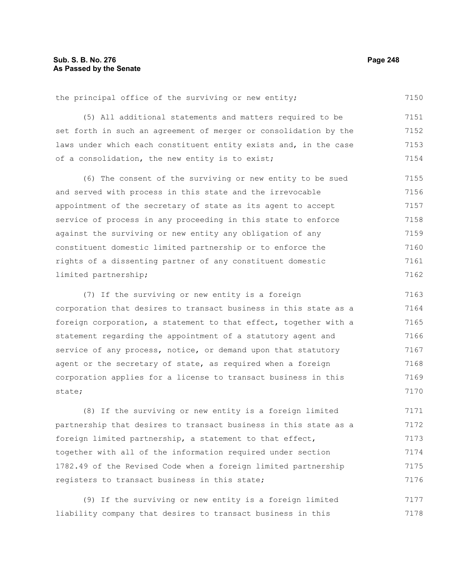the principal office of the surviving or new entity; 7150

(5) All additional statements and matters required to be set forth in such an agreement of merger or consolidation by the laws under which each constituent entity exists and, in the case of a consolidation, the new entity is to exist; 7151 7152 7153 7154

(6) The consent of the surviving or new entity to be sued and served with process in this state and the irrevocable appointment of the secretary of state as its agent to accept service of process in any proceeding in this state to enforce against the surviving or new entity any obligation of any constituent domestic limited partnership or to enforce the rights of a dissenting partner of any constituent domestic limited partnership; 7155 7156 7157 7158 7159 7160 7161 7162

(7) If the surviving or new entity is a foreign corporation that desires to transact business in this state as a foreign corporation, a statement to that effect, together with a statement regarding the appointment of a statutory agent and service of any process, notice, or demand upon that statutory agent or the secretary of state, as required when a foreign corporation applies for a license to transact business in this state; 7163 7164 7165 7166 7167 7168 7169 7170

(8) If the surviving or new entity is a foreign limited partnership that desires to transact business in this state as a foreign limited partnership, a statement to that effect, together with all of the information required under section 1782.49 of the Revised Code when a foreign limited partnership registers to transact business in this state; 7171 7172 7173 7174 7175 7176

(9) If the surviving or new entity is a foreign limited liability company that desires to transact business in this 7177 7178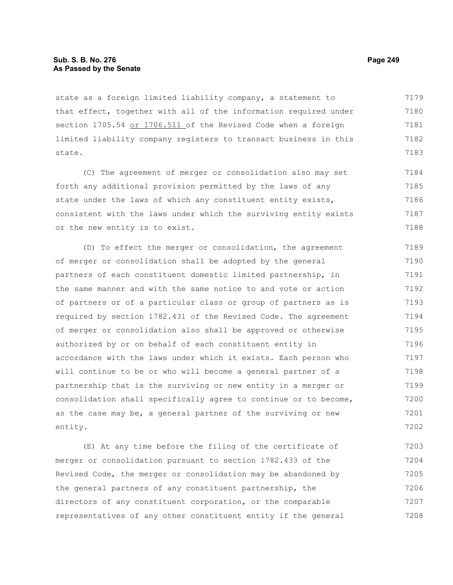# **Sub. S. B. No. 276 Page 249 As Passed by the Senate**

state as a foreign limited liability company, a statement to that effect, together with all of the information required under section 1705.54 or 1706.511 of the Revised Code when a foreign limited liability company registers to transact business in this state. 7179 7180 7181 7182 7183

(C) The agreement of merger or consolidation also may set forth any additional provision permitted by the laws of any state under the laws of which any constituent entity exists, consistent with the laws under which the surviving entity exists or the new entity is to exist. 7184 7185 7186 7187 7188

(D) To effect the merger or consolidation, the agreement of merger or consolidation shall be adopted by the general partners of each constituent domestic limited partnership, in the same manner and with the same notice to and vote or action of partners or of a particular class or group of partners as is required by section 1782.431 of the Revised Code. The agreement of merger or consolidation also shall be approved or otherwise authorized by or on behalf of each constituent entity in accordance with the laws under which it exists. Each person who will continue to be or who will become a general partner of a partnership that is the surviving or new entity in a merger or consolidation shall specifically agree to continue or to become, as the case may be, a general partner of the surviving or new entity. 7189 7190 7191 7192 7193 7194 7195 7196 7197 7198 7199 7200 7201 7202

(E) At any time before the filing of the certificate of merger or consolidation pursuant to section 1782.433 of the Revised Code, the merger or consolidation may be abandoned by the general partners of any constituent partnership, the directors of any constituent corporation, or the comparable representatives of any other constituent entity if the general 7203 7204 7205 7206 7207 7208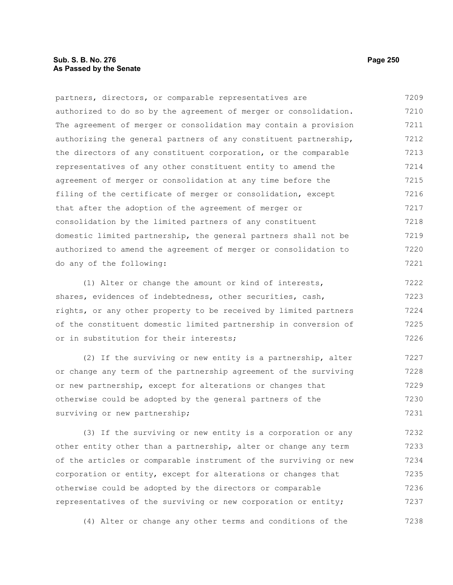# **Sub. S. B. No. 276 Page 250 As Passed by the Senate**

partners, directors, or comparable representatives are authorized to do so by the agreement of merger or consolidation. The agreement of merger or consolidation may contain a provision authorizing the general partners of any constituent partnership, the directors of any constituent corporation, or the comparable representatives of any other constituent entity to amend the agreement of merger or consolidation at any time before the filing of the certificate of merger or consolidation, except that after the adoption of the agreement of merger or consolidation by the limited partners of any constituent domestic limited partnership, the general partners shall not be authorized to amend the agreement of merger or consolidation to do any of the following: 7209 7210 7211 7212 7213 7214 7215 7216 7217 7218 7219 7220 7221

(1) Alter or change the amount or kind of interests, shares, evidences of indebtedness, other securities, cash, rights, or any other property to be received by limited partners of the constituent domestic limited partnership in conversion of or in substitution for their interests; 7222 7223 7224 7225 7226

(2) If the surviving or new entity is a partnership, alter or change any term of the partnership agreement of the surviving or new partnership, except for alterations or changes that otherwise could be adopted by the general partners of the surviving or new partnership; 7227 7228 7229 7230 7231

(3) If the surviving or new entity is a corporation or any other entity other than a partnership, alter or change any term of the articles or comparable instrument of the surviving or new corporation or entity, except for alterations or changes that otherwise could be adopted by the directors or comparable representatives of the surviving or new corporation or entity; 7232 7233 7234 7235 7236 7237

(4) Alter or change any other terms and conditions of the 7238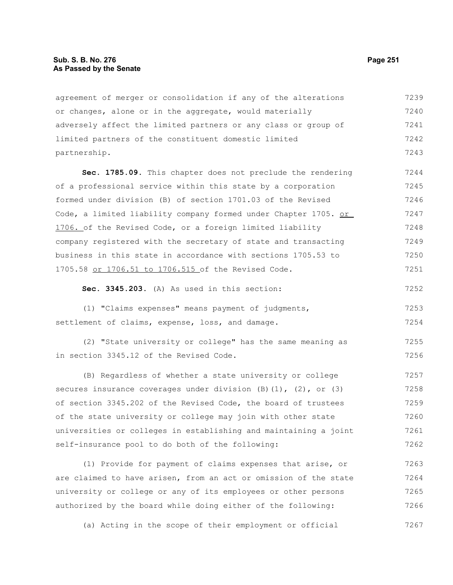### **Sub. S. B. No. 276 Page 251 As Passed by the Senate**

agreement of merger or consolidation if any of the alterations or changes, alone or in the aggregate, would materially adversely affect the limited partners or any class or group of limited partners of the constituent domestic limited partnership. 7239 7240 7241 7242 7243

**Sec. 1785.09.** This chapter does not preclude the rendering of a professional service within this state by a corporation formed under division (B) of section 1701.03 of the Revised Code, a limited liability company formed under Chapter 1705. or 1706. of the Revised Code, or a foreign limited liability company registered with the secretary of state and transacting business in this state in accordance with sections 1705.53 to 1705.58 or 1706.51 to 1706.515 of the Revised Code. 7244 7245 7246 7247 7248 7249 7250 7251

# **Sec. 3345.203.** (A) As used in this section:

(1) "Claims expenses" means payment of judgments, settlement of claims, expense, loss, and damage. 7253 7254

(2) "State university or college" has the same meaning as in section 3345.12 of the Revised Code. 7255 7256

(B) Regardless of whether a state university or college secures insurance coverages under division  $(B)$   $(1)$ ,  $(2)$ , or  $(3)$ of section 3345.202 of the Revised Code, the board of trustees of the state university or college may join with other state universities or colleges in establishing and maintaining a joint self-insurance pool to do both of the following: 7257 7258 7259 7260 7261 7262

(1) Provide for payment of claims expenses that arise, or are claimed to have arisen, from an act or omission of the state university or college or any of its employees or other persons authorized by the board while doing either of the following: 7263 7264 7265 7266

(a) Acting in the scope of their employment or official 7267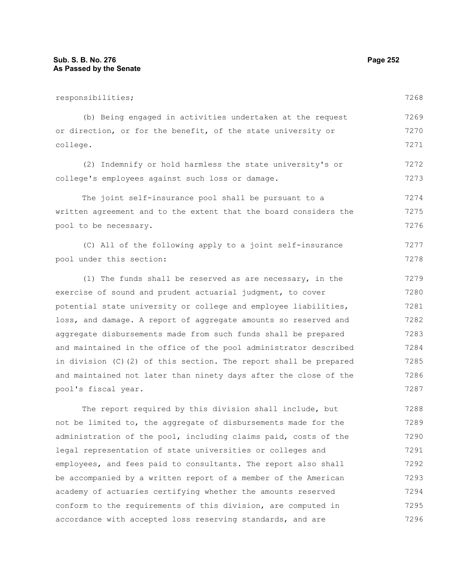pool's fiscal year.

responsibilities; (b) Being engaged in activities undertaken at the request or direction, or for the benefit, of the state university or college. (2) Indemnify or hold harmless the state university's or college's employees against such loss or damage. The joint self-insurance pool shall be pursuant to a written agreement and to the extent that the board considers the pool to be necessary. (C) All of the following apply to a joint self-insurance pool under this section: (1) The funds shall be reserved as are necessary, in the exercise of sound and prudent actuarial judgment, to cover potential state university or college and employee liabilities, loss, and damage. A report of aggregate amounts so reserved and aggregate disbursements made from such funds shall be prepared and maintained in the office of the pool administrator described in division (C)(2) of this section. The report shall be prepared and maintained not later than ninety days after the close of the 7268 7269 7270 7271 7272 7273 7274 7275 7276 7277 7278 7279 7280 7281 7282 7283 7284 7285 7286

The report required by this division shall include, but not be limited to, the aggregate of disbursements made for the administration of the pool, including claims paid, costs of the legal representation of state universities or colleges and employees, and fees paid to consultants. The report also shall be accompanied by a written report of a member of the American academy of actuaries certifying whether the amounts reserved conform to the requirements of this division, are computed in accordance with accepted loss reserving standards, and are 7288 7289 7290 7291 7292 7293 7294 7295 7296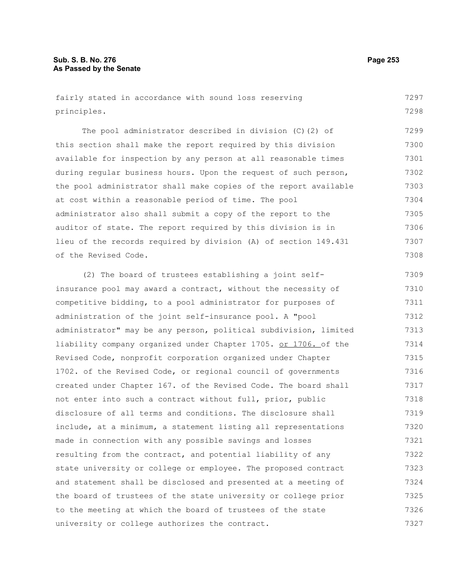fairly stated in accordance with sound loss reserving principles. 7297 7298

The pool administrator described in division (C)(2) of this section shall make the report required by this division available for inspection by any person at all reasonable times during regular business hours. Upon the request of such person, the pool administrator shall make copies of the report available at cost within a reasonable period of time. The pool administrator also shall submit a copy of the report to the auditor of state. The report required by this division is in lieu of the records required by division (A) of section 149.431 of the Revised Code. 7299 7300 7301 7302 7303 7304 7305 7306 7307 7308

(2) The board of trustees establishing a joint selfinsurance pool may award a contract, without the necessity of competitive bidding, to a pool administrator for purposes of administration of the joint self-insurance pool. A "pool administrator" may be any person, political subdivision, limited liability company organized under Chapter 1705. or 1706. of the Revised Code, nonprofit corporation organized under Chapter 1702. of the Revised Code, or regional council of governments created under Chapter 167. of the Revised Code. The board shall not enter into such a contract without full, prior, public disclosure of all terms and conditions. The disclosure shall include, at a minimum, a statement listing all representations made in connection with any possible savings and losses resulting from the contract, and potential liability of any state university or college or employee. The proposed contract and statement shall be disclosed and presented at a meeting of the board of trustees of the state university or college prior to the meeting at which the board of trustees of the state university or college authorizes the contract. 7309 7310 7311 7312 7313 7314 7315 7316 7317 7318 7319 7320 7321 7322 7323 7324 7325 7326 7327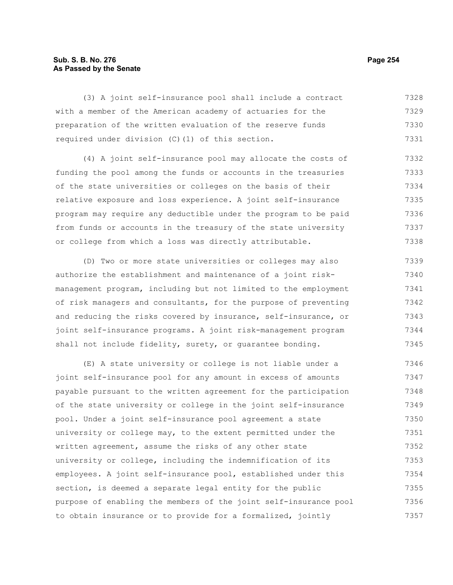# **Sub. S. B. No. 276 Page 254 As Passed by the Senate**

(3) A joint self-insurance pool shall include a contract with a member of the American academy of actuaries for the preparation of the written evaluation of the reserve funds required under division (C)(1) of this section. 7328 7329 7330 7331

(4) A joint self-insurance pool may allocate the costs of funding the pool among the funds or accounts in the treasuries of the state universities or colleges on the basis of their relative exposure and loss experience. A joint self-insurance program may require any deductible under the program to be paid from funds or accounts in the treasury of the state university or college from which a loss was directly attributable. 7332 7333 7334 7335 7336 7337 7338

(D) Two or more state universities or colleges may also authorize the establishment and maintenance of a joint riskmanagement program, including but not limited to the employment of risk managers and consultants, for the purpose of preventing and reducing the risks covered by insurance, self-insurance, or joint self-insurance programs. A joint risk-management program shall not include fidelity, surety, or guarantee bonding. 7339 7340 7341 7342 7343 7344 7345

(E) A state university or college is not liable under a joint self-insurance pool for any amount in excess of amounts payable pursuant to the written agreement for the participation of the state university or college in the joint self-insurance pool. Under a joint self-insurance pool agreement a state university or college may, to the extent permitted under the written agreement, assume the risks of any other state university or college, including the indemnification of its employees. A joint self-insurance pool, established under this section, is deemed a separate legal entity for the public purpose of enabling the members of the joint self-insurance pool to obtain insurance or to provide for a formalized, jointly 7346 7347 7348 7349 7350 7351 7352 7353 7354 7355 7356 7357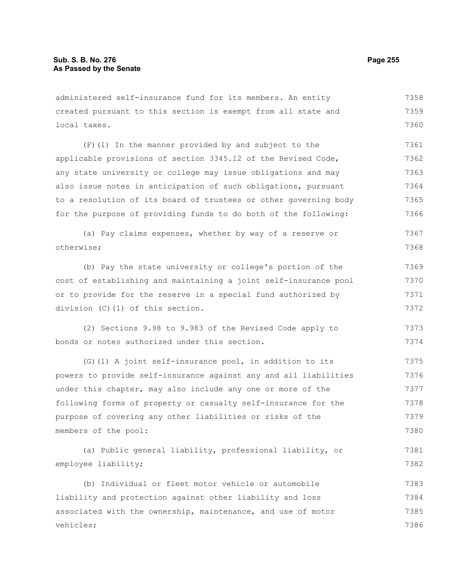administered self-insurance fund for its members. An entity created pursuant to this section is exempt from all state and local taxes. 7358 7359 7360

(F)(1) In the manner provided by and subject to the applicable provisions of section 3345.12 of the Revised Code, any state university or college may issue obligations and may also issue notes in anticipation of such obligations, pursuant to a resolution of its board of trustees or other governing body for the purpose of providing funds to do both of the following: 7361 7362 7363 7364 7365 7366

(a) Pay claims expenses, whether by way of a reserve or otherwise; 7367 7368

(b) Pay the state university or college's portion of the cost of establishing and maintaining a joint self-insurance pool or to provide for the reserve in a special fund authorized by division (C)(1) of this section. 7369 7370 7371 7372

(2) Sections 9.98 to 9.983 of the Revised Code apply to bonds or notes authorized under this section. 7373 7374

(G)(1) A joint self-insurance pool, in addition to its powers to provide self-insurance against any and all liabilities under this chapter, may also include any one or more of the following forms of property or casualty self-insurance for the purpose of covering any other liabilities or risks of the members of the pool: 7375 7376 7377 7378 7379 7380

(a) Public general liability, professional liability, or employee liability; 7381 7382

(b) Individual or fleet motor vehicle or automobile liability and protection against other liability and loss associated with the ownership, maintenance, and use of motor vehicles; 7383 7384 7385 7386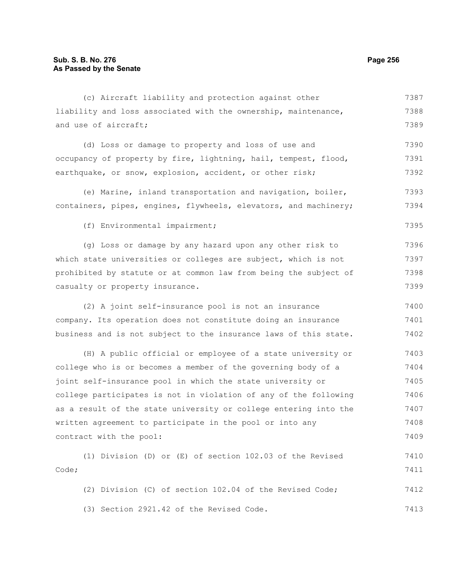| (c) Aircraft liability and protection against other              | 7387 |
|------------------------------------------------------------------|------|
| liability and loss associated with the ownership, maintenance,   | 7388 |
| and use of aircraft;                                             | 7389 |
| (d) Loss or damage to property and loss of use and               | 7390 |
| occupancy of property by fire, lightning, hail, tempest, flood,  | 7391 |
| earthquake, or snow, explosion, accident, or other risk;         | 7392 |
| (e) Marine, inland transportation and navigation, boiler,        | 7393 |
| containers, pipes, engines, flywheels, elevators, and machinery; | 7394 |
| (f) Environmental impairment;                                    | 7395 |
| (g) Loss or damage by any hazard upon any other risk to          | 7396 |
| which state universities or colleges are subject, which is not   | 7397 |
| prohibited by statute or at common law from being the subject of | 7398 |
| casualty or property insurance.                                  | 7399 |
| (2) A joint self-insurance pool is not an insurance              | 7400 |
| company. Its operation does not constitute doing an insurance    | 7401 |
| business and is not subject to the insurance laws of this state. | 7402 |
| (H) A public official or employee of a state university or       | 7403 |
| college who is or becomes a member of the governing body of a    | 7404 |
| joint self-insurance pool in which the state university or       | 7405 |
| college participates is not in violation of any of the following | 7406 |
| as a result of the state university or college entering into the | 7407 |
| written agreement to participate in the pool or into any         | 7408 |
| contract with the pool:                                          | 7409 |
| (1) Division (D) or (E) of section 102.03 of the Revised         | 7410 |
| Code;                                                            | 7411 |
| (2) Division (C) of section 102.04 of the Revised Code;          | 7412 |
| (3) Section 2921.42 of the Revised Code.                         | 7413 |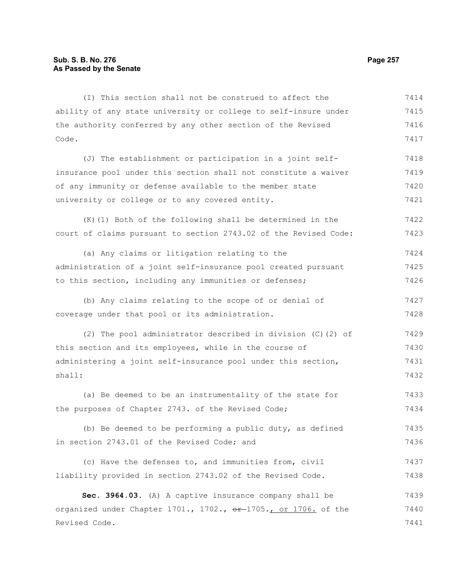ability of any state university or college to self-insure under the authority conferred by any other section of the Revised Code. (J) The establishment or participation in a joint selfinsurance pool under this section shall not constitute a waiver of any immunity or defense available to the member state university or college or to any covered entity. (K)(1) Both of the following shall be determined in the court of claims pursuant to section 2743.02 of the Revised Code: (a) Any claims or litigation relating to the administration of a joint self-insurance pool created pursuant to this section, including any immunities or defenses; (b) Any claims relating to the scope of or denial of coverage under that pool or its administration. (2) The pool administrator described in division (C)(2) of this section and its employees, while in the course of administering a joint self-insurance pool under this section, shall: (a) Be deemed to be an instrumentality of the state for 7415 7416 7417 7418 7419 7420 7421 7422 7423 7424 7425 7426 7427 7428 7429 7430 7431 7432 7433

(I) This section shall not be construed to affect the

| the purposes of Chapter 2743. of the Revised Code; |  |  |  |  | 7434 |
|----------------------------------------------------|--|--|--|--|------|
|                                                    |  |  |  |  |      |

|  |  |  | (b) Be deemed to be performing a public duty, as defined |  |  |  | 7435 |
|--|--|--|----------------------------------------------------------|--|--|--|------|
|  |  |  | in section 2743.01 of the Revised Code; and              |  |  |  | 7436 |

(c) Have the defenses to, and immunities from, civil liability provided in section 2743.02 of the Revised Code. 7437 7438

**Sec. 3964.03.** (A) A captive insurance company shall be organized under Chapter 1701., 1702., or 1705., or 1706. of the Revised Code. 7439 7440 7441

7414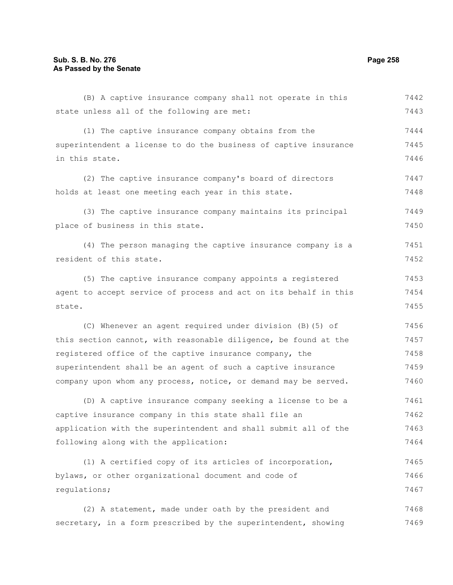# **Sub. S. B. No. 276 Page 258 As Passed by the Senate**

(B) A captive insurance company shall not operate in this state unless all of the following are met: (1) The captive insurance company obtains from the superintendent a license to do the business of captive insurance in this state. (2) The captive insurance company's board of directors holds at least one meeting each year in this state. (3) The captive insurance company maintains its principal place of business in this state. (4) The person managing the captive insurance company is a resident of this state. (5) The captive insurance company appoints a registered agent to accept service of process and act on its behalf in this state. (C) Whenever an agent required under division (B)(5) of this section cannot, with reasonable diligence, be found at the registered office of the captive insurance company, the superintendent shall be an agent of such a captive insurance company upon whom any process, notice, or demand may be served. (D) A captive insurance company seeking a license to be a captive insurance company in this state shall file an application with the superintendent and shall submit all of the following along with the application: (1) A certified copy of its articles of incorporation, bylaws, or other organizational document and code of regulations; (2) A statement, made under oath by the president and secretary, in a form prescribed by the superintendent, showing 7442 7443 7444 7445 7446 7447 7448 7449 7450 7451 7452 7453 7454 7455 7456 7457 7458 7459 7460 7461 7462 7463 7464 7465 7466 7467 7468 7469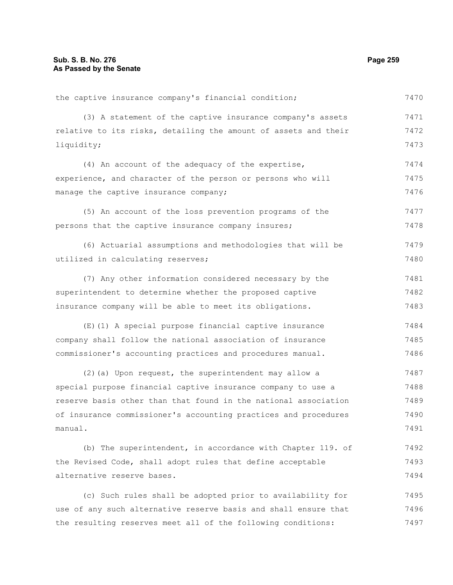the captive insurance company's financial condition;

(3) A statement of the captive insurance company's assets relative to its risks, detailing the amount of assets and their liquidity; (4) An account of the adequacy of the expertise, experience, and character of the person or persons who will manage the captive insurance company; (5) An account of the loss prevention programs of the persons that the captive insurance company insures; (6) Actuarial assumptions and methodologies that will be utilized in calculating reserves; (7) Any other information considered necessary by the superintendent to determine whether the proposed captive insurance company will be able to meet its obligations. (E)(1) A special purpose financial captive insurance company shall follow the national association of insurance commissioner's accounting practices and procedures manual. (2)(a) Upon request, the superintendent may allow a special purpose financial captive insurance company to use a reserve basis other than that found in the national association of insurance commissioner's accounting practices and procedures manual. (b) The superintendent, in accordance with Chapter 119. of 7471 7472 7473 7474 7475 7476 7477 7478 7479 7480 7481 7482 7483 7484 7485 7486 7487 7488 7489 7490 7491 7492

alternative reserve bases. (c) Such rules shall be adopted prior to availability for use of any such alternative reserve basis and shall ensure that 7494 7495 7496

the Revised Code, shall adopt rules that define acceptable

the resulting reserves meet all of the following conditions:

7470

7493

7497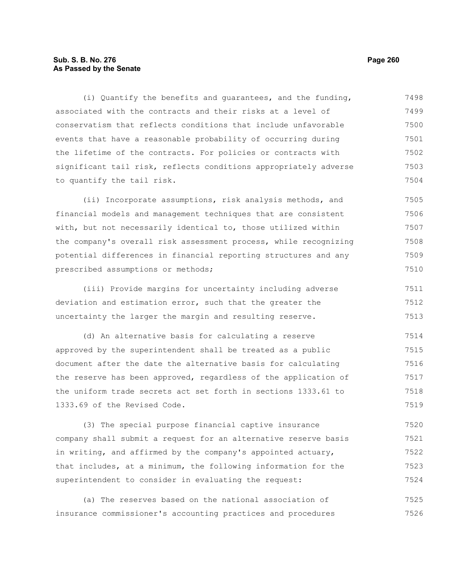# **Sub. S. B. No. 276 Page 260 As Passed by the Senate**

(i) Quantify the benefits and guarantees, and the funding, associated with the contracts and their risks at a level of conservatism that reflects conditions that include unfavorable events that have a reasonable probability of occurring during the lifetime of the contracts. For policies or contracts with significant tail risk, reflects conditions appropriately adverse to quantify the tail risk. 7498 7499 7500 7501 7502 7503 7504

(ii) Incorporate assumptions, risk analysis methods, and financial models and management techniques that are consistent with, but not necessarily identical to, those utilized within the company's overall risk assessment process, while recognizing potential differences in financial reporting structures and any prescribed assumptions or methods; 7505 7506 7507 7508 7509 7510

(iii) Provide margins for uncertainty including adverse deviation and estimation error, such that the greater the uncertainty the larger the margin and resulting reserve. 7511 7512 7513

(d) An alternative basis for calculating a reserve approved by the superintendent shall be treated as a public document after the date the alternative basis for calculating the reserve has been approved, regardless of the application of the uniform trade secrets act set forth in sections 1333.61 to 1333.69 of the Revised Code. 7514 7515 7516 7517 7518 7519

(3) The special purpose financial captive insurance company shall submit a request for an alternative reserve basis in writing, and affirmed by the company's appointed actuary, that includes, at a minimum, the following information for the superintendent to consider in evaluating the request: 7520 7521 7522 7523 7524

(a) The reserves based on the national association of insurance commissioner's accounting practices and procedures 7525 7526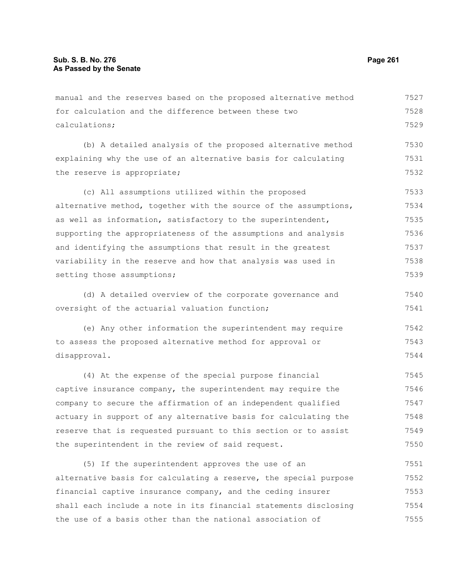manual and the reserves based on the proposed alternative method for calculation and the difference between these two calculations; (b) A detailed analysis of the proposed alternative method explaining why the use of an alternative basis for calculating the reserve is appropriate; (c) All assumptions utilized within the proposed alternative method, together with the source of the assumptions, as well as information, satisfactory to the superintendent, supporting the appropriateness of the assumptions and analysis and identifying the assumptions that result in the greatest variability in the reserve and how that analysis was used in setting those assumptions; (d) A detailed overview of the corporate governance and oversight of the actuarial valuation function; (e) Any other information the superintendent may require to assess the proposed alternative method for approval or disapproval. (4) At the expense of the special purpose financial captive insurance company, the superintendent may require the company to secure the affirmation of an independent qualified actuary in support of any alternative basis for calculating the reserve that is requested pursuant to this section or to assist the superintendent in the review of said request. (5) If the superintendent approves the use of an 7527 7528 7529 7530 7531 7532 7533 7534 7535 7536 7537 7538 7539 7540 7541 7542 7543 7544 7545 7546 7547 7548 7549 7550 7551

alternative basis for calculating a reserve, the special purpose financial captive insurance company, and the ceding insurer shall each include a note in its financial statements disclosing the use of a basis other than the national association of 7552 7553 7554 7555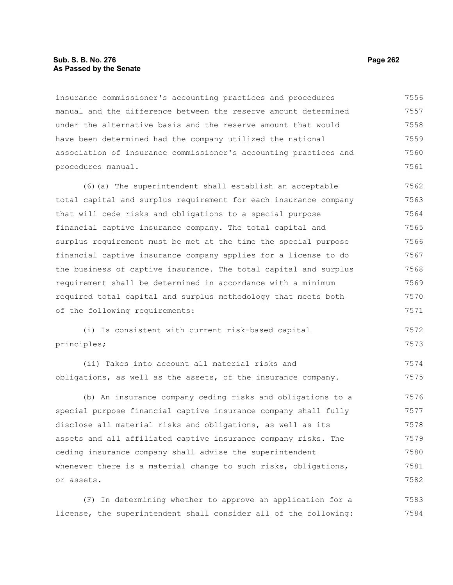## **Sub. S. B. No. 276 Page 262 As Passed by the Senate**

insurance commissioner's accounting practices and procedures manual and the difference between the reserve amount determined under the alternative basis and the reserve amount that would have been determined had the company utilized the national association of insurance commissioner's accounting practices and procedures manual. 7556 7557 7558 7559 7560 7561

(6)(a) The superintendent shall establish an acceptable total capital and surplus requirement for each insurance company that will cede risks and obligations to a special purpose financial captive insurance company. The total capital and surplus requirement must be met at the time the special purpose financial captive insurance company applies for a license to do the business of captive insurance. The total capital and surplus requirement shall be determined in accordance with a minimum required total capital and surplus methodology that meets both of the following requirements: 7562 7563 7564 7565 7566 7567 7568 7569 7570 7571

(i) Is consistent with current risk-based capital principles; 7572 7573

(ii) Takes into account all material risks and obligations, as well as the assets, of the insurance company. 7574 7575

(b) An insurance company ceding risks and obligations to a special purpose financial captive insurance company shall fully disclose all material risks and obligations, as well as its assets and all affiliated captive insurance company risks. The ceding insurance company shall advise the superintendent whenever there is a material change to such risks, obligations, or assets. 7576 7577 7578 7579 7580 7581 7582

(F) In determining whether to approve an application for a license, the superintendent shall consider all of the following: 7583 7584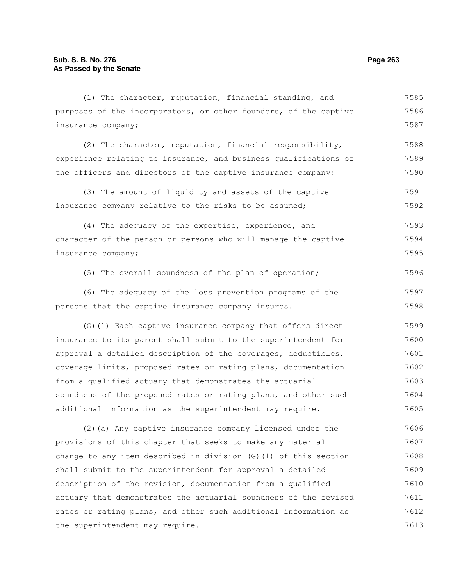| (1) The character, reputation, financial standing, and             | 7585 |
|--------------------------------------------------------------------|------|
| purposes of the incorporators, or other founders, of the captive   | 7586 |
| insurance company;                                                 | 7587 |
| (2) The character, reputation, financial responsibility,           | 7588 |
| experience relating to insurance, and business qualifications of   | 7589 |
| the officers and directors of the captive insurance company;       | 7590 |
| (3) The amount of liquidity and assets of the captive              | 7591 |
| insurance company relative to the risks to be assumed;             | 7592 |
| (4) The adequacy of the expertise, experience, and                 | 7593 |
| character of the person or persons who will manage the captive     | 7594 |
| insurance company;                                                 | 7595 |
| (5) The overall soundness of the plan of operation;                | 7596 |
| (6) The adequacy of the loss prevention programs of the            | 7597 |
| persons that the captive insurance company insures.                | 7598 |
| (G) (1) Each captive insurance company that offers direct          | 7599 |
| insurance to its parent shall submit to the superintendent for     | 7600 |
| approval a detailed description of the coverages, deductibles,     | 7601 |
| coverage limits, proposed rates or rating plans, documentation     | 7602 |
| from a qualified actuary that demonstrates the actuarial           | 7603 |
| soundness of the proposed rates or rating plans, and other such    | 7604 |
| additional information as the superintendent may require.          | 7605 |
| (2) (a) Any captive insurance company licensed under the           | 7606 |
| provisions of this chapter that seeks to make any material         | 7607 |
| change to any item described in division $(G)$ (1) of this section | 7608 |
| shall submit to the superintendent for approval a detailed         | 7609 |
| description of the revision, documentation from a qualified        | 7610 |
| actuary that demonstrates the actuarial soundness of the revised   | 7611 |
| rates or rating plans, and other such additional information as    | 7612 |
| the superintendent may require.                                    | 7613 |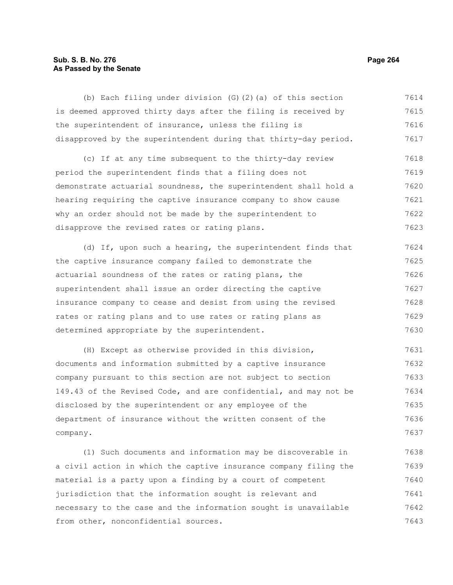# **Sub. S. B. No. 276 Page 264 As Passed by the Senate**

(b) Each filing under division (G)(2)(a) of this section is deemed approved thirty days after the filing is received by the superintendent of insurance, unless the filing is disapproved by the superintendent during that thirty-day period. (c) If at any time subsequent to the thirty-day review period the superintendent finds that a filing does not demonstrate actuarial soundness, the superintendent shall hold a hearing requiring the captive insurance company to show cause why an order should not be made by the superintendent to disapprove the revised rates or rating plans. 7614 7615 7616 7617 7618 7619 7620 7621 7622 7623

(d) If, upon such a hearing, the superintendent finds that the captive insurance company failed to demonstrate the actuarial soundness of the rates or rating plans, the superintendent shall issue an order directing the captive insurance company to cease and desist from using the revised rates or rating plans and to use rates or rating plans as determined appropriate by the superintendent. 7624 7625 7626 7627 7628 7629 7630

(H) Except as otherwise provided in this division, documents and information submitted by a captive insurance company pursuant to this section are not subject to section 149.43 of the Revised Code, and are confidential, and may not be disclosed by the superintendent or any employee of the department of insurance without the written consent of the company. 7631 7632 7633 7634 7635 7636 7637

(1) Such documents and information may be discoverable in a civil action in which the captive insurance company filing the material is a party upon a finding by a court of competent jurisdiction that the information sought is relevant and necessary to the case and the information sought is unavailable from other, nonconfidential sources. 7638 7639 7640 7641 7642 7643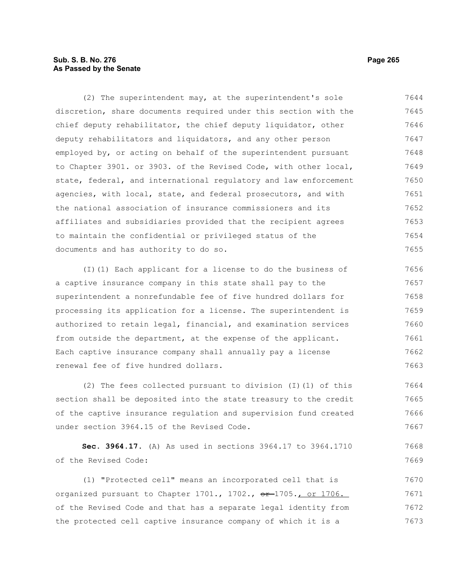# **Sub. S. B. No. 276 Page 265 As Passed by the Senate**

(2) The superintendent may, at the superintendent's sole discretion, share documents required under this section with the chief deputy rehabilitator, the chief deputy liquidator, other deputy rehabilitators and liquidators, and any other person employed by, or acting on behalf of the superintendent pursuant to Chapter 3901. or 3903. of the Revised Code, with other local, state, federal, and international regulatory and law enforcement agencies, with local, state, and federal prosecutors, and with the national association of insurance commissioners and its affiliates and subsidiaries provided that the recipient agrees to maintain the confidential or privileged status of the documents and has authority to do so. 7644 7645 7646 7647 7648 7649 7650 7651 7652 7653 7654 7655

(I)(1) Each applicant for a license to do the business of a captive insurance company in this state shall pay to the superintendent a nonrefundable fee of five hundred dollars for processing its application for a license. The superintendent is authorized to retain legal, financial, and examination services from outside the department, at the expense of the applicant. Each captive insurance company shall annually pay a license renewal fee of five hundred dollars. 7656 7657 7658 7659 7660 7661 7662 7663

(2) The fees collected pursuant to division (I)(1) of this section shall be deposited into the state treasury to the credit of the captive insurance regulation and supervision fund created under section 3964.15 of the Revised Code. 7664 7665 7666 7667

**Sec. 3964.17.** (A) As used in sections 3964.17 to 3964.1710 of the Revised Code: 7668 7669

(1) "Protected cell" means an incorporated cell that is organized pursuant to Chapter 1701., 1702., or 1705., or 1706. of the Revised Code and that has a separate legal identity from the protected cell captive insurance company of which it is a 7670 7671 7672 7673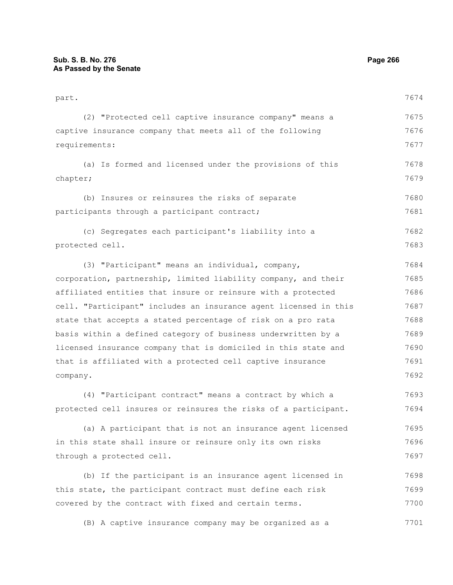| part.                                                            | 7674 |
|------------------------------------------------------------------|------|
| (2) "Protected cell captive insurance company" means a           | 7675 |
| captive insurance company that meets all of the following        | 7676 |
| requirements:                                                    | 7677 |
| (a) Is formed and licensed under the provisions of this          | 7678 |
| chapter;                                                         | 7679 |
| (b) Insures or reinsures the risks of separate                   | 7680 |
| participants through a participant contract;                     | 7681 |
| (c) Segregates each participant's liability into a               | 7682 |
| protected cell.                                                  | 7683 |
| (3) "Participant" means an individual, company,                  | 7684 |
| corporation, partnership, limited liability company, and their   | 7685 |
| affiliated entities that insure or reinsure with a protected     | 7686 |
| cell. "Participant" includes an insurance agent licensed in this | 7687 |
| state that accepts a stated percentage of risk on a pro rata     | 7688 |
| basis within a defined category of business underwritten by a    | 7689 |
| licensed insurance company that is domiciled in this state and   | 7690 |
| that is affiliated with a protected cell captive insurance       | 7691 |
| company.                                                         | 7692 |
| (4) "Participant contract" means a contract by which a           | 7693 |
| protected cell insures or reinsures the risks of a participant.  | 7694 |
| (a) A participant that is not an insurance agent licensed        | 7695 |
| in this state shall insure or reinsure only its own risks        | 7696 |
| through a protected cell.                                        | 7697 |
| (b) If the participant is an insurance agent licensed in         | 7698 |
| this state, the participant contract must define each risk       | 7699 |
| covered by the contract with fixed and certain terms.            | 7700 |
| (B) A captive insurance company may be organized as a            | 7701 |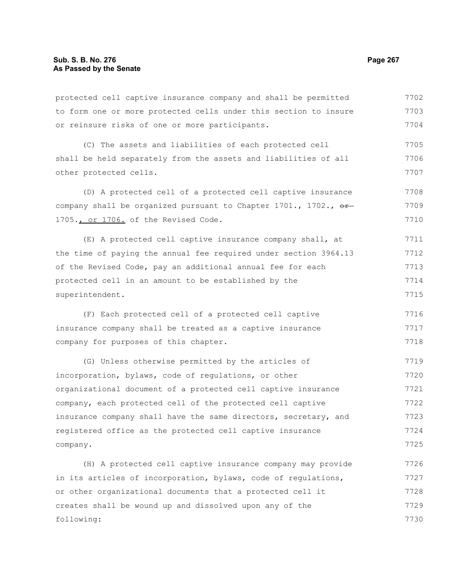protected cell captive insurance company and shall be permitted to form one or more protected cells under this section to insure or reinsure risks of one or more participants. 7702 7703 7704

(C) The assets and liabilities of each protected cell shall be held separately from the assets and liabilities of all other protected cells. 7705 7706 7707

(D) A protected cell of a protected cell captive insurance company shall be organized pursuant to Chapter 1701., 1702.,  $\sigma$ -1705., or 1706. of the Revised Code. 7708 7709 7710

(E) A protected cell captive insurance company shall, at the time of paying the annual fee required under section 3964.13 of the Revised Code, pay an additional annual fee for each protected cell in an amount to be established by the superintendent. 7711 7712 7713 7714 7715

(F) Each protected cell of a protected cell captive insurance company shall be treated as a captive insurance company for purposes of this chapter. 7716 7717 7718

(G) Unless otherwise permitted by the articles of incorporation, bylaws, code of regulations, or other organizational document of a protected cell captive insurance company, each protected cell of the protected cell captive insurance company shall have the same directors, secretary, and registered office as the protected cell captive insurance company. 7719 7720 7721 7722 7723 7724 7725

(H) A protected cell captive insurance company may provide in its articles of incorporation, bylaws, code of regulations, or other organizational documents that a protected cell it creates shall be wound up and dissolved upon any of the following: 7726 7727 7728 7729 7730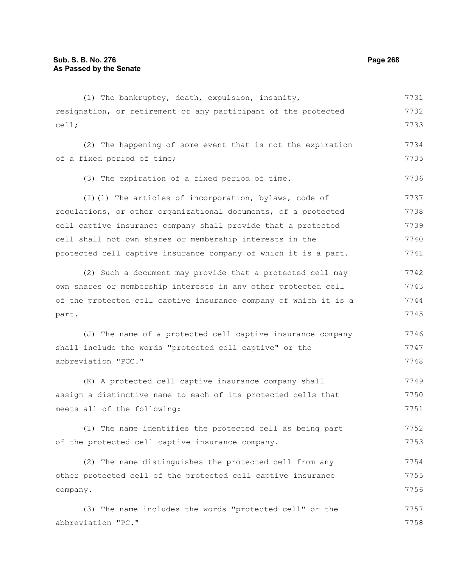| (1) The bankruptcy, death, expulsion, insanity,                  | 7731 |
|------------------------------------------------------------------|------|
| resignation, or retirement of any participant of the protected   | 7732 |
| cell;                                                            | 7733 |
| (2) The happening of some event that is not the expiration       | 7734 |
| of a fixed period of time;                                       | 7735 |
| (3) The expiration of a fixed period of time.                    | 7736 |
| (I)(1) The articles of incorporation, bylaws, code of            | 7737 |
| regulations, or other organizational documents, of a protected   | 7738 |
| cell captive insurance company shall provide that a protected    | 7739 |
| cell shall not own shares or membership interests in the         | 7740 |
| protected cell captive insurance company of which it is a part.  | 7741 |
| (2) Such a document may provide that a protected cell may        | 7742 |
| own shares or membership interests in any other protected cell   | 7743 |
| of the protected cell captive insurance company of which it is a | 7744 |
| part.                                                            | 7745 |
| (J) The name of a protected cell captive insurance company       | 7746 |
| shall include the words "protected cell captive" or the          | 7747 |
| abbreviation "PCC."                                              | 7748 |
| (K) A protected cell captive insurance company shall             | 7749 |
| assign a distinctive name to each of its protected cells that    | 7750 |
| meets all of the following:                                      | 7751 |
| (1) The name identifies the protected cell as being part         | 7752 |
| of the protected cell captive insurance company.                 | 7753 |
| (2) The name distinguishes the protected cell from any           | 7754 |
| other protected cell of the protected cell captive insurance     | 7755 |
| company.                                                         | 7756 |
| (3) The name includes the words "protected cell" or the          | 7757 |
| abbreviation "PC."                                               | 7758 |
|                                                                  |      |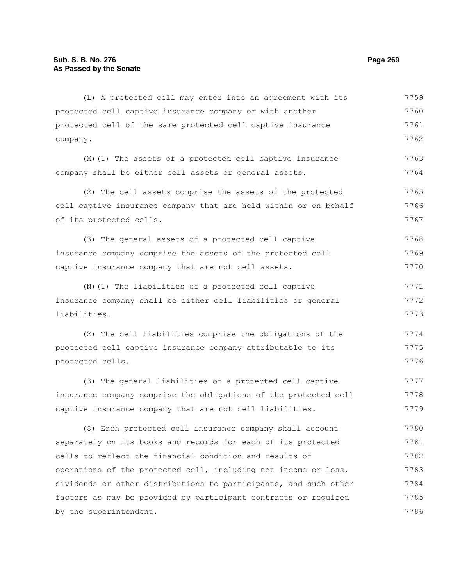company.

protected cell captive insurance company or with another protected cell of the same protected cell captive insurance (M)(1) The assets of a protected cell captive insurance company shall be either cell assets or general assets. (2) The cell assets comprise the assets of the protected cell captive insurance company that are held within or on behalf of its protected cells. 7760 7761 7762 7763 7764 7765 7766 7767

(3) The general assets of a protected cell captive insurance company comprise the assets of the protected cell captive insurance company that are not cell assets. 7768 7769 7770

(L) A protected cell may enter into an agreement with its

(N)(1) The liabilities of a protected cell captive insurance company shall be either cell liabilities or general liabilities. 7771 7772 7773

(2) The cell liabilities comprise the obligations of the protected cell captive insurance company attributable to its protected cells. 7774 7775 7776

(3) The general liabilities of a protected cell captive insurance company comprise the obligations of the protected cell captive insurance company that are not cell liabilities. 7777 7778 7779

(O) Each protected cell insurance company shall account separately on its books and records for each of its protected cells to reflect the financial condition and results of operations of the protected cell, including net income or loss, dividends or other distributions to participants, and such other factors as may be provided by participant contracts or required by the superintendent. 7780 7781 7782 7783 7784 7785 7786

7759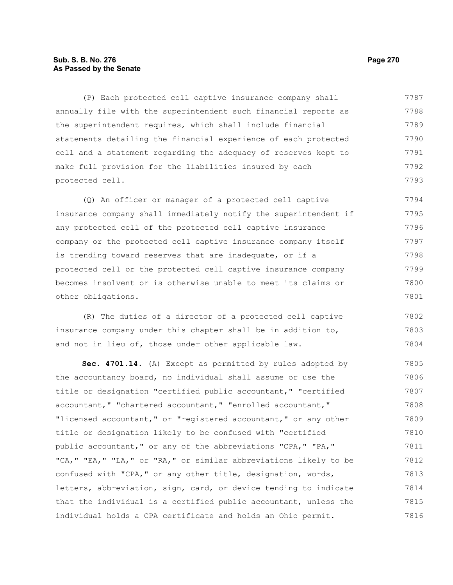# **Sub. S. B. No. 276 Page 270 As Passed by the Senate**

(P) Each protected cell captive insurance company shall annually file with the superintendent such financial reports as the superintendent requires, which shall include financial statements detailing the financial experience of each protected cell and a statement regarding the adequacy of reserves kept to make full provision for the liabilities insured by each protected cell. 7787 7788 7789 7790 7791 7792 7793

(Q) An officer or manager of a protected cell captive insurance company shall immediately notify the superintendent if any protected cell of the protected cell captive insurance company or the protected cell captive insurance company itself is trending toward reserves that are inadequate, or if a protected cell or the protected cell captive insurance company becomes insolvent or is otherwise unable to meet its claims or other obligations. 7794 7795 7796 7797 7798 7799 7800 7801

(R) The duties of a director of a protected cell captive insurance company under this chapter shall be in addition to, and not in lieu of, those under other applicable law. 7802 7803 7804

**Sec. 4701.14.** (A) Except as permitted by rules adopted by the accountancy board, no individual shall assume or use the title or designation "certified public accountant," "certified accountant," "chartered accountant," "enrolled accountant," "licensed accountant," or "registered accountant," or any other title or designation likely to be confused with "certified public accountant," or any of the abbreviations "CPA," "PA," "CA," "EA," "LA," or "RA," or similar abbreviations likely to be confused with "CPA," or any other title, designation, words, letters, abbreviation, sign, card, or device tending to indicate that the individual is a certified public accountant, unless the individual holds a CPA certificate and holds an Ohio permit. 7805 7806 7807 7808 7809 7810 7811 7812 7813 7814 7815 7816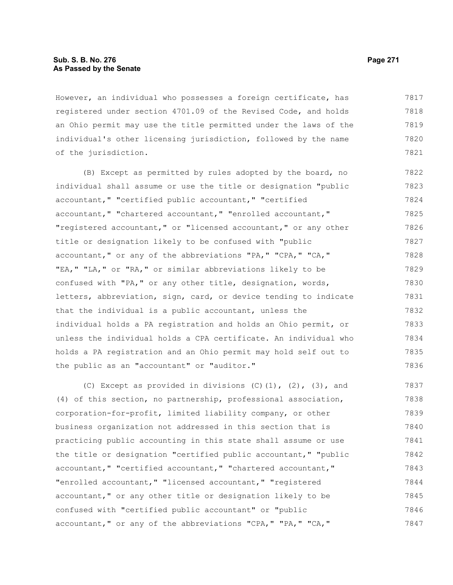## **Sub. S. B. No. 276 Page 271 As Passed by the Senate**

However, an individual who possesses a foreign certificate, has registered under section 4701.09 of the Revised Code, and holds an Ohio permit may use the title permitted under the laws of the individual's other licensing jurisdiction, followed by the name of the jurisdiction. 7817 7818 7819 7820 7821

(B) Except as permitted by rules adopted by the board, no individual shall assume or use the title or designation "public accountant," "certified public accountant," "certified accountant," "chartered accountant," "enrolled accountant," "registered accountant," or "licensed accountant," or any other title or designation likely to be confused with "public accountant," or any of the abbreviations "PA," "CPA," "CA," "EA," "LA," or "RA," or similar abbreviations likely to be confused with "PA," or any other title, designation, words, letters, abbreviation, sign, card, or device tending to indicate that the individual is a public accountant, unless the individual holds a PA registration and holds an Ohio permit, or unless the individual holds a CPA certificate. An individual who holds a PA registration and an Ohio permit may hold self out to the public as an "accountant" or "auditor." 7822 7823 7824 7825 7826 7827 7828 7829 7830 7831 7832 7833 7834 7835 7836

(C) Except as provided in divisions  $(C)$   $(1)$ ,  $(2)$ ,  $(3)$ , and (4) of this section, no partnership, professional association, corporation-for-profit, limited liability company, or other business organization not addressed in this section that is practicing public accounting in this state shall assume or use the title or designation "certified public accountant," "public accountant," "certified accountant," "chartered accountant," "enrolled accountant," "licensed accountant," "registered accountant," or any other title or designation likely to be confused with "certified public accountant" or "public accountant," or any of the abbreviations "CPA," "PA," "CA," 7837 7838 7839 7840 7841 7842 7843 7844 7845 7846 7847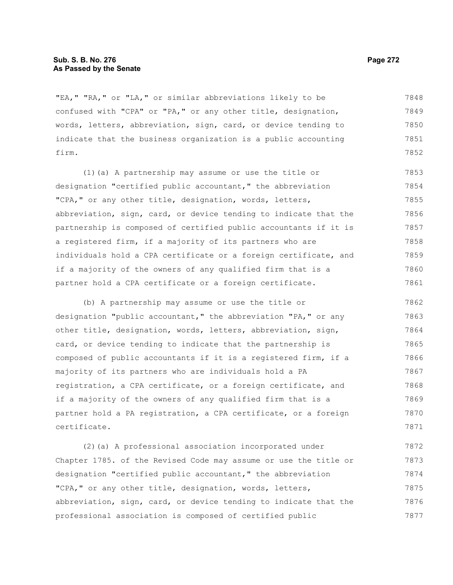### **Sub. S. B. No. 276 Page 272 As Passed by the Senate**

"EA," "RA," or "LA," or similar abbreviations likely to be confused with "CPA" or "PA," or any other title, designation, words, letters, abbreviation, sign, card, or device tending to indicate that the business organization is a public accounting firm. 7848 7849 7850 7851 7852

(1)(a) A partnership may assume or use the title or designation "certified public accountant," the abbreviation "CPA," or any other title, designation, words, letters, abbreviation, sign, card, or device tending to indicate that the partnership is composed of certified public accountants if it is a registered firm, if a majority of its partners who are individuals hold a CPA certificate or a foreign certificate, and if a majority of the owners of any qualified firm that is a partner hold a CPA certificate or a foreign certificate. 7853 7854 7855 7856 7857 7858 7859 7860 7861

(b) A partnership may assume or use the title or designation "public accountant," the abbreviation "PA," or any other title, designation, words, letters, abbreviation, sign, card, or device tending to indicate that the partnership is composed of public accountants if it is a registered firm, if a majority of its partners who are individuals hold a PA registration, a CPA certificate, or a foreign certificate, and if a majority of the owners of any qualified firm that is a partner hold a PA registration, a CPA certificate, or a foreign certificate. 7862 7863 7864 7865 7866 7867 7868 7869 7870 7871

(2)(a) A professional association incorporated under Chapter 1785. of the Revised Code may assume or use the title or designation "certified public accountant," the abbreviation "CPA," or any other title, designation, words, letters, abbreviation, sign, card, or device tending to indicate that the professional association is composed of certified public 7872 7873 7874 7875 7876 7877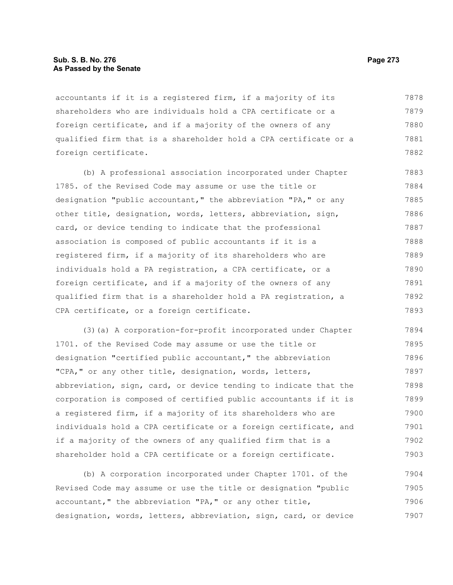## **Sub. S. B. No. 276 Page 273 As Passed by the Senate**

accountants if it is a registered firm, if a majority of its shareholders who are individuals hold a CPA certificate or a foreign certificate, and if a majority of the owners of any qualified firm that is a shareholder hold a CPA certificate or a foreign certificate. 7878 7879 7880 7881 7882

(b) A professional association incorporated under Chapter 1785. of the Revised Code may assume or use the title or designation "public accountant," the abbreviation "PA," or any other title, designation, words, letters, abbreviation, sign, card, or device tending to indicate that the professional association is composed of public accountants if it is a registered firm, if a majority of its shareholders who are individuals hold a PA registration, a CPA certificate, or a foreign certificate, and if a majority of the owners of any qualified firm that is a shareholder hold a PA registration, a CPA certificate, or a foreign certificate. 7883 7884 7885 7886 7887 7888 7889 7890 7891 7892 7893

(3)(a) A corporation-for-profit incorporated under Chapter 1701. of the Revised Code may assume or use the title or designation "certified public accountant," the abbreviation "CPA," or any other title, designation, words, letters, abbreviation, sign, card, or device tending to indicate that the corporation is composed of certified public accountants if it is a registered firm, if a majority of its shareholders who are individuals hold a CPA certificate or a foreign certificate, and if a majority of the owners of any qualified firm that is a shareholder hold a CPA certificate or a foreign certificate. 7894 7895 7896 7897 7898 7899 7900 7901 7902 7903

(b) A corporation incorporated under Chapter 1701. of the Revised Code may assume or use the title or designation "public accountant," the abbreviation "PA," or any other title, designation, words, letters, abbreviation, sign, card, or device 7904 7905 7906 7907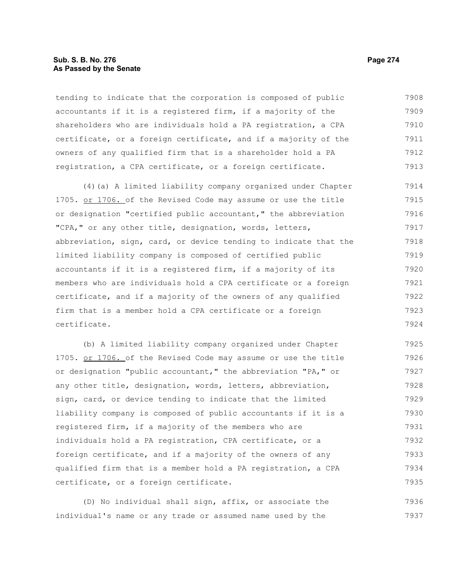### **Sub. S. B. No. 276 Page 274 As Passed by the Senate**

tending to indicate that the corporation is composed of public accountants if it is a registered firm, if a majority of the shareholders who are individuals hold a PA registration, a CPA certificate, or a foreign certificate, and if a majority of the owners of any qualified firm that is a shareholder hold a PA registration, a CPA certificate, or a foreign certificate. 7908 7909 7910 7911 7912 7913

(4)(a) A limited liability company organized under Chapter 1705. or 1706. of the Revised Code may assume or use the title or designation "certified public accountant," the abbreviation "CPA," or any other title, designation, words, letters, abbreviation, sign, card, or device tending to indicate that the limited liability company is composed of certified public accountants if it is a registered firm, if a majority of its members who are individuals hold a CPA certificate or a foreign certificate, and if a majority of the owners of any qualified firm that is a member hold a CPA certificate or a foreign certificate. 7914 7915 7916 7917 7918 7919 7920 7921 7922 7923 7924

(b) A limited liability company organized under Chapter 1705. or 1706. of the Revised Code may assume or use the title or designation "public accountant," the abbreviation "PA," or any other title, designation, words, letters, abbreviation, sign, card, or device tending to indicate that the limited liability company is composed of public accountants if it is a registered firm, if a majority of the members who are individuals hold a PA registration, CPA certificate, or a foreign certificate, and if a majority of the owners of any qualified firm that is a member hold a PA registration, a CPA certificate, or a foreign certificate. 7925 7926 7927 7928 7929 7930 7931 7932 7933 7934 7935

(D) No individual shall sign, affix, or associate the individual's name or any trade or assumed name used by the 7936 7937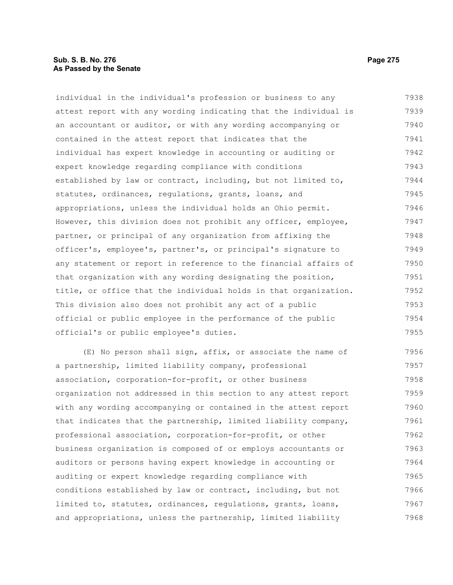# **Sub. S. B. No. 276 Page 275 As Passed by the Senate**

individual in the individual's profession or business to any attest report with any wording indicating that the individual is an accountant or auditor, or with any wording accompanying or contained in the attest report that indicates that the individual has expert knowledge in accounting or auditing or expert knowledge regarding compliance with conditions established by law or contract, including, but not limited to, statutes, ordinances, regulations, grants, loans, and appropriations, unless the individual holds an Ohio permit. However, this division does not prohibit any officer, employee, partner, or principal of any organization from affixing the officer's, employee's, partner's, or principal's signature to any statement or report in reference to the financial affairs of that organization with any wording designating the position, title, or office that the individual holds in that organization. This division also does not prohibit any act of a public official or public employee in the performance of the public official's or public employee's duties. 7938 7939 7940 7941 7942 7943 7944 7945 7946 7947 7948 7949 7950 7951 7952 7953 7954 7955

(E) No person shall sign, affix, or associate the name of a partnership, limited liability company, professional association, corporation-for-profit, or other business organization not addressed in this section to any attest report with any wording accompanying or contained in the attest report that indicates that the partnership, limited liability company, professional association, corporation-for-profit, or other business organization is composed of or employs accountants or auditors or persons having expert knowledge in accounting or auditing or expert knowledge regarding compliance with conditions established by law or contract, including, but not limited to, statutes, ordinances, regulations, grants, loans, and appropriations, unless the partnership, limited liability 7956 7957 7958 7959 7960 7961 7962 7963 7964 7965 7966 7967 7968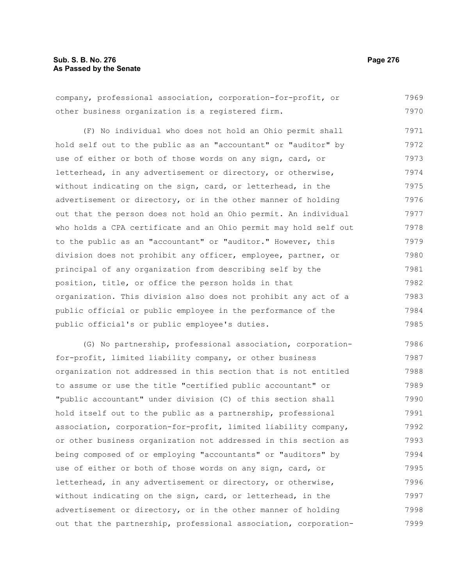# **Sub. S. B. No. 276 Page 276 As Passed by the Senate**

company, professional association, corporation-for-profit, or other business organization is a registered firm. 7969 7970

(F) No individual who does not hold an Ohio permit shall hold self out to the public as an "accountant" or "auditor" by use of either or both of those words on any sign, card, or letterhead, in any advertisement or directory, or otherwise, without indicating on the sign, card, or letterhead, in the advertisement or directory, or in the other manner of holding out that the person does not hold an Ohio permit. An individual who holds a CPA certificate and an Ohio permit may hold self out to the public as an "accountant" or "auditor." However, this division does not prohibit any officer, employee, partner, or principal of any organization from describing self by the position, title, or office the person holds in that organization. This division also does not prohibit any act of a public official or public employee in the performance of the public official's or public employee's duties. 7971 7972 7973 7974 7975 7976 7977 7978 7979 7980 7981 7982 7983 7984 7985

(G) No partnership, professional association, corporationfor-profit, limited liability company, or other business organization not addressed in this section that is not entitled to assume or use the title "certified public accountant" or "public accountant" under division (C) of this section shall hold itself out to the public as a partnership, professional association, corporation-for-profit, limited liability company, or other business organization not addressed in this section as being composed of or employing "accountants" or "auditors" by use of either or both of those words on any sign, card, or letterhead, in any advertisement or directory, or otherwise, without indicating on the sign, card, or letterhead, in the advertisement or directory, or in the other manner of holding out that the partnership, professional association, corporation-7986 7987 7988 7989 7990 7991 7992 7993 7994 7995 7996 7997 7998 7999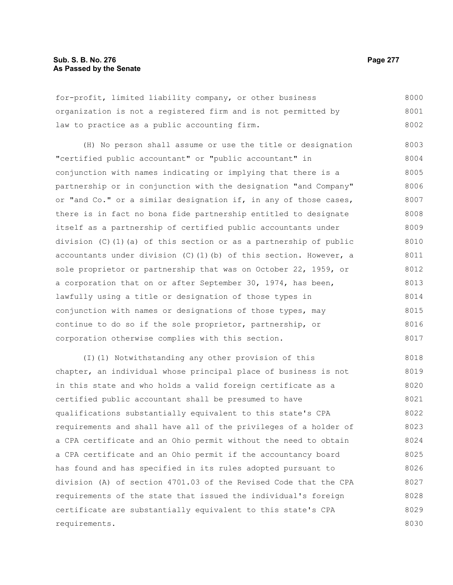### **Sub. S. B. No. 276 Page 277 As Passed by the Senate**

for-profit, limited liability company, or other business organization is not a registered firm and is not permitted by law to practice as a public accounting firm. 8000 8001 8002

(H) No person shall assume or use the title or designation "certified public accountant" or "public accountant" in conjunction with names indicating or implying that there is a partnership or in conjunction with the designation "and Company" or "and Co." or a similar designation if, in any of those cases, there is in fact no bona fide partnership entitled to designate itself as a partnership of certified public accountants under division (C)(1)(a) of this section or as a partnership of public accountants under division  $(C)$  (1)(b) of this section. However, a sole proprietor or partnership that was on October 22, 1959, or a corporation that on or after September 30, 1974, has been, lawfully using a title or designation of those types in conjunction with names or designations of those types, may continue to do so if the sole proprietor, partnership, or corporation otherwise complies with this section. 8003 8004 8005 8006 8007 8008 8009 8010 8011 8012 8013 8014 8015 8016 8017

(I)(1) Notwithstanding any other provision of this chapter, an individual whose principal place of business is not in this state and who holds a valid foreign certificate as a certified public accountant shall be presumed to have qualifications substantially equivalent to this state's CPA requirements and shall have all of the privileges of a holder of a CPA certificate and an Ohio permit without the need to obtain a CPA certificate and an Ohio permit if the accountancy board has found and has specified in its rules adopted pursuant to division (A) of section 4701.03 of the Revised Code that the CPA requirements of the state that issued the individual's foreign certificate are substantially equivalent to this state's CPA requirements. 8018 8019 8020 8021 8022 8023 8024 8025 8026 8027 8028 8029 8030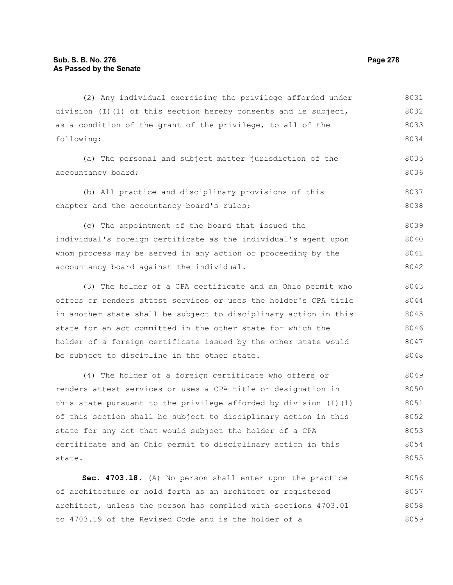(2) Any individual exercising the privilege afforded under division (I)(1) of this section hereby consents and is subject, as a condition of the grant of the privilege, to all of the following: (a) The personal and subject matter jurisdiction of the accountancy board; (b) All practice and disciplinary provisions of this chapter and the accountancy board's rules; (c) The appointment of the board that issued the individual's foreign certificate as the individual's agent upon whom process may be served in any action or proceeding by the accountancy board against the individual. (3) The holder of a CPA certificate and an Ohio permit who offers or renders attest services or uses the holder's CPA title in another state shall be subject to disciplinary action in this state for an act committed in the other state for which the holder of a foreign certificate issued by the other state would be subject to discipline in the other state. (4) The holder of a foreign certificate who offers or renders attest services or uses a CPA title or designation in this state pursuant to the privilege afforded by division  $(I)(1)$ of this section shall be subject to disciplinary action in this state for any act that would subject the holder of a CPA certificate and an Ohio permit to disciplinary action in this state. 8031 8032 8033 8034 8035 8036 8037 8038 8039 8040 8041 8042 8043 8044 8045 8046 8047 8048 8049 8050 8051 8052 8053 8054 8055

**Sec. 4703.18.** (A) No person shall enter upon the practice of architecture or hold forth as an architect or registered architect, unless the person has complied with sections 4703.01 to 4703.19 of the Revised Code and is the holder of a 8056 8057 8058 8059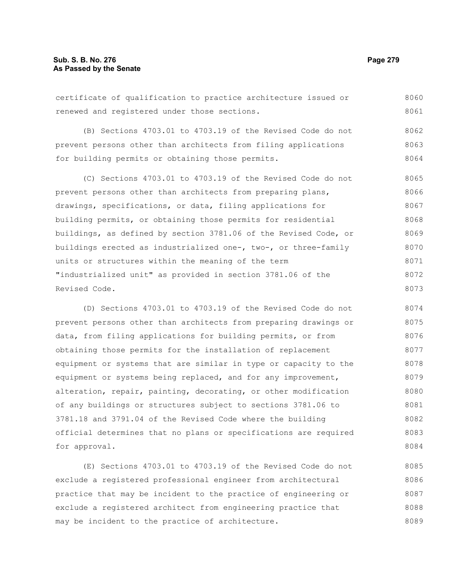certificate of qualification to practice architecture issued or renewed and registered under those sections. 8060 8061

(B) Sections 4703.01 to 4703.19 of the Revised Code do not prevent persons other than architects from filing applications for building permits or obtaining those permits. 8062 8063 8064

(C) Sections 4703.01 to 4703.19 of the Revised Code do not prevent persons other than architects from preparing plans, drawings, specifications, or data, filing applications for building permits, or obtaining those permits for residential buildings, as defined by section 3781.06 of the Revised Code, or buildings erected as industrialized one-, two-, or three-family units or structures within the meaning of the term "industrialized unit" as provided in section 3781.06 of the Revised Code. 8065 8066 8067 8068 8069 8070 8071 8072 8073

(D) Sections 4703.01 to 4703.19 of the Revised Code do not prevent persons other than architects from preparing drawings or data, from filing applications for building permits, or from obtaining those permits for the installation of replacement equipment or systems that are similar in type or capacity to the equipment or systems being replaced, and for any improvement, alteration, repair, painting, decorating, or other modification of any buildings or structures subject to sections 3781.06 to 3781.18 and 3791.04 of the Revised Code where the building official determines that no plans or specifications are required for approval. 8074 8075 8076 8077 8078 8079 8080 8081 8082 8083 8084

(E) Sections 4703.01 to 4703.19 of the Revised Code do not exclude a registered professional engineer from architectural practice that may be incident to the practice of engineering or exclude a registered architect from engineering practice that may be incident to the practice of architecture. 8085 8086 8087 8088 8089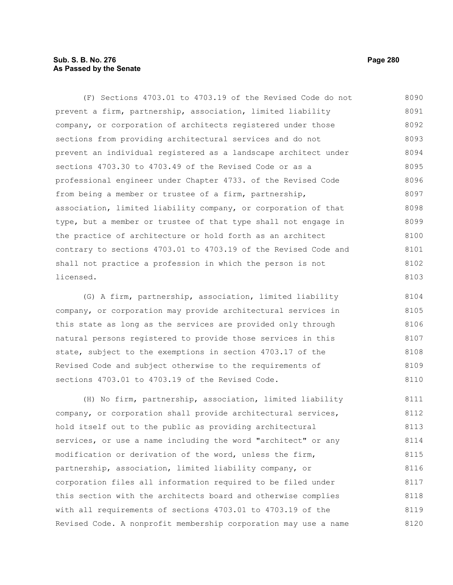# **Sub. S. B. No. 276 Page 280 As Passed by the Senate**

(F) Sections 4703.01 to 4703.19 of the Revised Code do not prevent a firm, partnership, association, limited liability company, or corporation of architects registered under those sections from providing architectural services and do not prevent an individual registered as a landscape architect under sections 4703.30 to 4703.49 of the Revised Code or as a professional engineer under Chapter 4733. of the Revised Code from being a member or trustee of a firm, partnership, association, limited liability company, or corporation of that type, but a member or trustee of that type shall not engage in the practice of architecture or hold forth as an architect contrary to sections 4703.01 to 4703.19 of the Revised Code and shall not practice a profession in which the person is not licensed. 8090 8091 8092 8093 8094 8095 8096 8097 8098 8099 8100 8101 8102 8103

(G) A firm, partnership, association, limited liability company, or corporation may provide architectural services in this state as long as the services are provided only through natural persons registered to provide those services in this state, subject to the exemptions in section 4703.17 of the Revised Code and subject otherwise to the requirements of sections 4703.01 to 4703.19 of the Revised Code. 8104 8105 8106 8107 8108 8109 8110

(H) No firm, partnership, association, limited liability company, or corporation shall provide architectural services, hold itself out to the public as providing architectural services, or use a name including the word "architect" or any modification or derivation of the word, unless the firm, partnership, association, limited liability company, or corporation files all information required to be filed under this section with the architects board and otherwise complies with all requirements of sections 4703.01 to 4703.19 of the Revised Code. A nonprofit membership corporation may use a name 8111 8112 8113 8114 8115 8116 8117 8118 8119 8120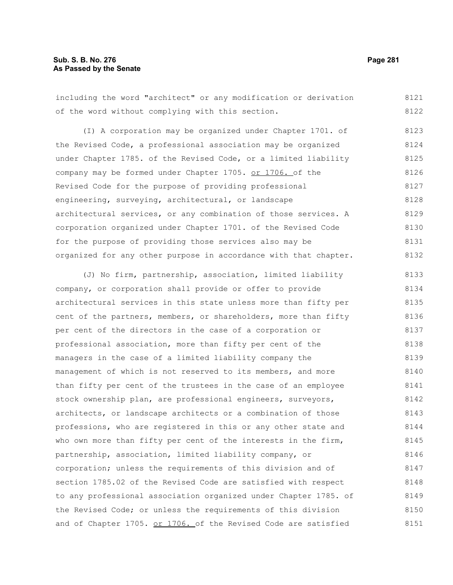# **Sub. S. B. No. 276 Page 281 As Passed by the Senate**

including the word "architect" or any modification or derivation of the word without complying with this section. 8121 8122

(I) A corporation may be organized under Chapter 1701. of the Revised Code, a professional association may be organized under Chapter 1785. of the Revised Code, or a limited liability company may be formed under Chapter 1705. or 1706. of the Revised Code for the purpose of providing professional engineering, surveying, architectural, or landscape architectural services, or any combination of those services. A corporation organized under Chapter 1701. of the Revised Code for the purpose of providing those services also may be organized for any other purpose in accordance with that chapter. 8123 8124 8125 8126 8127 8128 8129 8130 8131 8132

(J) No firm, partnership, association, limited liability company, or corporation shall provide or offer to provide architectural services in this state unless more than fifty per cent of the partners, members, or shareholders, more than fifty per cent of the directors in the case of a corporation or professional association, more than fifty per cent of the managers in the case of a limited liability company the management of which is not reserved to its members, and more than fifty per cent of the trustees in the case of an employee stock ownership plan, are professional engineers, surveyors, architects, or landscape architects or a combination of those professions, who are registered in this or any other state and who own more than fifty per cent of the interests in the firm, partnership, association, limited liability company, or corporation; unless the requirements of this division and of section 1785.02 of the Revised Code are satisfied with respect to any professional association organized under Chapter 1785. of the Revised Code; or unless the requirements of this division and of Chapter 1705. or 1706. of the Revised Code are satisfied 8133 8134 8135 8136 8137 8138 8139 8140 8141 8142 8143 8144 8145 8146 8147 8148 8149 8150 8151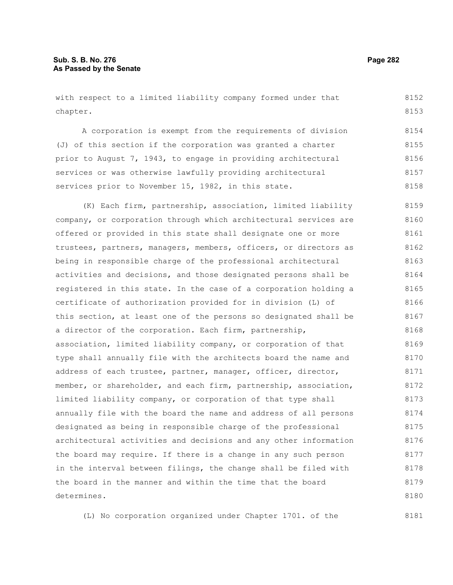with respect to a limited liability company formed under that chapter. 8152 8153

A corporation is exempt from the requirements of division (J) of this section if the corporation was granted a charter prior to August 7, 1943, to engage in providing architectural services or was otherwise lawfully providing architectural services prior to November 15, 1982, in this state. 8154 8155 8156 8157 8158

(K) Each firm, partnership, association, limited liability company, or corporation through which architectural services are offered or provided in this state shall designate one or more trustees, partners, managers, members, officers, or directors as being in responsible charge of the professional architectural activities and decisions, and those designated persons shall be registered in this state. In the case of a corporation holding a certificate of authorization provided for in division (L) of this section, at least one of the persons so designated shall be a director of the corporation. Each firm, partnership, association, limited liability company, or corporation of that type shall annually file with the architects board the name and address of each trustee, partner, manager, officer, director, member, or shareholder, and each firm, partnership, association, limited liability company, or corporation of that type shall annually file with the board the name and address of all persons designated as being in responsible charge of the professional architectural activities and decisions and any other information the board may require. If there is a change in any such person in the interval between filings, the change shall be filed with the board in the manner and within the time that the board determines. 8159 8160 8161 8162 8163 8164 8165 8166 8167 8168 8169 8170 8171 8172 8173 8174 8175 8176 8177 8178 8179 8180

(L) No corporation organized under Chapter 1701. of the

8181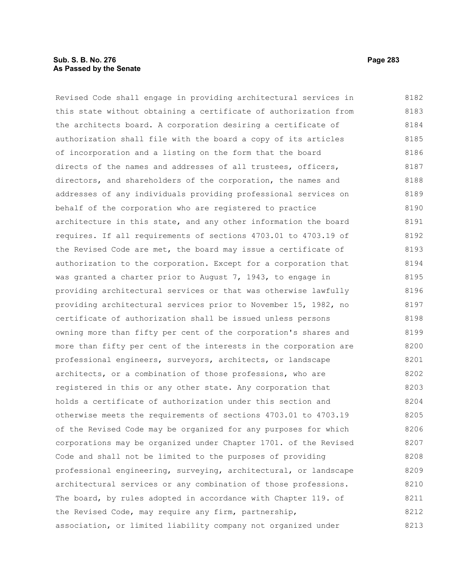## **Sub. S. B. No. 276 Page 283 As Passed by the Senate**

Revised Code shall engage in providing architectural services in this state without obtaining a certificate of authorization from the architects board. A corporation desiring a certificate of authorization shall file with the board a copy of its articles of incorporation and a listing on the form that the board directs of the names and addresses of all trustees, officers, directors, and shareholders of the corporation, the names and addresses of any individuals providing professional services on behalf of the corporation who are registered to practice architecture in this state, and any other information the board requires. If all requirements of sections 4703.01 to 4703.19 of the Revised Code are met, the board may issue a certificate of authorization to the corporation. Except for a corporation that was granted a charter prior to August 7, 1943, to engage in providing architectural services or that was otherwise lawfully providing architectural services prior to November 15, 1982, no certificate of authorization shall be issued unless persons owning more than fifty per cent of the corporation's shares and more than fifty per cent of the interests in the corporation are professional engineers, surveyors, architects, or landscape architects, or a combination of those professions, who are registered in this or any other state. Any corporation that holds a certificate of authorization under this section and otherwise meets the requirements of sections 4703.01 to 4703.19 of the Revised Code may be organized for any purposes for which corporations may be organized under Chapter 1701. of the Revised Code and shall not be limited to the purposes of providing professional engineering, surveying, architectural, or landscape architectural services or any combination of those professions. The board, by rules adopted in accordance with Chapter 119. of the Revised Code, may require any firm, partnership, association, or limited liability company not organized under 8182 8183 8184 8185 8186 8187 8188 8189 8190 8191 8192 8193 8194 8195 8196 8197 8198 8199 8200 8201 8202 8203 8204 8205 8206 8207 8208 8209 8210 8211 8212 8213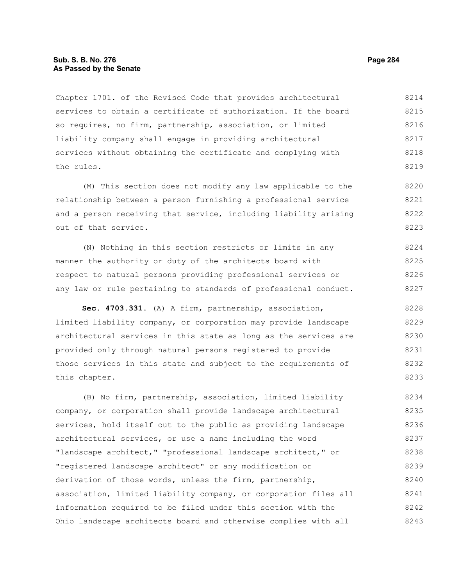### **Sub. S. B. No. 276 Page 284 As Passed by the Senate**

Chapter 1701. of the Revised Code that provides architectural services to obtain a certificate of authorization. If the board so requires, no firm, partnership, association, or limited liability company shall engage in providing architectural services without obtaining the certificate and complying with the rules. 8214 8215 8216 8217 8218 8219

(M) This section does not modify any law applicable to the relationship between a person furnishing a professional service and a person receiving that service, including liability arising out of that service. 8220 8221 8222 8223

(N) Nothing in this section restricts or limits in any manner the authority or duty of the architects board with respect to natural persons providing professional services or any law or rule pertaining to standards of professional conduct. 8224 8225 8226 8227

**Sec. 4703.331.** (A) A firm, partnership, association, limited liability company, or corporation may provide landscape architectural services in this state as long as the services are provided only through natural persons registered to provide those services in this state and subject to the requirements of this chapter. 8228 8229 8230 8231 8232 8233

(B) No firm, partnership, association, limited liability company, or corporation shall provide landscape architectural services, hold itself out to the public as providing landscape architectural services, or use a name including the word "landscape architect," "professional landscape architect," or "registered landscape architect" or any modification or derivation of those words, unless the firm, partnership, association, limited liability company, or corporation files all information required to be filed under this section with the Ohio landscape architects board and otherwise complies with all 8234 8235 8236 8237 8238 8239 8240 8241 8242 8243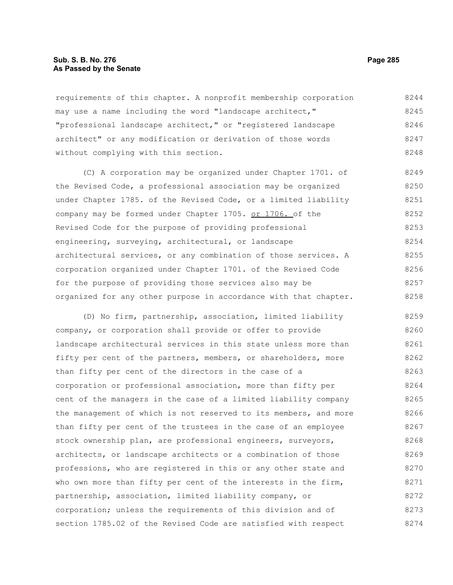#### **Sub. S. B. No. 276 Page 285 As Passed by the Senate**

requirements of this chapter. A nonprofit membership corporation may use a name including the word "landscape architect," "professional landscape architect," or "registered landscape architect" or any modification or derivation of those words without complying with this section. 8244 8245 8246 8247 8248

(C) A corporation may be organized under Chapter 1701. of the Revised Code, a professional association may be organized under Chapter 1785. of the Revised Code, or a limited liability company may be formed under Chapter 1705. or 1706. of the Revised Code for the purpose of providing professional engineering, surveying, architectural, or landscape architectural services, or any combination of those services. A corporation organized under Chapter 1701. of the Revised Code for the purpose of providing those services also may be organized for any other purpose in accordance with that chapter. 8249 8250 8251 8252 8253 8254 8255 8256 8257 8258

(D) No firm, partnership, association, limited liability company, or corporation shall provide or offer to provide landscape architectural services in this state unless more than fifty per cent of the partners, members, or shareholders, more than fifty per cent of the directors in the case of a corporation or professional association, more than fifty per cent of the managers in the case of a limited liability company the management of which is not reserved to its members, and more than fifty per cent of the trustees in the case of an employee stock ownership plan, are professional engineers, surveyors, architects, or landscape architects or a combination of those professions, who are registered in this or any other state and who own more than fifty per cent of the interests in the firm, partnership, association, limited liability company, or corporation; unless the requirements of this division and of section 1785.02 of the Revised Code are satisfied with respect 8259 8260 8261 8262 8263 8264 8265 8266 8267 8268 8269 8270 8271 8272 8273 8274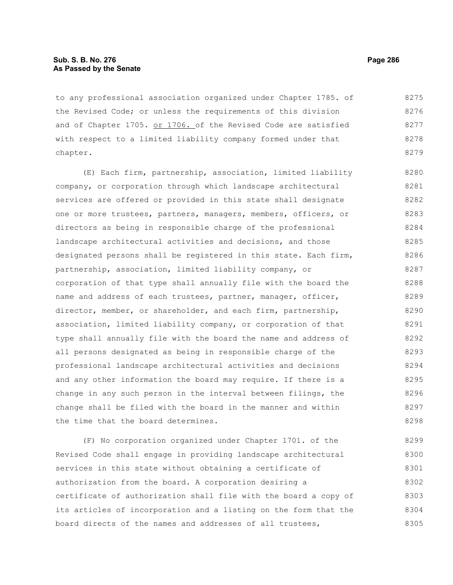## **Sub. S. B. No. 276 Page 286 As Passed by the Senate**

to any professional association organized under Chapter 1785. of the Revised Code; or unless the requirements of this division and of Chapter 1705. or 1706. of the Revised Code are satisfied with respect to a limited liability company formed under that chapter. 8275 8276 8277 8278 8279

(E) Each firm, partnership, association, limited liability company, or corporation through which landscape architectural services are offered or provided in this state shall designate one or more trustees, partners, managers, members, officers, or directors as being in responsible charge of the professional landscape architectural activities and decisions, and those designated persons shall be registered in this state. Each firm, partnership, association, limited liability company, or corporation of that type shall annually file with the board the name and address of each trustees, partner, manager, officer, director, member, or shareholder, and each firm, partnership, association, limited liability company, or corporation of that type shall annually file with the board the name and address of all persons designated as being in responsible charge of the professional landscape architectural activities and decisions and any other information the board may require. If there is a change in any such person in the interval between filings, the change shall be filed with the board in the manner and within the time that the board determines. 8280 8281 8282 8283 8284 8285 8286 8287 8288 8289 8290 8291 8292 8293 8294 8295 8296 8297 8298

(F) No corporation organized under Chapter 1701. of the Revised Code shall engage in providing landscape architectural services in this state without obtaining a certificate of authorization from the board. A corporation desiring a certificate of authorization shall file with the board a copy of its articles of incorporation and a listing on the form that the board directs of the names and addresses of all trustees, 8299 8300 8301 8302 8303 8304 8305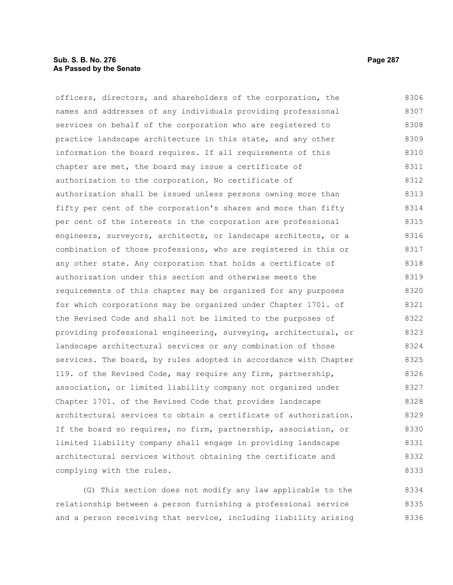# **Sub. S. B. No. 276 Page 287 As Passed by the Senate**

officers, directors, and shareholders of the corporation, the names and addresses of any individuals providing professional services on behalf of the corporation who are registered to practice landscape architecture in this state, and any other information the board requires. If all requirements of this chapter are met, the board may issue a certificate of authorization to the corporation. No certificate of authorization shall be issued unless persons owning more than fifty per cent of the corporation's shares and more than fifty per cent of the interests in the corporation are professional engineers, surveyors, architects, or landscape architects, or a combination of those professions, who are registered in this or any other state. Any corporation that holds a certificate of authorization under this section and otherwise meets the requirements of this chapter may be organized for any purposes for which corporations may be organized under Chapter 1701. of the Revised Code and shall not be limited to the purposes of providing professional engineering, surveying, architectural, or landscape architectural services or any combination of those services. The board, by rules adopted in accordance with Chapter 119. of the Revised Code, may require any firm, partnership, association, or limited liability company not organized under Chapter 1701. of the Revised Code that provides landscape architectural services to obtain a certificate of authorization. If the board so requires, no firm, partnership, association, or limited liability company shall engage in providing landscape architectural services without obtaining the certificate and complying with the rules. 8306 8307 8308 8309 8310 8311 8312 8313 8314 8315 8316 8317 8318 8319 8320 8321 8322 8323 8324 8325 8326 8327 8328 8329 8330 8331 8332 8333

(G) This section does not modify any law applicable to the relationship between a person furnishing a professional service and a person receiving that service, including liability arising 8334 8335 8336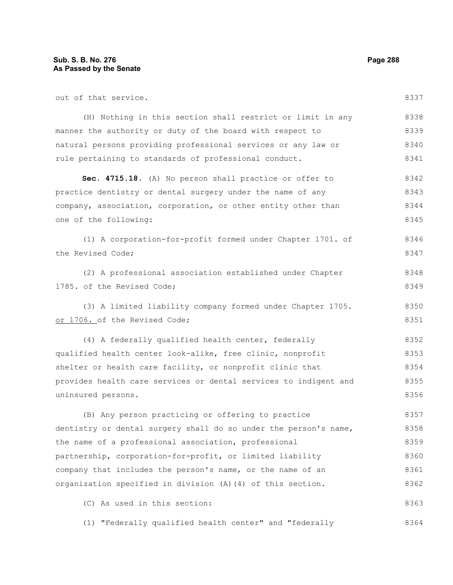| out of that service.                                             | 8337 |
|------------------------------------------------------------------|------|
| (H) Nothing in this section shall restrict or limit in any       | 8338 |
| manner the authority or duty of the board with respect to        | 8339 |
| natural persons providing professional services or any law or    | 8340 |
| rule pertaining to standards of professional conduct.            | 8341 |
| Sec. 4715.18. (A) No person shall practice or offer to           | 8342 |
| practice dentistry or dental surgery under the name of any       | 8343 |
| company, association, corporation, or other entity other than    | 8344 |
| one of the following:                                            | 8345 |
| (1) A corporation-for-profit formed under Chapter 1701. of       | 8346 |
| the Revised Code;                                                | 8347 |
| (2) A professional association established under Chapter         | 8348 |
| 1785. of the Revised Code;                                       | 8349 |
| (3) A limited liability company formed under Chapter 1705.       | 8350 |
| or 1706. of the Revised Code;                                    | 8351 |
| (4) A federally qualified health center, federally               | 8352 |
| qualified health center look-alike, free clinic, nonprofit       | 8353 |
| shelter or health care facility, or nonprofit clinic that        | 8354 |
| provides health care services or dental services to indigent and | 8355 |
| uninsured persons.                                               | 8356 |
| (B) Any person practicing or offering to practice                | 8357 |
| dentistry or dental surgery shall do so under the person's name, | 8358 |
| the name of a professional association, professional             | 8359 |
| partnership, corporation-for-profit, or limited liability        | 8360 |
| company that includes the person's name, or the name of an       | 8361 |
| organization specified in division (A) (4) of this section.      | 8362 |
| (C) As used in this section:                                     | 8363 |
| (1) "Federally qualified health center" and "federally           | 8364 |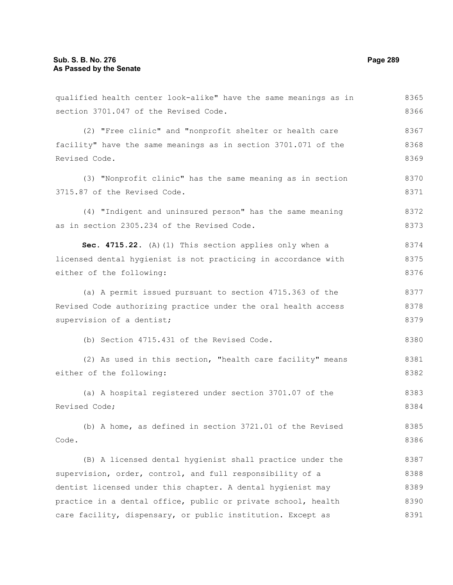qualified health center look-alike" have the same meanings as in section 3701.047 of the Revised Code. (2) "Free clinic" and "nonprofit shelter or health care facility" have the same meanings as in section 3701.071 of the Revised Code. (3) "Nonprofit clinic" has the same meaning as in section 3715.87 of the Revised Code. (4) "Indigent and uninsured person" has the same meaning as in section 2305.234 of the Revised Code. **Sec. 4715.22.** (A)(1) This section applies only when a licensed dental hygienist is not practicing in accordance with either of the following: (a) A permit issued pursuant to section 4715.363 of the Revised Code authorizing practice under the oral health access supervision of a dentist; (b) Section 4715.431 of the Revised Code. (2) As used in this section, "health care facility" means either of the following: (a) A hospital registered under section 3701.07 of the Revised Code; (b) A home, as defined in section 3721.01 of the Revised Code. (B) A licensed dental hygienist shall practice under the supervision, order, control, and full responsibility of a dentist licensed under this chapter. A dental hygienist may practice in a dental office, public or private school, health 8365 8366 8367 8368 8369 8370 8371 8372 8373 8374 8375 8376 8377 8378 8379 8380 8381 8382 8383 8384 8385 8386 8387 8388 8389 8390

care facility, dispensary, or public institution. Except as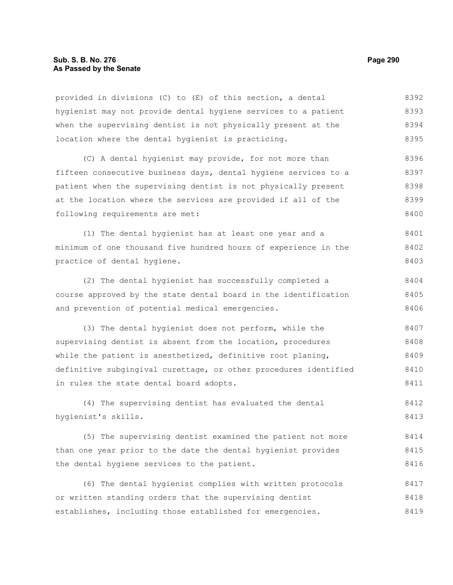#### **Sub. S. B. No. 276 Page 290 As Passed by the Senate**

provided in divisions (C) to (E) of this section, a dental hygienist may not provide dental hygiene services to a patient when the supervising dentist is not physically present at the location where the dental hygienist is practicing. 8392 8393 8394 8395

(C) A dental hygienist may provide, for not more than fifteen consecutive business days, dental hygiene services to a patient when the supervising dentist is not physically present at the location where the services are provided if all of the following requirements are met: 8396 8397 8398 8399 8400

(1) The dental hygienist has at least one year and a minimum of one thousand five hundred hours of experience in the practice of dental hygiene. 8401 8402 8403

(2) The dental hygienist has successfully completed a course approved by the state dental board in the identification and prevention of potential medical emergencies. 8404 8405 8406

(3) The dental hygienist does not perform, while the supervising dentist is absent from the location, procedures while the patient is anesthetized, definitive root planing, definitive subgingival curettage, or other procedures identified in rules the state dental board adopts. 8407 8408 8409 8410 8411

(4) The supervising dentist has evaluated the dental hygienist's skills. 8412 8413

(5) The supervising dentist examined the patient not more than one year prior to the date the dental hygienist provides the dental hygiene services to the patient. 8414 8415 8416

(6) The dental hygienist complies with written protocols or written standing orders that the supervising dentist establishes, including those established for emergencies. 8417 8418 8419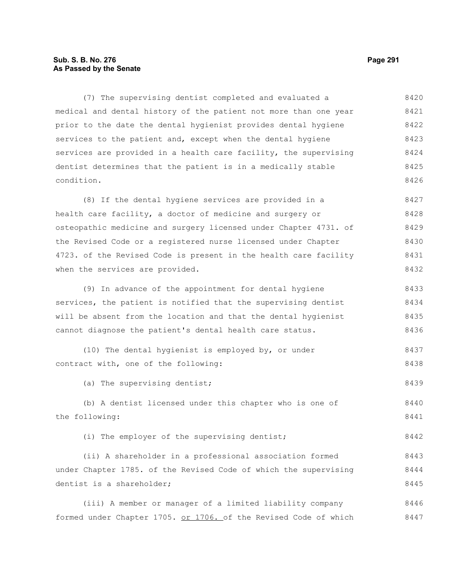## **Sub. S. B. No. 276 Page 291 As Passed by the Senate**

(7) The supervising dentist completed and evaluated a medical and dental history of the patient not more than one year prior to the date the dental hygienist provides dental hygiene services to the patient and, except when the dental hygiene services are provided in a health care facility, the supervising dentist determines that the patient is in a medically stable condition. 8420 8421 8422 8423 8424 8425 8426

(8) If the dental hygiene services are provided in a health care facility, a doctor of medicine and surgery or osteopathic medicine and surgery licensed under Chapter 4731. of the Revised Code or a registered nurse licensed under Chapter 4723. of the Revised Code is present in the health care facility when the services are provided. 8427 8428 8429 8430 8431 8432

(9) In advance of the appointment for dental hygiene services, the patient is notified that the supervising dentist will be absent from the location and that the dental hygienist cannot diagnose the patient's dental health care status. 8433 8434 8435 8436

(10) The dental hygienist is employed by, or under contract with, one of the following: 8437 8438

(a) The supervising dentist; 8439

(b) A dentist licensed under this chapter who is one of the following: 8440 8441

(i) The employer of the supervising dentist;

(ii) A shareholder in a professional association formed under Chapter 1785. of the Revised Code of which the supervising dentist is a shareholder; 8443 8444 8445

(iii) A member or manager of a limited liability company formed under Chapter 1705. or 1706. of the Revised Code of which 8446 8447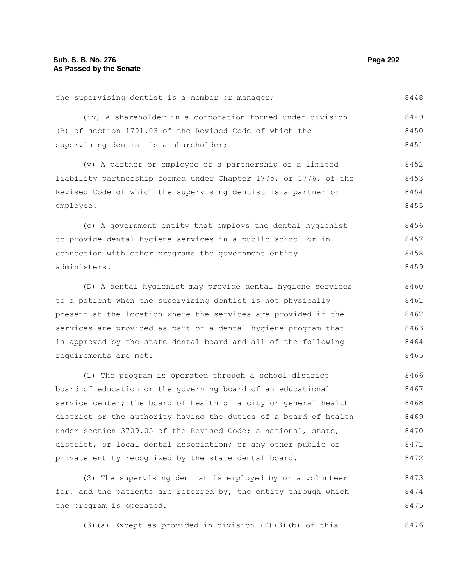#### the supervising dentist is a member or manager; (iv) A shareholder in a corporation formed under division (B) of section 1701.03 of the Revised Code of which the supervising dentist is a shareholder; (v) A partner or employee of a partnership or a limited liability partnership formed under Chapter 1775. or 1776. of the Revised Code of which the supervising dentist is a partner or employee. (c) A government entity that employs the dental hygienist to provide dental hygiene services in a public school or in connection with other programs the government entity administers. (D) A dental hygienist may provide dental hygiene services to a patient when the supervising dentist is not physically present at the location where the services are provided if the services are provided as part of a dental hygiene program that 8448 8449 8450 8451 8452 8453 8454 8455 8456 8457 8458 8459 8460 8461 8462 8463

is approved by the state dental board and all of the following requirements are met: 8464 8465

(1) The program is operated through a school district board of education or the governing board of an educational service center; the board of health of a city or general health district or the authority having the duties of a board of health under section 3709.05 of the Revised Code; a national, state, district, or local dental association; or any other public or private entity recognized by the state dental board. 8466 8467 8468 8469 8470 8471 8472

(2) The supervising dentist is employed by or a volunteer for, and the patients are referred by, the entity through which the program is operated. 8473 8474 8475

(3)(a) Except as provided in division (D)(3)(b) of this 8476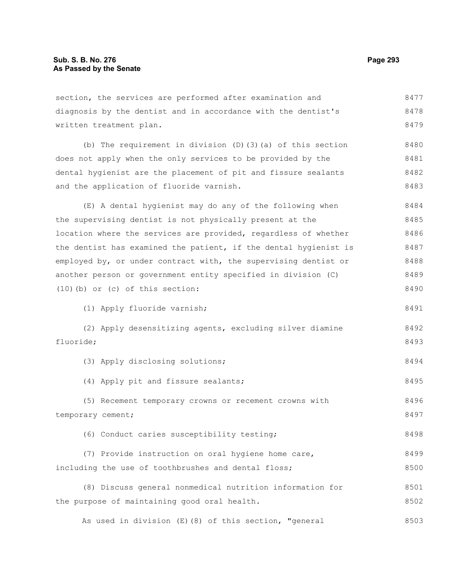| section, the services are performed after examination and         | 8477 |
|-------------------------------------------------------------------|------|
| diagnosis by the dentist and in accordance with the dentist's     | 8478 |
| written treatment plan.                                           | 8479 |
| (b) The requirement in division $(D)$ $(3)$ $(a)$ of this section | 8480 |
| does not apply when the only services to be provided by the       | 8481 |
| dental hygienist are the placement of pit and fissure sealants    | 8482 |
| and the application of fluoride varnish.                          | 8483 |
| (E) A dental hygienist may do any of the following when           | 8484 |
| the supervising dentist is not physically present at the          | 8485 |
| location where the services are provided, regardless of whether   | 8486 |
| the dentist has examined the patient, if the dental hygienist is  | 8487 |
| employed by, or under contract with, the supervising dentist or   | 8488 |
| another person or government entity specified in division (C)     | 8489 |
| $(10)$ (b) or (c) of this section:                                | 8490 |
| (1) Apply fluoride varnish;                                       | 8491 |
| (2) Apply desensitizing agents, excluding silver diamine          | 8492 |
| fluoride;                                                         | 8493 |
| (3) Apply disclosing solutions;                                   | 8494 |
| (4) Apply pit and fissure sealants;                               | 8495 |
| (5) Recement temporary crowns or recement crowns with             | 8496 |
| temporary cement;                                                 | 8497 |
| (6) Conduct caries susceptibility testing;                        | 8498 |
| (7) Provide instruction on oral hygiene home care,                | 8499 |
| including the use of toothbrushes and dental floss;               | 8500 |
| (8) Discuss general nonmedical nutrition information for          | 8501 |
| the purpose of maintaining good oral health.                      | 8502 |

As used in division (E)(8) of this section, "general 8503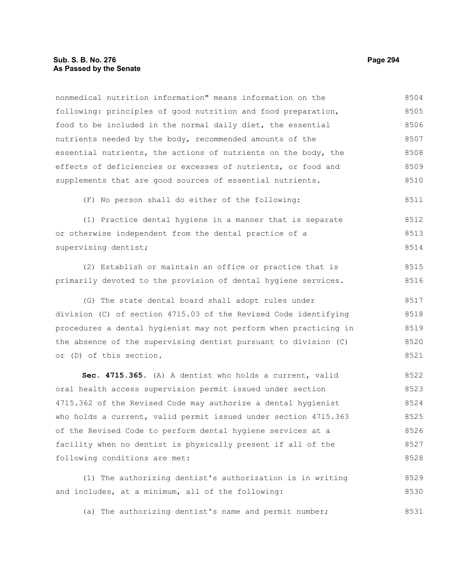following: principles of good nutrition and food preparation, food to be included in the normal daily diet, the essential nutrients needed by the body, recommended amounts of the essential nutrients, the actions of nutrients on the body, the effects of deficiencies or excesses of nutrients, or food and supplements that are good sources of essential nutrients. (F) No person shall do either of the following: (1) Practice dental hygiene in a manner that is separate or otherwise independent from the dental practice of a supervising dentist; (2) Establish or maintain an office or practice that is primarily devoted to the provision of dental hygiene services. (G) The state dental board shall adopt rules under division (C) of section 4715.03 of the Revised Code identifying procedures a dental hygienist may not perform when practicing in the absence of the supervising dentist pursuant to division (C) or (D) of this section. **Sec. 4715.365.** (A) A dentist who holds a current, valid oral health access supervision permit issued under section 4715.362 of the Revised Code may authorize a dental hygienist who holds a current, valid permit issued under section 4715.363 of the Revised Code to perform dental hygiene services at a facility when no dentist is physically present if all of the following conditions are met: 8505 8506 8507 8508 8509 8510 8511 8512 8513 8514 8515 8516 8517 8518 8519 8520 8521 8522 8523 8524 8525 8526 8527 8528

nonmedical nutrition information" means information on the

(1) The authorizing dentist's authorization is in writing and includes, at a minimum, all of the following: 8529 8530

(a) The authorizing dentist's name and permit number; 8531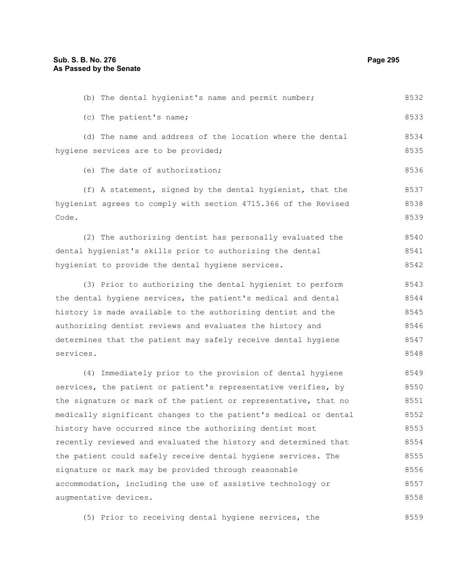| (b) The dental hygienist's name and permit number;               | 8532 |
|------------------------------------------------------------------|------|
| (c) The patient's name;                                          | 8533 |
| (d) The name and address of the location where the dental        | 8534 |
| hygiene services are to be provided;                             | 8535 |
| (e) The date of authorization;                                   | 8536 |
| (f) A statement, signed by the dental hygienist, that the        | 8537 |
| hygienist agrees to comply with section 4715.366 of the Revised  | 8538 |
| Code.                                                            | 8539 |
| (2) The authorizing dentist has personally evaluated the         | 8540 |
| dental hygienist's skills prior to authorizing the dental        | 8541 |
| hygienist to provide the dental hygiene services.                | 8542 |
| (3) Prior to authorizing the dental hygienist to perform         | 8543 |
| the dental hygiene services, the patient's medical and dental    | 8544 |
| history is made available to the authorizing dentist and the     | 8545 |
| authorizing dentist reviews and evaluates the history and        | 8546 |
| determines that the patient may safely receive dental hygiene    | 8547 |
| services.                                                        | 8548 |
| (4) Immediately prior to the provision of dental hygiene         | 8549 |
| services, the patient or patient's representative verifies, by   | 8550 |
| the signature or mark of the patient or representative, that no  | 8551 |
| medically significant changes to the patient's medical or dental | 8552 |
| history have occurred since the authorizing dentist most         | 8553 |
| recently reviewed and evaluated the history and determined that  | 8554 |
| the patient could safely receive dental hygiene services. The    | 8555 |
| signature or mark may be provided through reasonable             | 8556 |
| accommodation, including the use of assistive technology or      | 8557 |
| augmentative devices.                                            | 8558 |
|                                                                  |      |

(5) Prior to receiving dental hygiene services, the 8559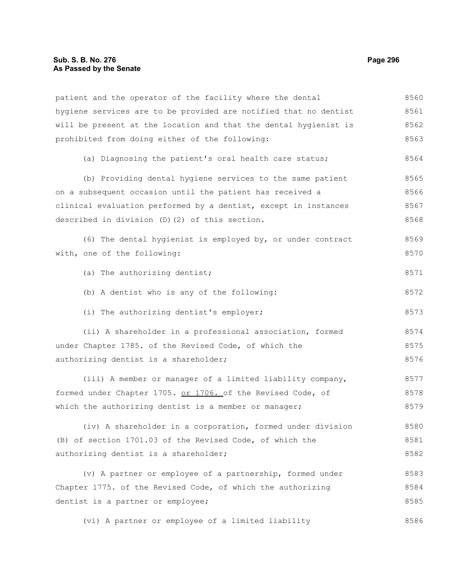patient and the operator of the facility where the dental hygiene services are to be provided are notified that no dentist will be present at the location and that the dental hygienist is prohibited from doing either of the following: (a) Diagnosing the patient's oral health care status; (b) Providing dental hygiene services to the same patient on a subsequent occasion until the patient has received a clinical evaluation performed by a dentist, except in instances described in division (D)(2) of this section. (6) The dental hygienist is employed by, or under contract with, one of the following: (a) The authorizing dentist; (b) A dentist who is any of the following: (i) The authorizing dentist's employer; (ii) A shareholder in a professional association, formed under Chapter 1785. of the Revised Code, of which the authorizing dentist is a shareholder; (iii) A member or manager of a limited liability company, formed under Chapter 1705. or 1706. of the Revised Code, of which the authorizing dentist is a member or manager; (iv) A shareholder in a corporation, formed under division (B) of section 1701.03 of the Revised Code, of which the authorizing dentist is a shareholder; (v) A partner or employee of a partnership, formed under Chapter 1775. of the Revised Code, of which the authorizing dentist is a partner or employee; 8560 8561 8562 8563 8564 8565 8566 8567 8568 8569 8570 8571 8572 8573 8574 8575 8576 8577 8578 8579 8580 8581 8582 8583 8584 8585

(vi) A partner or employee of a limited liability 8586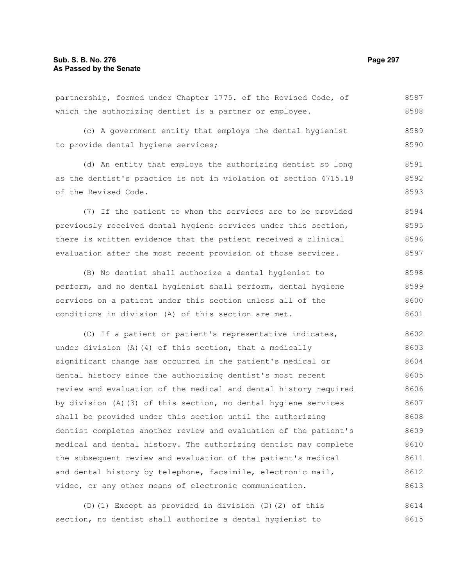8587

8613

which the authorizing dentist is a partner or employee. (c) A government entity that employs the dental hygienist to provide dental hygiene services; (d) An entity that employs the authorizing dentist so long as the dentist's practice is not in violation of section 4715.18 of the Revised Code. (7) If the patient to whom the services are to be provided previously received dental hygiene services under this section, there is written evidence that the patient received a clinical evaluation after the most recent provision of those services. (B) No dentist shall authorize a dental hygienist to perform, and no dental hygienist shall perform, dental hygiene services on a patient under this section unless all of the conditions in division (A) of this section are met. (C) If a patient or patient's representative indicates, under division (A)(4) of this section, that a medically significant change has occurred in the patient's medical or dental history since the authorizing dentist's most recent review and evaluation of the medical and dental history required by division (A)(3) of this section, no dental hygiene services shall be provided under this section until the authorizing dentist completes another review and evaluation of the patient's medical and dental history. The authorizing dentist may complete the subsequent review and evaluation of the patient's medical and dental history by telephone, facsimile, electronic mail, 8588 8589 8590 8591 8592 8593 8594 8595 8596 8597 8598 8599 8600 8601 8602 8603 8604 8605 8606 8607 8608 8609 8610 8611 8612

partnership, formed under Chapter 1775. of the Revised Code, of

(D)(1) Except as provided in division (D)(2) of this section, no dentist shall authorize a dental hygienist to 8614 8615

video, or any other means of electronic communication.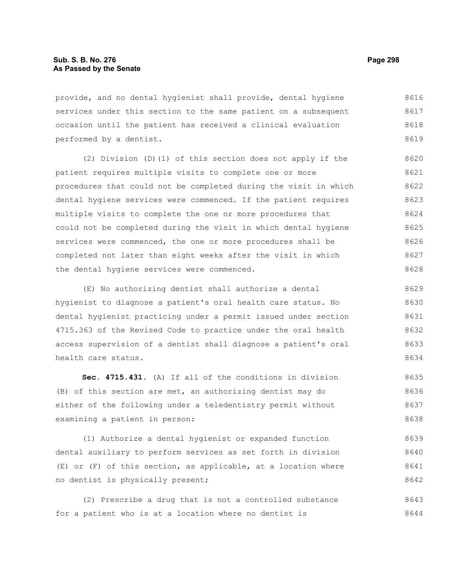provide, and no dental hygienist shall provide, dental hygiene services under this section to the same patient on a subsequent occasion until the patient has received a clinical evaluation performed by a dentist. 8616 8617 8618 8619

(2) Division (D)(1) of this section does not apply if the patient requires multiple visits to complete one or more procedures that could not be completed during the visit in which dental hygiene services were commenced. If the patient requires multiple visits to complete the one or more procedures that could not be completed during the visit in which dental hygiene services were commenced, the one or more procedures shall be completed not later than eight weeks after the visit in which the dental hygiene services were commenced. 8620 8621 8622 8623 8624 8625 8626 8627 8628

(E) No authorizing dentist shall authorize a dental hygienist to diagnose a patient's oral health care status. No dental hygienist practicing under a permit issued under section 4715.363 of the Revised Code to practice under the oral health access supervision of a dentist shall diagnose a patient's oral health care status. 8629 8630 8631 8632 8633 8634

**Sec. 4715.431.** (A) If all of the conditions in division (B) of this section are met, an authorizing dentist may do either of the following under a teledentistry permit without examining a patient in person: 8635 8636 8637 8638

(1) Authorize a dental hygienist or expanded function dental auxiliary to perform services as set forth in division (E) or (F) of this section, as applicable, at a location where no dentist is physically present; 8639 8640 8641 8642

(2) Prescribe a drug that is not a controlled substance for a patient who is at a location where no dentist is 8643 8644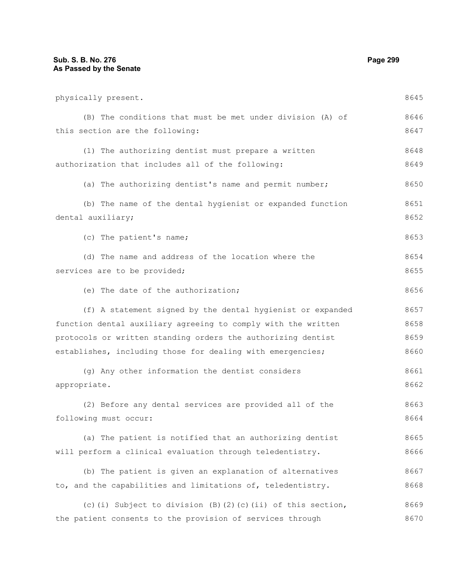| physically present.                                           | 8645 |
|---------------------------------------------------------------|------|
| (B) The conditions that must be met under division (A) of     | 8646 |
| this section are the following:                               | 8647 |
| (1) The authorizing dentist must prepare a written            | 8648 |
| authorization that includes all of the following:             | 8649 |
| (a) The authorizing dentist's name and permit number;         | 8650 |
| (b) The name of the dental hygienist or expanded function     | 8651 |
| dental auxiliary;                                             | 8652 |
| (c) The patient's name;                                       | 8653 |
| (d) The name and address of the location where the            | 8654 |
| services are to be provided;                                  | 8655 |
| (e) The date of the authorization;                            | 8656 |
| (f) A statement signed by the dental hygienist or expanded    | 8657 |
| function dental auxiliary agreeing to comply with the written | 8658 |
| protocols or written standing orders the authorizing dentist  | 8659 |
| establishes, including those for dealing with emergencies;    | 8660 |
| (g) Any other information the dentist considers               | 8661 |
| appropriate.                                                  | 8662 |
| (2) Before any dental services are provided all of the        | 8663 |
| following must occur:                                         | 8664 |
| (a) The patient is notified that an authorizing dentist       | 8665 |
| will perform a clinical evaluation through teledentistry.     | 8666 |
| (b) The patient is given an explanation of alternatives       | 8667 |
| to, and the capabilities and limitations of, teledentistry.   | 8668 |
| (c)(i) Subject to division (B)(2)(c)(ii) of this section,     | 8669 |
| the patient consents to the provision of services through     | 8670 |
|                                                               |      |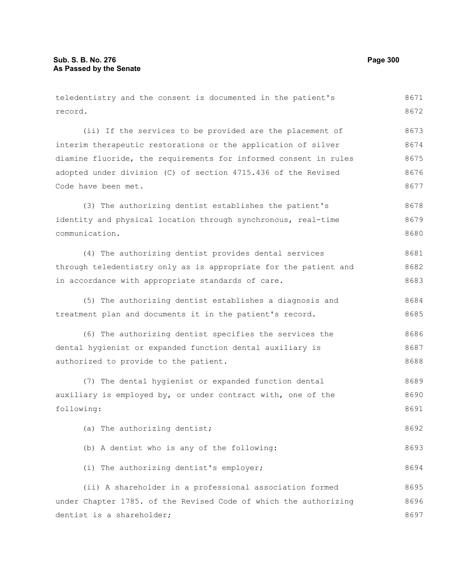| teledentistry and the consent is documented in the patient's     | 8671 |
|------------------------------------------------------------------|------|
| record.                                                          | 8672 |
| (ii) If the services to be provided are the placement of         | 8673 |
| interim therapeutic restorations or the application of silver    | 8674 |
| diamine fluoride, the requirements for informed consent in rules | 8675 |
| adopted under division (C) of section 4715.436 of the Revised    | 8676 |
| Code have been met.                                              | 8677 |
| (3) The authorizing dentist establishes the patient's            | 8678 |
| identity and physical location through synchronous, real-time    | 8679 |
| communication.                                                   | 8680 |
| (4) The authorizing dentist provides dental services             | 8681 |
| through teledentistry only as is appropriate for the patient and | 8682 |
| in accordance with appropriate standards of care.                | 8683 |
| (5) The authorizing dentist establishes a diagnosis and          | 8684 |
| treatment plan and documents it in the patient's record.         | 8685 |
| (6) The authorizing dentist specifies the services the           | 8686 |
| dental hygienist or expanded function dental auxiliary is        | 8687 |
| authorized to provide to the patient.                            | 8688 |
| (7) The dental hygienist or expanded function dental             | 8689 |
| auxiliary is employed by, or under contract with, one of the     | 8690 |
| following:                                                       | 8691 |
| (a) The authorizing dentist;                                     | 8692 |
| (b) A dentist who is any of the following:                       | 8693 |
| (i) The authorizing dentist's employer;                          | 8694 |
| (ii) A shareholder in a professional association formed          | 8695 |
| under Chapter 1785. of the Revised Code of which the authorizing | 8696 |
| dentist is a shareholder;                                        | 8697 |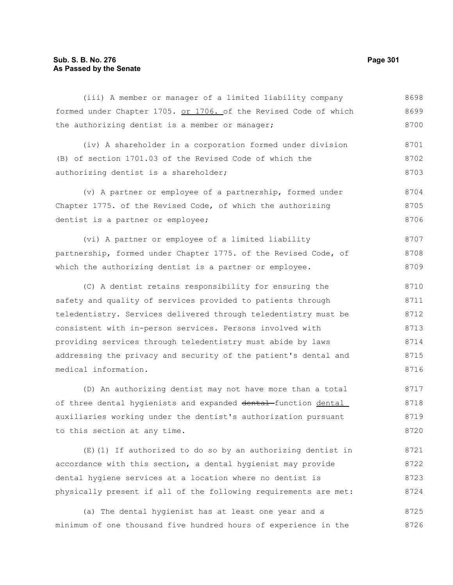## **Sub. S. B. No. 276 Page 301 As Passed by the Senate**

(iii) A member or manager of a limited liability company formed under Chapter 1705. or 1706. of the Revised Code of which the authorizing dentist is a member or manager; 8698 8699 8700

(iv) A shareholder in a corporation formed under division (B) of section 1701.03 of the Revised Code of which the authorizing dentist is a shareholder; 8701 8702 8703

(v) A partner or employee of a partnership, formed under Chapter 1775. of the Revised Code, of which the authorizing dentist is a partner or employee; 8704 8705 8706

(vi) A partner or employee of a limited liability partnership, formed under Chapter 1775. of the Revised Code, of which the authorizing dentist is a partner or employee. 8707 8708 8709

(C) A dentist retains responsibility for ensuring the safety and quality of services provided to patients through teledentistry. Services delivered through teledentistry must be consistent with in-person services. Persons involved with providing services through teledentistry must abide by laws addressing the privacy and security of the patient's dental and medical information. 8710 8711 8712 8713 8714 8715 8716

(D) An authorizing dentist may not have more than a total of three dental hygienists and expanded dental function dental auxiliaries working under the dentist's authorization pursuant to this section at any time. 8717 8718 8719 8720

(E)(1) If authorized to do so by an authorizing dentist in accordance with this section, a dental hygienist may provide dental hygiene services at a location where no dentist is physically present if all of the following requirements are met: 8721 8722 8723 8724

(a) The dental hygienist has at least one year and a minimum of one thousand five hundred hours of experience in the 8725 8726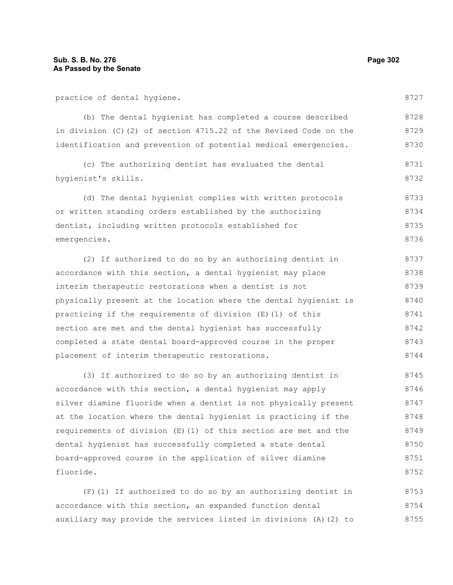practice of dental hygiene.

(b) The dental hygienist has completed a course described in division (C)(2) of section 4715.22 of the Revised Code on the identification and prevention of potential medical emergencies. 8728 8729 8730

(c) The authorizing dentist has evaluated the dental hygienist's skills. 8731 8732

(d) The dental hygienist complies with written protocols or written standing orders established by the authorizing dentist, including written protocols established for emergencies. 8733 8734 8735 8736

(2) If authorized to do so by an authorizing dentist in accordance with this section, a dental hygienist may place interim therapeutic restorations when a dentist is not physically present at the location where the dental hygienist is practicing if the requirements of division (E)(1) of this section are met and the dental hygienist has successfully completed a state dental board-approved course in the proper placement of interim therapeutic restorations. 8737 8738 8739 8740 8741 8742 8743 8744

(3) If authorized to do so by an authorizing dentist in accordance with this section, a dental hygienist may apply silver diamine fluoride when a dentist is not physically present at the location where the dental hygienist is practicing if the requirements of division (E)(1) of this section are met and the dental hygienist has successfully completed a state dental board-approved course in the application of silver diamine fluoride. 8745 8746 8747 8748 8749 8750 8751 8752

(F)(1) If authorized to do so by an authorizing dentist in accordance with this section, an expanded function dental auxiliary may provide the services listed in divisions (A)(2) to 8753 8754 8755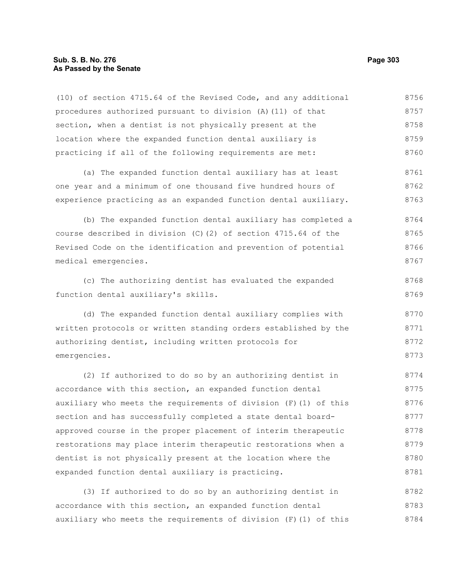#### **Sub. S. B. No. 276 Page 303 As Passed by the Senate**

(10) of section 4715.64 of the Revised Code, and any additional procedures authorized pursuant to division (A)(11) of that section, when a dentist is not physically present at the location where the expanded function dental auxiliary is practicing if all of the following requirements are met: (a) The expanded function dental auxiliary has at least one year and a minimum of one thousand five hundred hours of experience practicing as an expanded function dental auxiliary. (b) The expanded function dental auxiliary has completed a course described in division (C)(2) of section 4715.64 of the Revised Code on the identification and prevention of potential medical emergencies. (c) The authorizing dentist has evaluated the expanded function dental auxiliary's skills. (d) The expanded function dental auxiliary complies with written protocols or written standing orders established by the authorizing dentist, including written protocols for emergencies. (2) If authorized to do so by an authorizing dentist in accordance with this section, an expanded function dental auxiliary who meets the requirements of division  $(F)$  (1) of this section and has successfully completed a state dental boardapproved course in the proper placement of interim therapeutic restorations may place interim therapeutic restorations when a dentist is not physically present at the location where the 8756 8757 8758 8759 8760 8761 8762 8763 8764 8765 8766 8767 8768 8769 8770 8771 8772 8773 8774 8775 8776 8777 8778 8779 8780

(3) If authorized to do so by an authorizing dentist in accordance with this section, an expanded function dental auxiliary who meets the requirements of division (F)(1) of this 8782 8783 8784

expanded function dental auxiliary is practicing.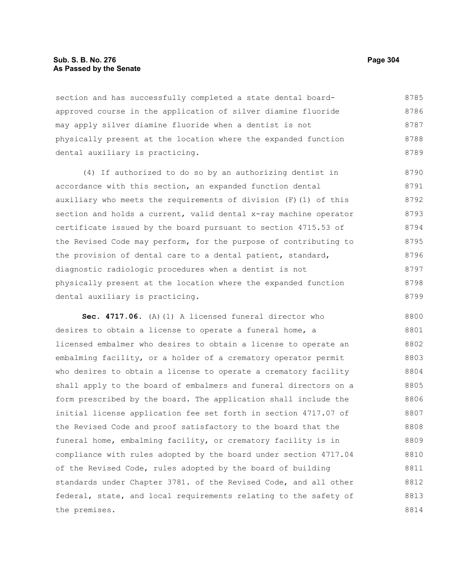#### **Sub. S. B. No. 276 Page 304 As Passed by the Senate**

section and has successfully completed a state dental boardapproved course in the application of silver diamine fluoride may apply silver diamine fluoride when a dentist is not physically present at the location where the expanded function dental auxiliary is practicing. 8785 8786 8787 8788 8789

(4) If authorized to do so by an authorizing dentist in accordance with this section, an expanded function dental auxiliary who meets the requirements of division (F)(1) of this section and holds a current, valid dental x-ray machine operator certificate issued by the board pursuant to section 4715.53 of the Revised Code may perform, for the purpose of contributing to the provision of dental care to a dental patient, standard, diagnostic radiologic procedures when a dentist is not physically present at the location where the expanded function dental auxiliary is practicing. 8790 8791 8792 8793 8794 8795 8796 8797 8798 8799

**Sec. 4717.06.** (A)(1) A licensed funeral director who desires to obtain a license to operate a funeral home, a licensed embalmer who desires to obtain a license to operate an embalming facility, or a holder of a crematory operator permit who desires to obtain a license to operate a crematory facility shall apply to the board of embalmers and funeral directors on a form prescribed by the board. The application shall include the initial license application fee set forth in section 4717.07 of the Revised Code and proof satisfactory to the board that the funeral home, embalming facility, or crematory facility is in compliance with rules adopted by the board under section 4717.04 of the Revised Code, rules adopted by the board of building standards under Chapter 3781. of the Revised Code, and all other federal, state, and local requirements relating to the safety of the premises. 8800 8801 8802 8803 8804 8805 8806 8807 8808 8809 8810 8811 8812 8813 8814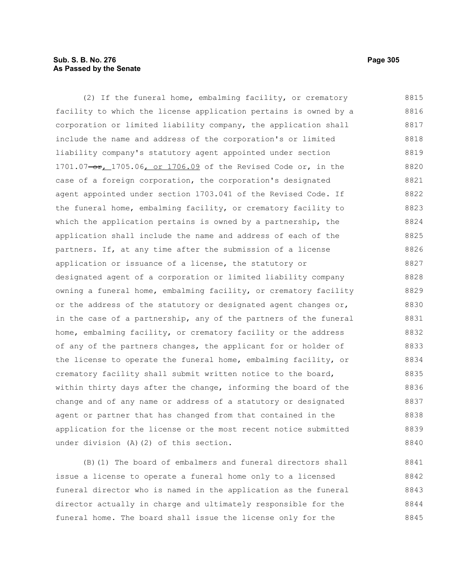## **Sub. S. B. No. 276 Page 305 As Passed by the Senate**

(2) If the funeral home, embalming facility, or crematory facility to which the license application pertains is owned by a corporation or limited liability company, the application shall include the name and address of the corporation's or limited liability company's statutory agent appointed under section 1701.07-or, 1705.06, or 1706.09 of the Revised Code or, in the case of a foreign corporation, the corporation's designated agent appointed under section 1703.041 of the Revised Code. If the funeral home, embalming facility, or crematory facility to which the application pertains is owned by a partnership, the application shall include the name and address of each of the partners. If, at any time after the submission of a license application or issuance of a license, the statutory or designated agent of a corporation or limited liability company owning a funeral home, embalming facility, or crematory facility or the address of the statutory or designated agent changes or, in the case of a partnership, any of the partners of the funeral home, embalming facility, or crematory facility or the address of any of the partners changes, the applicant for or holder of the license to operate the funeral home, embalming facility, or crematory facility shall submit written notice to the board, within thirty days after the change, informing the board of the change and of any name or address of a statutory or designated agent or partner that has changed from that contained in the application for the license or the most recent notice submitted under division (A)(2) of this section. 8815 8816 8817 8818 8819 8820 8821 8822 8823 8824 8825 8826 8827 8828 8829 8830 8831 8832 8833 8834 8835 8836 8837 8838 8839 8840

(B)(1) The board of embalmers and funeral directors shall issue a license to operate a funeral home only to a licensed funeral director who is named in the application as the funeral director actually in charge and ultimately responsible for the funeral home. The board shall issue the license only for the 8841 8842 8843 8844 8845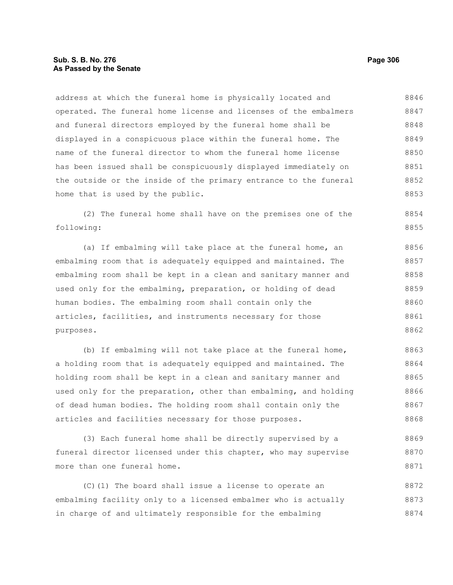address at which the funeral home is physically located and operated. The funeral home license and licenses of the embalmers and funeral directors employed by the funeral home shall be displayed in a conspicuous place within the funeral home. The name of the funeral director to whom the funeral home license has been issued shall be conspicuously displayed immediately on the outside or the inside of the primary entrance to the funeral home that is used by the public. 8846 8847 8848 8849 8850 8851 8852 8853

(2) The funeral home shall have on the premises one of the following: 8854 8855

(a) If embalming will take place at the funeral home, an embalming room that is adequately equipped and maintained. The embalming room shall be kept in a clean and sanitary manner and used only for the embalming, preparation, or holding of dead human bodies. The embalming room shall contain only the articles, facilities, and instruments necessary for those purposes. 8856 8857 8858 8859 8860 8861 8862

(b) If embalming will not take place at the funeral home, a holding room that is adequately equipped and maintained. The holding room shall be kept in a clean and sanitary manner and used only for the preparation, other than embalming, and holding of dead human bodies. The holding room shall contain only the articles and facilities necessary for those purposes. 8863 8864 8865 8866 8867 8868

(3) Each funeral home shall be directly supervised by a funeral director licensed under this chapter, who may supervise more than one funeral home. 8869 8870 8871

(C)(1) The board shall issue a license to operate an embalming facility only to a licensed embalmer who is actually in charge of and ultimately responsible for the embalming 8872 8873 8874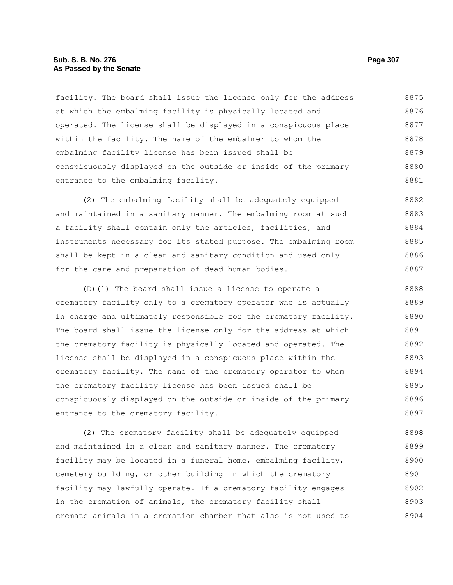#### **Sub. S. B. No. 276 Page 307 As Passed by the Senate**

facility. The board shall issue the license only for the address at which the embalming facility is physically located and operated. The license shall be displayed in a conspicuous place within the facility. The name of the embalmer to whom the embalming facility license has been issued shall be conspicuously displayed on the outside or inside of the primary entrance to the embalming facility. 8875 8876 8877 8878 8879 8880 8881

(2) The embalming facility shall be adequately equipped and maintained in a sanitary manner. The embalming room at such a facility shall contain only the articles, facilities, and instruments necessary for its stated purpose. The embalming room shall be kept in a clean and sanitary condition and used only for the care and preparation of dead human bodies. 8882 8883 8884 8885 8886 8887

(D)(1) The board shall issue a license to operate a crematory facility only to a crematory operator who is actually in charge and ultimately responsible for the crematory facility. The board shall issue the license only for the address at which the crematory facility is physically located and operated. The license shall be displayed in a conspicuous place within the crematory facility. The name of the crematory operator to whom the crematory facility license has been issued shall be conspicuously displayed on the outside or inside of the primary entrance to the crematory facility. 8888 8889 8890 8891 8892 8893 8894 8895 8896 8897

(2) The crematory facility shall be adequately equipped and maintained in a clean and sanitary manner. The crematory facility may be located in a funeral home, embalming facility, cemetery building, or other building in which the crematory facility may lawfully operate. If a crematory facility engages in the cremation of animals, the crematory facility shall cremate animals in a cremation chamber that also is not used to 8898 8899 8900 8901 8902 8903 8904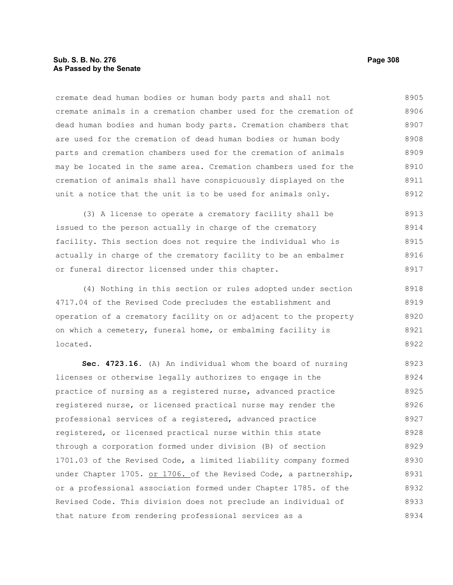#### **Sub. S. B. No. 276 Page 308 As Passed by the Senate**

cremate dead human bodies or human body parts and shall not cremate animals in a cremation chamber used for the cremation of dead human bodies and human body parts. Cremation chambers that are used for the cremation of dead human bodies or human body parts and cremation chambers used for the cremation of animals may be located in the same area. Cremation chambers used for the cremation of animals shall have conspicuously displayed on the unit a notice that the unit is to be used for animals only. 8905 8906 8907 8908 8909 8910 8911 8912

(3) A license to operate a crematory facility shall be issued to the person actually in charge of the crematory facility. This section does not require the individual who is actually in charge of the crematory facility to be an embalmer or funeral director licensed under this chapter. 8913 8914 8915 8916 8917

(4) Nothing in this section or rules adopted under section 4717.04 of the Revised Code precludes the establishment and operation of a crematory facility on or adjacent to the property on which a cemetery, funeral home, or embalming facility is located. 8918 8919 8920 8921 8922

**Sec. 4723.16.** (A) An individual whom the board of nursing licenses or otherwise legally authorizes to engage in the practice of nursing as a registered nurse, advanced practice registered nurse, or licensed practical nurse may render the professional services of a registered, advanced practice registered, or licensed practical nurse within this state through a corporation formed under division (B) of section 1701.03 of the Revised Code, a limited liability company formed under Chapter 1705. or 1706. of the Revised Code, a partnership, or a professional association formed under Chapter 1785. of the Revised Code. This division does not preclude an individual of that nature from rendering professional services as a 8923 8924 8925 8926 8927 8928 8929 8930 8931 8932 8933 8934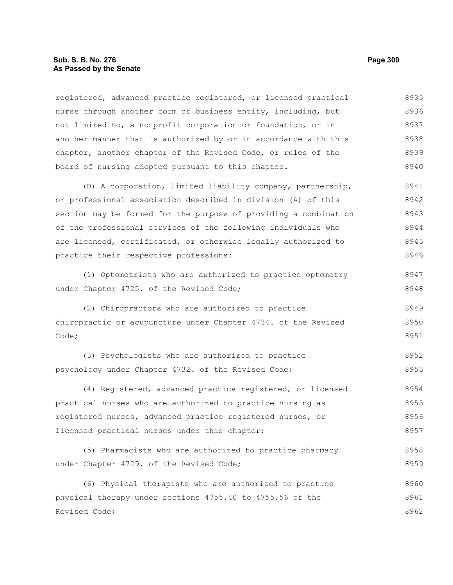#### **Sub. S. B. No. 276 Page 309 As Passed by the Senate**

registered, advanced practice registered, or licensed practical nurse through another form of business entity, including, but not limited to, a nonprofit corporation or foundation, or in another manner that is authorized by or in accordance with this chapter, another chapter of the Revised Code, or rules of the board of nursing adopted pursuant to this chapter. (B) A corporation, limited liability company, partnership, or professional association described in division (A) of this section may be formed for the purpose of providing a combination of the professional services of the following individuals who are licensed, certificated, or otherwise legally authorized to practice their respective professions: (1) Optometrists who are authorized to practice optometry under Chapter 4725. of the Revised Code; (2) Chiropractors who are authorized to practice chiropractic or acupuncture under Chapter 4734. of the Revised Code; (3) Psychologists who are authorized to practice psychology under Chapter 4732. of the Revised Code; (4) Registered, advanced practice registered, or licensed practical nurses who are authorized to practice nursing as registered nurses, advanced practice registered nurses, or licensed practical nurses under this chapter; (5) Pharmacists who are authorized to practice pharmacy under Chapter 4729. of the Revised Code; (6) Physical therapists who are authorized to practice 8935 8936 8937 8938 8939 8940 8941 8942 8943 8944 8945 8946 8947 8948 8949 8950 8951 8952 8953 8954 8955 8956 8957 8958 8959 8960

physical therapy under sections 4755.40 to 4755.56 of the Revised Code; 8961 8962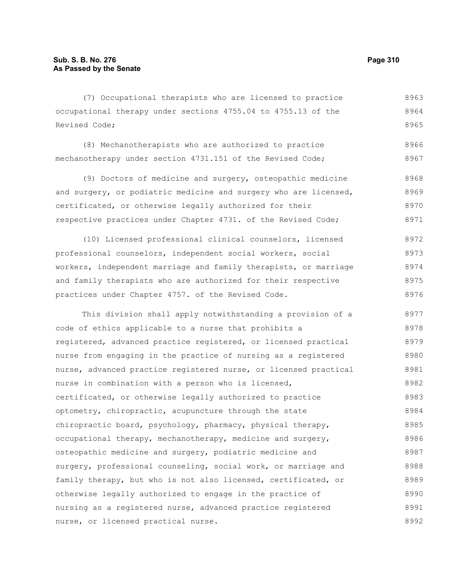(7) Occupational therapists who are licensed to practice occupational therapy under sections 4755.04 to 4755.13 of the Revised Code; 8963 8964 8965

(8) Mechanotherapists who are authorized to practice mechanotherapy under section 4731.151 of the Revised Code; 8966 8967

(9) Doctors of medicine and surgery, osteopathic medicine and surgery, or podiatric medicine and surgery who are licensed, certificated, or otherwise legally authorized for their respective practices under Chapter 4731. of the Revised Code; 8968 8969 8970 8971

(10) Licensed professional clinical counselors, licensed professional counselors, independent social workers, social workers, independent marriage and family therapists, or marriage and family therapists who are authorized for their respective practices under Chapter 4757. of the Revised Code. 8972 8973 8974 8975 8976

This division shall apply notwithstanding a provision of a code of ethics applicable to a nurse that prohibits a registered, advanced practice registered, or licensed practical nurse from engaging in the practice of nursing as a registered nurse, advanced practice registered nurse, or licensed practical nurse in combination with a person who is licensed, certificated, or otherwise legally authorized to practice optometry, chiropractic, acupuncture through the state chiropractic board, psychology, pharmacy, physical therapy, occupational therapy, mechanotherapy, medicine and surgery, osteopathic medicine and surgery, podiatric medicine and surgery, professional counseling, social work, or marriage and family therapy, but who is not also licensed, certificated, or otherwise legally authorized to engage in the practice of nursing as a registered nurse, advanced practice registered nurse, or licensed practical nurse. 8977 8978 8979 8980 8981 8982 8983 8984 8985 8986 8987 8988 8989 8990 8991 8992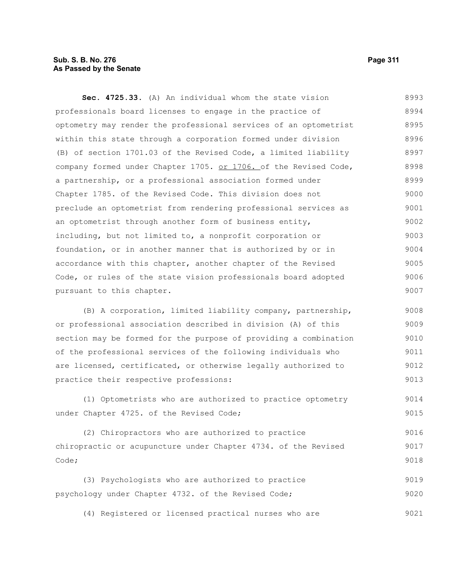## **Sub. S. B. No. 276 Page 311 As Passed by the Senate**

**Sec. 4725.33.** (A) An individual whom the state vision professionals board licenses to engage in the practice of optometry may render the professional services of an optometrist within this state through a corporation formed under division (B) of section 1701.03 of the Revised Code, a limited liability company formed under Chapter 1705. or 1706. of the Revised Code, a partnership, or a professional association formed under Chapter 1785. of the Revised Code. This division does not preclude an optometrist from rendering professional services as an optometrist through another form of business entity, including, but not limited to, a nonprofit corporation or foundation, or in another manner that is authorized by or in accordance with this chapter, another chapter of the Revised Code, or rules of the state vision professionals board adopted pursuant to this chapter. 8993 8994 8995 8996 8997 8998 8999 9000 9001 9002 9003 9004 9005 9006 9007

(B) A corporation, limited liability company, partnership, or professional association described in division (A) of this section may be formed for the purpose of providing a combination of the professional services of the following individuals who are licensed, certificated, or otherwise legally authorized to practice their respective professions: 9008 9009 9010 9011 9012 9013

(1) Optometrists who are authorized to practice optometry under Chapter 4725. of the Revised Code; 9014 9015

(2) Chiropractors who are authorized to practice chiropractic or acupuncture under Chapter 4734. of the Revised Code; 9016 9017 9018

(3) Psychologists who are authorized to practice psychology under Chapter 4732. of the Revised Code; 9019 9020

(4) Registered or licensed practical nurses who are 9021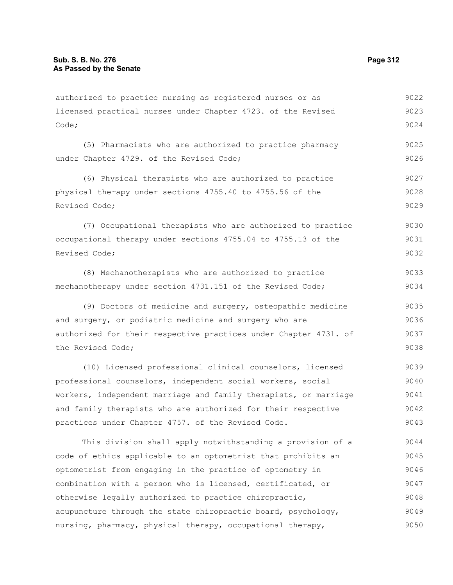#### authorized to practice nursing as registered nurses or as licensed practical nurses under Chapter 4723. of the Revised Code; (5) Pharmacists who are authorized to practice pharmacy under Chapter 4729. of the Revised Code; (6) Physical therapists who are authorized to practice physical therapy under sections 4755.40 to 4755.56 of the Revised Code; (7) Occupational therapists who are authorized to practice occupational therapy under sections 4755.04 to 4755.13 of the Revised Code; (8) Mechanotherapists who are authorized to practice mechanotherapy under section 4731.151 of the Revised Code; (9) Doctors of medicine and surgery, osteopathic medicine and surgery, or podiatric medicine and surgery who are authorized for their respective practices under Chapter 4731. of the Revised Code; (10) Licensed professional clinical counselors, licensed professional counselors, independent social workers, social workers, independent marriage and family therapists, or marriage and family therapists who are authorized for their respective practices under Chapter 4757. of the Revised Code. This division shall apply notwithstanding a provision of a code of ethics applicable to an optometrist that prohibits an optometrist from engaging in the practice of optometry in combination with a person who is licensed, certificated, or 9022 9023 9024 9025 9026 9027 9028 9029 9030 9031 9032 9033 9034 9035 9036 9037 9038 9039 9040 9041 9042 9043 9044 9045 9046 9047

otherwise legally authorized to practice chiropractic, acupuncture through the state chiropractic board, psychology, nursing, pharmacy, physical therapy, occupational therapy, 9048 9049 9050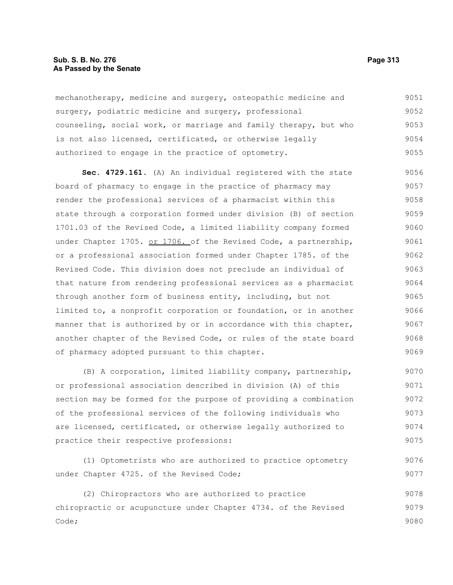#### **Sub. S. B. No. 276 Page 313 As Passed by the Senate**

mechanotherapy, medicine and surgery, osteopathic medicine and surgery, podiatric medicine and surgery, professional counseling, social work, or marriage and family therapy, but who is not also licensed, certificated, or otherwise legally authorized to engage in the practice of optometry. 9051 9052 9053 9054 9055

**Sec. 4729.161.** (A) An individual registered with the state board of pharmacy to engage in the practice of pharmacy may render the professional services of a pharmacist within this state through a corporation formed under division (B) of section 1701.03 of the Revised Code, a limited liability company formed under Chapter 1705. or 1706. of the Revised Code, a partnership, or a professional association formed under Chapter 1785. of the Revised Code. This division does not preclude an individual of that nature from rendering professional services as a pharmacist through another form of business entity, including, but not limited to, a nonprofit corporation or foundation, or in another manner that is authorized by or in accordance with this chapter, another chapter of the Revised Code, or rules of the state board of pharmacy adopted pursuant to this chapter. 9056 9057 9058 9059 9060 9061 9062 9063 9064 9065 9066 9067 9068 9069

(B) A corporation, limited liability company, partnership, or professional association described in division (A) of this section may be formed for the purpose of providing a combination of the professional services of the following individuals who are licensed, certificated, or otherwise legally authorized to practice their respective professions: 9070 9071 9072 9073 9074 9075

(1) Optometrists who are authorized to practice optometry under Chapter 4725. of the Revised Code; 9076 9077

(2) Chiropractors who are authorized to practice chiropractic or acupuncture under Chapter 4734. of the Revised Code; 9078 9079 9080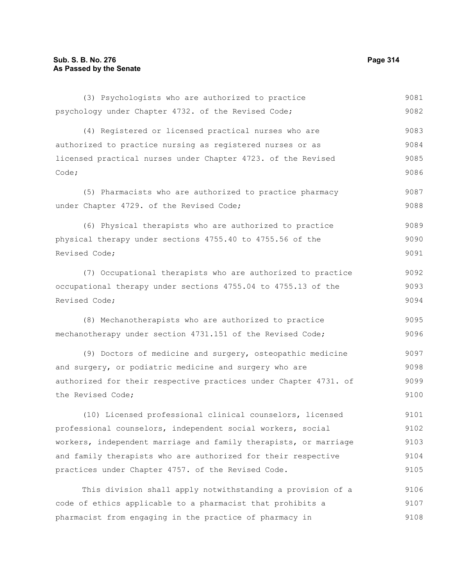(3) Psychologists who are authorized to practice psychology under Chapter 4732. of the Revised Code; (4) Registered or licensed practical nurses who are authorized to practice nursing as registered nurses or as licensed practical nurses under Chapter 4723. of the Revised Code; (5) Pharmacists who are authorized to practice pharmacy under Chapter 4729. of the Revised Code; (6) Physical therapists who are authorized to practice physical therapy under sections 4755.40 to 4755.56 of the Revised Code; (7) Occupational therapists who are authorized to practice occupational therapy under sections 4755.04 to 4755.13 of the Revised Code; (8) Mechanotherapists who are authorized to practice mechanotherapy under section 4731.151 of the Revised Code; (9) Doctors of medicine and surgery, osteopathic medicine and surgery, or podiatric medicine and surgery who are authorized for their respective practices under Chapter 4731. of the Revised Code; (10) Licensed professional clinical counselors, licensed professional counselors, independent social workers, social workers, independent marriage and family therapists, or marriage and family therapists who are authorized for their respective practices under Chapter 4757. of the Revised Code. This division shall apply notwithstanding a provision of a code of ethics applicable to a pharmacist that prohibits a 9081 9082 9083 9084 9085 9086 9087 9088 9089 9090 9091 9092 9093 9094 9095 9096 9097 9098 9099 9100 9101 9102 9103 9104 9105 9106 9107

pharmacist from engaging in the practice of pharmacy in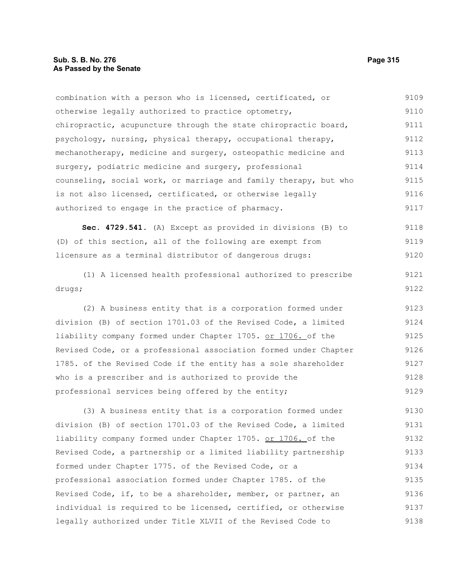combination with a person who is licensed, certificated, or otherwise legally authorized to practice optometry, chiropractic, acupuncture through the state chiropractic board, psychology, nursing, physical therapy, occupational therapy, mechanotherapy, medicine and surgery, osteopathic medicine and surgery, podiatric medicine and surgery, professional counseling, social work, or marriage and family therapy, but who is not also licensed, certificated, or otherwise legally authorized to engage in the practice of pharmacy. 9109 9110 9111 9112 9113 9114 9115 9116 9117

**Sec. 4729.541.** (A) Except as provided in divisions (B) to (D) of this section, all of the following are exempt from licensure as a terminal distributor of dangerous drugs: 9118 9119 9120

(1) A licensed health professional authorized to prescribe drugs;

(2) A business entity that is a corporation formed under division (B) of section 1701.03 of the Revised Code, a limited liability company formed under Chapter 1705. or 1706. of the Revised Code, or a professional association formed under Chapter 1785. of the Revised Code if the entity has a sole shareholder who is a prescriber and is authorized to provide the professional services being offered by the entity; 9123 9124 9125 9126 9127 9128 9129

(3) A business entity that is a corporation formed under division (B) of section 1701.03 of the Revised Code, a limited liability company formed under Chapter 1705. or 1706. of the Revised Code, a partnership or a limited liability partnership formed under Chapter 1775. of the Revised Code, or a professional association formed under Chapter 1785. of the Revised Code, if, to be a shareholder, member, or partner, an individual is required to be licensed, certified, or otherwise legally authorized under Title XLVII of the Revised Code to 9130 9131 9132 9133 9134 9135 9136 9137 9138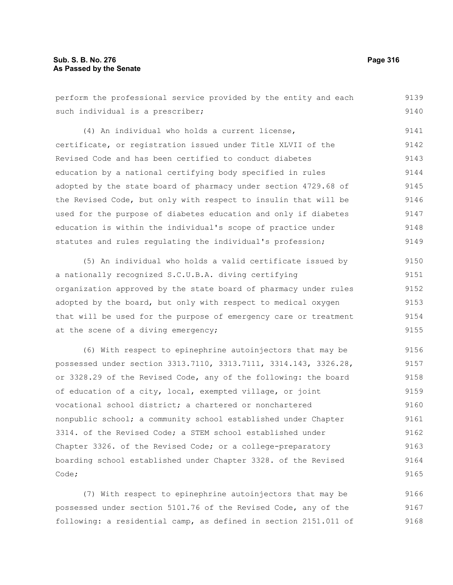| perform the professional service provided by the entity and each | 9139 |
|------------------------------------------------------------------|------|
| such individual is a prescriber;                                 | 9140 |
| (4) An individual who holds a current license,                   | 9141 |
| certificate, or registration issued under Title XLVII of the     | 9142 |
| Revised Code and has been certified to conduct diabetes          | 9143 |
| education by a national certifying body specified in rules       | 9144 |
| adopted by the state board of pharmacy under section 4729.68 of  | 9145 |
| the Revised Code, but only with respect to insulin that will be  | 9146 |
| used for the purpose of diabetes education and only if diabetes  | 9147 |
| education is within the individual's scope of practice under     | 9148 |
| statutes and rules regulating the individual's profession;       | 9149 |
| (5) An individual who holds a valid certificate issued by        | 9150 |
| a nationally recognized S.C.U.B.A. diving certifying             | 9151 |
| organization approved by the state board of pharmacy under rules | 9152 |
| adopted by the board, but only with respect to medical oxygen    | 9153 |
| that will be used for the purpose of emergency care or treatment | 9154 |
| at the scene of a diving emergency;                              | 9155 |
| (6) With respect to epinephrine autoinjectors that may be        | 9156 |
| possessed under section 3313.7110, 3313.7111, 3314.143, 3326.28, | 9157 |
| or 3328.29 of the Revised Code, any of the following: the board  | 9158 |
| of education of a city, local, exempted village, or joint        | 9159 |
| vocational school district; a chartered or nonchartered          | 9160 |
| nonpublic school; a community school established under Chapter   | 9161 |
| 3314, of the Revised Code: a STEM school established under       | 9162 |

Chapter 3326. of the Revised Code; or a college-preparatory boarding school established under Chapter 3328. of the Revised Code; 9163 9164 9165

(7) With respect to epinephrine autoinjectors that may be possessed under section 5101.76 of the Revised Code, any of the following: a residential camp, as defined in section 2151.011 of 9166 9167 9168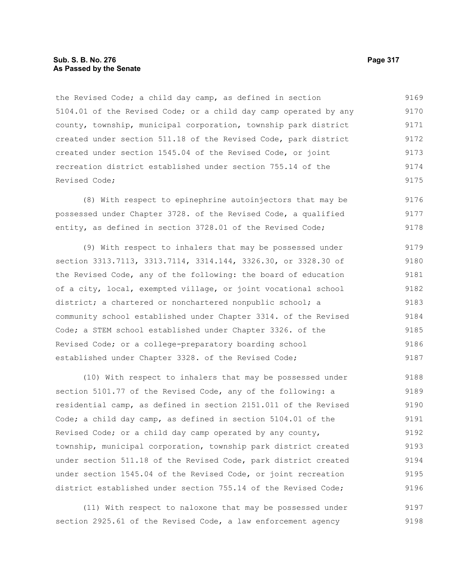## **Sub. S. B. No. 276 Page 317 As Passed by the Senate**

the Revised Code; a child day camp, as defined in section 5104.01 of the Revised Code; or a child day camp operated by any county, township, municipal corporation, township park district created under section 511.18 of the Revised Code, park district created under section 1545.04 of the Revised Code, or joint recreation district established under section 755.14 of the Revised Code; 9169 9170 9171 9172 9173 9174 9175

(8) With respect to epinephrine autoinjectors that may be possessed under Chapter 3728. of the Revised Code, a qualified entity, as defined in section 3728.01 of the Revised Code; 9176 9177 9178

(9) With respect to inhalers that may be possessed under section 3313.7113, 3313.7114, 3314.144, 3326.30, or 3328.30 of the Revised Code, any of the following: the board of education of a city, local, exempted village, or joint vocational school district; a chartered or nonchartered nonpublic school; a community school established under Chapter 3314. of the Revised Code; a STEM school established under Chapter 3326. of the Revised Code; or a college-preparatory boarding school established under Chapter 3328. of the Revised Code; 9179 9180 9181 9182 9183 9184 9185 9186 9187

(10) With respect to inhalers that may be possessed under section 5101.77 of the Revised Code, any of the following: a residential camp, as defined in section 2151.011 of the Revised Code; a child day camp, as defined in section 5104.01 of the Revised Code; or a child day camp operated by any county, township, municipal corporation, township park district created under section 511.18 of the Revised Code, park district created under section 1545.04 of the Revised Code, or joint recreation district established under section 755.14 of the Revised Code; 9188 9189 9190 9191 9192 9193 9194 9195 9196

(11) With respect to naloxone that may be possessed under section 2925.61 of the Revised Code, a law enforcement agency 9197 9198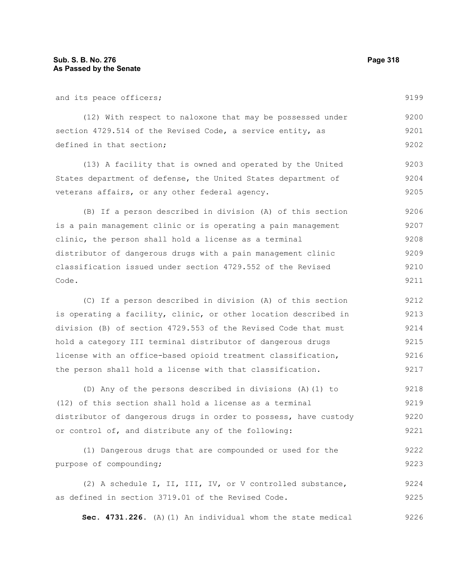9225

| and its peace officers;                                          | 9199 |
|------------------------------------------------------------------|------|
| (12) With respect to naloxone that may be possessed under        | 9200 |
| section 4729.514 of the Revised Code, a service entity, as       | 9201 |
| defined in that section;                                         | 9202 |
| (13) A facility that is owned and operated by the United         | 9203 |
| States department of defense, the United States department of    | 9204 |
| veterans affairs, or any other federal agency.                   | 9205 |
| (B) If a person described in division (A) of this section        | 9206 |
| is a pain management clinic or is operating a pain management    | 9207 |
| clinic, the person shall hold a license as a terminal            | 9208 |
| distributor of dangerous drugs with a pain management clinic     | 9209 |
| classification issued under section 4729.552 of the Revised      | 9210 |
| Code.                                                            | 9211 |
| (C) If a person described in division (A) of this section        | 9212 |
| is operating a facility, clinic, or other location described in  | 9213 |
| division (B) of section 4729.553 of the Revised Code that must   | 9214 |
| hold a category III terminal distributor of dangerous drugs      | 9215 |
| license with an office-based opioid treatment classification,    | 9216 |
| the person shall hold a license with that classification.        | 9217 |
| (D) Any of the persons described in divisions (A) (1) to         | 9218 |
| (12) of this section shall hold a license as a terminal          | 9219 |
| distributor of dangerous drugs in order to possess, have custody | 9220 |
| or control of, and distribute any of the following:              | 9221 |
| (1) Dangerous drugs that are compounded or used for the          | 9222 |
|                                                                  |      |
| purpose of compounding;                                          | 9223 |

**Sec. 4731.226.** (A)(1) An individual whom the state medical 9226

as defined in section 3719.01 of the Revised Code.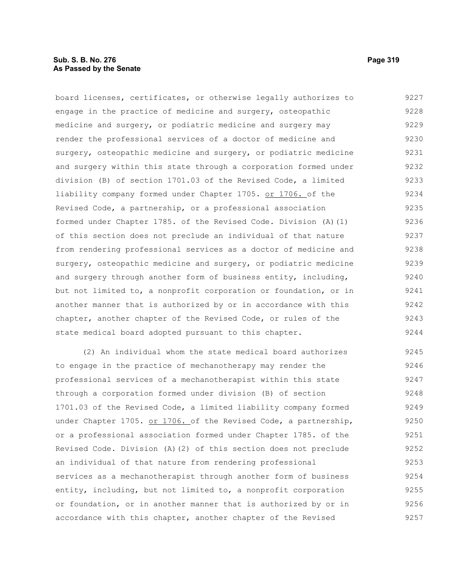## **Sub. S. B. No. 276 Page 319 As Passed by the Senate**

board licenses, certificates, or otherwise legally authorizes to engage in the practice of medicine and surgery, osteopathic medicine and surgery, or podiatric medicine and surgery may render the professional services of a doctor of medicine and surgery, osteopathic medicine and surgery, or podiatric medicine and surgery within this state through a corporation formed under division (B) of section 1701.03 of the Revised Code, a limited liability company formed under Chapter 1705. or 1706. of the Revised Code, a partnership, or a professional association formed under Chapter 1785. of the Revised Code. Division (A)(1) of this section does not preclude an individual of that nature from rendering professional services as a doctor of medicine and surgery, osteopathic medicine and surgery, or podiatric medicine and surgery through another form of business entity, including, but not limited to, a nonprofit corporation or foundation, or in another manner that is authorized by or in accordance with this chapter, another chapter of the Revised Code, or rules of the state medical board adopted pursuant to this chapter. 9227 9228 9229 9230 9231 9232 9233 9234 9235 9236 9237 9238 9239 9240 9241 9242 9243 9244

(2) An individual whom the state medical board authorizes to engage in the practice of mechanotherapy may render the professional services of a mechanotherapist within this state through a corporation formed under division (B) of section 1701.03 of the Revised Code, a limited liability company formed under Chapter 1705. or 1706. of the Revised Code, a partnership, or a professional association formed under Chapter 1785. of the Revised Code. Division (A)(2) of this section does not preclude an individual of that nature from rendering professional services as a mechanotherapist through another form of business entity, including, but not limited to, a nonprofit corporation or foundation, or in another manner that is authorized by or in accordance with this chapter, another chapter of the Revised 9245 9246 9247 9248 9249 9250 9251 9252 9253 9254 9255 9256 9257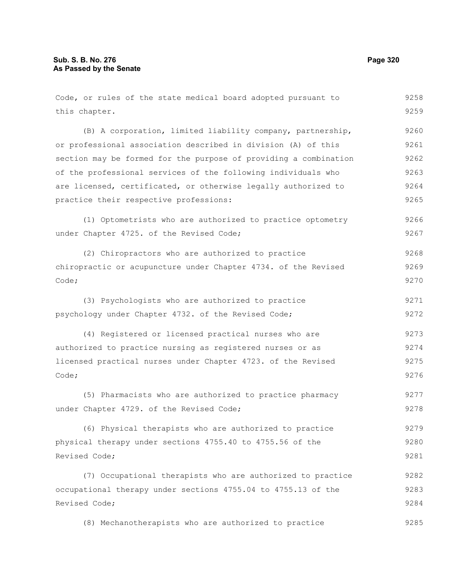| Code, or rules of the state medical board adopted pursuant to    | 9258 |
|------------------------------------------------------------------|------|
| this chapter.                                                    | 9259 |
| (B) A corporation, limited liability company, partnership,       | 9260 |
| or professional association described in division (A) of this    | 9261 |
| section may be formed for the purpose of providing a combination | 9262 |
| of the professional services of the following individuals who    | 9263 |
| are licensed, certificated, or otherwise legally authorized to   | 9264 |
| practice their respective professions:                           | 9265 |
| (1) Optometrists who are authorized to practice optometry        | 9266 |
| under Chapter 4725. of the Revised Code;                         | 9267 |
| (2) Chiropractors who are authorized to practice                 | 9268 |
| chiropractic or acupuncture under Chapter 4734. of the Revised   | 9269 |
| Code;                                                            | 9270 |
| (3) Psychologists who are authorized to practice                 | 9271 |
| psychology under Chapter 4732. of the Revised Code;              | 9272 |
| (4) Registered or licensed practical nurses who are              | 9273 |
| authorized to practice nursing as registered nurses or as        | 9274 |
| licensed practical nurses under Chapter 4723. of the Revised     | 9275 |
| Code;                                                            | 9276 |
| (5) Pharmacists who are authorized to practice pharmacy          | 9277 |
| under Chapter 4729. of the Revised Code;                         | 9278 |
| (6) Physical therapists who are authorized to practice           | 9279 |
| physical therapy under sections 4755.40 to 4755.56 of the        | 9280 |
| Revised Code;                                                    | 9281 |
| (7) Occupational therapists who are authorized to practice       | 9282 |
| occupational therapy under sections 4755.04 to 4755.13 of the    | 9283 |
| Revised Code;                                                    | 9284 |
| (8) Mechanotherapists who are authorized to practice             | 9285 |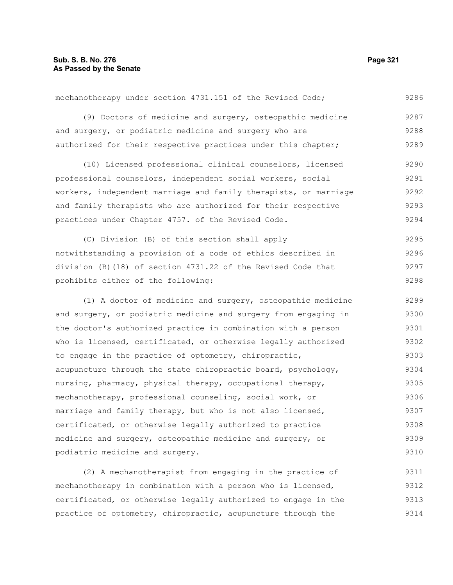podiatric medicine and surgery.

(9) Doctors of medicine and surgery, osteopathic medicine and surgery, or podiatric medicine and surgery who are authorized for their respective practices under this chapter; (10) Licensed professional clinical counselors, licensed professional counselors, independent social workers, social workers, independent marriage and family therapists, or marriage and family therapists who are authorized for their respective practices under Chapter 4757. of the Revised Code. (C) Division (B) of this section shall apply notwithstanding a provision of a code of ethics described in division (B)(18) of section 4731.22 of the Revised Code that prohibits either of the following: (1) A doctor of medicine and surgery, osteopathic medicine and surgery, or podiatric medicine and surgery from engaging in the doctor's authorized practice in combination with a person who is licensed, certificated, or otherwise legally authorized to engage in the practice of optometry, chiropractic, acupuncture through the state chiropractic board, psychology, nursing, pharmacy, physical therapy, occupational therapy, mechanotherapy, professional counseling, social work, or marriage and family therapy, but who is not also licensed, certificated, or otherwise legally authorized to practice medicine and surgery, osteopathic medicine and surgery, or 9287 9288 9289 9290 9291 9292 9293 9294 9295 9296 9297 9298 9299 9300 9301 9302 9303 9304 9305 9306 9307 9308 9309

mechanotherapy under section 4731.151 of the Revised Code;

(2) A mechanotherapist from engaging in the practice of mechanotherapy in combination with a person who is licensed, certificated, or otherwise legally authorized to engage in the practice of optometry, chiropractic, acupuncture through the 9311 9312 9313 9314

9286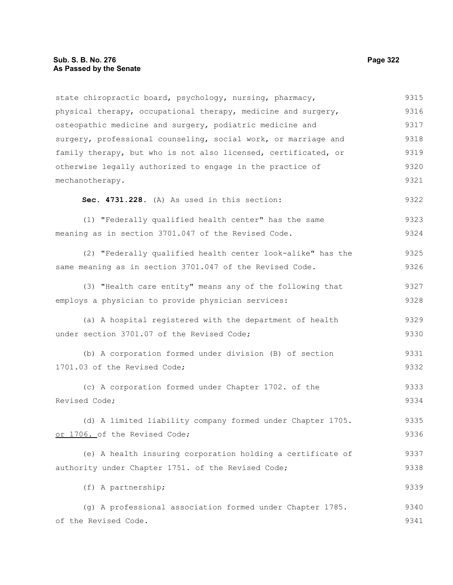# **Sub. S. B. No. 276 Page 322 As Passed by the Senate**

| 9315 |
|------|
| 9316 |
| 9317 |
| 9318 |
| 9319 |
| 9320 |
| 9321 |
| 9322 |
| 9323 |
| 9324 |
| 9325 |
| 9326 |
| 9327 |
| 9328 |
| 9329 |
| 9330 |
| 9331 |
| 9332 |
| 9333 |
| 9334 |
| 9335 |
| 9336 |
| 9337 |
| 9338 |
| 9339 |
| 9340 |
| 9341 |
|      |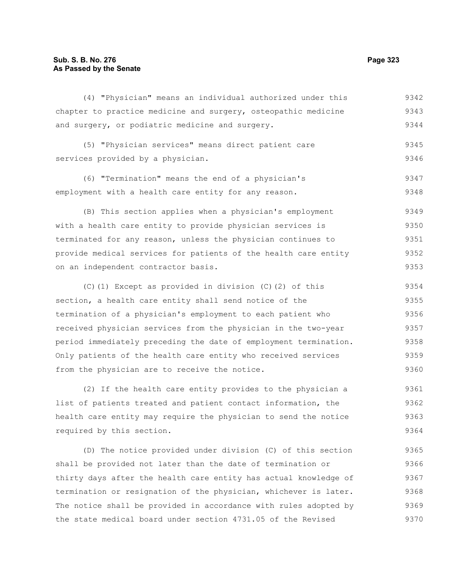### **Sub. S. B. No. 276 Page 323 As Passed by the Senate**

(4) "Physician" means an individual authorized under this chapter to practice medicine and surgery, osteopathic medicine and surgery, or podiatric medicine and surgery. (5) "Physician services" means direct patient care services provided by a physician. (6) "Termination" means the end of a physician's employment with a health care entity for any reason. (B) This section applies when a physician's employment with a health care entity to provide physician services is terminated for any reason, unless the physician continues to provide medical services for patients of the health care entity on an independent contractor basis. (C)(1) Except as provided in division (C)(2) of this section, a health care entity shall send notice of the termination of a physician's employment to each patient who received physician services from the physician in the two-year period immediately preceding the date of employment termination. Only patients of the health care entity who received services from the physician are to receive the notice. 9342 9343 9344 9345 9346 9347 9348 9349 9350 9351 9352 9353 9354 9355 9356 9357 9358 9359 9360

(2) If the health care entity provides to the physician a list of patients treated and patient contact information, the health care entity may require the physician to send the notice required by this section. 9361 9362 9363 9364

(D) The notice provided under division (C) of this section shall be provided not later than the date of termination or thirty days after the health care entity has actual knowledge of termination or resignation of the physician, whichever is later. The notice shall be provided in accordance with rules adopted by the state medical board under section 4731.05 of the Revised 9365 9366 9367 9368 9369 9370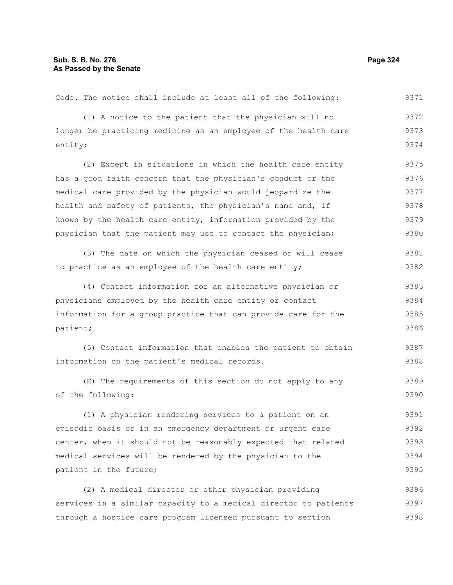| Code. The notice shall include at least all of the following:    | 9371 |
|------------------------------------------------------------------|------|
| (1) A notice to the patient that the physician will no           | 9372 |
| longer be practicing medicine as an employee of the health care  | 9373 |
| entity;                                                          | 9374 |
| (2) Except in situations in which the health care entity         | 9375 |
| has a good faith concern that the physician's conduct or the     | 9376 |
| medical care provided by the physician would jeopardize the      | 9377 |
| health and safety of patients, the physician's name and, if      | 9378 |
| known by the health care entity, information provided by the     | 9379 |
| physician that the patient may use to contact the physician;     | 9380 |
| (3) The date on which the physician ceased or will cease         | 9381 |
| to practice as an employee of the health care entity;            | 9382 |
| (4) Contact information for an alternative physician or          | 9383 |
| physicians employed by the health care entity or contact         | 9384 |
| information for a group practice that can provide care for the   | 9385 |
| patient;                                                         | 9386 |
| (5) Contact information that enables the patient to obtain       | 9387 |
| information on the patient's medical records.                    | 9388 |
| (E) The requirements of this section do not apply to any         | 9389 |
| of the following:                                                | 9390 |
| (1) A physician rendering services to a patient on an            | 9391 |
| episodic basis or in an emergency department or urgent care      | 9392 |
| center, when it should not be reasonably expected that related   | 9393 |
| medical services will be rendered by the physician to the        | 9394 |
| patient in the future;                                           | 9395 |
| (2) A medical director or other physician providing              | 9396 |
| services in a similar capacity to a medical director to patients | 9397 |
| through a hospice care program licensed pursuant to section      | 9398 |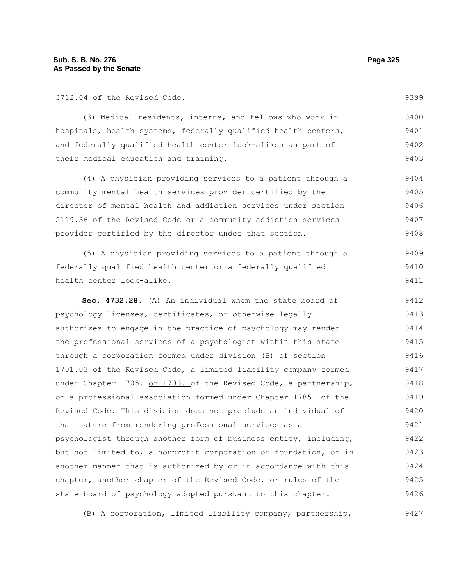3712.04 of the Revised Code.

9399

(3) Medical residents, interns, and fellows who work in hospitals, health systems, federally qualified health centers, and federally qualified health center look-alikes as part of their medical education and training. 9400 9401 9402 9403

(4) A physician providing services to a patient through a community mental health services provider certified by the director of mental health and addiction services under section 5119.36 of the Revised Code or a community addiction services provider certified by the director under that section. 9404 9405 9406 9407 9408

(5) A physician providing services to a patient through a federally qualified health center or a federally qualified health center look-alike. 9409 9410 9411

**Sec. 4732.28.** (A) An individual whom the state board of psychology licenses, certificates, or otherwise legally authorizes to engage in the practice of psychology may render the professional services of a psychologist within this state through a corporation formed under division (B) of section 1701.03 of the Revised Code, a limited liability company formed under Chapter 1705. or 1706. of the Revised Code, a partnership, or a professional association formed under Chapter 1785. of the Revised Code. This division does not preclude an individual of that nature from rendering professional services as a psychologist through another form of business entity, including, but not limited to, a nonprofit corporation or foundation, or in another manner that is authorized by or in accordance with this chapter, another chapter of the Revised Code, or rules of the state board of psychology adopted pursuant to this chapter. 9412 9413 9414 9415 9416 9417 9418 9419 9420 9421 9422 9423 9424 9425 9426

(B) A corporation, limited liability company, partnership, 9427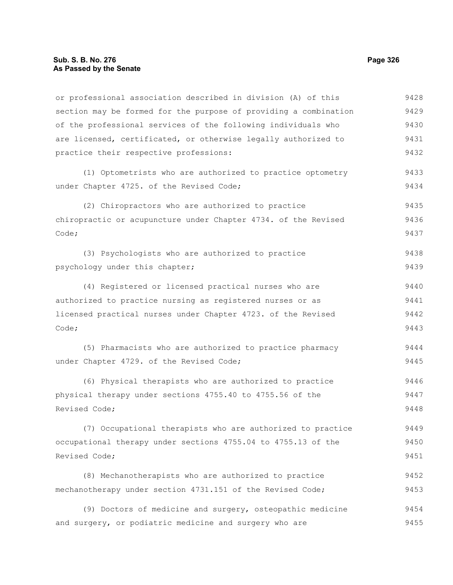or professional association described in division (A) of this section may be formed for the purpose of providing a combination of the professional services of the following individuals who are licensed, certificated, or otherwise legally authorized to practice their respective professions: 9428 9429 9430 9431 9432

(1) Optometrists who are authorized to practice optometry under Chapter 4725. of the Revised Code;

(2) Chiropractors who are authorized to practice chiropractic or acupuncture under Chapter 4734. of the Revised Code; 9435 9436 9437

(3) Psychologists who are authorized to practice psychology under this chapter; 9438 9439

(4) Registered or licensed practical nurses who are authorized to practice nursing as registered nurses or as licensed practical nurses under Chapter 4723. of the Revised Code; 9440 9441 9442 9443

(5) Pharmacists who are authorized to practice pharmacy under Chapter 4729. of the Revised Code; 9444 9445

(6) Physical therapists who are authorized to practice physical therapy under sections 4755.40 to 4755.56 of the Revised Code; 9446 9447 9448

(7) Occupational therapists who are authorized to practice occupational therapy under sections 4755.04 to 4755.13 of the Revised Code; 9449 9450 9451

(8) Mechanotherapists who are authorized to practice mechanotherapy under section 4731.151 of the Revised Code; 9452 9453

(9) Doctors of medicine and surgery, osteopathic medicine and surgery, or podiatric medicine and surgery who are 9454 9455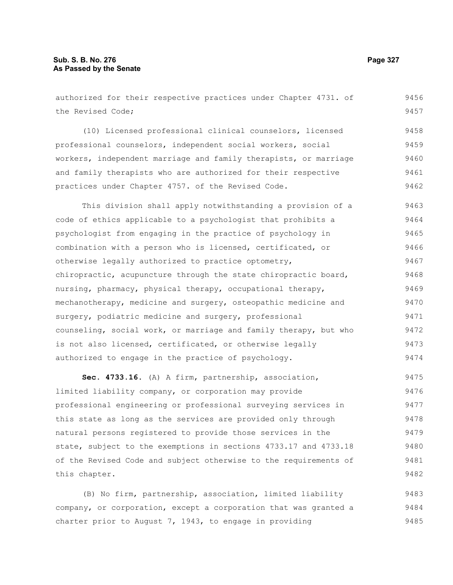authorized for their respective practices under Chapter 4731. of the Revised Code; (10) Licensed professional clinical counselors, licensed professional counselors, independent social workers, social workers, independent marriage and family therapists, or marriage and family therapists who are authorized for their respective practices under Chapter 4757. of the Revised Code. This division shall apply notwithstanding a provision of a code of ethics applicable to a psychologist that prohibits a psychologist from engaging in the practice of psychology in combination with a person who is licensed, certificated, or otherwise legally authorized to practice optometry, chiropractic, acupuncture through the state chiropractic board, nursing, pharmacy, physical therapy, occupational therapy, mechanotherapy, medicine and surgery, osteopathic medicine and surgery, podiatric medicine and surgery, professional counseling, social work, or marriage and family therapy, but who is not also licensed, certificated, or otherwise legally 9456 9457 9458 9459 9460 9461 9462 9463 9464 9465 9466 9467 9468 9469 9470 9471 9472 9473

**Sec. 4733.16.** (A) A firm, partnership, association, limited liability company, or corporation may provide professional engineering or professional surveying services in this state as long as the services are provided only through natural persons registered to provide those services in the state, subject to the exemptions in sections 4733.17 and 4733.18 of the Revised Code and subject otherwise to the requirements of this chapter. 9475 9476 9477 9478 9479 9480 9481 9482

authorized to engage in the practice of psychology.

(B) No firm, partnership, association, limited liability company, or corporation, except a corporation that was granted a charter prior to August  $7, 1943,$  to engage in providing 9483 9484 9485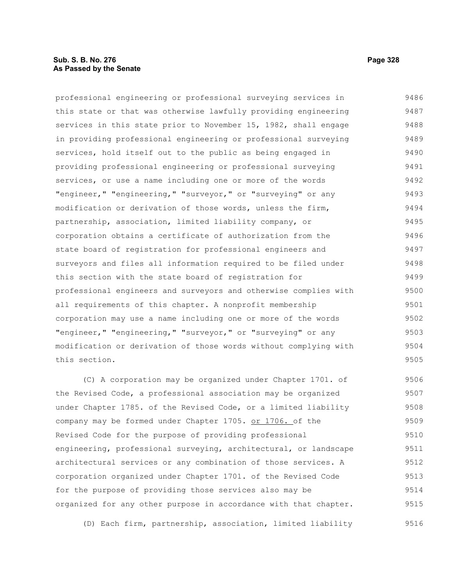### **Sub. S. B. No. 276 Page 328 As Passed by the Senate**

professional engineering or professional surveying services in this state or that was otherwise lawfully providing engineering services in this state prior to November 15, 1982, shall engage in providing professional engineering or professional surveying services, hold itself out to the public as being engaged in providing professional engineering or professional surveying services, or use a name including one or more of the words "engineer," "engineering," "surveyor," or "surveying" or any modification or derivation of those words, unless the firm, partnership, association, limited liability company, or corporation obtains a certificate of authorization from the state board of registration for professional engineers and surveyors and files all information required to be filed under this section with the state board of registration for professional engineers and surveyors and otherwise complies with all requirements of this chapter. A nonprofit membership corporation may use a name including one or more of the words "engineer," "engineering," "surveyor," or "surveying" or any modification or derivation of those words without complying with this section. 9486 9487 9488 9489 9490 9491 9492 9493 9494 9495 9496 9497 9498 9499 9500 9501 9502 9503 9504 9505

(C) A corporation may be organized under Chapter 1701. of the Revised Code, a professional association may be organized under Chapter 1785. of the Revised Code, or a limited liability company may be formed under Chapter 1705. or 1706. of the Revised Code for the purpose of providing professional engineering, professional surveying, architectural, or landscape architectural services or any combination of those services. A corporation organized under Chapter 1701. of the Revised Code for the purpose of providing those services also may be organized for any other purpose in accordance with that chapter. 9506 9507 9508 9509 9510 9511 9512 9513 9514 9515

(D) Each firm, partnership, association, limited liability 9516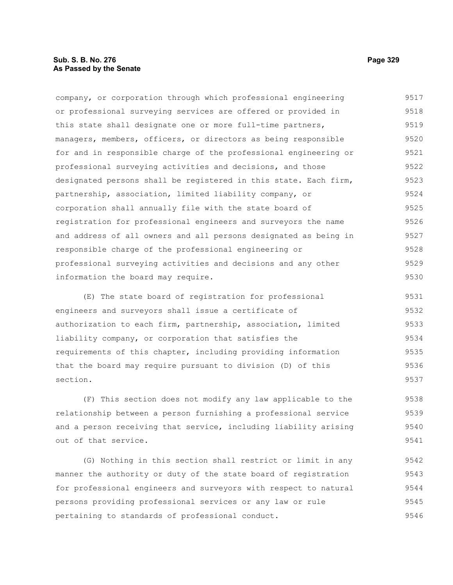### **Sub. S. B. No. 276 Page 329 As Passed by the Senate**

company, or corporation through which professional engineering or professional surveying services are offered or provided in this state shall designate one or more full-time partners, managers, members, officers, or directors as being responsible for and in responsible charge of the professional engineering or professional surveying activities and decisions, and those designated persons shall be registered in this state. Each firm, partnership, association, limited liability company, or corporation shall annually file with the state board of registration for professional engineers and surveyors the name and address of all owners and all persons designated as being in responsible charge of the professional engineering or professional surveying activities and decisions and any other information the board may require. 9517 9518 9519 9520 9521 9522 9523 9524 9525 9526 9527 9528 9529 9530

(E) The state board of registration for professional engineers and surveyors shall issue a certificate of authorization to each firm, partnership, association, limited liability company, or corporation that satisfies the requirements of this chapter, including providing information that the board may require pursuant to division (D) of this section. 9531 9532 9533 9534 9535 9536 9537

(F) This section does not modify any law applicable to the relationship between a person furnishing a professional service and a person receiving that service, including liability arising out of that service. 9538 9539 9540 9541

(G) Nothing in this section shall restrict or limit in any manner the authority or duty of the state board of registration for professional engineers and surveyors with respect to natural persons providing professional services or any law or rule pertaining to standards of professional conduct. 9542 9543 9544 9545 9546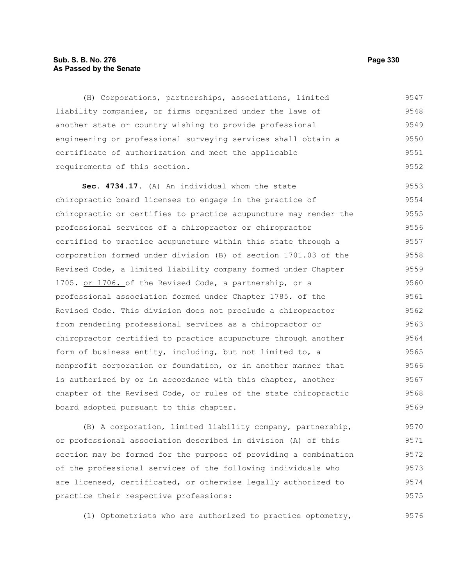### **Sub. S. B. No. 276 Page 330 As Passed by the Senate**

(H) Corporations, partnerships, associations, limited liability companies, or firms organized under the laws of another state or country wishing to provide professional engineering or professional surveying services shall obtain a certificate of authorization and meet the applicable requirements of this section. 9547 9548 9549 9550 9551 9552

**Sec. 4734.17.** (A) An individual whom the state chiropractic board licenses to engage in the practice of chiropractic or certifies to practice acupuncture may render the professional services of a chiropractor or chiropractor certified to practice acupuncture within this state through a corporation formed under division (B) of section 1701.03 of the Revised Code, a limited liability company formed under Chapter 1705. or 1706. of the Revised Code, a partnership, or a professional association formed under Chapter 1785. of the Revised Code. This division does not preclude a chiropractor from rendering professional services as a chiropractor or chiropractor certified to practice acupuncture through another form of business entity, including, but not limited to, a nonprofit corporation or foundation, or in another manner that is authorized by or in accordance with this chapter, another chapter of the Revised Code, or rules of the state chiropractic board adopted pursuant to this chapter. 9553 9554 9555 9556 9557 9558 9559 9560 9561 9562 9563 9564 9565 9566 9567 9568 9569

(B) A corporation, limited liability company, partnership, or professional association described in division (A) of this section may be formed for the purpose of providing a combination of the professional services of the following individuals who are licensed, certificated, or otherwise legally authorized to practice their respective professions: 9570 9571 9572 9573 9574 9575

(1) Optometrists who are authorized to practice optometry,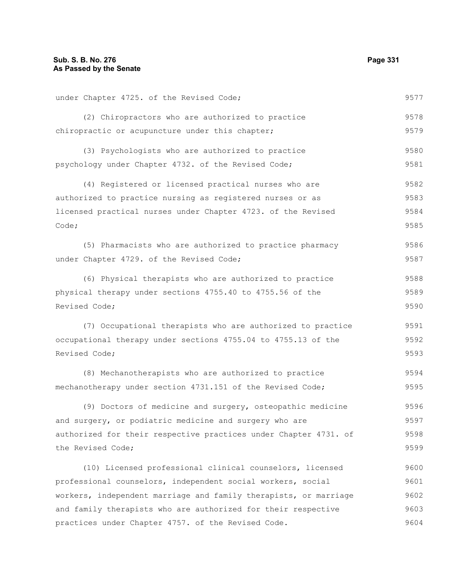| under Chapter 4725. of the Revised Code;                         | 9577 |  |  |  |  |  |  |  |
|------------------------------------------------------------------|------|--|--|--|--|--|--|--|
| (2) Chiropractors who are authorized to practice                 | 9578 |  |  |  |  |  |  |  |
| chiropractic or acupuncture under this chapter;                  | 9579 |  |  |  |  |  |  |  |
| (3) Psychologists who are authorized to practice                 | 9580 |  |  |  |  |  |  |  |
| psychology under Chapter 4732. of the Revised Code;              |      |  |  |  |  |  |  |  |
| (4) Registered or licensed practical nurses who are              | 9582 |  |  |  |  |  |  |  |
| authorized to practice nursing as registered nurses or as        |      |  |  |  |  |  |  |  |
| licensed practical nurses under Chapter 4723. of the Revised     |      |  |  |  |  |  |  |  |
| Code;                                                            | 9585 |  |  |  |  |  |  |  |
| (5) Pharmacists who are authorized to practice pharmacy          | 9586 |  |  |  |  |  |  |  |
| under Chapter 4729. of the Revised Code;                         | 9587 |  |  |  |  |  |  |  |
| (6) Physical therapists who are authorized to practice           | 9588 |  |  |  |  |  |  |  |
| physical therapy under sections 4755.40 to 4755.56 of the        | 9589 |  |  |  |  |  |  |  |
| Revised Code;                                                    |      |  |  |  |  |  |  |  |
| (7) Occupational therapists who are authorized to practice       | 9591 |  |  |  |  |  |  |  |
| occupational therapy under sections 4755.04 to 4755.13 of the    |      |  |  |  |  |  |  |  |
| Revised Code;                                                    | 9593 |  |  |  |  |  |  |  |
| (8) Mechanotherapists who are authorized to practice             | 9594 |  |  |  |  |  |  |  |
| mechanotherapy under section 4731.151 of the Revised Code;       | 9595 |  |  |  |  |  |  |  |
| (9) Doctors of medicine and surgery, osteopathic medicine        | 9596 |  |  |  |  |  |  |  |
| and surgery, or podiatric medicine and surgery who are           | 9597 |  |  |  |  |  |  |  |
| authorized for their respective practices under Chapter 4731. of | 9598 |  |  |  |  |  |  |  |
| the Revised Code;                                                |      |  |  |  |  |  |  |  |
| (10) Licensed professional clinical counselors, licensed         | 9600 |  |  |  |  |  |  |  |
| professional counselors, independent social workers, social      | 9601 |  |  |  |  |  |  |  |
| workers, independent marriage and family therapists, or marriage |      |  |  |  |  |  |  |  |
| and family therapists who are authorized for their respective    |      |  |  |  |  |  |  |  |
| practices under Chapter 4757. of the Revised Code.               | 9604 |  |  |  |  |  |  |  |
|                                                                  |      |  |  |  |  |  |  |  |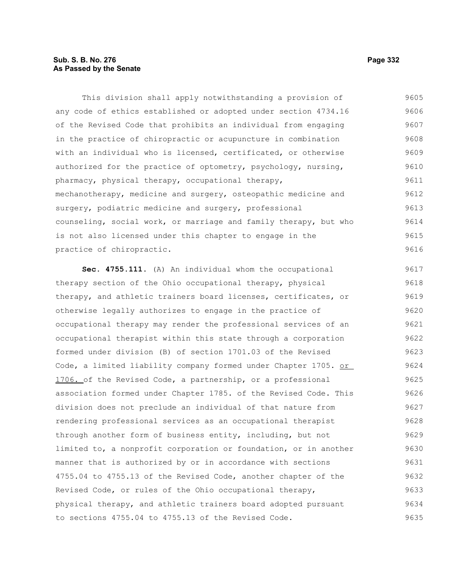# **Sub. S. B. No. 276 Page 332 As Passed by the Senate**

This division shall apply notwithstanding a provision of any code of ethics established or adopted under section 4734.16 of the Revised Code that prohibits an individual from engaging in the practice of chiropractic or acupuncture in combination with an individual who is licensed, certificated, or otherwise authorized for the practice of optometry, psychology, nursing, pharmacy, physical therapy, occupational therapy, mechanotherapy, medicine and surgery, osteopathic medicine and surgery, podiatric medicine and surgery, professional counseling, social work, or marriage and family therapy, but who is not also licensed under this chapter to engage in the practice of chiropractic. 9605 9606 9607 9608 9609 9610 9611 9612 9613 9614 9615 9616

**Sec. 4755.111.** (A) An individual whom the occupational therapy section of the Ohio occupational therapy, physical therapy, and athletic trainers board licenses, certificates, or otherwise legally authorizes to engage in the practice of occupational therapy may render the professional services of an occupational therapist within this state through a corporation formed under division (B) of section 1701.03 of the Revised Code, a limited liability company formed under Chapter 1705. or 1706. of the Revised Code, a partnership, or a professional association formed under Chapter 1785. of the Revised Code. This division does not preclude an individual of that nature from rendering professional services as an occupational therapist through another form of business entity, including, but not limited to, a nonprofit corporation or foundation, or in another manner that is authorized by or in accordance with sections 4755.04 to 4755.13 of the Revised Code, another chapter of the Revised Code, or rules of the Ohio occupational therapy, physical therapy, and athletic trainers board adopted pursuant to sections 4755.04 to 4755.13 of the Revised Code. 9617 9618 9619 9620 9621 9622 9623 9624 9625 9626 9627 9628 9629 9630 9631 9632 9633 9634 9635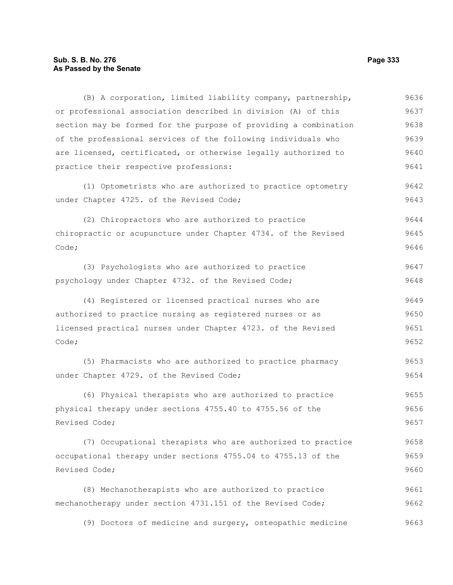# **Sub. S. B. No. 276 Page 333 As Passed by the Senate**

| (B) A corporation, limited liability company, partnership,       | 9636 |  |  |  |  |  |  |
|------------------------------------------------------------------|------|--|--|--|--|--|--|
| or professional association described in division (A) of this    | 9637 |  |  |  |  |  |  |
| section may be formed for the purpose of providing a combination | 9638 |  |  |  |  |  |  |
| of the professional services of the following individuals who    | 9639 |  |  |  |  |  |  |
| are licensed, certificated, or otherwise legally authorized to   | 9640 |  |  |  |  |  |  |
| practice their respective professions:                           | 9641 |  |  |  |  |  |  |
| (1) Optometrists who are authorized to practice optometry        | 9642 |  |  |  |  |  |  |
| under Chapter 4725. of the Revised Code;                         | 9643 |  |  |  |  |  |  |
| (2) Chiropractors who are authorized to practice                 | 9644 |  |  |  |  |  |  |
| chiropractic or acupuncture under Chapter 4734. of the Revised   | 9645 |  |  |  |  |  |  |
| Code;                                                            | 9646 |  |  |  |  |  |  |
| (3) Psychologists who are authorized to practice                 | 9647 |  |  |  |  |  |  |
| psychology under Chapter 4732. of the Revised Code;              | 9648 |  |  |  |  |  |  |
| (4) Registered or licensed practical nurses who are              | 9649 |  |  |  |  |  |  |
| authorized to practice nursing as registered nurses or as        |      |  |  |  |  |  |  |
| licensed practical nurses under Chapter 4723. of the Revised     | 9651 |  |  |  |  |  |  |
| Code;                                                            | 9652 |  |  |  |  |  |  |
| (5) Pharmacists who are authorized to practice pharmacy          | 9653 |  |  |  |  |  |  |
| under Chapter 4729. of the Revised Code;                         | 9654 |  |  |  |  |  |  |
| (6) Physical therapists who are authorized to practice           | 9655 |  |  |  |  |  |  |
| physical therapy under sections 4755.40 to 4755.56 of the        |      |  |  |  |  |  |  |
| Revised Code;                                                    | 9657 |  |  |  |  |  |  |
| (7) Occupational therapists who are authorized to practice       | 9658 |  |  |  |  |  |  |
| occupational therapy under sections 4755.04 to 4755.13 of the    | 9659 |  |  |  |  |  |  |
| Revised Code;                                                    | 9660 |  |  |  |  |  |  |
| (8) Mechanotherapists who are authorized to practice             | 9661 |  |  |  |  |  |  |
| mechanotherapy under section 4731.151 of the Revised Code;       | 9662 |  |  |  |  |  |  |
| (9) Doctors of medicine and surgery, osteopathic medicine        | 9663 |  |  |  |  |  |  |
|                                                                  |      |  |  |  |  |  |  |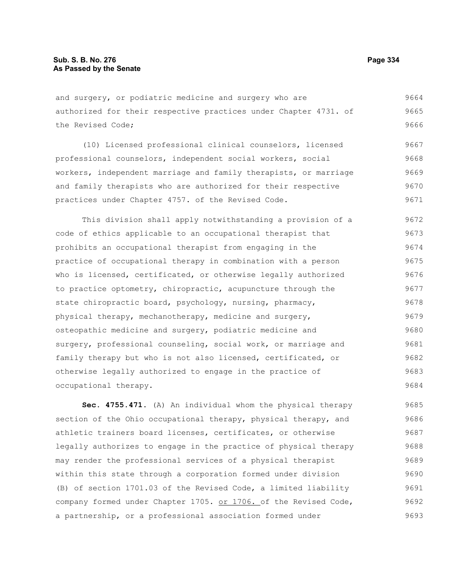and surgery, or podiatric medicine and surgery who are authorized for their respective practices under Chapter 4731. of the Revised Code; 9664 9665 9666

(10) Licensed professional clinical counselors, licensed professional counselors, independent social workers, social workers, independent marriage and family therapists, or marriage and family therapists who are authorized for their respective practices under Chapter 4757. of the Revised Code. 9667 9668 9669 9670 9671

This division shall apply notwithstanding a provision of a code of ethics applicable to an occupational therapist that prohibits an occupational therapist from engaging in the practice of occupational therapy in combination with a person who is licensed, certificated, or otherwise legally authorized to practice optometry, chiropractic, acupuncture through the state chiropractic board, psychology, nursing, pharmacy, physical therapy, mechanotherapy, medicine and surgery, osteopathic medicine and surgery, podiatric medicine and surgery, professional counseling, social work, or marriage and family therapy but who is not also licensed, certificated, or otherwise legally authorized to engage in the practice of occupational therapy. 9672 9673 9674 9675 9676 9677 9678 9679 9680 9681 9682 9683 9684

**Sec. 4755.471.** (A) An individual whom the physical therapy section of the Ohio occupational therapy, physical therapy, and athletic trainers board licenses, certificates, or otherwise legally authorizes to engage in the practice of physical therapy may render the professional services of a physical therapist within this state through a corporation formed under division (B) of section 1701.03 of the Revised Code, a limited liability company formed under Chapter 1705. or 1706. of the Revised Code, a partnership, or a professional association formed under 9685 9686 9687 9688 9689 9690 9691 9692 9693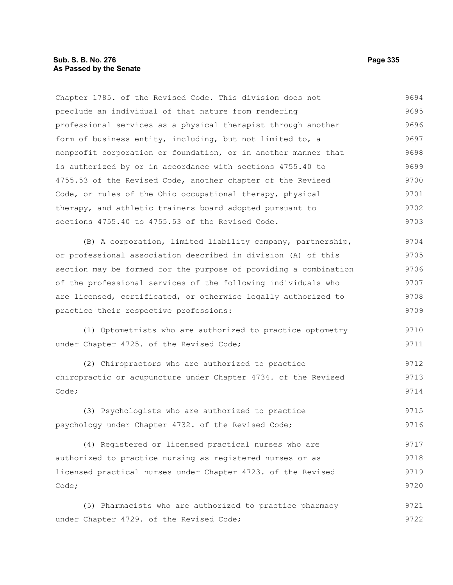Chapter 1785. of the Revised Code. This division does not preclude an individual of that nature from rendering professional services as a physical therapist through another form of business entity, including, but not limited to, a nonprofit corporation or foundation, or in another manner that is authorized by or in accordance with sections 4755.40 to 4755.53 of the Revised Code, another chapter of the Revised Code, or rules of the Ohio occupational therapy, physical therapy, and athletic trainers board adopted pursuant to sections 4755.40 to 4755.53 of the Revised Code. 9694 9695 9696 9697 9698 9699 9700 9701 9702 9703

(B) A corporation, limited liability company, partnership, or professional association described in division (A) of this section may be formed for the purpose of providing a combination of the professional services of the following individuals who are licensed, certificated, or otherwise legally authorized to practice their respective professions: 9704 9705 9706 9707 9708 9709

(1) Optometrists who are authorized to practice optometry under Chapter 4725. of the Revised Code; 9710 9711

(2) Chiropractors who are authorized to practice chiropractic or acupuncture under Chapter 4734. of the Revised Code; 9712 9713 9714

(3) Psychologists who are authorized to practice psychology under Chapter 4732. of the Revised Code; 9715 9716

(4) Registered or licensed practical nurses who are authorized to practice nursing as registered nurses or as licensed practical nurses under Chapter 4723. of the Revised Code; 9717 9718 9719 9720

(5) Pharmacists who are authorized to practice pharmacy under Chapter 4729. of the Revised Code; 9721 9722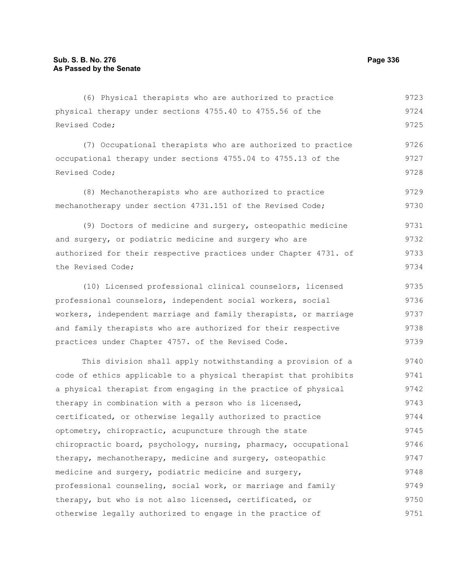(6) Physical therapists who are authorized to practice physical therapy under sections 4755.40 to 4755.56 of the Revised Code; 9723 9724 9725

(7) Occupational therapists who are authorized to practice occupational therapy under sections 4755.04 to 4755.13 of the Revised Code; 9726 9727 9728

(8) Mechanotherapists who are authorized to practice mechanotherapy under section 4731.151 of the Revised Code; 9729 9730

(9) Doctors of medicine and surgery, osteopathic medicine and surgery, or podiatric medicine and surgery who are authorized for their respective practices under Chapter 4731. of the Revised Code; 9731 9732 9733 9734

(10) Licensed professional clinical counselors, licensed professional counselors, independent social workers, social workers, independent marriage and family therapists, or marriage and family therapists who are authorized for their respective practices under Chapter 4757. of the Revised Code. 9735 9736 9737 9738 9739

This division shall apply notwithstanding a provision of a code of ethics applicable to a physical therapist that prohibits a physical therapist from engaging in the practice of physical therapy in combination with a person who is licensed, certificated, or otherwise legally authorized to practice optometry, chiropractic, acupuncture through the state chiropractic board, psychology, nursing, pharmacy, occupational therapy, mechanotherapy, medicine and surgery, osteopathic medicine and surgery, podiatric medicine and surgery, professional counseling, social work, or marriage and family therapy, but who is not also licensed, certificated, or otherwise legally authorized to engage in the practice of 9740 9741 9742 9743 9744 9745 9746 9747 9748 9749 9750 9751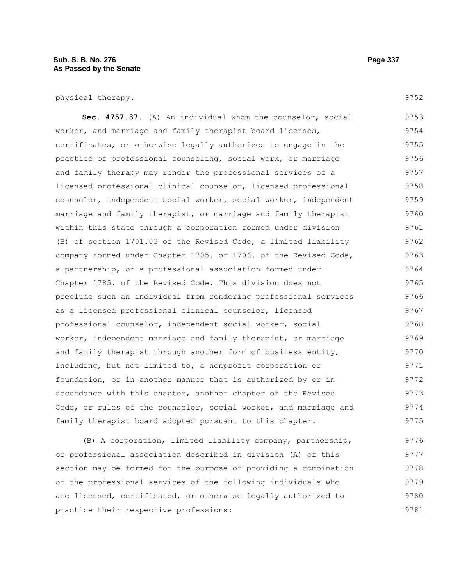#### **Sub. S. B. No. 276 Page 337 As Passed by the Senate**

physical therapy.

**Sec. 4757.37.** (A) An individual whom the counselor, social worker, and marriage and family therapist board licenses, certificates, or otherwise legally authorizes to engage in the practice of professional counseling, social work, or marriage and family therapy may render the professional services of a licensed professional clinical counselor, licensed professional counselor, independent social worker, social worker, independent marriage and family therapist, or marriage and family therapist within this state through a corporation formed under division (B) of section 1701.03 of the Revised Code, a limited liability company formed under Chapter 1705. or 1706. of the Revised Code, a partnership, or a professional association formed under Chapter 1785. of the Revised Code. This division does not preclude such an individual from rendering professional services as a licensed professional clinical counselor, licensed professional counselor, independent social worker, social worker, independent marriage and family therapist, or marriage and family therapist through another form of business entity, including, but not limited to, a nonprofit corporation or foundation, or in another manner that is authorized by or in accordance with this chapter, another chapter of the Revised Code, or rules of the counselor, social worker, and marriage and family therapist board adopted pursuant to this chapter. 9753 9754 9755 9756 9757 9758 9759 9760 9761 9762 9763 9764 9765 9766 9767 9768 9769 9770 9771 9772 9773 9774 9775

(B) A corporation, limited liability company, partnership, or professional association described in division (A) of this section may be formed for the purpose of providing a combination of the professional services of the following individuals who are licensed, certificated, or otherwise legally authorized to practice their respective professions: 9776 9777 9778 9779 9780 9781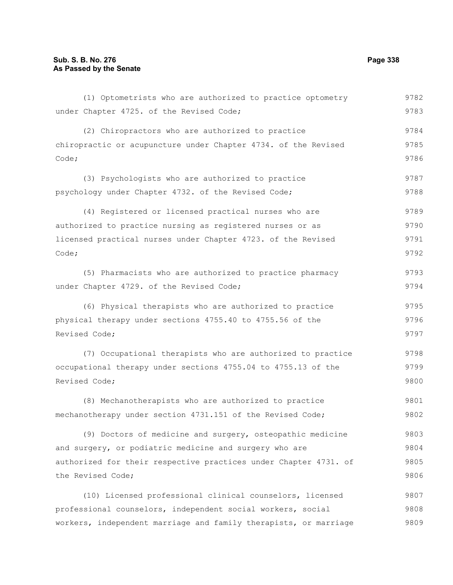(1) Optometrists who are authorized to practice optometry under Chapter 4725. of the Revised Code; (2) Chiropractors who are authorized to practice chiropractic or acupuncture under Chapter 4734. of the Revised Code; (3) Psychologists who are authorized to practice psychology under Chapter 4732. of the Revised Code; (4) Registered or licensed practical nurses who are authorized to practice nursing as registered nurses or as licensed practical nurses under Chapter 4723. of the Revised Code; (5) Pharmacists who are authorized to practice pharmacy under Chapter 4729. of the Revised Code; (6) Physical therapists who are authorized to practice physical therapy under sections 4755.40 to 4755.56 of the Revised Code; (7) Occupational therapists who are authorized to practice occupational therapy under sections 4755.04 to 4755.13 of the Revised Code; (8) Mechanotherapists who are authorized to practice mechanotherapy under section 4731.151 of the Revised Code; (9) Doctors of medicine and surgery, osteopathic medicine and surgery, or podiatric medicine and surgery who are authorized for their respective practices under Chapter 4731. of the Revised Code; (10) Licensed professional clinical counselors, licensed professional counselors, independent social workers, social workers, independent marriage and family therapists, or marriage 9782 9783 9784 9785 9786 9787 9788 9789 9790 9791 9792 9793 9794 9795 9796 9797 9798 9799 9800 9801 9802 9803 9804 9805 9806 9807 9808 9809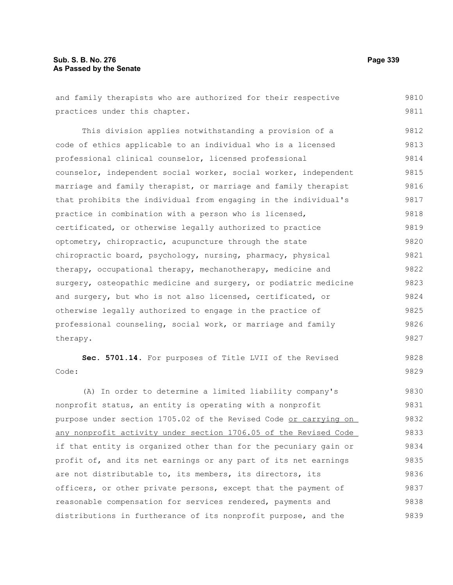# **Sub. S. B. No. 276 Page 339 As Passed by the Senate**

| and family therapists who are authorized for their respective    | 9810 |  |  |  |  |  |  |  |  |
|------------------------------------------------------------------|------|--|--|--|--|--|--|--|--|
| practices under this chapter.                                    | 9811 |  |  |  |  |  |  |  |  |
| This division applies notwithstanding a provision of a           | 9812 |  |  |  |  |  |  |  |  |
| code of ethics applicable to an individual who is a licensed     |      |  |  |  |  |  |  |  |  |
| professional clinical counselor, licensed professional           |      |  |  |  |  |  |  |  |  |
| counselor, independent social worker, social worker, independent |      |  |  |  |  |  |  |  |  |
| marriage and family therapist, or marriage and family therapist  |      |  |  |  |  |  |  |  |  |
| that prohibits the individual from engaging in the individual's  |      |  |  |  |  |  |  |  |  |
| practice in combination with a person who is licensed,           |      |  |  |  |  |  |  |  |  |
| certificated, or otherwise legally authorized to practice        | 9819 |  |  |  |  |  |  |  |  |
| optometry, chiropractic, acupuncture through the state           | 9820 |  |  |  |  |  |  |  |  |
| chiropractic board, psychology, nursing, pharmacy, physical      | 9821 |  |  |  |  |  |  |  |  |
| therapy, occupational therapy, mechanotherapy, medicine and      | 9822 |  |  |  |  |  |  |  |  |
| surgery, osteopathic medicine and surgery, or podiatric medicine | 9823 |  |  |  |  |  |  |  |  |
| and surgery, but who is not also licensed, certificated, or      | 9824 |  |  |  |  |  |  |  |  |
| otherwise legally authorized to engage in the practice of        | 9825 |  |  |  |  |  |  |  |  |
| professional counseling, social work, or marriage and family     | 9826 |  |  |  |  |  |  |  |  |
| therapy.                                                         | 9827 |  |  |  |  |  |  |  |  |
| Sec. 5701.14. For purposes of Title LVII of the Revised          | 9828 |  |  |  |  |  |  |  |  |
| Code:                                                            | 9829 |  |  |  |  |  |  |  |  |
| (A) In order to determine a limited liability company's          | 9830 |  |  |  |  |  |  |  |  |
| nonprofit status, an entity is operating with a nonprofit        | 9831 |  |  |  |  |  |  |  |  |
| purpose under section 1705.02 of the Revised Code or carrying on | 9832 |  |  |  |  |  |  |  |  |
| any nonprofit activity under section 1706.05 of the Revised Code | 9833 |  |  |  |  |  |  |  |  |
| if that entity is organized other than for the pecuniary gain or | 9834 |  |  |  |  |  |  |  |  |
| profit of, and its net earnings or any part of its net earnings  | 9835 |  |  |  |  |  |  |  |  |
| are not distributable to, its members, its directors, its        | 9836 |  |  |  |  |  |  |  |  |
| officers, or other private persons, except that the payment of   | 9837 |  |  |  |  |  |  |  |  |
| reasonable compensation for services rendered, payments and      | 9838 |  |  |  |  |  |  |  |  |
| distributions in furtherance of its nonprofit purpose, and the   | 9839 |  |  |  |  |  |  |  |  |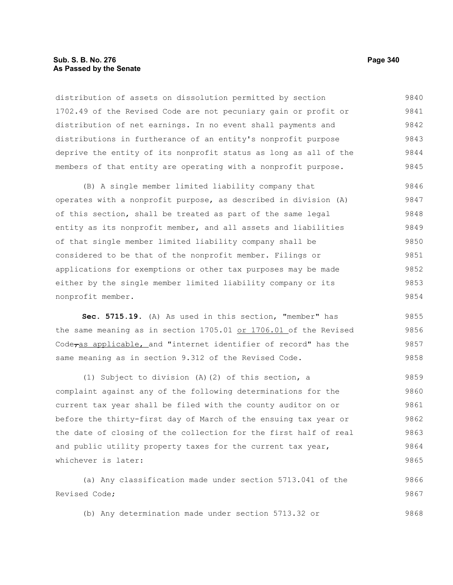### **Sub. S. B. No. 276 Page 340 As Passed by the Senate**

distribution of assets on dissolution permitted by section 1702.49 of the Revised Code are not pecuniary gain or profit or distribution of net earnings. In no event shall payments and distributions in furtherance of an entity's nonprofit purpose deprive the entity of its nonprofit status as long as all of the members of that entity are operating with a nonprofit purpose. 9840 9841 9842 9843 9844 9845

(B) A single member limited liability company that operates with a nonprofit purpose, as described in division (A) of this section, shall be treated as part of the same legal entity as its nonprofit member, and all assets and liabilities of that single member limited liability company shall be considered to be that of the nonprofit member. Filings or applications for exemptions or other tax purposes may be made either by the single member limited liability company or its nonprofit member. 9846 9847 9848 9849 9850 9851 9852 9853 9854

**Sec. 5715.19.** (A) As used in this section, "member" has the same meaning as in section 1705.01 or 1706.01 of the Revised Code<sub>ras applicable, and "internet identifier of record" has the</sub> same meaning as in section 9.312 of the Revised Code. 9855 9856 9857 9858

(1) Subject to division (A)(2) of this section, a complaint against any of the following determinations for the current tax year shall be filed with the county auditor on or before the thirty-first day of March of the ensuing tax year or the date of closing of the collection for the first half of real and public utility property taxes for the current tax year, whichever is later: 9859 9860 9861 9862 9863 9864 9865

(a) Any classification made under section 5713.041 of the Revised Code; 9866 9867

(b) Any determination made under section 5713.32 or 9868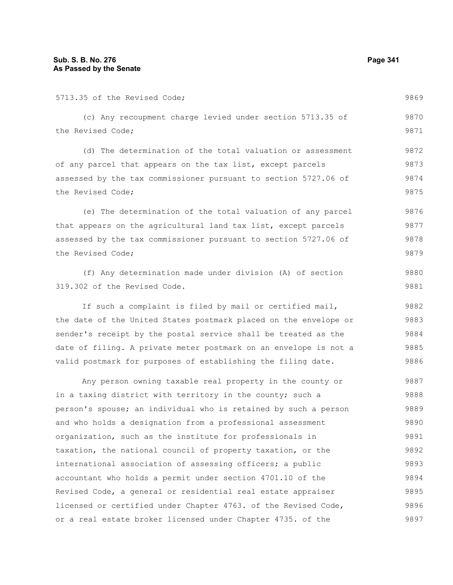| 5713.35 of the Revised Code;                                     | 9869 |  |  |  |  |  |  |
|------------------------------------------------------------------|------|--|--|--|--|--|--|
| (c) Any recoupment charge levied under section 5713.35 of        | 9870 |  |  |  |  |  |  |
| the Revised Code;                                                | 9871 |  |  |  |  |  |  |
| (d) The determination of the total valuation or assessment       | 9872 |  |  |  |  |  |  |
| of any parcel that appears on the tax list, except parcels       | 9873 |  |  |  |  |  |  |
| assessed by the tax commissioner pursuant to section 5727.06 of  |      |  |  |  |  |  |  |
| the Revised Code;                                                | 9875 |  |  |  |  |  |  |
| (e) The determination of the total valuation of any parcel       | 9876 |  |  |  |  |  |  |
| that appears on the agricultural land tax list, except parcels   | 9877 |  |  |  |  |  |  |
| assessed by the tax commissioner pursuant to section 5727.06 of  | 9878 |  |  |  |  |  |  |
| the Revised Code;                                                | 9879 |  |  |  |  |  |  |
| (f) Any determination made under division (A) of section         | 9880 |  |  |  |  |  |  |
| 319.302 of the Revised Code.                                     | 9881 |  |  |  |  |  |  |
| If such a complaint is filed by mail or certified mail,          | 9882 |  |  |  |  |  |  |
| the date of the United States postmark placed on the envelope or | 9883 |  |  |  |  |  |  |
| sender's receipt by the postal service shall be treated as the   | 9884 |  |  |  |  |  |  |
| date of filing. A private meter postmark on an envelope is not a | 9885 |  |  |  |  |  |  |
| valid postmark for purposes of establishing the filing date.     | 9886 |  |  |  |  |  |  |
| Any person owning taxable real property in the county or         | 9887 |  |  |  |  |  |  |
| in a taxing district with territory in the county; such a        | 9888 |  |  |  |  |  |  |
| person's spouse; an individual who is retained by such a person  | 9889 |  |  |  |  |  |  |
| and who holds a designation from a professional assessment       | 9890 |  |  |  |  |  |  |
| organization, such as the institute for professionals in         | 9891 |  |  |  |  |  |  |
| taxation, the national council of property taxation, or the      | 9892 |  |  |  |  |  |  |
| international association of assessing officers; a public        | 9893 |  |  |  |  |  |  |
| accountant who holds a permit under section 4701.10 of the       | 9894 |  |  |  |  |  |  |
| Revised Code, a general or residential real estate appraiser     | 9895 |  |  |  |  |  |  |
| licensed or certified under Chapter 4763. of the Revised Code,   | 9896 |  |  |  |  |  |  |
| or a real estate broker licensed under Chapter 4735. of the      | 9897 |  |  |  |  |  |  |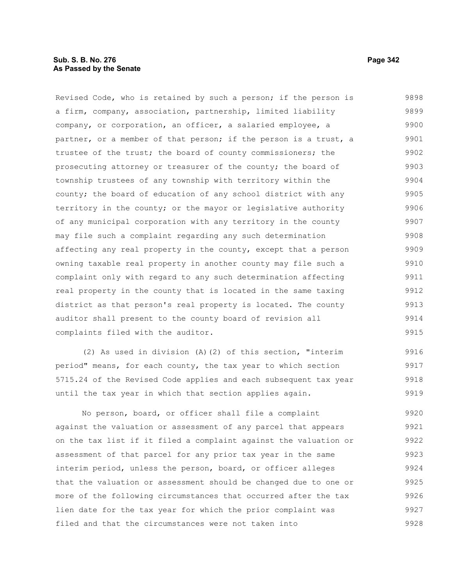# **Sub. S. B. No. 276 Page 342 As Passed by the Senate**

Revised Code, who is retained by such a person; if the person is a firm, company, association, partnership, limited liability company, or corporation, an officer, a salaried employee, a partner, or a member of that person; if the person is a trust, a trustee of the trust; the board of county commissioners; the prosecuting attorney or treasurer of the county; the board of township trustees of any township with territory within the county; the board of education of any school district with any territory in the county; or the mayor or legislative authority of any municipal corporation with any territory in the county may file such a complaint regarding any such determination affecting any real property in the county, except that a person owning taxable real property in another county may file such a complaint only with regard to any such determination affecting real property in the county that is located in the same taxing district as that person's real property is located. The county auditor shall present to the county board of revision all complaints filed with the auditor. 9898 9899 9900 9901 9902 9903 9904 9905 9906 9907 9908 9909 9910 9911 9912 9913 9914 9915

(2) As used in division (A)(2) of this section, "interim period" means, for each county, the tax year to which section 5715.24 of the Revised Code applies and each subsequent tax year until the tax year in which that section applies again. 9916 9917 9918 9919

No person, board, or officer shall file a complaint against the valuation or assessment of any parcel that appears on the tax list if it filed a complaint against the valuation or assessment of that parcel for any prior tax year in the same interim period, unless the person, board, or officer alleges that the valuation or assessment should be changed due to one or more of the following circumstances that occurred after the tax lien date for the tax year for which the prior complaint was filed and that the circumstances were not taken into 9920 9921 9922 9923 9924 9925 9926 9927 9928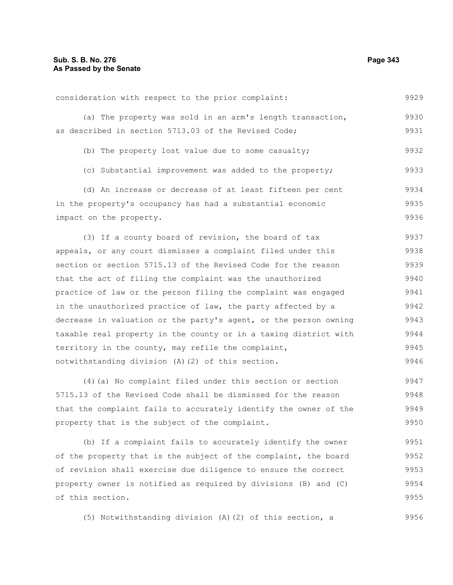9929

#### consideration with respect to the prior complaint:

|                                                      |  |  |  |  | (a) The property was sold in an arm's length transaction, | 9930 |
|------------------------------------------------------|--|--|--|--|-----------------------------------------------------------|------|
| as described in section 5713.03 of the Revised Code; |  |  |  |  |                                                           | 9931 |

(b) The property lost value due to some casualty; 9932

(c) Substantial improvement was added to the property; 9933

(d) An increase or decrease of at least fifteen per cent in the property's occupancy has had a substantial economic impact on the property. 9934 9935 9936

(3) If a county board of revision, the board of tax appeals, or any court dismisses a complaint filed under this section or section 5715.13 of the Revised Code for the reason that the act of filing the complaint was the unauthorized practice of law or the person filing the complaint was engaged in the unauthorized practice of law, the party affected by a decrease in valuation or the party's agent, or the person owning taxable real property in the county or in a taxing district with territory in the county, may refile the complaint, notwithstanding division (A)(2) of this section. 9937 9938 9939 9940 9941 9942 9943 9944 9945 9946

(4)(a) No complaint filed under this section or section 5715.13 of the Revised Code shall be dismissed for the reason that the complaint fails to accurately identify the owner of the property that is the subject of the complaint. 9947 9948 9949 9950

(b) If a complaint fails to accurately identify the owner of the property that is the subject of the complaint, the board of revision shall exercise due diligence to ensure the correct property owner is notified as required by divisions (B) and (C) of this section. 9951 9952 9953 9954 9955

(5) Notwithstanding division (A)(2) of this section, a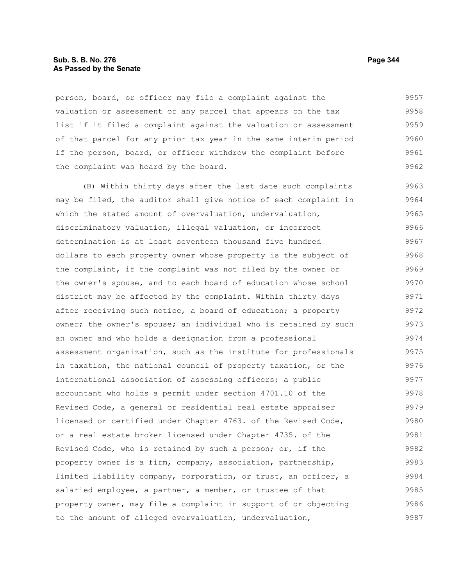#### **Sub. S. B. No. 276 Page 344 As Passed by the Senate**

person, board, or officer may file a complaint against the valuation or assessment of any parcel that appears on the tax list if it filed a complaint against the valuation or assessment of that parcel for any prior tax year in the same interim period if the person, board, or officer withdrew the complaint before the complaint was heard by the board. 9957 9958 9959 9960 9961 9962

(B) Within thirty days after the last date such complaints may be filed, the auditor shall give notice of each complaint in which the stated amount of overvaluation, undervaluation, discriminatory valuation, illegal valuation, or incorrect determination is at least seventeen thousand five hundred dollars to each property owner whose property is the subject of the complaint, if the complaint was not filed by the owner or the owner's spouse, and to each board of education whose school district may be affected by the complaint. Within thirty days after receiving such notice, a board of education; a property owner; the owner's spouse; an individual who is retained by such an owner and who holds a designation from a professional assessment organization, such as the institute for professionals in taxation, the national council of property taxation, or the international association of assessing officers; a public accountant who holds a permit under section 4701.10 of the Revised Code, a general or residential real estate appraiser licensed or certified under Chapter 4763. of the Revised Code, or a real estate broker licensed under Chapter 4735. of the Revised Code, who is retained by such a person; or, if the property owner is a firm, company, association, partnership, limited liability company, corporation, or trust, an officer, a salaried employee, a partner, a member, or trustee of that property owner, may file a complaint in support of or objecting to the amount of alleged overvaluation, undervaluation, 9963 9964 9965 9966 9967 9968 9969 9970 9971 9972 9973 9974 9975 9976 9977 9978 9979 9980 9981 9982 9983 9984 9985 9986 9987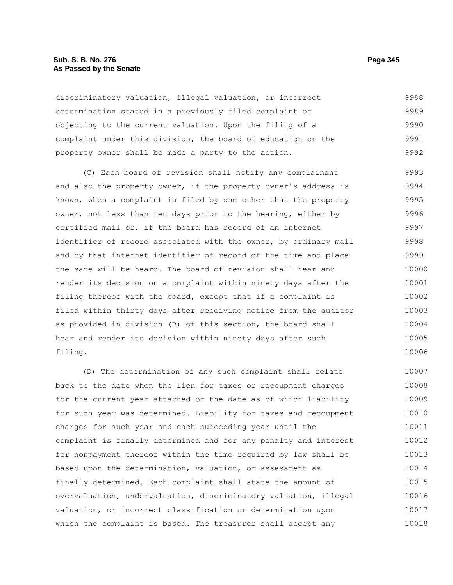#### **Sub. S. B. No. 276 Page 345 As Passed by the Senate**

discriminatory valuation, illegal valuation, or incorrect determination stated in a previously filed complaint or objecting to the current valuation. Upon the filing of a complaint under this division, the board of education or the property owner shall be made a party to the action. 9988 9989 9990 9991 9992

(C) Each board of revision shall notify any complainant and also the property owner, if the property owner's address is known, when a complaint is filed by one other than the property owner, not less than ten days prior to the hearing, either by certified mail or, if the board has record of an internet identifier of record associated with the owner, by ordinary mail and by that internet identifier of record of the time and place the same will be heard. The board of revision shall hear and render its decision on a complaint within ninety days after the filing thereof with the board, except that if a complaint is filed within thirty days after receiving notice from the auditor as provided in division (B) of this section, the board shall hear and render its decision within ninety days after such filing. 9993 9994 9995 9996 9997 9998 9999 10000 10001 10002 10003 10004 10005 10006

(D) The determination of any such complaint shall relate back to the date when the lien for taxes or recoupment charges for the current year attached or the date as of which liability for such year was determined. Liability for taxes and recoupment charges for such year and each succeeding year until the complaint is finally determined and for any penalty and interest for nonpayment thereof within the time required by law shall be based upon the determination, valuation, or assessment as finally determined. Each complaint shall state the amount of overvaluation, undervaluation, discriminatory valuation, illegal valuation, or incorrect classification or determination upon which the complaint is based. The treasurer shall accept any 10007 10008 10009 10010 10011 10012 10013 10014 10015 10016 10017 10018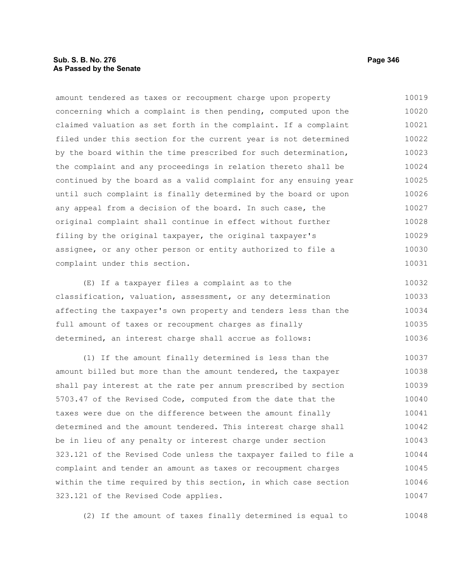### **Sub. S. B. No. 276 Page 346 As Passed by the Senate**

amount tendered as taxes or recoupment charge upon property concerning which a complaint is then pending, computed upon the claimed valuation as set forth in the complaint. If a complaint filed under this section for the current year is not determined by the board within the time prescribed for such determination, the complaint and any proceedings in relation thereto shall be continued by the board as a valid complaint for any ensuing year until such complaint is finally determined by the board or upon any appeal from a decision of the board. In such case, the original complaint shall continue in effect without further filing by the original taxpayer, the original taxpayer's assignee, or any other person or entity authorized to file a complaint under this section. 10019 10020 10021 10022 10023 10024 10025 10026 10027 10028 10029 10030 10031

(E) If a taxpayer files a complaint as to the classification, valuation, assessment, or any determination affecting the taxpayer's own property and tenders less than the full amount of taxes or recoupment charges as finally determined, an interest charge shall accrue as follows: 10032 10033 10034 10035 10036

(1) If the amount finally determined is less than the amount billed but more than the amount tendered, the taxpayer shall pay interest at the rate per annum prescribed by section 5703.47 of the Revised Code, computed from the date that the taxes were due on the difference between the amount finally determined and the amount tendered. This interest charge shall be in lieu of any penalty or interest charge under section 323.121 of the Revised Code unless the taxpayer failed to file a complaint and tender an amount as taxes or recoupment charges within the time required by this section, in which case section 323.121 of the Revised Code applies. 10037 10038 10039 10040 10041 10042 10043 10044 10045 10046 10047

(2) If the amount of taxes finally determined is equal to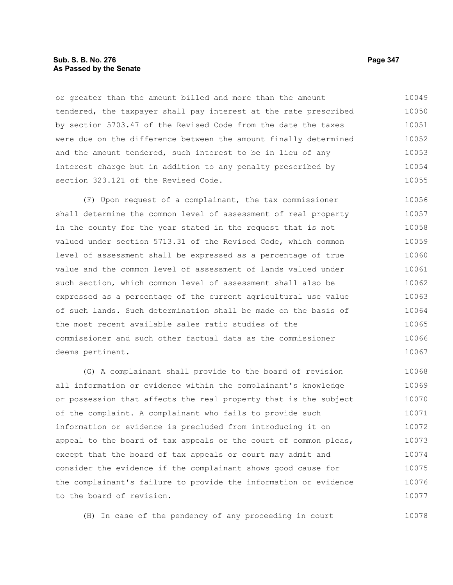#### **Sub. S. B. No. 276 Page 347 As Passed by the Senate**

or greater than the amount billed and more than the amount tendered, the taxpayer shall pay interest at the rate prescribed by section 5703.47 of the Revised Code from the date the taxes were due on the difference between the amount finally determined and the amount tendered, such interest to be in lieu of any interest charge but in addition to any penalty prescribed by section 323.121 of the Revised Code. 10049 10050 10051 10052 10053 10054 10055

(F) Upon request of a complainant, the tax commissioner shall determine the common level of assessment of real property in the county for the year stated in the request that is not valued under section 5713.31 of the Revised Code, which common level of assessment shall be expressed as a percentage of true value and the common level of assessment of lands valued under such section, which common level of assessment shall also be expressed as a percentage of the current agricultural use value of such lands. Such determination shall be made on the basis of the most recent available sales ratio studies of the commissioner and such other factual data as the commissioner deems pertinent. 10056 10057 10058 10059 10060 10061 10062 10063 10064 10065 10066 10067

(G) A complainant shall provide to the board of revision all information or evidence within the complainant's knowledge or possession that affects the real property that is the subject of the complaint. A complainant who fails to provide such information or evidence is precluded from introducing it on appeal to the board of tax appeals or the court of common pleas, except that the board of tax appeals or court may admit and consider the evidence if the complainant shows good cause for the complainant's failure to provide the information or evidence to the board of revision. 10068 10069 10070 10071 10072 10073 10074 10075 10076 10077

(H) In case of the pendency of any proceeding in court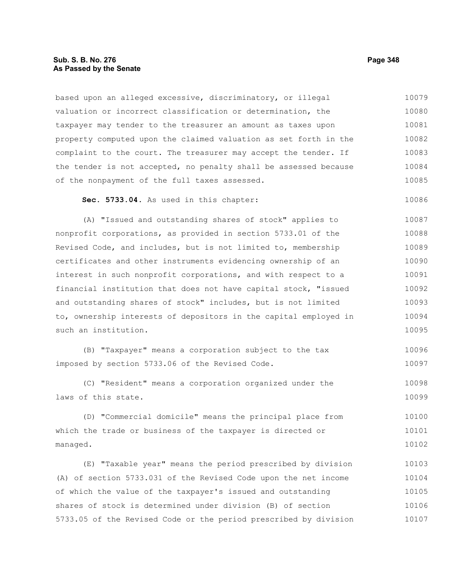based upon an alleged excessive, discriminatory, or illegal valuation or incorrect classification or determination, the taxpayer may tender to the treasurer an amount as taxes upon property computed upon the claimed valuation as set forth in the complaint to the court. The treasurer may accept the tender. If the tender is not accepted, no penalty shall be assessed because of the nonpayment of the full taxes assessed. 10079 10080 10081 10082 10083 10084 10085

**Sec. 5733.04.** As used in this chapter: 10086

(A) "Issued and outstanding shares of stock" applies to nonprofit corporations, as provided in section 5733.01 of the Revised Code, and includes, but is not limited to, membership certificates and other instruments evidencing ownership of an interest in such nonprofit corporations, and with respect to a financial institution that does not have capital stock, "issued and outstanding shares of stock" includes, but is not limited to, ownership interests of depositors in the capital employed in such an institution. 10087 10088 10089 10090 10091 10092 10093 10094 10095

(B) "Taxpayer" means a corporation subject to the tax imposed by section 5733.06 of the Revised Code. 10096 10097

(C) "Resident" means a corporation organized under the laws of this state. 10098 10099

(D) "Commercial domicile" means the principal place from which the trade or business of the taxpayer is directed or managed. 10100 10101 10102

(E) "Taxable year" means the period prescribed by division (A) of section 5733.031 of the Revised Code upon the net income of which the value of the taxpayer's issued and outstanding shares of stock is determined under division (B) of section 5733.05 of the Revised Code or the period prescribed by division 10103 10104 10105 10106 10107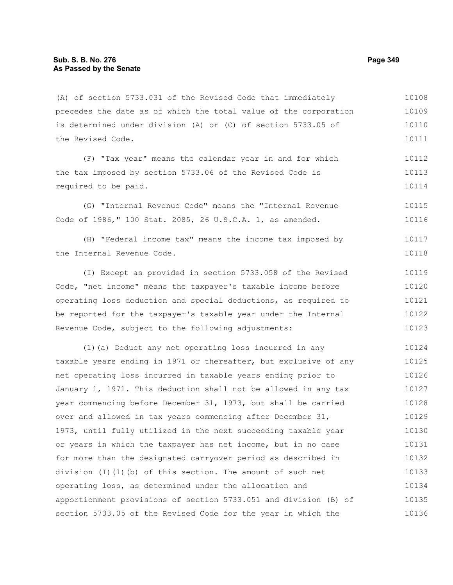(A) of section 5733.031 of the Revised Code that immediately precedes the date as of which the total value of the corporation is determined under division (A) or (C) of section 5733.05 of the Revised Code. 10109 10110 10111

(F) "Tax year" means the calendar year in and for which the tax imposed by section 5733.06 of the Revised Code is required to be paid. 10112 10113 10114

(G) "Internal Revenue Code" means the "Internal Revenue Code of 1986," 100 Stat. 2085, 26 U.S.C.A. 1, as amended. 10115 10116

(H) "Federal income tax" means the income tax imposed by the Internal Revenue Code. 10117 10118

(I) Except as provided in section 5733.058 of the Revised Code, "net income" means the taxpayer's taxable income before operating loss deduction and special deductions, as required to be reported for the taxpayer's taxable year under the Internal Revenue Code, subject to the following adjustments: 10119 10120 10121 10122 10123

(1)(a) Deduct any net operating loss incurred in any taxable years ending in 1971 or thereafter, but exclusive of any net operating loss incurred in taxable years ending prior to January 1, 1971. This deduction shall not be allowed in any tax year commencing before December 31, 1973, but shall be carried over and allowed in tax years commencing after December 31, 1973, until fully utilized in the next succeeding taxable year or years in which the taxpayer has net income, but in no case for more than the designated carryover period as described in division (I)(1)(b) of this section. The amount of such net operating loss, as determined under the allocation and apportionment provisions of section 5733.051 and division (B) of section 5733.05 of the Revised Code for the year in which the 10124 10125 10126 10127 10128 10129 10130 10131 10132 10133 10134 10135 10136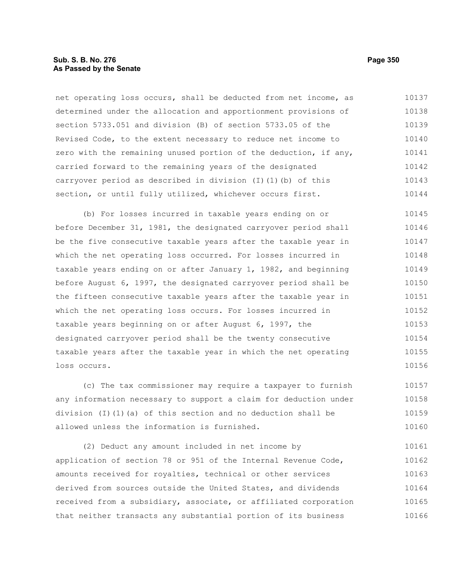### **Sub. S. B. No. 276 Page 350 As Passed by the Senate**

net operating loss occurs, shall be deducted from net income, as determined under the allocation and apportionment provisions of section 5733.051 and division (B) of section 5733.05 of the Revised Code, to the extent necessary to reduce net income to zero with the remaining unused portion of the deduction, if any, carried forward to the remaining years of the designated carryover period as described in division (I)(1)(b) of this section, or until fully utilized, whichever occurs first. 10137 10138 10139 10140 10141 10142 10143 10144

(b) For losses incurred in taxable years ending on or before December 31, 1981, the designated carryover period shall be the five consecutive taxable years after the taxable year in which the net operating loss occurred. For losses incurred in taxable years ending on or after January 1, 1982, and beginning before August 6, 1997, the designated carryover period shall be the fifteen consecutive taxable years after the taxable year in which the net operating loss occurs. For losses incurred in taxable years beginning on or after August 6, 1997, the designated carryover period shall be the twenty consecutive taxable years after the taxable year in which the net operating loss occurs. 10145 10146 10147 10148 10149 10150 10151 10152 10153 10154 10155 10156

(c) The tax commissioner may require a taxpayer to furnish any information necessary to support a claim for deduction under division (I)(1)(a) of this section and no deduction shall be allowed unless the information is furnished. 10157 10158 10159 10160

(2) Deduct any amount included in net income by application of section 78 or 951 of the Internal Revenue Code, amounts received for royalties, technical or other services derived from sources outside the United States, and dividends received from a subsidiary, associate, or affiliated corporation that neither transacts any substantial portion of its business 10161 10162 10163 10164 10165 10166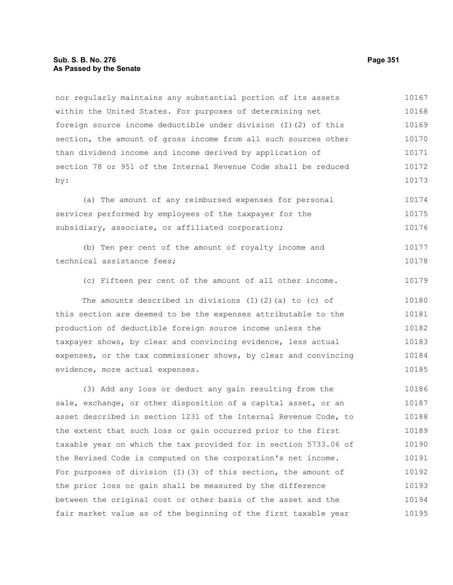#### **Sub. S. B. No. 276 Page 351 As Passed by the Senate**

nor regularly maintains any substantial portion of its assets within the United States. For purposes of determining net foreign source income deductible under division (I)(2) of this section, the amount of gross income from all such sources other than dividend income and income derived by application of section 78 or 951 of the Internal Revenue Code shall be reduced by: 10167 10168 10169 10170 10171 10172 10173

(a) The amount of any reimbursed expenses for personal services performed by employees of the taxpayer for the subsidiary, associate, or affiliated corporation; 10174 10175 10176

(b) Ten per cent of the amount of royalty income and technical assistance fees; 10177 10178

(c) Fifteen per cent of the amount of all other income. 10179

The amounts described in divisions (I)(2)(a) to (c) of this section are deemed to be the expenses attributable to the production of deductible foreign source income unless the taxpayer shows, by clear and convincing evidence, less actual expenses, or the tax commissioner shows, by clear and convincing evidence, more actual expenses. 10180 10181 10182 10183 10184 10185

(3) Add any loss or deduct any gain resulting from the sale, exchange, or other disposition of a capital asset, or an asset described in section 1231 of the Internal Revenue Code, to the extent that such loss or gain occurred prior to the first taxable year on which the tax provided for in section 5733.06 of the Revised Code is computed on the corporation's net income. For purposes of division (I)(3) of this section, the amount of the prior loss or gain shall be measured by the difference between the original cost or other basis of the asset and the fair market value as of the beginning of the first taxable year 10186 10187 10188 10189 10190 10191 10192 10193 10194 10195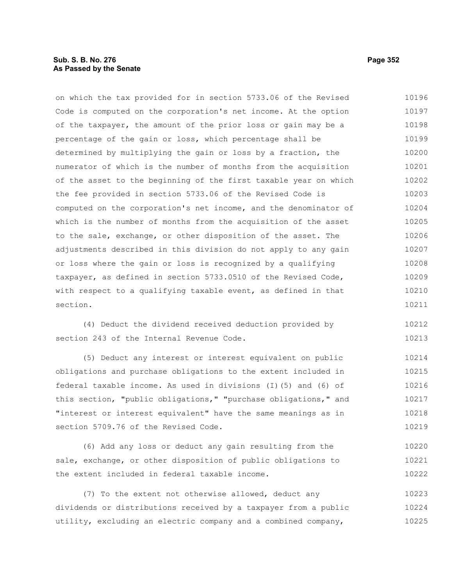### **Sub. S. B. No. 276 Page 352 As Passed by the Senate**

on which the tax provided for in section 5733.06 of the Revised Code is computed on the corporation's net income. At the option of the taxpayer, the amount of the prior loss or gain may be a percentage of the gain or loss, which percentage shall be determined by multiplying the gain or loss by a fraction, the numerator of which is the number of months from the acquisition of the asset to the beginning of the first taxable year on which the fee provided in section 5733.06 of the Revised Code is computed on the corporation's net income, and the denominator of which is the number of months from the acquisition of the asset to the sale, exchange, or other disposition of the asset. The adjustments described in this division do not apply to any gain or loss where the gain or loss is recognized by a qualifying taxpayer, as defined in section 5733.0510 of the Revised Code, with respect to a qualifying taxable event, as defined in that section. 10196 10197 10198 10199 10200 10201 10202 10203 10204 10205 10206 10207 10208 10209 10210 10211

(4) Deduct the dividend received deduction provided by section 243 of the Internal Revenue Code. 10212 10213

(5) Deduct any interest or interest equivalent on public obligations and purchase obligations to the extent included in federal taxable income. As used in divisions (I)(5) and (6) of this section, "public obligations," "purchase obligations," and "interest or interest equivalent" have the same meanings as in section 5709.76 of the Revised Code. 10214 10215 10216 10217 10218 10219

(6) Add any loss or deduct any gain resulting from the sale, exchange, or other disposition of public obligations to the extent included in federal taxable income. 10220 10221 10222

(7) To the extent not otherwise allowed, deduct any dividends or distributions received by a taxpayer from a public utility, excluding an electric company and a combined company, 10223 10224 10225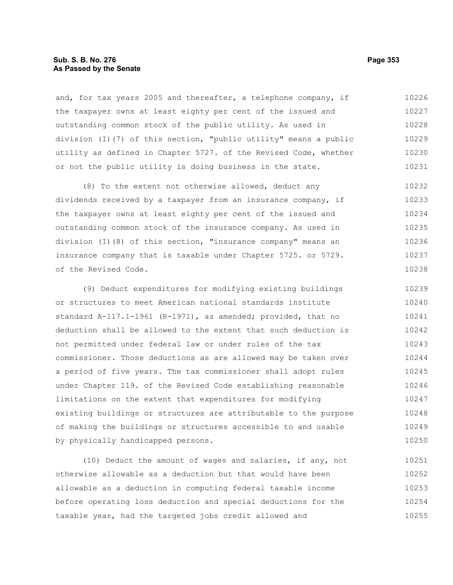### **Sub. S. B. No. 276 Page 353 As Passed by the Senate**

and, for tax years 2005 and thereafter, a telephone company, if the taxpayer owns at least eighty per cent of the issued and outstanding common stock of the public utility. As used in division (I)(7) of this section, "public utility" means a public utility as defined in Chapter 5727. of the Revised Code, whether or not the public utility is doing business in the state. 10226 10227 10228 10229 10230 10231

(8) To the extent not otherwise allowed, deduct any dividends received by a taxpayer from an insurance company, if the taxpayer owns at least eighty per cent of the issued and outstanding common stock of the insurance company. As used in division (I)(8) of this section, "insurance company" means an insurance company that is taxable under Chapter 5725. or 5729. of the Revised Code. 10232 10233 10234 10235 10236 10237 10238

(9) Deduct expenditures for modifying existing buildings or structures to meet American national standards institute standard A-117.1-1961 (R-1971), as amended; provided, that no deduction shall be allowed to the extent that such deduction is not permitted under federal law or under rules of the tax commissioner. Those deductions as are allowed may be taken over a period of five years. The tax commissioner shall adopt rules under Chapter 119. of the Revised Code establishing reasonable limitations on the extent that expenditures for modifying existing buildings or structures are attributable to the purpose of making the buildings or structures accessible to and usable by physically handicapped persons. 10239 10240 10241 10242 10243 10244 10245 10246 10247 10248 10249 10250

(10) Deduct the amount of wages and salaries, if any, not otherwise allowable as a deduction but that would have been allowable as a deduction in computing federal taxable income before operating loss deduction and special deductions for the taxable year, had the targeted jobs credit allowed and 10251 10252 10253 10254 10255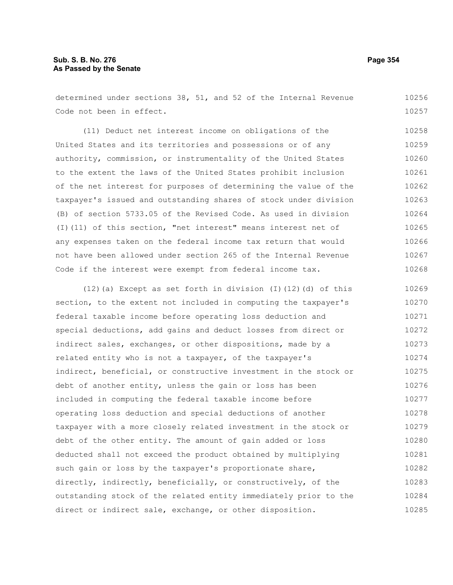determined under sections 38, 51, and 52 of the Internal Revenue Code not been in effect. 10256 10257

(11) Deduct net interest income on obligations of the United States and its territories and possessions or of any authority, commission, or instrumentality of the United States to the extent the laws of the United States prohibit inclusion of the net interest for purposes of determining the value of the taxpayer's issued and outstanding shares of stock under division (B) of section 5733.05 of the Revised Code. As used in division (I)(11) of this section, "net interest" means interest net of any expenses taken on the federal income tax return that would not have been allowed under section 265 of the Internal Revenue Code if the interest were exempt from federal income tax. 10258 10259 10260 10261 10262 10263 10264 10265 10266 10267 10268

(12)(a) Except as set forth in division (I)(12)(d) of this section, to the extent not included in computing the taxpayer's federal taxable income before operating loss deduction and special deductions, add gains and deduct losses from direct or indirect sales, exchanges, or other dispositions, made by a related entity who is not a taxpayer, of the taxpayer's indirect, beneficial, or constructive investment in the stock or debt of another entity, unless the gain or loss has been included in computing the federal taxable income before operating loss deduction and special deductions of another taxpayer with a more closely related investment in the stock or debt of the other entity. The amount of gain added or loss deducted shall not exceed the product obtained by multiplying such gain or loss by the taxpayer's proportionate share, directly, indirectly, beneficially, or constructively, of the outstanding stock of the related entity immediately prior to the direct or indirect sale, exchange, or other disposition. 10269 10270 10271 10272 10273 10274 10275 10276 10277 10278 10279 10280 10281 10282 10283 10284 10285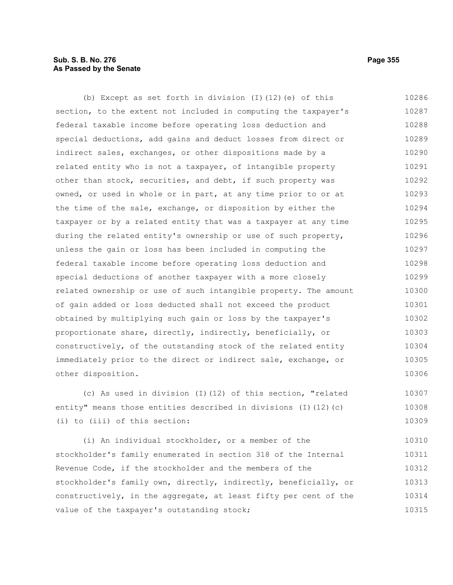# **Sub. S. B. No. 276 Page 355 As Passed by the Senate**

(b) Except as set forth in division (I)(12)(e) of this section, to the extent not included in computing the taxpayer's federal taxable income before operating loss deduction and special deductions, add gains and deduct losses from direct or indirect sales, exchanges, or other dispositions made by a related entity who is not a taxpayer, of intangible property other than stock, securities, and debt, if such property was owned, or used in whole or in part, at any time prior to or at the time of the sale, exchange, or disposition by either the taxpayer or by a related entity that was a taxpayer at any time during the related entity's ownership or use of such property, unless the gain or loss has been included in computing the federal taxable income before operating loss deduction and special deductions of another taxpayer with a more closely related ownership or use of such intangible property. The amount of gain added or loss deducted shall not exceed the product obtained by multiplying such gain or loss by the taxpayer's proportionate share, directly, indirectly, beneficially, or constructively, of the outstanding stock of the related entity immediately prior to the direct or indirect sale, exchange, or other disposition. 10286 10287 10288 10289 10290 10291 10292 10293 10294 10295 10296 10297 10298 10299 10300 10301 10302 10303 10304 10305 10306

(c) As used in division (I)(12) of this section, "related entity" means those entities described in divisions (I)(12)(c) (i) to (iii) of this section: 10307 10308 10309

(i) An individual stockholder, or a member of the stockholder's family enumerated in section 318 of the Internal Revenue Code, if the stockholder and the members of the stockholder's family own, directly, indirectly, beneficially, or constructively, in the aggregate, at least fifty per cent of the value of the taxpayer's outstanding stock; 10310 10311 10312 10313 10314 10315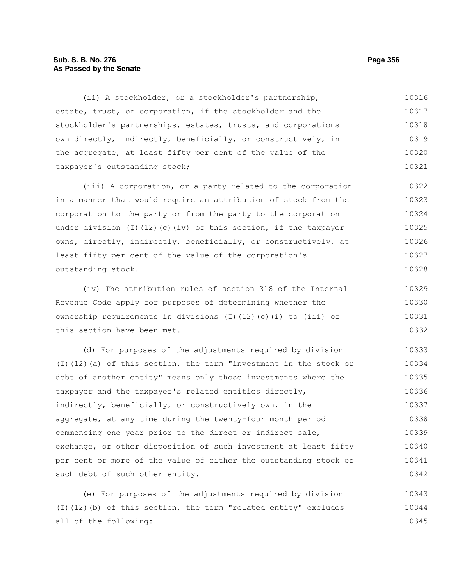### **Sub. S. B. No. 276 Page 356 As Passed by the Senate**

(ii) A stockholder, or a stockholder's partnership, estate, trust, or corporation, if the stockholder and the stockholder's partnerships, estates, trusts, and corporations own directly, indirectly, beneficially, or constructively, in the aggregate, at least fifty per cent of the value of the taxpayer's outstanding stock; 10316 10317 10318 10319 10320 10321

(iii) A corporation, or a party related to the corporation in a manner that would require an attribution of stock from the corporation to the party or from the party to the corporation under division (I)(12)(c)(iv) of this section, if the taxpayer owns, directly, indirectly, beneficially, or constructively, at least fifty per cent of the value of the corporation's outstanding stock. 10322 10323 10324 10325 10326 10327 10328

(iv) The attribution rules of section 318 of the Internal Revenue Code apply for purposes of determining whether the ownership requirements in divisions (I)(12)(c)(i) to (iii) of this section have been met. 10329 10330 10331 10332

(d) For purposes of the adjustments required by division (I)(12)(a) of this section, the term "investment in the stock or debt of another entity" means only those investments where the taxpayer and the taxpayer's related entities directly, indirectly, beneficially, or constructively own, in the aggregate, at any time during the twenty-four month period commencing one year prior to the direct or indirect sale, exchange, or other disposition of such investment at least fifty per cent or more of the value of either the outstanding stock or such debt of such other entity. 10333 10334 10335 10336 10337 10338 10339 10340 10341 10342

(e) For purposes of the adjustments required by division (I)(12)(b) of this section, the term "related entity" excludes all of the following: 10343 10344 10345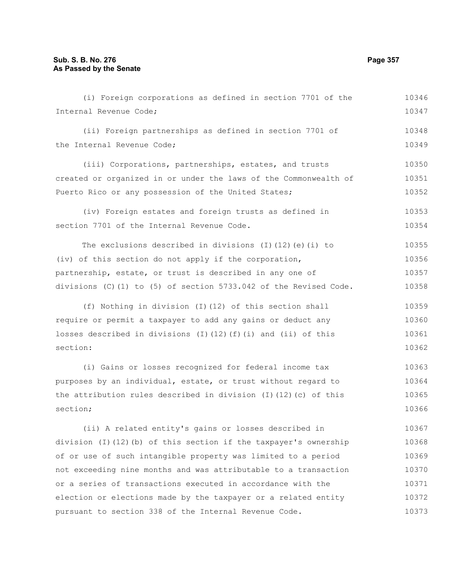Internal Revenue Code; (ii) Foreign partnerships as defined in section 7701 of the Internal Revenue Code; (iii) Corporations, partnerships, estates, and trusts created or organized in or under the laws of the Commonwealth of Puerto Rico or any possession of the United States; (iv) Foreign estates and foreign trusts as defined in section 7701 of the Internal Revenue Code. The exclusions described in divisions (I)(12)(e)(i) to (iv) of this section do not apply if the corporation, partnership, estate, or trust is described in any one of divisions (C)(1) to (5) of section 5733.042 of the Revised Code. (f) Nothing in division (I)(12) of this section shall require or permit a taxpayer to add any gains or deduct any losses described in divisions (I)(12)(f)(i) and (ii) of this section: (i) Gains or losses recognized for federal income tax purposes by an individual, estate, or trust without regard to the attribution rules described in division (I)(12)(c) of this section; (ii) A related entity's gains or losses described in division (I)(12)(b) of this section if the taxpayer's ownership of or use of such intangible property was limited to a period not exceeding nine months and was attributable to a transaction or a series of transactions executed in accordance with the election or elections made by the taxpayer or a related entity 10347 10348 10349 10350 10351 10352 10353 10354 10355 10356 10357 10358 10359 10360 10361 10362 10363 10364 10365 10366 10367 10368 10369 10370 10371 10372

pursuant to section 338 of the Internal Revenue Code.

(i) Foreign corporations as defined in section 7701 of the

10346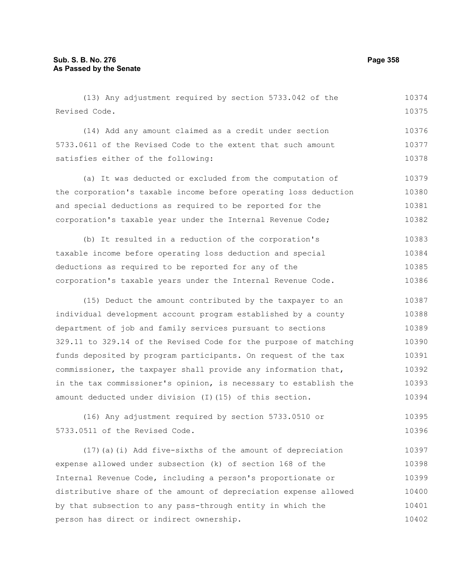(13) Any adjustment required by section 5733.042 of the Revised Code. 10374 10375

(14) Add any amount claimed as a credit under section 5733.0611 of the Revised Code to the extent that such amount satisfies either of the following: 10376 10377 10378

(a) It was deducted or excluded from the computation of the corporation's taxable income before operating loss deduction and special deductions as required to be reported for the corporation's taxable year under the Internal Revenue Code; 10379 10380 10381 10382

(b) It resulted in a reduction of the corporation's taxable income before operating loss deduction and special deductions as required to be reported for any of the corporation's taxable years under the Internal Revenue Code. 10383 10384 10385 10386

(15) Deduct the amount contributed by the taxpayer to an individual development account program established by a county department of job and family services pursuant to sections 329.11 to 329.14 of the Revised Code for the purpose of matching funds deposited by program participants. On request of the tax commissioner, the taxpayer shall provide any information that, in the tax commissioner's opinion, is necessary to establish the amount deducted under division (I)(15) of this section. 10387 10388 10389 10390 10391 10392 10393 10394

(16) Any adjustment required by section 5733.0510 or 5733.0511 of the Revised Code. 10395 10396

(17)(a)(i) Add five-sixths of the amount of depreciation expense allowed under subsection (k) of section 168 of the Internal Revenue Code, including a person's proportionate or distributive share of the amount of depreciation expense allowed by that subsection to any pass-through entity in which the person has direct or indirect ownership. 10397 10398 10399 10400 10401 10402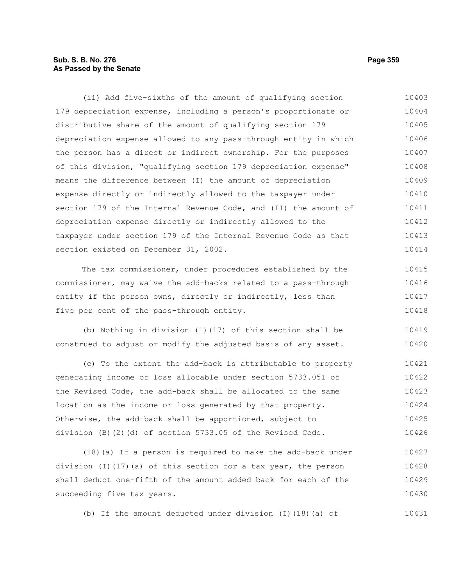# **Sub. S. B. No. 276 Page 359 As Passed by the Senate**

(ii) Add five-sixths of the amount of qualifying section 179 depreciation expense, including a person's proportionate or distributive share of the amount of qualifying section 179 depreciation expense allowed to any pass-through entity in which the person has a direct or indirect ownership. For the purposes of this division, "qualifying section 179 depreciation expense" means the difference between (I) the amount of depreciation expense directly or indirectly allowed to the taxpayer under section 179 of the Internal Revenue Code, and (II) the amount of depreciation expense directly or indirectly allowed to the taxpayer under section 179 of the Internal Revenue Code as that section existed on December 31, 2002. The tax commissioner, under procedures established by the commissioner, may waive the add-backs related to a pass-through entity if the person owns, directly or indirectly, less than five per cent of the pass-through entity. (b) Nothing in division (I)(17) of this section shall be construed to adjust or modify the adjusted basis of any asset. 10403 10404 10405 10406 10407 10408 10409 10410 10411 10412 10413 10414 10415 10416 10417 10418 10419 10420

(c) To the extent the add-back is attributable to property generating income or loss allocable under section 5733.051 of the Revised Code, the add-back shall be allocated to the same location as the income or loss generated by that property. Otherwise, the add-back shall be apportioned, subject to division (B)(2)(d) of section 5733.05 of the Revised Code. 10421 10422 10423 10424 10425 10426

(18)(a) If a person is required to make the add-back under division (I)(17)(a) of this section for a tax year, the person shall deduct one-fifth of the amount added back for each of the succeeding five tax years. 10427 10428 10429 10430

(b) If the amount deducted under division (I)(18)(a) of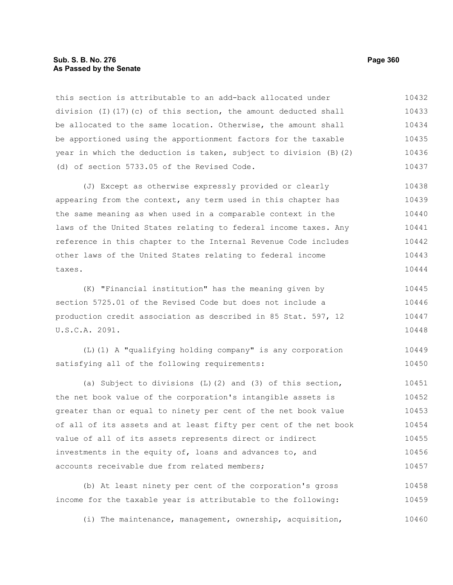#### **Sub. S. B. No. 276 Page 360 As Passed by the Senate**

this section is attributable to an add-back allocated under division (I)(17)(c) of this section, the amount deducted shall be allocated to the same location. Otherwise, the amount shall be apportioned using the apportionment factors for the taxable year in which the deduction is taken, subject to division (B)(2) (d) of section 5733.05 of the Revised Code. 10432 10433 10434 10435 10436 10437

(J) Except as otherwise expressly provided or clearly appearing from the context, any term used in this chapter has the same meaning as when used in a comparable context in the laws of the United States relating to federal income taxes. Any reference in this chapter to the Internal Revenue Code includes other laws of the United States relating to federal income taxes. 10438 10439 10440 10441 10442 10443 10444

(K) "Financial institution" has the meaning given by section 5725.01 of the Revised Code but does not include a production credit association as described in 85 Stat. 597, 12 U.S.C.A. 2091. 10445 10446 10447 10448

(L)(1) A "qualifying holding company" is any corporation satisfying all of the following requirements: 10449 10450

(a) Subject to divisions (L)(2) and (3) of this section, the net book value of the corporation's intangible assets is greater than or equal to ninety per cent of the net book value of all of its assets and at least fifty per cent of the net book value of all of its assets represents direct or indirect investments in the equity of, loans and advances to, and accounts receivable due from related members; 10451 10452 10453 10454 10455 10456 10457

(b) At least ninety per cent of the corporation's gross income for the taxable year is attributable to the following: 10458 10459

(i) The maintenance, management, ownership, acquisition, 10460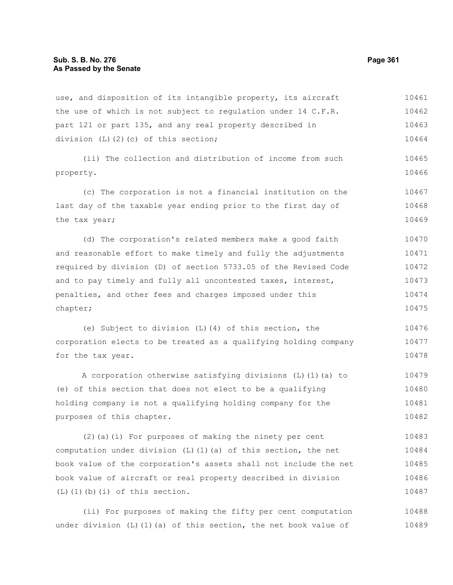use, and disposition of its intangible property, its aircraft the use of which is not subject to regulation under 14 C.F.R. part 121 or part 135, and any real property described in division (L)(2)(c) of this section; 10461 10462 10463 10464

(ii) The collection and distribution of income from such property. 10465 10466

(c) The corporation is not a financial institution on the last day of the taxable year ending prior to the first day of the tax year; 10467 10468 10469

(d) The corporation's related members make a good faith and reasonable effort to make timely and fully the adjustments required by division (D) of section 5733.05 of the Revised Code and to pay timely and fully all uncontested taxes, interest, penalties, and other fees and charges imposed under this chapter; 10470 10471 10472 10473 10474 10475

(e) Subject to division (L)(4) of this section, the corporation elects to be treated as a qualifying holding company for the tax year. 10476 10477 10478

A corporation otherwise satisfying divisions (L)(1)(a) to (e) of this section that does not elect to be a qualifying holding company is not a qualifying holding company for the purposes of this chapter. 10479 10480 10481 10482

(2)(a)(i) For purposes of making the ninety per cent computation under division  $(L)$  (1)(a) of this section, the net book value of the corporation's assets shall not include the net book value of aircraft or real property described in division (L)(1)(b)(i) of this section. 10483 10484 10485 10486 10487

(ii) For purposes of making the fifty per cent computation under division  $(L)$  (1)(a) of this section, the net book value of 10488 10489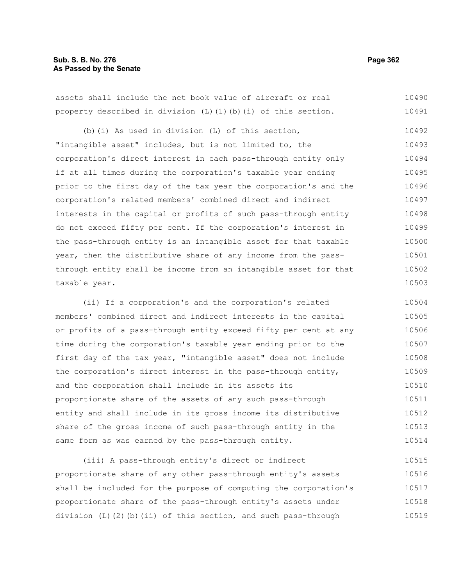# **Sub. S. B. No. 276 Page 362 As Passed by the Senate**

assets shall include the net book value of aircraft or real property described in division  $(L)$  (1)(b)(i) of this section. 10490 10491

(b)(i) As used in division (L) of this section, "intangible asset" includes, but is not limited to, the corporation's direct interest in each pass-through entity only if at all times during the corporation's taxable year ending prior to the first day of the tax year the corporation's and the corporation's related members' combined direct and indirect interests in the capital or profits of such pass-through entity do not exceed fifty per cent. If the corporation's interest in the pass-through entity is an intangible asset for that taxable year, then the distributive share of any income from the passthrough entity shall be income from an intangible asset for that taxable year. 10492 10493 10494 10495 10496 10497 10498 10499 10500 10501 10502 10503

(ii) If a corporation's and the corporation's related members' combined direct and indirect interests in the capital or profits of a pass-through entity exceed fifty per cent at any time during the corporation's taxable year ending prior to the first day of the tax year, "intangible asset" does not include the corporation's direct interest in the pass-through entity, and the corporation shall include in its assets its proportionate share of the assets of any such pass-through entity and shall include in its gross income its distributive share of the gross income of such pass-through entity in the same form as was earned by the pass-through entity. 10504 10505 10506 10507 10508 10509 10510 10511 10512 10513 10514

(iii) A pass-through entity's direct or indirect proportionate share of any other pass-through entity's assets shall be included for the purpose of computing the corporation's proportionate share of the pass-through entity's assets under division (L)(2)(b)(ii) of this section, and such pass-through 10515 10516 10517 10518 10519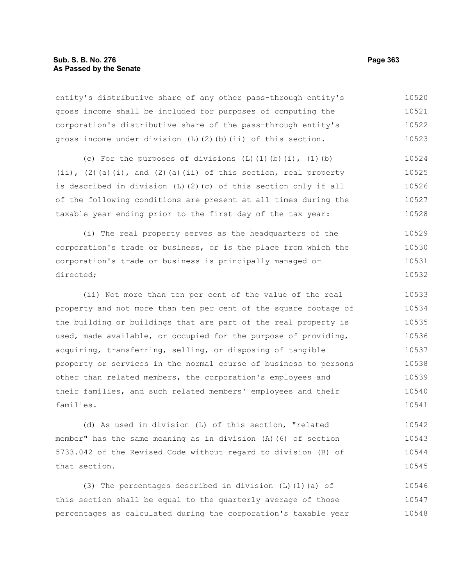entity's distributive share of any other pass-through entity's gross income shall be included for purposes of computing the corporation's distributive share of the pass-through entity's gross income under division (L)(2)(b)(ii) of this section. 10520 10521 10522 10523

(c) For the purposes of divisions  $(L)$   $(l)$   $(b)$   $(i)$ ,  $(l)$   $(b)$  $(i)$ ,  $(2)$  (a)(i), and  $(2)$  (a)(ii) of this section, real property is described in division (L)(2)(c) of this section only if all of the following conditions are present at all times during the taxable year ending prior to the first day of the tax year: 10524 10525 10526 10527 10528

(i) The real property serves as the headquarters of the corporation's trade or business, or is the place from which the corporation's trade or business is principally managed or directed; 10529 10530 10531 10532

(ii) Not more than ten per cent of the value of the real property and not more than ten per cent of the square footage of the building or buildings that are part of the real property is used, made available, or occupied for the purpose of providing, acquiring, transferring, selling, or disposing of tangible property or services in the normal course of business to persons other than related members, the corporation's employees and their families, and such related members' employees and their families. 10533 10534 10535 10536 10537 10538 10539 10540 10541

(d) As used in division (L) of this section, "related member" has the same meaning as in division (A)(6) of section 5733.042 of the Revised Code without regard to division (B) of that section. 10542 10543 10544 10545

(3) The percentages described in division (L)(1)(a) of this section shall be equal to the quarterly average of those percentages as calculated during the corporation's taxable year 10546 10547 10548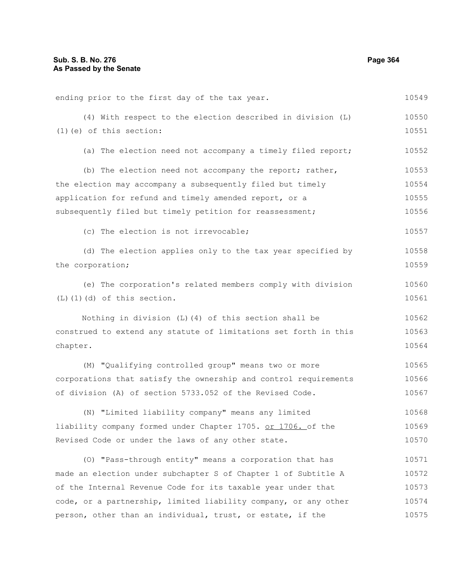| ending prior to the first day of the tax year.                   | 10549 |
|------------------------------------------------------------------|-------|
| (4) With respect to the election described in division (L)       | 10550 |
| $(1)$ (e) of this section:                                       | 10551 |
| (a) The election need not accompany a timely filed report;       | 10552 |
| (b) The election need not accompany the report; rather,          | 10553 |
| the election may accompany a subsequently filed but timely       | 10554 |
| application for refund and timely amended report, or a           | 10555 |
| subsequently filed but timely petition for reassessment;         | 10556 |
| (c) The election is not irrevocable;                             | 10557 |
| (d) The election applies only to the tax year specified by       | 10558 |
| the corporation;                                                 | 10559 |
| (e) The corporation's related members comply with division       | 10560 |
| $(L)$ $(1)$ $(d)$ of this section.                               | 10561 |
| Nothing in division (L) (4) of this section shall be             | 10562 |
| construed to extend any statute of limitations set forth in this | 10563 |
| chapter.                                                         | 10564 |
| (M) "Qualifying controlled group" means two or more              | 10565 |
| corporations that satisfy the ownership and control requirements | 10566 |
| of division (A) of section 5733.052 of the Revised Code.         | 10567 |
| (N) "Limited liability company" means any limited                | 10568 |
| liability company formed under Chapter 1705. or 1706. of the     | 10569 |
| Revised Code or under the laws of any other state.               | 10570 |
| (O) "Pass-through entity" means a corporation that has           | 10571 |
| made an election under subchapter S of Chapter 1 of Subtitle A   | 10572 |
| of the Internal Revenue Code for its taxable year under that     | 10573 |
| code, or a partnership, limited liability company, or any other  | 10574 |
| person, other than an individual, trust, or estate, if the       | 10575 |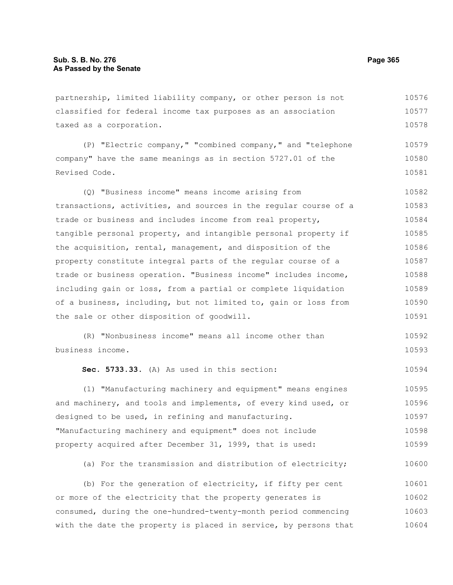partnership, limited liability company, or other person is not classified for federal income tax purposes as an association taxed as a corporation. 10576 10577 10578

(P) "Electric company," "combined company," and "telephone company" have the same meanings as in section 5727.01 of the Revised Code. 10579 10580 10581

(Q) "Business income" means income arising from transactions, activities, and sources in the regular course of a trade or business and includes income from real property, tangible personal property, and intangible personal property if the acquisition, rental, management, and disposition of the property constitute integral parts of the regular course of a trade or business operation. "Business income" includes income, including gain or loss, from a partial or complete liquidation of a business, including, but not limited to, gain or loss from the sale or other disposition of goodwill. 10582 10583 10584 10585 10586 10587 10588 10589 10590 10591

(R) "Nonbusiness income" means all income other than business income. 10592 10593

**Sec. 5733.33.** (A) As used in this section:

(1) "Manufacturing machinery and equipment" means engines and machinery, and tools and implements, of every kind used, or designed to be used, in refining and manufacturing. "Manufacturing machinery and equipment" does not include property acquired after December 31, 1999, that is used: 10595 10596 10597 10598 10599

(a) For the transmission and distribution of electricity; 10600

(b) For the generation of electricity, if fifty per cent or more of the electricity that the property generates is consumed, during the one-hundred-twenty-month period commencing with the date the property is placed in service, by persons that 10601 10602 10603 10604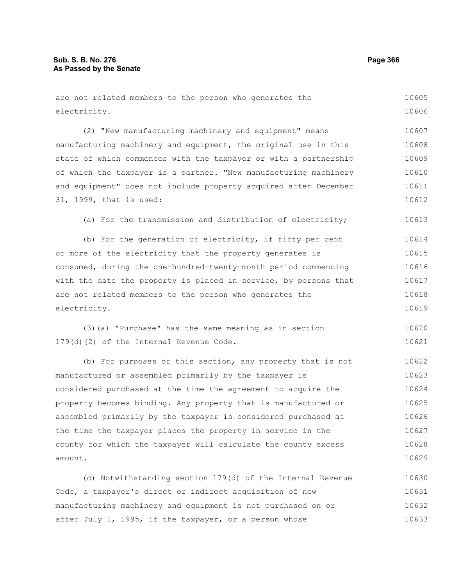| are not related members to the person who generates the          | 10605 |
|------------------------------------------------------------------|-------|
| electricity.                                                     | 10606 |
| (2) "New manufacturing machinery and equipment" means            | 10607 |
| manufacturing machinery and equipment, the original use in this  | 10608 |
| state of which commences with the taxpayer or with a partnership | 10609 |
| of which the taxpayer is a partner. "New manufacturing machinery | 10610 |
| and equipment" does not include property acquired after December | 10611 |
| 31, 1999, that is used:                                          | 10612 |
| (a) For the transmission and distribution of electricity;        | 10613 |
| (b) For the generation of electricity, if fifty per cent         | 10614 |
| or more of the electricity that the property generates is        | 10615 |
| consumed, during the one-hundred-twenty-month period commencing  | 10616 |
| with the date the property is placed in service, by persons that | 10617 |
| are not related members to the person who generates the          | 10618 |
| electricity.                                                     | 10619 |
| (3) (a) "Purchase" has the same meaning as in section            | 10620 |
| 179(d)(2) of the Internal Revenue Code.                          | 10621 |
| (b) For purposes of this section, any property that is not       | 10622 |
| manufactured or assembled primarily by the taxpayer is           | 10623 |
| considered purchased at the time the agreement to acquire the    | 10624 |
| property becomes binding. Any property that is manufactured or   | 10625 |
| assembled primarily by the taxpayer is considered purchased at   | 10626 |
| the time the taxpayer places the property in service in the      | 10627 |
| county for which the taxpayer will calculate the county excess   | 10628 |
| amount.                                                          | 10629 |
|                                                                  |       |

(c) Notwithstanding section 179(d) of the Internal Revenue Code, a taxpayer's direct or indirect acquisition of new manufacturing machinery and equipment is not purchased on or after July 1, 1995, if the taxpayer, or a person whose 10630 10631 10632 10633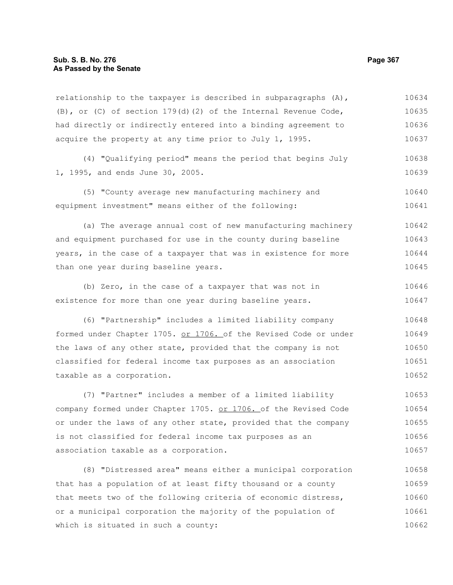relationship to the taxpayer is described in subparagraphs  $(A)$ , (B), or (C) of section 179(d)(2) of the Internal Revenue Code, had directly or indirectly entered into a binding agreement to acquire the property at any time prior to July 1, 1995. 10634 10635 10636 10637

(4) "Qualifying period" means the period that begins July 1, 1995, and ends June 30, 2005. 10638 10639

(5) "County average new manufacturing machinery and equipment investment" means either of the following: 10640 10641

(a) The average annual cost of new manufacturing machinery and equipment purchased for use in the county during baseline years, in the case of a taxpayer that was in existence for more than one year during baseline years. 10642 10643 10644 10645

(b) Zero, in the case of a taxpayer that was not in existence for more than one year during baseline years. 10646 10647

(6) "Partnership" includes a limited liability company formed under Chapter 1705. or 1706. of the Revised Code or under the laws of any other state, provided that the company is not classified for federal income tax purposes as an association taxable as a corporation. 10648 10649 10650 10651 10652

(7) "Partner" includes a member of a limited liability company formed under Chapter 1705. or 1706. of the Revised Code or under the laws of any other state, provided that the company is not classified for federal income tax purposes as an association taxable as a corporation. 10653 10654 10655 10656 10657

(8) "Distressed area" means either a municipal corporation that has a population of at least fifty thousand or a county that meets two of the following criteria of economic distress, or a municipal corporation the majority of the population of which is situated in such a county: 10658 10659 10660 10661 10662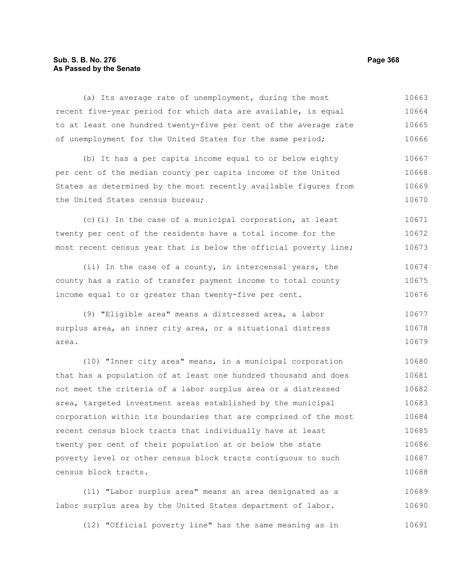# **Sub. S. B. No. 276 Page 368 As Passed by the Senate**

(a) Its average rate of unemployment, during the most recent five-year period for which data are available, is equal to at least one hundred twenty-five per cent of the average rate of unemployment for the United States for the same period; (b) It has a per capita income equal to or below eighty per cent of the median county per capita income of the United States as determined by the most recently available figures from the United States census bureau; (c)(i) In the case of a municipal corporation, at least twenty per cent of the residents have a total income for the most recent census year that is below the official poverty line; (ii) In the case of a county, in intercensal years, the county has a ratio of transfer payment income to total county income equal to or greater than twenty-five per cent. (9) "Eligible area" means a distressed area, a labor surplus area, an inner city area, or a situational distress area. (10) "Inner city area" means, in a municipal corporation that has a population of at least one hundred thousand and does not meet the criteria of a labor surplus area or a distressed area, targeted investment areas established by the municipal 10663 10664 10665 10666 10667 10668 10669 10670 10671 10672 10673 10674 10675 10676 10677 10678 10679 10680 10681 10682 10683

corporation within its boundaries that are comprised of the most recent census block tracts that individually have at least twenty per cent of their population at or below the state poverty level or other census block tracts contiguous to such census block tracts. 10684 10685 10686 10687 10688

(11) "Labor surplus area" means an area designated as a labor surplus area by the United States department of labor. 10689 10690

(12) "Official poverty line" has the same meaning as in 10691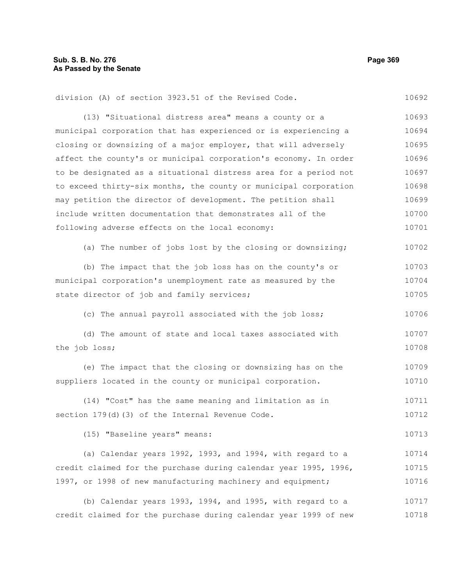| division (A) of section 3923.51 of the Revised Code.             | 10692 |
|------------------------------------------------------------------|-------|
| (13) "Situational distress area" means a county or a             | 10693 |
| municipal corporation that has experienced or is experiencing a  | 10694 |
| closing or downsizing of a major employer, that will adversely   | 10695 |
| affect the county's or municipal corporation's economy. In order | 10696 |
| to be designated as a situational distress area for a period not | 10697 |
| to exceed thirty-six months, the county or municipal corporation | 10698 |
| may petition the director of development. The petition shall     | 10699 |
| include written documentation that demonstrates all of the       | 10700 |
| following adverse effects on the local economy:                  | 10701 |
| (a) The number of jobs lost by the closing or downsizing;        | 10702 |
| (b) The impact that the job loss has on the county's or          | 10703 |
| municipal corporation's unemployment rate as measured by the     | 10704 |
| state director of job and family services;                       | 10705 |
| (c) The annual payroll associated with the job loss;             | 10706 |
| (d) The amount of state and local taxes associated with          | 10707 |
| the job loss;                                                    | 10708 |
| (e) The impact that the closing or downsizing has on the         | 10709 |
| suppliers located in the county or municipal corporation.        | 10710 |
| (14) "Cost" has the same meaning and limitation as in            | 10711 |
| section 179(d)(3) of the Internal Revenue Code.                  | 10712 |
| (15) "Baseline years" means:                                     | 10713 |
| (a) Calendar years 1992, 1993, and 1994, with regard to a        | 10714 |
| credit claimed for the purchase during calendar year 1995, 1996, | 10715 |
| 1997, or 1998 of new manufacturing machinery and equipment;      | 10716 |
| (b) Calendar years 1993, 1994, and 1995, with regard to a        | 10717 |
| credit claimed for the purchase during calendar year 1999 of new | 10718 |
|                                                                  |       |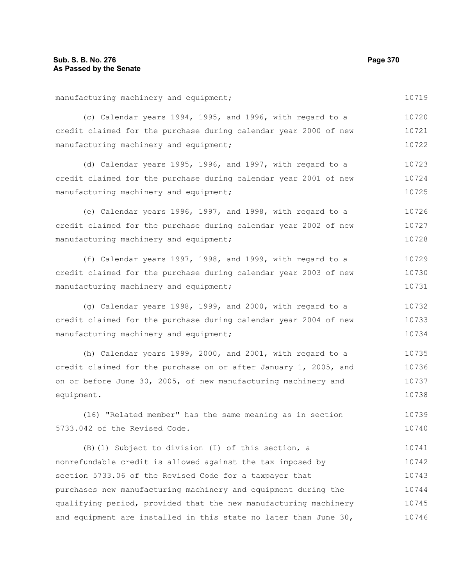manufacturing machinery and equipment; (c) Calendar years 1994, 1995, and 1996, with regard to a credit claimed for the purchase during calendar year 2000 of new manufacturing machinery and equipment; (d) Calendar years 1995, 1996, and 1997, with regard to a credit claimed for the purchase during calendar year 2001 of new manufacturing machinery and equipment; (e) Calendar years 1996, 1997, and 1998, with regard to a credit claimed for the purchase during calendar year 2002 of new manufacturing machinery and equipment; (f) Calendar years 1997, 1998, and 1999, with regard to a credit claimed for the purchase during calendar year 2003 of new manufacturing machinery and equipment; (g) Calendar years 1998, 1999, and 2000, with regard to a credit claimed for the purchase during calendar year 2004 of new manufacturing machinery and equipment; (h) Calendar years 1999, 2000, and 2001, with regard to a credit claimed for the purchase on or after January 1, 2005, and on or before June 30, 2005, of new manufacturing machinery and equipment. (16) "Related member" has the same meaning as in section 5733.042 of the Revised Code. (B)(1) Subject to division (I) of this section, a nonrefundable credit is allowed against the tax imposed by section 5733.06 of the Revised Code for a taxpayer that purchases new manufacturing machinery and equipment during the qualifying period, provided that the new manufacturing machinery 10719 10720 10721 10722 10723 10724 10725 10726 10727 10728 10729 10730 10731 10732 10733 10734 10735 10736 10737 10738 10739 10740 10741 10742 10743 10744 10745

and equipment are installed in this state no later than June 30,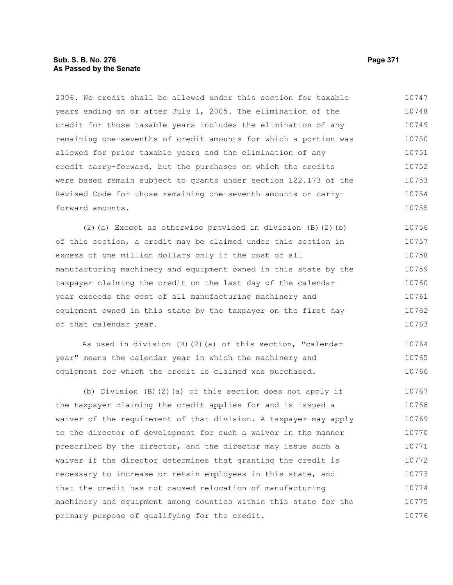# **Sub. S. B. No. 276 Page 371 As Passed by the Senate**

2006. No credit shall be allowed under this section for taxable years ending on or after July 1, 2005. The elimination of the credit for those taxable years includes the elimination of any remaining one-sevenths of credit amounts for which a portion was allowed for prior taxable years and the elimination of any credit carry-forward, but the purchases on which the credits were based remain subject to grants under section 122.173 of the Revised Code for those remaining one-seventh amounts or carryforward amounts. 10747 10748 10749 10750 10751 10752 10753 10754 10755

(2)(a) Except as otherwise provided in division (B)(2)(b) of this section, a credit may be claimed under this section in excess of one million dollars only if the cost of all manufacturing machinery and equipment owned in this state by the taxpayer claiming the credit on the last day of the calendar year exceeds the cost of all manufacturing machinery and equipment owned in this state by the taxpayer on the first day of that calendar year. 10756 10757 10758 10759 10760 10761 10762 10763

As used in division (B)(2)(a) of this section, "calendar year" means the calendar year in which the machinery and equipment for which the credit is claimed was purchased. 10764 10765 10766

(b) Division (B)(2)(a) of this section does not apply if the taxpayer claiming the credit applies for and is issued a waiver of the requirement of that division. A taxpayer may apply to the director of development for such a waiver in the manner prescribed by the director, and the director may issue such a waiver if the director determines that granting the credit is necessary to increase or retain employees in this state, and that the credit has not caused relocation of manufacturing machinery and equipment among counties within this state for the primary purpose of qualifying for the credit. 10767 10768 10769 10770 10771 10772 10773 10774 10775 10776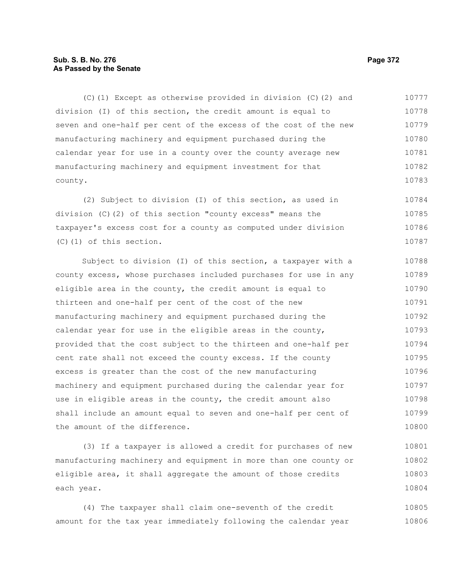# **Sub. S. B. No. 276 Page 372 As Passed by the Senate**

(C)(1) Except as otherwise provided in division (C)(2) and division (I) of this section, the credit amount is equal to seven and one-half per cent of the excess of the cost of the new manufacturing machinery and equipment purchased during the calendar year for use in a county over the county average new manufacturing machinery and equipment investment for that county. 10777 10778 10779 10780 10781 10782 10783

(2) Subject to division (I) of this section, as used in division (C)(2) of this section "county excess" means the taxpayer's excess cost for a county as computed under division (C)(1) of this section. 10784 10785 10786 10787

Subject to division (I) of this section, a taxpayer with a county excess, whose purchases included purchases for use in any eligible area in the county, the credit amount is equal to thirteen and one-half per cent of the cost of the new manufacturing machinery and equipment purchased during the calendar year for use in the eligible areas in the county, provided that the cost subject to the thirteen and one-half per cent rate shall not exceed the county excess. If the county excess is greater than the cost of the new manufacturing machinery and equipment purchased during the calendar year for use in eligible areas in the county, the credit amount also shall include an amount equal to seven and one-half per cent of the amount of the difference. 10788 10789 10790 10791 10792 10793 10794 10795 10796 10797 10798 10799 10800

(3) If a taxpayer is allowed a credit for purchases of new manufacturing machinery and equipment in more than one county or eligible area, it shall aggregate the amount of those credits each year. 10801 10802 10803 10804

(4) The taxpayer shall claim one-seventh of the credit amount for the tax year immediately following the calendar year 10805 10806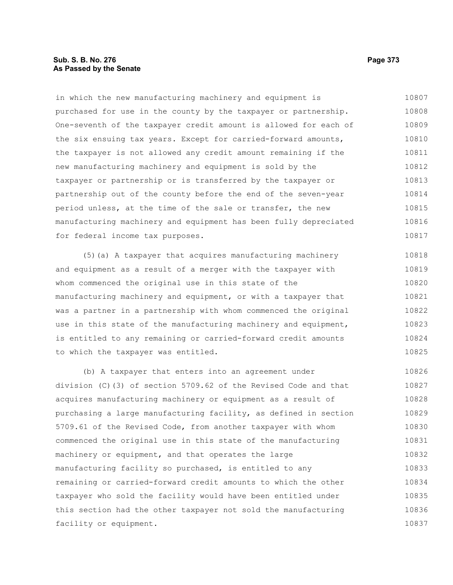## **Sub. S. B. No. 276 Page 373 As Passed by the Senate**

in which the new manufacturing machinery and equipment is purchased for use in the county by the taxpayer or partnership. One-seventh of the taxpayer credit amount is allowed for each of the six ensuing tax years. Except for carried-forward amounts, the taxpayer is not allowed any credit amount remaining if the new manufacturing machinery and equipment is sold by the taxpayer or partnership or is transferred by the taxpayer or partnership out of the county before the end of the seven-year period unless, at the time of the sale or transfer, the new manufacturing machinery and equipment has been fully depreciated for federal income tax purposes. 10807 10808 10809 10810 10811 10812 10813 10814 10815 10816 10817

(5)(a) A taxpayer that acquires manufacturing machinery and equipment as a result of a merger with the taxpayer with whom commenced the original use in this state of the manufacturing machinery and equipment, or with a taxpayer that was a partner in a partnership with whom commenced the original use in this state of the manufacturing machinery and equipment, is entitled to any remaining or carried-forward credit amounts to which the taxpayer was entitled. 10818 10819 10820 10821 10822 10823 10824 10825

(b) A taxpayer that enters into an agreement under division (C)(3) of section 5709.62 of the Revised Code and that acquires manufacturing machinery or equipment as a result of purchasing a large manufacturing facility, as defined in section 5709.61 of the Revised Code, from another taxpayer with whom commenced the original use in this state of the manufacturing machinery or equipment, and that operates the large manufacturing facility so purchased, is entitled to any remaining or carried-forward credit amounts to which the other taxpayer who sold the facility would have been entitled under this section had the other taxpayer not sold the manufacturing facility or equipment. 10826 10827 10828 10829 10830 10831 10832 10833 10834 10835 10836 10837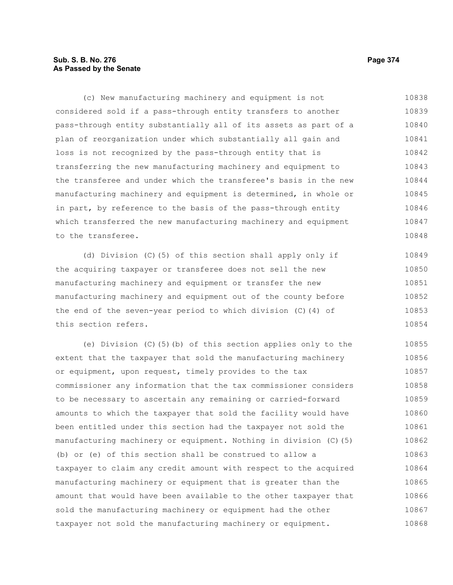# **Sub. S. B. No. 276 Page 374 As Passed by the Senate**

(c) New manufacturing machinery and equipment is not considered sold if a pass-through entity transfers to another pass-through entity substantially all of its assets as part of a plan of reorganization under which substantially all gain and loss is not recognized by the pass-through entity that is transferring the new manufacturing machinery and equipment to the transferee and under which the transferee's basis in the new manufacturing machinery and equipment is determined, in whole or in part, by reference to the basis of the pass-through entity which transferred the new manufacturing machinery and equipment to the transferee. 10838 10839 10840 10841 10842 10843 10844 10845 10846 10847 10848

(d) Division (C)(5) of this section shall apply only if the acquiring taxpayer or transferee does not sell the new manufacturing machinery and equipment or transfer the new manufacturing machinery and equipment out of the county before the end of the seven-year period to which division (C)(4) of this section refers. 10849 10850 10851 10852 10853 10854

(e) Division (C)(5)(b) of this section applies only to the extent that the taxpayer that sold the manufacturing machinery or equipment, upon request, timely provides to the tax commissioner any information that the tax commissioner considers to be necessary to ascertain any remaining or carried-forward amounts to which the taxpayer that sold the facility would have been entitled under this section had the taxpayer not sold the manufacturing machinery or equipment. Nothing in division (C)(5) (b) or (e) of this section shall be construed to allow a taxpayer to claim any credit amount with respect to the acquired manufacturing machinery or equipment that is greater than the amount that would have been available to the other taxpayer that sold the manufacturing machinery or equipment had the other taxpayer not sold the manufacturing machinery or equipment. 10855 10856 10857 10858 10859 10860 10861 10862 10863 10864 10865 10866 10867 10868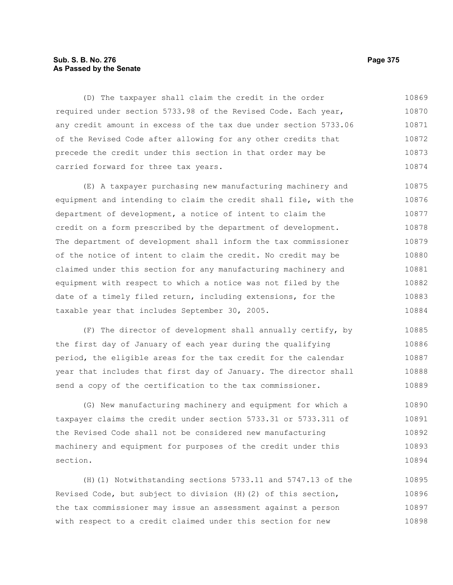## **Sub. S. B. No. 276 Page 375 As Passed by the Senate**

(D) The taxpayer shall claim the credit in the order required under section 5733.98 of the Revised Code. Each year, any credit amount in excess of the tax due under section 5733.06 of the Revised Code after allowing for any other credits that precede the credit under this section in that order may be carried forward for three tax years. 10869 10870 10871 10872 10873 10874

(E) A taxpayer purchasing new manufacturing machinery and equipment and intending to claim the credit shall file, with the department of development, a notice of intent to claim the credit on a form prescribed by the department of development. The department of development shall inform the tax commissioner of the notice of intent to claim the credit. No credit may be claimed under this section for any manufacturing machinery and equipment with respect to which a notice was not filed by the date of a timely filed return, including extensions, for the taxable year that includes September 30, 2005. 10875 10876 10877 10878 10879 10880 10881 10882 10883 10884

(F) The director of development shall annually certify, by the first day of January of each year during the qualifying period, the eligible areas for the tax credit for the calendar year that includes that first day of January. The director shall send a copy of the certification to the tax commissioner. 10885 10886 10887 10888 10889

(G) New manufacturing machinery and equipment for which a taxpayer claims the credit under section 5733.31 or 5733.311 of the Revised Code shall not be considered new manufacturing machinery and equipment for purposes of the credit under this section. 10890 10891 10892 10893 10894

(H)(1) Notwithstanding sections 5733.11 and 5747.13 of the Revised Code, but subject to division (H)(2) of this section, the tax commissioner may issue an assessment against a person with respect to a credit claimed under this section for new 10895 10896 10897 10898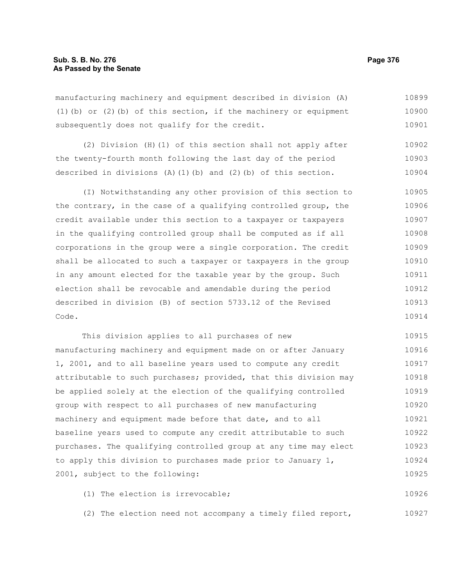manufacturing machinery and equipment described in division (A) (1)(b) or (2)(b) of this section, if the machinery or equipment subsequently does not qualify for the credit. 10899 10900 10901

(2) Division (H)(1) of this section shall not apply after the twenty-fourth month following the last day of the period described in divisions  $(A)$  (1)(b) and (2)(b) of this section. 10902 10903 10904

(I) Notwithstanding any other provision of this section to the contrary, in the case of a qualifying controlled group, the credit available under this section to a taxpayer or taxpayers in the qualifying controlled group shall be computed as if all corporations in the group were a single corporation. The credit shall be allocated to such a taxpayer or taxpayers in the group in any amount elected for the taxable year by the group. Such election shall be revocable and amendable during the period described in division (B) of section 5733.12 of the Revised Code. 10905 10906 10907 10908 10909 10910 10911 10912 10913 10914

This division applies to all purchases of new manufacturing machinery and equipment made on or after January 1, 2001, and to all baseline years used to compute any credit attributable to such purchases; provided, that this division may be applied solely at the election of the qualifying controlled group with respect to all purchases of new manufacturing machinery and equipment made before that date, and to all baseline years used to compute any credit attributable to such purchases. The qualifying controlled group at any time may elect to apply this division to purchases made prior to January 1, 2001, subject to the following: 10915 10916 10917 10918 10919 10920 10921 10922 10923 10924 10925

(1) The election is irrevocable; 10926

(2) The election need not accompany a timely filed report, 10927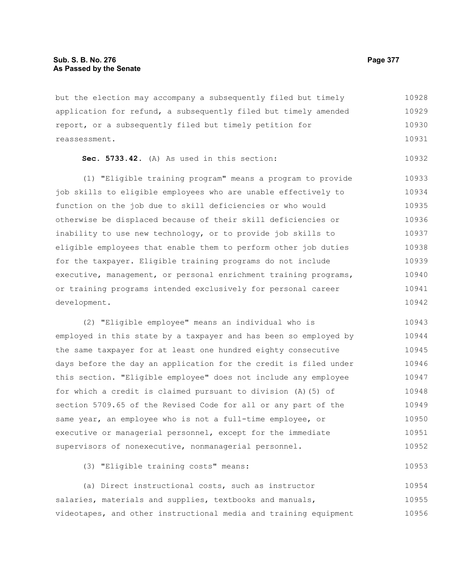but the election may accompany a subsequently filed but timely application for refund, a subsequently filed but timely amended report, or a subsequently filed but timely petition for reassessment. 10928 10929 10930 10931

**Sec. 5733.42.** (A) As used in this section: 10932

(1) "Eligible training program" means a program to provide job skills to eligible employees who are unable effectively to function on the job due to skill deficiencies or who would otherwise be displaced because of their skill deficiencies or inability to use new technology, or to provide job skills to eligible employees that enable them to perform other job duties for the taxpayer. Eligible training programs do not include executive, management, or personal enrichment training programs, or training programs intended exclusively for personal career development. 10933 10934 10935 10936 10937 10938 10939 10940 10941 10942

(2) "Eligible employee" means an individual who is employed in this state by a taxpayer and has been so employed by the same taxpayer for at least one hundred eighty consecutive days before the day an application for the credit is filed under this section. "Eligible employee" does not include any employee for which a credit is claimed pursuant to division (A)(5) of section 5709.65 of the Revised Code for all or any part of the same year, an employee who is not a full-time employee, or executive or managerial personnel, except for the immediate supervisors of nonexecutive, nonmanagerial personnel. 10943 10944 10945 10946 10947 10948 10949 10950 10951 10952

(3) "Eligible training costs" means:

(a) Direct instructional costs, such as instructor salaries, materials and supplies, textbooks and manuals, videotapes, and other instructional media and training equipment 10954 10955 10956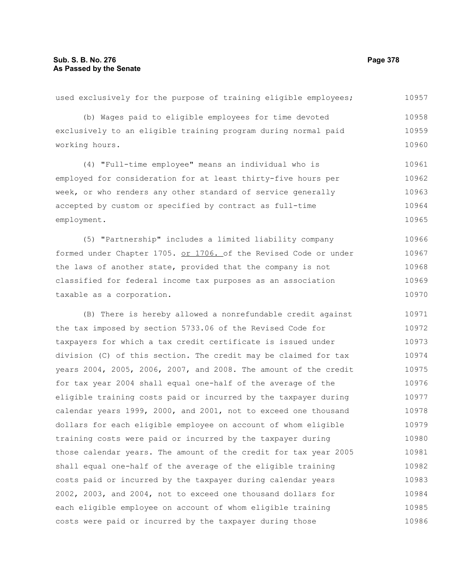used exclusively for the purpose of training eligible employees; (b) Wages paid to eligible employees for time devoted exclusively to an eligible training program during normal paid working hours. (4) "Full-time employee" means an individual who is employed for consideration for at least thirty-five hours per week, or who renders any other standard of service generally accepted by custom or specified by contract as full-time employment. (5) "Partnership" includes a limited liability company formed under Chapter 1705. or 1706. of the Revised Code or under the laws of another state, provided that the company is not classified for federal income tax purposes as an association taxable as a corporation. (B) There is hereby allowed a nonrefundable credit against the tax imposed by section 5733.06 of the Revised Code for taxpayers for which a tax credit certificate is issued under division (C) of this section. The credit may be claimed for tax years 2004, 2005, 2006, 2007, and 2008. The amount of the credit for tax year 2004 shall equal one-half of the average of the eligible training costs paid or incurred by the taxpayer during calendar years 1999, 2000, and 2001, not to exceed one thousand dollars for each eligible employee on account of whom eligible training costs were paid or incurred by the taxpayer during those calendar years. The amount of the credit for tax year 2005 shall equal one-half of the average of the eligible training costs paid or incurred by the taxpayer during calendar years 10957 10958 10959 10960 10961 10962 10963 10964 10965 10966 10967 10968 10969 10970 10971 10972 10973 10974 10975 10976 10977 10978 10979 10980 10981 10982 10983

2002, 2003, and 2004, not to exceed one thousand dollars for each eligible employee on account of whom eligible training

costs were paid or incurred by the taxpayer during those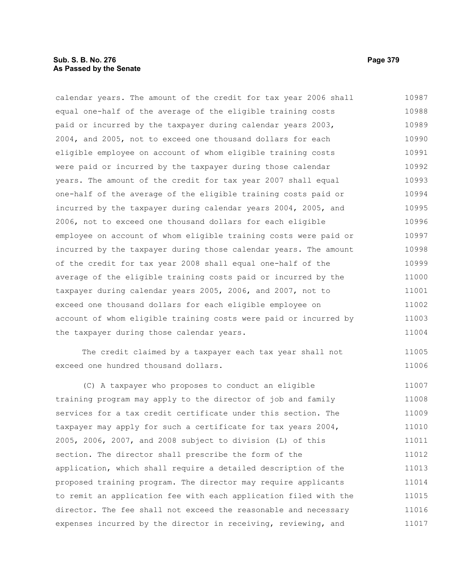# **Sub. S. B. No. 276 Page 379 As Passed by the Senate**

calendar years. The amount of the credit for tax year 2006 shall equal one-half of the average of the eligible training costs paid or incurred by the taxpayer during calendar years 2003, 2004, and 2005, not to exceed one thousand dollars for each eligible employee on account of whom eligible training costs were paid or incurred by the taxpayer during those calendar years. The amount of the credit for tax year 2007 shall equal one-half of the average of the eligible training costs paid or incurred by the taxpayer during calendar years 2004, 2005, and 2006, not to exceed one thousand dollars for each eligible employee on account of whom eligible training costs were paid or incurred by the taxpayer during those calendar years. The amount of the credit for tax year 2008 shall equal one-half of the average of the eligible training costs paid or incurred by the taxpayer during calendar years 2005, 2006, and 2007, not to exceed one thousand dollars for each eligible employee on account of whom eligible training costs were paid or incurred by the taxpayer during those calendar years. 10987 10988 10989 10990 10991 10992 10993 10994 10995 10996 10997 10998 10999 11000 11001 11002 11003 11004

The credit claimed by a taxpayer each tax year shall not exceed one hundred thousand dollars.

(C) A taxpayer who proposes to conduct an eligible training program may apply to the director of job and family services for a tax credit certificate under this section. The taxpayer may apply for such a certificate for tax years 2004, 2005, 2006, 2007, and 2008 subject to division (L) of this section. The director shall prescribe the form of the application, which shall require a detailed description of the proposed training program. The director may require applicants to remit an application fee with each application filed with the director. The fee shall not exceed the reasonable and necessary expenses incurred by the director in receiving, reviewing, and 11007 11008 11009 11010 11011 11012 11013 11014 11015 11016 11017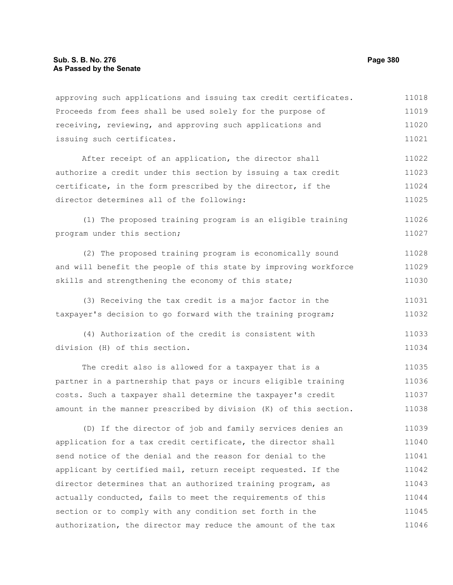approving such applications and issuing tax credit certificates. Proceeds from fees shall be used solely for the purpose of receiving, reviewing, and approving such applications and issuing such certificates. 11018 11019 11020 11021

After receipt of an application, the director shall authorize a credit under this section by issuing a tax credit certificate, in the form prescribed by the director, if the director determines all of the following: 11022 11023 11024 11025

(1) The proposed training program is an eligible training program under this section; 11026 11027

(2) The proposed training program is economically sound and will benefit the people of this state by improving workforce skills and strengthening the economy of this state; 11028 11029 11030

(3) Receiving the tax credit is a major factor in the taxpayer's decision to go forward with the training program; 11031 11032

(4) Authorization of the credit is consistent with division (H) of this section. 11033 11034

The credit also is allowed for a taxpayer that is a partner in a partnership that pays or incurs eligible training costs. Such a taxpayer shall determine the taxpayer's credit amount in the manner prescribed by division (K) of this section. 11035 11036 11037 11038

(D) If the director of job and family services denies an application for a tax credit certificate, the director shall send notice of the denial and the reason for denial to the applicant by certified mail, return receipt requested. If the director determines that an authorized training program, as actually conducted, fails to meet the requirements of this section or to comply with any condition set forth in the authorization, the director may reduce the amount of the tax 11039 11040 11041 11042 11043 11044 11045 11046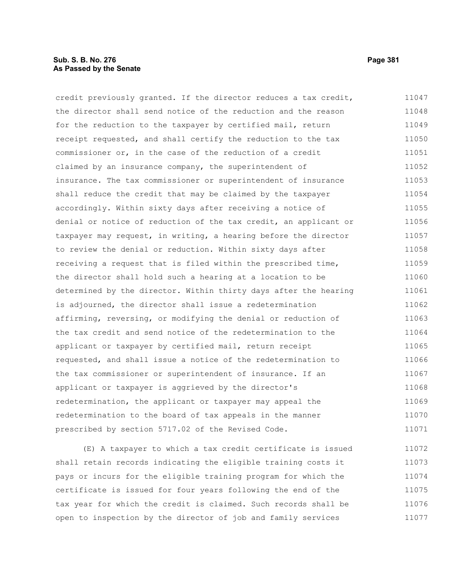# **Sub. S. B. No. 276 Page 381 As Passed by the Senate**

credit previously granted. If the director reduces a tax credit, the director shall send notice of the reduction and the reason for the reduction to the taxpayer by certified mail, return receipt requested, and shall certify the reduction to the tax commissioner or, in the case of the reduction of a credit claimed by an insurance company, the superintendent of insurance. The tax commissioner or superintendent of insurance shall reduce the credit that may be claimed by the taxpayer accordingly. Within sixty days after receiving a notice of denial or notice of reduction of the tax credit, an applicant or taxpayer may request, in writing, a hearing before the director to review the denial or reduction. Within sixty days after receiving a request that is filed within the prescribed time, the director shall hold such a hearing at a location to be determined by the director. Within thirty days after the hearing is adjourned, the director shall issue a redetermination affirming, reversing, or modifying the denial or reduction of the tax credit and send notice of the redetermination to the applicant or taxpayer by certified mail, return receipt requested, and shall issue a notice of the redetermination to the tax commissioner or superintendent of insurance. If an applicant or taxpayer is aggrieved by the director's redetermination, the applicant or taxpayer may appeal the redetermination to the board of tax appeals in the manner prescribed by section 5717.02 of the Revised Code. 11047 11048 11049 11050 11051 11052 11053 11054 11055 11056 11057 11058 11059 11060 11061 11062 11063 11064 11065 11066 11067 11068 11069 11070 11071

(E) A taxpayer to which a tax credit certificate is issued shall retain records indicating the eligible training costs it pays or incurs for the eligible training program for which the certificate is issued for four years following the end of the tax year for which the credit is claimed. Such records shall be open to inspection by the director of job and family services 11072 11073 11074 11075 11076 11077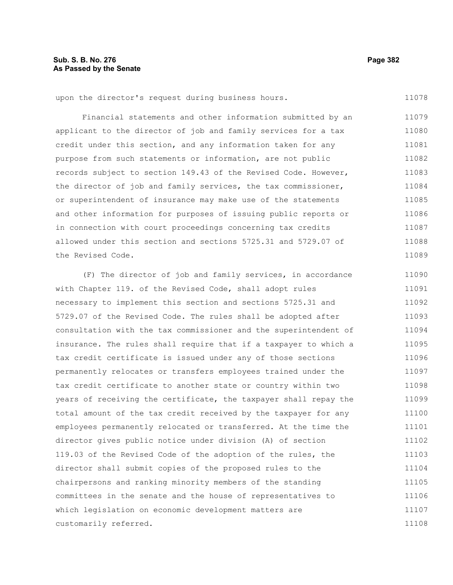upon the director's request during business hours.

Financial statements and other information submitted by an applicant to the director of job and family services for a tax credit under this section, and any information taken for any purpose from such statements or information, are not public records subject to section 149.43 of the Revised Code. However, the director of job and family services, the tax commissioner, or superintendent of insurance may make use of the statements and other information for purposes of issuing public reports or in connection with court proceedings concerning tax credits allowed under this section and sections 5725.31 and 5729.07 of the Revised Code. 11079 11080 11081 11082 11083 11084 11085 11086 11087 11088 11089

(F) The director of job and family services, in accordance with Chapter 119. of the Revised Code, shall adopt rules necessary to implement this section and sections 5725.31 and 5729.07 of the Revised Code. The rules shall be adopted after consultation with the tax commissioner and the superintendent of insurance. The rules shall require that if a taxpayer to which a tax credit certificate is issued under any of those sections permanently relocates or transfers employees trained under the tax credit certificate to another state or country within two years of receiving the certificate, the taxpayer shall repay the total amount of the tax credit received by the taxpayer for any employees permanently relocated or transferred. At the time the director gives public notice under division (A) of section 119.03 of the Revised Code of the adoption of the rules, the director shall submit copies of the proposed rules to the chairpersons and ranking minority members of the standing committees in the senate and the house of representatives to which legislation on economic development matters are customarily referred. 11090 11091 11092 11093 11094 11095 11096 11097 11098 11099 11100 11101 11102 11103 11104 11105 11106 11107 11108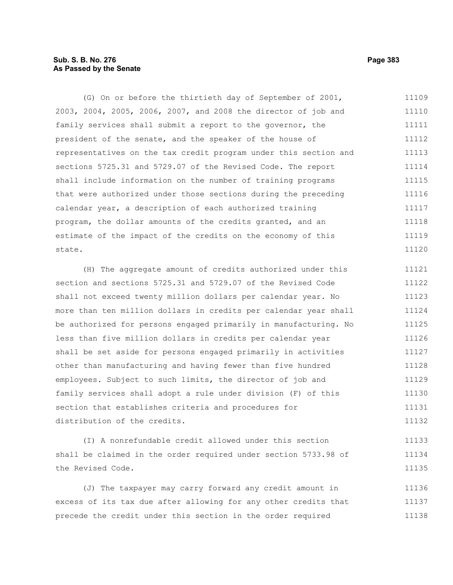# **Sub. S. B. No. 276 Page 383 As Passed by the Senate**

(G) On or before the thirtieth day of September of 2001, 2003, 2004, 2005, 2006, 2007, and 2008 the director of job and family services shall submit a report to the governor, the president of the senate, and the speaker of the house of representatives on the tax credit program under this section and sections 5725.31 and 5729.07 of the Revised Code. The report shall include information on the number of training programs that were authorized under those sections during the preceding calendar year, a description of each authorized training program, the dollar amounts of the credits granted, and an estimate of the impact of the credits on the economy of this state. 11109 11110 11111 11112 11113 11114 11115 11116 11117 11118 11119 11120

(H) The aggregate amount of credits authorized under this section and sections 5725.31 and 5729.07 of the Revised Code shall not exceed twenty million dollars per calendar year. No more than ten million dollars in credits per calendar year shall be authorized for persons engaged primarily in manufacturing. No less than five million dollars in credits per calendar year shall be set aside for persons engaged primarily in activities other than manufacturing and having fewer than five hundred employees. Subject to such limits, the director of job and family services shall adopt a rule under division (F) of this section that establishes criteria and procedures for distribution of the credits. 11121 11122 11123 11124 11125 11126 11127 11128 11129 11130 11131 11132

(I) A nonrefundable credit allowed under this section shall be claimed in the order required under section 5733.98 of the Revised Code. 11133 11134 11135

(J) The taxpayer may carry forward any credit amount in excess of its tax due after allowing for any other credits that precede the credit under this section in the order required 11136 11137 11138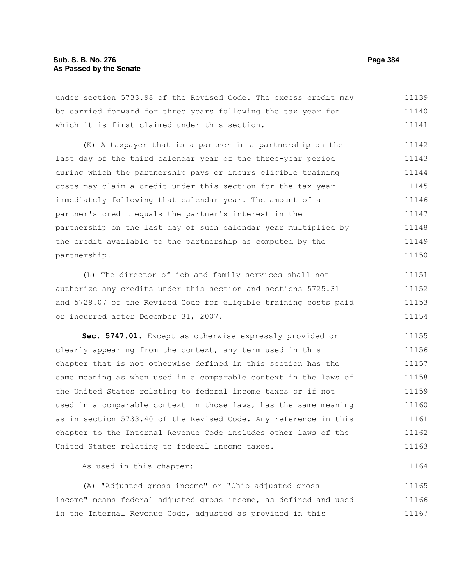under section 5733.98 of the Revised Code. The excess credit may be carried forward for three years following the tax year for which it is first claimed under this section. 11139 11140 11141

(K) A taxpayer that is a partner in a partnership on the last day of the third calendar year of the three-year period during which the partnership pays or incurs eligible training costs may claim a credit under this section for the tax year immediately following that calendar year. The amount of a partner's credit equals the partner's interest in the partnership on the last day of such calendar year multiplied by the credit available to the partnership as computed by the partnership. 11142 11143 11144 11145 11146 11147 11148 11149 11150

(L) The director of job and family services shall not authorize any credits under this section and sections 5725.31 and 5729.07 of the Revised Code for eligible training costs paid or incurred after December 31, 2007. 11151 11152 11153 11154

**Sec. 5747.01.** Except as otherwise expressly provided or clearly appearing from the context, any term used in this chapter that is not otherwise defined in this section has the same meaning as when used in a comparable context in the laws of the United States relating to federal income taxes or if not used in a comparable context in those laws, has the same meaning as in section 5733.40 of the Revised Code. Any reference in this chapter to the Internal Revenue Code includes other laws of the United States relating to federal income taxes. 11155 11156 11157 11158 11159 11160 11161 11162 11163

As used in this chapter:

(A) "Adjusted gross income" or "Ohio adjusted gross income" means federal adjusted gross income, as defined and used in the Internal Revenue Code, adjusted as provided in this 11165 11166 11167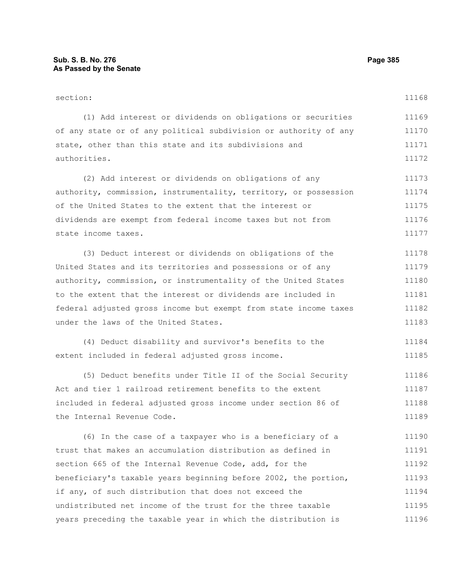section: (1) Add interest or dividends on obligations or securities of any state or of any political subdivision or authority of any state, other than this state and its subdivisions and authorities. (2) Add interest or dividends on obligations of any authority, commission, instrumentality, territory, or possession of the United States to the extent that the interest or dividends are exempt from federal income taxes but not from state income taxes. (3) Deduct interest or dividends on obligations of the United States and its territories and possessions or of any authority, commission, or instrumentality of the United States to the extent that the interest or dividends are included in 11168 11169 11170 11171 11172 11173 11174 11175 11176 11177 11178 11179 11180 11181

federal adjusted gross income but exempt from state income taxes under the laws of the United States. 11182 11183

(4) Deduct disability and survivor's benefits to the extent included in federal adjusted gross income. 11184 11185

(5) Deduct benefits under Title II of the Social Security Act and tier 1 railroad retirement benefits to the extent included in federal adjusted gross income under section 86 of the Internal Revenue Code. 11186 11187 11188 11189

(6) In the case of a taxpayer who is a beneficiary of a trust that makes an accumulation distribution as defined in section 665 of the Internal Revenue Code, add, for the beneficiary's taxable years beginning before 2002, the portion, if any, of such distribution that does not exceed the undistributed net income of the trust for the three taxable years preceding the taxable year in which the distribution is 11190 11191 11192 11193 11194 11195 11196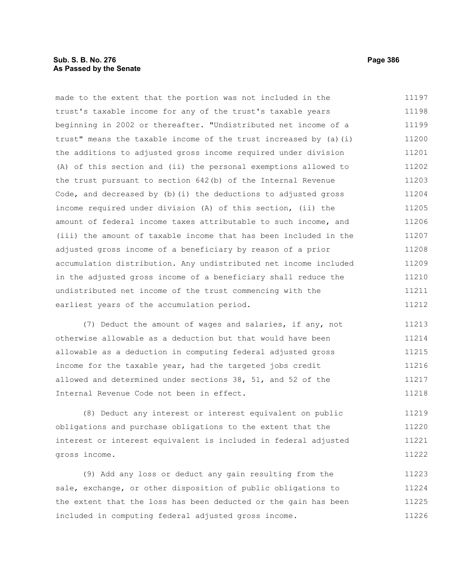# **Sub. S. B. No. 276 Page 386 As Passed by the Senate**

made to the extent that the portion was not included in the trust's taxable income for any of the trust's taxable years beginning in 2002 or thereafter. "Undistributed net income of a trust" means the taxable income of the trust increased by (a)(i) the additions to adjusted gross income required under division (A) of this section and (ii) the personal exemptions allowed to the trust pursuant to section 642(b) of the Internal Revenue Code, and decreased by (b)(i) the deductions to adjusted gross income required under division (A) of this section, (ii) the amount of federal income taxes attributable to such income, and (iii) the amount of taxable income that has been included in the adjusted gross income of a beneficiary by reason of a prior accumulation distribution. Any undistributed net income included in the adjusted gross income of a beneficiary shall reduce the undistributed net income of the trust commencing with the earliest years of the accumulation period. 11197 11198 11199 11200 11201 11202 11203 11204 11205 11206 11207 11208 11209 11210 11211 11212

(7) Deduct the amount of wages and salaries, if any, not otherwise allowable as a deduction but that would have been allowable as a deduction in computing federal adjusted gross income for the taxable year, had the targeted jobs credit allowed and determined under sections 38, 51, and 52 of the Internal Revenue Code not been in effect. 11213 11214 11215 11216 11217 11218

(8) Deduct any interest or interest equivalent on public obligations and purchase obligations to the extent that the interest or interest equivalent is included in federal adjusted gross income. 11219 11220 11221 11222

(9) Add any loss or deduct any gain resulting from the sale, exchange, or other disposition of public obligations to the extent that the loss has been deducted or the gain has been included in computing federal adjusted gross income. 11223 11224 11225 11226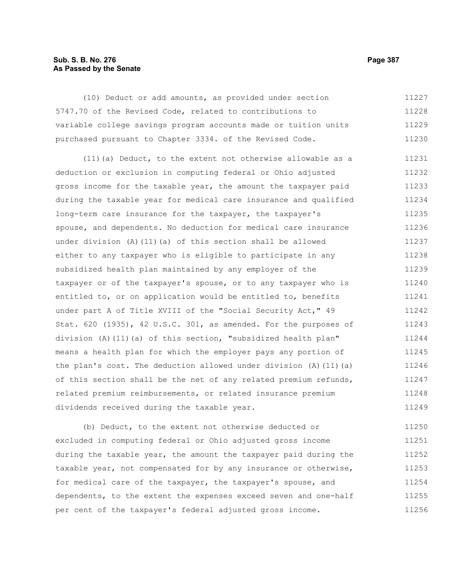# **Sub. S. B. No. 276 Page 387 As Passed by the Senate**

(10) Deduct or add amounts, as provided under section 5747.70 of the Revised Code, related to contributions to variable college savings program accounts made or tuition units purchased pursuant to Chapter 3334. of the Revised Code. 11227 11228 11229 11230

(11)(a) Deduct, to the extent not otherwise allowable as a deduction or exclusion in computing federal or Ohio adjusted gross income for the taxable year, the amount the taxpayer paid during the taxable year for medical care insurance and qualified long-term care insurance for the taxpayer, the taxpayer's spouse, and dependents. No deduction for medical care insurance under division (A)(11)(a) of this section shall be allowed either to any taxpayer who is eligible to participate in any subsidized health plan maintained by any employer of the taxpayer or of the taxpayer's spouse, or to any taxpayer who is entitled to, or on application would be entitled to, benefits under part A of Title XVIII of the "Social Security Act," 49 Stat. 620 (1935), 42 U.S.C. 301, as amended. For the purposes of division (A)(11)(a) of this section, "subsidized health plan" means a health plan for which the employer pays any portion of the plan's cost. The deduction allowed under division  $(A)$  (11)(a) of this section shall be the net of any related premium refunds, related premium reimbursements, or related insurance premium dividends received during the taxable year. 11231 11232 11233 11234 11235 11236 11237 11238 11239 11240 11241 11242 11243 11244 11245 11246 11247 11248 11249

(b) Deduct, to the extent not otherwise deducted or excluded in computing federal or Ohio adjusted gross income during the taxable year, the amount the taxpayer paid during the taxable year, not compensated for by any insurance or otherwise, for medical care of the taxpayer, the taxpayer's spouse, and dependents, to the extent the expenses exceed seven and one-half per cent of the taxpayer's federal adjusted gross income. 11250 11251 11252 11253 11254 11255 11256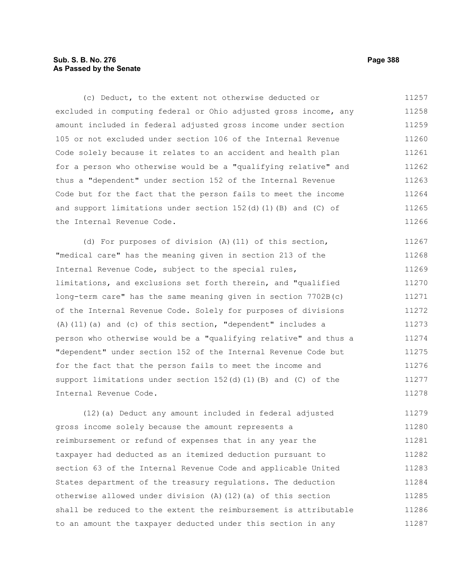# **Sub. S. B. No. 276 Page 388 As Passed by the Senate**

(c) Deduct, to the extent not otherwise deducted or excluded in computing federal or Ohio adjusted gross income, any amount included in federal adjusted gross income under section 105 or not excluded under section 106 of the Internal Revenue Code solely because it relates to an accident and health plan for a person who otherwise would be a "qualifying relative" and thus a "dependent" under section 152 of the Internal Revenue Code but for the fact that the person fails to meet the income and support limitations under section  $152(d)(1)(B)$  and (C) of the Internal Revenue Code. 11257 11258 11259 11260 11261 11262 11263 11264 11265 11266

(d) For purposes of division (A)(11) of this section, "medical care" has the meaning given in section 213 of the Internal Revenue Code, subject to the special rules, limitations, and exclusions set forth therein, and "qualified long-term care" has the same meaning given in section 7702B(c) of the Internal Revenue Code. Solely for purposes of divisions (A)(11)(a) and (c) of this section, "dependent" includes a person who otherwise would be a "qualifying relative" and thus a "dependent" under section 152 of the Internal Revenue Code but for the fact that the person fails to meet the income and support limitations under section  $152(d)$  (1)(B) and (C) of the Internal Revenue Code. 11267 11268 11269 11270 11271 11272 11273 11274 11275 11276 11277 11278

(12)(a) Deduct any amount included in federal adjusted gross income solely because the amount represents a reimbursement or refund of expenses that in any year the taxpayer had deducted as an itemized deduction pursuant to section 63 of the Internal Revenue Code and applicable United States department of the treasury regulations. The deduction otherwise allowed under division (A)(12)(a) of this section shall be reduced to the extent the reimbursement is attributable to an amount the taxpayer deducted under this section in any 11279 11280 11281 11282 11283 11284 11285 11286 11287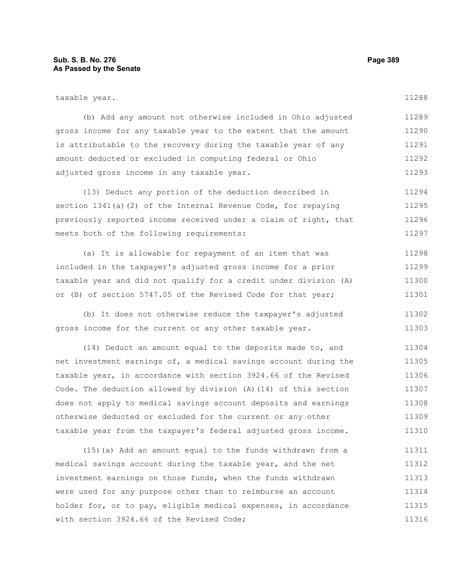| taxable year.                                                   | 11288 |
|-----------------------------------------------------------------|-------|
| (b) Add any amount not otherwise included in Ohio adjusted      | 11289 |
| gross income for any taxable year to the extent that the amount | 11290 |
| is attributable to the recovery during the taxable year of any  | 11291 |
| amount deducted or excluded in computing federal or Ohio        | 11292 |
| adjusted gross income in any taxable year.                      | 11293 |

(13) Deduct any portion of the deduction described in section 1341(a)(2) of the Internal Revenue Code, for repaying previously reported income received under a claim of right, that meets both of the following requirements: 11294 11295 11296 11297

(a) It is allowable for repayment of an item that was included in the taxpayer's adjusted gross income for a prior taxable year and did not qualify for a credit under division (A) or (B) of section 5747.05 of the Revised Code for that year; 11298 11299 11300 11301

(b) It does not otherwise reduce the taxpayer's adjusted gross income for the current or any other taxable year. 11302 11303

(14) Deduct an amount equal to the deposits made to, and net investment earnings of, a medical savings account during the taxable year, in accordance with section 3924.66 of the Revised Code. The deduction allowed by division (A)(14) of this section does not apply to medical savings account deposits and earnings otherwise deducted or excluded for the current or any other taxable year from the taxpayer's federal adjusted gross income. 11304 11305 11306 11307 11308 11309 11310

(15)(a) Add an amount equal to the funds withdrawn from a medical savings account during the taxable year, and the net investment earnings on those funds, when the funds withdrawn were used for any purpose other than to reimburse an account holder for, or to pay, eligible medical expenses, in accordance with section 3924.66 of the Revised Code; 11311 11312 11313 11314 11315 11316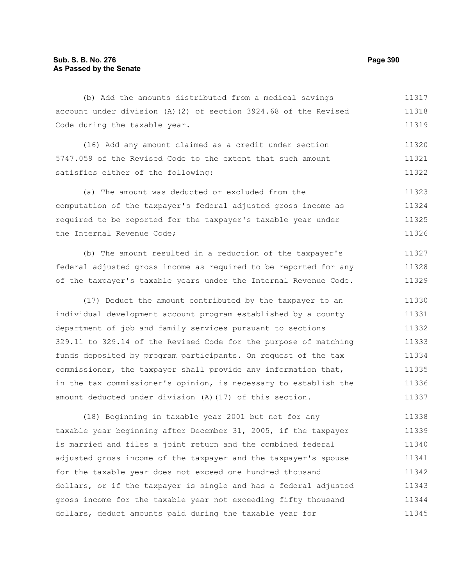(b) Add the amounts distributed from a medical savings account under division (A)(2) of section 3924.68 of the Revised Code during the taxable year. 11317 11318 11319

(16) Add any amount claimed as a credit under section 5747.059 of the Revised Code to the extent that such amount satisfies either of the following: 11320 11321 11322

(a) The amount was deducted or excluded from the computation of the taxpayer's federal adjusted gross income as required to be reported for the taxpayer's taxable year under the Internal Revenue Code; 11323 11324 11325 11326

(b) The amount resulted in a reduction of the taxpayer's federal adjusted gross income as required to be reported for any of the taxpayer's taxable years under the Internal Revenue Code. 11327 11328 11329

(17) Deduct the amount contributed by the taxpayer to an individual development account program established by a county department of job and family services pursuant to sections 329.11 to 329.14 of the Revised Code for the purpose of matching funds deposited by program participants. On request of the tax commissioner, the taxpayer shall provide any information that, in the tax commissioner's opinion, is necessary to establish the amount deducted under division (A)(17) of this section. 11330 11331 11332 11333 11334 11335 11336 11337

(18) Beginning in taxable year 2001 but not for any taxable year beginning after December 31, 2005, if the taxpayer is married and files a joint return and the combined federal adjusted gross income of the taxpayer and the taxpayer's spouse for the taxable year does not exceed one hundred thousand dollars, or if the taxpayer is single and has a federal adjusted gross income for the taxable year not exceeding fifty thousand dollars, deduct amounts paid during the taxable year for 11338 11339 11340 11341 11342 11343 11344 11345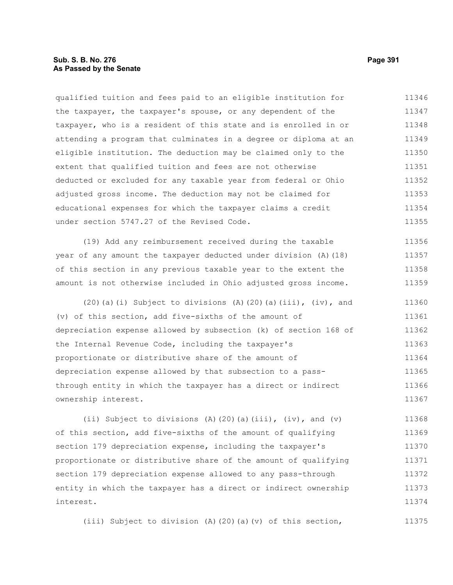# **Sub. S. B. No. 276 Page 391 As Passed by the Senate**

qualified tuition and fees paid to an eligible institution for the taxpayer, the taxpayer's spouse, or any dependent of the taxpayer, who is a resident of this state and is enrolled in or attending a program that culminates in a degree or diploma at an eligible institution. The deduction may be claimed only to the extent that qualified tuition and fees are not otherwise deducted or excluded for any taxable year from federal or Ohio adjusted gross income. The deduction may not be claimed for educational expenses for which the taxpayer claims a credit under section 5747.27 of the Revised Code. 11346 11347 11348 11349 11350 11351 11352 11353 11354 11355

(19) Add any reimbursement received during the taxable year of any amount the taxpayer deducted under division (A)(18) of this section in any previous taxable year to the extent the amount is not otherwise included in Ohio adjusted gross income. 11356 11357 11358 11359

 $(20)(a)(i)$  Subject to divisions  $(A)(20)(a)(iii)$ ,  $(iv)$ , and (v) of this section, add five-sixths of the amount of depreciation expense allowed by subsection (k) of section 168 of the Internal Revenue Code, including the taxpayer's proportionate or distributive share of the amount of depreciation expense allowed by that subsection to a passthrough entity in which the taxpayer has a direct or indirect ownership interest. 11360 11361 11362 11363 11364 11365 11366 11367

(ii) Subject to divisions (A)(20)(a)(iii), (iv), and (v) of this section, add five-sixths of the amount of qualifying section 179 depreciation expense, including the taxpayer's proportionate or distributive share of the amount of qualifying section 179 depreciation expense allowed to any pass-through entity in which the taxpayer has a direct or indirect ownership interest. 11368 11369 11370 11371 11372 11373 11374

(iii) Subject to division (A)(20)(a)(v) of this section,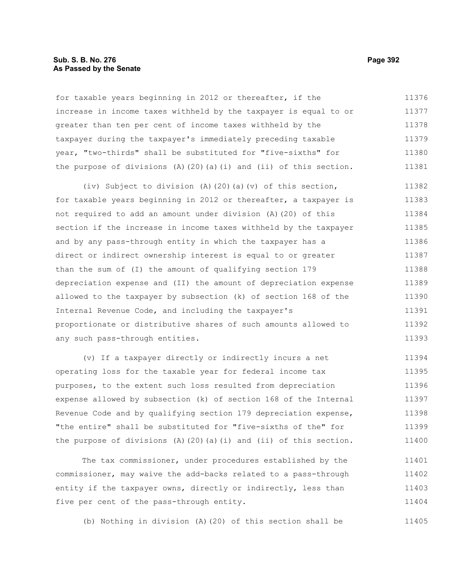## **Sub. S. B. No. 276 Page 392 As Passed by the Senate**

for taxable years beginning in 2012 or thereafter, if the increase in income taxes withheld by the taxpayer is equal to or greater than ten per cent of income taxes withheld by the taxpayer during the taxpayer's immediately preceding taxable year, "two-thirds" shall be substituted for "five-sixths" for the purpose of divisions  $(A)$  (20)(a)(i) and (ii) of this section. 11376 11377 11378 11379 11380 11381

(iv) Subject to division (A)(20)(a)(v) of this section, for taxable years beginning in 2012 or thereafter, a taxpayer is not required to add an amount under division (A)(20) of this section if the increase in income taxes withheld by the taxpayer and by any pass-through entity in which the taxpayer has a direct or indirect ownership interest is equal to or greater than the sum of (I) the amount of qualifying section 179 depreciation expense and (II) the amount of depreciation expense allowed to the taxpayer by subsection (k) of section 168 of the Internal Revenue Code, and including the taxpayer's proportionate or distributive shares of such amounts allowed to any such pass-through entities. 11382 11383 11384 11385 11386 11387 11388 11389 11390 11391 11392 11393

(v) If a taxpayer directly or indirectly incurs a net operating loss for the taxable year for federal income tax purposes, to the extent such loss resulted from depreciation expense allowed by subsection (k) of section 168 of the Internal Revenue Code and by qualifying section 179 depreciation expense, "the entire" shall be substituted for "five-sixths of the" for the purpose of divisions  $(A)$   $(20)$   $(a)$   $(i)$  and  $(ii)$  of this section. 11394 11395 11396 11397 11398 11399 11400

The tax commissioner, under procedures established by the commissioner, may waive the add-backs related to a pass-through entity if the taxpayer owns, directly or indirectly, less than five per cent of the pass-through entity. 11401 11402 11403 11404

(b) Nothing in division (A)(20) of this section shall be 11405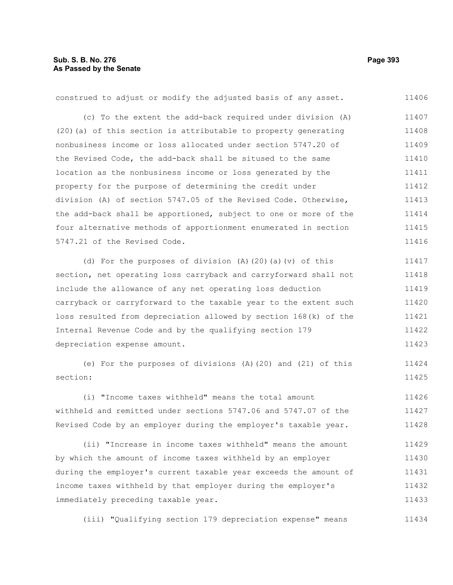| construed to adjust or modify the adjusted basis of any asset.   | 11406 |
|------------------------------------------------------------------|-------|
| (c) To the extent the add-back required under division (A)       | 11407 |
| (20) (a) of this section is attributable to property generating  | 11408 |
| nonbusiness income or loss allocated under section 5747.20 of    | 11409 |
| the Revised Code, the add-back shall be sitused to the same      | 11410 |
| location as the nonbusiness income or loss generated by the      | 11411 |
| property for the purpose of determining the credit under         | 11412 |
| division (A) of section 5747.05 of the Revised Code. Otherwise,  | 11413 |
| the add-back shall be apportioned, subject to one or more of the | 11414 |
| four alternative methods of apportionment enumerated in section  | 11415 |
| 5747.21 of the Revised Code.                                     | 11416 |
| (d) For the purposes of division $(A)$ (20) (a) $(v)$ of this    | 11417 |
| section, net operating loss carryback and carryforward shall not | 11418 |
| include the allowance of any net operating loss deduction        | 11419 |
| carryback or carryforward to the taxable year to the extent such | 11420 |
| loss resulted from depreciation allowed by section 168(k) of the | 11421 |
| Internal Revenue Code and by the qualifying section 179          | 11422 |
| depreciation expense amount.                                     | 11423 |
| (e) For the purposes of divisions (A) (20) and (21) of this      | 11424 |
| section:                                                         | 11425 |
| (i) "Income taxes withheld" means the total amount               | 11426 |
| withheld and remitted under sections 5747.06 and 5747.07 of the  | 11427 |
| Revised Code by an employer during the employer's taxable year.  | 11428 |
| (ii) "Increase in income taxes withheld" means the amount        | 11429 |
| by which the amount of income taxes withheld by an employer      | 11430 |
| during the employer's current taxable year exceeds the amount of | 11431 |

income taxes withheld by that employer during the employer's immediately preceding taxable year. 11432 11433

(iii) "Qualifying section 179 depreciation expense" means 11434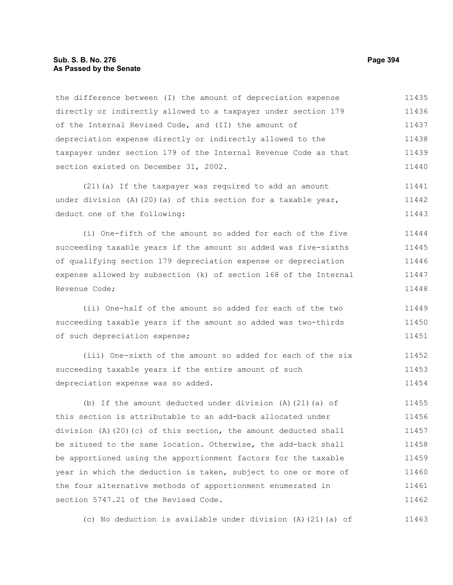## **Sub. S. B. No. 276 Page 394 As Passed by the Senate**

the difference between (I) the amount of depreciation expense directly or indirectly allowed to a taxpayer under section 179 of the Internal Revised Code, and (II) the amount of depreciation expense directly or indirectly allowed to the taxpayer under section 179 of the Internal Revenue Code as that section existed on December 31, 2002. 11435 11436 11437 11438 11439 11440

(21)(a) If the taxpayer was required to add an amount under division  $(A)$  (20)(a) of this section for a taxable year, deduct one of the following: 11441 11442 11443

(i) One-fifth of the amount so added for each of the five succeeding taxable years if the amount so added was five-sixths of qualifying section 179 depreciation expense or depreciation expense allowed by subsection (k) of section 168 of the Internal Revenue Code; 11444 11445 11446 11447 11448

(ii) One-half of the amount so added for each of the two succeeding taxable years if the amount so added was two-thirds of such depreciation expense; 11449 11450 11451

(iii) One-sixth of the amount so added for each of the six succeeding taxable years if the entire amount of such depreciation expense was so added. 11452 11453 11454

(b) If the amount deducted under division (A)(21)(a) of this section is attributable to an add-back allocated under division (A)(20)(c) of this section, the amount deducted shall be sitused to the same location. Otherwise, the add-back shall be apportioned using the apportionment factors for the taxable year in which the deduction is taken, subject to one or more of the four alternative methods of apportionment enumerated in section 5747.21 of the Revised Code. 11455 11456 11457 11458 11459 11460 11461 11462

(c) No deduction is available under division (A)(21)(a) of 11463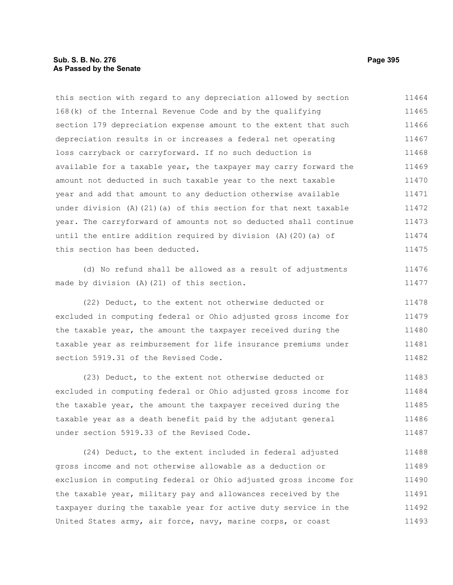# **Sub. S. B. No. 276 Page 395 As Passed by the Senate**

this section with regard to any depreciation allowed by section 168(k) of the Internal Revenue Code and by the qualifying section 179 depreciation expense amount to the extent that such depreciation results in or increases a federal net operating loss carryback or carryforward. If no such deduction is available for a taxable year, the taxpayer may carry forward the amount not deducted in such taxable year to the next taxable year and add that amount to any deduction otherwise available under division (A)(21)(a) of this section for that next taxable year. The carryforward of amounts not so deducted shall continue until the entire addition required by division (A)(20)(a) of this section has been deducted. 11464 11465 11466 11467 11468 11469 11470 11471 11472 11473 11474 11475

(d) No refund shall be allowed as a result of adjustments made by division (A)(21) of this section.

(22) Deduct, to the extent not otherwise deducted or excluded in computing federal or Ohio adjusted gross income for the taxable year, the amount the taxpayer received during the taxable year as reimbursement for life insurance premiums under section 5919.31 of the Revised Code. 11478 11479 11480 11481 11482

(23) Deduct, to the extent not otherwise deducted or excluded in computing federal or Ohio adjusted gross income for the taxable year, the amount the taxpayer received during the taxable year as a death benefit paid by the adjutant general under section 5919.33 of the Revised Code. 11483 11484 11485 11486 11487

(24) Deduct, to the extent included in federal adjusted gross income and not otherwise allowable as a deduction or exclusion in computing federal or Ohio adjusted gross income for the taxable year, military pay and allowances received by the taxpayer during the taxable year for active duty service in the United States army, air force, navy, marine corps, or coast 11488 11489 11490 11491 11492 11493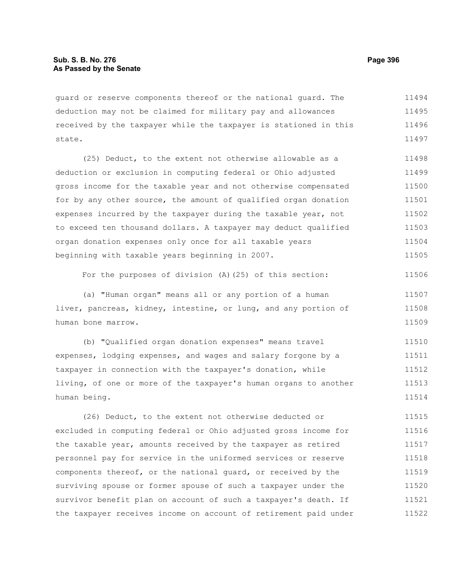guard or reserve components thereof or the national guard. The deduction may not be claimed for military pay and allowances received by the taxpayer while the taxpayer is stationed in this state. 11494 11495 11496 11497

(25) Deduct, to the extent not otherwise allowable as a deduction or exclusion in computing federal or Ohio adjusted gross income for the taxable year and not otherwise compensated for by any other source, the amount of qualified organ donation expenses incurred by the taxpayer during the taxable year, not to exceed ten thousand dollars. A taxpayer may deduct qualified organ donation expenses only once for all taxable years beginning with taxable years beginning in 2007. 11498 11499 11500 11501 11502 11503 11504 11505

For the purposes of division (A)(25) of this section: 11506

(a) "Human organ" means all or any portion of a human liver, pancreas, kidney, intestine, or lung, and any portion of human bone marrow. 11507 11508 11509

(b) "Qualified organ donation expenses" means travel expenses, lodging expenses, and wages and salary forgone by a taxpayer in connection with the taxpayer's donation, while living, of one or more of the taxpayer's human organs to another human being. 11510 11511 11512 11513 11514

(26) Deduct, to the extent not otherwise deducted or excluded in computing federal or Ohio adjusted gross income for the taxable year, amounts received by the taxpayer as retired personnel pay for service in the uniformed services or reserve components thereof, or the national guard, or received by the surviving spouse or former spouse of such a taxpayer under the survivor benefit plan on account of such a taxpayer's death. If the taxpayer receives income on account of retirement paid under 11515 11516 11517 11518 11519 11520 11521 11522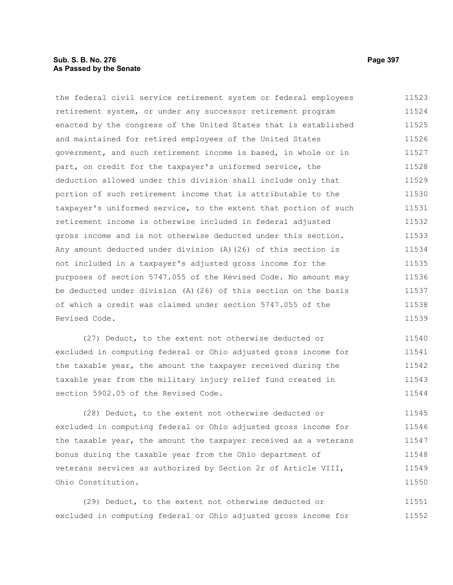#### **Sub. S. B. No. 276 Page 397 As Passed by the Senate**

the federal civil service retirement system or federal employees retirement system, or under any successor retirement program enacted by the congress of the United States that is established and maintained for retired employees of the United States government, and such retirement income is based, in whole or in part, on credit for the taxpayer's uniformed service, the deduction allowed under this division shall include only that portion of such retirement income that is attributable to the taxpayer's uniformed service, to the extent that portion of such retirement income is otherwise included in federal adjusted gross income and is not otherwise deducted under this section. Any amount deducted under division (A)(26) of this section is not included in a taxpayer's adjusted gross income for the purposes of section 5747.055 of the Revised Code. No amount may be deducted under division (A)(26) of this section on the basis of which a credit was claimed under section 5747.055 of the Revised Code. 11523 11524 11525 11526 11527 11528 11529 11530 11531 11532 11533 11534 11535 11536 11537 11538 11539

(27) Deduct, to the extent not otherwise deducted or excluded in computing federal or Ohio adjusted gross income for the taxable year, the amount the taxpayer received during the taxable year from the military injury relief fund created in section 5902.05 of the Revised Code. 11540 11541 11542 11543 11544

(28) Deduct, to the extent not otherwise deducted or excluded in computing federal or Ohio adjusted gross income for the taxable year, the amount the taxpayer received as a veterans bonus during the taxable year from the Ohio department of veterans services as authorized by Section 2r of Article VIII, Ohio Constitution. 11545 11546 11547 11548 11549 11550

(29) Deduct, to the extent not otherwise deducted or excluded in computing federal or Ohio adjusted gross income for 11551 11552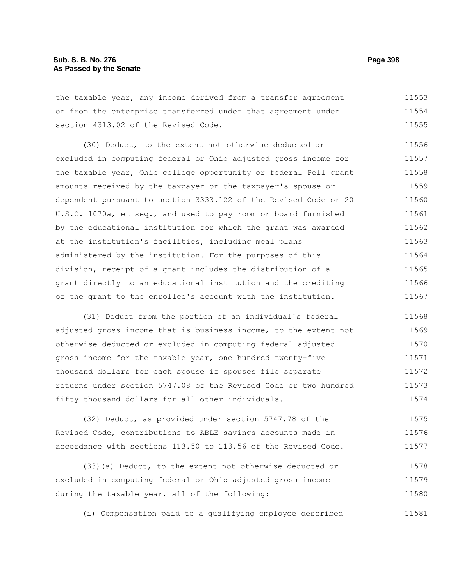the taxable year, any income derived from a transfer agreement or from the enterprise transferred under that agreement under section 4313.02 of the Revised Code. 11553 11554 11555

(30) Deduct, to the extent not otherwise deducted or excluded in computing federal or Ohio adjusted gross income for the taxable year, Ohio college opportunity or federal Pell grant amounts received by the taxpayer or the taxpayer's spouse or dependent pursuant to section 3333.122 of the Revised Code or 20 U.S.C. 1070a, et seq., and used to pay room or board furnished by the educational institution for which the grant was awarded at the institution's facilities, including meal plans administered by the institution. For the purposes of this division, receipt of a grant includes the distribution of a grant directly to an educational institution and the crediting of the grant to the enrollee's account with the institution. 11556 11557 11558 11559 11560 11561 11562 11563 11564 11565 11566 11567

(31) Deduct from the portion of an individual's federal adjusted gross income that is business income, to the extent not otherwise deducted or excluded in computing federal adjusted gross income for the taxable year, one hundred twenty-five thousand dollars for each spouse if spouses file separate returns under section 5747.08 of the Revised Code or two hundred fifty thousand dollars for all other individuals. 11568 11569 11570 11571 11572 11573 11574

(32) Deduct, as provided under section 5747.78 of the Revised Code, contributions to ABLE savings accounts made in accordance with sections 113.50 to 113.56 of the Revised Code. 11575 11576 11577

(33)(a) Deduct, to the extent not otherwise deducted or excluded in computing federal or Ohio adjusted gross income during the taxable year, all of the following: 11578 11579 11580

(i) Compensation paid to a qualifying employee described 11581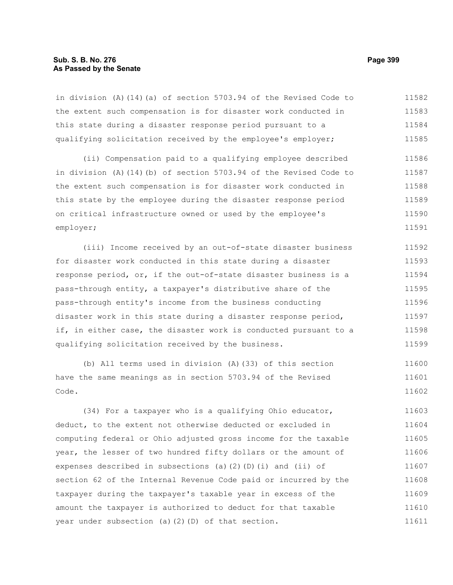#### **Sub. S. B. No. 276 Page 399 As Passed by the Senate**

in division (A)(14)(a) of section 5703.94 of the Revised Code to the extent such compensation is for disaster work conducted in this state during a disaster response period pursuant to a qualifying solicitation received by the employee's employer; 11582 11583 11584 11585

(ii) Compensation paid to a qualifying employee described in division (A)(14)(b) of section 5703.94 of the Revised Code to the extent such compensation is for disaster work conducted in this state by the employee during the disaster response period on critical infrastructure owned or used by the employee's employer; 11586 11587 11588 11589 11590 11591

(iii) Income received by an out-of-state disaster business for disaster work conducted in this state during a disaster response period, or, if the out-of-state disaster business is a pass-through entity, a taxpayer's distributive share of the pass-through entity's income from the business conducting disaster work in this state during a disaster response period, if, in either case, the disaster work is conducted pursuant to a qualifying solicitation received by the business. 11592 11593 11594 11595 11596 11597 11598 11599

(b) All terms used in division (A)(33) of this section have the same meanings as in section 5703.94 of the Revised Code. 11600 11601 11602

(34) For a taxpayer who is a qualifying Ohio educator, deduct, to the extent not otherwise deducted or excluded in computing federal or Ohio adjusted gross income for the taxable year, the lesser of two hundred fifty dollars or the amount of expenses described in subsections (a)(2)(D)(i) and (ii) of section 62 of the Internal Revenue Code paid or incurred by the taxpayer during the taxpayer's taxable year in excess of the amount the taxpayer is authorized to deduct for that taxable year under subsection (a)(2)(D) of that section. 11603 11604 11605 11606 11607 11608 11609 11610 11611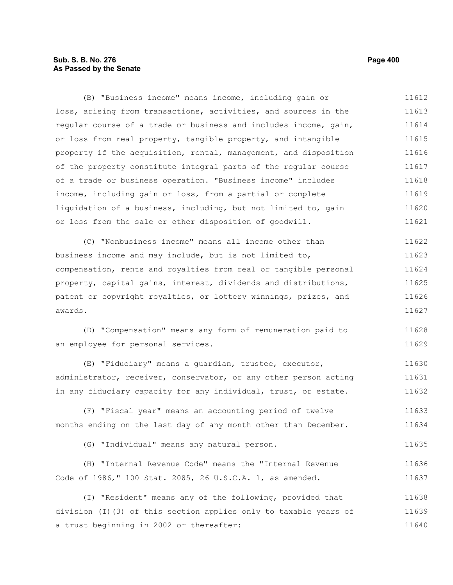# **Sub. S. B. No. 276 Page 400 As Passed by the Senate**

(B) "Business income" means income, including gain or loss, arising from transactions, activities, and sources in the regular course of a trade or business and includes income, gain, or loss from real property, tangible property, and intangible property if the acquisition, rental, management, and disposition of the property constitute integral parts of the regular course of a trade or business operation. "Business income" includes income, including gain or loss, from a partial or complete liquidation of a business, including, but not limited to, gain or loss from the sale or other disposition of goodwill. 11612 11613 11614 11615 11616 11617 11618 11619 11620 11621

(C) "Nonbusiness income" means all income other than business income and may include, but is not limited to, compensation, rents and royalties from real or tangible personal property, capital gains, interest, dividends and distributions, patent or copyright royalties, or lottery winnings, prizes, and awards. 11622 11623 11624 11625 11626 11627

(D) "Compensation" means any form of remuneration paid to an employee for personal services. 11628 11629

(E) "Fiduciary" means a guardian, trustee, executor, administrator, receiver, conservator, or any other person acting in any fiduciary capacity for any individual, trust, or estate. 11630 11631 11632

(F) "Fiscal year" means an accounting period of twelve months ending on the last day of any month other than December. 11633 11634

(G) "Individual" means any natural person. 11635

|  |                                                           |  |  |  |  | (H) "Internal Revenue Code" means the "Internal Revenue | 11636 |
|--|-----------------------------------------------------------|--|--|--|--|---------------------------------------------------------|-------|
|  | Code of 1986," 100 Stat. 2085, 26 U.S.C.A. 1, as amended. |  |  |  |  |                                                         | 11637 |

(I) "Resident" means any of the following, provided that division (I)(3) of this section applies only to taxable years of a trust beginning in 2002 or thereafter: 11638 11639 11640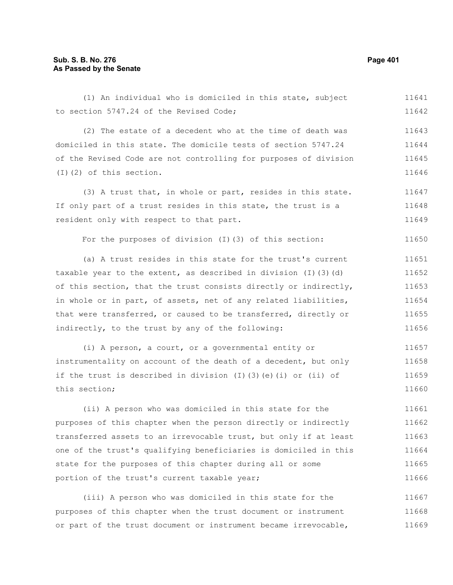(1) An individual who is domiciled in this state, subject to section 5747.24 of the Revised Code; 11641 11642

(2) The estate of a decedent who at the time of death was domiciled in this state. The domicile tests of section 5747.24 of the Revised Code are not controlling for purposes of division (I)(2) of this section. 11643 11644 11645 11646

(3) A trust that, in whole or part, resides in this state. If only part of a trust resides in this state, the trust is a resident only with respect to that part. 11647 11648 11649

For the purposes of division (I)(3) of this section:

(a) A trust resides in this state for the trust's current taxable year to the extent, as described in division (I)(3)(d) of this section, that the trust consists directly or indirectly, in whole or in part, of assets, net of any related liabilities, that were transferred, or caused to be transferred, directly or indirectly, to the trust by any of the following: 11651 11652 11653 11654 11655 11656

(i) A person, a court, or a governmental entity or instrumentality on account of the death of a decedent, but only if the trust is described in division  $(I)$   $(3)$   $(e)$   $(i)$  or  $(ii)$  of this section; 11657 11658 11659 11660

(ii) A person who was domiciled in this state for the purposes of this chapter when the person directly or indirectly transferred assets to an irrevocable trust, but only if at least one of the trust's qualifying beneficiaries is domiciled in this state for the purposes of this chapter during all or some portion of the trust's current taxable year; 11661 11662 11663 11664 11665 11666

(iii) A person who was domiciled in this state for the purposes of this chapter when the trust document or instrument or part of the trust document or instrument became irrevocable, 11667 11668 11669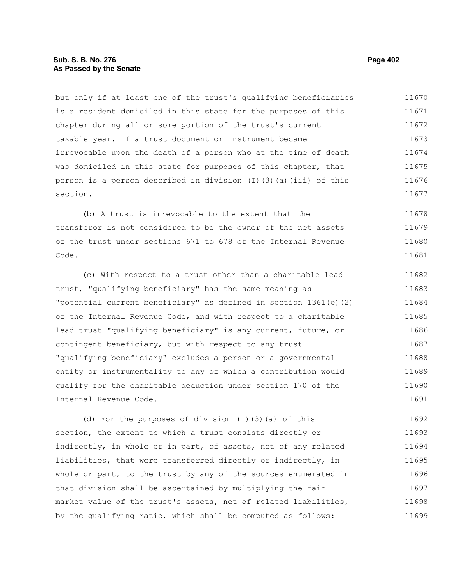## **Sub. S. B. No. 276 Page 402 As Passed by the Senate**

but only if at least one of the trust's qualifying beneficiaries is a resident domiciled in this state for the purposes of this chapter during all or some portion of the trust's current taxable year. If a trust document or instrument became irrevocable upon the death of a person who at the time of death was domiciled in this state for purposes of this chapter, that person is a person described in division  $(I)$  (3)(a)(iii) of this section. 11670 11671 11672 11673 11674 11675 11676 11677

(b) A trust is irrevocable to the extent that the transferor is not considered to be the owner of the net assets of the trust under sections 671 to 678 of the Internal Revenue Code. 11678 11679 11680 11681

(c) With respect to a trust other than a charitable lead trust, "qualifying beneficiary" has the same meaning as "potential current beneficiary" as defined in section 1361(e)(2) of the Internal Revenue Code, and with respect to a charitable lead trust "qualifying beneficiary" is any current, future, or contingent beneficiary, but with respect to any trust "qualifying beneficiary" excludes a person or a governmental entity or instrumentality to any of which a contribution would qualify for the charitable deduction under section 170 of the Internal Revenue Code. 11682 11683 11684 11685 11686 11687 11688 11689 11690 11691

(d) For the purposes of division (I)(3)(a) of this section, the extent to which a trust consists directly or indirectly, in whole or in part, of assets, net of any related liabilities, that were transferred directly or indirectly, in whole or part, to the trust by any of the sources enumerated in that division shall be ascertained by multiplying the fair market value of the trust's assets, net of related liabilities, by the qualifying ratio, which shall be computed as follows: 11692 11693 11694 11695 11696 11697 11698 11699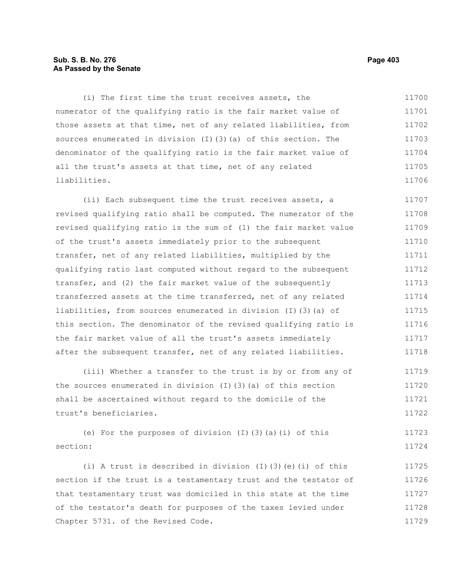# **Sub. S. B. No. 276 Page 403 As Passed by the Senate**

(i) The first time the trust receives assets, the numerator of the qualifying ratio is the fair market value of those assets at that time, net of any related liabilities, from sources enumerated in division (I)(3)(a) of this section. The denominator of the qualifying ratio is the fair market value of all the trust's assets at that time, net of any related liabilities. 11700 11701 11702 11703 11704 11705 11706

(ii) Each subsequent time the trust receives assets, a revised qualifying ratio shall be computed. The numerator of the revised qualifying ratio is the sum of (1) the fair market value of the trust's assets immediately prior to the subsequent transfer, net of any related liabilities, multiplied by the qualifying ratio last computed without regard to the subsequent transfer, and (2) the fair market value of the subsequently transferred assets at the time transferred, net of any related liabilities, from sources enumerated in division (I)(3)(a) of this section. The denominator of the revised qualifying ratio is the fair market value of all the trust's assets immediately after the subsequent transfer, net of any related liabilities. 11707 11708 11709 11710 11711 11712 11713 11714 11715 11716 11717 11718

(iii) Whether a transfer to the trust is by or from any of the sources enumerated in division (I)(3)(a) of this section shall be ascertained without regard to the domicile of the trust's beneficiaries. 11719 11720 11721 11722

(e) For the purposes of division  $(I)(3)(a)(i)$  of this section: 11723 11724

(i) A trust is described in division (I)(3)(e)(i) of this section if the trust is a testamentary trust and the testator of that testamentary trust was domiciled in this state at the time of the testator's death for purposes of the taxes levied under Chapter 5731. of the Revised Code. 11725 11726 11727 11728 11729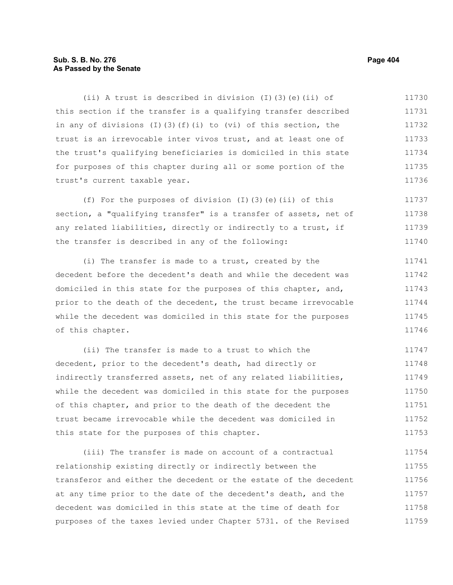# **Sub. S. B. No. 276 Page 404 As Passed by the Senate**

(ii) A trust is described in division (I)(3)(e)(ii) of this section if the transfer is a qualifying transfer described in any of divisions  $(I)$   $(3)$   $(f)$   $(i)$  to  $(vi)$  of this section, the trust is an irrevocable inter vivos trust, and at least one of the trust's qualifying beneficiaries is domiciled in this state for purposes of this chapter during all or some portion of the trust's current taxable year. 11730 11731 11732 11733 11734 11735 11736

(f) For the purposes of division (I)(3)(e)(ii) of this section, a "qualifying transfer" is a transfer of assets, net of any related liabilities, directly or indirectly to a trust, if the transfer is described in any of the following: 11737 11738 11739 11740

(i) The transfer is made to a trust, created by the decedent before the decedent's death and while the decedent was domiciled in this state for the purposes of this chapter, and, prior to the death of the decedent, the trust became irrevocable while the decedent was domiciled in this state for the purposes of this chapter. 11741 11742 11743 11744 11745 11746

(ii) The transfer is made to a trust to which the decedent, prior to the decedent's death, had directly or indirectly transferred assets, net of any related liabilities, while the decedent was domiciled in this state for the purposes of this chapter, and prior to the death of the decedent the trust became irrevocable while the decedent was domiciled in this state for the purposes of this chapter. 11747 11748 11749 11750 11751 11752 11753

(iii) The transfer is made on account of a contractual relationship existing directly or indirectly between the transferor and either the decedent or the estate of the decedent at any time prior to the date of the decedent's death, and the decedent was domiciled in this state at the time of death for purposes of the taxes levied under Chapter 5731. of the Revised 11754 11755 11756 11757 11758 11759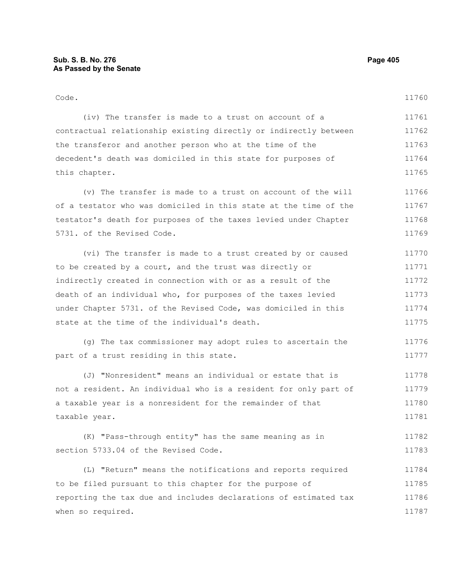#### Code. (iv) The transfer is made to a trust on account of a contractual relationship existing directly or indirectly between 11760 11761 11762

the transferor and another person who at the time of the decedent's death was domiciled in this state for purposes of this chapter. 11763 11764 11765

(v) The transfer is made to a trust on account of the will of a testator who was domiciled in this state at the time of the testator's death for purposes of the taxes levied under Chapter 5731. of the Revised Code. 11766 11767 11768 11769

(vi) The transfer is made to a trust created by or caused to be created by a court, and the trust was directly or indirectly created in connection with or as a result of the death of an individual who, for purposes of the taxes levied under Chapter 5731. of the Revised Code, was domiciled in this state at the time of the individual's death. 11770 11771 11772 11773 11774 11775

(g) The tax commissioner may adopt rules to ascertain the part of a trust residing in this state. 11776 11777

(J) "Nonresident" means an individual or estate that is not a resident. An individual who is a resident for only part of a taxable year is a nonresident for the remainder of that taxable year. 11778 11779 11780 11781

(K) "Pass-through entity" has the same meaning as in section 5733.04 of the Revised Code. 11782 11783

(L) "Return" means the notifications and reports required to be filed pursuant to this chapter for the purpose of reporting the tax due and includes declarations of estimated tax when so required. 11784 11785 11786 11787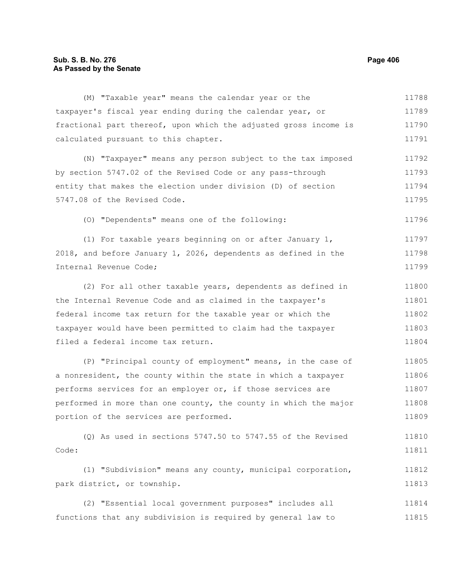## **Sub. S. B. No. 276 Page 406 As Passed by the Senate**

(M) "Taxable year" means the calendar year or the taxpayer's fiscal year ending during the calendar year, or fractional part thereof, upon which the adjusted gross income is calculated pursuant to this chapter. (N) "Taxpayer" means any person subject to the tax imposed by section 5747.02 of the Revised Code or any pass-through entity that makes the election under division (D) of section 5747.08 of the Revised Code. (O) "Dependents" means one of the following: (1) For taxable years beginning on or after January 1, 2018, and before January 1, 2026, dependents as defined in the Internal Revenue Code; (2) For all other taxable years, dependents as defined in the Internal Revenue Code and as claimed in the taxpayer's federal income tax return for the taxable year or which the taxpayer would have been permitted to claim had the taxpayer filed a federal income tax return. (P) "Principal county of employment" means, in the case of a nonresident, the county within the state in which a taxpayer performs services for an employer or, if those services are performed in more than one county, the county in which the major 11789 11790 11791 11792 11793 11794 11795 11796 11797 11798 11799 11800 11801 11802 11803 11804 11805 11806 11807 11808

portion of the services are performed. 11809

(Q) As used in sections 5747.50 to 5747.55 of the Revised Code: 11810 11811

(1) "Subdivision" means any county, municipal corporation, park district, or township. 11812 11813

(2) "Essential local government purposes" includes all functions that any subdivision is required by general law to 11814 11815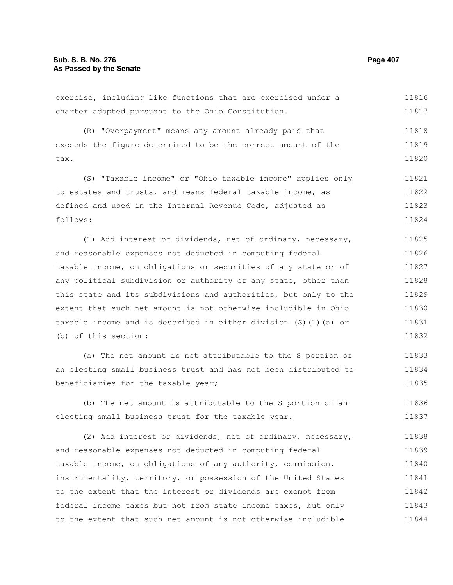#### exercise, including like functions that are exercised under a charter adopted pursuant to the Ohio Constitution. (R) "Overpayment" means any amount already paid that exceeds the figure determined to be the correct amount of the tax. (S) "Taxable income" or "Ohio taxable income" applies only to estates and trusts, and means federal taxable income, as defined and used in the Internal Revenue Code, adjusted as follows: (1) Add interest or dividends, net of ordinary, necessary, and reasonable expenses not deducted in computing federal taxable income, on obligations or securities of any state or of any political subdivision or authority of any state, other than this state and its subdivisions and authorities, but only to the extent that such net amount is not otherwise includible in Ohio taxable income and is described in either division (S)(1)(a) or (b) of this section: (a) The net amount is not attributable to the S portion of an electing small business trust and has not been distributed to beneficiaries for the taxable year; (b) The net amount is attributable to the S portion of an electing small business trust for the taxable year. (2) Add interest or dividends, net of ordinary, necessary, and reasonable expenses not deducted in computing federal taxable income, on obligations of any authority, commission, instrumentality, territory, or possession of the United States to the extent that the interest or dividends are exempt from 11816 11817 11818 11819 11820 11821 11822 11823 11824 11825 11826 11827 11828 11829 11830 11831 11832 11833 11834 11835 11836 11837 11838 11839 11840 11841 11842

federal income taxes but not from state income taxes, but only to the extent that such net amount is not otherwise includible 11843 11844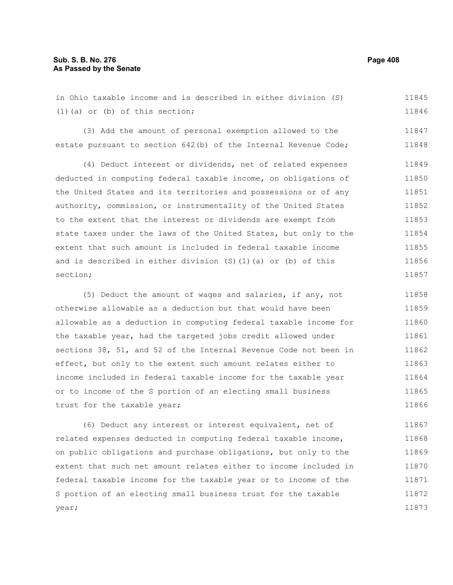### **Sub. S. B. No. 276 Page 408 As Passed by the Senate**

in Ohio taxable income and is described in either division (S) (1)(a) or (b) of this section; 11845 11846

(3) Add the amount of personal exemption allowed to the estate pursuant to section 642(b) of the Internal Revenue Code; 11848

(4) Deduct interest or dividends, net of related expenses deducted in computing federal taxable income, on obligations of the United States and its territories and possessions or of any authority, commission, or instrumentality of the United States to the extent that the interest or dividends are exempt from state taxes under the laws of the United States, but only to the extent that such amount is included in federal taxable income and is described in either division (S)(1)(a) or (b) of this section; 11849 11850 11851 11852 11853 11854 11855 11856 11857

(5) Deduct the amount of wages and salaries, if any, not otherwise allowable as a deduction but that would have been allowable as a deduction in computing federal taxable income for the taxable year, had the targeted jobs credit allowed under sections 38, 51, and 52 of the Internal Revenue Code not been in effect, but only to the extent such amount relates either to income included in federal taxable income for the taxable year or to income of the S portion of an electing small business trust for the taxable year; 11858 11859 11860 11861 11862 11863 11864 11865 11866

(6) Deduct any interest or interest equivalent, net of related expenses deducted in computing federal taxable income, on public obligations and purchase obligations, but only to the extent that such net amount relates either to income included in federal taxable income for the taxable year or to income of the S portion of an electing small business trust for the taxable year; 11867 11868 11869 11870 11871 11872 11873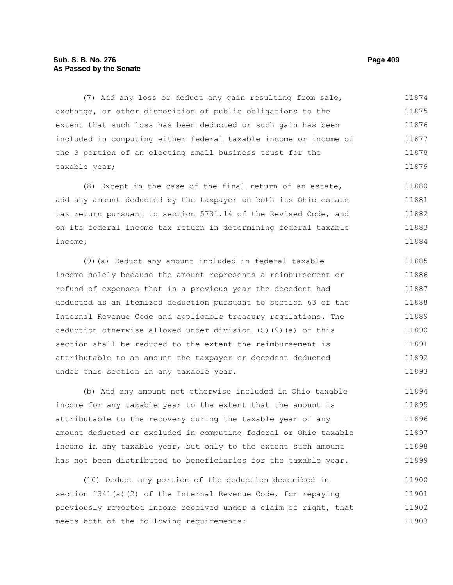# **Sub. S. B. No. 276 Page 409 As Passed by the Senate**

(7) Add any loss or deduct any gain resulting from sale, exchange, or other disposition of public obligations to the extent that such loss has been deducted or such gain has been included in computing either federal taxable income or income of the S portion of an electing small business trust for the taxable year; 11874 11875 11876 11877 11878 11879

(8) Except in the case of the final return of an estate, add any amount deducted by the taxpayer on both its Ohio estate tax return pursuant to section 5731.14 of the Revised Code, and on its federal income tax return in determining federal taxable income; 11880 11881 11882 11883 11884

(9)(a) Deduct any amount included in federal taxable income solely because the amount represents a reimbursement or refund of expenses that in a previous year the decedent had deducted as an itemized deduction pursuant to section 63 of the Internal Revenue Code and applicable treasury regulations. The deduction otherwise allowed under division (S)(9)(a) of this section shall be reduced to the extent the reimbursement is attributable to an amount the taxpayer or decedent deducted under this section in any taxable year. 11885 11886 11887 11888 11889 11890 11891 11892 11893

(b) Add any amount not otherwise included in Ohio taxable income for any taxable year to the extent that the amount is attributable to the recovery during the taxable year of any amount deducted or excluded in computing federal or Ohio taxable income in any taxable year, but only to the extent such amount has not been distributed to beneficiaries for the taxable year. 11894 11895 11896 11897 11898 11899

(10) Deduct any portion of the deduction described in section 1341(a)(2) of the Internal Revenue Code, for repaying previously reported income received under a claim of right, that meets both of the following requirements: 11900 11901 11902 11903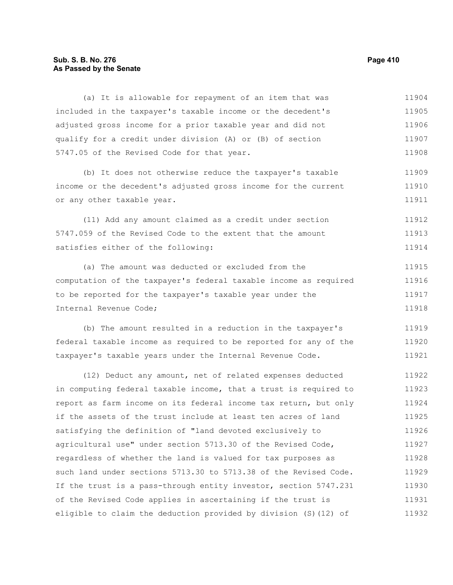#### **Sub. S. B. No. 276 Page 410 As Passed by the Senate**

included in the taxpayer's taxable income or the decedent's adjusted gross income for a prior taxable year and did not qualify for a credit under division (A) or (B) of section 5747.05 of the Revised Code for that year. (b) It does not otherwise reduce the taxpayer's taxable income or the decedent's adjusted gross income for the current or any other taxable year. (11) Add any amount claimed as a credit under section 5747.059 of the Revised Code to the extent that the amount satisfies either of the following: 11905 11906 11907 11908 11909 11910 11911 11912 11913 11914

(a) It is allowable for repayment of an item that was

(a) The amount was deducted or excluded from the computation of the taxpayer's federal taxable income as required to be reported for the taxpayer's taxable year under the Internal Revenue Code; 11915 11916 11917 11918

(b) The amount resulted in a reduction in the taxpayer's federal taxable income as required to be reported for any of the taxpayer's taxable years under the Internal Revenue Code. 11919 11920 11921

(12) Deduct any amount, net of related expenses deducted in computing federal taxable income, that a trust is required to report as farm income on its federal income tax return, but only if the assets of the trust include at least ten acres of land satisfying the definition of "land devoted exclusively to agricultural use" under section 5713.30 of the Revised Code, regardless of whether the land is valued for tax purposes as such land under sections 5713.30 to 5713.38 of the Revised Code. If the trust is a pass-through entity investor, section 5747.231 of the Revised Code applies in ascertaining if the trust is eligible to claim the deduction provided by division (S)(12) of 11922 11923 11924 11925 11926 11927 11928 11929 11930 11931 11932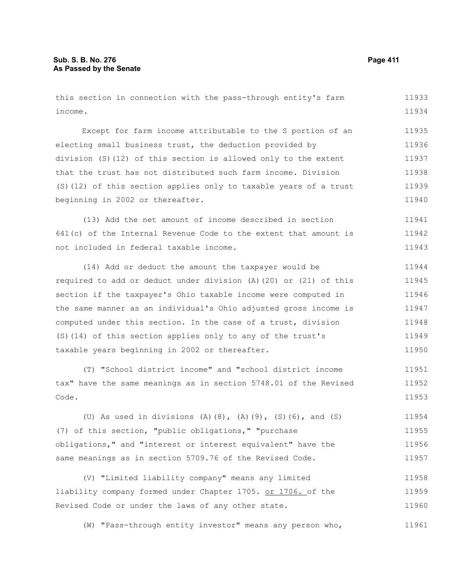this section in connection with the pass-through entity's farm income. Except for farm income attributable to the S portion of an electing small business trust, the deduction provided by division (S)(12) of this section is allowed only to the extent that the trust has not distributed such farm income. Division (S)(12) of this section applies only to taxable years of a trust beginning in 2002 or thereafter. (13) Add the net amount of income described in section 641(c) of the Internal Revenue Code to the extent that amount is not included in federal taxable income. (14) Add or deduct the amount the taxpayer would be required to add or deduct under division (A)(20) or (21) of this section if the taxpayer's Ohio taxable income were computed in the same manner as an individual's Ohio adjusted gross income is computed under this section. In the case of a trust, division (S)(14) of this section applies only to any of the trust's taxable years beginning in 2002 or thereafter. (T) "School district income" and "school district income tax" have the same meanings as in section 5748.01 of the Revised Code. 11933 11934 11935 11936 11937 11938 11939 11940 11941 11942 11943 11944 11945 11946 11947 11948 11949 11950 11951 11952 11953

(U) As used in divisions (A)(8), (A)(9), (S)(6), and (S) (7) of this section, "public obligations," "purchase obligations," and "interest or interest equivalent" have the same meanings as in section 5709.76 of the Revised Code. 11954 11955 11956 11957

(V) "Limited liability company" means any limited liability company formed under Chapter 1705. or 1706. of the Revised Code or under the laws of any other state. 11958 11959 11960

(W) "Pass-through entity investor" means any person who, 11961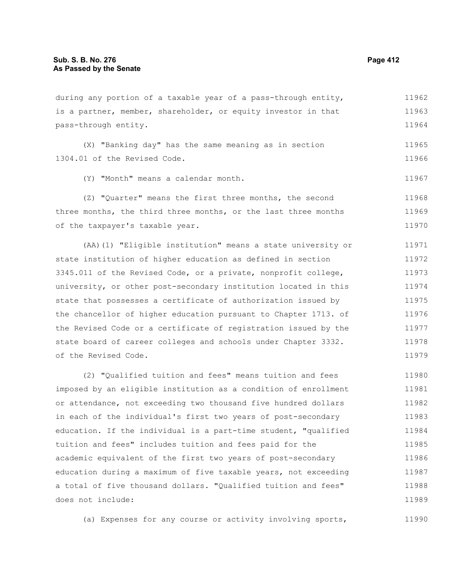of the taxpayer's taxable year.

is a partner, member, shareholder, or equity investor in that pass-through entity. (X) "Banking day" has the same meaning as in section 1304.01 of the Revised Code. (Y) "Month" means a calendar month. (Z) "Quarter" means the first three months, the second three months, the third three months, or the last three months 11963 11964 11965 11966 11967 11968 11969

(AA)(1) "Eligible institution" means a state university or state institution of higher education as defined in section 3345.011 of the Revised Code, or a private, nonprofit college, university, or other post-secondary institution located in this state that possesses a certificate of authorization issued by the chancellor of higher education pursuant to Chapter 1713. of the Revised Code or a certificate of registration issued by the state board of career colleges and schools under Chapter 3332. of the Revised Code. 11971 11972 11973 11974 11975 11976 11977 11978 11979

(2) "Qualified tuition and fees" means tuition and fees imposed by an eligible institution as a condition of enrollment or attendance, not exceeding two thousand five hundred dollars in each of the individual's first two years of post-secondary education. If the individual is a part-time student, "qualified tuition and fees" includes tuition and fees paid for the academic equivalent of the first two years of post-secondary education during a maximum of five taxable years, not exceeding a total of five thousand dollars. "Qualified tuition and fees" does not include: 11980 11981 11982 11983 11984 11985 11986 11987 11988 11989

(a) Expenses for any course or activity involving sports, 11990

11962

11970

during any portion of a taxable year of a pass-through entity,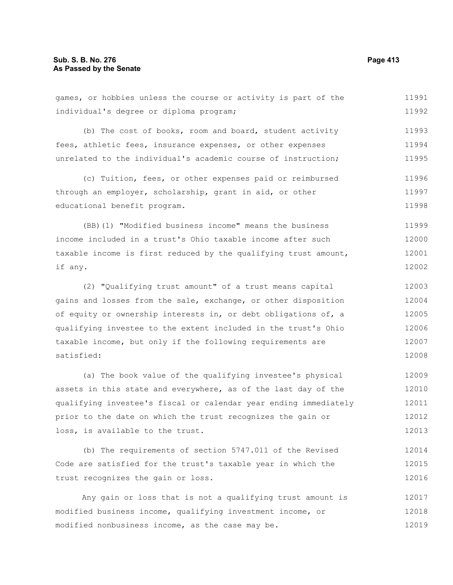games, or hobbies unless the course or activity is part of the individual's degree or diploma program; (b) The cost of books, room and board, student activity fees, athletic fees, insurance expenses, or other expenses unrelated to the individual's academic course of instruction; (c) Tuition, fees, or other expenses paid or reimbursed through an employer, scholarship, grant in aid, or other educational benefit program. (BB)(1) "Modified business income" means the business 11991 11992 11993 11994 11995 11996 11997 11998 11999

income included in a trust's Ohio taxable income after such taxable income is first reduced by the qualifying trust amount, if any. 12000 12001 12002

(2) "Qualifying trust amount" of a trust means capital gains and losses from the sale, exchange, or other disposition of equity or ownership interests in, or debt obligations of, a qualifying investee to the extent included in the trust's Ohio taxable income, but only if the following requirements are satisfied: 12003 12004 12005 12006 12007 12008

(a) The book value of the qualifying investee's physical assets in this state and everywhere, as of the last day of the qualifying investee's fiscal or calendar year ending immediately prior to the date on which the trust recognizes the gain or loss, is available to the trust. 12009 12010 12011 12012 12013

(b) The requirements of section 5747.011 of the Revised Code are satisfied for the trust's taxable year in which the trust recognizes the gain or loss. 12014 12015 12016

Any gain or loss that is not a qualifying trust amount is modified business income, qualifying investment income, or modified nonbusiness income, as the case may be. 12017 12018 12019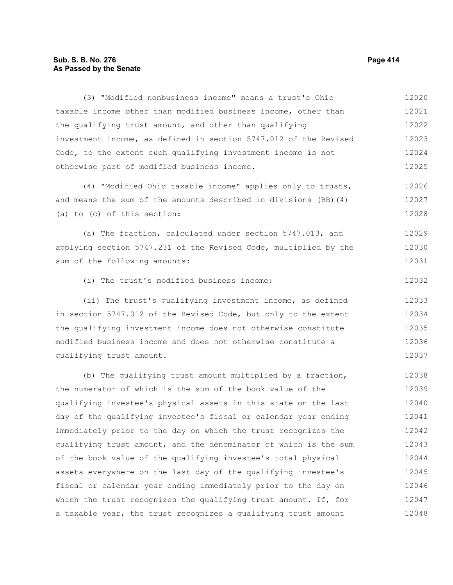#### **Sub. S. B. No. 276 Page 414 As Passed by the Senate**

taxable income other than modified business income, other than the qualifying trust amount, and other than qualifying investment income, as defined in section 5747.012 of the Revised Code, to the extent such qualifying investment income is not otherwise part of modified business income. (4) "Modified Ohio taxable income" applies only to trusts, and means the sum of the amounts described in divisions (BB)(4) (a) to (c) of this section: (a) The fraction, calculated under section 5747.013, and applying section 5747.231 of the Revised Code, multiplied by the sum of the following amounts: (i) The trust's modified business income; (ii) The trust's qualifying investment income, as defined in section 5747.012 of the Revised Code, but only to the extent the qualifying investment income does not otherwise constitute modified business income and does not otherwise constitute a qualifying trust amount. 12021 12022 12023 12024 12025 12026 12027 12028 12029 12030 12031 12032 12033 12034 12035 12036 12037

(3) "Modified nonbusiness income" means a trust's Ohio

(b) The qualifying trust amount multiplied by a fraction, the numerator of which is the sum of the book value of the qualifying investee's physical assets in this state on the last day of the qualifying investee's fiscal or calendar year ending immediately prior to the day on which the trust recognizes the qualifying trust amount, and the denominator of which is the sum of the book value of the qualifying investee's total physical assets everywhere on the last day of the qualifying investee's fiscal or calendar year ending immediately prior to the day on which the trust recognizes the qualifying trust amount. If, for a taxable year, the trust recognizes a qualifying trust amount 12038 12039 12040 12041 12042 12043 12044 12045 12046 12047 12048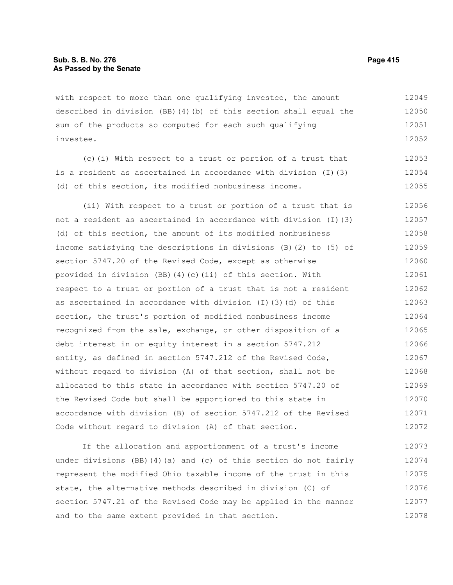with respect to more than one qualifying investee, the amount described in division (BB)(4)(b) of this section shall equal the sum of the products so computed for each such qualifying investee. 12049 12050 12051 12052

(c)(i) With respect to a trust or portion of a trust that is a resident as ascertained in accordance with division (I)(3) (d) of this section, its modified nonbusiness income. 12053 12054 12055

(ii) With respect to a trust or portion of a trust that is not a resident as ascertained in accordance with division (I)(3) (d) of this section, the amount of its modified nonbusiness income satisfying the descriptions in divisions (B)(2) to (5) of section 5747.20 of the Revised Code, except as otherwise provided in division (BB)(4)(c)(ii) of this section. With respect to a trust or portion of a trust that is not a resident as ascertained in accordance with division (I)(3)(d) of this section, the trust's portion of modified nonbusiness income recognized from the sale, exchange, or other disposition of a debt interest in or equity interest in a section 5747.212 entity, as defined in section 5747.212 of the Revised Code, without regard to division (A) of that section, shall not be allocated to this state in accordance with section 5747.20 of the Revised Code but shall be apportioned to this state in accordance with division (B) of section 5747.212 of the Revised Code without regard to division (A) of that section. 12056 12057 12058 12059 12060 12061 12062 12063 12064 12065 12066 12067 12068 12069 12070 12071 12072

If the allocation and apportionment of a trust's income under divisions (BB)(4)(a) and (c) of this section do not fairly represent the modified Ohio taxable income of the trust in this state, the alternative methods described in division (C) of section 5747.21 of the Revised Code may be applied in the manner and to the same extent provided in that section. 12073 12074 12075 12076 12077 12078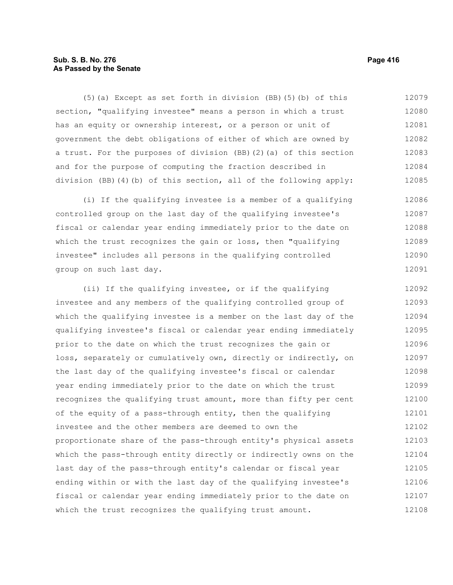# **Sub. S. B. No. 276 Page 416 As Passed by the Senate**

(5)(a) Except as set forth in division (BB)(5)(b) of this section, "qualifying investee" means a person in which a trust has an equity or ownership interest, or a person or unit of government the debt obligations of either of which are owned by a trust. For the purposes of division (BB)(2)(a) of this section and for the purpose of computing the fraction described in division (BB)(4)(b) of this section, all of the following apply: 12079 12080 12081 12082 12083 12084 12085

(i) If the qualifying investee is a member of a qualifying controlled group on the last day of the qualifying investee's fiscal or calendar year ending immediately prior to the date on which the trust recognizes the gain or loss, then "qualifying investee" includes all persons in the qualifying controlled group on such last day. 12086 12087 12088 12089 12090 12091

(ii) If the qualifying investee, or if the qualifying investee and any members of the qualifying controlled group of which the qualifying investee is a member on the last day of the qualifying investee's fiscal or calendar year ending immediately prior to the date on which the trust recognizes the gain or loss, separately or cumulatively own, directly or indirectly, on the last day of the qualifying investee's fiscal or calendar year ending immediately prior to the date on which the trust recognizes the qualifying trust amount, more than fifty per cent of the equity of a pass-through entity, then the qualifying investee and the other members are deemed to own the proportionate share of the pass-through entity's physical assets which the pass-through entity directly or indirectly owns on the last day of the pass-through entity's calendar or fiscal year ending within or with the last day of the qualifying investee's fiscal or calendar year ending immediately prior to the date on which the trust recognizes the qualifying trust amount. 12092 12093 12094 12095 12096 12097 12098 12099 12100 12101 12102 12103 12104 12105 12106 12107 12108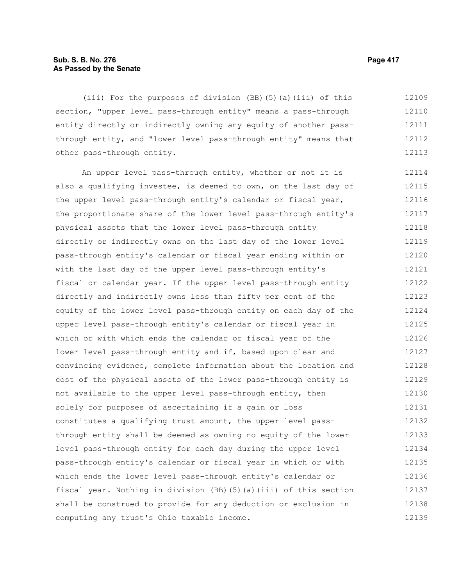## **Sub. S. B. No. 276 Page 417 As Passed by the Senate**

(iii) For the purposes of division (BB)(5)(a)(iii) of this section, "upper level pass-through entity" means a pass-through entity directly or indirectly owning any equity of another passthrough entity, and "lower level pass-through entity" means that other pass-through entity. 12109 12110 12111 12112 12113

An upper level pass-through entity, whether or not it is also a qualifying investee, is deemed to own, on the last day of the upper level pass-through entity's calendar or fiscal year, the proportionate share of the lower level pass-through entity's physical assets that the lower level pass-through entity directly or indirectly owns on the last day of the lower level pass-through entity's calendar or fiscal year ending within or with the last day of the upper level pass-through entity's fiscal or calendar year. If the upper level pass-through entity directly and indirectly owns less than fifty per cent of the equity of the lower level pass-through entity on each day of the upper level pass-through entity's calendar or fiscal year in which or with which ends the calendar or fiscal year of the lower level pass-through entity and if, based upon clear and convincing evidence, complete information about the location and cost of the physical assets of the lower pass-through entity is not available to the upper level pass-through entity, then solely for purposes of ascertaining if a gain or loss constitutes a qualifying trust amount, the upper level passthrough entity shall be deemed as owning no equity of the lower level pass-through entity for each day during the upper level pass-through entity's calendar or fiscal year in which or with which ends the lower level pass-through entity's calendar or fiscal year. Nothing in division (BB)(5)(a)(iii) of this section shall be construed to provide for any deduction or exclusion in computing any trust's Ohio taxable income. 12114 12115 12116 12117 12118 12119 12120 12121 12122 12123 12124 12125 12126 12127 12128 12129 12130 12131 12132 12133 12134 12135 12136 12137 12138 12139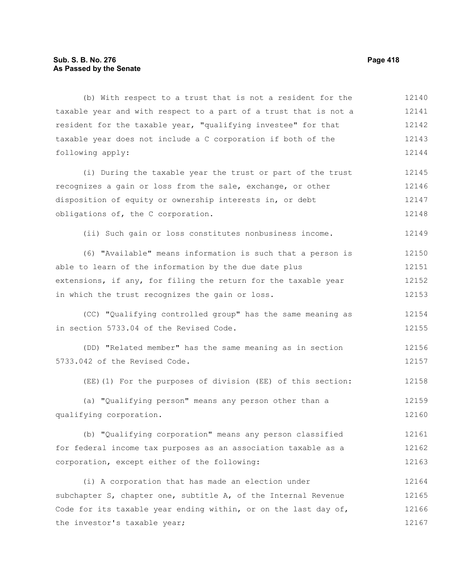## **Sub. S. B. No. 276 Page 418 As Passed by the Senate**

(b) With respect to a trust that is not a resident for the taxable year and with respect to a part of a trust that is not a resident for the taxable year, "qualifying investee" for that taxable year does not include a C corporation if both of the following apply: (i) During the taxable year the trust or part of the trust recognizes a gain or loss from the sale, exchange, or other disposition of equity or ownership interests in, or debt obligations of, the C corporation. (ii) Such gain or loss constitutes nonbusiness income. (6) "Available" means information is such that a person is able to learn of the information by the due date plus extensions, if any, for filing the return for the taxable year in which the trust recognizes the gain or loss. (CC) "Qualifying controlled group" has the same meaning as in section 5733.04 of the Revised Code. (DD) "Related member" has the same meaning as in section 5733.042 of the Revised Code. (EE)(1) For the purposes of division (EE) of this section: (a) "Qualifying person" means any person other than a qualifying corporation. (b) "Qualifying corporation" means any person classified for federal income tax purposes as an association taxable as a corporation, except either of the following: (i) A corporation that has made an election under 12140 12141 12142 12143 12144 12145 12146 12147 12148 12149 12150 12151 12152 12153 12154 12155 12156 12157 12158 12159 12160 12161 12162 12163 12164

subchapter S, chapter one, subtitle A, of the Internal Revenue Code for its taxable year ending within, or on the last day of, the investor's taxable year; 12165 12166 12167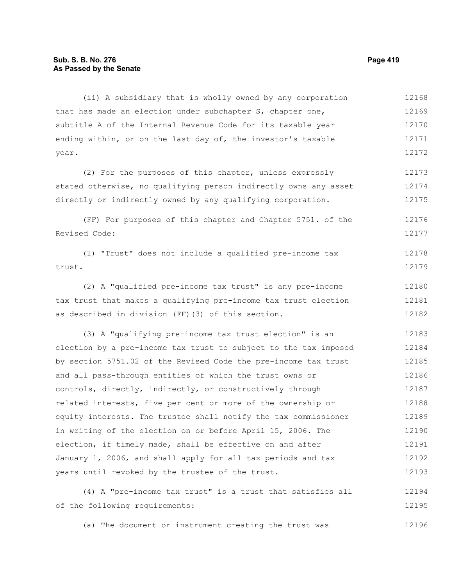#### **Sub. S. B. No. 276 Page 419 As Passed by the Senate**

(ii) A subsidiary that is wholly owned by any corporation that has made an election under subchapter S, chapter one, subtitle A of the Internal Revenue Code for its taxable year ending within, or on the last day of, the investor's taxable year. 12168 12169 12170 12171 12172

(2) For the purposes of this chapter, unless expressly stated otherwise, no qualifying person indirectly owns any asset directly or indirectly owned by any qualifying corporation. 12173 12174 12175

(FF) For purposes of this chapter and Chapter 5751. of the Revised Code: 12176 12177

(1) "Trust" does not include a qualified pre-income tax trust. 12178 12179

(2) A "qualified pre-income tax trust" is any pre-income tax trust that makes a qualifying pre-income tax trust election as described in division (FF)(3) of this section. 12180 12181 12182

(3) A "qualifying pre-income tax trust election" is an election by a pre-income tax trust to subject to the tax imposed by section 5751.02 of the Revised Code the pre-income tax trust and all pass-through entities of which the trust owns or controls, directly, indirectly, or constructively through related interests, five per cent or more of the ownership or equity interests. The trustee shall notify the tax commissioner in writing of the election on or before April 15, 2006. The election, if timely made, shall be effective on and after January 1, 2006, and shall apply for all tax periods and tax years until revoked by the trustee of the trust. 12183 12184 12185 12186 12187 12188 12189 12190 12191 12192 12193

(4) A "pre-income tax trust" is a trust that satisfies all of the following requirements: 12194 12195

(a) The document or instrument creating the trust was 12196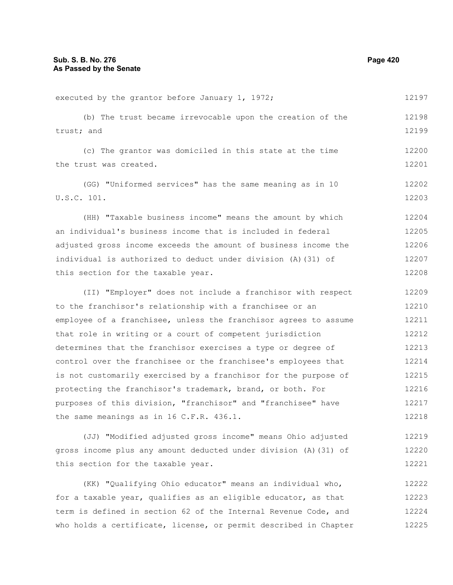executed by the grantor before January 1, 1972; (b) The trust became irrevocable upon the creation of the trust; and (c) The grantor was domiciled in this state at the time the trust was created. (GG) "Uniformed services" has the same meaning as in 10 U.S.C. 101. (HH) "Taxable business income" means the amount by which an individual's business income that is included in federal adjusted gross income exceeds the amount of business income the individual is authorized to deduct under division (A)(31) of this section for the taxable year. (II) "Employer" does not include a franchisor with respect to the franchisor's relationship with a franchisee or an employee of a franchisee, unless the franchisor agrees to assume that role in writing or a court of competent jurisdiction determines that the franchisor exercises a type or degree of control over the franchisee or the franchisee's employees that is not customarily exercised by a franchisor for the purpose of protecting the franchisor's trademark, brand, or both. For purposes of this division, "franchisor" and "franchisee" have the same meanings as in 16 C.F.R. 436.1. (JJ) "Modified adjusted gross income" means Ohio adjusted gross income plus any amount deducted under division (A)(31) of this section for the taxable year. 12197 12198 12199 12200 12201 12202 12203 12204 12205 12206 12207 12208 12209 12210 12211 12212 12213 12214 12215 12216 12217 12218 12219 12220 12221

(KK) "Qualifying Ohio educator" means an individual who, for a taxable year, qualifies as an eligible educator, as that term is defined in section 62 of the Internal Revenue Code, and who holds a certificate, license, or permit described in Chapter 12222 12223 12224 12225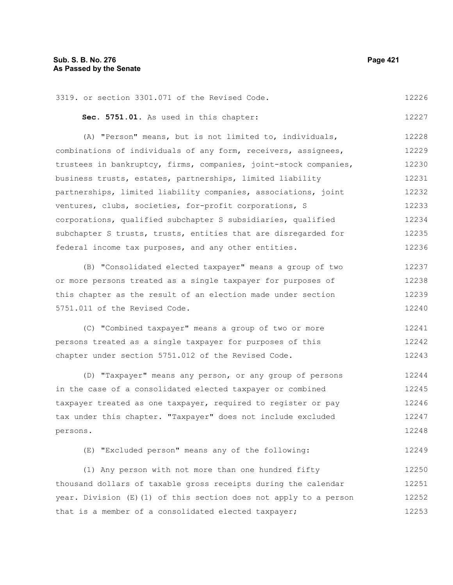3319. or section 3301.071 of the Revised Code. 12226

**Sec. 5751.01.** As used in this chapter:

(A) "Person" means, but is not limited to, individuals, combinations of individuals of any form, receivers, assignees, trustees in bankruptcy, firms, companies, joint-stock companies, business trusts, estates, partnerships, limited liability partnerships, limited liability companies, associations, joint ventures, clubs, societies, for-profit corporations, S corporations, qualified subchapter S subsidiaries, qualified subchapter S trusts, trusts, entities that are disregarded for federal income tax purposes, and any other entities. 12228 12229 12230 12231 12232 12233 12234 12235 12236

(B) "Consolidated elected taxpayer" means a group of two or more persons treated as a single taxpayer for purposes of this chapter as the result of an election made under section 5751.011 of the Revised Code. 12237 12238 12239 12240

(C) "Combined taxpayer" means a group of two or more persons treated as a single taxpayer for purposes of this chapter under section 5751.012 of the Revised Code. 12241 12242 12243

(D) "Taxpayer" means any person, or any group of persons in the case of a consolidated elected taxpayer or combined taxpayer treated as one taxpayer, required to register or pay tax under this chapter. "Taxpayer" does not include excluded persons. 12244 12245 12246 12247 12248

(E) "Excluded person" means any of the following: 12249

(1) Any person with not more than one hundred fifty thousand dollars of taxable gross receipts during the calendar year. Division (E)(1) of this section does not apply to a person that is a member of a consolidated elected taxpayer; 12250 12251 12252 12253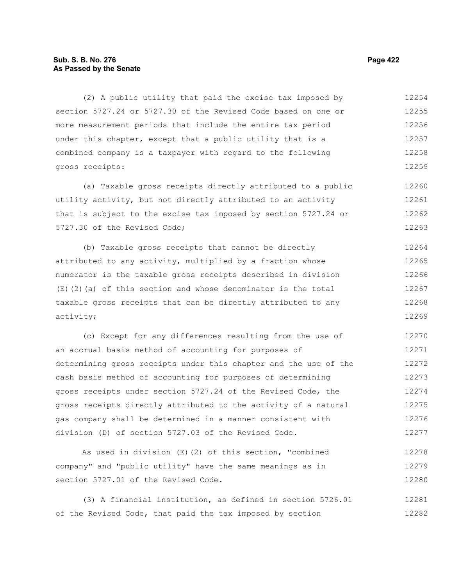# **Sub. S. B. No. 276 Page 422 As Passed by the Senate**

(2) A public utility that paid the excise tax imposed by section 5727.24 or 5727.30 of the Revised Code based on one or more measurement periods that include the entire tax period under this chapter, except that a public utility that is a combined company is a taxpayer with regard to the following gross receipts: 12254 12255 12256 12257 12258 12259

(a) Taxable gross receipts directly attributed to a public utility activity, but not directly attributed to an activity that is subject to the excise tax imposed by section 5727.24 or 5727.30 of the Revised Code; 12260 12261 12262 12263

(b) Taxable gross receipts that cannot be directly attributed to any activity, multiplied by a fraction whose numerator is the taxable gross receipts described in division (E)(2)(a) of this section and whose denominator is the total taxable gross receipts that can be directly attributed to any activity; 12264 12265 12266 12267 12268 12269

(c) Except for any differences resulting from the use of an accrual basis method of accounting for purposes of determining gross receipts under this chapter and the use of the cash basis method of accounting for purposes of determining gross receipts under section 5727.24 of the Revised Code, the gross receipts directly attributed to the activity of a natural gas company shall be determined in a manner consistent with division (D) of section 5727.03 of the Revised Code. 12270 12271 12272 12273 12274 12275 12276 12277

As used in division (E)(2) of this section, "combined company" and "public utility" have the same meanings as in section 5727.01 of the Revised Code. 12278 12279 12280

(3) A financial institution, as defined in section 5726.01 of the Revised Code, that paid the tax imposed by section 12281 12282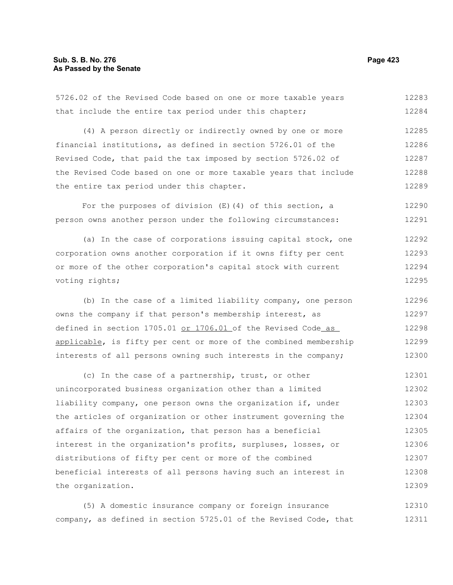5726.02 of the Revised Code based on one or more taxable years that include the entire tax period under this chapter; (4) A person directly or indirectly owned by one or more financial institutions, as defined in section 5726.01 of the Revised Code, that paid the tax imposed by section 5726.02 of the Revised Code based on one or more taxable years that include the entire tax period under this chapter. For the purposes of division  $(E)$  (4) of this section, a person owns another person under the following circumstances: 12283 12284 12285 12286 12287 12288 12289 12290 12291

(a) In the case of corporations issuing capital stock, one corporation owns another corporation if it owns fifty per cent or more of the other corporation's capital stock with current voting rights; 12292 12293 12294 12295

(b) In the case of a limited liability company, one person owns the company if that person's membership interest, as defined in section 1705.01 or 1706.01 of the Revised Code as applicable, is fifty per cent or more of the combined membership interests of all persons owning such interests in the company; 12296 12297 12298 12299 12300

(c) In the case of a partnership, trust, or other unincorporated business organization other than a limited liability company, one person owns the organization if, under the articles of organization or other instrument governing the affairs of the organization, that person has a beneficial interest in the organization's profits, surpluses, losses, or distributions of fifty per cent or more of the combined beneficial interests of all persons having such an interest in the organization. 12301 12302 12303 12304 12305 12306 12307 12308 12309

(5) A domestic insurance company or foreign insurance company, as defined in section 5725.01 of the Revised Code, that 12310 12311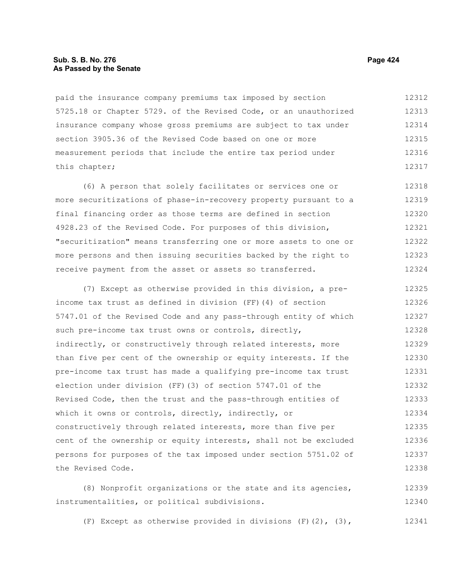#### **Sub. S. B. No. 276 Page 424 As Passed by the Senate**

paid the insurance company premiums tax imposed by section 5725.18 or Chapter 5729. of the Revised Code, or an unauthorized insurance company whose gross premiums are subject to tax under section 3905.36 of the Revised Code based on one or more measurement periods that include the entire tax period under this chapter; 12312 12313 12314 12315 12316 12317

(6) A person that solely facilitates or services one or more securitizations of phase-in-recovery property pursuant to a final financing order as those terms are defined in section 4928.23 of the Revised Code. For purposes of this division, "securitization" means transferring one or more assets to one or more persons and then issuing securities backed by the right to receive payment from the asset or assets so transferred. 12318 12319 12320 12321 12322 12323 12324

(7) Except as otherwise provided in this division, a preincome tax trust as defined in division (FF)(4) of section 5747.01 of the Revised Code and any pass-through entity of which such pre-income tax trust owns or controls, directly, indirectly, or constructively through related interests, more than five per cent of the ownership or equity interests. If the pre-income tax trust has made a qualifying pre-income tax trust election under division (FF)(3) of section 5747.01 of the Revised Code, then the trust and the pass-through entities of which it owns or controls, directly, indirectly, or constructively through related interests, more than five per cent of the ownership or equity interests, shall not be excluded persons for purposes of the tax imposed under section 5751.02 of the Revised Code. 12325 12326 12327 12328 12329 12330 12331 12332 12333 12334 12335 12336 12337 12338

(8) Nonprofit organizations or the state and its agencies, instrumentalities, or political subdivisions. 12339 12340

(F) Except as otherwise provided in divisions  $(F)(2)$ ,  $(3)$ , 12341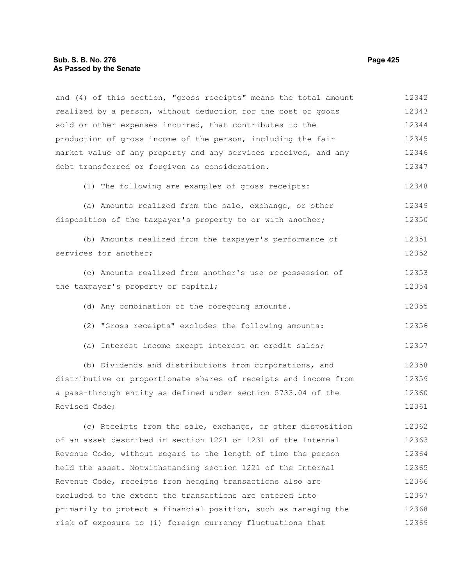#### **Sub. S. B. No. 276 Page 425 As Passed by the Senate**

and (4) of this section, "gross receipts" means the total amount realized by a person, without deduction for the cost of goods sold or other expenses incurred, that contributes to the production of gross income of the person, including the fair market value of any property and any services received, and any debt transferred or forgiven as consideration. (1) The following are examples of gross receipts: (a) Amounts realized from the sale, exchange, or other disposition of the taxpayer's property to or with another; (b) Amounts realized from the taxpayer's performance of services for another; (c) Amounts realized from another's use or possession of the taxpayer's property or capital; (d) Any combination of the foregoing amounts. (2) "Gross receipts" excludes the following amounts: (a) Interest income except interest on credit sales; (b) Dividends and distributions from corporations, and distributive or proportionate shares of receipts and income from a pass-through entity as defined under section 5733.04 of the Revised Code; (c) Receipts from the sale, exchange, or other disposition of an asset described in section 1221 or 1231 of the Internal Revenue Code, without regard to the length of time the person held the asset. Notwithstanding section 1221 of the Internal Revenue Code, receipts from hedging transactions also are excluded to the extent the transactions are entered into primarily to protect a financial position, such as managing the risk of exposure to (i) foreign currency fluctuations that 12342 12343 12344 12345 12346 12347 12348 12349 12350 12351 12352 12353 12354 12355 12356 12357 12358 12359 12360 12361 12362 12363 12364 12365 12366 12367 12368 12369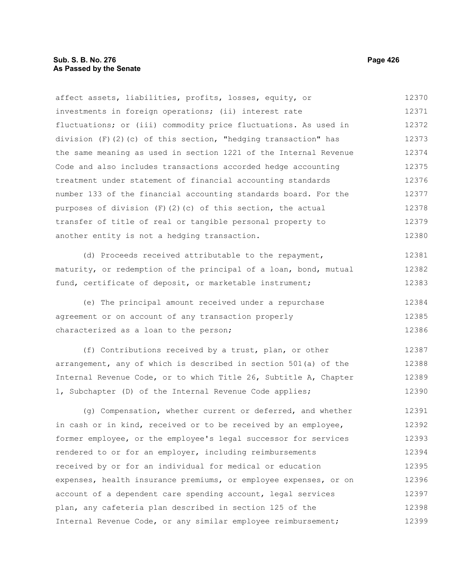#### **Sub. S. B. No. 276 Page 426 As Passed by the Senate**

affect assets, liabilities, profits, losses, equity, or investments in foreign operations; (ii) interest rate fluctuations; or (iii) commodity price fluctuations. As used in division  $(F)(2)(c)$  of this section, "hedging transaction" has the same meaning as used in section 1221 of the Internal Revenue Code and also includes transactions accorded hedge accounting treatment under statement of financial accounting standards number 133 of the financial accounting standards board. For the purposes of division  $(F)(2)(c)$  of this section, the actual transfer of title of real or tangible personal property to another entity is not a hedging transaction. 12370 12371 12372 12373 12374 12375 12376 12377 12378 12379 12380

(d) Proceeds received attributable to the repayment, maturity, or redemption of the principal of a loan, bond, mutual fund, certificate of deposit, or marketable instrument; 12381 12382 12383

(e) The principal amount received under a repurchase agreement or on account of any transaction properly characterized as a loan to the person; 12384 12385 12386

(f) Contributions received by a trust, plan, or other arrangement, any of which is described in section 501(a) of the Internal Revenue Code, or to which Title 26, Subtitle A, Chapter 1, Subchapter (D) of the Internal Revenue Code applies; 12387 12388 12389 12390

(g) Compensation, whether current or deferred, and whether in cash or in kind, received or to be received by an employee, former employee, or the employee's legal successor for services rendered to or for an employer, including reimbursements received by or for an individual for medical or education expenses, health insurance premiums, or employee expenses, or on account of a dependent care spending account, legal services plan, any cafeteria plan described in section 125 of the Internal Revenue Code, or any similar employee reimbursement; 12391 12392 12393 12394 12395 12396 12397 12398 12399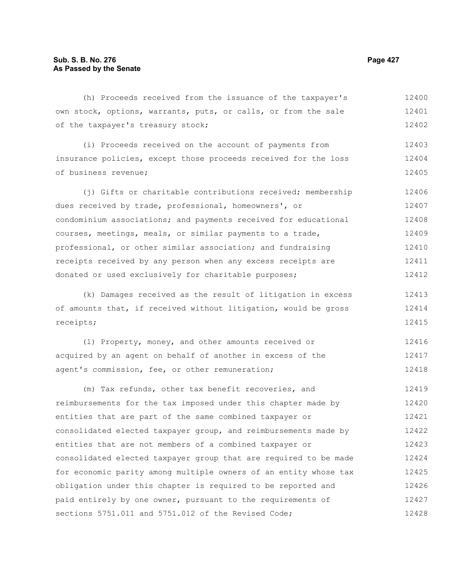(h) Proceeds received from the issuance of the taxpayer's own stock, options, warrants, puts, or calls, or from the sale of the taxpayer's treasury stock; (i) Proceeds received on the account of payments from insurance policies, except those proceeds received for the loss of business revenue; (i) Gifts or charitable contributions received; membership dues received by trade, professional, homeowners', or 12400 12401 12403 12404 12405 12406 12407

condominium associations; and payments received for educational courses, meetings, meals, or similar payments to a trade, professional, or other similar association; and fundraising receipts received by any person when any excess receipts are donated or used exclusively for charitable purposes; 12408 12409 12410 12411 12412

(k) Damages received as the result of litigation in excess of amounts that, if received without litigation, would be gross receipts; 12413 12414 12415

(l) Property, money, and other amounts received or acquired by an agent on behalf of another in excess of the agent's commission, fee, or other remuneration; 12416 12417 12418

(m) Tax refunds, other tax benefit recoveries, and reimbursements for the tax imposed under this chapter made by entities that are part of the same combined taxpayer or consolidated elected taxpayer group, and reimbursements made by entities that are not members of a combined taxpayer or consolidated elected taxpayer group that are required to be made for economic parity among multiple owners of an entity whose tax obligation under this chapter is required to be reported and paid entirely by one owner, pursuant to the requirements of sections 5751.011 and 5751.012 of the Revised Code; 12419 12420 12421 12422 12423 12424 12425 12426 12427 12428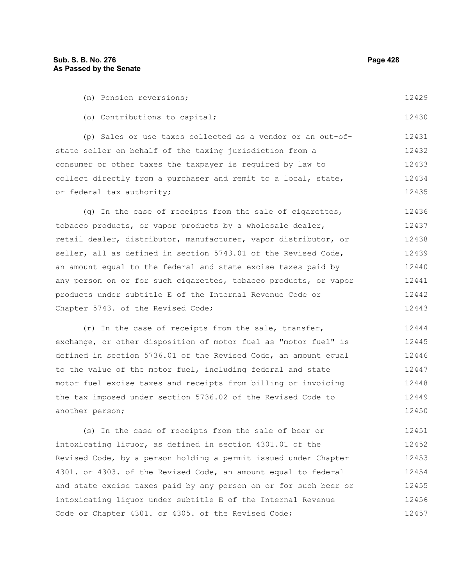another person;

12450

| (n) Pension reversions;                                          | 12429 |  |  |  |  |  |
|------------------------------------------------------------------|-------|--|--|--|--|--|
| (o) Contributions to capital;                                    | 12430 |  |  |  |  |  |
| (p) Sales or use taxes collected as a vendor or an out-of-       | 12431 |  |  |  |  |  |
| state seller on behalf of the taxing jurisdiction from a         | 12432 |  |  |  |  |  |
| consumer or other taxes the taxpayer is required by law to       |       |  |  |  |  |  |
| collect directly from a purchaser and remit to a local, state,   |       |  |  |  |  |  |
| or federal tax authority;                                        |       |  |  |  |  |  |
| (q) In the case of receipts from the sale of cigarettes,         | 12436 |  |  |  |  |  |
| tobacco products, or vapor products by a wholesale dealer,       |       |  |  |  |  |  |
| retail dealer, distributor, manufacturer, vapor distributor, or  |       |  |  |  |  |  |
| seller, all as defined in section 5743.01 of the Revised Code,   | 12439 |  |  |  |  |  |
| an amount equal to the federal and state excise taxes paid by    |       |  |  |  |  |  |
| any person on or for such cigarettes, tobacco products, or vapor |       |  |  |  |  |  |
| products under subtitle E of the Internal Revenue Code or        |       |  |  |  |  |  |
| Chapter 5743. of the Revised Code;                               | 12443 |  |  |  |  |  |
| (r) In the case of receipts from the sale, transfer,             | 12444 |  |  |  |  |  |
| exchange, or other disposition of motor fuel as "motor fuel" is  | 12445 |  |  |  |  |  |
| defined in section 5736.01 of the Revised Code, an amount equal  | 12446 |  |  |  |  |  |
| to the value of the motor fuel, including federal and state      | 12447 |  |  |  |  |  |
| motor fuel excise taxes and receipts from billing or invoicing   |       |  |  |  |  |  |
| the tax imposed under section 5736.02 of the Revised Code to     | 12449 |  |  |  |  |  |

(s) In the case of receipts from the sale of beer or intoxicating liquor, as defined in section 4301.01 of the Revised Code, by a person holding a permit issued under Chapter 4301. or 4303. of the Revised Code, an amount equal to federal and state excise taxes paid by any person on or for such beer or intoxicating liquor under subtitle E of the Internal Revenue Code or Chapter 4301. or 4305. of the Revised Code; 12451 12452 12453 12454 12455 12456 12457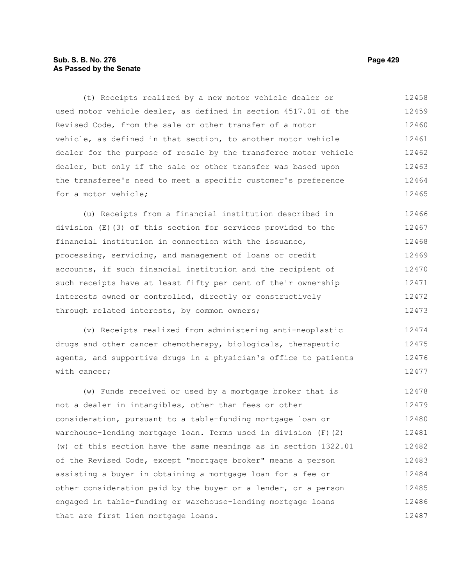# **Sub. S. B. No. 276 Page 429 As Passed by the Senate**

(t) Receipts realized by a new motor vehicle dealer or used motor vehicle dealer, as defined in section 4517.01 of the Revised Code, from the sale or other transfer of a motor vehicle, as defined in that section, to another motor vehicle dealer for the purpose of resale by the transferee motor vehicle dealer, but only if the sale or other transfer was based upon the transferee's need to meet a specific customer's preference for a motor vehicle; 12458 12459 12460 12461 12462 12463 12464 12465

(u) Receipts from a financial institution described in division (E)(3) of this section for services provided to the financial institution in connection with the issuance, processing, servicing, and management of loans or credit accounts, if such financial institution and the recipient of such receipts have at least fifty per cent of their ownership interests owned or controlled, directly or constructively through related interests, by common owners; 12466 12467 12468 12469 12470 12471 12472 12473

(v) Receipts realized from administering anti-neoplastic drugs and other cancer chemotherapy, biologicals, therapeutic agents, and supportive drugs in a physician's office to patients with cancer; 12474 12475 12476 12477

(w) Funds received or used by a mortgage broker that is not a dealer in intangibles, other than fees or other consideration, pursuant to a table-funding mortgage loan or warehouse-lending mortgage loan. Terms used in division (F)(2) (w) of this section have the same meanings as in section 1322.01 of the Revised Code, except "mortgage broker" means a person assisting a buyer in obtaining a mortgage loan for a fee or other consideration paid by the buyer or a lender, or a person engaged in table-funding or warehouse-lending mortgage loans that are first lien mortgage loans. 12478 12479 12480 12481 12482 12483 12484 12485 12486 12487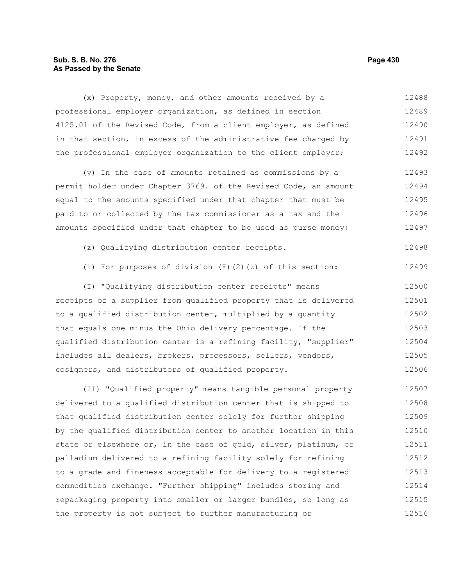# **Sub. S. B. No. 276 Page 430 As Passed by the Senate**

(x) Property, money, and other amounts received by a professional employer organization, as defined in section 4125.01 of the Revised Code, from a client employer, as defined in that section, in excess of the administrative fee charged by the professional employer organization to the client employer; 12488 12489 12490 12491 12492

(y) In the case of amounts retained as commissions by a permit holder under Chapter 3769. of the Revised Code, an amount equal to the amounts specified under that chapter that must be paid to or collected by the tax commissioner as a tax and the amounts specified under that chapter to be used as purse money; 12493 12494 12495 12496 12497

- (z) Qualifying distribution center receipts. 12498
- (i) For purposes of division (F)(2)(z) of this section: 12499

(I) "Qualifying distribution center receipts" means receipts of a supplier from qualified property that is delivered to a qualified distribution center, multiplied by a quantity that equals one minus the Ohio delivery percentage. If the qualified distribution center is a refining facility, "supplier" includes all dealers, brokers, processors, sellers, vendors, cosigners, and distributors of qualified property. 12500 12501 12502 12503 12504 12505 12506

(II) "Qualified property" means tangible personal property delivered to a qualified distribution center that is shipped to that qualified distribution center solely for further shipping by the qualified distribution center to another location in this state or elsewhere or, in the case of gold, silver, platinum, or palladium delivered to a refining facility solely for refining to a grade and fineness acceptable for delivery to a registered commodities exchange. "Further shipping" includes storing and repackaging property into smaller or larger bundles, so long as the property is not subject to further manufacturing or 12507 12508 12509 12510 12511 12512 12513 12514 12515 12516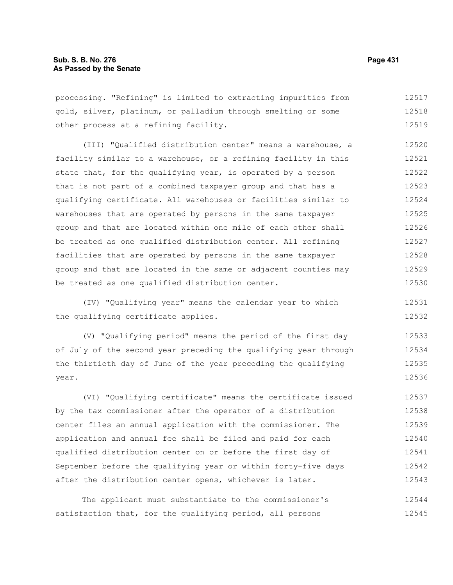processing. "Refining" is limited to extracting impurities from gold, silver, platinum, or palladium through smelting or some other process at a refining facility. 12517 12518 12519

(III) "Qualified distribution center" means a warehouse, a facility similar to a warehouse, or a refining facility in this state that, for the qualifying year, is operated by a person that is not part of a combined taxpayer group and that has a qualifying certificate. All warehouses or facilities similar to warehouses that are operated by persons in the same taxpayer group and that are located within one mile of each other shall be treated as one qualified distribution center. All refining facilities that are operated by persons in the same taxpayer group and that are located in the same or adjacent counties may be treated as one qualified distribution center. 12520 12521 12522 12523 12524 12525 12526 12527 12528 12529 12530

(IV) "Qualifying year" means the calendar year to which the qualifying certificate applies.

(V) "Qualifying period" means the period of the first day of July of the second year preceding the qualifying year through the thirtieth day of June of the year preceding the qualifying year. 12533 12534 12535 12536

(VI) "Qualifying certificate" means the certificate issued by the tax commissioner after the operator of a distribution center files an annual application with the commissioner. The application and annual fee shall be filed and paid for each qualified distribution center on or before the first day of September before the qualifying year or within forty-five days after the distribution center opens, whichever is later. 12537 12538 12539 12540 12541 12542 12543

The applicant must substantiate to the commissioner's satisfaction that, for the qualifying period, all persons 12544 12545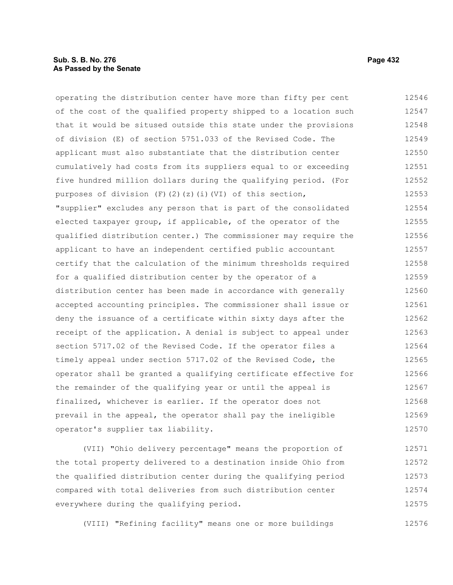### **Sub. S. B. No. 276 Page 432 As Passed by the Senate**

operating the distribution center have more than fifty per cent of the cost of the qualified property shipped to a location such that it would be sitused outside this state under the provisions of division (E) of section 5751.033 of the Revised Code. The applicant must also substantiate that the distribution center cumulatively had costs from its suppliers equal to or exceeding five hundred million dollars during the qualifying period. (For purposes of division (F)(2)(z)(i)(VI) of this section, "supplier" excludes any person that is part of the consolidated elected taxpayer group, if applicable, of the operator of the qualified distribution center.) The commissioner may require the applicant to have an independent certified public accountant certify that the calculation of the minimum thresholds required for a qualified distribution center by the operator of a distribution center has been made in accordance with generally accepted accounting principles. The commissioner shall issue or deny the issuance of a certificate within sixty days after the receipt of the application. A denial is subject to appeal under section 5717.02 of the Revised Code. If the operator files a timely appeal under section 5717.02 of the Revised Code, the operator shall be granted a qualifying certificate effective for the remainder of the qualifying year or until the appeal is finalized, whichever is earlier. If the operator does not prevail in the appeal, the operator shall pay the ineligible operator's supplier tax liability. 12546 12547 12548 12549 12550 12551 12552 12553 12554 12555 12556 12557 12558 12559 12560 12561 12562 12563 12564 12565 12566 12567 12568 12569 12570

(VII) "Ohio delivery percentage" means the proportion of the total property delivered to a destination inside Ohio from the qualified distribution center during the qualifying period compared with total deliveries from such distribution center everywhere during the qualifying period. 12571 12572 12573 12574 12575

(VIII) "Refining facility" means one or more buildings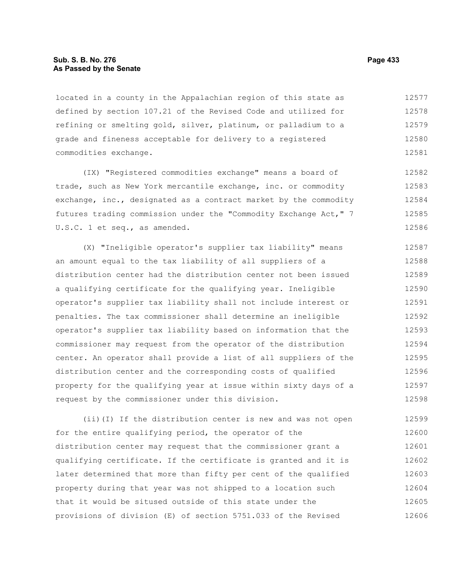### **Sub. S. B. No. 276 Page 433 As Passed by the Senate**

located in a county in the Appalachian region of this state as defined by section 107.21 of the Revised Code and utilized for refining or smelting gold, silver, platinum, or palladium to a grade and fineness acceptable for delivery to a registered commodities exchange. 12577 12578 12579 12580 12581

(IX) "Registered commodities exchange" means a board of trade, such as New York mercantile exchange, inc. or commodity exchange, inc., designated as a contract market by the commodity futures trading commission under the "Commodity Exchange Act," 7 U.S.C. 1 et seq., as amended. 12582 12583 12584 12585 12586

(X) "Ineligible operator's supplier tax liability" means an amount equal to the tax liability of all suppliers of a distribution center had the distribution center not been issued a qualifying certificate for the qualifying year. Ineligible operator's supplier tax liability shall not include interest or penalties. The tax commissioner shall determine an ineligible operator's supplier tax liability based on information that the commissioner may request from the operator of the distribution center. An operator shall provide a list of all suppliers of the distribution center and the corresponding costs of qualified property for the qualifying year at issue within sixty days of a request by the commissioner under this division. 12587 12588 12589 12590 12591 12592 12593 12594 12595 12596 12597 12598

(ii)(I) If the distribution center is new and was not open for the entire qualifying period, the operator of the distribution center may request that the commissioner grant a qualifying certificate. If the certificate is granted and it is later determined that more than fifty per cent of the qualified property during that year was not shipped to a location such that it would be sitused outside of this state under the provisions of division (E) of section 5751.033 of the Revised 12599 12600 12601 12602 12603 12604 12605 12606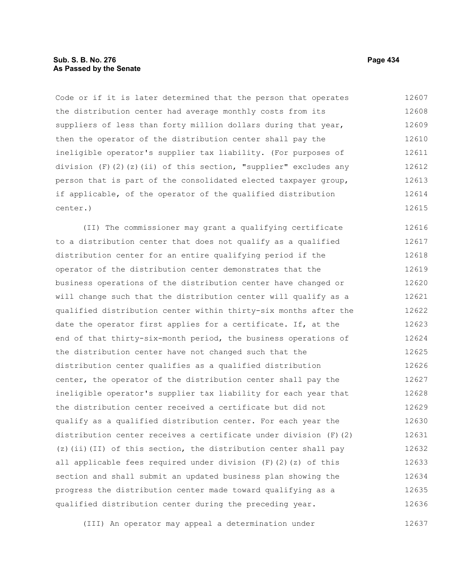### **Sub. S. B. No. 276 Page 434 As Passed by the Senate**

Code or if it is later determined that the person that operates the distribution center had average monthly costs from its suppliers of less than forty million dollars during that year, then the operator of the distribution center shall pay the ineligible operator's supplier tax liability. (For purposes of division (F)(2)(z)(ii) of this section, "supplier" excludes any person that is part of the consolidated elected taxpayer group, if applicable, of the operator of the qualified distribution center.) 12607 12608 12609 12610 12611 12612 12613 12614 12615

(II) The commissioner may grant a qualifying certificate to a distribution center that does not qualify as a qualified distribution center for an entire qualifying period if the operator of the distribution center demonstrates that the business operations of the distribution center have changed or will change such that the distribution center will qualify as a qualified distribution center within thirty-six months after the date the operator first applies for a certificate. If, at the end of that thirty-six-month period, the business operations of the distribution center have not changed such that the distribution center qualifies as a qualified distribution center, the operator of the distribution center shall pay the ineligible operator's supplier tax liability for each year that the distribution center received a certificate but did not qualify as a qualified distribution center. For each year the distribution center receives a certificate under division (F)(2) (z)(ii)(II) of this section, the distribution center shall pay all applicable fees required under division  $(F)$  (2)(z) of this section and shall submit an updated business plan showing the progress the distribution center made toward qualifying as a qualified distribution center during the preceding year. 12616 12617 12618 12619 12620 12621 12622 12623 12624 12625 12626 12627 12628 12629 12630 12631 12632 12633 12634 12635 12636

(III) An operator may appeal a determination under 12637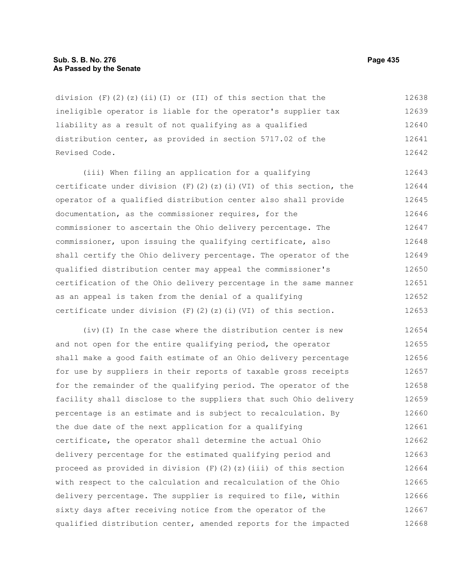#### **Sub. S. B. No. 276 Page 435 As Passed by the Senate**

division  $(F)(2)(z)(ii)(I)$  or  $(II)$  of this section that the ineligible operator is liable for the operator's supplier tax liability as a result of not qualifying as a qualified distribution center, as provided in section 5717.02 of the Revised Code. 12638 12639 12640 12641 12642

(iii) When filing an application for a qualifying certificate under division (F)(2)(z)(i)(VI) of this section, the operator of a qualified distribution center also shall provide documentation, as the commissioner requires, for the commissioner to ascertain the Ohio delivery percentage. The commissioner, upon issuing the qualifying certificate, also shall certify the Ohio delivery percentage. The operator of the qualified distribution center may appeal the commissioner's certification of the Ohio delivery percentage in the same manner as an appeal is taken from the denial of a qualifying certificate under division  $(F)$  (2)(z)(i)(VI) of this section. 12643 12644 12645 12646 12647 12648 12649 12650 12651 12652 12653

(iv)(I) In the case where the distribution center is new and not open for the entire qualifying period, the operator shall make a good faith estimate of an Ohio delivery percentage for use by suppliers in their reports of taxable gross receipts for the remainder of the qualifying period. The operator of the facility shall disclose to the suppliers that such Ohio delivery percentage is an estimate and is subject to recalculation. By the due date of the next application for a qualifying certificate, the operator shall determine the actual Ohio delivery percentage for the estimated qualifying period and proceed as provided in division  $(F)(2)(z)(iii)$  of this section with respect to the calculation and recalculation of the Ohio delivery percentage. The supplier is required to file, within sixty days after receiving notice from the operator of the qualified distribution center, amended reports for the impacted 12654 12655 12656 12657 12658 12659 12660 12661 12662 12663 12664 12665 12666 12667 12668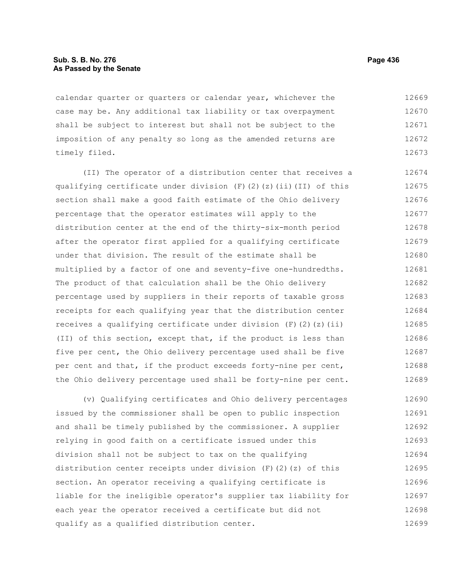### **Sub. S. B. No. 276 Page 436 As Passed by the Senate**

calendar quarter or quarters or calendar year, whichever the case may be. Any additional tax liability or tax overpayment shall be subject to interest but shall not be subject to the imposition of any penalty so long as the amended returns are timely filed. 12669 12670 12671 12672 12673

(II) The operator of a distribution center that receives a qualifying certificate under division  $(F)$  (2)(z)(ii)(II) of this section shall make a good faith estimate of the Ohio delivery percentage that the operator estimates will apply to the distribution center at the end of the thirty-six-month period after the operator first applied for a qualifying certificate under that division. The result of the estimate shall be multiplied by a factor of one and seventy-five one-hundredths. The product of that calculation shall be the Ohio delivery percentage used by suppliers in their reports of taxable gross receipts for each qualifying year that the distribution center receives a qualifying certificate under division  $(F)$  (2)(z)(ii) (II) of this section, except that, if the product is less than five per cent, the Ohio delivery percentage used shall be five per cent and that, if the product exceeds forty-nine per cent, the Ohio delivery percentage used shall be forty-nine per cent. 12674 12675 12676 12677 12678 12679 12680 12681 12682 12683 12684 12685 12686 12687 12688 12689

(v) Qualifying certificates and Ohio delivery percentages issued by the commissioner shall be open to public inspection and shall be timely published by the commissioner. A supplier relying in good faith on a certificate issued under this division shall not be subject to tax on the qualifying distribution center receipts under division  $(F)(2)(z)$  of this section. An operator receiving a qualifying certificate is liable for the ineligible operator's supplier tax liability for each year the operator received a certificate but did not qualify as a qualified distribution center. 12690 12691 12692 12693 12694 12695 12696 12697 12698 12699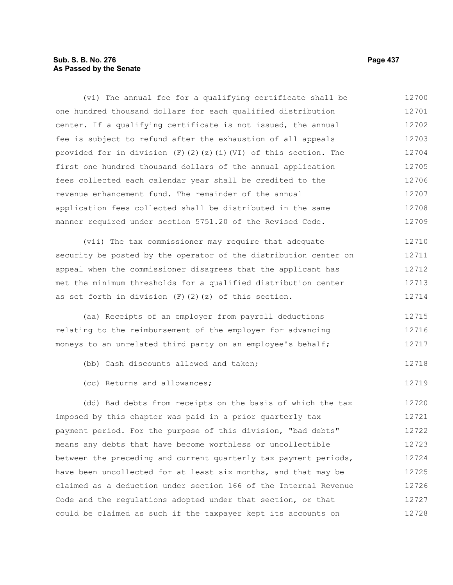# **Sub. S. B. No. 276 Page 437 As Passed by the Senate**

(vi) The annual fee for a qualifying certificate shall be one hundred thousand dollars for each qualified distribution center. If a qualifying certificate is not issued, the annual fee is subject to refund after the exhaustion of all appeals provided for in division  $(F)(2)(z)(i)(VI)$  of this section. The first one hundred thousand dollars of the annual application fees collected each calendar year shall be credited to the revenue enhancement fund. The remainder of the annual application fees collected shall be distributed in the same manner required under section 5751.20 of the Revised Code. (vii) The tax commissioner may require that adequate security be posted by the operator of the distribution center on appeal when the commissioner disagrees that the applicant has met the minimum thresholds for a qualified distribution center as set forth in division  $(F)$   $(2)$   $(z)$  of this section. (aa) Receipts of an employer from payroll deductions relating to the reimbursement of the employer for advancing moneys to an unrelated third party on an employee's behalf; (bb) Cash discounts allowed and taken; (cc) Returns and allowances; (dd) Bad debts from receipts on the basis of which the tax imposed by this chapter was paid in a prior quarterly tax 12700 12701 12702 12703 12704 12705 12706 12707 12708 12709 12710 12711 12712 12713 12714 12715 12716 12717 12718 12719 12720 12721

payment period. For the purpose of this division, "bad debts" means any debts that have become worthless or uncollectible between the preceding and current quarterly tax payment periods, have been uncollected for at least six months, and that may be claimed as a deduction under section 166 of the Internal Revenue Code and the regulations adopted under that section, or that could be claimed as such if the taxpayer kept its accounts on 12722 12723 12724 12725 12726 12727 12728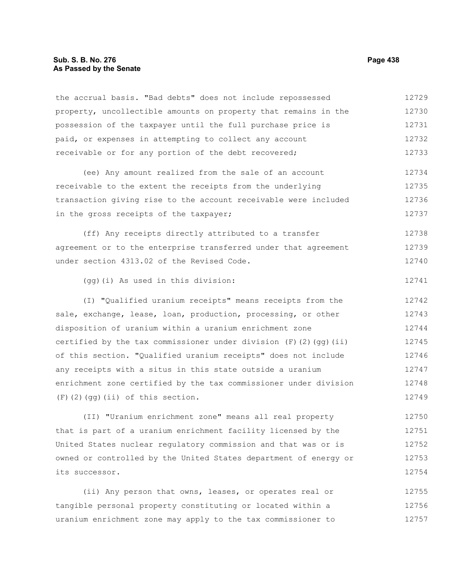### **Sub. S. B. No. 276 Page 438 As Passed by the Senate**

the accrual basis. "Bad debts" does not include repossessed property, uncollectible amounts on property that remains in the possession of the taxpayer until the full purchase price is paid, or expenses in attempting to collect any account receivable or for any portion of the debt recovered; 12729 12730 12731 12732 12733

(ee) Any amount realized from the sale of an account receivable to the extent the receipts from the underlying transaction giving rise to the account receivable were included in the gross receipts of the taxpayer; 12734 12735 12736 12737

(ff) Any receipts directly attributed to a transfer agreement or to the enterprise transferred under that agreement under section 4313.02 of the Revised Code. 12738 12739 12740

(gg)(i) As used in this division:

(I) "Qualified uranium receipts" means receipts from the sale, exchange, lease, loan, production, processing, or other disposition of uranium within a uranium enrichment zone certified by the tax commissioner under division  $(F)$  (2)(qq)(ii) of this section. "Qualified uranium receipts" does not include any receipts with a situs in this state outside a uranium enrichment zone certified by the tax commissioner under division (F)(2)(gg)(ii) of this section. 12742 12743 12744 12745 12746 12747 12748 12749

(II) "Uranium enrichment zone" means all real property that is part of a uranium enrichment facility licensed by the United States nuclear regulatory commission and that was or is owned or controlled by the United States department of energy or its successor. 12750 12751 12752 12753 12754

(ii) Any person that owns, leases, or operates real or tangible personal property constituting or located within a uranium enrichment zone may apply to the tax commissioner to 12755 12756 12757

12741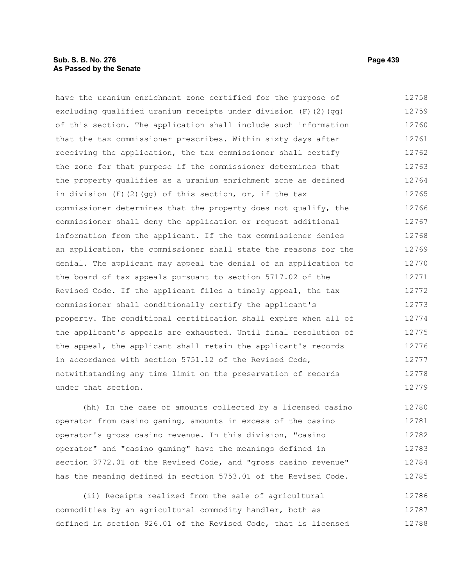### **Sub. S. B. No. 276 Page 439 As Passed by the Senate**

have the uranium enrichment zone certified for the purpose of excluding qualified uranium receipts under division (F)(2)(gg) of this section. The application shall include such information that the tax commissioner prescribes. Within sixty days after receiving the application, the tax commissioner shall certify the zone for that purpose if the commissioner determines that the property qualifies as a uranium enrichment zone as defined in division  $(F)$  (2)(gg) of this section, or, if the tax commissioner determines that the property does not qualify, the commissioner shall deny the application or request additional information from the applicant. If the tax commissioner denies an application, the commissioner shall state the reasons for the denial. The applicant may appeal the denial of an application to the board of tax appeals pursuant to section 5717.02 of the Revised Code. If the applicant files a timely appeal, the tax commissioner shall conditionally certify the applicant's property. The conditional certification shall expire when all of the applicant's appeals are exhausted. Until final resolution of the appeal, the applicant shall retain the applicant's records in accordance with section 5751.12 of the Revised Code, notwithstanding any time limit on the preservation of records under that section. 12758 12759 12760 12761 12762 12763 12764 12765 12766 12767 12768 12769 12770 12771 12772 12773 12774 12775 12776 12777 12778 12779

(hh) In the case of amounts collected by a licensed casino operator from casino gaming, amounts in excess of the casino operator's gross casino revenue. In this division, "casino operator" and "casino gaming" have the meanings defined in section 3772.01 of the Revised Code, and "gross casino revenue" has the meaning defined in section 5753.01 of the Revised Code. 12780 12781 12782 12783 12784 12785

(ii) Receipts realized from the sale of agricultural commodities by an agricultural commodity handler, both as defined in section 926.01 of the Revised Code, that is licensed 12786 12787 12788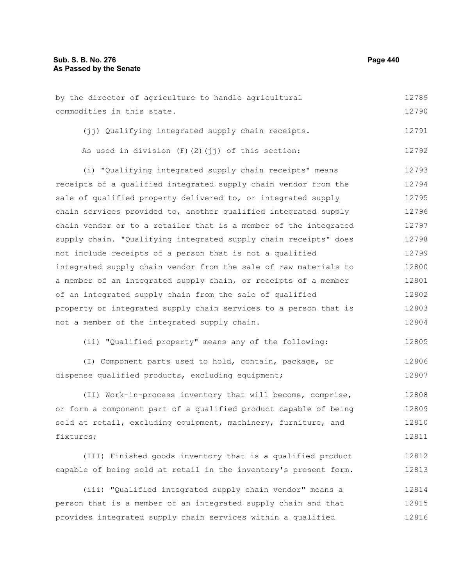by the director of agriculture to handle agricultural commodities in this state. 12789 12790

(ii) Qualifying integrated supply chain receipts. 12791

|  |  |  | As used in division $(F)$ $(2)$ $(jj)$ of this section: |  |  | 12792 |
|--|--|--|---------------------------------------------------------|--|--|-------|
|--|--|--|---------------------------------------------------------|--|--|-------|

(i) "Qualifying integrated supply chain receipts" means receipts of a qualified integrated supply chain vendor from the sale of qualified property delivered to, or integrated supply chain services provided to, another qualified integrated supply chain vendor or to a retailer that is a member of the integrated supply chain. "Qualifying integrated supply chain receipts" does not include receipts of a person that is not a qualified integrated supply chain vendor from the sale of raw materials to a member of an integrated supply chain, or receipts of a member of an integrated supply chain from the sale of qualified property or integrated supply chain services to a person that is not a member of the integrated supply chain. 12793 12794 12795 12796 12797 12798 12799 12800 12801 12802 12803 12804

(ii) "Qualified property" means any of the following: 12805

(I) Component parts used to hold, contain, package, or dispense qualified products, excluding equipment; 12806 12807

(II) Work-in-process inventory that will become, comprise, or form a component part of a qualified product capable of being sold at retail, excluding equipment, machinery, furniture, and fixtures; 12808 12809 12810 12811

(III) Finished goods inventory that is a qualified product capable of being sold at retail in the inventory's present form. 12812 12813

(iii) "Qualified integrated supply chain vendor" means a person that is a member of an integrated supply chain and that provides integrated supply chain services within a qualified 12814 12815 12816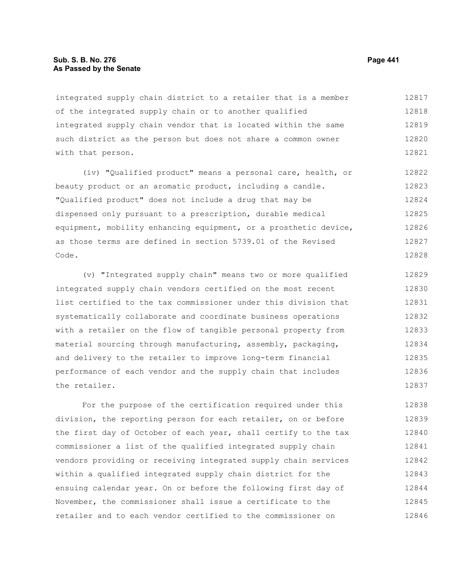### **Sub. S. B. No. 276 Page 441 As Passed by the Senate**

integrated supply chain district to a retailer that is a member of the integrated supply chain or to another qualified integrated supply chain vendor that is located within the same such district as the person but does not share a common owner with that person. 12817 12818 12819 12820 12821

(iv) "Qualified product" means a personal care, health, or beauty product or an aromatic product, including a candle. "Qualified product" does not include a drug that may be dispensed only pursuant to a prescription, durable medical equipment, mobility enhancing equipment, or a prosthetic device, as those terms are defined in section 5739.01 of the Revised Code. 12822 12823 12824 12825 12826 12827 12828

(v) "Integrated supply chain" means two or more qualified integrated supply chain vendors certified on the most recent list certified to the tax commissioner under this division that systematically collaborate and coordinate business operations with a retailer on the flow of tangible personal property from material sourcing through manufacturing, assembly, packaging, and delivery to the retailer to improve long-term financial performance of each vendor and the supply chain that includes the retailer. 12829 12830 12831 12832 12833 12834 12835 12836 12837

For the purpose of the certification required under this division, the reporting person for each retailer, on or before the first day of October of each year, shall certify to the tax commissioner a list of the qualified integrated supply chain vendors providing or receiving integrated supply chain services within a qualified integrated supply chain district for the ensuing calendar year. On or before the following first day of November, the commissioner shall issue a certificate to the retailer and to each vendor certified to the commissioner on 12838 12839 12840 12841 12842 12843 12844 12845 12846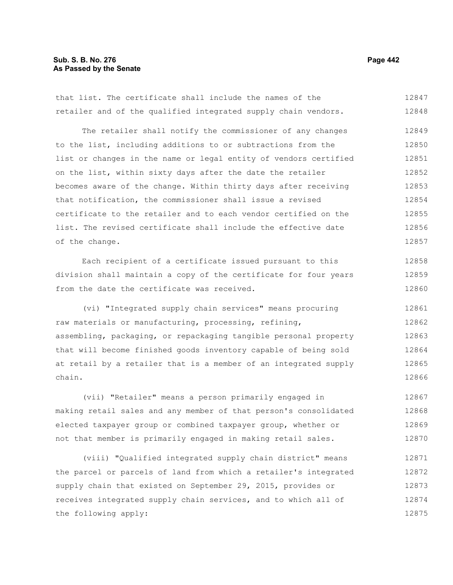# **Sub. S. B. No. 276 Page 442 As Passed by the Senate**

that list. The certificate shall include the names of the retailer and of the qualified integrated supply chain vendors. 12847 12848

The retailer shall notify the commissioner of any changes to the list, including additions to or subtractions from the list or changes in the name or legal entity of vendors certified on the list, within sixty days after the date the retailer becomes aware of the change. Within thirty days after receiving that notification, the commissioner shall issue a revised certificate to the retailer and to each vendor certified on the list. The revised certificate shall include the effective date of the change. 12849 12850 12851 12852 12853 12854 12855 12856 12857

Each recipient of a certificate issued pursuant to this division shall maintain a copy of the certificate for four years from the date the certificate was received. 12858 12859 12860

(vi) "Integrated supply chain services" means procuring raw materials or manufacturing, processing, refining, assembling, packaging, or repackaging tangible personal property that will become finished goods inventory capable of being sold at retail by a retailer that is a member of an integrated supply chain. 12861 12862 12863 12864 12865 12866

(vii) "Retailer" means a person primarily engaged in making retail sales and any member of that person's consolidated elected taxpayer group or combined taxpayer group, whether or not that member is primarily engaged in making retail sales. 12867 12868 12869 12870

(viii) "Qualified integrated supply chain district" means the parcel or parcels of land from which a retailer's integrated supply chain that existed on September 29, 2015, provides or receives integrated supply chain services, and to which all of the following apply: 12871 12872 12873 12874 12875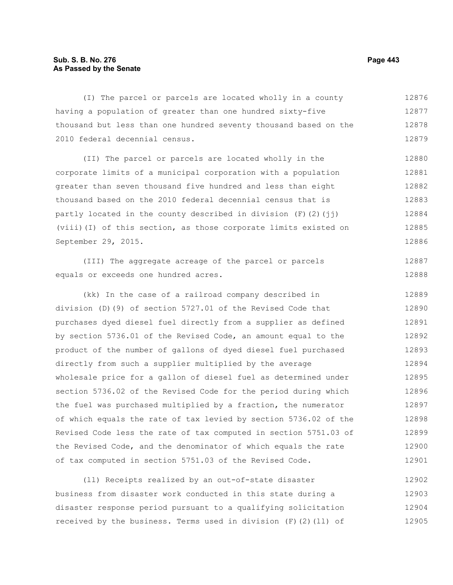# **Sub. S. B. No. 276 Page 443 As Passed by the Senate**

(I) The parcel or parcels are located wholly in a county having a population of greater than one hundred sixty-five thousand but less than one hundred seventy thousand based on the 2010 federal decennial census. 12876 12877 12878 12879

(II) The parcel or parcels are located wholly in the corporate limits of a municipal corporation with a population greater than seven thousand five hundred and less than eight thousand based on the 2010 federal decennial census that is partly located in the county described in division  $(F)(2)(\pi i)$ (viii)(I) of this section, as those corporate limits existed on September 29, 2015. 12880 12881 12882 12883 12884 12885 12886

(III) The aggregate acreage of the parcel or parcels equals or exceeds one hundred acres. 12887 12888

(kk) In the case of a railroad company described in division (D)(9) of section 5727.01 of the Revised Code that purchases dyed diesel fuel directly from a supplier as defined by section 5736.01 of the Revised Code, an amount equal to the product of the number of gallons of dyed diesel fuel purchased directly from such a supplier multiplied by the average wholesale price for a gallon of diesel fuel as determined under section 5736.02 of the Revised Code for the period during which the fuel was purchased multiplied by a fraction, the numerator of which equals the rate of tax levied by section 5736.02 of the Revised Code less the rate of tax computed in section 5751.03 of the Revised Code, and the denominator of which equals the rate of tax computed in section 5751.03 of the Revised Code. 12889 12890 12891 12892 12893 12894 12895 12896 12897 12898 12899 12900 12901

(ll) Receipts realized by an out-of-state disaster business from disaster work conducted in this state during a disaster response period pursuant to a qualifying solicitation received by the business. Terms used in division (F)(2)(ll) of 12902 12903 12904 12905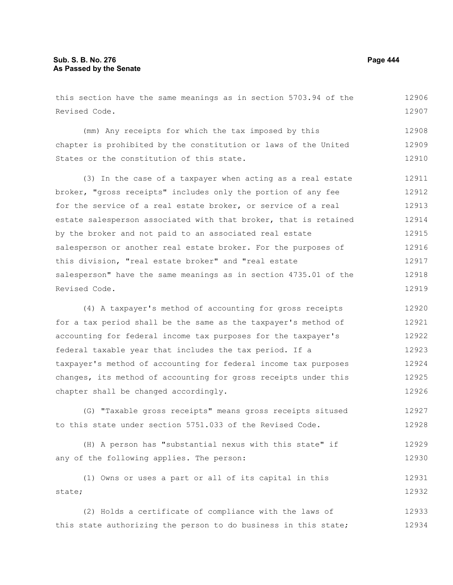Revised Code.

this section have the same meanings as in section 5703.94 of the (mm) Any receipts for which the tax imposed by this 12906 12907 12908

chapter is prohibited by the constitution or laws of the United States or the constitution of this state. 12909 12910

(3) In the case of a taxpayer when acting as a real estate broker, "gross receipts" includes only the portion of any fee for the service of a real estate broker, or service of a real estate salesperson associated with that broker, that is retained by the broker and not paid to an associated real estate salesperson or another real estate broker. For the purposes of this division, "real estate broker" and "real estate salesperson" have the same meanings as in section 4735.01 of the Revised Code. 12911 12912 12913 12914 12915 12916 12917 12918 12919

(4) A taxpayer's method of accounting for gross receipts for a tax period shall be the same as the taxpayer's method of accounting for federal income tax purposes for the taxpayer's federal taxable year that includes the tax period. If a taxpayer's method of accounting for federal income tax purposes changes, its method of accounting for gross receipts under this chapter shall be changed accordingly. 12920 12921 12922 12923 12924 12925 12926

(G) "Taxable gross receipts" means gross receipts sitused to this state under section 5751.033 of the Revised Code. 12927 12928

```
(H) A person has "substantial nexus with this state" if
any of the following applies. The person:
                                                                           12929
                                                                           12930
```
(1) Owns or uses a part or all of its capital in this state; 12931 12932

(2) Holds a certificate of compliance with the laws of this state authorizing the person to do business in this state; 12933 12934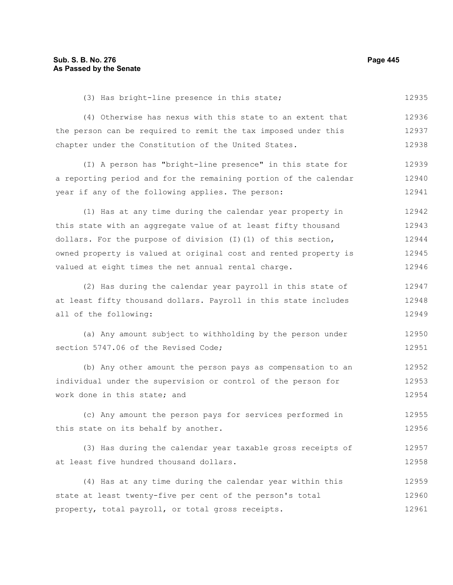(3) Has bright-line presence in this state; 12935

(4) Otherwise has nexus with this state to an extent that the person can be required to remit the tax imposed under this chapter under the Constitution of the United States. 12936 12937 12938

(I) A person has "bright-line presence" in this state for a reporting period and for the remaining portion of the calendar year if any of the following applies. The person: 12939 12940 12941

(1) Has at any time during the calendar year property in this state with an aggregate value of at least fifty thousand dollars. For the purpose of division  $(I)(1)$  of this section, owned property is valued at original cost and rented property is valued at eight times the net annual rental charge. 12942 12943 12944 12945 12946

(2) Has during the calendar year payroll in this state of at least fifty thousand dollars. Payroll in this state includes all of the following: 12947 12948 12949

(a) Any amount subject to withholding by the person under section 5747.06 of the Revised Code; 12950 12951

(b) Any other amount the person pays as compensation to an individual under the supervision or control of the person for work done in this state; and 12952 12953 12954

(c) Any amount the person pays for services performed in this state on its behalf by another. 12955 12956

(3) Has during the calendar year taxable gross receipts of at least five hundred thousand dollars. 12957 12958

(4) Has at any time during the calendar year within this state at least twenty-five per cent of the person's total property, total payroll, or total gross receipts. 12959 12960 12961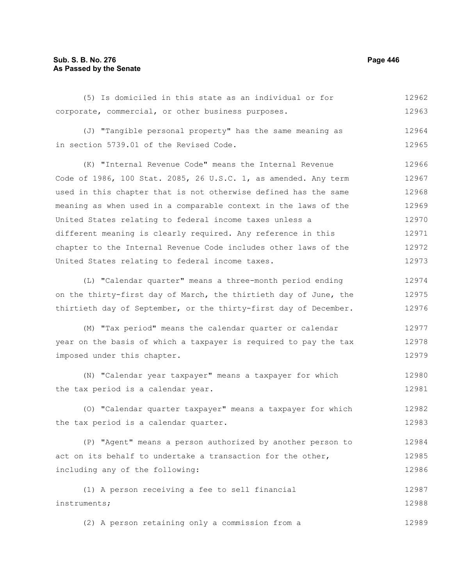## **Sub. S. B. No. 276 Page 446 As Passed by the Senate**

(5) Is domiciled in this state as an individual or for corporate, commercial, or other business purposes. 12962 12963

(J) "Tangible personal property" has the same meaning as in section 5739.01 of the Revised Code. 12964 12965

(K) "Internal Revenue Code" means the Internal Revenue Code of 1986, 100 Stat. 2085, 26 U.S.C. 1, as amended. Any term used in this chapter that is not otherwise defined has the same meaning as when used in a comparable context in the laws of the United States relating to federal income taxes unless a different meaning is clearly required. Any reference in this chapter to the Internal Revenue Code includes other laws of the United States relating to federal income taxes. 12966 12967 12968 12969 12970 12971 12972 12973

(L) "Calendar quarter" means a three-month period ending on the thirty-first day of March, the thirtieth day of June, the thirtieth day of September, or the thirty-first day of December. 12974 12975 12976

(M) "Tax period" means the calendar quarter or calendar year on the basis of which a taxpayer is required to pay the tax imposed under this chapter. 12977 12978 12979

(N) "Calendar year taxpayer" means a taxpayer for which the tax period is a calendar year. 12980 12981

(O) "Calendar quarter taxpayer" means a taxpayer for which the tax period is a calendar quarter. 12982 12983

(P) "Agent" means a person authorized by another person to act on its behalf to undertake a transaction for the other, including any of the following: 12984 12985 12986

(1) A person receiving a fee to sell financial instruments; 12987 12988

(2) A person retaining only a commission from a 12989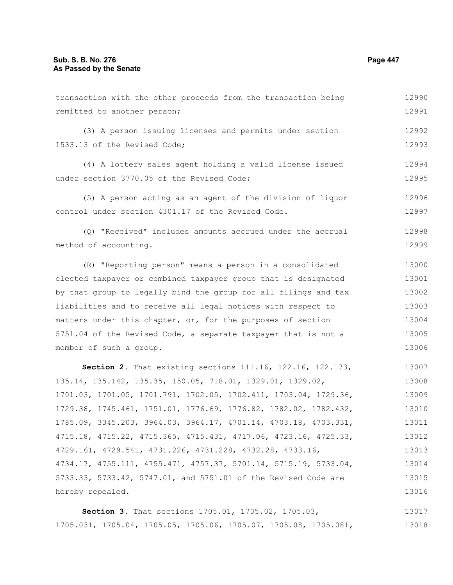| transaction with the other proceeds from the transaction being   | 12990 |  |  |  |
|------------------------------------------------------------------|-------|--|--|--|
| remitted to another person;                                      | 12991 |  |  |  |
| (3) A person issuing licenses and permits under section          | 12992 |  |  |  |
| 1533.13 of the Revised Code;                                     | 12993 |  |  |  |
|                                                                  |       |  |  |  |
| (4) A lottery sales agent holding a valid license issued         | 12994 |  |  |  |
| under section 3770.05 of the Revised Code;                       | 12995 |  |  |  |
| (5) A person acting as an agent of the division of liquor        | 12996 |  |  |  |
| control under section 4301.17 of the Revised Code.               | 12997 |  |  |  |
|                                                                  | 12998 |  |  |  |
| (Q) "Received" includes amounts accrued under the accrual        |       |  |  |  |
| method of accounting.                                            | 12999 |  |  |  |
| (R) "Reporting person" means a person in a consolidated          | 13000 |  |  |  |
| elected taxpayer or combined taxpayer group that is designated   | 13001 |  |  |  |
| by that group to legally bind the group for all filings and tax  | 13002 |  |  |  |
| liabilities and to receive all legal notices with respect to     | 13003 |  |  |  |
| matters under this chapter, or, for the purposes of section      | 13004 |  |  |  |
| 5751.04 of the Revised Code, a separate taxpayer that is not a   | 13005 |  |  |  |
| member of such a group.                                          | 13006 |  |  |  |
| Section 2. That existing sections 111.16, 122.16, 122.173,       | 13007 |  |  |  |
| 135.14, 135.142, 135.35, 150.05, 718.01, 1329.01, 1329.02,       | 13008 |  |  |  |
| 1701.03, 1701.05, 1701.791, 1702.05, 1702.411, 1703.04, 1729.36, | 13009 |  |  |  |
| 1729.38, 1745.461, 1751.01, 1776.69, 1776.82, 1782.02, 1782.432, | 13010 |  |  |  |
| 1785.09, 3345.203, 3964.03, 3964.17, 4701.14, 4703.18, 4703.331, | 13011 |  |  |  |
| 4715.18, 4715.22, 4715.365, 4715.431, 4717.06, 4723.16, 4725.33, | 13012 |  |  |  |
| 4729.161, 4729.541, 4731.226, 4731.228, 4732.28, 4733.16,        | 13013 |  |  |  |
| 4734.17, 4755.111, 4755.471, 4757.37, 5701.14, 5715.19, 5733.04, | 13014 |  |  |  |
| 5733.33, 5733.42, 5747.01, and 5751.01 of the Revised Code are   | 13015 |  |  |  |
| hereby repealed.                                                 |       |  |  |  |
|                                                                  | 13016 |  |  |  |
| Section 3. That sections 1705.01, 1705.02, 1705.03,              | 13017 |  |  |  |

1705.031, 1705.04, 1705.05, 1705.06, 1705.07, 1705.08, 1705.081, 13018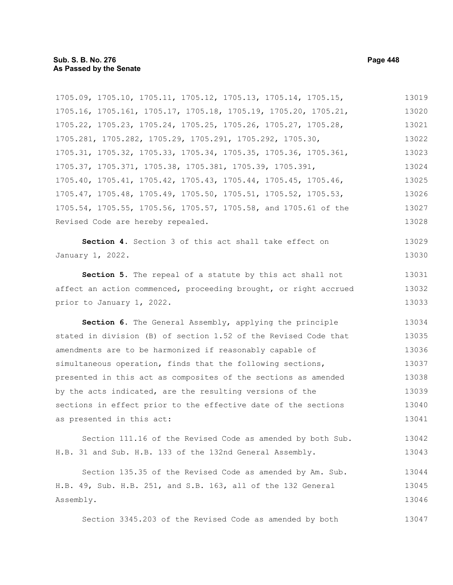1705.09, 1705.10, 1705.11, 1705.12, 1705.13, 1705.14, 1705.15, 1705.16, 1705.161, 1705.17, 1705.18, 1705.19, 1705.20, 1705.21, 1705.22, 1705.23, 1705.24, 1705.25, 1705.26, 1705.27, 1705.28, 1705.281, 1705.282, 1705.29, 1705.291, 1705.292, 1705.30, 1705.31, 1705.32, 1705.33, 1705.34, 1705.35, 1705.36, 1705.361, 1705.37, 1705.371, 1705.38, 1705.381, 1705.39, 1705.391, 1705.40, 1705.41, 1705.42, 1705.43, 1705.44, 1705.45, 1705.46, 1705.47, 1705.48, 1705.49, 1705.50, 1705.51, 1705.52, 1705.53, 1705.54, 1705.55, 1705.56, 1705.57, 1705.58, and 1705.61 of the Revised Code are hereby repealed. 13019 13020 13021 13022 13023 13024 13025 13026 13027 13028

**Section 4.** Section 3 of this act shall take effect on January 1, 2022. 13029 13030

**Section 5.** The repeal of a statute by this act shall not affect an action commenced, proceeding brought, or right accrued prior to January 1, 2022. 13031 13032 13033

**Section 6.** The General Assembly, applying the principle stated in division (B) of section 1.52 of the Revised Code that amendments are to be harmonized if reasonably capable of simultaneous operation, finds that the following sections, presented in this act as composites of the sections as amended by the acts indicated, are the resulting versions of the sections in effect prior to the effective date of the sections as presented in this act: 13034 13035 13036 13037 13038 13039 13040 13041

Section 111.16 of the Revised Code as amended by both Sub. H.B. 31 and Sub. H.B. 133 of the 132nd General Assembly. 13042 13043

Section 135.35 of the Revised Code as amended by Am. Sub. H.B. 49, Sub. H.B. 251, and S.B. 163, all of the 132 General Assembly. 13044 13045 13046

Section 3345.203 of the Revised Code as amended by both 13047